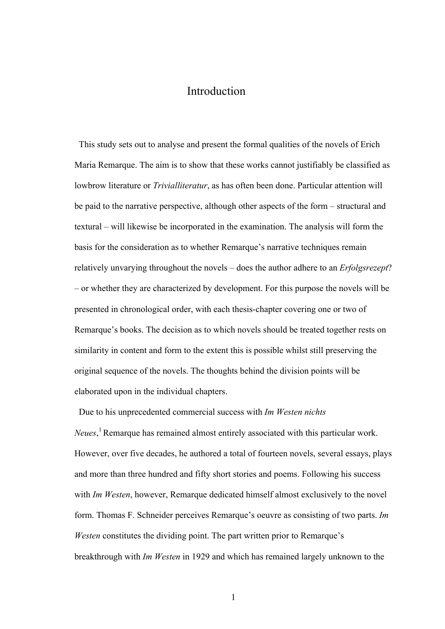## Introduction

This study sets out to analyse and present the formal qualities of the novels of Erich Maria Remarque. The aim is to show that these works cannot justifiably be classified as lowbrow literature or *Trivialliteratur*, as has often been done. Particular attention will be paid to the narrative perspective, although other aspects of the form – structural and textural – will likewise be incorporated in the examination. The analysis will form the basis for the consideration as to whether Remarque's narrative techniques remain relatively unvarying throughout the novels – does the author adhere to an *Erfolgsrezept*? – or whether they are characterized by development. For this purpose the novels will be presented in chronological order, with each thesis-chapter covering one or two of Remarque's books. The decision as to which novels should be treated together rests on similarity in content and form to the extent this is possible whilst still preserving the original sequence of the novels. The thoughts behind the division points will be elaborated upon in the individual chapters.

Due to his unprecedented commercial success with *Im Westen nichts Neues*, 1 Remarque has remained almost entirely associated with this particular work. However, over five decades, he authored a total of fourteen novels, several essays, plays and more than three hundred and fifty short stories and poems. Following his success with *Im Westen*, however, Remarque dedicated himself almost exclusively to the novel form. Thomas F. Schneider perceives Remarque's oeuvre as consisting of two parts. *Im Westen* constitutes the dividing point. The part written prior to Remarque's breakthrough with *Im Westen* in 1929 and which has remained largely unknown to the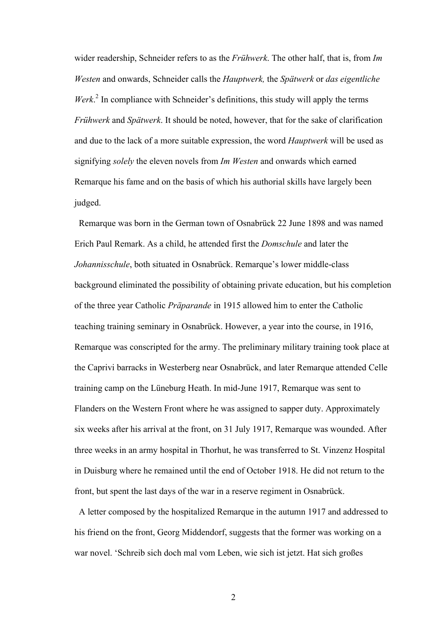wider readership, Schneider refers to as the *Frühwerk*. The other half, that is, from *Im Westen* and onwards, Schneider calls the *Hauptwerk,* the *Spätwerk* or *das eigentliche* Werk.<sup>2</sup> In compliance with Schneider's definitions, this study will apply the terms *Frühwerk* and *Spätwerk*. It should be noted, however, that for the sake of clarification and due to the lack of a more suitable expression, the word *Hauptwerk* will be used as signifying *solely* the eleven novels from *Im Westen* and onwards which earned Remarque his fame and on the basis of which his authorial skills have largely been judged.

 Remarque was born in the German town of Osnabrück 22 June 1898 and was named Erich Paul Remark. As a child, he attended first the *Domschule* and later the *Johannisschule*, both situated in Osnabrück. Remarque's lower middle-class background eliminated the possibility of obtaining private education, but his completion of the three year Catholic *Präparande* in 1915 allowed him to enter the Catholic teaching training seminary in Osnabrück. However, a year into the course, in 1916, Remarque was conscripted for the army. The preliminary military training took place at the Caprivi barracks in Westerberg near Osnabrück, and later Remarque attended Celle training camp on the Lüneburg Heath. In mid-June 1917, Remarque was sent to Flanders on the Western Front where he was assigned to sapper duty. Approximately six weeks after his arrival at the front, on 31 July 1917, Remarque was wounded. After three weeks in an army hospital in Thorhut, he was transferred to St. Vinzenz Hospital in Duisburg where he remained until the end of October 1918. He did not return to the front, but spent the last days of the war in a reserve regiment in Osnabrück.

 A letter composed by the hospitalized Remarque in the autumn 1917 and addressed to his friend on the front, Georg Middendorf, suggests that the former was working on a war novel. 'Schreib sich doch mal vom Leben, wie sich ist jetzt. Hat sich großes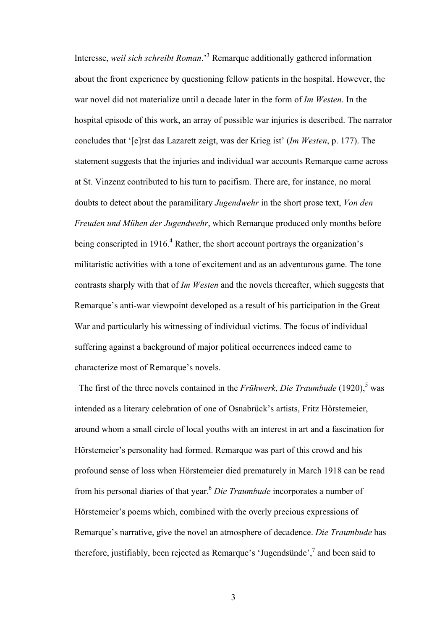Interesse, *weil sich schreibt Roman*.'<sup>3</sup> Remarque additionally gathered information about the front experience by questioning fellow patients in the hospital. However, the war novel did not materialize until a decade later in the form of *Im Westen*. In the hospital episode of this work, an array of possible war injuries is described. The narrator concludes that '[e]rst das Lazarett zeigt, was der Krieg ist' (*Im Westen*, p. 177). The statement suggests that the injuries and individual war accounts Remarque came across at St. Vinzenz contributed to his turn to pacifism. There are, for instance, no moral doubts to detect about the paramilitary *Jugendwehr* in the short prose text, *Von den Freuden und Mühen der Jugendwehr*, which Remarque produced only months before being conscripted in 1916.<sup>4</sup> Rather, the short account portrays the organization's militaristic activities with a tone of excitement and as an adventurous game. The tone contrasts sharply with that of *Im Westen* and the novels thereafter, which suggests that Remarque's anti-war viewpoint developed as a result of his participation in the Great War and particularly his witnessing of individual victims. The focus of individual suffering against a background of major political occurrences indeed came to characterize most of Remarque's novels.

The first of the three novels contained in the *Frühwerk*, *Die Traumbude* (1920),<sup>5</sup> was intended as a literary celebration of one of Osnabrück's artists, Fritz Hörstemeier, around whom a small circle of local youths with an interest in art and a fascination for Hörstemeier's personality had formed. Remarque was part of this crowd and his profound sense of loss when Hörstemeier died prematurely in March 1918 can be read from his personal diaries of that year.6 *Die Traumbude* incorporates a number of Hörstemeier's poems which, combined with the overly precious expressions of Remarque's narrative, give the novel an atmosphere of decadence. *Die Traumbude* has therefore, justifiably, been rejected as Remarque's 'Jugendsünde',<sup>7</sup> and been said to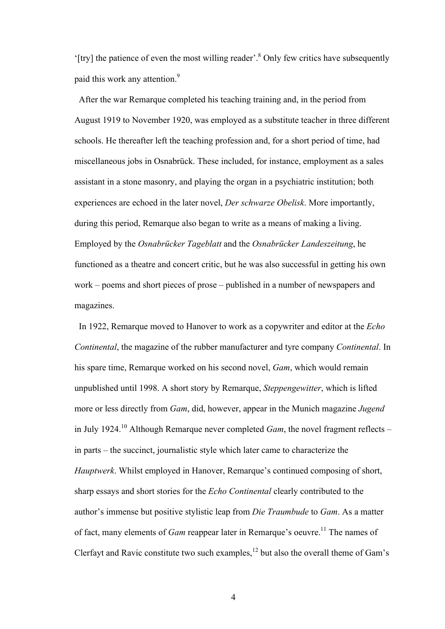'[try] the patience of even the most willing reader'.8 Only few critics have subsequently paid this work any attention.<sup>9</sup>

 After the war Remarque completed his teaching training and, in the period from August 1919 to November 1920, was employed as a substitute teacher in three different schools. He thereafter left the teaching profession and, for a short period of time, had miscellaneous jobs in Osnabrück. These included, for instance, employment as a sales assistant in a stone masonry, and playing the organ in a psychiatric institution; both experiences are echoed in the later novel, *Der schwarze Obelisk*. More importantly, during this period, Remarque also began to write as a means of making a living. Employed by the *Osnabrücker Tageblatt* and the *Osnabrücker Landeszeitung*, he functioned as a theatre and concert critic, but he was also successful in getting his own work – poems and short pieces of prose – published in a number of newspapers and magazines.

 In 1922, Remarque moved to Hanover to work as a copywriter and editor at the *Echo Continental*, the magazine of the rubber manufacturer and tyre company *Continental*. In his spare time, Remarque worked on his second novel, *Gam*, which would remain unpublished until 1998. A short story by Remarque, *Steppengewitter*, which is lifted more or less directly from *Gam*, did, however, appear in the Munich magazine *Jugend* in July 1924.<sup>10</sup> Although Remarque never completed *Gam*, the novel fragment reflects – in parts – the succinct, journalistic style which later came to characterize the *Hauptwerk*. Whilst employed in Hanover, Remarque's continued composing of short, sharp essays and short stories for the *Echo Continental* clearly contributed to the author's immense but positive stylistic leap from *Die Traumbude* to *Gam*. As a matter of fact, many elements of *Gam* reappear later in Remarque's oeuvre.<sup>11</sup> The names of Clerfayt and Ravic constitute two such examples.<sup>12</sup> but also the overall theme of Gam's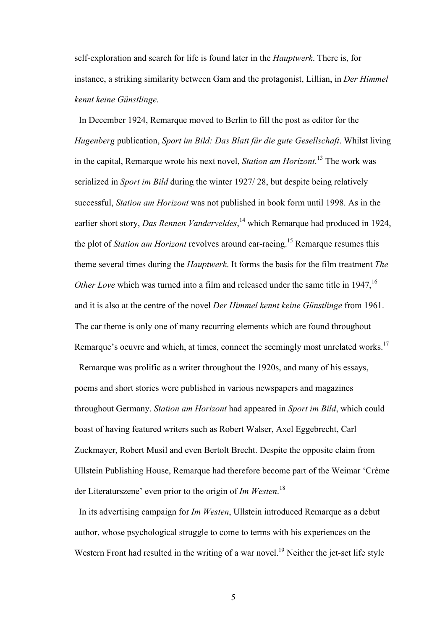self-exploration and search for life is found later in the *Hauptwerk*. There is, for instance, a striking similarity between Gam and the protagonist, Lillian, in *Der Himmel kennt keine Günstlinge*.

In December 1924, Remarque moved to Berlin to fill the post as editor for the *Hugenberg* publication, *Sport im Bild: Das Blatt für die gute Gesellschaft*. Whilst living in the capital, Remarque wrote his next novel, *Station am Horizont*. 13 The work was serialized in *Sport im Bild* during the winter 1927/ 28, but despite being relatively successful, *Station am Horizont* was not published in book form until 1998. As in the earlier short story, *Das Rennen Vanderveldes*, 14 which Remarque had produced in 1924, the plot of *Station am Horizont* revolves around car-racing.15 Remarque resumes this theme several times during the *Hauptwerk*. It forms the basis for the film treatment *The Other Love* which was turned into a film and released under the same title in 1947,<sup>16</sup> and it is also at the centre of the novel *Der Himmel kennt keine Günstlinge* from 1961. The car theme is only one of many recurring elements which are found throughout Remarque's oeuvre and which, at times, connect the seemingly most unrelated works.<sup>17</sup>

 Remarque was prolific as a writer throughout the 1920s, and many of his essays, poems and short stories were published in various newspapers and magazines throughout Germany. *Station am Horizont* had appeared in *Sport im Bild*, which could boast of having featured writers such as Robert Walser, Axel Eggebrecht, Carl Zuckmayer, Robert Musil and even Bertolt Brecht. Despite the opposite claim from Ullstein Publishing House, Remarque had therefore become part of the Weimar 'Crème der Literaturszene' even prior to the origin of *Im Westen*. 18

 In its advertising campaign for *Im Westen*, Ullstein introduced Remarque as a debut author, whose psychological struggle to come to terms with his experiences on the Western Front had resulted in the writing of a war novel.<sup>19</sup> Neither the jet-set life style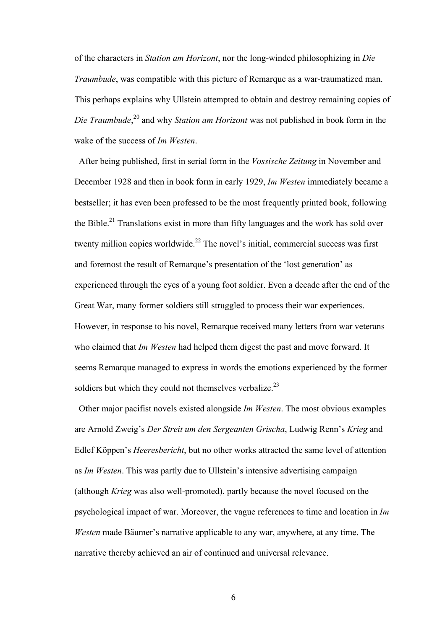of the characters in *Station am Horizont*, nor the long-winded philosophizing in *Die Traumbude*, was compatible with this picture of Remarque as a war-traumatized man. This perhaps explains why Ullstein attempted to obtain and destroy remaining copies of *Die Traumbude*, 20 and why *Station am Horizont* was not published in book form in the wake of the success of *Im Westen*.

 After being published, first in serial form in the *Vossische Zeitung* in November and December 1928 and then in book form in early 1929, *Im Westen* immediately became a bestseller; it has even been professed to be the most frequently printed book, following the Bible.<sup>21</sup> Translations exist in more than fifty languages and the work has sold over twenty million copies worldwide.<sup>22</sup> The novel's initial, commercial success was first and foremost the result of Remarque's presentation of the 'lost generation' as experienced through the eyes of a young foot soldier. Even a decade after the end of the Great War, many former soldiers still struggled to process their war experiences. However, in response to his novel, Remarque received many letters from war veterans who claimed that *Im Westen* had helped them digest the past and move forward. It seems Remarque managed to express in words the emotions experienced by the former soldiers but which they could not themselves verbalize.<sup>23</sup>

 Other major pacifist novels existed alongside *Im Westen*. The most obvious examples are Arnold Zweig's *Der Streit um den Sergeanten Grischa*, Ludwig Renn's *Krieg* and Edlef Köppen's *Heeresbericht*, but no other works attracted the same level of attention as *Im Westen*. This was partly due to Ullstein's intensive advertising campaign (although *Krieg* was also well-promoted), partly because the novel focused on the psychological impact of war. Moreover, the vague references to time and location in *Im Westen* made Bäumer's narrative applicable to any war, anywhere, at any time. The narrative thereby achieved an air of continued and universal relevance.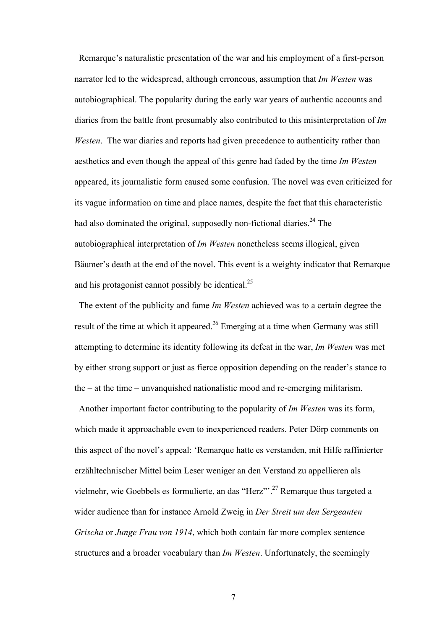Remarque's naturalistic presentation of the war and his employment of a first-person narrator led to the widespread, although erroneous, assumption that *Im Westen* was autobiographical. The popularity during the early war years of authentic accounts and diaries from the battle front presumably also contributed to this misinterpretation of *Im Westen*. The war diaries and reports had given precedence to authenticity rather than aesthetics and even though the appeal of this genre had faded by the time *Im Westen* appeared, its journalistic form caused some confusion. The novel was even criticized for its vague information on time and place names, despite the fact that this characteristic had also dominated the original, supposedly non-fictional diaries.<sup>24</sup> The autobiographical interpretation of *Im Westen* nonetheless seems illogical, given Bäumer's death at the end of the novel. This event is a weighty indicator that Remarque and his protagonist cannot possibly be identical. $^{25}$ 

 The extent of the publicity and fame *Im Westen* achieved was to a certain degree the result of the time at which it appeared.<sup>26</sup> Emerging at a time when Germany was still attempting to determine its identity following its defeat in the war, *Im Westen* was met by either strong support or just as fierce opposition depending on the reader's stance to the – at the time – unvanquished nationalistic mood and re-emerging militarism.

Another important factor contributing to the popularity of *Im Westen* was its form, which made it approachable even to inexperienced readers. Peter Dörp comments on this aspect of the novel's appeal: 'Remarque hatte es verstanden, mit Hilfe raffinierter erzähltechnischer Mittel beim Leser weniger an den Verstand zu appellieren als vielmehr, wie Goebbels es formulierte, an das "Herz"'.27 Remarque thus targeted a wider audience than for instance Arnold Zweig in *Der Streit um den Sergeanten Grischa* or *Junge Frau von 1914*, which both contain far more complex sentence structures and a broader vocabulary than *Im Westen*. Unfortunately, the seemingly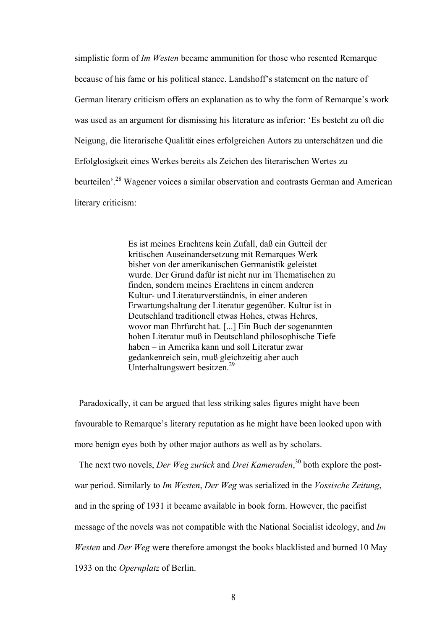simplistic form of *Im Westen* became ammunition for those who resented Remarque because of his fame or his political stance. Landshoff's statement on the nature of German literary criticism offers an explanation as to why the form of Remarque's work was used as an argument for dismissing his literature as inferior: 'Es besteht zu oft die Neigung, die literarische Qualität eines erfolgreichen Autors zu unterschätzen und die Erfolglosigkeit eines Werkes bereits als Zeichen des literarischen Wertes zu beurteilen'.<sup>28</sup> Wagener voices a similar observation and contrasts German and American literary criticism:

> Es ist meines Erachtens kein Zufall, daß ein Gutteil der kritischen Auseinandersetzung mit Remarques Werk bisher von der amerikanischen Germanistik geleistet wurde. Der Grund dafür ist nicht nur im Thematischen zu finden, sondern meines Erachtens in einem anderen Kultur- und Literaturverständnis, in einer anderen Erwartungshaltung der Literatur gegenüber. Kultur ist in Deutschland traditionell etwas Hohes, etwas Hehres, wovor man Ehrfurcht hat. [...] Ein Buch der sogenannten hohen Literatur muß in Deutschland philosophische Tiefe haben – in Amerika kann und soll Literatur zwar gedankenreich sein, muß gleichzeitig aber auch Unterhaltungswert besitzen.29

 Paradoxically, it can be argued that less striking sales figures might have been favourable to Remarque's literary reputation as he might have been looked upon with more benign eyes both by other major authors as well as by scholars.

 The next two novels, *Der Weg zurück* and *Drei Kameraden*, 30 both explore the postwar period. Similarly to *Im Westen*, *Der Weg* was serialized in the *Vossische Zeitung*, and in the spring of 1931 it became available in book form. However, the pacifist message of the novels was not compatible with the National Socialist ideology, and *Im Westen* and *Der Weg* were therefore amongst the books blacklisted and burned 10 May 1933 on the *Opernplatz* of Berlin.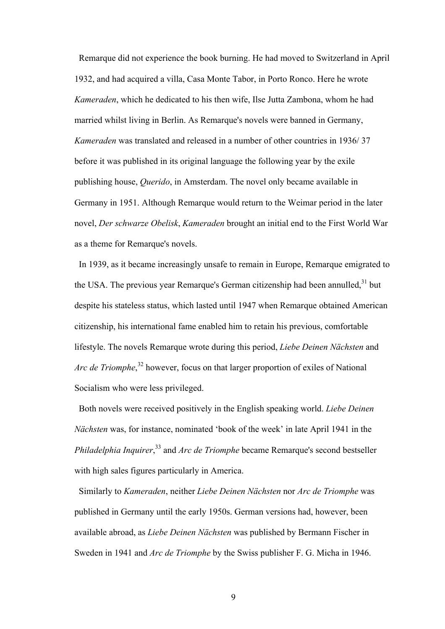Remarque did not experience the book burning. He had moved to Switzerland in April 1932, and had acquired a villa, Casa Monte Tabor, in Porto Ronco. Here he wrote *Kameraden*, which he dedicated to his then wife, Ilse Jutta Zambona, whom he had married whilst living in Berlin. As Remarque's novels were banned in Germany, *Kameraden* was translated and released in a number of other countries in 1936/ 37 before it was published in its original language the following year by the exile publishing house, *Querido*, in Amsterdam. The novel only became available in Germany in 1951. Although Remarque would return to the Weimar period in the later novel, *Der schwarze Obelisk*, *Kameraden* brought an initial end to the First World War as a theme for Remarque's novels.

 In 1939, as it became increasingly unsafe to remain in Europe, Remarque emigrated to the USA. The previous year Remarque's German citizenship had been annulled.<sup>31</sup> but despite his stateless status, which lasted until 1947 when Remarque obtained American citizenship, his international fame enabled him to retain his previous, comfortable lifestyle. The novels Remarque wrote during this period, *Liebe Deinen Nächsten* and *Arc de Triomphe*, 32 however, focus on that larger proportion of exiles of National Socialism who were less privileged.

 Both novels were received positively in the English speaking world. *Liebe Deinen Nächsten* was, for instance, nominated 'book of the week' in late April 1941 in the *Philadelphia Inquirer*, 33 and *Arc de Triomphe* became Remarque's second bestseller with high sales figures particularly in America.

 Similarly to *Kameraden*, neither *Liebe Deinen Nächsten* nor *Arc de Triomphe* was published in Germany until the early 1950s. German versions had, however, been available abroad, as *Liebe Deinen Nächsten* was published by Bermann Fischer in Sweden in 1941 and *Arc de Triomphe* by the Swiss publisher F. G. Micha in 1946.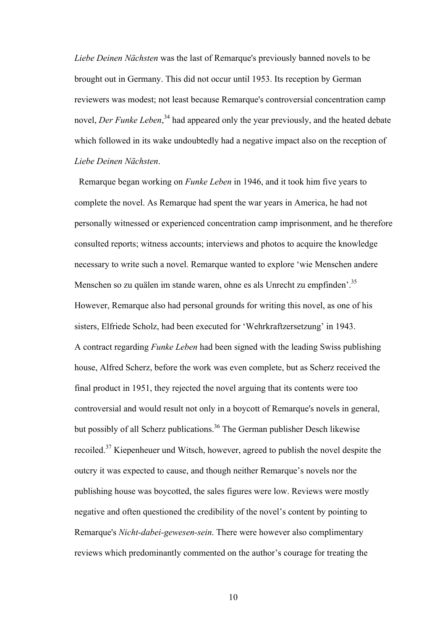*Liebe Deinen Nächsten* was the last of Remarque's previously banned novels to be brought out in Germany. This did not occur until 1953. Its reception by German reviewers was modest; not least because Remarque's controversial concentration camp novel, *Der Funke Leben*, 34 had appeared only the year previously, and the heated debate which followed in its wake undoubtedly had a negative impact also on the reception of *Liebe Deinen Nächsten*.

 Remarque began working on *Funke Leben* in 1946, and it took him five years to complete the novel. As Remarque had spent the war years in America, he had not personally witnessed or experienced concentration camp imprisonment, and he therefore consulted reports; witness accounts; interviews and photos to acquire the knowledge necessary to write such a novel. Remarque wanted to explore 'wie Menschen andere Menschen so zu quälen im stande waren, ohne es als Unrecht zu empfinden<sup>'. 35</sup> However, Remarque also had personal grounds for writing this novel, as one of his sisters, Elfriede Scholz, had been executed for 'Wehrkraftzersetzung' in 1943. A contract regarding *Funke Leben* had been signed with the leading Swiss publishing house, Alfred Scherz, before the work was even complete, but as Scherz received the final product in 1951, they rejected the novel arguing that its contents were too controversial and would result not only in a boycott of Remarque's novels in general, but possibly of all Scherz publications.<sup>36</sup> The German publisher Desch likewise recoiled.37 Kiepenheuer und Witsch, however, agreed to publish the novel despite the outcry it was expected to cause, and though neither Remarque's novels nor the publishing house was boycotted, the sales figures were low. Reviews were mostly negative and often questioned the credibility of the novel's content by pointing to Remarque's *Nicht-dabei-gewesen-sein*. There were however also complimentary reviews which predominantly commented on the author's courage for treating the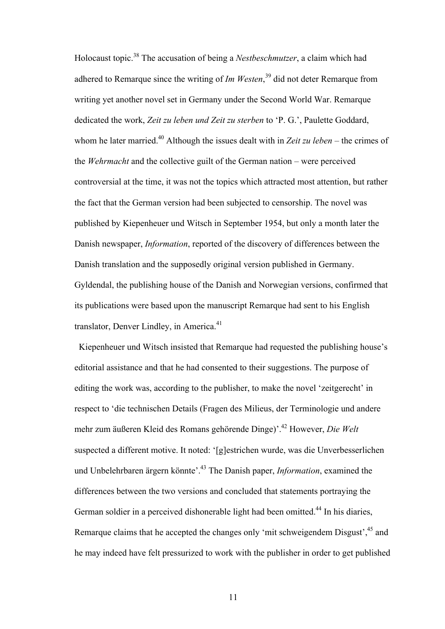Holocaust topic.38 The accusation of being a *Nestbeschmutzer*, a claim which had adhered to Remarque since the writing of *Im Westen*, 39 did not deter Remarque from writing yet another novel set in Germany under the Second World War. Remarque dedicated the work, *Zeit zu leben und Zeit zu sterben* to 'P. G.', Paulette Goddard, whom he later married.<sup>40</sup> Although the issues dealt with in *Zeit zu leben* – the crimes of the *Wehrmacht* and the collective guilt of the German nation – were perceived controversial at the time, it was not the topics which attracted most attention, but rather the fact that the German version had been subjected to censorship. The novel was published by Kiepenheuer und Witsch in September 1954, but only a month later the Danish newspaper, *Information*, reported of the discovery of differences between the Danish translation and the supposedly original version published in Germany. Gyldendal, the publishing house of the Danish and Norwegian versions, confirmed that its publications were based upon the manuscript Remarque had sent to his English translator, Denver Lindley, in America.<sup>41</sup>

 Kiepenheuer und Witsch insisted that Remarque had requested the publishing house's editorial assistance and that he had consented to their suggestions. The purpose of editing the work was, according to the publisher, to make the novel 'zeitgerecht' in respect to 'die technischen Details (Fragen des Milieus, der Terminologie und andere mehr zum äußeren Kleid des Romans gehörende Dinge)'.42 However, *Die Welt* suspected a different motive. It noted: '[g]estrichen wurde, was die Unverbesserlichen und Unbelehrbaren ärgern könnte'.43 The Danish paper, *Information*, examined the differences between the two versions and concluded that statements portraying the German soldier in a perceived dishonerable light had been omitted.<sup>44</sup> In his diaries, Remarque claims that he accepted the changes only 'mit schweigendem Disgust',<sup>45</sup> and he may indeed have felt pressurized to work with the publisher in order to get published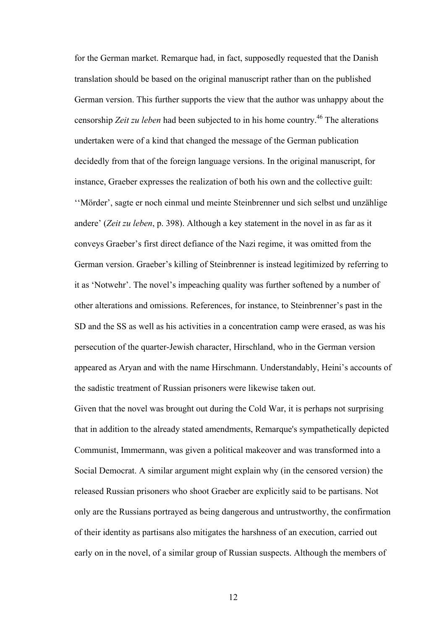for the German market. Remarque had, in fact, supposedly requested that the Danish translation should be based on the original manuscript rather than on the published German version. This further supports the view that the author was unhappy about the censorship *Zeit zu leben* had been subjected to in his home country.46 The alterations undertaken were of a kind that changed the message of the German publication decidedly from that of the foreign language versions. In the original manuscript, for instance, Graeber expresses the realization of both his own and the collective guilt: ''Mörder', sagte er noch einmal und meinte Steinbrenner und sich selbst und unzählige andere' (*Zeit zu leben*, p. 398). Although a key statement in the novel in as far as it conveys Graeber's first direct defiance of the Nazi regime, it was omitted from the German version. Graeber's killing of Steinbrenner is instead legitimized by referring to it as 'Notwehr'. The novel's impeaching quality was further softened by a number of other alterations and omissions. References, for instance, to Steinbrenner's past in the SD and the SS as well as his activities in a concentration camp were erased, as was his persecution of the quarter-Jewish character, Hirschland, who in the German version appeared as Aryan and with the name Hirschmann. Understandably, Heini's accounts of the sadistic treatment of Russian prisoners were likewise taken out.

Given that the novel was brought out during the Cold War, it is perhaps not surprising that in addition to the already stated amendments, Remarque's sympathetically depicted Communist, Immermann, was given a political makeover and was transformed into a Social Democrat. A similar argument might explain why (in the censored version) the released Russian prisoners who shoot Graeber are explicitly said to be partisans. Not only are the Russians portrayed as being dangerous and untrustworthy, the confirmation of their identity as partisans also mitigates the harshness of an execution, carried out early on in the novel, of a similar group of Russian suspects. Although the members of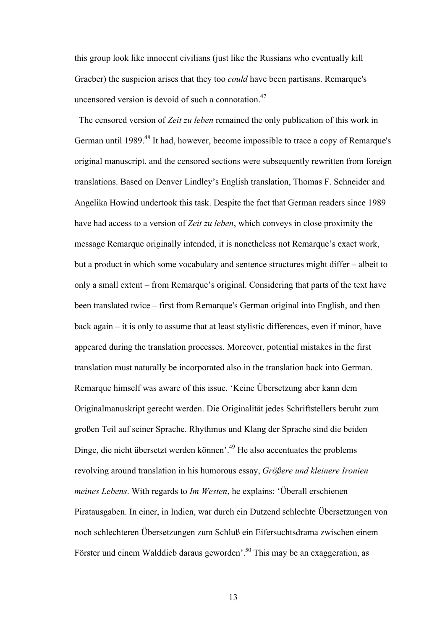this group look like innocent civilians (just like the Russians who eventually kill Graeber) the suspicion arises that they too *could* have been partisans. Remarque's uncensored version is devoid of such a connotation.<sup>47</sup>

 The censored version of *Zeit zu leben* remained the only publication of this work in German until 1989.<sup>48</sup> It had, however, become impossible to trace a copy of Remarque's original manuscript, and the censored sections were subsequently rewritten from foreign translations. Based on Denver Lindley's English translation, Thomas F. Schneider and Angelika Howind undertook this task. Despite the fact that German readers since 1989 have had access to a version of *Zeit zu leben*, which conveys in close proximity the message Remarque originally intended, it is nonetheless not Remarque's exact work, but a product in which some vocabulary and sentence structures might differ – albeit to only a small extent – from Remarque's original. Considering that parts of the text have been translated twice – first from Remarque's German original into English, and then back again – it is only to assume that at least stylistic differences, even if minor, have appeared during the translation processes. Moreover, potential mistakes in the first translation must naturally be incorporated also in the translation back into German. Remarque himself was aware of this issue. 'Keine Übersetzung aber kann dem Originalmanuskript gerecht werden. Die Originalität jedes Schriftstellers beruht zum großen Teil auf seiner Sprache. Rhythmus und Klang der Sprache sind die beiden Dinge, die nicht übersetzt werden können'.49 He also accentuates the problems revolving around translation in his humorous essay, *Größere und kleinere Ironien meines Lebens*. With regards to *Im Westen*, he explains: 'Überall erschienen Piratausgaben. In einer, in Indien, war durch ein Dutzend schlechte Übersetzungen von noch schlechteren Übersetzungen zum Schluß ein Eifersuchtsdrama zwischen einem Förster und einem Walddieb daraus geworden<sup>'. 50</sup> This may be an exaggeration, as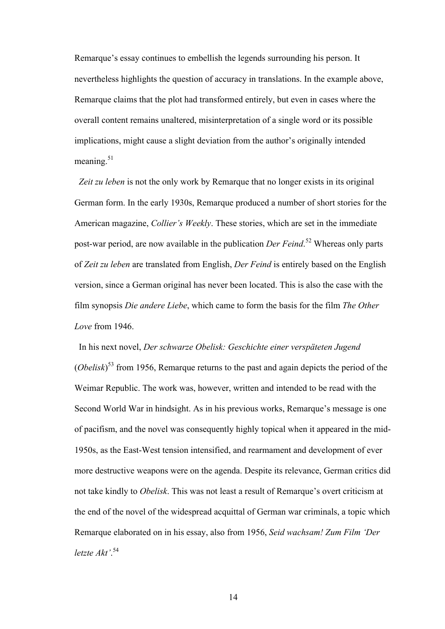Remarque's essay continues to embellish the legends surrounding his person. It nevertheless highlights the question of accuracy in translations. In the example above, Remarque claims that the plot had transformed entirely, but even in cases where the overall content remains unaltered, misinterpretation of a single word or its possible implications, might cause a slight deviation from the author's originally intended meaning  $51$ 

 *Zeit zu leben* is not the only work by Remarque that no longer exists in its original German form. In the early 1930s, Remarque produced a number of short stories for the American magazine, *Collier's Weekly*. These stories, which are set in the immediate post-war period, are now available in the publication *Der Feind*. 52 Whereas only parts of *Zeit zu leben* are translated from English, *Der Feind* is entirely based on the English version, since a German original has never been located. This is also the case with the film synopsis *Die andere Liebe*, which came to form the basis for the film *The Other Love* from 1946.

 In his next novel, *Der schwarze Obelisk: Geschichte einer verspäteten Jugend* (*Obelisk*) 53 from 1956, Remarque returns to the past and again depicts the period of the Weimar Republic. The work was, however, written and intended to be read with the Second World War in hindsight. As in his previous works, Remarque's message is one of pacifism, and the novel was consequently highly topical when it appeared in the mid-1950s, as the East-West tension intensified, and rearmament and development of ever more destructive weapons were on the agenda. Despite its relevance, German critics did not take kindly to *Obelisk*. This was not least a result of Remarque's overt criticism at the end of the novel of the widespread acquittal of German war criminals, a topic which Remarque elaborated on in his essay, also from 1956, *Seid wachsam! Zum Film 'Der letzte Akt'*. 54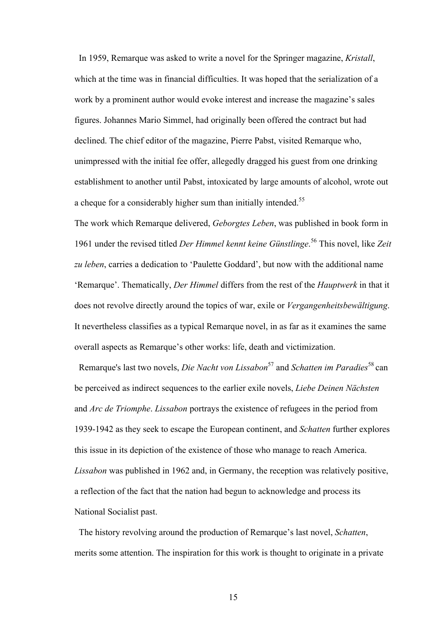In 1959, Remarque was asked to write a novel for the Springer magazine, *Kristall*, which at the time was in financial difficulties. It was hoped that the serialization of a work by a prominent author would evoke interest and increase the magazine's sales figures. Johannes Mario Simmel, had originally been offered the contract but had declined. The chief editor of the magazine, Pierre Pabst, visited Remarque who, unimpressed with the initial fee offer, allegedly dragged his guest from one drinking establishment to another until Pabst, intoxicated by large amounts of alcohol, wrote out a cheque for a considerably higher sum than initially intended.<sup>55</sup>

The work which Remarque delivered, *Geborgtes Leben*, was published in book form in 1961 under the revised titled *Der Himmel kennt keine Günstlinge*. 56 This novel, like *Zeit zu leben*, carries a dedication to 'Paulette Goddard', but now with the additional name 'Remarque'. Thematically, *Der Himmel* differs from the rest of the *Hauptwerk* in that it does not revolve directly around the topics of war, exile or *Vergangenheitsbewältigung*. It nevertheless classifies as a typical Remarque novel, in as far as it examines the same overall aspects as Remarque's other works: life, death and victimization.

 Remarque's last two novels, *Die Nacht von Lissabon*57 and *Schatten im Paradies*58 can be perceived as indirect sequences to the earlier exile novels, *Liebe Deinen Nächsten* and *Arc de Triomphe*. *Lissabon* portrays the existence of refugees in the period from 1939-1942 as they seek to escape the European continent, and *Schatten* further explores this issue in its depiction of the existence of those who manage to reach America. *Lissabon* was published in 1962 and, in Germany, the reception was relatively positive, a reflection of the fact that the nation had begun to acknowledge and process its National Socialist past.

 The history revolving around the production of Remarque's last novel, *Schatten*, merits some attention. The inspiration for this work is thought to originate in a private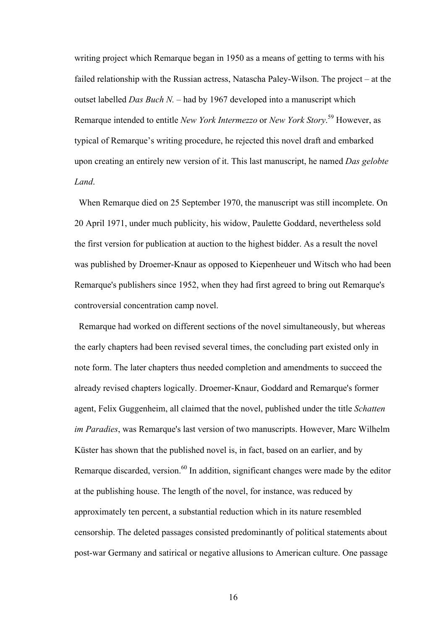writing project which Remarque began in 1950 as a means of getting to terms with his failed relationship with the Russian actress, Natascha Paley-Wilson. The project – at the outset labelled *Das Buch N.* – had by 1967 developed into a manuscript which Remarque intended to entitle *New York Intermezzo* or *New York Story*. 59 However, as typical of Remarque's writing procedure, he rejected this novel draft and embarked upon creating an entirely new version of it. This last manuscript, he named *Das gelobte Land*.

 When Remarque died on 25 September 1970, the manuscript was still incomplete. On 20 April 1971, under much publicity, his widow, Paulette Goddard, nevertheless sold the first version for publication at auction to the highest bidder. As a result the novel was published by Droemer-Knaur as opposed to Kiepenheuer und Witsch who had been Remarque's publishers since 1952, when they had first agreed to bring out Remarque's controversial concentration camp novel.

 Remarque had worked on different sections of the novel simultaneously, but whereas the early chapters had been revised several times, the concluding part existed only in note form. The later chapters thus needed completion and amendments to succeed the already revised chapters logically. Droemer-Knaur, Goddard and Remarque's former agent, Felix Guggenheim, all claimed that the novel, published under the title *Schatten im Paradies*, was Remarque's last version of two manuscripts. However, Marc Wilhelm Küster has shown that the published novel is, in fact, based on an earlier, and by Remarque discarded, version.<sup>60</sup> In addition, significant changes were made by the editor at the publishing house. The length of the novel, for instance, was reduced by approximately ten percent, a substantial reduction which in its nature resembled censorship. The deleted passages consisted predominantly of political statements about post-war Germany and satirical or negative allusions to American culture. One passage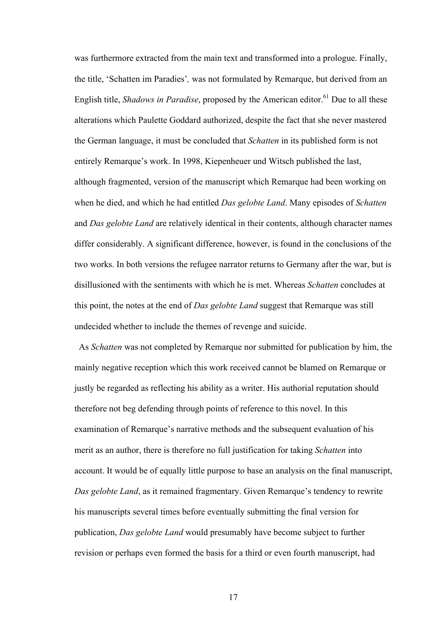was furthermore extracted from the main text and transformed into a prologue. Finally, the title, 'Schatten im Paradies'*,* was not formulated by Remarque, but derived from an English title, *Shadows in Paradise*, proposed by the American editor.<sup>61</sup> Due to all these alterations which Paulette Goddard authorized, despite the fact that she never mastered the German language, it must be concluded that *Schatten* in its published form is not entirely Remarque's work. In 1998, Kiepenheuer und Witsch published the last, although fragmented, version of the manuscript which Remarque had been working on when he died, and which he had entitled *Das gelobte Land*. Many episodes of *Schatten* and *Das gelobte Land* are relatively identical in their contents, although character names differ considerably. A significant difference, however, is found in the conclusions of the two works. In both versions the refugee narrator returns to Germany after the war, but is disillusioned with the sentiments with which he is met. Whereas *Schatten* concludes at this point, the notes at the end of *Das gelobte Land* suggest that Remarque was still undecided whether to include the themes of revenge and suicide.

 As *Schatten* was not completed by Remarque nor submitted for publication by him, the mainly negative reception which this work received cannot be blamed on Remarque or justly be regarded as reflecting his ability as a writer. His authorial reputation should therefore not beg defending through points of reference to this novel. In this examination of Remarque's narrative methods and the subsequent evaluation of his merit as an author, there is therefore no full justification for taking *Schatten* into account. It would be of equally little purpose to base an analysis on the final manuscript, *Das gelobte Land*, as it remained fragmentary. Given Remarque's tendency to rewrite his manuscripts several times before eventually submitting the final version for publication, *Das gelobte Land* would presumably have become subject to further revision or perhaps even formed the basis for a third or even fourth manuscript, had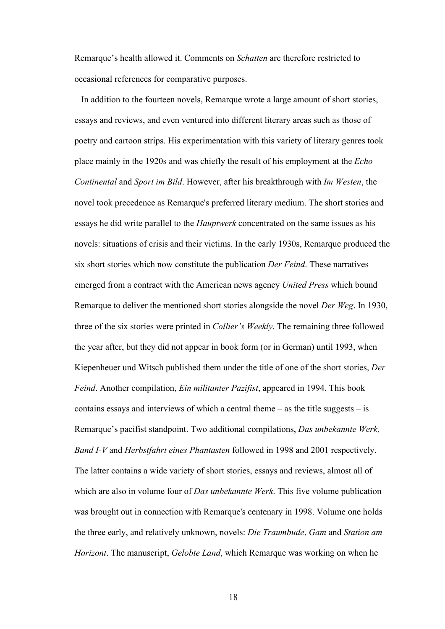Remarque's health allowed it. Comments on *Schatten* are therefore restricted to occasional references for comparative purposes.

 In addition to the fourteen novels, Remarque wrote a large amount of short stories, essays and reviews, and even ventured into different literary areas such as those of poetry and cartoon strips. His experimentation with this variety of literary genres took place mainly in the 1920s and was chiefly the result of his employment at the *Echo Continental* and *Sport im Bild*. However, after his breakthrough with *Im Westen*, the novel took precedence as Remarque's preferred literary medium. The short stories and essays he did write parallel to the *Hauptwerk* concentrated on the same issues as his novels: situations of crisis and their victims. In the early 1930s, Remarque produced the six short stories which now constitute the publication *Der Feind*. These narratives emerged from a contract with the American news agency *United Press* which bound Remarque to deliver the mentioned short stories alongside the novel *Der Weg*. In 1930, three of the six stories were printed in *Collier's Weekly*. The remaining three followed the year after, but they did not appear in book form (or in German) until 1993, when Kiepenheuer und Witsch published them under the title of one of the short stories, *Der Feind*. Another compilation, *Ein militanter Pazifist*, appeared in 1994. This book contains essays and interviews of which a central theme  $-$  as the title suggests  $-$  is Remarque's pacifist standpoint. Two additional compilations, *Das unbekannte Werk, Band I-V* and *Herbstfahrt eines Phantasten* followed in 1998 and 2001 respectively. The latter contains a wide variety of short stories, essays and reviews, almost all of which are also in volume four of *Das unbekannte Werk*. This five volume publication was brought out in connection with Remarque's centenary in 1998. Volume one holds the three early, and relatively unknown, novels: *Die Traumbude*, *Gam* and *Station am Horizont*. The manuscript, *Gelobte Land*, which Remarque was working on when he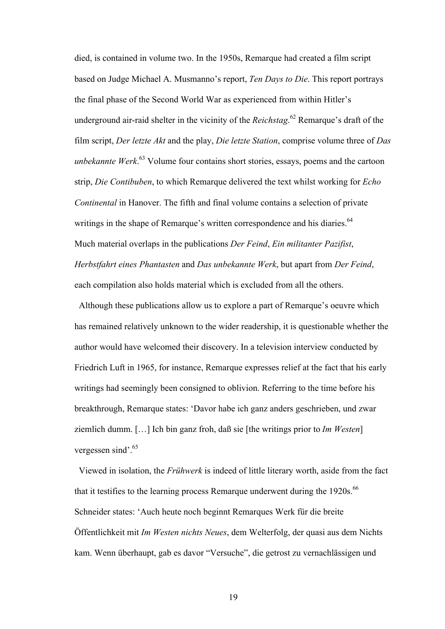died, is contained in volume two. In the 1950s, Remarque had created a film script based on Judge Michael A. Musmanno's report, *Ten Days to Die*. This report portrays the final phase of the Second World War as experienced from within Hitler's underground air-raid shelter in the vicinity of the *Reichstag*. 62 Remarque's draft of the film script, *Der letzte Akt* and the play, *Die letzte Station*, comprise volume three of *Das unbekannte Werk*. 63 Volume four contains short stories, essays, poems and the cartoon strip, *Die Contibuben*, to which Remarque delivered the text whilst working for *Echo Continental* in Hanover. The fifth and final volume contains a selection of private writings in the shape of Remarque's written correspondence and his diaries.<sup>64</sup> Much material overlaps in the publications *Der Feind*, *Ein militanter Pazifist*, *Herbstfahrt eines Phantasten* and *Das unbekannte Werk*, but apart from *Der Feind*, each compilation also holds material which is excluded from all the others.

Although these publications allow us to explore a part of Remarque's oeuvre which has remained relatively unknown to the wider readership, it is questionable whether the author would have welcomed their discovery. In a television interview conducted by Friedrich Luft in 1965, for instance, Remarque expresses relief at the fact that his early writings had seemingly been consigned to oblivion. Referring to the time before his breakthrough, Remarque states: 'Davor habe ich ganz anders geschrieben, und zwar ziemlich dumm. […] Ich bin ganz froh, daß sie [the writings prior to *Im Westen*] vergessen sind'.<sup>65</sup>

 Viewed in isolation, the *Frühwerk* is indeed of little literary worth, aside from the fact that it testifies to the learning process Remarque underwent during the 1920s.<sup>66</sup> Schneider states: 'Auch heute noch beginnt Remarques Werk für die breite Öffentlichkeit mit *Im Westen nichts Neues*, dem Welterfolg, der quasi aus dem Nichts kam. Wenn überhaupt, gab es davor "Versuche", die getrost zu vernachlässigen und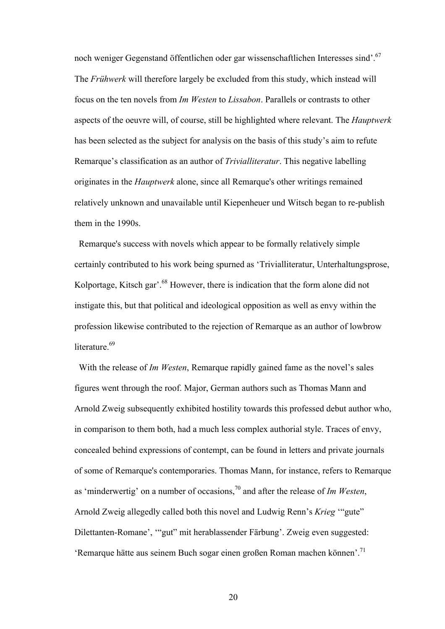noch weniger Gegenstand öffentlichen oder gar wissenschaftlichen Interesses sind'.<sup>67</sup> The *Frühwerk* will therefore largely be excluded from this study, which instead will focus on the ten novels from *Im Westen* to *Lissabon*. Parallels or contrasts to other aspects of the oeuvre will, of course, still be highlighted where relevant. The *Hauptwerk* has been selected as the subject for analysis on the basis of this study's aim to refute Remarque's classification as an author of *Trivialliteratur*. This negative labelling originates in the *Hauptwerk* alone, since all Remarque's other writings remained relatively unknown and unavailable until Kiepenheuer und Witsch began to re-publish them in the 1990s.

 Remarque's success with novels which appear to be formally relatively simple certainly contributed to his work being spurned as 'Trivialliteratur, Unterhaltungsprose, Kolportage, Kitsch gar'.<sup>68</sup> However, there is indication that the form alone did not instigate this, but that political and ideological opposition as well as envy within the profession likewise contributed to the rejection of Remarque as an author of lowbrow literature.<sup>69</sup>

 With the release of *Im Westen*, Remarque rapidly gained fame as the novel's sales figures went through the roof. Major, German authors such as Thomas Mann and Arnold Zweig subsequently exhibited hostility towards this professed debut author who, in comparison to them both, had a much less complex authorial style. Traces of envy, concealed behind expressions of contempt, can be found in letters and private journals of some of Remarque's contemporaries. Thomas Mann, for instance, refers to Remarque as 'minderwertig' on a number of occasions,70 and after the release of *Im Westen*, Arnold Zweig allegedly called both this novel and Ludwig Renn's *Krieg* '"gute" Dilettanten-Romane', '"gut" mit herablassender Färbung'. Zweig even suggested: 'Remarque hätte aus seinem Buch sogar einen großen Roman machen können'.71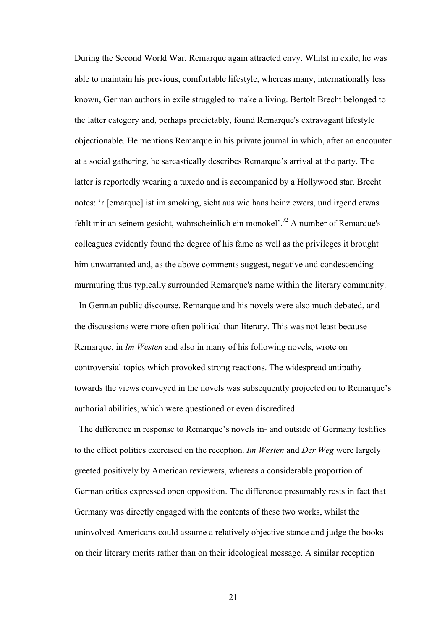During the Second World War, Remarque again attracted envy. Whilst in exile, he was able to maintain his previous, comfortable lifestyle, whereas many, internationally less known, German authors in exile struggled to make a living. Bertolt Brecht belonged to the latter category and, perhaps predictably, found Remarque's extravagant lifestyle objectionable. He mentions Remarque in his private journal in which, after an encounter at a social gathering, he sarcastically describes Remarque's arrival at the party. The latter is reportedly wearing a tuxedo and is accompanied by a Hollywood star. Brecht notes: 'r [emarque] ist im smoking, sieht aus wie hans heinz ewers, und irgend etwas fehlt mir an seinem gesicht, wahrscheinlich ein monokel'.72 A number of Remarque's colleagues evidently found the degree of his fame as well as the privileges it brought him unwarranted and, as the above comments suggest, negative and condescending murmuring thus typically surrounded Remarque's name within the literary community.

 In German public discourse, Remarque and his novels were also much debated, and the discussions were more often political than literary. This was not least because Remarque, in *Im Westen* and also in many of his following novels, wrote on controversial topics which provoked strong reactions. The widespread antipathy towards the views conveyed in the novels was subsequently projected on to Remarque's authorial abilities, which were questioned or even discredited.

 The difference in response to Remarque's novels in- and outside of Germany testifies to the effect politics exercised on the reception. *Im Westen* and *Der Weg* were largely greeted positively by American reviewers, whereas a considerable proportion of German critics expressed open opposition. The difference presumably rests in fact that Germany was directly engaged with the contents of these two works, whilst the uninvolved Americans could assume a relatively objective stance and judge the books on their literary merits rather than on their ideological message. A similar reception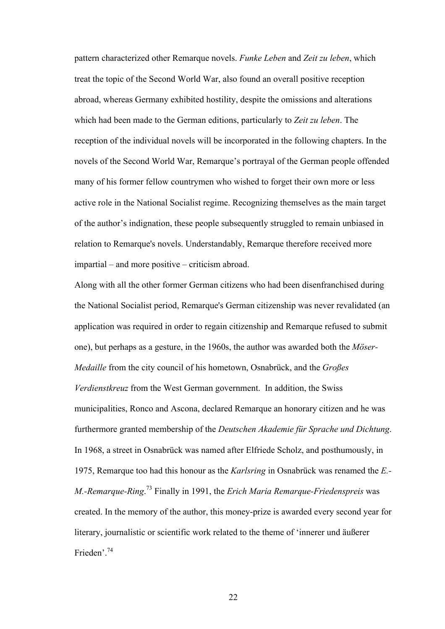pattern characterized other Remarque novels. *Funke Leben* and *Zeit zu leben*, which treat the topic of the Second World War, also found an overall positive reception abroad, whereas Germany exhibited hostility, despite the omissions and alterations which had been made to the German editions, particularly to *Zeit zu leben*. The reception of the individual novels will be incorporated in the following chapters. In the novels of the Second World War, Remarque's portrayal of the German people offended many of his former fellow countrymen who wished to forget their own more or less active role in the National Socialist regime. Recognizing themselves as the main target of the author's indignation, these people subsequently struggled to remain unbiased in relation to Remarque's novels. Understandably, Remarque therefore received more impartial – and more positive – criticism abroad.

Along with all the other former German citizens who had been disenfranchised during the National Socialist period, Remarque's German citizenship was never revalidated (an application was required in order to regain citizenship and Remarque refused to submit one), but perhaps as a gesture, in the 1960s, the author was awarded both the *Möser-Medaille* from the city council of his hometown, Osnabrück, and the *Großes Verdienstkreuz* from the West German government. In addition, the Swiss municipalities, Ronco and Ascona, declared Remarque an honorary citizen and he was furthermore granted membership of the *Deutschen Akademie für Sprache und Dichtung*. In 1968, a street in Osnabrück was named after Elfriede Scholz, and posthumously, in 1975, Remarque too had this honour as the *Karlsring* in Osnabrück was renamed the *E.- M.-Remarque-Ring*. 73 Finally in 1991, the *Erich Maria Remarque-Friedenspreis* was created. In the memory of the author, this money-prize is awarded every second year for literary, journalistic or scientific work related to the theme of 'innerer und äußerer Frieden'.74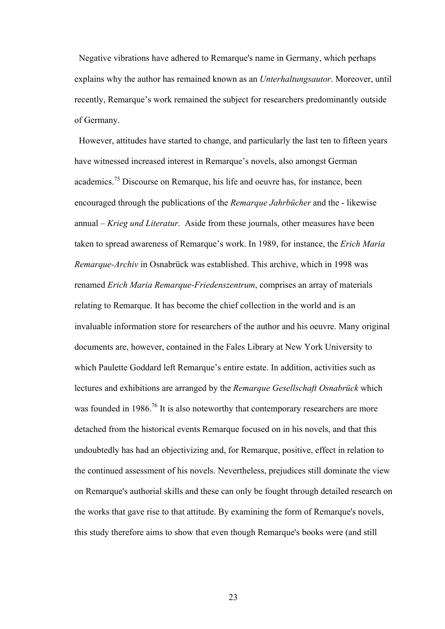Negative vibrations have adhered to Remarque's name in Germany, which perhaps explains why the author has remained known as an *Unterhaltungsautor*. Moreover, until recently, Remarque's work remained the subject for researchers predominantly outside of Germany.

 However, attitudes have started to change, and particularly the last ten to fifteen years have witnessed increased interest in Remarque's novels, also amongst German academics.<sup>75</sup> Discourse on Remarque, his life and oeuvre has, for instance, been encouraged through the publications of the *Remarque Jahrbücher* and the - likewise annual – *Krieg und Literatur*. Aside from these journals, other measures have been taken to spread awareness of Remarque's work. In 1989, for instance, the *Erich Maria Remarque-Archiv* in Osnabrück was established. This archive, which in 1998 was renamed *Erich Maria Remarque-Friedenszentrum*, comprises an array of materials relating to Remarque. It has become the chief collection in the world and is an invaluable information store for researchers of the author and his oeuvre. Many original documents are, however, contained in the Fales Library at New York University to which Paulette Goddard left Remarque's entire estate. In addition, activities such as lectures and exhibitions are arranged by the *Remarque Gesellschaft Osnabrück* which was founded in 1986.<sup>76</sup> It is also noteworthy that contemporary researchers are more detached from the historical events Remarque focused on in his novels, and that this undoubtedly has had an objectivizing and, for Remarque, positive, effect in relation to the continued assessment of his novels. Nevertheless, prejudices still dominate the view on Remarque's authorial skills and these can only be fought through detailed research on the works that gave rise to that attitude. By examining the form of Remarque's novels, this study therefore aims to show that even though Remarque's books were (and still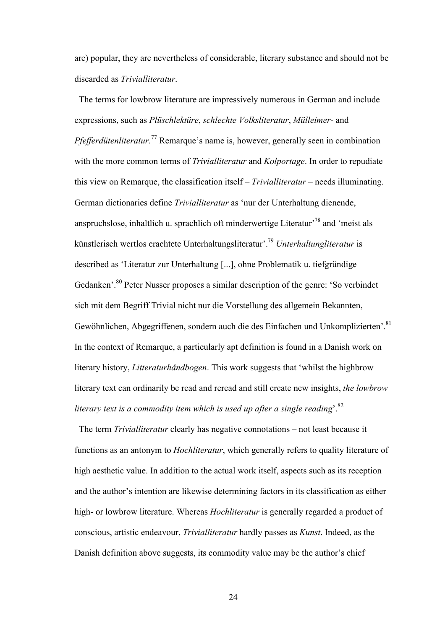are) popular, they are nevertheless of considerable, literary substance and should not be discarded as *Trivialliteratur*.

 The terms for lowbrow literature are impressively numerous in German and include expressions, such as *Plüschlektüre*, *schlechte Volksliteratur*, *Mülleimer*- and *Pfefferdütenliteratur*. 77 Remarque's name is, however, generally seen in combination with the more common terms of *Trivialliteratur* and *Kolportage*. In order to repudiate this view on Remarque, the classification itself – *Trivialliteratur* – needs illuminating. German dictionaries define *Trivialliteratur* as 'nur der Unterhaltung dienende, anspruchslose, inhaltlich u. sprachlich oft minderwertige Literatur'78 and 'meist als künstlerisch wertlos erachtete Unterhaltungsliteratur'.79 *Unterhaltungliteratur* is described as 'Literatur zur Unterhaltung [...], ohne Problematik u. tiefgründige Gedanken'.80 Peter Nusser proposes a similar description of the genre: 'So verbindet sich mit dem Begriff Trivial nicht nur die Vorstellung des allgemein Bekannten, Gewöhnlichen, Abgegriffenen, sondern auch die des Einfachen und Unkomplizierten'.<sup>81</sup> In the context of Remarque, a particularly apt definition is found in a Danish work on literary history, *Litteraturhåndbogen*. This work suggests that 'whilst the highbrow literary text can ordinarily be read and reread and still create new insights, *the lowbrow literary text is a commodity item which is used up after a single reading*'.82

 The term *Trivialliteratur* clearly has negative connotations – not least because it functions as an antonym to *Hochliteratur*, which generally refers to quality literature of high aesthetic value. In addition to the actual work itself, aspects such as its reception and the author's intention are likewise determining factors in its classification as either high- or lowbrow literature. Whereas *Hochliteratur* is generally regarded a product of conscious, artistic endeavour, *Trivialliteratur* hardly passes as *Kunst*. Indeed, as the Danish definition above suggests, its commodity value may be the author's chief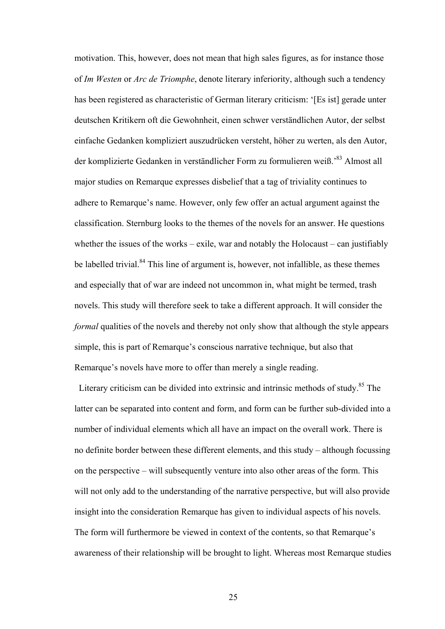motivation. This, however, does not mean that high sales figures, as for instance those of *Im Westen* or *Arc de Triomphe*, denote literary inferiority, although such a tendency has been registered as characteristic of German literary criticism: '[Es ist] gerade unter deutschen Kritikern oft die Gewohnheit, einen schwer verständlichen Autor, der selbst einfache Gedanken kompliziert auszudrücken versteht, höher zu werten, als den Autor, der komplizierte Gedanken in verständlicher Form zu formulieren weiß.'83 Almost all major studies on Remarque expresses disbelief that a tag of triviality continues to adhere to Remarque's name. However, only few offer an actual argument against the classification. Sternburg looks to the themes of the novels for an answer. He questions whether the issues of the works – exile, war and notably the Holocaust – can justifiably be labelled trivial.<sup>84</sup> This line of argument is, however, not infallible, as these themes and especially that of war are indeed not uncommon in, what might be termed, trash novels. This study will therefore seek to take a different approach. It will consider the *formal* qualities of the novels and thereby not only show that although the style appears simple, this is part of Remarque's conscious narrative technique, but also that Remarque's novels have more to offer than merely a single reading.

Literary criticism can be divided into extrinsic and intrinsic methods of study.<sup>85</sup> The latter can be separated into content and form, and form can be further sub-divided into a number of individual elements which all have an impact on the overall work. There is no definite border between these different elements, and this study – although focussing on the perspective – will subsequently venture into also other areas of the form. This will not only add to the understanding of the narrative perspective, but will also provide insight into the consideration Remarque has given to individual aspects of his novels. The form will furthermore be viewed in context of the contents, so that Remarque's awareness of their relationship will be brought to light. Whereas most Remarque studies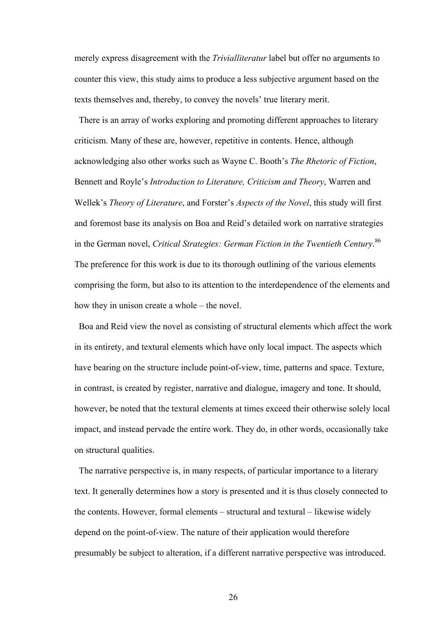merely express disagreement with the *Trivialliteratur* label but offer no arguments to counter this view, this study aims to produce a less subjective argument based on the texts themselves and, thereby, to convey the novels' true literary merit.

 There is an array of works exploring and promoting different approaches to literary criticism. Many of these are, however, repetitive in contents. Hence, although acknowledging also other works such as Wayne C. Booth's *The Rhetoric of Fiction*, Bennett and Royle's *Introduction to Literature, Criticism and Theory*, Warren and Wellek's *Theory of Literature*, and Forster's *Aspects of the Novel*, this study will first and foremost base its analysis on Boa and Reid's detailed work on narrative strategies in the German novel, *Critical Strategies: German Fiction in the Twentieth Century*. 86 The preference for this work is due to its thorough outlining of the various elements comprising the form, but also to its attention to the interdependence of the elements and how they in unison create a whole – the novel.

 Boa and Reid view the novel as consisting of structural elements which affect the work in its entirety, and textural elements which have only local impact. The aspects which have bearing on the structure include point-of-view, time, patterns and space. Texture, in contrast, is created by register, narrative and dialogue, imagery and tone. It should, however, be noted that the textural elements at times exceed their otherwise solely local impact, and instead pervade the entire work. They do, in other words, occasionally take on structural qualities.

 The narrative perspective is, in many respects, of particular importance to a literary text. It generally determines how a story is presented and it is thus closely connected to the contents. However, formal elements – structural and textural – likewise widely depend on the point-of-view. The nature of their application would therefore presumably be subject to alteration, if a different narrative perspective was introduced.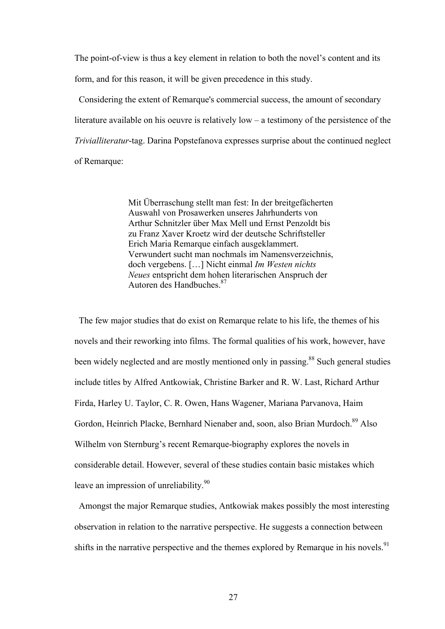The point-of-view is thus a key element in relation to both the novel's content and its form, and for this reason, it will be given precedence in this study.

 Considering the extent of Remarque's commercial success, the amount of secondary literature available on his oeuvre is relatively low – a testimony of the persistence of the *Trivialliteratur*-tag. Darina Popstefanova expresses surprise about the continued neglect of Remarque:

> Mit Überraschung stellt man fest: In der breitgefächerten Auswahl von Prosawerken unseres Jahrhunderts von Arthur Schnitzler über Max Mell und Ernst Penzoldt bis zu Franz Xaver Kroetz wird der deutsche Schriftsteller Erich Maria Remarque einfach ausgeklammert. Verwundert sucht man nochmals im Namensverzeichnis, doch vergebens. […] Nicht einmal *Im Westen nichts Neues* entspricht dem hohen literarischen Anspruch der Autoren des Handbuches.87

 The few major studies that do exist on Remarque relate to his life, the themes of his novels and their reworking into films. The formal qualities of his work, however, have been widely neglected and are mostly mentioned only in passing.<sup>88</sup> Such general studies include titles by Alfred Antkowiak, Christine Barker and R. W. Last, Richard Arthur Firda, Harley U. Taylor, C. R. Owen, Hans Wagener, Mariana Parvanova, Haim Gordon, Heinrich Placke, Bernhard Nienaber and, soon, also Brian Murdoch.<sup>89</sup> Also Wilhelm von Sternburg's recent Remarque-biography explores the novels in considerable detail. However, several of these studies contain basic mistakes which leave an impression of unreliability. $90$ 

 Amongst the major Remarque studies, Antkowiak makes possibly the most interesting observation in relation to the narrative perspective. He suggests a connection between shifts in the narrative perspective and the themes explored by Remarque in his novels.<sup>91</sup>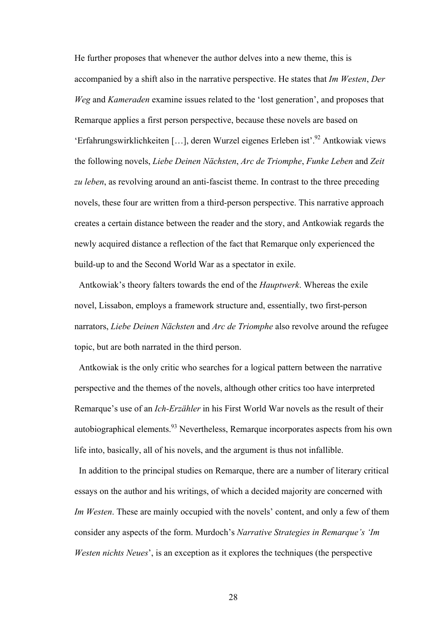He further proposes that whenever the author delves into a new theme, this is accompanied by a shift also in the narrative perspective. He states that *Im Westen*, *Der Weg* and *Kameraden* examine issues related to the 'lost generation', and proposes that Remarque applies a first person perspective, because these novels are based on 'Erfahrungswirklichkeiten […], deren Wurzel eigenes Erleben ist'.92 Antkowiak views the following novels, *Liebe Deinen Nächsten*, *Arc de Triomphe*, *Funke Leben* and *Zeit zu leben*, as revolving around an anti-fascist theme. In contrast to the three preceding novels, these four are written from a third-person perspective. This narrative approach creates a certain distance between the reader and the story, and Antkowiak regards the newly acquired distance a reflection of the fact that Remarque only experienced the build-up to and the Second World War as a spectator in exile.

 Antkowiak's theory falters towards the end of the *Hauptwerk*. Whereas the exile novel, Lissabon, employs a framework structure and, essentially, two first-person narrators, *Liebe Deinen Nächsten* and *Arc de Triomphe* also revolve around the refugee topic, but are both narrated in the third person.

 Antkowiak is the only critic who searches for a logical pattern between the narrative perspective and the themes of the novels, although other critics too have interpreted Remarque's use of an *Ich-Erzähler* in his First World War novels as the result of their autobiographical elements.<sup>93</sup> Nevertheless, Remarque incorporates aspects from his own life into, basically, all of his novels, and the argument is thus not infallible.

 In addition to the principal studies on Remarque, there are a number of literary critical essays on the author and his writings, of which a decided majority are concerned with *Im Westen*. These are mainly occupied with the novels' content, and only a few of them consider any aspects of the form. Murdoch's *Narrative Strategies in Remarque's 'Im Westen nichts Neues*', is an exception as it explores the techniques (the perspective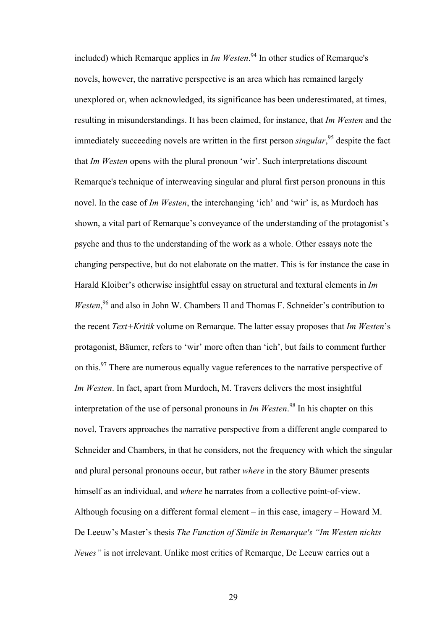included) which Remarque applies in *Im Westen*. 94 In other studies of Remarque's novels, however, the narrative perspective is an area which has remained largely unexplored or, when acknowledged, its significance has been underestimated, at times, resulting in misunderstandings. It has been claimed, for instance, that *Im Westen* and the immediately succeeding novels are written in the first person *singular*, 95 despite the fact that *Im Westen* opens with the plural pronoun 'wir'. Such interpretations discount Remarque's technique of interweaving singular and plural first person pronouns in this novel. In the case of *Im Westen*, the interchanging 'ich' and 'wir' is, as Murdoch has shown, a vital part of Remarque's conveyance of the understanding of the protagonist's psyche and thus to the understanding of the work as a whole. Other essays note the changing perspective, but do not elaborate on the matter. This is for instance the case in Harald Kloiber's otherwise insightful essay on structural and textural elements in *Im* Westen,<sup>96</sup> and also in John W. Chambers II and Thomas F. Schneider's contribution to the recent *Text+Kritik* volume on Remarque. The latter essay proposes that *Im Westen*'s protagonist, Bäumer, refers to 'wir' more often than 'ich', but fails to comment further on this.<sup>97</sup> There are numerous equally vague references to the narrative perspective of *Im Westen*. In fact, apart from Murdoch, M. Travers delivers the most insightful interpretation of the use of personal pronouns in *Im Westen*. 98 In his chapter on this novel, Travers approaches the narrative perspective from a different angle compared to Schneider and Chambers, in that he considers, not the frequency with which the singular and plural personal pronouns occur, but rather *where* in the story Bäumer presents himself as an individual, and *where* he narrates from a collective point-of-view. Although focusing on a different formal element – in this case, imagery – Howard M. De Leeuw's Master's thesis *The Function of Simile in Remarque's "Im Westen nichts Neues"* is not irrelevant. Unlike most critics of Remarque, De Leeuw carries out a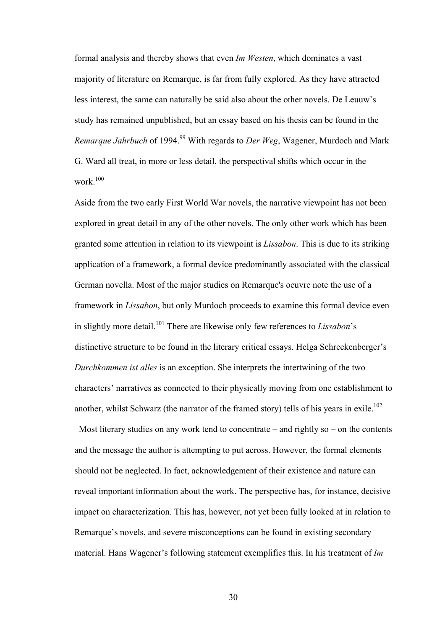formal analysis and thereby shows that even *Im Westen*, which dominates a vast majority of literature on Remarque, is far from fully explored. As they have attracted less interest, the same can naturally be said also about the other novels. De Leuuw's study has remained unpublished, but an essay based on his thesis can be found in the *Remarque Jahrbuch* of 1994.<sup>99</sup> With regards to *Der Weg*, Wagener, Murdoch and Mark G. Ward all treat, in more or less detail, the perspectival shifts which occur in the work.<sup>100</sup>

Aside from the two early First World War novels, the narrative viewpoint has not been explored in great detail in any of the other novels. The only other work which has been granted some attention in relation to its viewpoint is *Lissabon*. This is due to its striking application of a framework, a formal device predominantly associated with the classical German novella. Most of the major studies on Remarque's oeuvre note the use of a framework in *Lissabon*, but only Murdoch proceeds to examine this formal device even in slightly more detail.101 There are likewise only few references to *Lissabon*'s distinctive structure to be found in the literary critical essays. Helga Schreckenberger's *Durchkommen ist alles* is an exception. She interprets the intertwining of the two characters' narratives as connected to their physically moving from one establishment to another, whilst Schwarz (the narrator of the framed story) tells of his years in exile.<sup>102</sup>

Most literary studies on any work tend to concentrate – and rightly so – on the contents and the message the author is attempting to put across. However, the formal elements should not be neglected. In fact, acknowledgement of their existence and nature can reveal important information about the work. The perspective has, for instance, decisive impact on characterization. This has, however, not yet been fully looked at in relation to Remarque's novels, and severe misconceptions can be found in existing secondary material. Hans Wagener's following statement exemplifies this. In his treatment of *Im*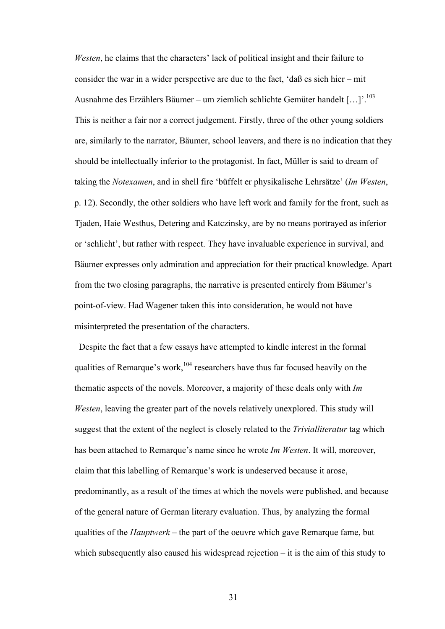*Westen*, he claims that the characters' lack of political insight and their failure to consider the war in a wider perspective are due to the fact, 'daß es sich hier – mit Ausnahme des Erzählers Bäumer – um ziemlich schlichte Gemüter handelt […]'.103 This is neither a fair nor a correct judgement. Firstly, three of the other young soldiers are, similarly to the narrator, Bäumer, school leavers, and there is no indication that they should be intellectually inferior to the protagonist. In fact, Müller is said to dream of taking the *Notexamen*, and in shell fire 'büffelt er physikalische Lehrsätze' (*Im Westen*, p. 12). Secondly, the other soldiers who have left work and family for the front, such as Tjaden, Haie Westhus, Detering and Katczinsky, are by no means portrayed as inferior or 'schlicht', but rather with respect. They have invaluable experience in survival, and Bäumer expresses only admiration and appreciation for their practical knowledge. Apart from the two closing paragraphs, the narrative is presented entirely from Bäumer's point-of-view. Had Wagener taken this into consideration, he would not have misinterpreted the presentation of the characters.

Despite the fact that a few essays have attempted to kindle interest in the formal qualities of Remarque's work,  $104$  researchers have thus far focused heavily on the thematic aspects of the novels. Moreover, a majority of these deals only with *Im Westen*, leaving the greater part of the novels relatively unexplored. This study will suggest that the extent of the neglect is closely related to the *Trivialliteratur* tag which has been attached to Remarque's name since he wrote *Im Westen*. It will, moreover, claim that this labelling of Remarque's work is undeserved because it arose, predominantly, as a result of the times at which the novels were published, and because of the general nature of German literary evaluation. Thus, by analyzing the formal qualities of the *Hauptwerk* – the part of the oeuvre which gave Remarque fame, but which subsequently also caused his widespread rejection – it is the aim of this study to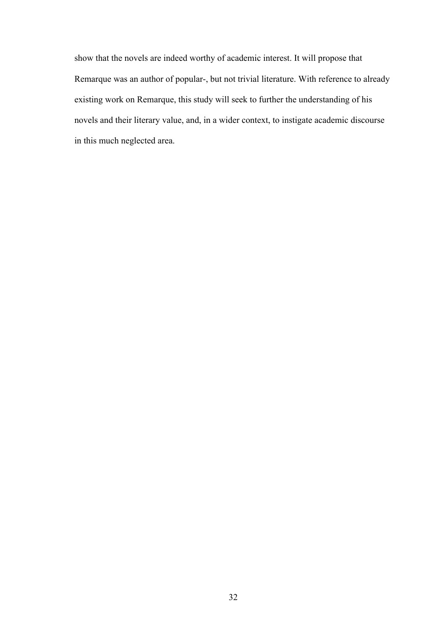show that the novels are indeed worthy of academic interest. It will propose that Remarque was an author of popular-, but not trivial literature. With reference to already existing work on Remarque, this study will seek to further the understanding of his novels and their literary value, and, in a wider context, to instigate academic discourse in this much neglected area.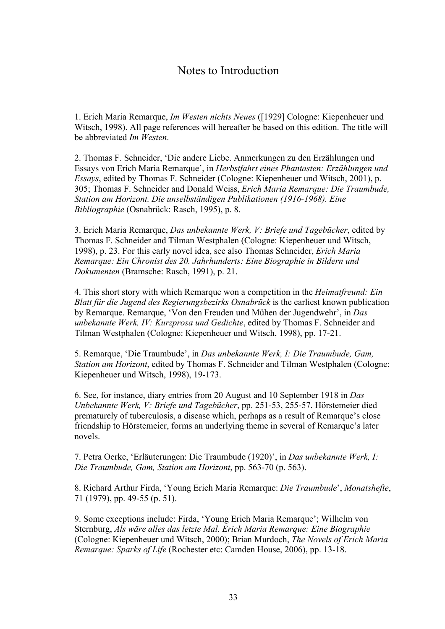## Notes to Introduction

1. Erich Maria Remarque, *Im Westen nichts Neues* ([1929] Cologne: Kiepenheuer und Witsch, 1998). All page references will hereafter be based on this edition. The title will be abbreviated *Im Westen*.

2. Thomas F. Schneider, 'Die andere Liebe. Anmerkungen zu den Erzählungen und Essays von Erich Maria Remarque', in *Herbstfahrt eines Phantasten: Erzählungen und Essays*, edited by Thomas F. Schneider (Cologne: Kiepenheuer und Witsch, 2001), p. 305; Thomas F. Schneider and Donald Weiss, *Erich Maria Remarque: Die Traumbude, Station am Horizont. Die unselbständigen Publikationen (1916-1968). Eine Bibliographie* (Osnabrück: Rasch, 1995), p. 8.

3. Erich Maria Remarque, *Das unbekannte Werk, V: Briefe und Tagebücher*, edited by Thomas F. Schneider and Tilman Westphalen (Cologne: Kiepenheuer und Witsch, 1998), p. 23. For this early novel idea, see also Thomas Schneider, *Erich Maria Remarque: Ein Chronist des 20. Jahrhunderts: Eine Biographie in Bildern und Dokumenten* (Bramsche: Rasch, 1991), p. 21.

4. This short story with which Remarque won a competition in the *Heimatfreund: Ein Blatt für die Jugend des Regierungsbezirks Osnabrück* is the earliest known publication by Remarque. Remarque, 'Von den Freuden und Mühen der Jugendwehr', in *Das unbekannte Werk, IV: Kurzprosa und Gedichte*, edited by Thomas F. Schneider and Tilman Westphalen (Cologne: Kiepenheuer und Witsch, 1998), pp. 17-21.

5. Remarque, 'Die Traumbude', in *Das unbekannte Werk, I: Die Traumbude, Gam, Station am Horizont*, edited by Thomas F. Schneider and Tilman Westphalen (Cologne: Kiepenheuer und Witsch, 1998), 19-173.

6. See, for instance, diary entries from 20 August and 10 September 1918 in *Das Unbekannte Werk, V: Briefe und Tagebücher*, pp. 251-53, 255-57. Hörstemeier died prematurely of tuberculosis, a disease which, perhaps as a result of Remarque's close friendship to Hörstemeier, forms an underlying theme in several of Remarque's later novels.

7. Petra Oerke, 'Erläuterungen: Die Traumbude (1920)', in *Das unbekannte Werk, I: Die Traumbude, Gam, Station am Horizont*, pp. 563-70 (p. 563).

8. Richard Arthur Firda, 'Young Erich Maria Remarque: *Die Traumbude*', *Monatshefte*, 71 (1979), pp. 49-55 (p. 51).

9. Some exceptions include: Firda, 'Young Erich Maria Remarque'; Wilhelm von Sternburg, *Als wäre alles das letzte Mal. Erich Maria Remarque: Eine Biographie* (Cologne: Kiepenheuer und Witsch, 2000); Brian Murdoch, *The Novels of Erich Maria Remarque: Sparks of Life* (Rochester etc: Camden House, 2006), pp. 13-18.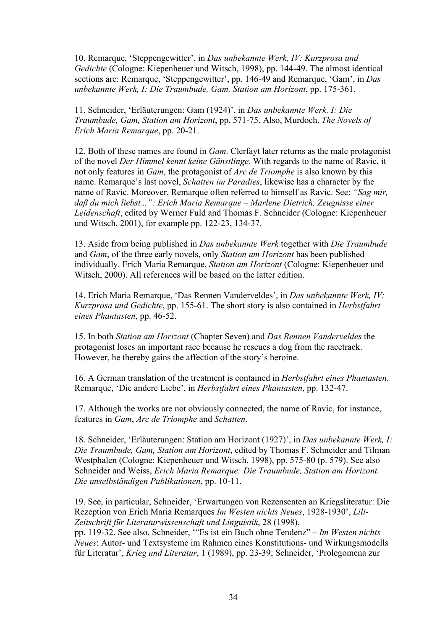10. Remarque, 'Steppengewitter', in *Das unbekannte Werk, IV: Kurzprosa und Gedichte* (Cologne: Kiepenheuer und Witsch, 1998), pp. 144-49. The almost identical sections are: Remarque, 'Steppengewitter', pp. 146-49 and Remarque, 'Gam', in *Das unbekannte Werk, I: Die Traumbude, Gam, Station am Horizont*, pp. 175-361.

11. Schneider, 'Erläuterungen: Gam (1924)', in *Das unbekannte Werk, I: Die Traumbude, Gam, Station am Horizont*, pp. 571-75. Also, Murdoch, *The Novels of Erich Maria Remarque*, pp. 20-21.

12. Both of these names are found in *Gam*. Clerfayt later returns as the male protagonist of the novel *Der Himmel kennt keine Günstlinge*. With regards to the name of Ravic, it not only features in *Gam*, the protagonist of *Arc de Triomphe* is also known by this name. Remarque's last novel, *Schatten im Paradies*, likewise has a character by the name of Ravic. Moreover, Remarque often referred to himself as Ravic. See: *"Sag mir, daß du mich liebst...": Erich Maria Remarque – Marlene Dietrich, Zeugnisse einer Leidenschaft*, edited by Werner Fuld and Thomas F. Schneider (Cologne: Kiepenheuer und Witsch, 2001), for example pp. 122-23, 134-37.

13. Aside from being published in *Das unbekannte Werk* together with *Die Traumbude* and *Gam*, of the three early novels, only *Station am Horizont* has been published individually. Erich Maria Remarque, *Station am Horizont* (Cologne: Kiepenheuer und Witsch, 2000). All references will be based on the latter edition.

14. Erich Maria Remarque, 'Das Rennen Vanderveldes', in *Das unbekannte Werk, IV: Kurzprosa und Gedichte*, pp. 155-61. The short story is also contained in *Herbstfahrt eines Phantasten*, pp. 46-52.

15. In both *Station am Horizont* (Chapter Seven) and *Das Rennen Vanderveldes* the protagonist loses an important race because he rescues a dog from the racetrack. However, he thereby gains the affection of the story's heroine.

16. A German translation of the treatment is contained in *Herbstfahrt eines Phantasten*. Remarque, 'Die andere Liebe', in *Herbstfahrt eines Phantasten*, pp. 132-47.

17. Although the works are not obviously connected, the name of Ravic, for instance, features in *Gam*, *Arc de Triomphe* and *Schatten*.

18. Schneider, 'Erläuterungen: Station am Horizont (1927)', in *Das unbekannte Werk, I: Die Traumbude, Gam, Station am Horizont*, edited by Thomas F. Schneider and Tilman Westphalen (Cologne: Kiepenheuer und Witsch, 1998), pp. 575-80 (p. 579). See also Schneider and Weiss, *Erich Maria Remarque: Die Traumbude, Station am Horizont. Die unselbständigen Publikationen*, pp. 10-11.

19. See, in particular, Schneider, 'Erwartungen von Rezensenten an Kriegsliteratur: Die Rezeption von Erich Maria Remarques *Im Westen nichts Neues*, 1928-1930', *Lili-Zeitschrift für Literaturwissenschaft und Linguistik*, 28 (1998), pp. 119-32. See also, Schneider, '"Es ist ein Buch ohne Tendenz" – *Im Westen nichts Neues*: Autor- und Textsysteme im Rahmen eines Konstitutions- und Wirkungsmodells für Literatur', *Krieg und Literatur*, 1 (1989), pp. 23-39; Schneider, 'Prolegomena zur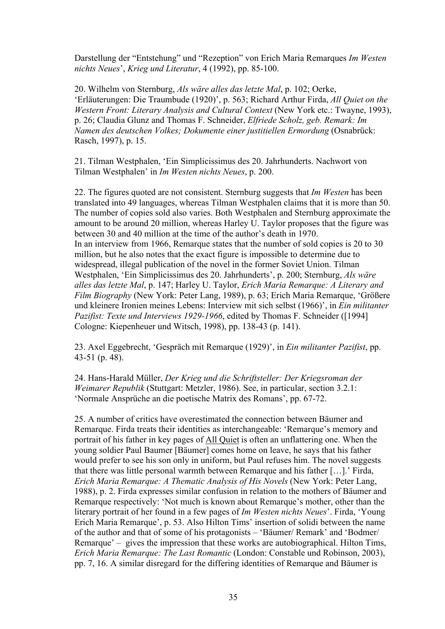Darstellung der "Entstehung" und "Rezeption" von Erich Maria Remarques *Im Westen nichts Neues*', *Krieg und Literatur*, 4 (1992), pp. 85-100.

20. Wilhelm von Sternburg, *Als wäre alles das letzte Mal*, p. 102; Oerke, 'Erläuterungen: Die Traumbude (1920)', p. 563; Richard Arthur Firda, *All Quiet on the Western Front: Literary Analysis and Cultural Context* (New York etc.: Twayne, 1993), p. 26; Claudia Glunz and Thomas F. Schneider, *Elfriede Scholz, geb. Remark: Im Namen des deutschen Volkes; Dokumente einer justitiellen Ermordung* (Osnabrück: Rasch, 1997), p. 15.

21. Tilman Westphalen, 'Ein Simplicissimus des 20. Jahrhunderts. Nachwort von Tilman Westphalen' in *Im Westen nichts Neues*, p. 200.

22. The figures quoted are not consistent. Sternburg suggests that *Im Westen* has been translated into 49 languages, whereas Tilman Westphalen claims that it is more than 50. The number of copies sold also varies. Both Westphalen and Sternburg approximate the amount to be around 20 million, whereas Harley U. Taylor proposes that the figure was between 30 and 40 million at the time of the author's death in 1970. In an interview from 1966, Remarque states that the number of sold copies is 20 to 30 million, but he also notes that the exact figure is impossible to determine due to widespread, illegal publication of the novel in the former Soviet Union. Tilman Westphalen, 'Ein Simplicissimus des 20. Jahrhunderts', p. 200; Sternburg, *Als wäre alles das letzte Mal*, p. 147; Harley U. Taylor, *Erich Maria Remarque: A Literary and Film Biography* (New York: Peter Lang, 1989), p. 63; Erich Maria Remarque, 'Größere und kleinere Ironien meines Lebens: Interview mit sich selbst (1966)', in *Ein militanter Pazifist: Texte und Interviews 1929-1966*, edited by Thomas F. Schneider ([1994] Cologne: Kiepenheuer und Witsch, 1998), pp. 138-43 (p. 141).

23. Axel Eggebrecht, 'Gespräch mit Remarque (1929)', in *Ein militanter Pazifist*, pp. 43-51 (p. 48).

24. Hans-Harald Müller, *Der Krieg und die Schriftsteller: Der Kriegsroman der Weimarer Republik* (Stuttgart: Metzler, 1986). See, in particular, section 3.2.1: 'Normale Ansprüche an die poetische Matrix des Romans', pp. 67-72.

25. A number of critics have overestimated the connection between Bäumer and Remarque. Firda treats their identities as interchangeable: 'Remarque's memory and portrait of his father in key pages of All Quiet is often an unflattering one. When the young soldier Paul Baumer [Bäumer] comes home on leave, he says that his father would prefer to see his son only in uniform, but Paul refuses him. The novel suggests that there was little personal warmth between Remarque and his father […].' Firda, *Erich Maria Remarque: A Thematic Analysis of His Novels* (New York: Peter Lang, 1988), p. 2. Firda expresses similar confusion in relation to the mothers of Bäumer and Remarque respectively: 'Not much is known about Remarque's mother, other than the literary portrait of her found in a few pages of *Im Westen nichts Neues*'. Firda, 'Young Erich Maria Remarque', p. 53. Also Hilton Tims' insertion of solidi between the name of the author and that of some of his protagonists – 'Bäumer/ Remark' and 'Bodmer/ Remarque' – gives the impression that these works are autobiographical. Hilton Tims, *Erich Maria Remarque: The Last Romantic* (London: Constable und Robinson, 2003), pp. 7, 16. A similar disregard for the differing identities of Remarque and Bäumer is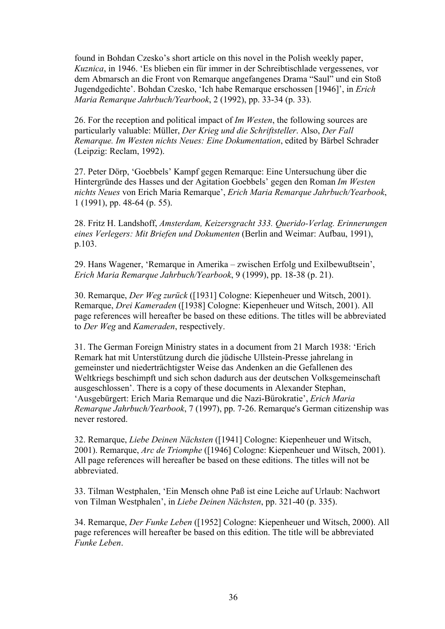found in Bohdan Czesko's short article on this novel in the Polish weekly paper, *Kuznica*, in 1946. 'Es blieben ein für immer in der Schreibtischlade vergessenes, vor dem Abmarsch an die Front von Remarque angefangenes Drama "Saul" und ein Stoß Jugendgedichte'. Bohdan Czesko, 'Ich habe Remarque erschossen [1946]', in *Erich Maria Remarque Jahrbuch/Yearbook*, 2 (1992), pp. 33-34 (p. 33).

26. For the reception and political impact of *Im Westen*, the following sources are particularly valuable: Müller, *Der Krieg und die Schriftsteller*. Also, *Der Fall Remarque. Im Westen nichts Neues: Eine Dokumentation*, edited by Bärbel Schrader (Leipzig: Reclam, 1992).

27. Peter Dörp, 'Goebbels' Kampf gegen Remarque: Eine Untersuchung über die Hintergründe des Hasses und der Agitation Goebbels' gegen den Roman *Im Westen nichts Neues* von Erich Maria Remarque', *Erich Maria Remarque Jahrbuch/Yearbook*, 1 (1991), pp. 48-64 (p. 55).

28. Fritz H. Landshoff, *Amsterdam, Keizersgracht 333. Querido-Verlag. Erinnerungen eines Verlegers: Mit Briefen und Dokumenten* (Berlin and Weimar: Aufbau, 1991), p.103.

29. Hans Wagener, 'Remarque in Amerika – zwischen Erfolg und Exilbewußtsein', *Erich Maria Remarque Jahrbuch/Yearbook*, 9 (1999), pp. 18-38 (p. 21).

30. Remarque, *Der Weg zurück* ([1931] Cologne: Kiepenheuer und Witsch, 2001). Remarque, *Drei Kameraden* ([1938] Cologne: Kiepenheuer und Witsch, 2001). All page references will hereafter be based on these editions. The titles will be abbreviated to *Der Weg* and *Kameraden*, respectively.

31. The German Foreign Ministry states in a document from 21 March 1938: 'Erich Remark hat mit Unterstützung durch die jüdische Ullstein-Presse jahrelang in gemeinster und niederträchtigster Weise das Andenken an die Gefallenen des Weltkriegs beschimpft und sich schon dadurch aus der deutschen Volksgemeinschaft ausgeschlossen'. There is a copy of these documents in Alexander Stephan, 'Ausgebürgert: Erich Maria Remarque und die Nazi-Bürokratie', *Erich Maria Remarque Jahrbuch/Yearbook*, 7 (1997), pp. 7-26. Remarque's German citizenship was never restored.

32. Remarque, *Liebe Deinen Nächsten* ([1941] Cologne: Kiepenheuer und Witsch, 2001). Remarque, *Arc de Triomphe* ([1946] Cologne: Kiepenheuer und Witsch, 2001). All page references will hereafter be based on these editions. The titles will not be abbreviated.

33. Tilman Westphalen, 'Ein Mensch ohne Paß ist eine Leiche auf Urlaub: Nachwort von Tilman Westphalen', in *Liebe Deinen Nächsten*, pp. 321-40 (p. 335).

34. Remarque, *Der Funke Leben* ([1952] Cologne: Kiepenheuer und Witsch, 2000). All page references will hereafter be based on this edition. The title will be abbreviated *Funke Leben*.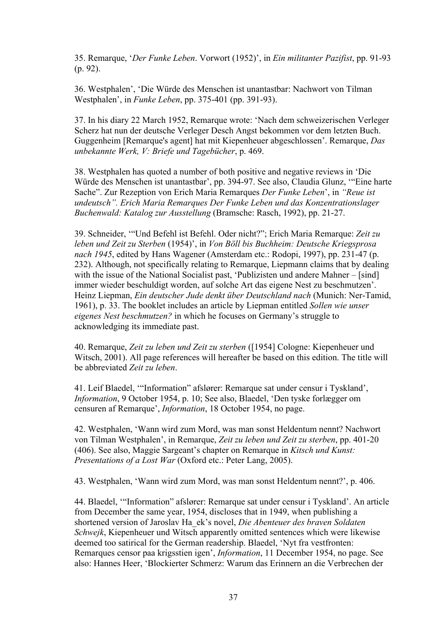35. Remarque, '*Der Funke Leben*. Vorwort (1952)', in *Ein militanter Pazifist*, pp. 91-93 (p. 92).

36. Westphalen', 'Die Würde des Menschen ist unantastbar: Nachwort von Tilman Westphalen', in *Funke Leben*, pp. 375-401 (pp. 391-93).

37. In his diary 22 March 1952, Remarque wrote: 'Nach dem schweizerischen Verleger Scherz hat nun der deutsche Verleger Desch Angst bekommen vor dem letzten Buch. Guggenheim [Remarque's agent] hat mit Kiepenheuer abgeschlossen'. Remarque, *Das unbekannte Werk, V: Briefe und Tagebücher*, p. 469.

38. Westphalen has quoted a number of both positive and negative reviews in 'Die Würde des Menschen ist unantastbar', pp. 394-97. See also, Claudia Glunz, '"Eine harte Sache". Zur Rezeption von Erich Maria Remarques *Der Funke Leben*', in *"Reue ist undeutsch". Erich Maria Remarques Der Funke Leben und das Konzentrationslager Buchenwald: Katalog zur Ausstellung* (Bramsche: Rasch, 1992), pp. 21-27.

39. Schneider, '"Und Befehl ist Befehl. Oder nicht?"; Erich Maria Remarque: *Zeit zu leben und Zeit zu Sterben* (1954)', in *Von Böll bis Buchheim: Deutsche Kriegsprosa nach 1945*, edited by Hans Wagener (Amsterdam etc.: Rodopi, 1997), pp. 231-47 (p. 232). Although, not specifically relating to Remarque, Liepmann claims that by dealing with the issue of the National Socialist past, 'Publizisten und andere Mahner – [sind] immer wieder beschuldigt worden, auf solche Art das eigene Nest zu beschmutzen'. Heinz Liepman, *Ein deutscher Jude denkt über Deutschland nach* (Munich: Ner-Tamid, 1961), p. 33. The booklet includes an article by Liepman entitled *Sollen wie unser eigenes Nest beschmutzen?* in which he focuses on Germany's struggle to acknowledging its immediate past.

40. Remarque, *Zeit zu leben und Zeit zu sterben* ([1954] Cologne: Kiepenheuer und Witsch, 2001). All page references will hereafter be based on this edition. The title will be abbreviated *Zeit zu leben*.

41. Leif Blaedel, '"Information" afslører: Remarque sat under censur i Tyskland', *Information*, 9 October 1954, p. 10; See also, Blaedel, 'Den tyske forlægger om censuren af Remarque', *Information*, 18 October 1954, no page.

42. Westphalen, 'Wann wird zum Mord, was man sonst Heldentum nennt? Nachwort von Tilman Westphalen', in Remarque, *Zeit zu leben und Zeit zu sterben*, pp. 401-20 (406). See also, Maggie Sargeant's chapter on Remarque in *Kitsch und Kunst: Presentations of a Lost War* (Oxford etc.: Peter Lang, 2005).

43. Westphalen, 'Wann wird zum Mord, was man sonst Heldentum nennt?', p. 406.

44. Blaedel, '"Information" afslører: Remarque sat under censur i Tyskland'. An article from December the same year, 1954, discloses that in 1949, when publishing a shortened version of Jaroslav Ha\_ek's novel, *Die Abenteuer des braven Soldaten Schwejk*, Kiepenheuer und Witsch apparently omitted sentences which were likewise deemed too satirical for the German readership. Blaedel, 'Nyt fra vestfronten: Remarques censor paa krigsstien igen', *Information*, 11 December 1954, no page. See also: Hannes Heer, 'Blockierter Schmerz: Warum das Erinnern an die Verbrechen der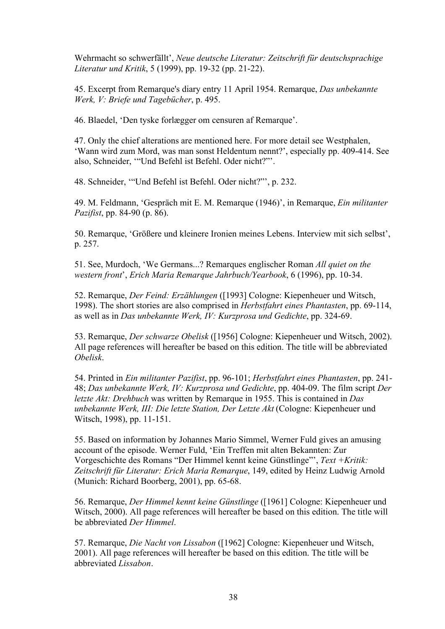Wehrmacht so schwerfällt', *Neue deutsche Literatur: Zeitschrift für deutschsprachige Literatur und Kritik*, 5 (1999), pp. 19-32 (pp. 21-22).

45. Excerpt from Remarque's diary entry 11 April 1954. Remarque, *Das unbekannte Werk, V: Briefe und Tagebücher*, p. 495.

46. Blaedel, 'Den tyske forlægger om censuren af Remarque'.

47. Only the chief alterations are mentioned here. For more detail see Westphalen, 'Wann wird zum Mord, was man sonst Heldentum nennt?', especially pp. 409-414. See also, Schneider, '"Und Befehl ist Befehl. Oder nicht?"'.

48. Schneider, '"Und Befehl ist Befehl. Oder nicht?"', p. 232.

49. M. Feldmann, 'Gespräch mit E. M. Remarque (1946)', in Remarque, *Ein militanter Pazifist*, pp. 84-90 (p. 86).

50. Remarque, 'Größere und kleinere Ironien meines Lebens. Interview mit sich selbst', p. 257.

51. See, Murdoch, 'We Germans...? Remarques englischer Roman *All quiet on the western front*', *Erich Maria Remarque Jahrbuch/Yearbook*, 6 (1996), pp. 10-34.

52. Remarque, *Der Feind: Erzählungen* ([1993] Cologne: Kiepenheuer und Witsch, 1998). The short stories are also comprised in *Herbstfahrt eines Phantasten*, pp. 69-114, as well as in *Das unbekannte Werk, IV: Kurzprosa und Gedichte*, pp. 324-69.

53. Remarque, *Der schwarze Obelisk* ([1956] Cologne: Kiepenheuer und Witsch, 2002). All page references will hereafter be based on this edition. The title will be abbreviated *Obelisk*.

54. Printed in *Ein militanter Pazifist*, pp. 96-101; *Herbstfahrt eines Phantasten*, pp. 241- 48; *Das unbekannte Werk, IV: Kurzprosa und Gedichte*, pp. 404-09. The film script *Der letzte Akt: Drehbuch* was written by Remarque in 1955. This is contained in *Das unbekannte Werk, III: Die letzte Station, Der Letzte Akt* (Cologne: Kiepenheuer und Witsch, 1998), pp. 11-151.

55. Based on information by Johannes Mario Simmel, Werner Fuld gives an amusing account of the episode. Werner Fuld, 'Ein Treffen mit alten Bekannten: Zur Vorgeschichte des Romans "Der Himmel kennt keine Günstlinge"', *Text +Kritik: Zeitschrift für Literatur: Erich Maria Remarque*, 149, edited by Heinz Ludwig Arnold (Munich: Richard Boorberg, 2001), pp. 65-68.

56. Remarque, *Der Himmel kennt keine Günstlinge* ([1961] Cologne: Kiepenheuer und Witsch, 2000). All page references will hereafter be based on this edition. The title will be abbreviated *Der Himmel*.

57. Remarque, *Die Nacht von Lissabon* ([1962] Cologne: Kiepenheuer und Witsch, 2001). All page references will hereafter be based on this edition. The title will be abbreviated *Lissabon*.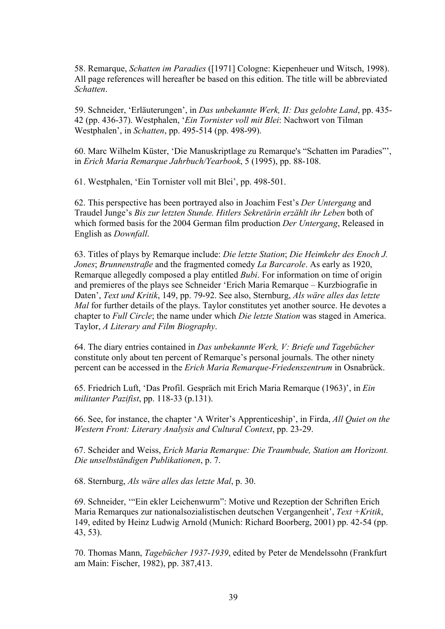58. Remarque, *Schatten im Paradies* ([1971] Cologne: Kiepenheuer und Witsch, 1998). All page references will hereafter be based on this edition. The title will be abbreviated *Schatten*.

59. Schneider, 'Erläuterungen', in *Das unbekannte Werk, II: Das gelobte Land*, pp. 435- 42 (pp. 436-37). Westphalen, '*Ein Tornister voll mit Blei*: Nachwort von Tilman Westphalen', in *Schatten*, pp. 495-514 (pp. 498-99).

60. Marc Wilhelm Küster, 'Die Manuskriptlage zu Remarque's "Schatten im Paradies"', in *Erich Maria Remarque Jahrbuch/Yearbook*, 5 (1995), pp. 88-108.

61. Westphalen, 'Ein Tornister voll mit Blei', pp. 498-501.

62. This perspective has been portrayed also in Joachim Fest's *Der Untergang* and Traudel Junge's *Bis zur letzten Stunde. Hitlers Sekretärin erzählt ihr Leben* both of which formed basis for the 2004 German film production *Der Untergang*, Released in English as *Downfall*.

63. Titles of plays by Remarque include: *Die letzte Station*; *Die Heimkehr des Enoch J. Jones*; *Brunnenstraße* and the fragmented comedy *La Barcarole*. As early as 1920, Remarque allegedly composed a play entitled *Bubi*. For information on time of origin and premieres of the plays see Schneider 'Erich Maria Remarque – Kurzbiografie in Daten', *Text und Kritik*, 149, pp. 79-92. See also, Sternburg, *Als wäre alles das letzte Mal* for further details of the plays. Taylor constitutes yet another source. He devotes a chapter to *Full Circle*; the name under which *Die letzte Station* was staged in America. Taylor, *A Literary and Film Biography*.

64. The diary entries contained in *Das unbekannte Werk, V: Briefe und Tagebücher* constitute only about ten percent of Remarque's personal journals. The other ninety percent can be accessed in the *Erich Maria Remarque-Friedenszentrum* in Osnabrück.

65. Friedrich Luft, 'Das Profil. Gespräch mit Erich Maria Remarque (1963)', in *Ein militanter Pazifist*, pp. 118-33 (p.131).

66. See, for instance, the chapter 'A Writer's Apprenticeship', in Firda, *All Quiet on the Western Front: Literary Analysis and Cultural Context*, pp. 23-29.

67. Scheider and Weiss, *Erich Maria Remarque: Die Traumbude, Station am Horizont. Die unselbständigen Publikationen*, p. 7.

68. Sternburg, *Als wäre alles das letzte Mal*, p. 30.

69. Schneider, '"Ein ekler Leichenwurm": Motive und Rezeption der Schriften Erich Maria Remarques zur nationalsozialistischen deutschen Vergangenheit', *Text +Kritik*, 149, edited by Heinz Ludwig Arnold (Munich: Richard Boorberg, 2001) pp. 42-54 (pp. 43, 53).

70. Thomas Mann, *Tagebücher 1937-1939*, edited by Peter de Mendelssohn (Frankfurt am Main: Fischer, 1982), pp. 387,413.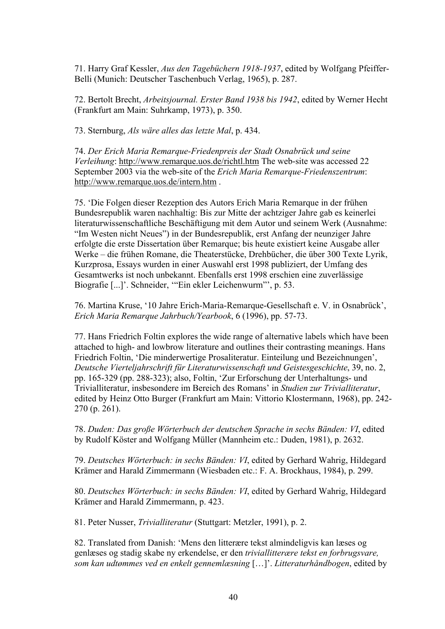71. Harry Graf Kessler, *Aus den Tagebüchern 1918-1937*, edited by Wolfgang Pfeiffer-Belli (Munich: Deutscher Taschenbuch Verlag, 1965), p. 287.

72. Bertolt Brecht, *Arbeitsjournal. Erster Band 1938 bis 1942*, edited by Werner Hecht (Frankfurt am Main: Suhrkamp, 1973), p. 350.

73. Sternburg, *Als wäre alles das letzte Mal*, p. 434.

74. *Der Erich Maria Remarque-Friedenpreis der Stadt Osnabrück und seine Verleihung*: http://www.remarque.uos.de/richtl.htm The web-site was accessed 22 September 2003 via the web-site of the *Erich Maria Remarque-Friedenszentrum*: http://www.remarque.uos.de/intern.htm .

75. 'Die Folgen dieser Rezeption des Autors Erich Maria Remarque in der frühen Bundesrepublik waren nachhaltig: Bis zur Mitte der achtziger Jahre gab es keinerlei literaturwissenschaftliche Beschäftigung mit dem Autor und seinem Werk (Ausnahme: "Im Westen nicht Neues") in der Bundesrepublik, erst Anfang der neunziger Jahre erfolgte die erste Dissertation über Remarque; bis heute existiert keine Ausgabe aller Werke – die frühen Romane, die Theaterstücke, Drehbücher, die über 300 Texte Lyrik, Kurzprosa, Essays wurden in einer Auswahl erst 1998 publiziert, der Umfang des Gesamtwerks ist noch unbekannt. Ebenfalls erst 1998 erschien eine zuverlässige Biografie [...]'. Schneider, '"Ein ekler Leichenwurm"', p. 53.

76. Martina Kruse, '10 Jahre Erich-Maria-Remarque-Gesellschaft e. V. in Osnabrück', *Erich Maria Remarque Jahrbuch/Yearbook*, 6 (1996), pp. 57-73.

77. Hans Friedrich Foltin explores the wide range of alternative labels which have been attached to high- and lowbrow literature and outlines their contrasting meanings. Hans Friedrich Foltin, 'Die minderwertige Prosaliteratur. Einteilung und Bezeichnungen', *Deutsche Vierteljahrschrift für Literaturwissenschaft und Geistesgeschichte*, 39, no. 2, pp. 165-329 (pp. 288-323); also, Foltin, 'Zur Erforschung der Unterhaltungs- und Trivialliteratur, insbesondere im Bereich des Romans' in *Studien zur Trivialliteratur*, edited by Heinz Otto Burger (Frankfurt am Main: Vittorio Klostermann, 1968), pp. 242- 270 (p. 261).

78. *Duden: Das große Wörterbuch der deutschen Sprache in sechs Bänden: VI*, edited by Rudolf Köster and Wolfgang Müller (Mannheim etc.: Duden, 1981), p. 2632.

79. *Deutsches Wörterbuch: in sechs Bänden: VI*, edited by Gerhard Wahrig, Hildegard Krämer and Harald Zimmermann (Wiesbaden etc.: F. A. Brockhaus, 1984), p. 299.

80. *Deutsches Wörterbuch: in sechs Bänden: VI*, edited by Gerhard Wahrig, Hildegard Krämer and Harald Zimmermann, p. 423.

81. Peter Nusser, *Trivialliteratur* (Stuttgart: Metzler, 1991), p. 2.

82. Translated from Danish: 'Mens den litterære tekst almindeligvis kan læses og genlæses og stadig skabe ny erkendelse, er den *triviallitterære tekst en forbrugsvare, som kan udtømmes ved en enkelt gennemlæsning* […]'. *Litteraturhåndbogen*, edited by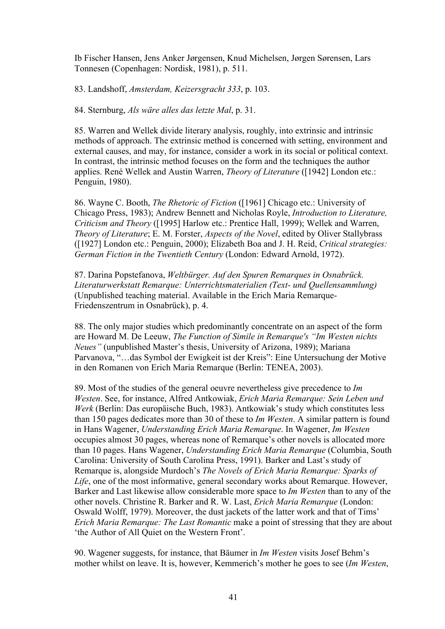Ib Fischer Hansen, Jens Anker Jørgensen, Knud Michelsen, Jørgen Sørensen, Lars Tonnesen (Copenhagen: Nordisk, 1981), p. 511.

83. Landshoff, *Amsterdam, Keizersgracht 333*, p. 103.

84. Sternburg, *Als wäre alles das letzte Mal*, p. 31.

85. Warren and Wellek divide literary analysis, roughly, into extrinsic and intrinsic methods of approach. The extrinsic method is concerned with setting, environment and external causes, and may, for instance, consider a work in its social or political context. In contrast, the intrinsic method focuses on the form and the techniques the author applies. René Wellek and Austin Warren, *Theory of Literature* ([1942] London etc.: Penguin, 1980).

86. Wayne C. Booth, *The Rhetoric of Fiction* ([1961] Chicago etc.: University of Chicago Press, 1983); Andrew Bennett and Nicholas Royle, *Introduction to Literature, Criticism and Theory* ([1995] Harlow etc.: Prentice Hall, 1999); Wellek and Warren, *Theory of Literature*; E. M. Forster, *Aspects of the Novel*, edited by Oliver Stallybrass ([1927] London etc.: Penguin, 2000); Elizabeth Boa and J. H. Reid, *Critical strategies: German Fiction in the Twentieth Century* (London: Edward Arnold, 1972).

87. Darina Popstefanova, *Weltbürger. Auf den Spuren Remarques in Osnabrück. Literaturwerkstatt Remarque: Unterrichtsmaterialien (Text- und Quellensammlung)* (Unpublished teaching material. Available in the Erich Maria Remarque-Friedenszentrum in Osnabrück), p. 4.

88. The only major studies which predominantly concentrate on an aspect of the form are Howard M. De Leeuw, *The Function of Simile in Remarque's "Im Westen nichts Neues"* (unpublished Master's thesis, University of Arizona, 1989); Mariana Parvanova, "…das Symbol der Ewigkeit ist der Kreis": Eine Untersuchung der Motive in den Romanen von Erich Maria Remarque (Berlin: TENEA, 2003).

89. Most of the studies of the general oeuvre nevertheless give precedence to *Im Westen*. See, for instance, Alfred Antkowiak, *Erich Maria Remarque: Sein Leben und Werk* (Berlin: Das europäische Buch, 1983). Antkowiak's study which constitutes less than 150 pages dedicates more than 30 of these to *Im Westen*. A similar pattern is found in Hans Wagener, *Understanding Erich Maria Remarque*. In Wagener, *Im Westen* occupies almost 30 pages, whereas none of Remarque's other novels is allocated more than 10 pages. Hans Wagener, *Understanding Erich Maria Remarque* (Columbia, South Carolina: University of South Carolina Press, 1991). Barker and Last's study of Remarque is, alongside Murdoch's *The Novels of Erich Maria Remarque: Sparks of Life*, one of the most informative, general secondary works about Remarque. However, Barker and Last likewise allow considerable more space to *Im Westen* than to any of the other novels. Christine R. Barker and R. W. Last, *Erich Maria Remarque* (London: Oswald Wolff, 1979). Moreover, the dust jackets of the latter work and that of Tims' *Erich Maria Remarque: The Last Romantic* make a point of stressing that they are about 'the Author of All Quiet on the Western Front'.

90. Wagener suggests, for instance, that Bäumer in *Im Westen* visits Josef Behm's mother whilst on leave. It is, however, Kemmerich's mother he goes to see (*Im Westen*,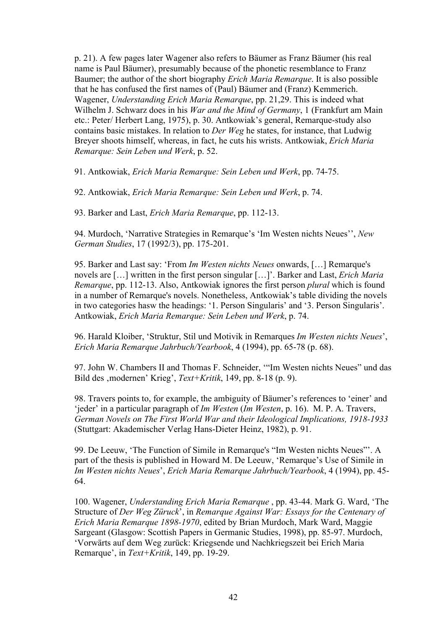p. 21). A few pages later Wagener also refers to Bäumer as Franz Bäumer (his real name is Paul Bäumer), presumably because of the phonetic resemblance to Franz Baumer; the author of the short biography *Erich Maria Remarque*. It is also possible that he has confused the first names of (Paul) Bäumer and (Franz) Kemmerich. Wagener, *Understanding Erich Maria Remarque*, pp. 21,29. This is indeed what Wilhelm J. Schwarz does in his *War and the Mind of Germany*, 1 (Frankfurt am Main etc.: Peter/ Herbert Lang, 1975), p. 30. Antkowiak's general, Remarque-study also contains basic mistakes. In relation to *Der Weg* he states, for instance, that Ludwig Breyer shoots himself, whereas, in fact, he cuts his wrists. Antkowiak, *Erich Maria Remarque: Sein Leben und Werk*, p. 52.

91. Antkowiak, *Erich Maria Remarque: Sein Leben und Werk*, pp. 74-75.

92. Antkowiak, *Erich Maria Remarque: Sein Leben und Werk*, p. 74.

93. Barker and Last, *Erich Maria Remarque*, pp. 112-13.

94. Murdoch, 'Narrative Strategies in Remarque's 'Im Westen nichts Neues'', *New German Studies*, 17 (1992/3), pp. 175-201.

95. Barker and Last say: 'From *Im Westen nichts Neues* onwards, […] Remarque's novels are […] written in the first person singular […]'. Barker and Last, *Erich Maria Remarque*, pp. 112-13. Also, Antkowiak ignores the first person *plural* which is found in a number of Remarque's novels. Nonetheless, Antkowiak's table dividing the novels in two categories hasw the headings: '1. Person Singularis' and '3. Person Singularis'. Antkowiak, *Erich Maria Remarque: Sein Leben und Werk*, p. 74.

96. Harald Kloiber, 'Struktur, Stil und Motivik in Remarques *Im Westen nichts Neues*', *Erich Maria Remarque Jahrbuch/Yearbook*, 4 (1994), pp. 65-78 (p. 68).

97. John W. Chambers II and Thomas F. Schneider, '"Im Westen nichts Neues" und das Bild des , modernen' Krieg', *Text+Kritik*, 149, pp. 8-18 (p. 9).

98. Travers points to, for example, the ambiguity of Bäumer's references to 'einer' and 'jeder' in a particular paragraph of *Im Westen* (*Im Westen*, p. 16). M. P. A. Travers, *German Novels on The First World War and their Ideological Implications, 1918-1933* (Stuttgart: Akademischer Verlag Hans-Dieter Heinz, 1982), p. 91.

99. De Leeuw, 'The Function of Simile in Remarque's "Im Westen nichts Neues"'. A part of the thesis is published in Howard M. De Leeuw, 'Remarque's Use of Simile in *Im Westen nichts Neues*', *Erich Maria Remarque Jahrbuch/Yearbook*, 4 (1994), pp. 45- 64.

100. Wagener, *Understanding Erich Maria Remarque* , pp. 43-44. Mark G. Ward, 'The Structure of *Der Weg Züruck*', in *Remarque Against War: Essays for the Centenary of Erich Maria Remarque 1898-1970*, edited by Brian Murdoch, Mark Ward, Maggie Sargeant (Glasgow: Scottish Papers in Germanic Studies, 1998), pp. 85-97. Murdoch, 'Vorwärts auf dem Weg zurück: Kriegsende und Nachkriegszeit bei Erich Maria Remarque', in *Text+Kritik*, 149, pp. 19-29.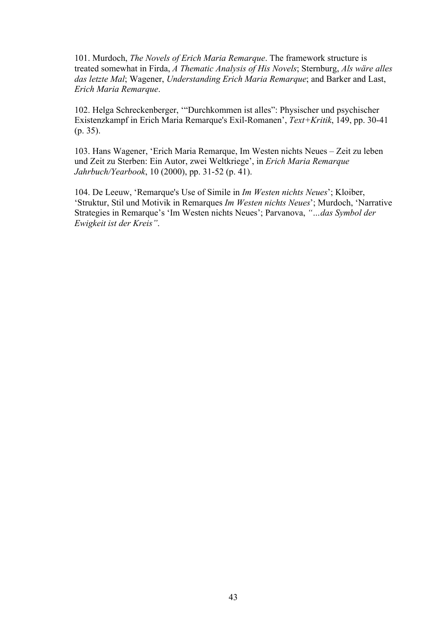101. Murdoch, *The Novels of Erich Maria Remarque*. The framework structure is treated somewhat in Firda, *A Thematic Analysis of His Novels*; Sternburg, *Als wäre alles das letzte Mal*; Wagener, *Understanding Erich Maria Remarque*; and Barker and Last, *Erich Maria Remarque*.

102. Helga Schreckenberger, '"Durchkommen ist alles": Physischer und psychischer Existenzkampf in Erich Maria Remarque's Exil-Romanen', *Text+Kritik*, 149, pp. 30-41 (p. 35).

103. Hans Wagener, 'Erich Maria Remarque, Im Westen nichts Neues – Zeit zu leben und Zeit zu Sterben: Ein Autor, zwei Weltkriege', in *Erich Maria Remarque Jahrbuch/Yearbook*, 10 (2000), pp. 31-52 (p. 41).

104. De Leeuw, 'Remarque's Use of Simile in *Im Westen nichts Neues*'; Kloiber, 'Struktur, Stil und Motivik in Remarques *Im Westen nichts Neues*'; Murdoch, 'Narrative Strategies in Remarque's 'Im Westen nichts Neues'; Parvanova, *"…das Symbol der Ewigkeit ist der Kreis"*.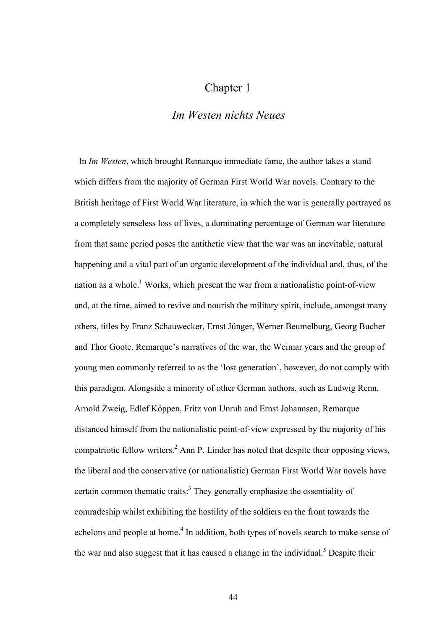## Chapter 1

## *Im Westen nichts Neues*

 In *Im Westen*, which brought Remarque immediate fame, the author takes a stand which differs from the majority of German First World War novels. Contrary to the British heritage of First World War literature, in which the war is generally portrayed as a completely senseless loss of lives, a dominating percentage of German war literature from that same period poses the antithetic view that the war was an inevitable, natural happening and a vital part of an organic development of the individual and, thus, of the nation as a whole.<sup>1</sup> Works, which present the war from a nationalistic point-of-view and, at the time, aimed to revive and nourish the military spirit, include, amongst many others, titles by Franz Schauwecker, Ernst Jünger, Werner Beumelburg, Georg Bucher and Thor Goote. Remarque's narratives of the war, the Weimar years and the group of young men commonly referred to as the 'lost generation', however, do not comply with this paradigm. Alongside a minority of other German authors, such as Ludwig Renn, Arnold Zweig, Edlef Köppen, Fritz von Unruh and Ernst Johannsen, Remarque distanced himself from the nationalistic point-of-view expressed by the majority of his compatriotic fellow writers.<sup>2</sup> Ann P. Linder has noted that despite their opposing views, the liberal and the conservative (or nationalistic) German First World War novels have certain common thematic traits:<sup>3</sup> They generally emphasize the essentiality of comradeship whilst exhibiting the hostility of the soldiers on the front towards the echelons and people at home.<sup>4</sup> In addition, both types of novels search to make sense of the war and also suggest that it has caused a change in the individual.<sup>5</sup> Despite their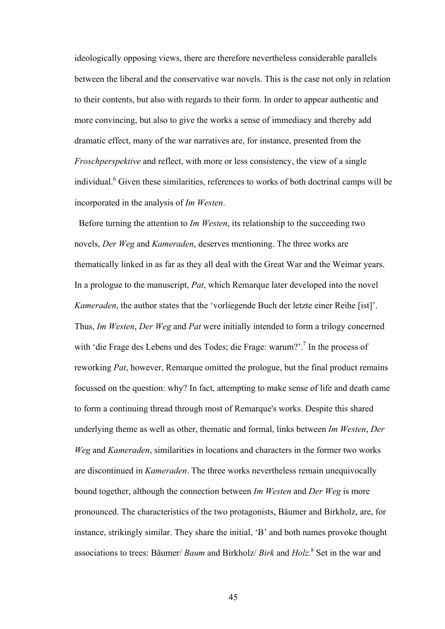ideologically opposing views, there are therefore nevertheless considerable parallels between the liberal and the conservative war novels. This is the case not only in relation to their contents, but also with regards to their form. In order to appear authentic and more convincing, but also to give the works a sense of immediacy and thereby add dramatic effect, many of the war narratives are, for instance, presented from the *Froschperspektive* and reflect, with more or less consistency, the view of a single individual.<sup>6</sup> Given these similarities, references to works of both doctrinal camps will be incorporated in the analysis of *Im Westen*.

 Before turning the attention to *Im Westen*, its relationship to the succeeding two novels, *Der Weg* and *Kameraden*, deserves mentioning. The three works are thematically linked in as far as they all deal with the Great War and the Weimar years. In a prologue to the manuscript, *Pat*, which Remarque later developed into the novel *Kameraden*, the author states that the 'vorliegende Buch der letzte einer Reihe [ist]'. Thus, *Im Westen*, *Der Weg* and *Pat* were initially intended to form a trilogy concerned with 'die Frage des Lebens und des Todes; die Frage: warum?'.<sup>7</sup> In the process of reworking *Pat*, however, Remarque omitted the prologue, but the final product remains focussed on the question: why? In fact, attempting to make sense of life and death came to form a continuing thread through most of Remarque's works. Despite this shared underlying theme as well as other, thematic and formal, links between *Im Westen*, *Der Weg* and *Kameraden*, similarities in locations and characters in the former two works are discontinued in *Kameraden*. The three works nevertheless remain unequivocally bound together, although the connection between *Im Westen* and *Der Weg* is more pronounced. The characteristics of the two protagonists, Bäumer and Birkholz, are, for instance, strikingly similar. They share the initial, 'B' and both names provoke thought associations to trees: Bäumer/ *Baum* and Birkholz/ *Birk* and *Holz*. 8 Set in the war and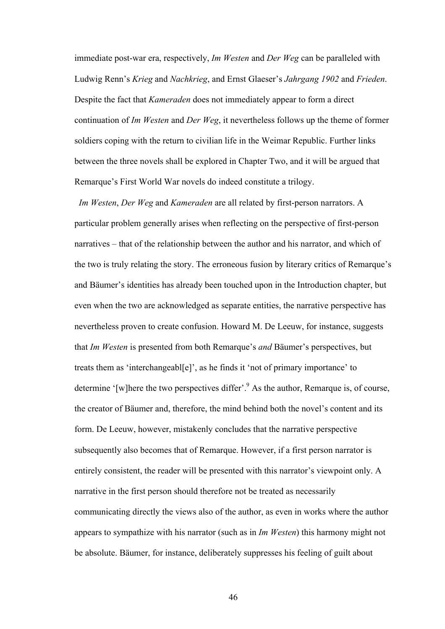immediate post-war era, respectively, *Im Westen* and *Der Weg* can be paralleled with Ludwig Renn's *Krieg* and *Nachkrieg*, and Ernst Glaeser's *Jahrgang 1902* and *Frieden*. Despite the fact that *Kameraden* does not immediately appear to form a direct continuation of *Im Westen* and *Der Weg*, it nevertheless follows up the theme of former soldiers coping with the return to civilian life in the Weimar Republic. Further links between the three novels shall be explored in Chapter Two, and it will be argued that Remarque's First World War novels do indeed constitute a trilogy.

 *Im Westen*, *Der Weg* and *Kameraden* are all related by first-person narrators. A particular problem generally arises when reflecting on the perspective of first-person narratives – that of the relationship between the author and his narrator, and which of the two is truly relating the story. The erroneous fusion by literary critics of Remarque's and Bäumer's identities has already been touched upon in the Introduction chapter, but even when the two are acknowledged as separate entities, the narrative perspective has nevertheless proven to create confusion. Howard M. De Leeuw, for instance, suggests that *Im Westen* is presented from both Remarque's *and* Bäumer's perspectives, but treats them as 'interchangeabl[e]', as he finds it 'not of primary importance' to determine '[w]here the two perspectives differ'.<sup>9</sup> As the author, Remarque is, of course, the creator of Bäumer and, therefore, the mind behind both the novel's content and its form. De Leeuw, however, mistakenly concludes that the narrative perspective subsequently also becomes that of Remarque. However, if a first person narrator is entirely consistent, the reader will be presented with this narrator's viewpoint only. A narrative in the first person should therefore not be treated as necessarily communicating directly the views also of the author, as even in works where the author appears to sympathize with his narrator (such as in *Im Westen*) this harmony might not be absolute. Bäumer, for instance, deliberately suppresses his feeling of guilt about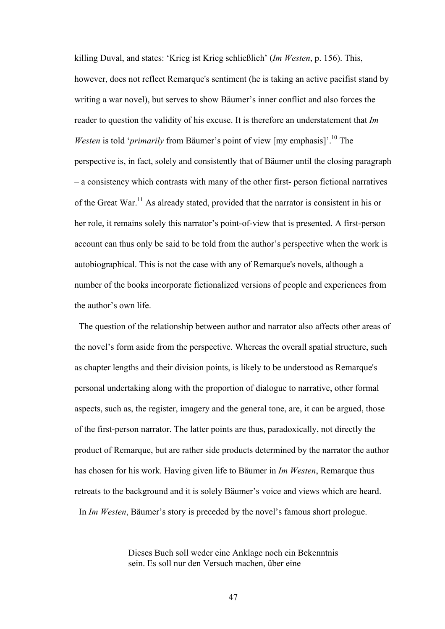killing Duval, and states: 'Krieg ist Krieg schließlich' (*Im Westen*, p. 156). This, however, does not reflect Remarque's sentiment (he is taking an active pacifist stand by writing a war novel), but serves to show Bäumer's inner conflict and also forces the reader to question the validity of his excuse. It is therefore an understatement that *Im Westen* is told '*primarily* from Bäumer's point of view [my emphasis]'.<sup>10</sup> The perspective is, in fact, solely and consistently that of Bäumer until the closing paragraph – a consistency which contrasts with many of the other first- person fictional narratives of the Great War.<sup>11</sup> As already stated, provided that the narrator is consistent in his or her role, it remains solely this narrator's point-of-view that is presented. A first-person account can thus only be said to be told from the author's perspective when the work is autobiographical. This is not the case with any of Remarque's novels, although a number of the books incorporate fictionalized versions of people and experiences from the author's own life.

 The question of the relationship between author and narrator also affects other areas of the novel's form aside from the perspective. Whereas the overall spatial structure, such as chapter lengths and their division points, is likely to be understood as Remarque's personal undertaking along with the proportion of dialogue to narrative, other formal aspects, such as, the register, imagery and the general tone, are, it can be argued, those of the first-person narrator. The latter points are thus, paradoxically, not directly the product of Remarque, but are rather side products determined by the narrator the author has chosen for his work. Having given life to Bäumer in *Im Westen*, Remarque thus retreats to the background and it is solely Bäumer's voice and views which are heard. In *Im Westen*, Bäumer's story is preceded by the novel's famous short prologue.

> Dieses Buch soll weder eine Anklage noch ein Bekenntnis sein. Es soll nur den Versuch machen, über eine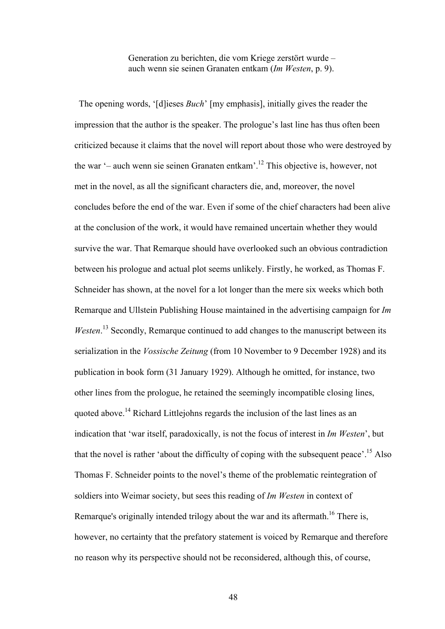Generation zu berichten, die vom Kriege zerstört wurde – auch wenn sie seinen Granaten entkam (*Im Westen*, p. 9).

 The opening words, '[d]ieses *Buch*' [my emphasis], initially gives the reader the impression that the author is the speaker. The prologue's last line has thus often been criticized because it claims that the novel will report about those who were destroyed by the war '– auch wenn sie seinen Granaten entkam'.12 This objective is, however, not met in the novel, as all the significant characters die, and, moreover, the novel concludes before the end of the war. Even if some of the chief characters had been alive at the conclusion of the work, it would have remained uncertain whether they would survive the war. That Remarque should have overlooked such an obvious contradiction between his prologue and actual plot seems unlikely. Firstly, he worked, as Thomas F. Schneider has shown, at the novel for a lot longer than the mere six weeks which both Remarque and Ullstein Publishing House maintained in the advertising campaign for *Im* Westen.<sup>13</sup> Secondly, Remarque continued to add changes to the manuscript between its serialization in the *Vossische Zeitung* (from 10 November to 9 December 1928) and its publication in book form (31 January 1929). Although he omitted, for instance, two other lines from the prologue, he retained the seemingly incompatible closing lines, quoted above.<sup>14</sup> Richard Littlejohns regards the inclusion of the last lines as an indication that 'war itself, paradoxically, is not the focus of interest in *Im Westen*', but that the novel is rather 'about the difficulty of coping with the subsequent peace'.15 Also Thomas F. Schneider points to the novel's theme of the problematic reintegration of soldiers into Weimar society, but sees this reading of *Im Westen* in context of Remarque's originally intended trilogy about the war and its aftermath.<sup>16</sup> There is, however, no certainty that the prefatory statement is voiced by Remarque and therefore no reason why its perspective should not be reconsidered, although this, of course,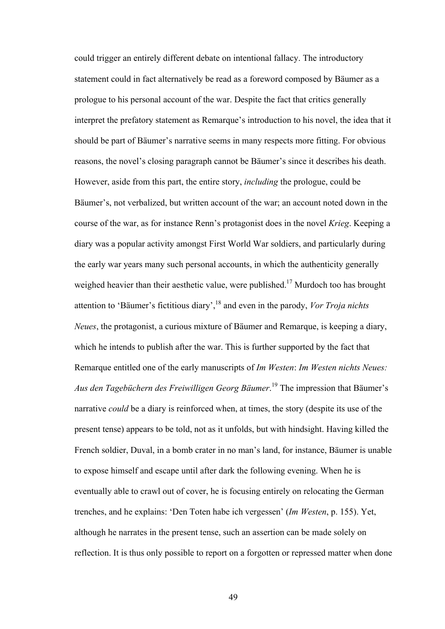could trigger an entirely different debate on intentional fallacy. The introductory statement could in fact alternatively be read as a foreword composed by Bäumer as a prologue to his personal account of the war. Despite the fact that critics generally interpret the prefatory statement as Remarque's introduction to his novel, the idea that it should be part of Bäumer's narrative seems in many respects more fitting. For obvious reasons, the novel's closing paragraph cannot be Bäumer's since it describes his death. However, aside from this part, the entire story, *including* the prologue, could be Bäumer's, not verbalized, but written account of the war; an account noted down in the course of the war, as for instance Renn's protagonist does in the novel *Krieg*. Keeping a diary was a popular activity amongst First World War soldiers, and particularly during the early war years many such personal accounts, in which the authenticity generally weighed heavier than their aesthetic value, were published.<sup>17</sup> Murdoch too has brought attention to 'Bäumer's fictitious diary',18 and even in the parody, *Vor Troja nichts Neues*, the protagonist, a curious mixture of Bäumer and Remarque, is keeping a diary, which he intends to publish after the war. This is further supported by the fact that Remarque entitled one of the early manuscripts of *Im Westen*: *Im Westen nichts Neues: Aus den Tagebüchern des Freiwilligen Georg Bäumer*. 19 The impression that Bäumer's narrative *could* be a diary is reinforced when, at times, the story (despite its use of the present tense) appears to be told, not as it unfolds, but with hindsight. Having killed the French soldier, Duval, in a bomb crater in no man's land, for instance, Bäumer is unable to expose himself and escape until after dark the following evening. When he is eventually able to crawl out of cover, he is focusing entirely on relocating the German trenches, and he explains: 'Den Toten habe ich vergessen' (*Im Westen*, p. 155). Yet, although he narrates in the present tense, such an assertion can be made solely on reflection. It is thus only possible to report on a forgotten or repressed matter when done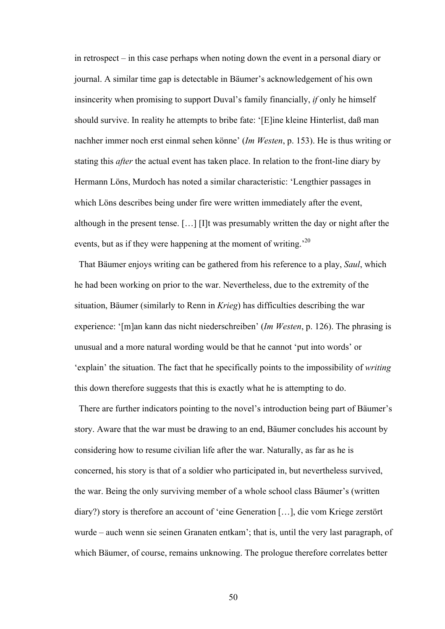in retrospect – in this case perhaps when noting down the event in a personal diary or journal. A similar time gap is detectable in Bäumer's acknowledgement of his own insincerity when promising to support Duval's family financially, *if* only he himself should survive. In reality he attempts to bribe fate: '[E]ine kleine Hinterlist, daß man nachher immer noch erst einmal sehen könne' (*Im Westen*, p. 153). He is thus writing or stating this *after* the actual event has taken place. In relation to the front-line diary by Hermann Löns, Murdoch has noted a similar characteristic: 'Lengthier passages in which Löns describes being under fire were written immediately after the event, although in the present tense. […] [I]t was presumably written the day or night after the events, but as if they were happening at the moment of writing.<sup>20</sup>

 That Bäumer enjoys writing can be gathered from his reference to a play, *Saul*, which he had been working on prior to the war. Nevertheless, due to the extremity of the situation, Bäumer (similarly to Renn in *Krieg*) has difficulties describing the war experience: '[m]an kann das nicht niederschreiben' (*Im Westen*, p. 126). The phrasing is unusual and a more natural wording would be that he cannot 'put into words' or 'explain' the situation. The fact that he specifically points to the impossibility of *writing* this down therefore suggests that this is exactly what he is attempting to do.

 There are further indicators pointing to the novel's introduction being part of Bäumer's story. Aware that the war must be drawing to an end, Bäumer concludes his account by considering how to resume civilian life after the war. Naturally, as far as he is concerned, his story is that of a soldier who participated in, but nevertheless survived, the war. Being the only surviving member of a whole school class Bäumer's (written diary?) story is therefore an account of 'eine Generation […], die vom Kriege zerstört wurde – auch wenn sie seinen Granaten entkam'; that is, until the very last paragraph, of which Bäumer, of course, remains unknowing. The prologue therefore correlates better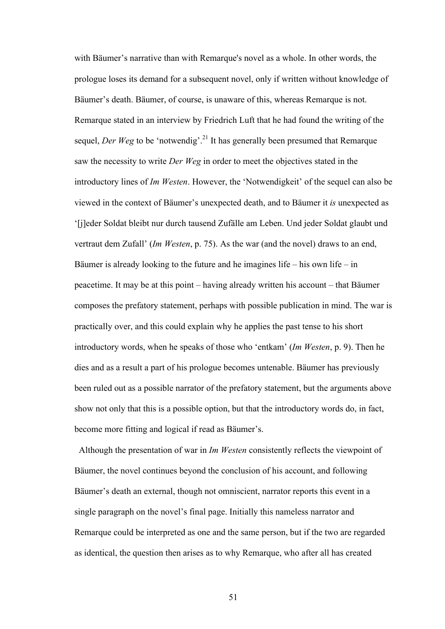with Bäumer's narrative than with Remarque's novel as a whole. In other words, the prologue loses its demand for a subsequent novel, only if written without knowledge of Bäumer's death. Bäumer, of course, is unaware of this, whereas Remarque is not. Remarque stated in an interview by Friedrich Luft that he had found the writing of the sequel, *Der Weg* to be 'notwendig'.<sup>21</sup> It has generally been presumed that Remarque saw the necessity to write *Der Weg* in order to meet the objectives stated in the introductory lines of *Im Westen*. However, the 'Notwendigkeit' of the sequel can also be viewed in the context of Bäumer's unexpected death, and to Bäumer it *is* unexpected as '[j]eder Soldat bleibt nur durch tausend Zufälle am Leben. Und jeder Soldat glaubt und vertraut dem Zufall' (*Im Westen*, p. 75). As the war (and the novel) draws to an end, Bäumer is already looking to the future and he imagines life – his own life – in peacetime. It may be at this point – having already written his account – that Bäumer composes the prefatory statement, perhaps with possible publication in mind. The war is practically over, and this could explain why he applies the past tense to his short introductory words, when he speaks of those who 'entkam' (*Im Westen*, p. 9). Then he dies and as a result a part of his prologue becomes untenable. Bäumer has previously been ruled out as a possible narrator of the prefatory statement, but the arguments above show not only that this is a possible option, but that the introductory words do, in fact, become more fitting and logical if read as Bäumer's.

 Although the presentation of war in *Im Westen* consistently reflects the viewpoint of Bäumer, the novel continues beyond the conclusion of his account, and following Bäumer's death an external, though not omniscient, narrator reports this event in a single paragraph on the novel's final page. Initially this nameless narrator and Remarque could be interpreted as one and the same person, but if the two are regarded as identical, the question then arises as to why Remarque, who after all has created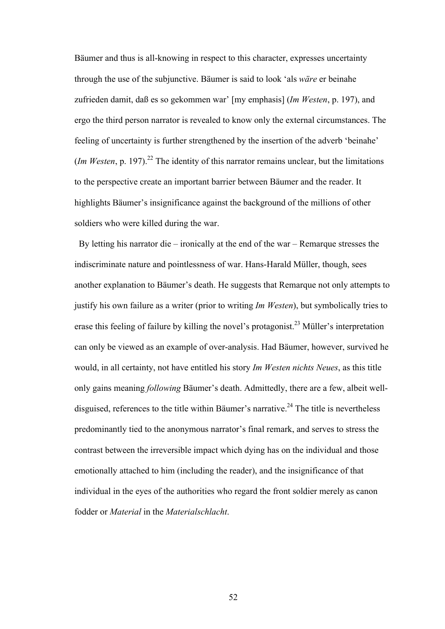Bäumer and thus is all-knowing in respect to this character, expresses uncertainty through the use of the subjunctive. Bäumer is said to look 'als *wäre* er beinahe zufrieden damit, daß es so gekommen war' [my emphasis] (*Im Westen*, p. 197), and ergo the third person narrator is revealed to know only the external circumstances. The feeling of uncertainty is further strengthened by the insertion of the adverb 'beinahe' (*Im Westen*, p. 197).<sup>22</sup> The identity of this narrator remains unclear, but the limitations to the perspective create an important barrier between Bäumer and the reader. It highlights Bäumer's insignificance against the background of the millions of other soldiers who were killed during the war.

By letting his narrator die – ironically at the end of the war – Remarque stresses the indiscriminate nature and pointlessness of war. Hans-Harald Müller, though, sees another explanation to Bäumer's death. He suggests that Remarque not only attempts to justify his own failure as a writer (prior to writing *Im Westen*), but symbolically tries to erase this feeling of failure by killing the novel's protagonist.<sup>23</sup> Müller's interpretation can only be viewed as an example of over-analysis. Had Bäumer, however, survived he would, in all certainty, not have entitled his story *Im Westen nichts Neues*, as this title only gains meaning *following* Bäumer's death. Admittedly, there are a few, albeit welldisguised, references to the title within Bäumer's narrative.<sup>24</sup> The title is nevertheless predominantly tied to the anonymous narrator's final remark, and serves to stress the contrast between the irreversible impact which dying has on the individual and those emotionally attached to him (including the reader), and the insignificance of that individual in the eyes of the authorities who regard the front soldier merely as canon fodder or *Material* in the *Materialschlacht*.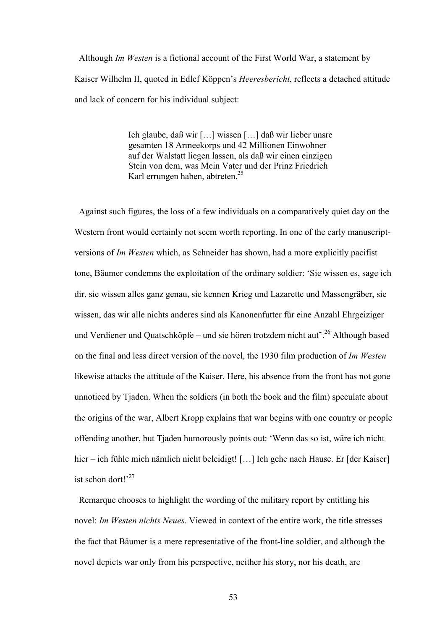Although *Im Westen* is a fictional account of the First World War, a statement by Kaiser Wilhelm II, quoted in Edlef Köppen's *Heeresbericht*, reflects a detached attitude and lack of concern for his individual subject:

> Ich glaube, daß wir […] wissen […] daß wir lieber unsre gesamten 18 Armeekorps und 42 Millionen Einwohner auf der Walstatt liegen lassen, als daß wir einen einzigen Stein von dem, was Mein Vater und der Prinz Friedrich Karl errungen haben, abtreten.<sup>25</sup>

 Against such figures, the loss of a few individuals on a comparatively quiet day on the Western front would certainly not seem worth reporting. In one of the early manuscriptversions of *Im Westen* which, as Schneider has shown, had a more explicitly pacifist tone, Bäumer condemns the exploitation of the ordinary soldier: 'Sie wissen es, sage ich dir, sie wissen alles ganz genau, sie kennen Krieg und Lazarette und Massengräber, sie wissen, das wir alle nichts anderes sind als Kanonenfutter für eine Anzahl Ehrgeiziger und Verdiener und Quatschköpfe – und sie hören trotzdem nicht auf<sup>7</sup>.<sup>26</sup> Although based on the final and less direct version of the novel, the 1930 film production of *Im Westen* likewise attacks the attitude of the Kaiser. Here, his absence from the front has not gone unnoticed by Tjaden. When the soldiers (in both the book and the film) speculate about the origins of the war, Albert Kropp explains that war begins with one country or people offending another, but Tjaden humorously points out: 'Wenn das so ist, wäre ich nicht hier – ich fühle mich nämlich nicht beleidigt! [...] Ich gehe nach Hause. Er [der Kaiser] ist schon dort $1^{27}$ 

Remarque chooses to highlight the wording of the military report by entitling his novel: *Im Westen nichts Neues*. Viewed in context of the entire work, the title stresses the fact that Bäumer is a mere representative of the front-line soldier, and although the novel depicts war only from his perspective, neither his story, nor his death, are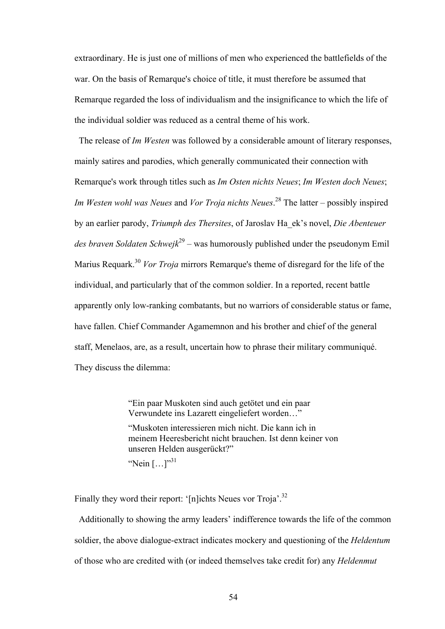extraordinary. He is just one of millions of men who experienced the battlefields of the war. On the basis of Remarque's choice of title, it must therefore be assumed that Remarque regarded the loss of individualism and the insignificance to which the life of the individual soldier was reduced as a central theme of his work.

 The release of *Im Westen* was followed by a considerable amount of literary responses, mainly satires and parodies, which generally communicated their connection with Remarque's work through titles such as *Im Osten nichts Neues*; *Im Westen doch Neues*; *Im Westen wohl was Neues* and *Vor Troja nichts Neues*. 28 The latter – possibly inspired by an earlier parody, *Triumph des Thersites*, of Jaroslav Ha\_ek's novel, *Die Abenteuer des braven Soldaten Schwejk*29 – was humorously published under the pseudonym Emil Marius Requark.<sup>30</sup> *Vor Troja* mirrors Remarque's theme of disregard for the life of the individual, and particularly that of the common soldier. In a reported, recent battle apparently only low-ranking combatants, but no warriors of considerable status or fame, have fallen. Chief Commander Agamemnon and his brother and chief of the general staff, Menelaos, are, as a result, uncertain how to phrase their military communiqué. They discuss the dilemma:

> "Ein paar Muskoten sind auch getötet und ein paar Verwundete ins Lazarett eingeliefert worden…"

"Muskoten interessieren mich nicht. Die kann ich in meinem Heeresbericht nicht brauchen. Ist denn keiner von unseren Helden ausgerückt?"

"Nein [...]"<sup>31</sup>

Finally they word their report: '[n]ichts Neues vor Troja'.<sup>32</sup>

 Additionally to showing the army leaders' indifference towards the life of the common soldier, the above dialogue-extract indicates mockery and questioning of the *Heldentum* of those who are credited with (or indeed themselves take credit for) any *Heldenmut*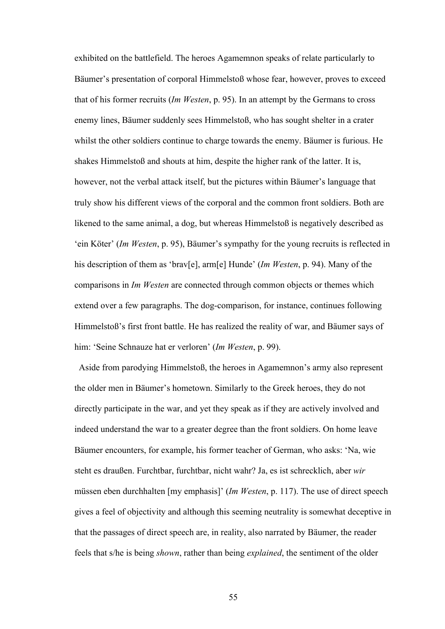exhibited on the battlefield. The heroes Agamemnon speaks of relate particularly to Bäumer's presentation of corporal Himmelstoß whose fear, however, proves to exceed that of his former recruits (*Im Westen*, p. 95). In an attempt by the Germans to cross enemy lines, Bäumer suddenly sees Himmelstoß, who has sought shelter in a crater whilst the other soldiers continue to charge towards the enemy. Bäumer is furious. He shakes Himmelstoß and shouts at him, despite the higher rank of the latter. It is, however, not the verbal attack itself, but the pictures within Bäumer's language that truly show his different views of the corporal and the common front soldiers. Both are likened to the same animal, a dog, but whereas Himmelstoß is negatively described as 'ein Köter' (*Im Westen*, p. 95), Bäumer's sympathy for the young recruits is reflected in his description of them as 'brav[e], arm[e] Hunde' (*Im Westen*, p. 94). Many of the comparisons in *Im Westen* are connected through common objects or themes which extend over a few paragraphs. The dog-comparison, for instance, continues following Himmelstoß's first front battle. He has realized the reality of war, and Bäumer says of him: 'Seine Schnauze hat er verloren' (*Im Westen*, p. 99).

 Aside from parodying Himmelstoß, the heroes in Agamemnon's army also represent the older men in Bäumer's hometown. Similarly to the Greek heroes, they do not directly participate in the war, and yet they speak as if they are actively involved and indeed understand the war to a greater degree than the front soldiers. On home leave Bäumer encounters, for example, his former teacher of German, who asks: 'Na, wie steht es draußen. Furchtbar, furchtbar, nicht wahr? Ja, es ist schrecklich, aber *wir* müssen eben durchhalten [my emphasis]' (*Im Westen*, p. 117). The use of direct speech gives a feel of objectivity and although this seeming neutrality is somewhat deceptive in that the passages of direct speech are, in reality, also narrated by Bäumer, the reader feels that s/he is being *shown*, rather than being *explained*, the sentiment of the older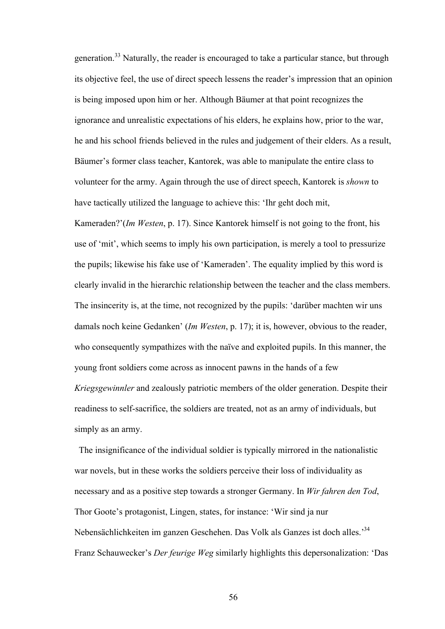generation.33 Naturally, the reader is encouraged to take a particular stance, but through its objective feel, the use of direct speech lessens the reader's impression that an opinion is being imposed upon him or her. Although Bäumer at that point recognizes the ignorance and unrealistic expectations of his elders, he explains how, prior to the war, he and his school friends believed in the rules and judgement of their elders. As a result, Bäumer's former class teacher, Kantorek, was able to manipulate the entire class to volunteer for the army. Again through the use of direct speech, Kantorek is *shown* to have tactically utilized the language to achieve this: 'Ihr geht doch mit,

Kameraden?'(*Im Westen*, p. 17). Since Kantorek himself is not going to the front, his use of 'mit', which seems to imply his own participation, is merely a tool to pressurize the pupils; likewise his fake use of 'Kameraden'. The equality implied by this word is clearly invalid in the hierarchic relationship between the teacher and the class members. The insincerity is, at the time, not recognized by the pupils: 'darüber machten wir uns damals noch keine Gedanken' (*Im Westen*, p. 17); it is, however, obvious to the reader, who consequently sympathizes with the naïve and exploited pupils. In this manner, the young front soldiers come across as innocent pawns in the hands of a few *Kriegsgewinnler* and zealously patriotic members of the older generation. Despite their readiness to self-sacrifice, the soldiers are treated, not as an army of individuals, but simply as an army.

 The insignificance of the individual soldier is typically mirrored in the nationalistic war novels, but in these works the soldiers perceive their loss of individuality as necessary and as a positive step towards a stronger Germany. In *Wir fahren den Tod*, Thor Goote's protagonist, Lingen, states, for instance: 'Wir sind ja nur Nebensächlichkeiten im ganzen Geschehen. Das Volk als Ganzes ist doch alles.'34 Franz Schauwecker's *Der feurige Weg* similarly highlights this depersonalization: 'Das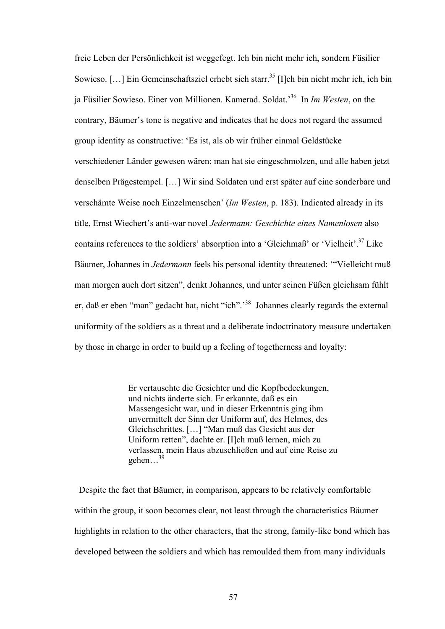freie Leben der Persönlichkeit ist weggefegt. Ich bin nicht mehr ich, sondern Füsilier Sowieso.  $[\dots]$  Ein Gemeinschaftsziel erhebt sich starr.<sup>35</sup> [I]ch bin nicht mehr ich, ich bin ja Füsilier Sowieso. Einer von Millionen. Kamerad. Soldat.'36 In *Im Westen*, on the contrary, Bäumer's tone is negative and indicates that he does not regard the assumed group identity as constructive: 'Es ist, als ob wir früher einmal Geldstücke verschiedener Länder gewesen wären; man hat sie eingeschmolzen, und alle haben jetzt denselben Prägestempel. […] Wir sind Soldaten und erst später auf eine sonderbare und verschämte Weise noch Einzelmenschen' (*Im Westen*, p. 183). Indicated already in its title, Ernst Wiechert's anti-war novel *Jedermann: Geschichte eines Namenlosen* also contains references to the soldiers' absorption into a 'Gleichmaß' or 'Vielheit'.<sup>37</sup> Like Bäumer, Johannes in *Jedermann* feels his personal identity threatened: '"Vielleicht muß man morgen auch dort sitzen", denkt Johannes, und unter seinen Füßen gleichsam fühlt er, daß er eben "man" gedacht hat, nicht "ich".<sup>38</sup> Johannes clearly regards the external uniformity of the soldiers as a threat and a deliberate indoctrinatory measure undertaken by those in charge in order to build up a feeling of togetherness and loyalty:

> Er vertauschte die Gesichter und die Kopfbedeckungen, und nichts änderte sich. Er erkannte, daß es ein Massengesicht war, und in dieser Erkenntnis ging ihm unvermittelt der Sinn der Uniform auf, des Helmes, des Gleichschrittes. […] "Man muß das Gesicht aus der Uniform retten", dachte er. [I]ch muß lernen, mich zu verlassen, mein Haus abzuschließen und auf eine Reise zu gehen…39

 Despite the fact that Bäumer, in comparison, appears to be relatively comfortable within the group, it soon becomes clear, not least through the characteristics Bäumer highlights in relation to the other characters, that the strong, family-like bond which has developed between the soldiers and which has remoulded them from many individuals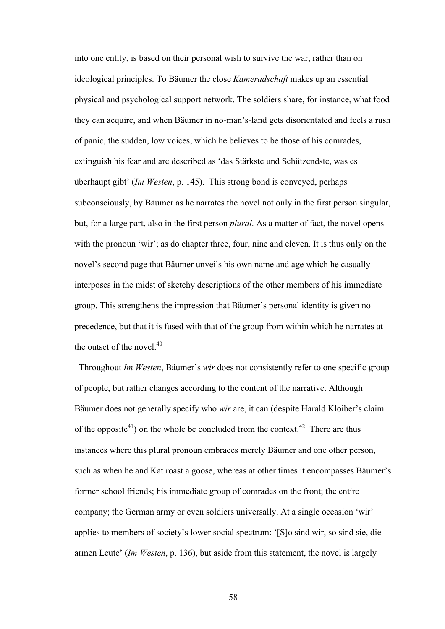into one entity, is based on their personal wish to survive the war, rather than on ideological principles. To Bäumer the close *Kameradschaft* makes up an essential physical and psychological support network. The soldiers share, for instance, what food they can acquire, and when Bäumer in no-man's-land gets disorientated and feels a rush of panic, the sudden, low voices, which he believes to be those of his comrades, extinguish his fear and are described as 'das Stärkste und Schützendste, was es überhaupt gibt' (*Im Westen*, p. 145). This strong bond is conveyed, perhaps subconsciously, by Bäumer as he narrates the novel not only in the first person singular, but, for a large part, also in the first person *plural*. As a matter of fact, the novel opens with the pronoun 'wir'; as do chapter three, four, nine and eleven. It is thus only on the novel's second page that Bäumer unveils his own name and age which he casually interposes in the midst of sketchy descriptions of the other members of his immediate group. This strengthens the impression that Bäumer's personal identity is given no precedence, but that it is fused with that of the group from within which he narrates at the outset of the novel.<sup>40</sup>

 Throughout *Im Westen*, Bäumer's *wir* does not consistently refer to one specific group of people, but rather changes according to the content of the narrative. Although Bäumer does not generally specify who *wir* are, it can (despite Harald Kloiber's claim of the opposite<sup>41</sup>) on the whole be concluded from the context.<sup>42</sup> There are thus instances where this plural pronoun embraces merely Bäumer and one other person, such as when he and Kat roast a goose, whereas at other times it encompasses Bäumer's former school friends; his immediate group of comrades on the front; the entire company; the German army or even soldiers universally. At a single occasion 'wir' applies to members of society's lower social spectrum: '[S]o sind wir, so sind sie, die armen Leute' (*Im Westen*, p. 136), but aside from this statement, the novel is largely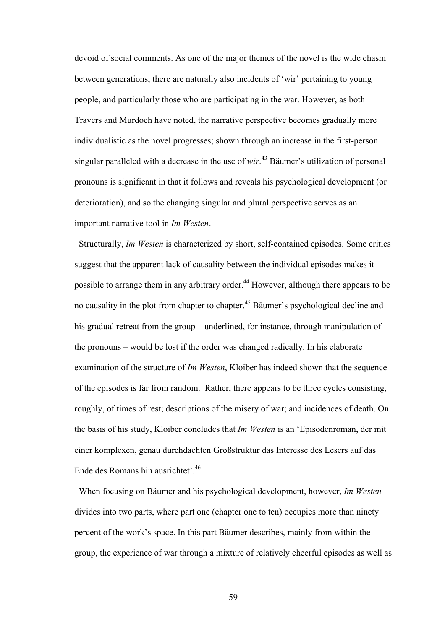devoid of social comments. As one of the major themes of the novel is the wide chasm between generations, there are naturally also incidents of 'wir' pertaining to young people, and particularly those who are participating in the war. However, as both Travers and Murdoch have noted, the narrative perspective becomes gradually more individualistic as the novel progresses; shown through an increase in the first-person singular paralleled with a decrease in the use of *wir*. 43 Bäumer's utilization of personal pronouns is significant in that it follows and reveals his psychological development (or deterioration), and so the changing singular and plural perspective serves as an important narrative tool in *Im Westen*.

 Structurally, *Im Westen* is characterized by short, self-contained episodes. Some critics suggest that the apparent lack of causality between the individual episodes makes it possible to arrange them in any arbitrary order.<sup>44</sup> However, although there appears to be no causality in the plot from chapter to chapter,<sup>45</sup> Bäumer's psychological decline and his gradual retreat from the group – underlined, for instance, through manipulation of the pronouns – would be lost if the order was changed radically. In his elaborate examination of the structure of *Im Westen*, Kloiber has indeed shown that the sequence of the episodes is far from random. Rather, there appears to be three cycles consisting, roughly, of times of rest; descriptions of the misery of war; and incidences of death. On the basis of his study, Kloiber concludes that *Im Westen* is an 'Episodenroman, der mit einer komplexen, genau durchdachten Großstruktur das Interesse des Lesers auf das Ende des Romans hin ausrichtet'.46

When focusing on Bäumer and his psychological development, however, *Im Westen* divides into two parts, where part one (chapter one to ten) occupies more than ninety percent of the work's space. In this part Bäumer describes, mainly from within the group, the experience of war through a mixture of relatively cheerful episodes as well as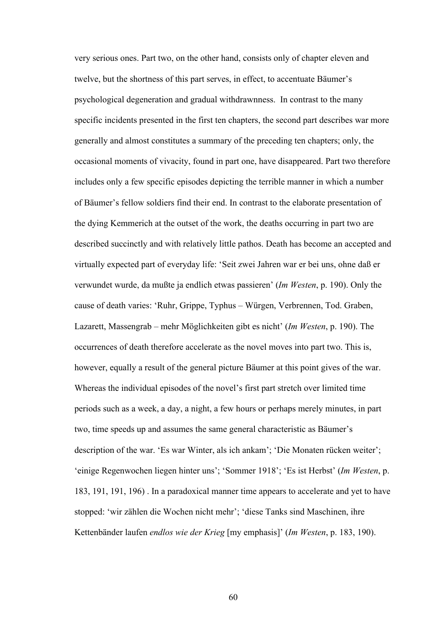very serious ones. Part two, on the other hand, consists only of chapter eleven and twelve, but the shortness of this part serves, in effect, to accentuate Bäumer's psychological degeneration and gradual withdrawnness. In contrast to the many specific incidents presented in the first ten chapters, the second part describes war more generally and almost constitutes a summary of the preceding ten chapters; only, the occasional moments of vivacity, found in part one, have disappeared. Part two therefore includes only a few specific episodes depicting the terrible manner in which a number of Bäumer's fellow soldiers find their end. In contrast to the elaborate presentation of the dying Kemmerich at the outset of the work, the deaths occurring in part two are described succinctly and with relatively little pathos. Death has become an accepted and virtually expected part of everyday life: 'Seit zwei Jahren war er bei uns, ohne daß er verwundet wurde, da mußte ja endlich etwas passieren' (*Im Westen*, p. 190). Only the cause of death varies: 'Ruhr, Grippe, Typhus – Würgen, Verbrennen, Tod. Graben, Lazarett, Massengrab – mehr Möglichkeiten gibt es nicht' (*Im Westen*, p. 190). The occurrences of death therefore accelerate as the novel moves into part two. This is, however, equally a result of the general picture Bäumer at this point gives of the war. Whereas the individual episodes of the novel's first part stretch over limited time periods such as a week, a day, a night, a few hours or perhaps merely minutes, in part two, time speeds up and assumes the same general characteristic as Bäumer's description of the war. 'Es war Winter, als ich ankam'; 'Die Monaten rücken weiter'; 'einige Regenwochen liegen hinter uns'; 'Sommer 1918'; 'Es ist Herbst' (*Im Westen*, p. 183, 191, 191, 196) . In a paradoxical manner time appears to accelerate and yet to have stopped: 'wir zählen die Wochen nicht mehr'; 'diese Tanks sind Maschinen, ihre Kettenbänder laufen *endlos wie der Krieg* [my emphasis]' (*Im Westen*, p. 183, 190).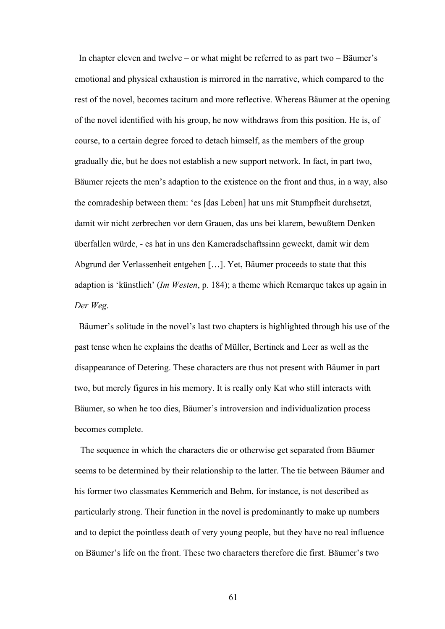In chapter eleven and twelve – or what might be referred to as part two – Bäumer's emotional and physical exhaustion is mirrored in the narrative, which compared to the rest of the novel, becomes taciturn and more reflective. Whereas Bäumer at the opening of the novel identified with his group, he now withdraws from this position. He is, of course, to a certain degree forced to detach himself, as the members of the group gradually die, but he does not establish a new support network. In fact, in part two, Bäumer rejects the men's adaption to the existence on the front and thus, in a way, also the comradeship between them: 'es [das Leben] hat uns mit Stumpfheit durchsetzt, damit wir nicht zerbrechen vor dem Grauen, das uns bei klarem, bewußtem Denken überfallen würde, - es hat in uns den Kameradschaftssinn geweckt, damit wir dem Abgrund der Verlassenheit entgehen […]. Yet, Bäumer proceeds to state that this adaption is 'künstlich' (*Im Westen*, p. 184); a theme which Remarque takes up again in *Der Weg*.

 Bäumer's solitude in the novel's last two chapters is highlighted through his use of the past tense when he explains the deaths of Müller, Bertinck and Leer as well as the disappearance of Detering. These characters are thus not present with Bäumer in part two, but merely figures in his memory. It is really only Kat who still interacts with Bäumer, so when he too dies, Bäumer's introversion and individualization process becomes complete.

 The sequence in which the characters die or otherwise get separated from Bäumer seems to be determined by their relationship to the latter. The tie between Bäumer and his former two classmates Kemmerich and Behm, for instance, is not described as particularly strong. Their function in the novel is predominantly to make up numbers and to depict the pointless death of very young people, but they have no real influence on Bäumer's life on the front. These two characters therefore die first. Bäumer's two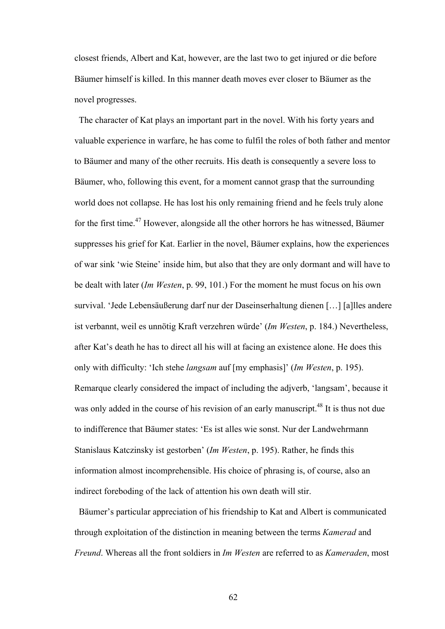closest friends, Albert and Kat, however, are the last two to get injured or die before Bäumer himself is killed. In this manner death moves ever closer to Bäumer as the novel progresses.

 The character of Kat plays an important part in the novel. With his forty years and valuable experience in warfare, he has come to fulfil the roles of both father and mentor to Bäumer and many of the other recruits. His death is consequently a severe loss to Bäumer, who, following this event, for a moment cannot grasp that the surrounding world does not collapse. He has lost his only remaining friend and he feels truly alone for the first time.47 However, alongside all the other horrors he has witnessed, Bäumer suppresses his grief for Kat. Earlier in the novel, Bäumer explains, how the experiences of war sink 'wie Steine' inside him, but also that they are only dormant and will have to be dealt with later (*Im Westen*, p. 99, 101.) For the moment he must focus on his own survival. 'Jede Lebensäußerung darf nur der Daseinserhaltung dienen […] [a]lles andere ist verbannt, weil es unnötig Kraft verzehren würde' (*Im Westen*, p. 184.) Nevertheless, after Kat's death he has to direct all his will at facing an existence alone. He does this only with difficulty: 'Ich stehe *langsam* auf [my emphasis]' (*Im Westen*, p. 195). Remarque clearly considered the impact of including the adjverb, 'langsam', because it was only added in the course of his revision of an early manuscript.<sup>48</sup> It is thus not due to indifference that Bäumer states: 'Es ist alles wie sonst. Nur der Landwehrmann Stanislaus Katczinsky ist gestorben' (*Im Westen*, p. 195). Rather, he finds this information almost incomprehensible. His choice of phrasing is, of course, also an indirect foreboding of the lack of attention his own death will stir.

 Bäumer's particular appreciation of his friendship to Kat and Albert is communicated through exploitation of the distinction in meaning between the terms *Kamerad* and *Freund*. Whereas all the front soldiers in *Im Westen* are referred to as *Kameraden*, most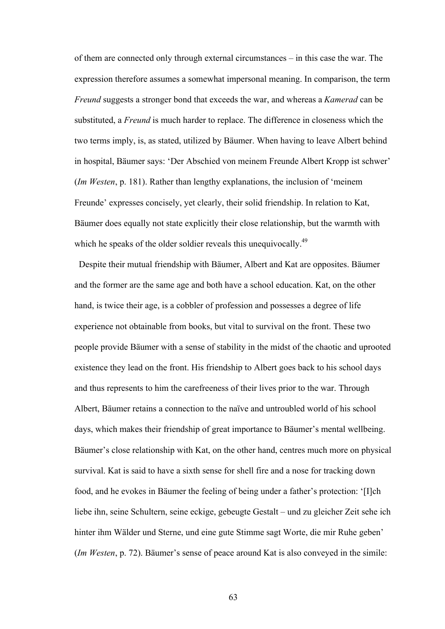of them are connected only through external circumstances – in this case the war. The expression therefore assumes a somewhat impersonal meaning. In comparison, the term *Freund* suggests a stronger bond that exceeds the war, and whereas a *Kamerad* can be substituted, a *Freund* is much harder to replace. The difference in closeness which the two terms imply, is, as stated, utilized by Bäumer. When having to leave Albert behind in hospital, Bäumer says: 'Der Abschied von meinem Freunde Albert Kropp ist schwer' (*Im Westen*, p. 181). Rather than lengthy explanations, the inclusion of 'meinem Freunde' expresses concisely, yet clearly, their solid friendship. In relation to Kat, Bäumer does equally not state explicitly their close relationship, but the warmth with which he speaks of the older soldier reveals this unequivocally.<sup>49</sup>

 Despite their mutual friendship with Bäumer, Albert and Kat are opposites. Bäumer and the former are the same age and both have a school education. Kat, on the other hand, is twice their age, is a cobbler of profession and possesses a degree of life experience not obtainable from books, but vital to survival on the front. These two people provide Bäumer with a sense of stability in the midst of the chaotic and uprooted existence they lead on the front. His friendship to Albert goes back to his school days and thus represents to him the carefreeness of their lives prior to the war. Through Albert, Bäumer retains a connection to the naïve and untroubled world of his school days, which makes their friendship of great importance to Bäumer's mental wellbeing. Bäumer's close relationship with Kat, on the other hand, centres much more on physical survival. Kat is said to have a sixth sense for shell fire and a nose for tracking down food, and he evokes in Bäumer the feeling of being under a father's protection: '[I]ch liebe ihn, seine Schultern, seine eckige, gebeugte Gestalt – und zu gleicher Zeit sehe ich hinter ihm Wälder und Sterne, und eine gute Stimme sagt Worte, die mir Ruhe geben' (*Im Westen*, p. 72). Bäumer's sense of peace around Kat is also conveyed in the simile: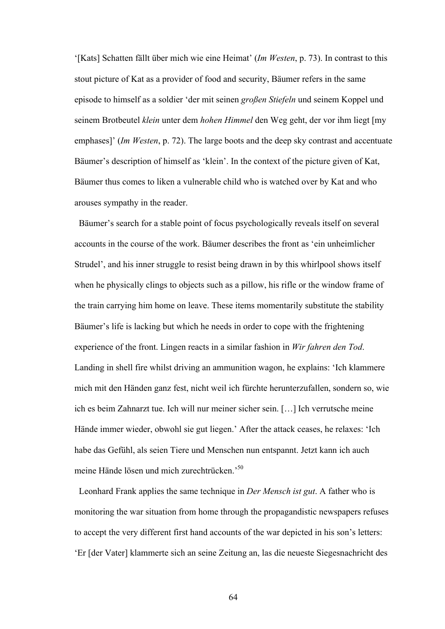'[Kats] Schatten fällt über mich wie eine Heimat' (*Im Westen*, p. 73). In contrast to this stout picture of Kat as a provider of food and security, Bäumer refers in the same episode to himself as a soldier 'der mit seinen *großen Stiefeln* und seinem Koppel und seinem Brotbeutel *klein* unter dem *hohen Himmel* den Weg geht, der vor ihm liegt [my emphases]' (*Im Westen*, p. 72). The large boots and the deep sky contrast and accentuate Bäumer's description of himself as 'klein'. In the context of the picture given of Kat, Bäumer thus comes to liken a vulnerable child who is watched over by Kat and who arouses sympathy in the reader.

 Bäumer's search for a stable point of focus psychologically reveals itself on several accounts in the course of the work. Bäumer describes the front as 'ein unheimlicher Strudel', and his inner struggle to resist being drawn in by this whirlpool shows itself when he physically clings to objects such as a pillow, his rifle or the window frame of the train carrying him home on leave. These items momentarily substitute the stability Bäumer's life is lacking but which he needs in order to cope with the frightening experience of the front. Lingen reacts in a similar fashion in *Wir fahren den Tod*. Landing in shell fire whilst driving an ammunition wagon, he explains: 'Ich klammere mich mit den Händen ganz fest, nicht weil ich fürchte herunterzufallen, sondern so, wie ich es beim Zahnarzt tue. Ich will nur meiner sicher sein. […] Ich verrutsche meine Hände immer wieder, obwohl sie gut liegen.' After the attack ceases, he relaxes: 'Ich habe das Gefühl, als seien Tiere und Menschen nun entspannt. Jetzt kann ich auch meine Hände lösen und mich zurechtrücken.'50

 Leonhard Frank applies the same technique in *Der Mensch ist gut*. A father who is monitoring the war situation from home through the propagandistic newspapers refuses to accept the very different first hand accounts of the war depicted in his son's letters: 'Er [der Vater] klammerte sich an seine Zeitung an, las die neueste Siegesnachricht des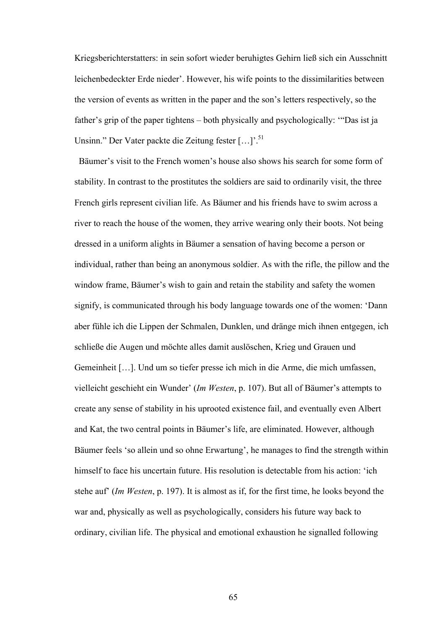Kriegsberichterstatters: in sein sofort wieder beruhigtes Gehirn ließ sich ein Ausschnitt leichenbedeckter Erde nieder'. However, his wife points to the dissimilarities between the version of events as written in the paper and the son's letters respectively, so the father's grip of the paper tightens – both physically and psychologically: '"Das ist ja Unsinn." Der Vater packte die Zeitung fester [...]<sup>51</sup>

 Bäumer's visit to the French women's house also shows his search for some form of stability. In contrast to the prostitutes the soldiers are said to ordinarily visit, the three French girls represent civilian life. As Bäumer and his friends have to swim across a river to reach the house of the women, they arrive wearing only their boots. Not being dressed in a uniform alights in Bäumer a sensation of having become a person or individual, rather than being an anonymous soldier. As with the rifle, the pillow and the window frame, Bäumer's wish to gain and retain the stability and safety the women signify, is communicated through his body language towards one of the women: 'Dann aber fühle ich die Lippen der Schmalen, Dunklen, und dränge mich ihnen entgegen, ich schließe die Augen und möchte alles damit auslöschen, Krieg und Grauen und Gemeinheit […]. Und um so tiefer presse ich mich in die Arme, die mich umfassen, vielleicht geschieht ein Wunder' (*Im Westen*, p. 107). But all of Bäumer's attempts to create any sense of stability in his uprooted existence fail, and eventually even Albert and Kat, the two central points in Bäumer's life, are eliminated. However, although Bäumer feels 'so allein und so ohne Erwartung', he manages to find the strength within himself to face his uncertain future. His resolution is detectable from his action: 'ich stehe auf' (*Im Westen*, p. 197). It is almost as if, for the first time, he looks beyond the war and, physically as well as psychologically, considers his future way back to ordinary, civilian life. The physical and emotional exhaustion he signalled following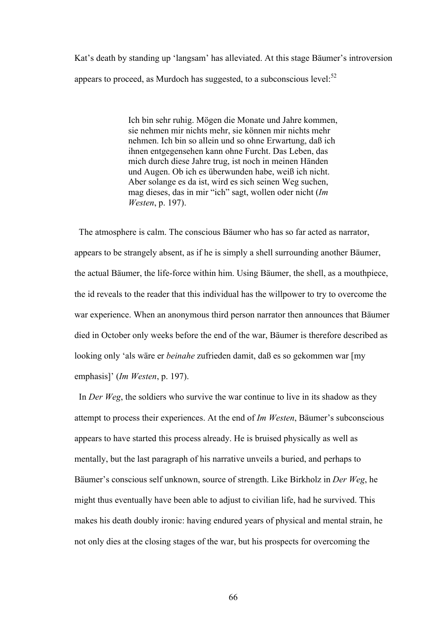Kat's death by standing up 'langsam' has alleviated. At this stage Bäumer's introversion appears to proceed, as Murdoch has suggested, to a subconscious level: $52$ 

> Ich bin sehr ruhig. Mögen die Monate und Jahre kommen, sie nehmen mir nichts mehr, sie können mir nichts mehr nehmen. Ich bin so allein und so ohne Erwartung, daß ich ihnen entgegensehen kann ohne Furcht. Das Leben, das mich durch diese Jahre trug, ist noch in meinen Händen und Augen. Ob ich es überwunden habe, weiß ich nicht. Aber solange es da ist, wird es sich seinen Weg suchen, mag dieses, das in mir "ich" sagt, wollen oder nicht (*Im Westen*, p. 197).

 The atmosphere is calm. The conscious Bäumer who has so far acted as narrator, appears to be strangely absent, as if he is simply a shell surrounding another Bäumer, the actual Bäumer, the life-force within him. Using Bäumer, the shell, as a mouthpiece, the id reveals to the reader that this individual has the willpower to try to overcome the war experience. When an anonymous third person narrator then announces that Bäumer died in October only weeks before the end of the war, Bäumer is therefore described as looking only 'als wäre er *beinahe* zufrieden damit, daß es so gekommen war [my emphasis]' (*Im Westen*, p. 197).

In *Der Weg*, the soldiers who survive the war continue to live in its shadow as they attempt to process their experiences. At the end of *Im Westen*, Bäumer's subconscious appears to have started this process already. He is bruised physically as well as mentally, but the last paragraph of his narrative unveils a buried, and perhaps to Bäumer's conscious self unknown, source of strength. Like Birkholz in *Der Weg*, he might thus eventually have been able to adjust to civilian life, had he survived. This makes his death doubly ironic: having endured years of physical and mental strain, he not only dies at the closing stages of the war, but his prospects for overcoming the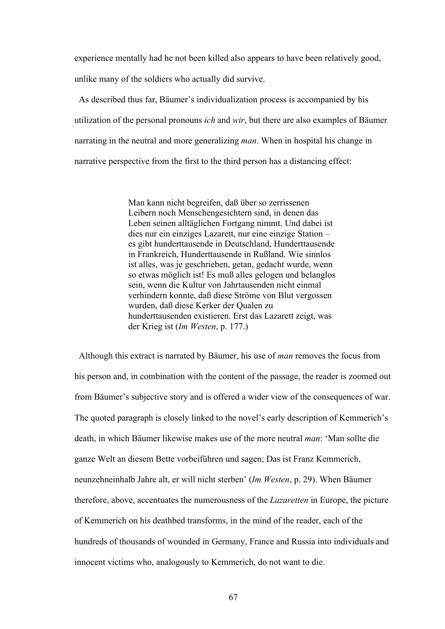experience mentally had he not been killed also appears to have been relatively good, unlike many of the soldiers who actually did survive.

 As described thus far, Bäumer's individualization process is accompanied by his utilization of the personal pronouns *ich* and *wir*, but there are also examples of Bäumer narrating in the neutral and more generalizing *man*. When in hospital his change in narrative perspective from the first to the third person has a distancing effect:

> Man kann nicht begreifen, daß über so zerrissenen Leibern noch Menschengesichtern sind, in denen das Leben seinen alltäglichen Fortgang nimmt. Und dabei ist dies nur ein einziges Lazarett, nur eine einzige Station – es gibt hunderttausende in Deutschland, Hunderttausende in Frankreich, Hunderttausende in Rußland. Wie sinnlos ist alles, was je geschrieben, getan, gedacht wurde, wenn so etwas möglich ist! Es muß alles gelogen und belanglos sein, wenn die Kultur von Jahrtausenden nicht einmal verhindern konnte, daß diese Ströme von Blut vergossen wurden, daß diese Kerker der Qualen zu hunderttausenden existieren. Erst das Lazarett zeigt, was der Krieg ist (*Im Westen*, p. 177.)

Although this extract is narrated by Bäumer, his use of *man* removes the focus from his person and, in combination with the content of the passage, the reader is zoomed out from Bäumer's subjective story and is offered a wider view of the consequences of war. The quoted paragraph is closely linked to the novel's early description of Kemmerich's death, in which Bäumer likewise makes use of the more neutral *man*: 'Man sollte die ganze Welt an diesem Bette vorbeiführen und sagen; Das ist Franz Kemmerich, neunzehneinhalb Jahre alt, er will nicht sterben' (*Im Westen*, p. 29). When Bäumer therefore, above, accentuates the numerousness of the *Lazaretten* in Europe, the picture of Kemmerich on his deathbed transforms, in the mind of the reader, each of the hundreds of thousands of wounded in Germany, France and Russia into individuals and innocent victims who, analogously to Kemmerich, do not want to die.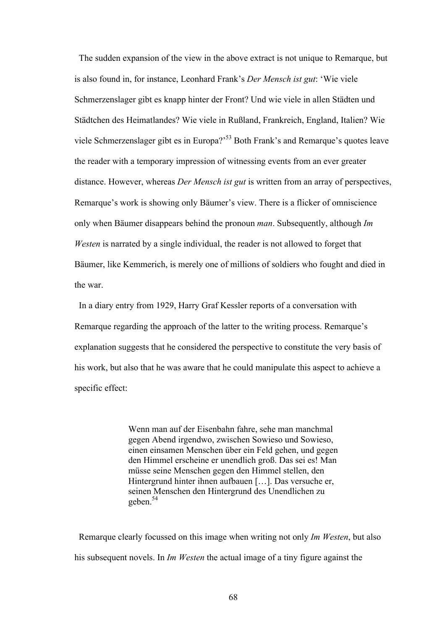The sudden expansion of the view in the above extract is not unique to Remarque, but is also found in, for instance, Leonhard Frank's *Der Mensch ist gut*: 'Wie viele Schmerzenslager gibt es knapp hinter der Front? Und wie viele in allen Städten und Städtchen des Heimatlandes? Wie viele in Rußland, Frankreich, England, Italien? Wie viele Schmerzenslager gibt es in Europa?'53 Both Frank's and Remarque's quotes leave the reader with a temporary impression of witnessing events from an ever greater distance. However, whereas *Der Mensch ist gut* is written from an array of perspectives, Remarque's work is showing only Bäumer's view. There is a flicker of omniscience only when Bäumer disappears behind the pronoun *man*. Subsequently, although *Im Westen* is narrated by a single individual, the reader is not allowed to forget that Bäumer, like Kemmerich, is merely one of millions of soldiers who fought and died in the war.

 In a diary entry from 1929, Harry Graf Kessler reports of a conversation with Remarque regarding the approach of the latter to the writing process. Remarque's explanation suggests that he considered the perspective to constitute the very basis of his work, but also that he was aware that he could manipulate this aspect to achieve a specific effect:

> Wenn man auf der Eisenbahn fahre, sehe man manchmal gegen Abend irgendwo, zwischen Sowieso und Sowieso, einen einsamen Menschen über ein Feld gehen, und gegen den Himmel erscheine er unendlich groß. Das sei es! Man müsse seine Menschen gegen den Himmel stellen, den Hintergrund hinter ihnen aufbauen […]. Das versuche er, seinen Menschen den Hintergrund des Unendlichen zu geben.<sup>54</sup>

 Remarque clearly focussed on this image when writing not only *Im Westen*, but also his subsequent novels. In *Im Westen* the actual image of a tiny figure against the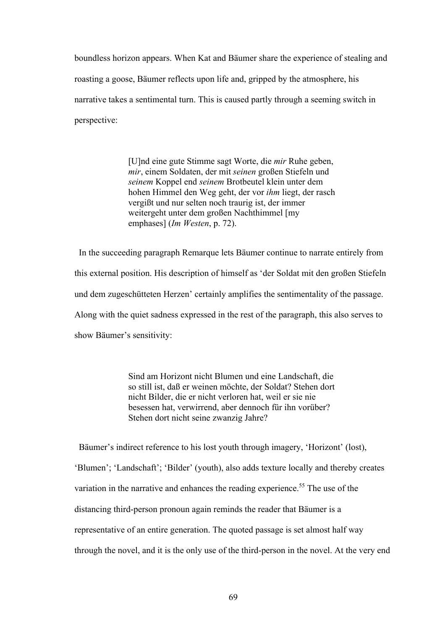boundless horizon appears. When Kat and Bäumer share the experience of stealing and roasting a goose, Bäumer reflects upon life and, gripped by the atmosphere, his narrative takes a sentimental turn. This is caused partly through a seeming switch in perspective:

> [U]nd eine gute Stimme sagt Worte, die *mir* Ruhe geben, *mir*, einem Soldaten, der mit *seinen* großen Stiefeln und *seinem* Koppel end *seinem* Brotbeutel klein unter dem hohen Himmel den Weg geht, der vor *ihm* liegt, der rasch vergißt und nur selten noch traurig ist, der immer weitergeht unter dem großen Nachthimmel [my emphases] (*Im Westen*, p. 72).

 In the succeeding paragraph Remarque lets Bäumer continue to narrate entirely from this external position. His description of himself as 'der Soldat mit den großen Stiefeln und dem zugeschütteten Herzen' certainly amplifies the sentimentality of the passage. Along with the quiet sadness expressed in the rest of the paragraph, this also serves to show Bäumer's sensitivity:

> Sind am Horizont nicht Blumen und eine Landschaft, die so still ist, daß er weinen möchte, der Soldat? Stehen dort nicht Bilder, die er nicht verloren hat, weil er sie nie besessen hat, verwirrend, aber dennoch für ihn vorüber? Stehen dort nicht seine zwanzig Jahre?

Bäumer's indirect reference to his lost youth through imagery, 'Horizont' (lost),

'Blumen'; 'Landschaft'; 'Bilder' (youth), also adds texture locally and thereby creates variation in the narrative and enhances the reading experience.<sup>55</sup> The use of the distancing third-person pronoun again reminds the reader that Bäumer is a representative of an entire generation. The quoted passage is set almost half way through the novel, and it is the only use of the third-person in the novel. At the very end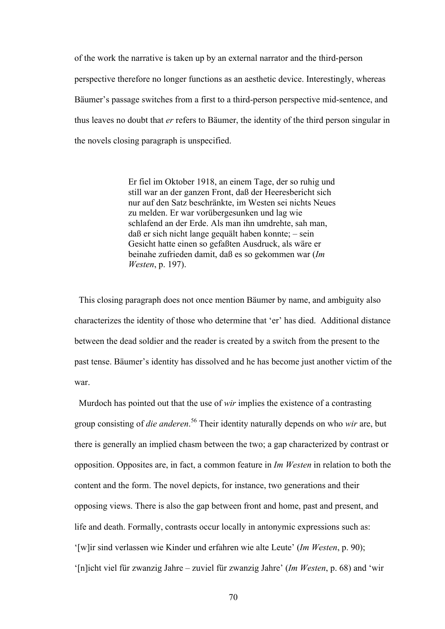of the work the narrative is taken up by an external narrator and the third-person perspective therefore no longer functions as an aesthetic device. Interestingly, whereas Bäumer's passage switches from a first to a third-person perspective mid-sentence, and thus leaves no doubt that *er* refers to Bäumer, the identity of the third person singular in the novels closing paragraph is unspecified.

> Er fiel im Oktober 1918, an einem Tage, der so ruhig und still war an der ganzen Front, daß der Heeresbericht sich nur auf den Satz beschränkte, im Westen sei nichts Neues zu melden. Er war vorübergesunken und lag wie schlafend an der Erde. Als man ihn umdrehte, sah man, daß er sich nicht lange gequält haben konnte; – sein Gesicht hatte einen so gefaßten Ausdruck, als wäre er beinahe zufrieden damit, daß es so gekommen war (*Im Westen*, p. 197).

 This closing paragraph does not once mention Bäumer by name, and ambiguity also characterizes the identity of those who determine that 'er' has died. Additional distance between the dead soldier and the reader is created by a switch from the present to the past tense. Bäumer's identity has dissolved and he has become just another victim of the war.

 Murdoch has pointed out that the use of *wir* implies the existence of a contrasting group consisting of *die anderen*. 56 Their identity naturally depends on who *wir* are, but there is generally an implied chasm between the two; a gap characterized by contrast or opposition. Opposites are, in fact, a common feature in *Im Westen* in relation to both the content and the form. The novel depicts, for instance, two generations and their opposing views. There is also the gap between front and home, past and present, and life and death. Formally, contrasts occur locally in antonymic expressions such as: '[w]ir sind verlassen wie Kinder und erfahren wie alte Leute' (*Im Westen*, p. 90); '[n]icht viel für zwanzig Jahre – zuviel für zwanzig Jahre' (*Im Westen*, p. 68) and 'wir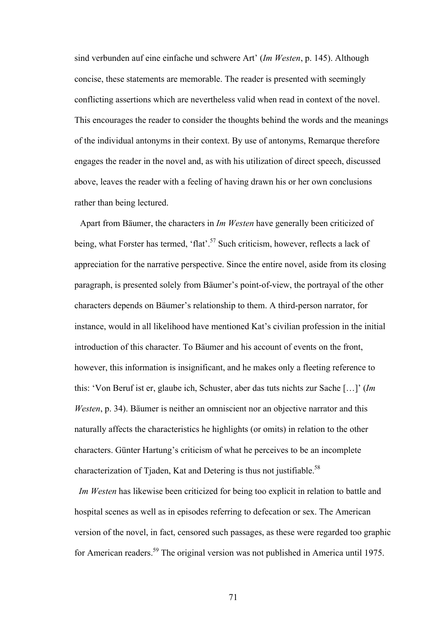sind verbunden auf eine einfache und schwere Art' (*Im Westen*, p. 145). Although concise, these statements are memorable. The reader is presented with seemingly conflicting assertions which are nevertheless valid when read in context of the novel. This encourages the reader to consider the thoughts behind the words and the meanings of the individual antonyms in their context. By use of antonyms, Remarque therefore engages the reader in the novel and, as with his utilization of direct speech, discussed above, leaves the reader with a feeling of having drawn his or her own conclusions rather than being lectured.

Apart from Bäumer, the characters in *Im Westen* have generally been criticized of being, what Forster has termed, 'flat'.<sup>57</sup> Such criticism, however, reflects a lack of appreciation for the narrative perspective. Since the entire novel, aside from its closing paragraph, is presented solely from Bäumer's point-of-view, the portrayal of the other characters depends on Bäumer's relationship to them. A third-person narrator, for instance, would in all likelihood have mentioned Kat's civilian profession in the initial introduction of this character. To Bäumer and his account of events on the front, however, this information is insignificant, and he makes only a fleeting reference to this: 'Von Beruf ist er, glaube ich, Schuster, aber das tuts nichts zur Sache […]' (*Im Westen*, p. 34). Bäumer is neither an omniscient nor an objective narrator and this naturally affects the characteristics he highlights (or omits) in relation to the other characters. Günter Hartung's criticism of what he perceives to be an incomplete characterization of Tjaden, Kat and Detering is thus not justifiable.<sup>58</sup>

 *Im Westen* has likewise been criticized for being too explicit in relation to battle and hospital scenes as well as in episodes referring to defecation or sex. The American version of the novel, in fact, censored such passages, as these were regarded too graphic for American readers.59 The original version was not published in America until 1975.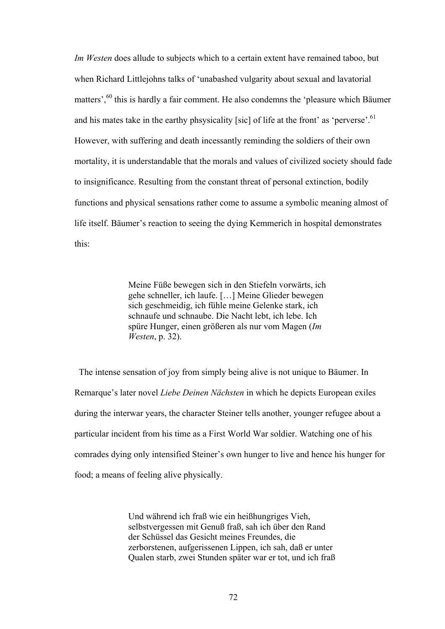*Im Westen* does allude to subjects which to a certain extent have remained taboo, but when Richard Littlejohns talks of 'unabashed vulgarity about sexual and lavatorial matters'.<sup>60</sup> this is hardly a fair comment. He also condemns the 'pleasure which Bäumer and his mates take in the earthy phsysicality [sic] of life at the front' as 'perverse'.<sup>61</sup> However, with suffering and death incessantly reminding the soldiers of their own mortality, it is understandable that the morals and values of civilized society should fade to insignificance. Resulting from the constant threat of personal extinction, bodily functions and physical sensations rather come to assume a symbolic meaning almost of life itself. Bäumer's reaction to seeing the dying Kemmerich in hospital demonstrates this:

> Meine Füße bewegen sich in den Stiefeln vorwärts, ich gehe schneller, ich laufe. […] Meine Glieder bewegen sich geschmeidig, ich fühle meine Gelenke stark, ich schnaufe und schnaube. Die Nacht lebt, ich lebe. Ich spüre Hunger, einen größeren als nur vom Magen (*Im Westen*, p. 32).

 The intense sensation of joy from simply being alive is not unique to Bäumer. In Remarque's later novel *Liebe Deinen Nächsten* in which he depicts European exiles during the interwar years, the character Steiner tells another, younger refugee about a particular incident from his time as a First World War soldier. Watching one of his comrades dying only intensified Steiner's own hunger to live and hence his hunger for food; a means of feeling alive physically.

> Und während ich fraß wie ein heißhungriges Vieh, selbstvergessen mit Genuß fraß, sah ich über den Rand der Schüssel das Gesicht meines Freundes, die zerborstenen, aufgerissenen Lippen, ich sah, daß er unter Qualen starb, zwei Stunden später war er tot, und ich fraß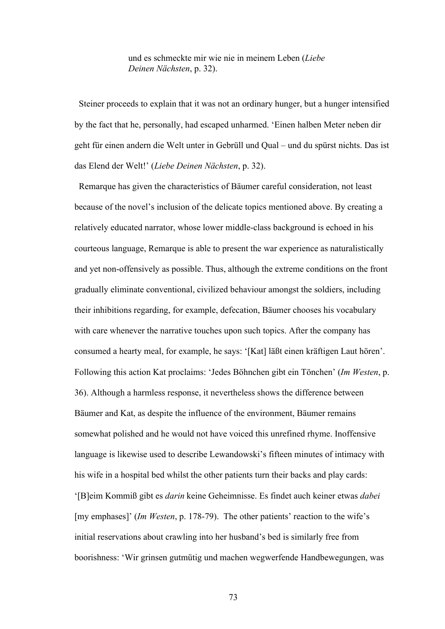und es schmeckte mir wie nie in meinem Leben (*Liebe Deinen Nächsten*, p. 32).

 Steiner proceeds to explain that it was not an ordinary hunger, but a hunger intensified by the fact that he, personally, had escaped unharmed. 'Einen halben Meter neben dir geht für einen andern die Welt unter in Gebrüll und Qual – und du spürst nichts. Das ist das Elend der Welt!' (*Liebe Deinen Nächsten*, p. 32).

Remarque has given the characteristics of Bäumer careful consideration, not least because of the novel's inclusion of the delicate topics mentioned above. By creating a relatively educated narrator, whose lower middle-class background is echoed in his courteous language, Remarque is able to present the war experience as naturalistically and yet non-offensively as possible. Thus, although the extreme conditions on the front gradually eliminate conventional, civilized behaviour amongst the soldiers, including their inhibitions regarding, for example, defecation, Bäumer chooses his vocabulary with care whenever the narrative touches upon such topics. After the company has consumed a hearty meal, for example, he says: '[Kat] läßt einen kräftigen Laut hören'. Following this action Kat proclaims: 'Jedes Böhnchen gibt ein Tönchen' (*Im Westen*, p. 36). Although a harmless response, it nevertheless shows the difference between Bäumer and Kat, as despite the influence of the environment, Bäumer remains somewhat polished and he would not have voiced this unrefined rhyme. Inoffensive language is likewise used to describe Lewandowski's fifteen minutes of intimacy with his wife in a hospital bed whilst the other patients turn their backs and play cards: '[B]eim Kommiß gibt es *darin* keine Geheimnisse. Es findet auch keiner etwas *dabei* [my emphases]' (*Im Westen*, p. 178-79). The other patients' reaction to the wife's initial reservations about crawling into her husband's bed is similarly free from boorishness: 'Wir grinsen gutmütig und machen wegwerfende Handbewegungen, was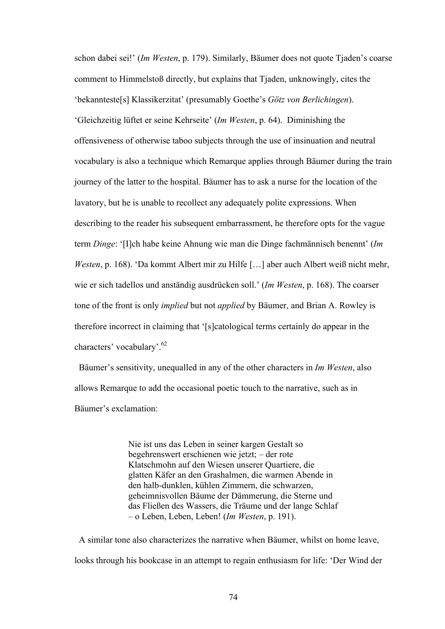schon dabei sei!' (*Im Westen*, p. 179). Similarly, Bäumer does not quote Tjaden's coarse comment to Himmelstoß directly, but explains that Tjaden, unknowingly, cites the 'bekannteste[s] Klassikerzitat' (presumably Goethe's *Götz von Berlichingen*). 'Gleichzeitig lüftet er seine Kehrseite' (*Im Westen*, p. 64). Diminishing the offensiveness of otherwise taboo subjects through the use of insinuation and neutral vocabulary is also a technique which Remarque applies through Bäumer during the train journey of the latter to the hospital. Bäumer has to ask a nurse for the location of the lavatory, but he is unable to recollect any adequately polite expressions. When describing to the reader his subsequent embarrassment, he therefore opts for the vague term *Dinge*: '[I]ch habe keine Ahnung wie man die Dinge fachmännisch benennt' (*Im Westen*, p. 168). 'Da kommt Albert mir zu Hilfe […] aber auch Albert weiß nicht mehr, wie er sich tadellos und anständig ausdrücken soll.' (*Im Westen*, p. 168). The coarser tone of the front is only *implied* but not *applied* by Bäumer, and Brian A. Rowley is therefore incorrect in claiming that '[s]catological terms certainly do appear in the characters' vocabulary'.62

 Bäumer's sensitivity, unequalled in any of the other characters in *Im Westen*, also allows Remarque to add the occasional poetic touch to the narrative, such as in Bäumer's exclamation:

> Nie ist uns das Leben in seiner kargen Gestalt so begehrenswert erschienen wie jetzt; – der rote Klatschmohn auf den Wiesen unserer Quartiere, die glatten Käfer an den Grashalmen, die warmen Abende in den halb-dunklen, kühlen Zimmern, die schwarzen, geheimnisvollen Bäume der Dämmerung, die Sterne und das Fließen des Wassers, die Träume und der lange Schlaf – o Leben, Leben, Leben! (*Im Westen*, p. 191).

A similar tone also characterizes the narrative when Bäumer, whilst on home leave, looks through his bookcase in an attempt to regain enthusiasm for life: 'Der Wind der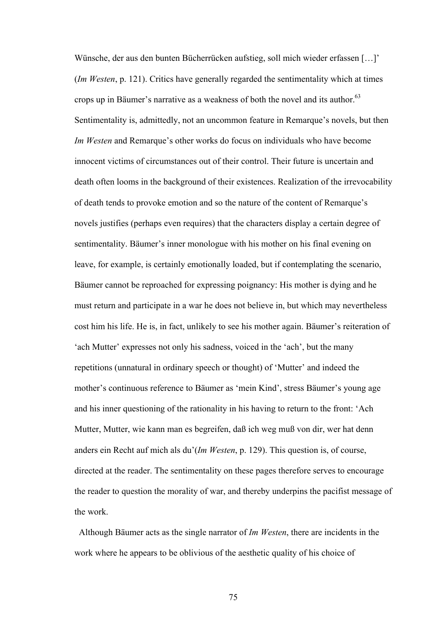Wünsche, der aus den bunten Bücherrücken aufstieg, soll mich wieder erfassen […]' (*Im Westen*, p. 121). Critics have generally regarded the sentimentality which at times crops up in Bäumer's narrative as a weakness of both the novel and its author. $63$ Sentimentality is, admittedly, not an uncommon feature in Remarque's novels, but then *Im Westen* and Remarque's other works do focus on individuals who have become innocent victims of circumstances out of their control. Their future is uncertain and death often looms in the background of their existences. Realization of the irrevocability of death tends to provoke emotion and so the nature of the content of Remarque's novels justifies (perhaps even requires) that the characters display a certain degree of sentimentality. Bäumer's inner monologue with his mother on his final evening on leave, for example, is certainly emotionally loaded, but if contemplating the scenario, Bäumer cannot be reproached for expressing poignancy: His mother is dying and he must return and participate in a war he does not believe in, but which may nevertheless cost him his life. He is, in fact, unlikely to see his mother again. Bäumer's reiteration of 'ach Mutter' expresses not only his sadness, voiced in the 'ach', but the many repetitions (unnatural in ordinary speech or thought) of 'Mutter' and indeed the mother's continuous reference to Bäumer as 'mein Kind', stress Bäumer's young age and his inner questioning of the rationality in his having to return to the front: 'Ach Mutter, Mutter, wie kann man es begreifen, daß ich weg muß von dir, wer hat denn anders ein Recht auf mich als du'(*Im Westen*, p. 129). This question is, of course, directed at the reader. The sentimentality on these pages therefore serves to encourage the reader to question the morality of war, and thereby underpins the pacifist message of the work.

 Although Bäumer acts as the single narrator of *Im Westen*, there are incidents in the work where he appears to be oblivious of the aesthetic quality of his choice of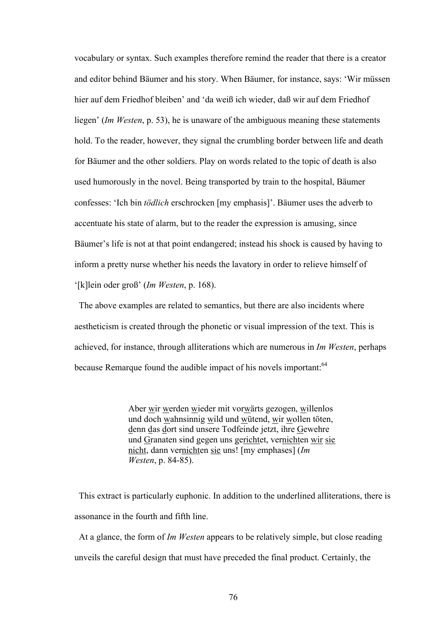vocabulary or syntax. Such examples therefore remind the reader that there is a creator and editor behind Bäumer and his story. When Bäumer, for instance, says: 'Wir müssen hier auf dem Friedhof bleiben' and 'da weiß ich wieder, daß wir auf dem Friedhof liegen' (*Im Westen*, p. 53), he is unaware of the ambiguous meaning these statements hold. To the reader, however, they signal the crumbling border between life and death for Bäumer and the other soldiers. Play on words related to the topic of death is also used humorously in the novel. Being transported by train to the hospital, Bäumer confesses: 'Ich bin *tödlich* erschrocken [my emphasis]'. Bäumer uses the adverb to accentuate his state of alarm, but to the reader the expression is amusing, since Bäumer's life is not at that point endangered; instead his shock is caused by having to inform a pretty nurse whether his needs the lavatory in order to relieve himself of '[k]lein oder groß' (*Im Westen*, p. 168).

 The above examples are related to semantics, but there are also incidents where aestheticism is created through the phonetic or visual impression of the text. This is achieved, for instance, through alliterations which are numerous in *Im Westen*, perhaps because Remarque found the audible impact of his novels important:<sup>64</sup>

> Aber wir werden wieder mit vorwärts gezogen, willenlos und doch wahnsinnig wild und wütend, wir wollen töten, denn das dort sind unsere Todfeinde jetzt, ihre Gewehre und Granaten sind gegen uns gerichtet, vernichten wir sie nicht, dann vernichten sie uns! [my emphases] (*Im Westen*, p. 84-85).

 This extract is particularly euphonic. In addition to the underlined alliterations, there is assonance in the fourth and fifth line.

 At a glance, the form of *Im Westen* appears to be relatively simple, but close reading unveils the careful design that must have preceded the final product. Certainly, the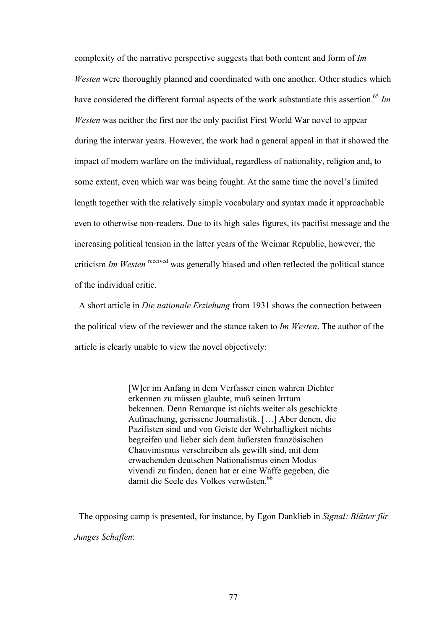complexity of the narrative perspective suggests that both content and form of *Im Westen* were thoroughly planned and coordinated with one another. Other studies which have considered the different formal aspects of the work substantiate this assertion.<sup>65</sup> *Im Westen* was neither the first nor the only pacifist First World War novel to appear during the interwar years. However, the work had a general appeal in that it showed the impact of modern warfare on the individual, regardless of nationality, religion and, to some extent, even which war was being fought. At the same time the novel's limited length together with the relatively simple vocabulary and syntax made it approachable even to otherwise non-readers. Due to its high sales figures, its pacifist message and the increasing political tension in the latter years of the Weimar Republic, however, the criticism *Im Westen* received was generally biased and often reflected the political stance of the individual critic.

 A short article in *Die nationale Erziehung* from 1931 shows the connection between the political view of the reviewer and the stance taken to *Im Westen*. The author of the article is clearly unable to view the novel objectively:

> [W]er im Anfang in dem Verfasser einen wahren Dichter erkennen zu müssen glaubte, muß seinen Irrtum bekennen. Denn Remarque ist nichts weiter als geschickte Aufmachung, gerissene Journalistik. […] Aber denen, die Pazifisten sind und von Geiste der Wehrhaftigkeit nichts begreifen und lieber sich dem äußersten französischen Chauvinismus verschreiben als gewillt sind, mit dem erwachenden deutschen Nationalismus einen Modus vivendi zu finden, denen hat er eine Waffe gegeben, die damit die Seele des Volkes verwüsten.<sup>66</sup>

 The opposing camp is presented, for instance, by Egon Danklieb in *Signal: Blätter für Junges Schaffen*: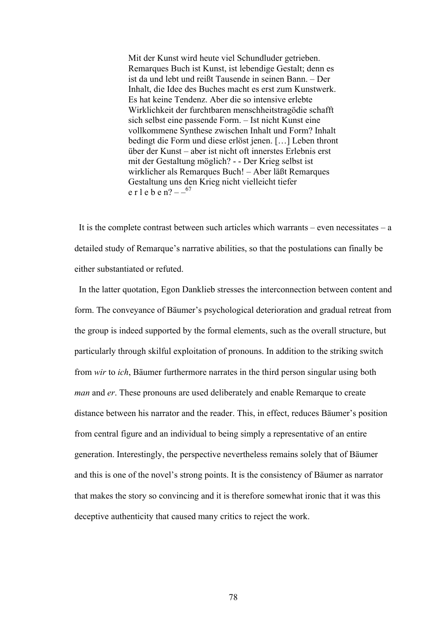Mit der Kunst wird heute viel Schundluder getrieben. Remarques Buch ist Kunst, ist lebendige Gestalt; denn es ist da und lebt und reißt Tausende in seinen Bann. – Der Inhalt, die Idee des Buches macht es erst zum Kunstwerk. Es hat keine Tendenz. Aber die so intensive erlebte Wirklichkeit der furchtbaren menschheitstragödie schafft sich selbst eine passende Form. – Ist nicht Kunst eine vollkommene Synthese zwischen Inhalt und Form? Inhalt bedingt die Form und diese erlöst jenen. […] Leben thront über der Kunst – aber ist nicht oft innerstes Erlebnis erst mit der Gestaltung möglich? - - Der Krieg selbst ist wirklicher als Remarques Buch! – Aber läßt Remarques Gestaltung uns den Krieg nicht vielleicht tiefer e r l e b e n?  $-$  –  $-$  67

It is the complete contrast between such articles which warrants – even necessitates –  $a$ detailed study of Remarque's narrative abilities, so that the postulations can finally be either substantiated or refuted.

 In the latter quotation, Egon Danklieb stresses the interconnection between content and form. The conveyance of Bäumer's psychological deterioration and gradual retreat from the group is indeed supported by the formal elements, such as the overall structure, but particularly through skilful exploitation of pronouns. In addition to the striking switch from *wir* to *ich*, Bäumer furthermore narrates in the third person singular using both *man* and *er*. These pronouns are used deliberately and enable Remarque to create distance between his narrator and the reader. This, in effect, reduces Bäumer's position from central figure and an individual to being simply a representative of an entire generation. Interestingly, the perspective nevertheless remains solely that of Bäumer and this is one of the novel's strong points. It is the consistency of Bäumer as narrator that makes the story so convincing and it is therefore somewhat ironic that it was this deceptive authenticity that caused many critics to reject the work.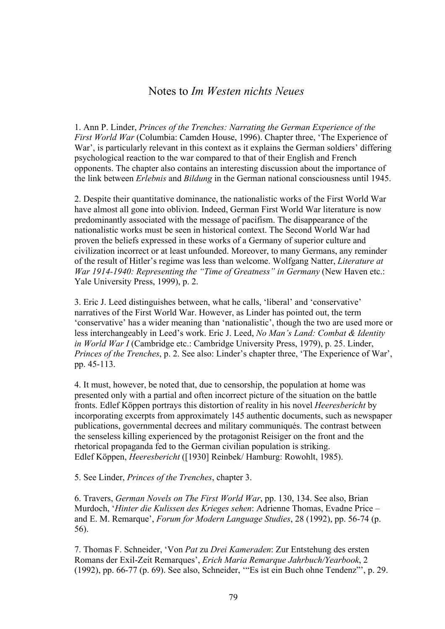## Notes to *Im Westen nichts Neues*

1. Ann P. Linder, *Princes of the Trenches: Narrating the German Experience of the First World War* (Columbia: Camden House, 1996). Chapter three, 'The Experience of War', is particularly relevant in this context as it explains the German soldiers' differing psychological reaction to the war compared to that of their English and French opponents. The chapter also contains an interesting discussion about the importance of the link between *Erlebnis* and *Bildung* in the German national consciousness until 1945.

2. Despite their quantitative dominance, the nationalistic works of the First World War have almost all gone into oblivion. Indeed, German First World War literature is now predominantly associated with the message of pacifism. The disappearance of the nationalistic works must be seen in historical context. The Second World War had proven the beliefs expressed in these works of a Germany of superior culture and civilization incorrect or at least unfounded. Moreover, to many Germans, any reminder of the result of Hitler's regime was less than welcome. Wolfgang Natter, *Literature at War 1914-1940: Representing the "Time of Greatness" in Germany* (New Haven etc.: Yale University Press, 1999), p. 2.

3. Eric J. Leed distinguishes between, what he calls, 'liberal' and 'conservative' narratives of the First World War. However, as Linder has pointed out, the term 'conservative' has a wider meaning than 'nationalistic', though the two are used more or less interchangeably in Leed's work. Eric J. Leed, *No Man's Land: Combat & Identity in World War I* (Cambridge etc.: Cambridge University Press, 1979), p. 25. Linder, *Princes of the Trenches*, p. 2. See also: Linder's chapter three, 'The Experience of War', pp. 45-113.

4. It must, however, be noted that, due to censorship, the population at home was presented only with a partial and often incorrect picture of the situation on the battle fronts. Edlef Köppen portrays this distortion of reality in his novel *Heeresbericht* by incorporating excerpts from approximately 145 authentic documents, such as newspaper publications, governmental decrees and military communiqués. The contrast between the senseless killing experienced by the protagonist Reisiger on the front and the rhetorical propaganda fed to the German civilian population is striking. Edlef Köppen, *Heeresbericht* ([1930] Reinbek/ Hamburg: Rowohlt, 1985).

5. See Linder, *Princes of the Trenches*, chapter 3.

6. Travers, *German Novels on The First World War*, pp. 130, 134. See also, Brian Murdoch, '*Hinter die Kulissen des Krieges sehen*: Adrienne Thomas, Evadne Price – and E. M. Remarque', *Forum for Modern Language Studies*, 28 (1992), pp. 56-74 (p. 56).

7. Thomas F. Schneider, 'Von *Pat* zu *Drei Kameraden*: Zur Entstehung des ersten Romans der Exil-Zeit Remarques', *Erich Maria Remarque Jahrbuch/Yearbook*, 2 (1992), pp. 66-77 (p. 69). See also, Schneider, '"Es ist ein Buch ohne Tendenz"', p. 29.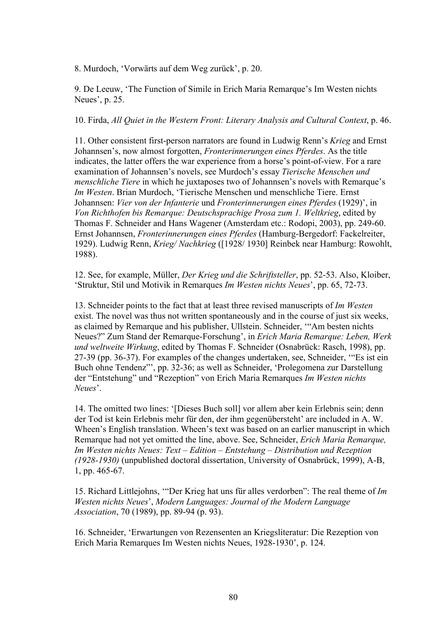8. Murdoch, 'Vorwärts auf dem Weg zurück', p. 20.

9. De Leeuw, 'The Function of Simile in Erich Maria Remarque's Im Westen nichts Neues', p. 25.

10. Firda, *All Quiet in the Western Front: Literary Analysis and Cultural Context*, p. 46.

11. Other consistent first-person narrators are found in Ludwig Renn's *Krieg* and Ernst Johannsen's, now almost forgotten, *Fronterinnerungen eines Pferdes*. As the title indicates, the latter offers the war experience from a horse's point-of-view. For a rare examination of Johannsen's novels, see Murdoch's essay *Tierische Menschen und menschliche Tiere* in which he juxtaposes two of Johannsen's novels with Remarque's *Im Westen*. Brian Murdoch, 'Tierische Menschen und menschliche Tiere. Ernst Johannsen: *Vier von der Infanterie* und *Fronterinnerungen eines Pferdes* (1929)', in *Von Richthofen bis Remarque: Deutschsprachige Prosa zum 1. Weltkrieg*, edited by Thomas F. Schneider and Hans Wagener (Amsterdam etc.: Rodopi, 2003), pp. 249-60. Ernst Johannsen, *Fronterinnerungen eines Pferdes* (Hamburg-Bergedorf: Fackelreiter, 1929). Ludwig Renn, *Krieg/ Nachkrieg* ([1928/ 1930] Reinbek near Hamburg: Rowohlt, 1988).

12. See, for example, Müller, *Der Krieg und die Schriftsteller*, pp. 52-53. Also, Kloiber, 'Struktur, Stil und Motivik in Remarques *Im Westen nichts Neues*', pp. 65, 72-73.

13. Schneider points to the fact that at least three revised manuscripts of *Im Westen* exist. The novel was thus not written spontaneously and in the course of just six weeks, as claimed by Remarque and his publisher, Ullstein. Schneider, '"Am besten nichts Neues?" Zum Stand der Remarque-Forschung', in *Erich Maria Remarque: Leben, Werk und weltweite Wirkung*, edited by Thomas F. Schneider (Osnabrück: Rasch, 1998), pp. 27-39 (pp. 36-37). For examples of the changes undertaken, see, Schneider, '"Es ist ein Buch ohne Tendenz"', pp. 32-36; as well as Schneider, 'Prolegomena zur Darstellung der "Entstehung" und "Rezeption" von Erich Maria Remarques *Im Westen nichts Neues*'.

14. The omitted two lines: '[Dieses Buch soll] vor allem aber kein Erlebnis sein; denn der Tod ist kein Erlebnis mehr für den, der ihm gegenübersteht' are included in A. W. Wheen's English translation. Wheen's text was based on an earlier manuscript in which Remarque had not yet omitted the line, above. See, Schneider, *Erich Maria Remarque, Im Westen nichts Neues: Text – Edition – Entstehung – Distribution und Rezeption (1928-1930)* (unpublished doctoral dissertation, University of Osnabrück, 1999), A-B, 1, pp. 465-67.

15. Richard Littlejohns, '"Der Krieg hat uns für alles verdorben": The real theme of *Im Westen nichts Neues*', *Modern Languages: Journal of the Modern Language Association*, 70 (1989), pp. 89-94 (p. 93).

16. Schneider, 'Erwartungen von Rezensenten an Kriegsliteratur: Die Rezeption von Erich Maria Remarques Im Westen nichts Neues, 1928-1930', p. 124.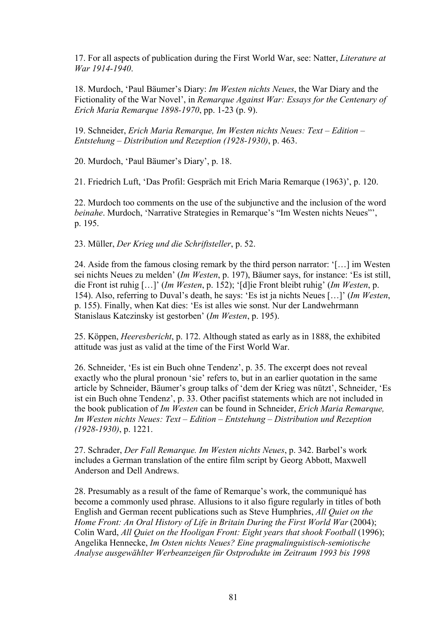17. For all aspects of publication during the First World War, see: Natter, *Literature at War 1914-1940*.

18. Murdoch, 'Paul Bäumer's Diary: *Im Westen nichts Neues*, the War Diary and the Fictionality of the War Novel', in *Remarque Against War: Essays for the Centenary of Erich Maria Remarque 1898-1970*, pp. 1-23 (p. 9).

19. Schneider, *Erich Maria Remarque, Im Westen nichts Neues: Text – Edition – Entstehung – Distribution und Rezeption (1928-1930)*, p. 463.

20. Murdoch, 'Paul Bäumer's Diary', p. 18.

21. Friedrich Luft, 'Das Profil: Gespräch mit Erich Maria Remarque (1963)', p. 120.

22. Murdoch too comments on the use of the subjunctive and the inclusion of the word *beinahe*. Murdoch, 'Narrative Strategies in Remarque's "Im Westen nichts Neues"', p. 195.

23. Müller, *Der Krieg und die Schriftsteller*, p. 52.

24. Aside from the famous closing remark by the third person narrator: '[…] im Westen sei nichts Neues zu melden' (*Im Westen*, p. 197), Bäumer says, for instance: 'Es ist still, die Front ist ruhig […]' (*Im Westen*, p. 152); '[d]ie Front bleibt ruhig' (*Im Westen*, p. 154). Also, referring to Duval's death, he says: 'Es ist ja nichts Neues […]' (*Im Westen*, p. 155). Finally, when Kat dies: 'Es ist alles wie sonst. Nur der Landwehrmann Stanislaus Katczinsky ist gestorben' (*Im Westen*, p. 195).

25. Köppen, *Heeresbericht*, p. 172. Although stated as early as in 1888, the exhibited attitude was just as valid at the time of the First World War.

26. Schneider, 'Es ist ein Buch ohne Tendenz', p. 35. The excerpt does not reveal exactly who the plural pronoun 'sie' refers to, but in an earlier quotation in the same article by Schneider, Bäumer's group talks of 'dem der Krieg was nützt', Schneider, 'Es ist ein Buch ohne Tendenz', p. 33. Other pacifist statements which are not included in the book publication of *Im Westen* can be found in Schneider, *Erich Maria Remarque, Im Westen nichts Neues: Text – Edition – Entstehung – Distribution und Rezeption (1928-1930)*, p. 1221.

27. Schrader, *Der Fall Remarque. Im Westen nichts Neues*, p. 342. Barbel's work includes a German translation of the entire film script by Georg Abbott, Maxwell Anderson and Dell Andrews.

28. Presumably as a result of the fame of Remarque's work, the communiqué has become a commonly used phrase. Allusions to it also figure regularly in titles of both English and German recent publications such as Steve Humphries, *All Quiet on the Home Front: An Oral History of Life in Britain During the First World War* (2004); Colin Ward, *All Quiet on the Hooligan Front: Eight years that shook Football* (1996); Angelika Hennecke, *Im Osten nichts Neues? Eine pragmalinguistisch-semiotische Analyse ausgewählter Werbeanzeigen für Ostprodukte im Zeitraum 1993 bis 1998*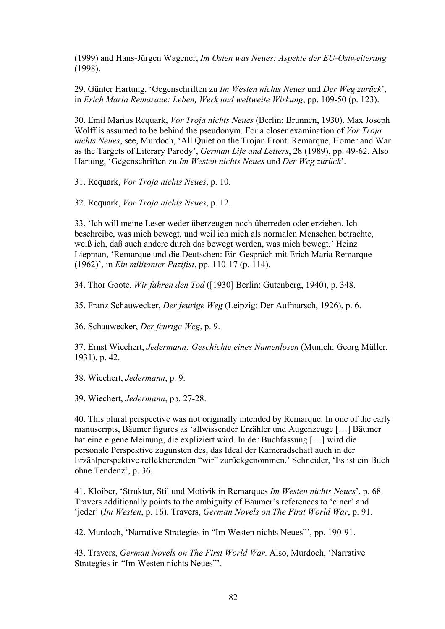(1999) and Hans-Jürgen Wagener, *Im Osten was Neues: Aspekte der EU-Ostweiterung* (1998).

29. Günter Hartung, 'Gegenschriften zu *Im Westen nichts Neues* und *Der Weg zurück*', in *Erich Maria Remarque: Leben, Werk und weltweite Wirkung*, pp. 109-50 (p. 123).

30. Emil Marius Requark, *Vor Troja nichts Neues* (Berlin: Brunnen, 1930). Max Joseph Wolff is assumed to be behind the pseudonym. For a closer examination of *Vor Troja nichts Neues*, see, Murdoch, 'All Quiet on the Trojan Front: Remarque, Homer and War as the Targets of Literary Parody', *German Life and Letters*, 28 (1989), pp. 49-62. Also Hartung, 'Gegenschriften zu *Im Westen nichts Neues* und *Der Weg zurück*'.

31. Requark, *Vor Troja nichts Neues*, p. 10.

32. Requark, *Vor Troja nichts Neues*, p. 12.

33. 'Ich will meine Leser weder überzeugen noch überreden oder erziehen. Ich beschreibe, was mich bewegt, und weil ich mich als normalen Menschen betrachte, weiß ich, daß auch andere durch das bewegt werden, was mich bewegt.' Heinz Liepman, 'Remarque und die Deutschen: Ein Gespräch mit Erich Maria Remarque (1962)', in *Ein militanter Pazifist*, pp. 110-17 (p. 114).

34. Thor Goote, *Wir fahren den Tod* ([1930] Berlin: Gutenberg, 1940), p. 348.

35. Franz Schauwecker, *Der feurige Weg* (Leipzig: Der Aufmarsch, 1926), p. 6.

36. Schauwecker, *Der feurige Weg*, p. 9.

37. Ernst Wiechert, *Jedermann: Geschichte eines Namenlosen* (Munich: Georg Müller, 1931), p. 42.

38. Wiechert, *Jedermann*, p. 9.

39. Wiechert, *Jedermann*, pp. 27-28.

40. This plural perspective was not originally intended by Remarque. In one of the early manuscripts, Bäumer figures as 'allwissender Erzähler und Augenzeuge […] Bäumer hat eine eigene Meinung, die expliziert wird. In der Buchfassung […] wird die personale Perspektive zugunsten des, das Ideal der Kameradschaft auch in der Erzählperspektive reflektierenden "wir" zurückgenommen.' Schneider, 'Es ist ein Buch ohne Tendenz', p. 36.

41. Kloiber, 'Struktur, Stil und Motivik in Remarques *Im Westen nichts Neues*', p. 68. Travers additionally points to the ambiguity of Bäumer's references to 'einer' and 'jeder' (*Im Westen*, p. 16). Travers, *German Novels on The First World War*, p. 91.

42. Murdoch, 'Narrative Strategies in "Im Westen nichts Neues"', pp. 190-91.

43. Travers, *German Novels on The First World War*. Also, Murdoch, 'Narrative Strategies in "Im Westen nichts Neues"'.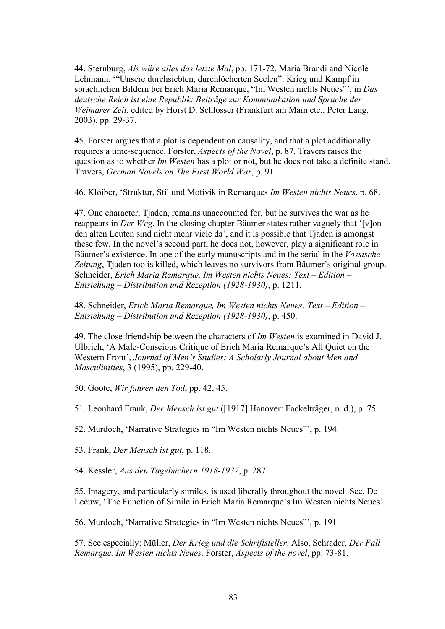44. Sternburg, *Als wäre alles das letzte Mal*, pp. 171-72. Maria Brandi and Nicole Lehmann, '"Unsere durchsiebten, durchlöcherten Seelen": Krieg und Kampf in sprachlichen Bildern bei Erich Maria Remarque, "Im Westen nichts Neues"', in *Das deutsche Reich ist eine Republik: Beiträge zur Kommunikation und Sprache der Weimarer Zeit*, edited by Horst D. Schlosser (Frankfurt am Main etc.: Peter Lang, 2003), pp. 29-37.

45. Forster argues that a plot is dependent on causality, and that a plot additionally requires a time-sequence. Forster, *Aspects of the Novel*, p. 87. Travers raises the question as to whether *Im Westen* has a plot or not, but he does not take a definite stand. Travers, *German Novels on The First World War*, p. 91.

46. Kloiber, 'Struktur, Stil und Motivik in Remarques *Im Westen nichts Neues*, p. 68.

47. One character, Tjaden, remains unaccounted for, but he survives the war as he reappears in *Der Weg*. In the closing chapter Bäumer states rather vaguely that '[v]on den alten Leuten sind nicht mehr viele da', and it is possible that Tjaden is amongst these few. In the novel's second part, he does not, however, play a significant role in Bäumer's existence. In one of the early manuscripts and in the serial in the *Vossische Zeitung*, Tjaden too is killed, which leaves no survivors from Bäumer's original group. Schneider, *Erich Maria Remarque, Im Westen nichts Neues: Text – Edition – Entstehung – Distribution und Rezeption (1928-1930)*, p. 1211.

48. Schneider, *Erich Maria Remarque, Im Westen nichts Neues: Text – Edition – Entstehung – Distribution und Rezeption (1928-1930)*, p. 450.

49. The close friendship between the characters of *Im Westen* is examined in David J. Ulbrich, 'A Male-Conscious Critique of Erich Maria Remarque's All Quiet on the Western Front', *Journal of Men's Studies: A Scholarly Journal about Men and Masculinities*, 3 (1995), pp. 229-40.

50. Goote, *Wir fahren den Tod*, pp. 42, 45.

51. Leonhard Frank, *Der Mensch ist gut* ([1917] Hanover: Fackelträger, n. d.), p. 75.

52. Murdoch, 'Narrative Strategies in "Im Westen nichts Neues"', p. 194.

53. Frank, *Der Mensch ist gut*, p. 118.

54. Kessler, *Aus den Tagebüchern 1918-1937*, p. 287.

55. Imagery, and particularly similes, is used liberally throughout the novel. See, De Leeuw, 'The Function of Simile in Erich Maria Remarque's Im Westen nichts Neues'.

56. Murdoch, 'Narrative Strategies in "Im Westen nichts Neues"', p. 191.

57. See especially: Müller, *Der Krieg und die Schriftsteller*. Also, Schrader, *Der Fall Remarque. Im Westen nichts Neues*. Forster, *Aspects of the novel*, pp. 73-81.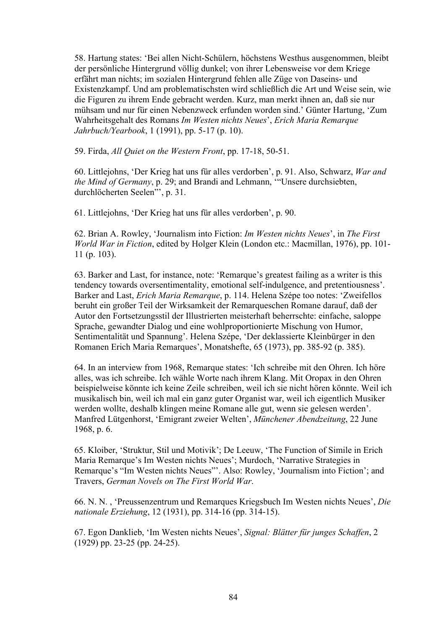58. Hartung states: 'Bei allen Nicht-Schülern, höchstens Westhus ausgenommen, bleibt der persönliche Hintergrund völlig dunkel; von ihrer Lebensweise vor dem Kriege erfährt man nichts; im sozialen Hintergrund fehlen alle Züge von Daseins- und Existenzkampf. Und am problematischsten wird schließlich die Art und Weise sein, wie die Figuren zu ihrem Ende gebracht werden. Kurz, man merkt ihnen an, daß sie nur mühsam und nur für einen Nebenzweck erfunden worden sind.' Günter Hartung, 'Zum Wahrheitsgehalt des Romans *Im Westen nichts Neues*', *Erich Maria Remarque Jahrbuch/Yearbook*, 1 (1991), pp. 5-17 (p. 10).

59. Firda, *All Quiet on the Western Front*, pp. 17-18, 50-51.

60. Littlejohns, 'Der Krieg hat uns für alles verdorben', p. 91. Also, Schwarz, *War and the Mind of Germany*, p. 29; and Brandi and Lehmann, '"Unsere durchsiebten, durchlöcherten Seelen"', p. 31.

61. Littlejohns, 'Der Krieg hat uns für alles verdorben', p. 90.

62. Brian A. Rowley, 'Journalism into Fiction: *Im Westen nichts Neues*', in *The First World War in Fiction*, edited by Holger Klein (London etc.: Macmillan, 1976), pp. 101- 11 (p. 103).

63. Barker and Last, for instance, note: 'Remarque's greatest failing as a writer is this tendency towards oversentimentality, emotional self-indulgence, and pretentiousness'. Barker and Last, *Erich Maria Remarque*, p. 114. Helena Szépe too notes: 'Zweifellos beruht ein großer Teil der Wirksamkeit der Remarqueschen Romane darauf, daß der Autor den Fortsetzungsstil der Illustrierten meisterhaft beherrschte: einfache, saloppe Sprache, gewandter Dialog und eine wohlproportionierte Mischung von Humor, Sentimentalität und Spannung'. Helena Szépe, 'Der deklassierte Kleinbürger in den Romanen Erich Maria Remarques', Monatshefte, 65 (1973), pp. 385-92 (p. 385).

64. In an interview from 1968, Remarque states: 'Ich schreibe mit den Ohren. Ich höre alles, was ich schreibe. Ich wähle Worte nach ihrem Klang. Mit Oropax in den Ohren beispielweise könnte ich keine Zeile schreiben, weil ich sie nicht hören könnte. Weil ich musikalisch bin, weil ich mal ein ganz guter Organist war, weil ich eigentlich Musiker werden wollte, deshalb klingen meine Romane alle gut, wenn sie gelesen werden'. Manfred Lütgenhorst, 'Emigrant zweier Welten', *Münchener Abendzeitung*, 22 June 1968, p. 6.

65. Kloiber, 'Struktur, Stil und Motivik'; De Leeuw, 'The Function of Simile in Erich Maria Remarque's Im Westen nichts Neues'; Murdoch, 'Narrative Strategies in Remarque's "Im Westen nichts Neues"'. Also: Rowley, 'Journalism into Fiction'; and Travers, *German Novels on The First World War*.

66. N. N. , 'Preussenzentrum und Remarques Kriegsbuch Im Westen nichts Neues', *Die nationale Erziehung*, 12 (1931), pp. 314-16 (pp. 314-15).

67. Egon Danklieb, 'Im Westen nichts Neues', *Signal: Blätter für junges Schaffen*, 2 (1929) pp. 23-25 (pp. 24-25).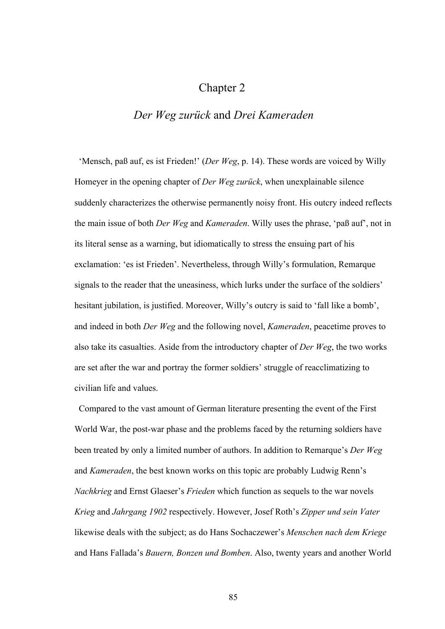## Chapter 2

## *Der Weg zurück* and *Drei Kameraden*

 'Mensch, paß auf, es ist Frieden!' (*Der Weg*, p. 14). These words are voiced by Willy Homeyer in the opening chapter of *Der Weg zurück*, when unexplainable silence suddenly characterizes the otherwise permanently noisy front. His outcry indeed reflects the main issue of both *Der Weg* and *Kameraden*. Willy uses the phrase, 'paß auf', not in its literal sense as a warning, but idiomatically to stress the ensuing part of his exclamation: 'es ist Frieden'. Nevertheless, through Willy's formulation, Remarque signals to the reader that the uneasiness, which lurks under the surface of the soldiers' hesitant jubilation, is justified. Moreover, Willy's outcry is said to 'fall like a bomb', and indeed in both *Der Weg* and the following novel, *Kameraden*, peacetime proves to also take its casualties. Aside from the introductory chapter of *Der Weg*, the two works are set after the war and portray the former soldiers' struggle of reacclimatizing to civilian life and values.

 Compared to the vast amount of German literature presenting the event of the First World War, the post-war phase and the problems faced by the returning soldiers have been treated by only a limited number of authors. In addition to Remarque's *Der Weg* and *Kameraden*, the best known works on this topic are probably Ludwig Renn's *Nachkrieg* and Ernst Glaeser's *Frieden* which function as sequels to the war novels *Krieg* and *Jahrgang 1902* respectively. However, Josef Roth's *Zipper und sein Vater* likewise deals with the subject; as do Hans Sochaczewer's *Menschen nach dem Kriege* and Hans Fallada's *Bauern, Bonzen und Bomben*. Also, twenty years and another World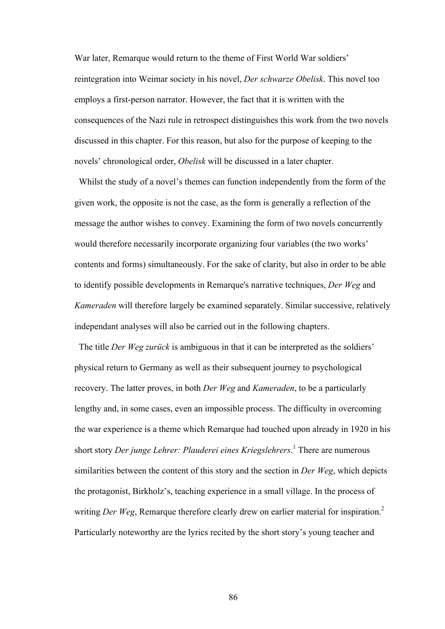War later, Remarque would return to the theme of First World War soldiers' reintegration into Weimar society in his novel, *Der schwarze Obelisk*. This novel too employs a first-person narrator. However, the fact that it is written with the consequences of the Nazi rule in retrospect distinguishes this work from the two novels discussed in this chapter. For this reason, but also for the purpose of keeping to the novels' chronological order, *Obelisk* will be discussed in a later chapter.

 Whilst the study of a novel's themes can function independently from the form of the given work, the opposite is not the case, as the form is generally a reflection of the message the author wishes to convey. Examining the form of two novels concurrently would therefore necessarily incorporate organizing four variables (the two works' contents and forms) simultaneously. For the sake of clarity, but also in order to be able to identify possible developments in Remarque's narrative techniques, *Der Weg* and *Kameraden* will therefore largely be examined separately. Similar successive, relatively independant analyses will also be carried out in the following chapters.

 The title *Der Weg zurück* is ambiguous in that it can be interpreted as the soldiers' physical return to Germany as well as their subsequent journey to psychological recovery. The latter proves, in both *Der Weg* and *Kameraden*, to be a particularly lengthy and, in some cases, even an impossible process. The difficulty in overcoming the war experience is a theme which Remarque had touched upon already in 1920 in his short story *Der junge Lehrer: Plauderei eines Kriegslehrers*. 1 There are numerous similarities between the content of this story and the section in *Der Weg*, which depicts the protagonist, Birkholz's, teaching experience in a small village. In the process of writing *Der Weg*, Remarque therefore clearly drew on earlier material for inspiration.<sup>2</sup> Particularly noteworthy are the lyrics recited by the short story's young teacher and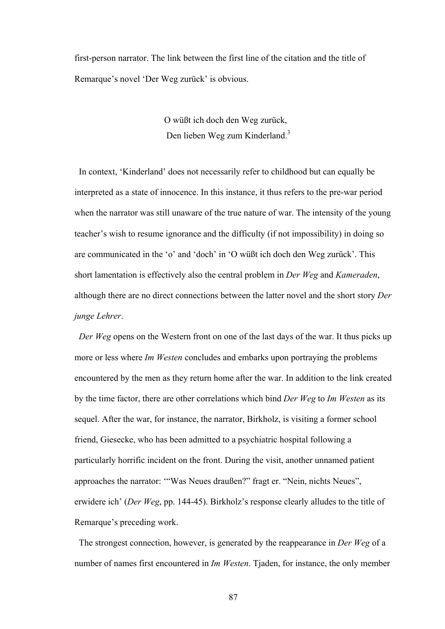first-person narrator. The link between the first line of the citation and the title of Remarque's novel 'Der Weg zurück' is obvious.

> O wüßt ich doch den Weg zurück, Den lieben Weg zum Kinderland.<sup>3</sup>

 In context, 'Kinderland' does not necessarily refer to childhood but can equally be interpreted as a state of innocence. In this instance, it thus refers to the pre-war period when the narrator was still unaware of the true nature of war. The intensity of the young teacher's wish to resume ignorance and the difficulty (if not impossibility) in doing so are communicated in the 'o' and 'doch' in 'O wüßt ich doch den Weg zurück'. This short lamentation is effectively also the central problem in *Der Weg* and *Kameraden*, although there are no direct connections between the latter novel and the short story *Der junge Lehrer*.

 *Der Weg* opens on the Western front on one of the last days of the war. It thus picks up more or less where *Im Westen* concludes and embarks upon portraying the problems encountered by the men as they return home after the war. In addition to the link created by the time factor, there are other correlations which bind *Der Weg* to *Im Westen* as its sequel. After the war, for instance, the narrator, Birkholz, is visiting a former school friend, Giesecke, who has been admitted to a psychiatric hospital following a particularly horrific incident on the front. During the visit, another unnamed patient approaches the narrator: '"Was Neues draußen?" fragt er. "Nein, nichts Neues", erwidere ich' (*Der Weg*, pp. 144-45). Birkholz's response clearly alludes to the title of Remarque's preceding work.

 The strongest connection, however, is generated by the reappearance in *Der Weg* of a number of names first encountered in *Im Westen*. Tjaden, for instance, the only member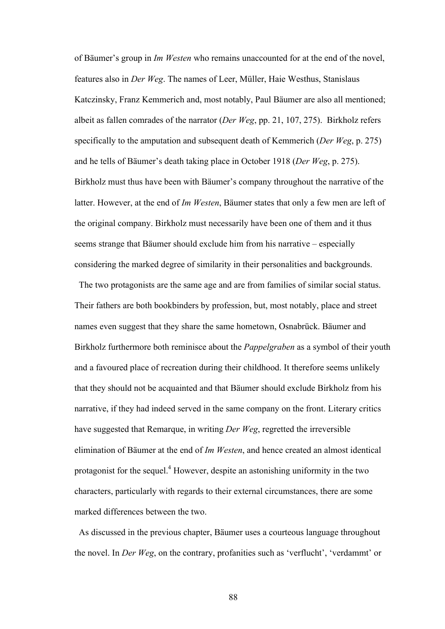of Bäumer's group in *Im Westen* who remains unaccounted for at the end of the novel, features also in *Der Weg*. The names of Leer, Müller, Haie Westhus, Stanislaus Katczinsky, Franz Kemmerich and, most notably, Paul Bäumer are also all mentioned; albeit as fallen comrades of the narrator (*Der Weg*, pp. 21, 107, 275). Birkholz refers specifically to the amputation and subsequent death of Kemmerich (*Der Weg*, p. 275) and he tells of Bäumer's death taking place in October 1918 (*Der Weg*, p. 275). Birkholz must thus have been with Bäumer's company throughout the narrative of the latter. However, at the end of *Im Westen*, Bäumer states that only a few men are left of the original company. Birkholz must necessarily have been one of them and it thus seems strange that Bäumer should exclude him from his narrative – especially considering the marked degree of similarity in their personalities and backgrounds.

 The two protagonists are the same age and are from families of similar social status. Their fathers are both bookbinders by profession, but, most notably, place and street names even suggest that they share the same hometown, Osnabrück. Bäumer and Birkholz furthermore both reminisce about the *Pappelgraben* as a symbol of their youth and a favoured place of recreation during their childhood. It therefore seems unlikely that they should not be acquainted and that Bäumer should exclude Birkholz from his narrative, if they had indeed served in the same company on the front. Literary critics have suggested that Remarque, in writing *Der Weg*, regretted the irreversible elimination of Bäumer at the end of *Im Westen*, and hence created an almost identical protagonist for the sequel.<sup>4</sup> However, despite an astonishing uniformity in the two characters, particularly with regards to their external circumstances, there are some marked differences between the two.

 As discussed in the previous chapter, Bäumer uses a courteous language throughout the novel. In *Der Weg*, on the contrary, profanities such as 'verflucht', 'verdammt' or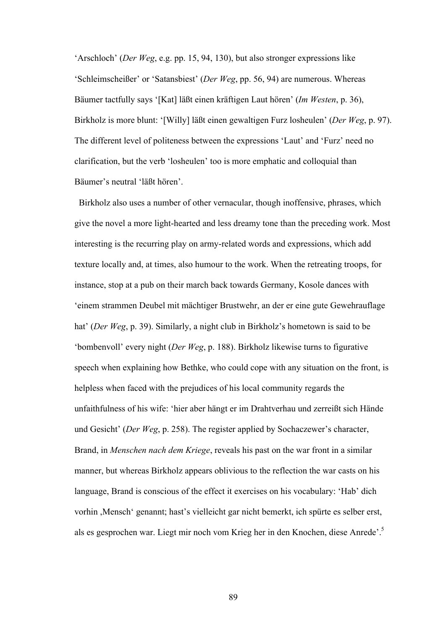'Arschloch' (*Der Weg*, e.g. pp. 15, 94, 130), but also stronger expressions like 'Schleimscheißer' or 'Satansbiest' (*Der Weg*, pp. 56, 94) are numerous. Whereas Bäumer tactfully says '[Kat] läßt einen kräftigen Laut hören' (*Im Westen*, p. 36), Birkholz is more blunt: '[Willy] läßt einen gewaltigen Furz losheulen' (*Der Weg*, p. 97). The different level of politeness between the expressions 'Laut' and 'Furz' need no clarification, but the verb 'losheulen' too is more emphatic and colloquial than Bäumer's neutral 'läßt hören'.

 Birkholz also uses a number of other vernacular, though inoffensive, phrases, which give the novel a more light-hearted and less dreamy tone than the preceding work. Most interesting is the recurring play on army-related words and expressions, which add texture locally and, at times, also humour to the work. When the retreating troops, for instance, stop at a pub on their march back towards Germany, Kosole dances with 'einem strammen Deubel mit mächtiger Brustwehr, an der er eine gute Gewehrauflage hat' (*Der Weg*, p. 39). Similarly, a night club in Birkholz's hometown is said to be 'bombenvoll' every night (*Der Weg*, p. 188). Birkholz likewise turns to figurative speech when explaining how Bethke, who could cope with any situation on the front, is helpless when faced with the prejudices of his local community regards the unfaithfulness of his wife: 'hier aber hängt er im Drahtverhau und zerreißt sich Hände und Gesicht' (*Der Weg*, p. 258). The register applied by Sochaczewer's character, Brand, in *Menschen nach dem Kriege*, reveals his past on the war front in a similar manner, but whereas Birkholz appears oblivious to the reflection the war casts on his language, Brand is conscious of the effect it exercises on his vocabulary: 'Hab' dich vorhin ,Mensch' genannt; hast's vielleicht gar nicht bemerkt, ich spürte es selber erst, als es gesprochen war. Liegt mir noch vom Krieg her in den Knochen, diese Anrede'.5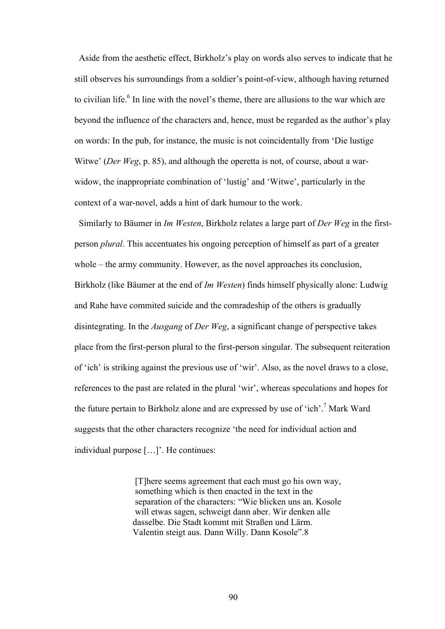Aside from the aesthetic effect, Birkholz's play on words also serves to indicate that he still observes his surroundings from a soldier's point-of-view, although having returned to civilian life.<sup>6</sup> In line with the novel's theme, there are allusions to the war which are beyond the influence of the characters and, hence, must be regarded as the author's play on words: In the pub, for instance, the music is not coincidentally from 'Die lustige Witwe' (*Der Weg*, p. 85), and although the operetta is not, of course, about a warwidow, the inappropriate combination of 'lustig' and 'Witwe', particularly in the context of a war-novel, adds a hint of dark humour to the work.

Similarly to Bäumer in *Im Westen*, Birkholz relates a large part of *Der Weg* in the firstperson *plural*. This accentuates his ongoing perception of himself as part of a greater whole – the army community. However, as the novel approaches its conclusion, Birkholz (like Bäumer at the end of *Im Westen*) finds himself physically alone: Ludwig and Rahe have commited suicide and the comradeship of the others is gradually disintegrating. In the *Ausgang* of *Der Weg*, a significant change of perspective takes place from the first-person plural to the first-person singular. The subsequent reiteration of 'ich' is striking against the previous use of 'wir'. Also, as the novel draws to a close, references to the past are related in the plural 'wir', whereas speculations and hopes for the future pertain to Birkholz alone and are expressed by use of 'ich'.<sup>7</sup> Mark Ward suggests that the other characters recognize 'the need for individual action and individual purpose […]'. He continues:

> [T]here seems agreement that each must go his own way, something which is then enacted in the text in the separation of the characters: "Wie blicken uns an. Kosole will etwas sagen, schweigt dann aber. Wir denken alle dasselbe. Die Stadt kommt mit Straßen und Lärm. Valentin steigt aus. Dann Willy. Dann Kosole".8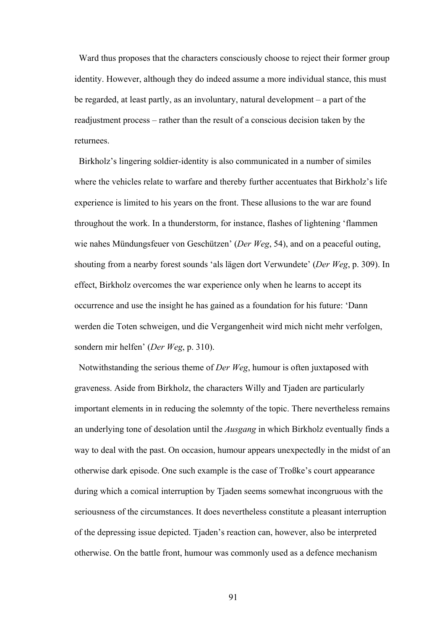Ward thus proposes that the characters consciously choose to reject their former group identity. However, although they do indeed assume a more individual stance, this must be regarded, at least partly, as an involuntary, natural development – a part of the readjustment process – rather than the result of a conscious decision taken by the returnees.

 Birkholz's lingering soldier-identity is also communicated in a number of similes where the vehicles relate to warfare and thereby further accentuates that Birkholz's life experience is limited to his years on the front. These allusions to the war are found throughout the work. In a thunderstorm, for instance, flashes of lightening 'flammen wie nahes Mündungsfeuer von Geschützen' (*Der Weg*, 54), and on a peaceful outing, shouting from a nearby forest sounds 'als lägen dort Verwundete' (*Der Weg*, p. 309). In effect, Birkholz overcomes the war experience only when he learns to accept its occurrence and use the insight he has gained as a foundation for his future: 'Dann werden die Toten schweigen, und die Vergangenheit wird mich nicht mehr verfolgen, sondern mir helfen' (*Der Weg*, p. 310).

 Notwithstanding the serious theme of *Der Weg*, humour is often juxtaposed with graveness. Aside from Birkholz, the characters Willy and Tjaden are particularly important elements in in reducing the solemnty of the topic. There nevertheless remains an underlying tone of desolation until the *Ausgang* in which Birkholz eventually finds a way to deal with the past. On occasion, humour appears unexpectedly in the midst of an otherwise dark episode. One such example is the case of Troßke's court appearance during which a comical interruption by Tjaden seems somewhat incongruous with the seriousness of the circumstances. It does nevertheless constitute a pleasant interruption of the depressing issue depicted. Tjaden's reaction can, however, also be interpreted otherwise. On the battle front, humour was commonly used as a defence mechanism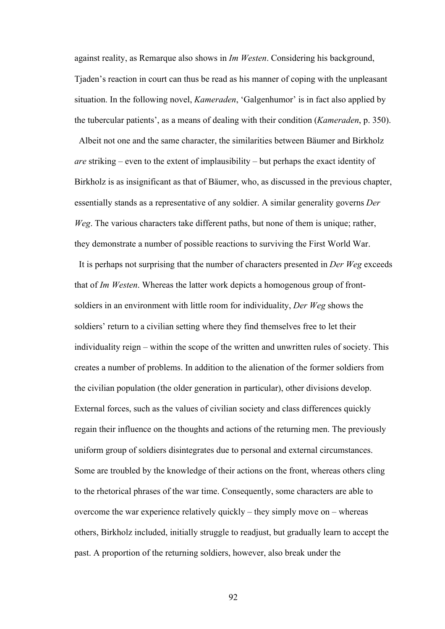against reality, as Remarque also shows in *Im Westen*. Considering his background, Tjaden's reaction in court can thus be read as his manner of coping with the unpleasant situation. In the following novel, *Kameraden*, 'Galgenhumor' is in fact also applied by the tubercular patients', as a means of dealing with their condition (*Kameraden*, p. 350).

 Albeit not one and the same character, the similarities between Bäumer and Birkholz *are* striking – even to the extent of implausibility – but perhaps the exact identity of Birkholz is as insignificant as that of Bäumer, who, as discussed in the previous chapter, essentially stands as a representative of any soldier. A similar generality governs *Der Weg*. The various characters take different paths, but none of them is unique; rather, they demonstrate a number of possible reactions to surviving the First World War. It is perhaps not surprising that the number of characters presented in *Der Weg* exceeds that of *Im Westen*. Whereas the latter work depicts a homogenous group of frontsoldiers in an environment with little room for individuality, *Der Weg* shows the soldiers' return to a civilian setting where they find themselves free to let their individuality reign – within the scope of the written and unwritten rules of society. This creates a number of problems. In addition to the alienation of the former soldiers from the civilian population (the older generation in particular), other divisions develop. External forces, such as the values of civilian society and class differences quickly regain their influence on the thoughts and actions of the returning men. The previously uniform group of soldiers disintegrates due to personal and external circumstances. Some are troubled by the knowledge of their actions on the front, whereas others cling to the rhetorical phrases of the war time. Consequently, some characters are able to overcome the war experience relatively quickly – they simply move on – whereas others, Birkholz included, initially struggle to readjust, but gradually learn to accept the past. A proportion of the returning soldiers, however, also break under the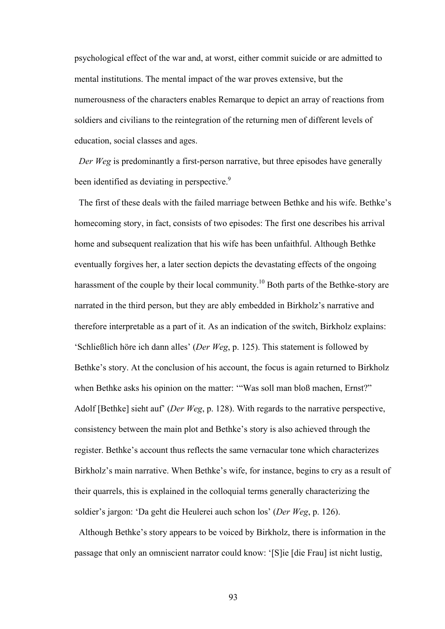psychological effect of the war and, at worst, either commit suicide or are admitted to mental institutions. The mental impact of the war proves extensive, but the numerousness of the characters enables Remarque to depict an array of reactions from soldiers and civilians to the reintegration of the returning men of different levels of education, social classes and ages.

*Der Weg* is predominantly a first-person narrative, but three episodes have generally been identified as deviating in perspective.<sup>9</sup>

The first of these deals with the failed marriage between Bethke and his wife. Bethke's homecoming story, in fact, consists of two episodes: The first one describes his arrival home and subsequent realization that his wife has been unfaithful. Although Bethke eventually forgives her, a later section depicts the devastating effects of the ongoing harassment of the couple by their local community.<sup>10</sup> Both parts of the Bethke-story are narrated in the third person, but they are ably embedded in Birkholz's narrative and therefore interpretable as a part of it. As an indication of the switch, Birkholz explains: 'Schließlich höre ich dann alles' (*Der Weg*, p. 125). This statement is followed by Bethke's story. At the conclusion of his account, the focus is again returned to Birkholz when Bethke asks his opinion on the matter: "Was soll man bloß machen, Ernst?" Adolf [Bethke] sieht auf' (*Der Weg*, p. 128). With regards to the narrative perspective, consistency between the main plot and Bethke's story is also achieved through the register. Bethke's account thus reflects the same vernacular tone which characterizes Birkholz's main narrative. When Bethke's wife, for instance, begins to cry as a result of their quarrels, this is explained in the colloquial terms generally characterizing the soldier's jargon: 'Da geht die Heulerei auch schon los' (*Der Weg*, p. 126).

Although Bethke's story appears to be voiced by Birkholz, there is information in the passage that only an omniscient narrator could know: '[S]ie [die Frau] ist nicht lustig,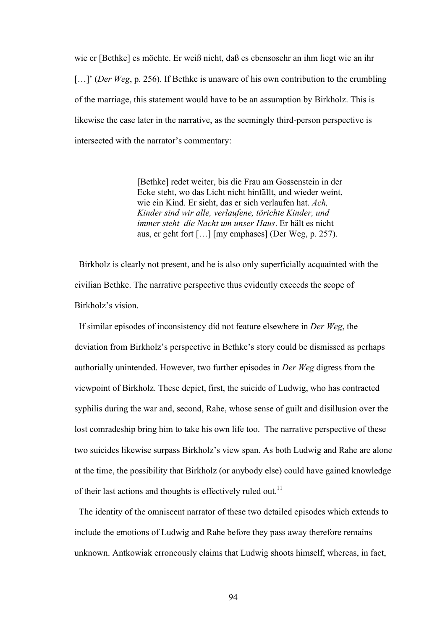wie er [Bethke] es möchte. Er weiß nicht, daß es ebensosehr an ihm liegt wie an ihr [...]' (*Der Weg*, p. 256). If Bethke is unaware of his own contribution to the crumbling of the marriage, this statement would have to be an assumption by Birkholz. This is likewise the case later in the narrative, as the seemingly third-person perspective is intersected with the narrator's commentary:

> [Bethke] redet weiter, bis die Frau am Gossenstein in der Ecke steht, wo das Licht nicht hinfällt, und wieder weint, wie ein Kind. Er sieht, das er sich verlaufen hat. *Ach, Kinder sind wir alle, verlaufene, törichte Kinder, und immer steht die Nacht um unser Haus*. Er hält es nicht aus, er geht fort […] [my emphases] (Der Weg, p. 257).

 Birkholz is clearly not present, and he is also only superficially acquainted with the civilian Bethke. The narrative perspective thus evidently exceeds the scope of Birkholz's vision.

 If similar episodes of inconsistency did not feature elsewhere in *Der Weg*, the deviation from Birkholz's perspective in Bethke's story could be dismissed as perhaps authorially unintended. However, two further episodes in *Der Weg* digress from the viewpoint of Birkholz. These depict, first, the suicide of Ludwig, who has contracted syphilis during the war and, second, Rahe, whose sense of guilt and disillusion over the lost comradeship bring him to take his own life too. The narrative perspective of these two suicides likewise surpass Birkholz's view span. As both Ludwig and Rahe are alone at the time, the possibility that Birkholz (or anybody else) could have gained knowledge of their last actions and thoughts is effectively ruled out.<sup>11</sup>

 The identity of the omniscent narrator of these two detailed episodes which extends to include the emotions of Ludwig and Rahe before they pass away therefore remains unknown. Antkowiak erroneously claims that Ludwig shoots himself, whereas, in fact,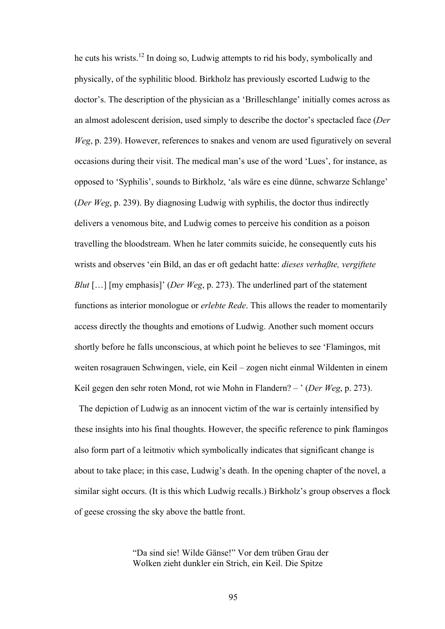he cuts his wrists.12 In doing so, Ludwig attempts to rid his body, symbolically and physically, of the syphilitic blood. Birkholz has previously escorted Ludwig to the doctor's. The description of the physician as a 'Brilleschlange' initially comes across as an almost adolescent derision, used simply to describe the doctor's spectacled face (*Der Weg*, p. 239). However, references to snakes and venom are used figuratively on several occasions during their visit. The medical man's use of the word 'Lues', for instance, as opposed to 'Syphilis', sounds to Birkholz, 'als wäre es eine dünne, schwarze Schlange' (*Der Weg*, p. 239). By diagnosing Ludwig with syphilis, the doctor thus indirectly delivers a venomous bite, and Ludwig comes to perceive his condition as a poison travelling the bloodstream. When he later commits suicide, he consequently cuts his wrists and observes 'ein Bild, an das er oft gedacht hatte: *dieses verhaßte, vergiftete Blut* […] [my emphasis]' (*Der Weg*, p. 273). The underlined part of the statement functions as interior monologue or *erlebte Rede*. This allows the reader to momentarily access directly the thoughts and emotions of Ludwig. Another such moment occurs shortly before he falls unconscious, at which point he believes to see 'Flamingos, mit weiten rosagrauen Schwingen, viele, ein Keil – zogen nicht einmal Wildenten in einem Keil gegen den sehr roten Mond, rot wie Mohn in Flandern? – ' (*Der Weg*, p. 273).

The depiction of Ludwig as an innocent victim of the war is certainly intensified by these insights into his final thoughts. However, the specific reference to pink flamingos also form part of a leitmotiv which symbolically indicates that significant change is about to take place; in this case, Ludwig's death. In the opening chapter of the novel, a similar sight occurs. (It is this which Ludwig recalls.) Birkholz's group observes a flock of geese crossing the sky above the battle front.

> "Da sind sie! Wilde Gänse!" Vor dem trüben Grau der Wolken zieht dunkler ein Strich, ein Keil. Die Spitze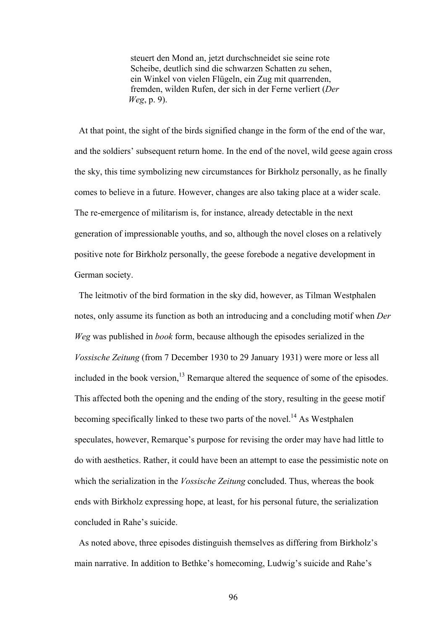steuert den Mond an, jetzt durchschneidet sie seine rote Scheibe, deutlich sind die schwarzen Schatten zu sehen, ein Winkel von vielen Flügeln, ein Zug mit quarrenden, fremden, wilden Rufen, der sich in der Ferne verliert (*Der Weg*, p. 9).

 At that point, the sight of the birds signified change in the form of the end of the war, and the soldiers' subsequent return home. In the end of the novel, wild geese again cross the sky, this time symbolizing new circumstances for Birkholz personally, as he finally comes to believe in a future. However, changes are also taking place at a wider scale. The re-emergence of militarism is, for instance, already detectable in the next generation of impressionable youths, and so, although the novel closes on a relatively positive note for Birkholz personally, the geese forebode a negative development in German society.

 The leitmotiv of the bird formation in the sky did, however, as Tilman Westphalen notes, only assume its function as both an introducing and a concluding motif when *Der Weg* was published in *book* form, because although the episodes serialized in the *Vossische Zeitung* (from 7 December 1930 to 29 January 1931) were more or less all included in the book version, $13$  Remarque altered the sequence of some of the episodes. This affected both the opening and the ending of the story, resulting in the geese motif becoming specifically linked to these two parts of the novel.<sup>14</sup> As Westphalen speculates, however, Remarque's purpose for revising the order may have had little to do with aesthetics. Rather, it could have been an attempt to ease the pessimistic note on which the serialization in the *Vossische Zeitung* concluded. Thus, whereas the book ends with Birkholz expressing hope, at least, for his personal future, the serialization concluded in Rahe's suicide.

 As noted above, three episodes distinguish themselves as differing from Birkholz's main narrative. In addition to Bethke's homecoming, Ludwig's suicide and Rahe's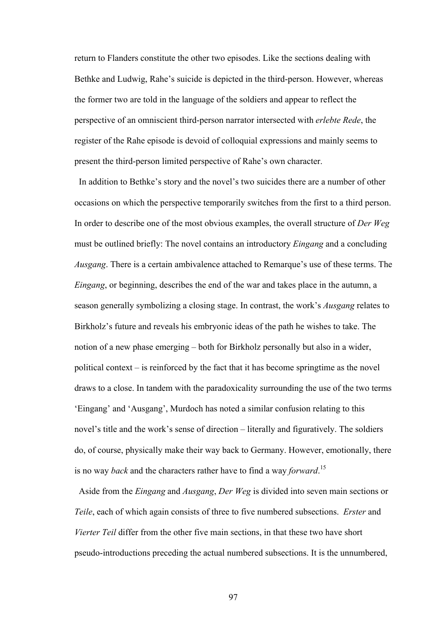return to Flanders constitute the other two episodes. Like the sections dealing with Bethke and Ludwig, Rahe's suicide is depicted in the third-person. However, whereas the former two are told in the language of the soldiers and appear to reflect the perspective of an omniscient third-person narrator intersected with *erlebte Rede*, the register of the Rahe episode is devoid of colloquial expressions and mainly seems to present the third-person limited perspective of Rahe's own character.

 In addition to Bethke's story and the novel's two suicides there are a number of other occasions on which the perspective temporarily switches from the first to a third person. In order to describe one of the most obvious examples, the overall structure of *Der Weg* must be outlined briefly: The novel contains an introductory *Eingang* and a concluding *Ausgang*. There is a certain ambivalence attached to Remarque's use of these terms. The *Eingang*, or beginning, describes the end of the war and takes place in the autumn, a season generally symbolizing a closing stage. In contrast, the work's *Ausgang* relates to Birkholz's future and reveals his embryonic ideas of the path he wishes to take. The notion of a new phase emerging – both for Birkholz personally but also in a wider, political context – is reinforced by the fact that it has become springtime as the novel draws to a close. In tandem with the paradoxicality surrounding the use of the two terms 'Eingang' and 'Ausgang', Murdoch has noted a similar confusion relating to this novel's title and the work's sense of direction – literally and figuratively. The soldiers do, of course, physically make their way back to Germany. However, emotionally, there is no way *back* and the characters rather have to find a way *forward*. 15

 Aside from the *Eingang* and *Ausgang*, *Der Weg* is divided into seven main sections or *Teile*, each of which again consists of three to five numbered subsections. *Erster* and *Vierter Teil* differ from the other five main sections, in that these two have short pseudo-introductions preceding the actual numbered subsections. It is the unnumbered,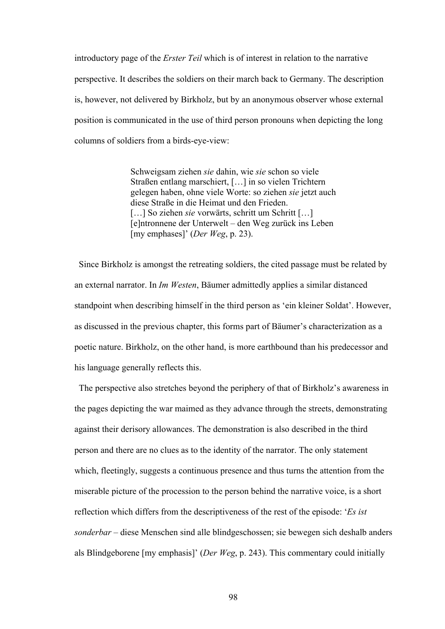introductory page of the *Erster Teil* which is of interest in relation to the narrative perspective. It describes the soldiers on their march back to Germany. The description is, however, not delivered by Birkholz, but by an anonymous observer whose external position is communicated in the use of third person pronouns when depicting the long columns of soldiers from a birds-eye-view:

> Schweigsam ziehen *sie* dahin, wie *sie* schon so viele Straßen entlang marschiert, […] in so vielen Trichtern gelegen haben, ohne viele Worte: so ziehen *sie* jetzt auch diese Straße in die Heimat und den Frieden. [...] So ziehen *sie* vorwärts, schritt um Schritt [...] [e]ntronnene der Unterwelt – den Weg zurück ins Leben [my emphases]' (*Der Weg*, p. 23).

 Since Birkholz is amongst the retreating soldiers, the cited passage must be related by an external narrator. In *Im Westen*, Bäumer admittedly applies a similar distanced standpoint when describing himself in the third person as 'ein kleiner Soldat'. However, as discussed in the previous chapter, this forms part of Bäumer's characterization as a poetic nature. Birkholz, on the other hand, is more earthbound than his predecessor and his language generally reflects this.

The perspective also stretches beyond the periphery of that of Birkholz's awareness in the pages depicting the war maimed as they advance through the streets, demonstrating against their derisory allowances. The demonstration is also described in the third person and there are no clues as to the identity of the narrator. The only statement which, fleetingly, suggests a continuous presence and thus turns the attention from the miserable picture of the procession to the person behind the narrative voice, is a short reflection which differs from the descriptiveness of the rest of the episode: '*Es ist sonderbar* – diese Menschen sind alle blindgeschossen; sie bewegen sich deshalb anders als Blindgeborene [my emphasis]' (*Der Weg*, p. 243). This commentary could initially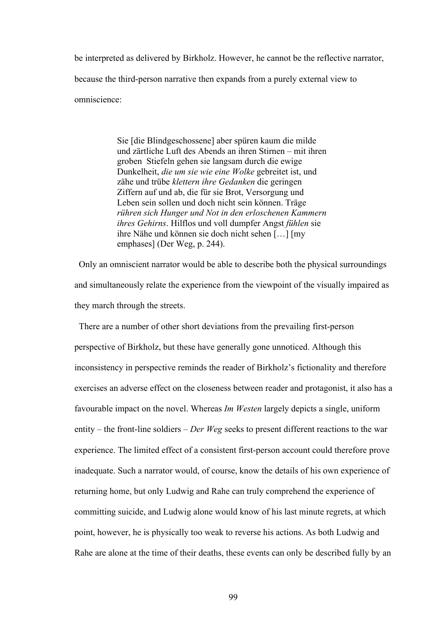be interpreted as delivered by Birkholz. However, he cannot be the reflective narrator, because the third-person narrative then expands from a purely external view to omniscience:

> Sie [die Blindgeschossene] aber spüren kaum die milde und zärtliche Luft des Abends an ihren Stirnen – mit ihren groben Stiefeln gehen sie langsam durch die ewige Dunkelheit, *die um sie wie eine Wolke* gebreitet ist, und zähe und trübe *klettern ihre Gedanken* die geringen Ziffern auf und ab, die für sie Brot, Versorgung und Leben sein sollen und doch nicht sein können. Träge *rühren sich Hunger und Not in den erloschenen Kammern ihres Gehirns*. Hilflos und voll dumpfer Angst *fühlen* sie ihre Nähe und können sie doch nicht sehen […] [my emphases] (Der Weg, p. 244).

 Only an omniscient narrator would be able to describe both the physical surroundings and simultaneously relate the experience from the viewpoint of the visually impaired as they march through the streets.

 There are a number of other short deviations from the prevailing first-person perspective of Birkholz, but these have generally gone unnoticed. Although this inconsistency in perspective reminds the reader of Birkholz's fictionality and therefore exercises an adverse effect on the closeness between reader and protagonist, it also has a favourable impact on the novel. Whereas *Im Westen* largely depicts a single, uniform entity – the front-line soldiers – *Der Weg* seeks to present different reactions to the war experience. The limited effect of a consistent first-person account could therefore prove inadequate. Such a narrator would, of course, know the details of his own experience of returning home, but only Ludwig and Rahe can truly comprehend the experience of committing suicide, and Ludwig alone would know of his last minute regrets, at which point, however, he is physically too weak to reverse his actions. As both Ludwig and Rahe are alone at the time of their deaths, these events can only be described fully by an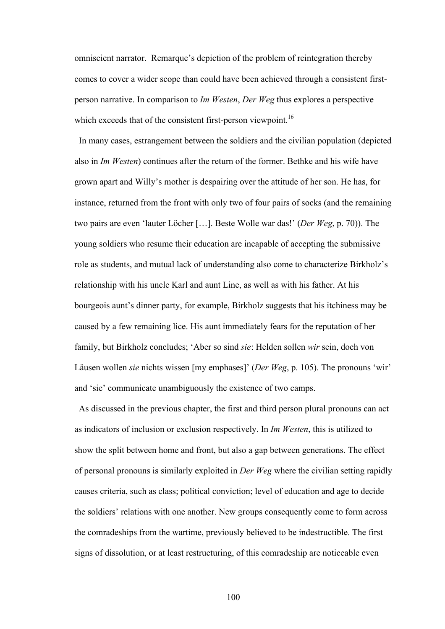omniscient narrator. Remarque's depiction of the problem of reintegration thereby comes to cover a wider scope than could have been achieved through a consistent firstperson narrative. In comparison to *Im Westen*, *Der Weg* thus explores a perspective which exceeds that of the consistent first-person viewpoint.<sup>16</sup>

 In many cases, estrangement between the soldiers and the civilian population (depicted also in *Im Westen*) continues after the return of the former. Bethke and his wife have grown apart and Willy's mother is despairing over the attitude of her son. He has, for instance, returned from the front with only two of four pairs of socks (and the remaining two pairs are even 'lauter Löcher […]. Beste Wolle war das!' (*Der Weg*, p. 70)). The young soldiers who resume their education are incapable of accepting the submissive role as students, and mutual lack of understanding also come to characterize Birkholz's relationship with his uncle Karl and aunt Line, as well as with his father. At his bourgeois aunt's dinner party, for example, Birkholz suggests that his itchiness may be caused by a few remaining lice. His aunt immediately fears for the reputation of her family, but Birkholz concludes; 'Aber so sind *sie*: Helden sollen *wir* sein, doch von Läusen wollen *sie* nichts wissen [my emphases]' (*Der Weg*, p. 105). The pronouns 'wir' and 'sie' communicate unambiguously the existence of two camps.

 As discussed in the previous chapter, the first and third person plural pronouns can act as indicators of inclusion or exclusion respectively. In *Im Westen*, this is utilized to show the split between home and front, but also a gap between generations. The effect of personal pronouns is similarly exploited in *Der Weg* where the civilian setting rapidly causes criteria, such as class; political conviction; level of education and age to decide the soldiers' relations with one another. New groups consequently come to form across the comradeships from the wartime, previously believed to be indestructible. The first signs of dissolution, or at least restructuring, of this comradeship are noticeable even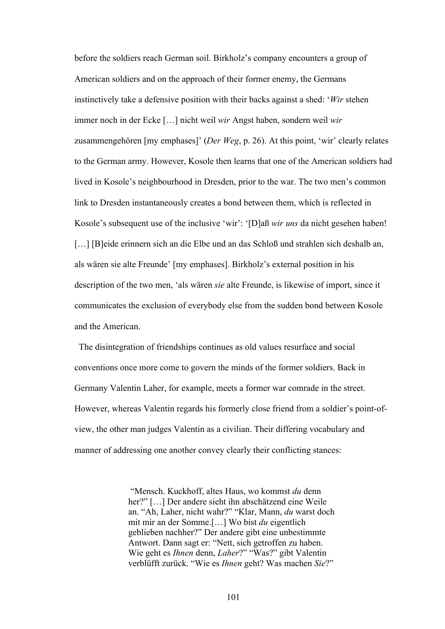before the soldiers reach German soil. Birkholz's company encounters a group of American soldiers and on the approach of their former enemy, the Germans instinctively take a defensive position with their backs against a shed: '*Wir* stehen immer noch in der Ecke […] nicht weil *wir* Angst haben, sondern weil *wir* zusammengehören [my emphases]' (*Der Weg*, p. 26). At this point, 'wir' clearly relates to the German army. However, Kosole then learns that one of the American soldiers had lived in Kosole's neighbourhood in Dresden, prior to the war. The two men's common link to Dresden instantaneously creates a bond between them, which is reflected in Kosole's subsequent use of the inclusive 'wir': '[D]aß *wir uns* da nicht gesehen haben! [...] [B]eide erinnern sich an die Elbe und an das Schloß und strahlen sich deshalb an, als wären sie alte Freunde' [my emphases]. Birkholz's external position in his description of the two men, 'als wären *sie* alte Freunde, is likewise of import, since it communicates the exclusion of everybody else from the sudden bond between Kosole and the American.

 The disintegration of friendships continues as old values resurface and social conventions once more come to govern the minds of the former soldiers. Back in Germany Valentin Laher, for example, meets a former war comrade in the street. However, whereas Valentin regards his formerly close friend from a soldier's point-ofview, the other man judges Valentin as a civilian. Their differing vocabulary and manner of addressing one another convey clearly their conflicting stances:

> "Mensch. Kuckhoff, altes Haus, wo kommst *du* denn her?" […] Der andere sieht ihn abschätzend eine Weile an. "Ah, Laher, nicht wahr?" "Klar, Mann, *du* warst doch mit mir an der Somme.[…] Wo bist *du* eigentlich geblieben nachher?" Der andere gibt eine unbestimmte Antwort. Dann sagt er: "Nett, sich getroffen zu haben. Wie geht es *Ihnen* denn, *Laher*?" "Was?" gibt Valentin verblüfft zurück. "Wie es *Ihnen* geht? Was machen *Sie*?"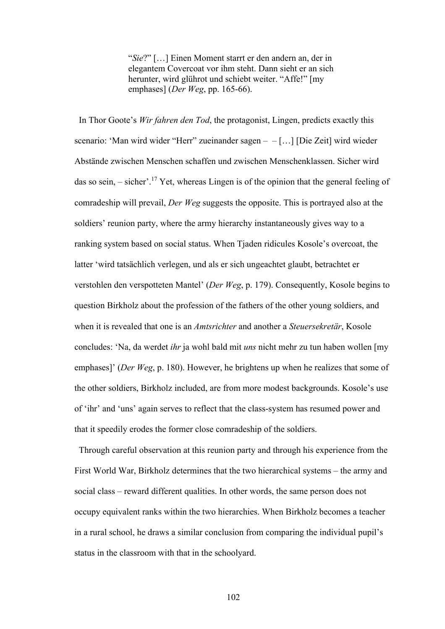"*Sie*?" […] Einen Moment starrt er den andern an, der in elegantem Covercoat vor ihm steht. Dann sieht er an sich herunter, wird glührot und schiebt weiter. "Affe!" [my emphases] (*Der Weg*, pp. 165-66).

 In Thor Goote's *Wir fahren den Tod*, the protagonist, Lingen, predicts exactly this scenario: 'Man wird wider "Herr" zueinander sagen – – […] [Die Zeit] wird wieder Abstände zwischen Menschen schaffen und zwischen Menschenklassen. Sicher wird das so sein,  $-$  sicher'.<sup>17</sup> Yet, whereas Lingen is of the opinion that the general feeling of comradeship will prevail, *Der Weg* suggests the opposite. This is portrayed also at the soldiers' reunion party, where the army hierarchy instantaneously gives way to a ranking system based on social status. When Tjaden ridicules Kosole's overcoat, the latter 'wird tatsächlich verlegen, und als er sich ungeachtet glaubt, betrachtet er verstohlen den verspotteten Mantel' (*Der Weg*, p. 179). Consequently, Kosole begins to question Birkholz about the profession of the fathers of the other young soldiers, and when it is revealed that one is an *Amtsrichter* and another a *Steuersekretär*, Kosole concludes: 'Na, da werdet *ihr* ja wohl bald mit *uns* nicht mehr zu tun haben wollen [my emphases]' (*Der Weg*, p. 180). However, he brightens up when he realizes that some of the other soldiers, Birkholz included, are from more modest backgrounds. Kosole's use of 'ihr' and 'uns' again serves to reflect that the class-system has resumed power and that it speedily erodes the former close comradeship of the soldiers.

Through careful observation at this reunion party and through his experience from the First World War, Birkholz determines that the two hierarchical systems – the army and social class – reward different qualities. In other words, the same person does not occupy equivalent ranks within the two hierarchies. When Birkholz becomes a teacher in a rural school, he draws a similar conclusion from comparing the individual pupil's status in the classroom with that in the schoolyard.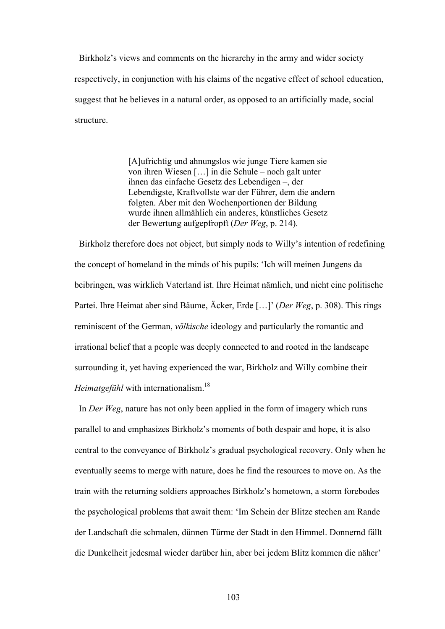Birkholz's views and comments on the hierarchy in the army and wider society respectively, in conjunction with his claims of the negative effect of school education, suggest that he believes in a natural order, as opposed to an artificially made, social structure.

> [A]ufrichtig und ahnungslos wie junge Tiere kamen sie von ihren Wiesen […] in die Schule – noch galt unter ihnen das einfache Gesetz des Lebendigen –, der Lebendigste, Kraftvollste war der Führer, dem die andern folgten. Aber mit den Wochenportionen der Bildung wurde ihnen allmählich ein anderes, künstliches Gesetz der Bewertung aufgepfropft (*Der Weg*, p. 214).

 Birkholz therefore does not object, but simply nods to Willy's intention of redefining the concept of homeland in the minds of his pupils: 'Ich will meinen Jungens da beibringen, was wirklich Vaterland ist. Ihre Heimat nämlich, und nicht eine politische Partei. Ihre Heimat aber sind Bäume, Äcker, Erde […]' (*Der Weg*, p. 308). This rings reminiscent of the German, *völkische* ideology and particularly the romantic and irrational belief that a people was deeply connected to and rooted in the landscape surrounding it, yet having experienced the war, Birkholz and Willy combine their *Heimatgefühl* with internationalism.<sup>18</sup>

 In *Der Weg*, nature has not only been applied in the form of imagery which runs parallel to and emphasizes Birkholz's moments of both despair and hope, it is also central to the conveyance of Birkholz's gradual psychological recovery. Only when he eventually seems to merge with nature, does he find the resources to move on. As the train with the returning soldiers approaches Birkholz's hometown, a storm forebodes the psychological problems that await them: 'Im Schein der Blitze stechen am Rande der Landschaft die schmalen, dünnen Türme der Stadt in den Himmel. Donnernd fällt die Dunkelheit jedesmal wieder darüber hin, aber bei jedem Blitz kommen die näher'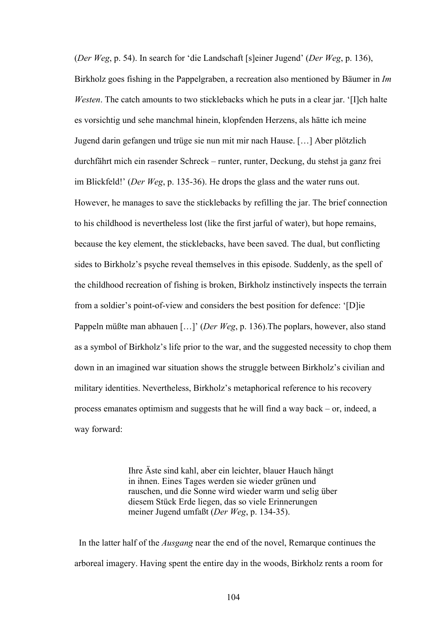(*Der Weg*, p. 54). In search for 'die Landschaft [s]einer Jugend' (*Der Weg*, p. 136), Birkholz goes fishing in the Pappelgraben, a recreation also mentioned by Bäumer in *Im Westen*. The catch amounts to two sticklebacks which he puts in a clear jar. '[I]ch halte es vorsichtig und sehe manchmal hinein, klopfenden Herzens, als hätte ich meine Jugend darin gefangen und trüge sie nun mit mir nach Hause. […] Aber plötzlich durchfährt mich ein rasender Schreck – runter, runter, Deckung, du stehst ja ganz frei im Blickfeld!' (*Der Weg*, p. 135-36). He drops the glass and the water runs out. However, he manages to save the sticklebacks by refilling the jar. The brief connection to his childhood is nevertheless lost (like the first jarful of water), but hope remains, because the key element, the sticklebacks, have been saved. The dual, but conflicting sides to Birkholz's psyche reveal themselves in this episode. Suddenly, as the spell of the childhood recreation of fishing is broken, Birkholz instinctively inspects the terrain from a soldier's point-of-view and considers the best position for defence: '[D]ie Pappeln müßte man abhauen […]' (*Der Weg*, p. 136).The poplars, however, also stand as a symbol of Birkholz's life prior to the war, and the suggested necessity to chop them down in an imagined war situation shows the struggle between Birkholz's civilian and military identities. Nevertheless, Birkholz's metaphorical reference to his recovery process emanates optimism and suggests that he will find a way back – or, indeed, a way forward:

> Ihre Äste sind kahl, aber ein leichter, blauer Hauch hängt in ihnen. Eines Tages werden sie wieder grünen und rauschen, und die Sonne wird wieder warm und selig über diesem Stück Erde liegen, das so viele Erinnerungen meiner Jugend umfaßt (*Der Weg*, p. 134-35).

In the latter half of the *Ausgang* near the end of the novel, Remarque continues the arboreal imagery. Having spent the entire day in the woods, Birkholz rents a room for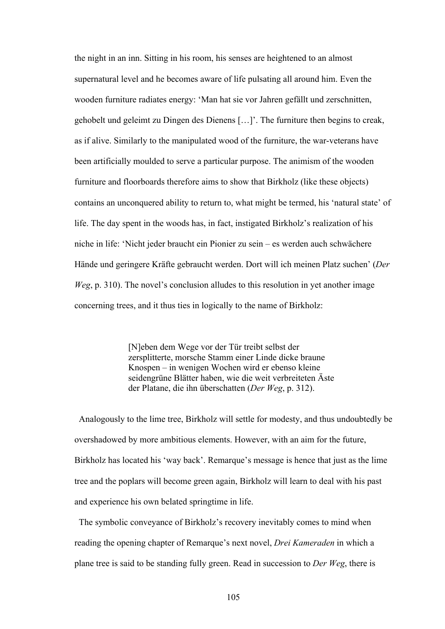the night in an inn. Sitting in his room, his senses are heightened to an almost supernatural level and he becomes aware of life pulsating all around him. Even the wooden furniture radiates energy: 'Man hat sie vor Jahren gefällt und zerschnitten, gehobelt und geleimt zu Dingen des Dienens […]'. The furniture then begins to creak, as if alive. Similarly to the manipulated wood of the furniture, the war-veterans have been artificially moulded to serve a particular purpose. The animism of the wooden furniture and floorboards therefore aims to show that Birkholz (like these objects) contains an unconquered ability to return to, what might be termed, his 'natural state' of life. The day spent in the woods has, in fact, instigated Birkholz's realization of his niche in life: 'Nicht jeder braucht ein Pionier zu sein – es werden auch schwächere Hände und geringere Kräfte gebraucht werden. Dort will ich meinen Platz suchen' (*Der Weg*, p. 310). The novel's conclusion alludes to this resolution in yet another image concerning trees, and it thus ties in logically to the name of Birkholz:

> [N]eben dem Wege vor der Tür treibt selbst der zersplitterte, morsche Stamm einer Linde dicke braune Knospen – in wenigen Wochen wird er ebenso kleine seidengrüne Blätter haben, wie die weit verbreiteten Äste der Platane, die ihn überschatten (*Der Weg*, p. 312).

 Analogously to the lime tree, Birkholz will settle for modesty, and thus undoubtedly be overshadowed by more ambitious elements. However, with an aim for the future, Birkholz has located his 'way back'. Remarque's message is hence that just as the lime tree and the poplars will become green again, Birkholz will learn to deal with his past and experience his own belated springtime in life.

 The symbolic conveyance of Birkholz's recovery inevitably comes to mind when reading the opening chapter of Remarque's next novel, *Drei Kameraden* in which a plane tree is said to be standing fully green. Read in succession to *Der Weg*, there is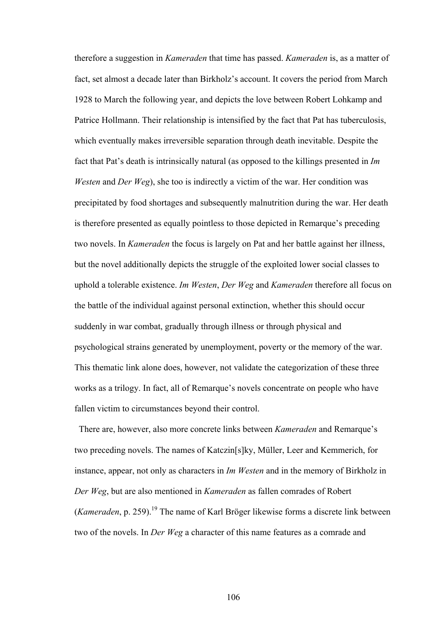therefore a suggestion in *Kameraden* that time has passed. *Kameraden* is, as a matter of fact, set almost a decade later than Birkholz's account. It covers the period from March 1928 to March the following year, and depicts the love between Robert Lohkamp and Patrice Hollmann. Their relationship is intensified by the fact that Pat has tuberculosis, which eventually makes irreversible separation through death inevitable. Despite the fact that Pat's death is intrinsically natural (as opposed to the killings presented in *Im Westen* and *Der Weg*), she too is indirectly a victim of the war. Her condition was precipitated by food shortages and subsequently malnutrition during the war. Her death is therefore presented as equally pointless to those depicted in Remarque's preceding two novels. In *Kameraden* the focus is largely on Pat and her battle against her illness, but the novel additionally depicts the struggle of the exploited lower social classes to uphold a tolerable existence. *Im Westen*, *Der Weg* and *Kameraden* therefore all focus on the battle of the individual against personal extinction, whether this should occur suddenly in war combat, gradually through illness or through physical and psychological strains generated by unemployment, poverty or the memory of the war. This thematic link alone does, however, not validate the categorization of these three works as a trilogy. In fact, all of Remarque's novels concentrate on people who have fallen victim to circumstances beyond their control.

There are, however, also more concrete links between *Kameraden* and Remarque's two preceding novels. The names of Katczin[s]ky, Müller, Leer and Kemmerich, for instance, appear, not only as characters in *Im Westen* and in the memory of Birkholz in *Der Weg*, but are also mentioned in *Kameraden* as fallen comrades of Robert (*Kameraden*, p. 259).<sup>19</sup> The name of Karl Bröger likewise forms a discrete link between two of the novels. In *Der Weg* a character of this name features as a comrade and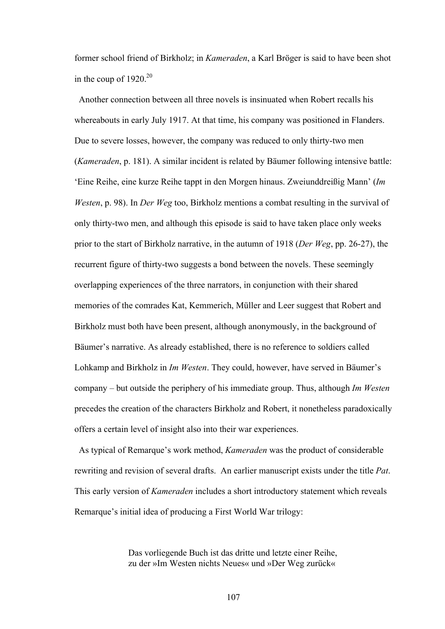former school friend of Birkholz; in *Kameraden*, a Karl Bröger is said to have been shot in the coup of  $1920^{20}$ 

 Another connection between all three novels is insinuated when Robert recalls his whereabouts in early July 1917. At that time, his company was positioned in Flanders. Due to severe losses, however, the company was reduced to only thirty-two men (*Kameraden*, p. 181). A similar incident is related by Bäumer following intensive battle: 'Eine Reihe, eine kurze Reihe tappt in den Morgen hinaus. Zweiunddreißig Mann' (*Im Westen*, p. 98). In *Der Weg* too, Birkholz mentions a combat resulting in the survival of only thirty-two men, and although this episode is said to have taken place only weeks prior to the start of Birkholz narrative, in the autumn of 1918 (*Der Weg*, pp. 26-27), the recurrent figure of thirty-two suggests a bond between the novels. These seemingly overlapping experiences of the three narrators, in conjunction with their shared memories of the comrades Kat, Kemmerich, Müller and Leer suggest that Robert and Birkholz must both have been present, although anonymously, in the background of Bäumer's narrative. As already established, there is no reference to soldiers called Lohkamp and Birkholz in *Im Westen*. They could, however, have served in Bäumer's company – but outside the periphery of his immediate group. Thus, although *Im Westen* precedes the creation of the characters Birkholz and Robert, it nonetheless paradoxically offers a certain level of insight also into their war experiences.

 As typical of Remarque's work method, *Kameraden* was the product of considerable rewriting and revision of several drafts. An earlier manuscript exists under the title *Pat*. This early version of *Kameraden* includes a short introductory statement which reveals Remarque's initial idea of producing a First World War trilogy:

> Das vorliegende Buch ist das dritte und letzte einer Reihe, zu der »Im Westen nichts Neues« und »Der Weg zurück«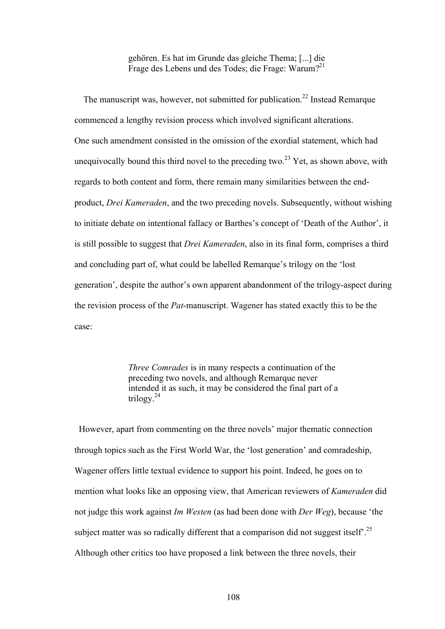gehören. Es hat im Grunde das gleiche Thema; [...] die Frage des Lebens und des Todes; die Frage: Warum?<sup>21</sup>

The manuscript was, however, not submitted for publication.<sup>22</sup> Instead Remarque commenced a lengthy revision process which involved significant alterations. One such amendment consisted in the omission of the exordial statement, which had unequivocally bound this third novel to the preceding two.<sup>23</sup> Yet, as shown above, with regards to both content and form, there remain many similarities between the endproduct, *Drei Kameraden*, and the two preceding novels. Subsequently, without wishing to initiate debate on intentional fallacy or Barthes's concept of 'Death of the Author', it is still possible to suggest that *Drei Kameraden*, also in its final form, comprises a third and concluding part of, what could be labelled Remarque's trilogy on the 'lost generation', despite the author's own apparent abandonment of the trilogy-aspect during the revision process of the *Pat*-manuscript. Wagener has stated exactly this to be the case:

> *Three Comrades* is in many respects a continuation of the preceding two novels, and although Remarque never intended it as such, it may be considered the final part of a trilogy.<sup>24</sup>

 However, apart from commenting on the three novels' major thematic connection through topics such as the First World War, the 'lost generation' and comradeship, Wagener offers little textual evidence to support his point. Indeed, he goes on to mention what looks like an opposing view, that American reviewers of *Kameraden* did not judge this work against *Im Westen* (as had been done with *Der Weg*), because 'the subject matter was so radically different that a comparison did not suggest itself<sup>25</sup>. Although other critics too have proposed a link between the three novels, their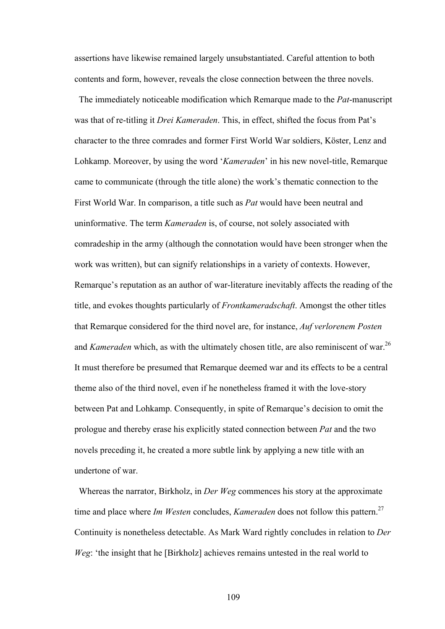assertions have likewise remained largely unsubstantiated. Careful attention to both contents and form, however, reveals the close connection between the three novels.

The immediately noticeable modification which Remarque made to the *Pat*-manuscript was that of re-titling it *Drei Kameraden*. This, in effect, shifted the focus from Pat's character to the three comrades and former First World War soldiers, Köster, Lenz and Lohkamp. Moreover, by using the word '*Kameraden*' in his new novel-title, Remarque came to communicate (through the title alone) the work's thematic connection to the First World War. In comparison, a title such as *Pat* would have been neutral and uninformative. The term *Kameraden* is, of course, not solely associated with comradeship in the army (although the connotation would have been stronger when the work was written), but can signify relationships in a variety of contexts. However, Remarque's reputation as an author of war-literature inevitably affects the reading of the title, and evokes thoughts particularly of *Frontkameradschaft*. Amongst the other titles that Remarque considered for the third novel are, for instance, *Auf verlorenem Posten* and *Kameraden* which, as with the ultimately chosen title, are also reminiscent of war.<sup>26</sup> It must therefore be presumed that Remarque deemed war and its effects to be a central theme also of the third novel, even if he nonetheless framed it with the love-story between Pat and Lohkamp. Consequently, in spite of Remarque's decision to omit the prologue and thereby erase his explicitly stated connection between *Pat* and the two novels preceding it, he created a more subtle link by applying a new title with an undertone of war.

Whereas the narrator, Birkholz, in *Der Weg* commences his story at the approximate time and place where *Im Westen* concludes, *Kameraden* does not follow this pattern.<sup>27</sup> Continuity is nonetheless detectable. As Mark Ward rightly concludes in relation to *Der Weg*: 'the insight that he [Birkholz] achieves remains untested in the real world to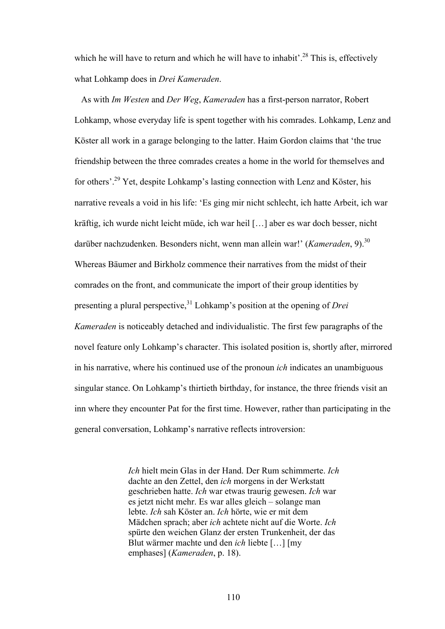which he will have to return and which he will have to inhabit'.<sup>28</sup> This is, effectively what Lohkamp does in *Drei Kameraden*.

 As with *Im Westen* and *Der Weg*, *Kameraden* has a first-person narrator, Robert Lohkamp, whose everyday life is spent together with his comrades. Lohkamp, Lenz and Köster all work in a garage belonging to the latter. Haim Gordon claims that 'the true friendship between the three comrades creates a home in the world for themselves and for others'.29 Yet, despite Lohkamp's lasting connection with Lenz and Köster, his narrative reveals a void in his life: 'Es ging mir nicht schlecht, ich hatte Arbeit, ich war kräftig, ich wurde nicht leicht müde, ich war heil […] aber es war doch besser, nicht darüber nachzudenken. Besonders nicht, wenn man allein war!' (*Kameraden*, 9).<sup>30</sup> Whereas Bäumer and Birkholz commence their narratives from the midst of their comrades on the front, and communicate the import of their group identities by presenting a plural perspective,31 Lohkamp's position at the opening of *Drei Kameraden* is noticeably detached and individualistic. The first few paragraphs of the novel feature only Lohkamp's character. This isolated position is, shortly after, mirrored in his narrative, where his continued use of the pronoun *ich* indicates an unambiguous singular stance. On Lohkamp's thirtieth birthday, for instance, the three friends visit an inn where they encounter Pat for the first time. However, rather than participating in the general conversation, Lohkamp's narrative reflects introversion:

> *Ich* hielt mein Glas in der Hand. Der Rum schimmerte. *Ich* dachte an den Zettel, den *ich* morgens in der Werkstatt geschrieben hatte. *Ich* war etwas traurig gewesen. *Ich* war es jetzt nicht mehr. Es war alles gleich – solange man lebte. *Ich* sah Köster an. *Ich* hörte, wie er mit dem Mädchen sprach; aber *ich* achtete nicht auf die Worte. *Ich* spürte den weichen Glanz der ersten Trunkenheit, der das Blut wärmer machte und den *ich* liebte […] [my emphases] (*Kameraden*, p. 18).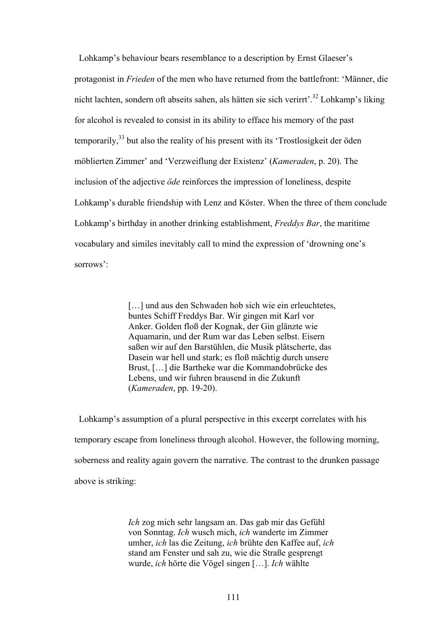Lohkamp's behaviour bears resemblance to a description by Ernst Glaeser's protagonist in *Frieden* of the men who have returned from the battlefront: 'Männer, die nicht lachten, sondern oft abseits sahen, als hätten sie sich verirrt'.32 Lohkamp's liking for alcohol is revealed to consist in its ability to efface his memory of the past temporarily,33 but also the reality of his present with its 'Trostlosigkeit der öden möblierten Zimmer' and 'Verzweiflung der Existenz' (*Kameraden*, p. 20). The inclusion of the adjective *öde* reinforces the impression of loneliness, despite Lohkamp's durable friendship with Lenz and Köster. When the three of them conclude Lohkamp's birthday in another drinking establishment, *Freddys Bar*, the maritime vocabulary and similes inevitably call to mind the expression of 'drowning one's sorrows':

> [...] und aus den Schwaden hob sich wie ein erleuchtetes, buntes Schiff Freddys Bar. Wir gingen mit Karl vor Anker. Golden floß der Kognak, der Gin glänzte wie Aquamarin, und der Rum war das Leben selbst. Eisern saßen wir auf den Barstühlen, die Musik plätscherte, das Dasein war hell und stark; es floß mächtig durch unsere Brust, […] die Bartheke war die Kommandobrücke des Lebens, und wir fuhren brausend in die Zukunft (*Kameraden*, pp. 19-20).

 Lohkamp's assumption of a plural perspective in this excerpt correlates with his temporary escape from loneliness through alcohol. However, the following morning, soberness and reality again govern the narrative. The contrast to the drunken passage above is striking:

> *Ich* zog mich sehr langsam an. Das gab mir das Gefühl von Sonntag. *Ich* wusch mich, *ich* wanderte im Zimmer umher, *ich* las die Zeitung, *ich* brühte den Kaffee auf, *ich* stand am Fenster und sah zu, wie die Straße gesprengt wurde, *ich* hörte die Vögel singen […]. *Ich* wählte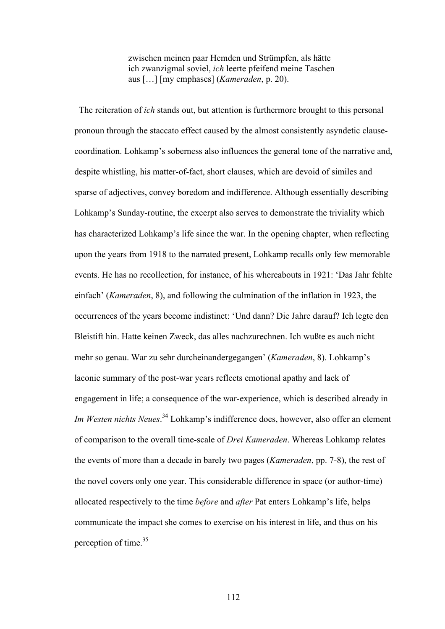zwischen meinen paar Hemden und Strümpfen, als hätte ich zwanzigmal soviel, *ich* leerte pfeifend meine Taschen aus […] [my emphases] (*Kameraden*, p. 20).

 The reiteration of *ich* stands out, but attention is furthermore brought to this personal pronoun through the staccato effect caused by the almost consistently asyndetic clausecoordination. Lohkamp's soberness also influences the general tone of the narrative and, despite whistling, his matter-of-fact, short clauses, which are devoid of similes and sparse of adjectives, convey boredom and indifference. Although essentially describing Lohkamp's Sunday-routine, the excerpt also serves to demonstrate the triviality which has characterized Lohkamp's life since the war. In the opening chapter, when reflecting upon the years from 1918 to the narrated present, Lohkamp recalls only few memorable events. He has no recollection, for instance, of his whereabouts in 1921: 'Das Jahr fehlte einfach' (*Kameraden*, 8), and following the culmination of the inflation in 1923, the occurrences of the years become indistinct: 'Und dann? Die Jahre darauf? Ich legte den Bleistift hin. Hatte keinen Zweck, das alles nachzurechnen. Ich wußte es auch nicht mehr so genau. War zu sehr durcheinandergegangen' (*Kameraden*, 8). Lohkamp's laconic summary of the post-war years reflects emotional apathy and lack of engagement in life; a consequence of the war-experience, which is described already in *Im Westen nichts Neues*. 34 Lohkamp's indifference does, however, also offer an element of comparison to the overall time-scale of *Drei Kameraden*. Whereas Lohkamp relates the events of more than a decade in barely two pages (*Kameraden*, pp. 7-8), the rest of the novel covers only one year. This considerable difference in space (or author-time) allocated respectively to the time *before* and *after* Pat enters Lohkamp's life, helps communicate the impact she comes to exercise on his interest in life, and thus on his perception of time.<sup>35</sup>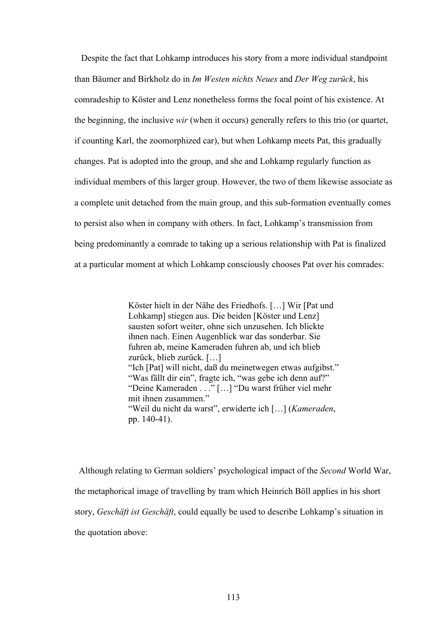Despite the fact that Lohkamp introduces his story from a more individual standpoint than Bäumer and Birkholz do in *Im Westen nichts Neues* and *Der Weg zurück*, his comradeship to Köster and Lenz nonetheless forms the focal point of his existence. At the beginning, the inclusive *wir* (when it occurs) generally refers to this trio (or quartet, if counting Karl, the zoomorphized car), but when Lohkamp meets Pat, this gradually changes. Pat is adopted into the group, and she and Lohkamp regularly function as individual members of this larger group. However, the two of them likewise associate as a complete unit detached from the main group, and this sub-formation eventually comes to persist also when in company with others. In fact, Lohkamp's transmission from being predominantly a comrade to taking up a serious relationship with Pat is finalized at a particular moment at which Lohkamp consciously chooses Pat over his comrades:

> Köster hielt in der Nähe des Friedhofs. […] Wir [Pat und Lohkamp] stiegen aus. Die beiden [Köster und Lenz] sausten sofort weiter, ohne sich unzusehen. Ich blickte ihnen nach. Einen Augenblick war das sonderbar. Sie fuhren ab, meine Kameraden fuhren ab, und ich blieb zurück, blieb zurück. […] "Ich [Pat] will nicht, daß du meinetwegen etwas aufgibst." "Was fällt dir ein", fragte ich, "was gebe ich denn auf?" "Deine Kameraden . . ." […] "Du warst früher viel mehr mit ihnen zusammen." "Weil du nicht da warst", erwiderte ich […] (*Kameraden*, pp. 140-41).

 Although relating to German soldiers' psychological impact of the *Second* World War, the metaphorical image of travelling by tram which Heinrich Böll applies in his short story, *Geschäft ist Geschäft*, could equally be used to describe Lohkamp's situation in the quotation above: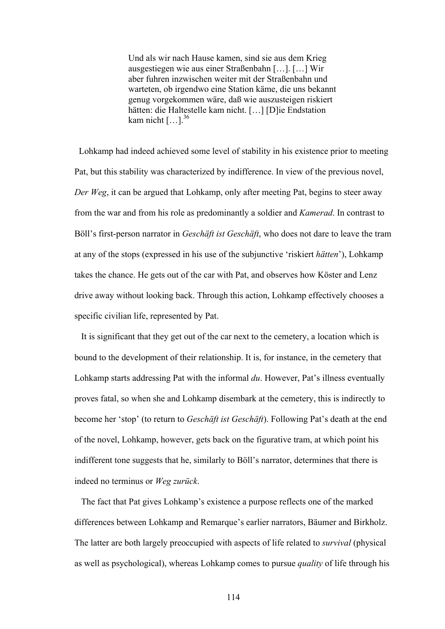Und als wir nach Hause kamen, sind sie aus dem Krieg ausgestiegen wie aus einer Straßenbahn […]. […] Wir aber fuhren inzwischen weiter mit der Straßenbahn und warteten, ob irgendwo eine Station käme, die uns bekannt genug vorgekommen wäre, daß wie auszusteigen riskiert hätten: die Haltestelle kam nicht. […] [D]ie Endstation kam nicht  $[\dots]$ <sup>36</sup>

 Lohkamp had indeed achieved some level of stability in his existence prior to meeting Pat, but this stability was characterized by indifference. In view of the previous novel, *Der Weg*, it can be argued that Lohkamp, only after meeting Pat, begins to steer away from the war and from his role as predominantly a soldier and *Kamerad*. In contrast to Böll's first-person narrator in *Geschäft ist Geschäft*, who does not dare to leave the tram at any of the stops (expressed in his use of the subjunctive 'riskiert *hätten*'), Lohkamp takes the chance. He gets out of the car with Pat, and observes how Köster and Lenz drive away without looking back. Through this action, Lohkamp effectively chooses a specific civilian life, represented by Pat.

 It is significant that they get out of the car next to the cemetery, a location which is bound to the development of their relationship. It is, for instance, in the cemetery that Lohkamp starts addressing Pat with the informal *du*. However, Pat's illness eventually proves fatal, so when she and Lohkamp disembark at the cemetery, this is indirectly to become her 'stop' (to return to *Geschäft ist Geschäft*). Following Pat's death at the end of the novel, Lohkamp, however, gets back on the figurative tram, at which point his indifferent tone suggests that he, similarly to Böll's narrator, determines that there is indeed no terminus or *Weg zurück*.

 The fact that Pat gives Lohkamp's existence a purpose reflects one of the marked differences between Lohkamp and Remarque's earlier narrators, Bäumer and Birkholz. The latter are both largely preoccupied with aspects of life related to *survival* (physical as well as psychological), whereas Lohkamp comes to pursue *quality* of life through his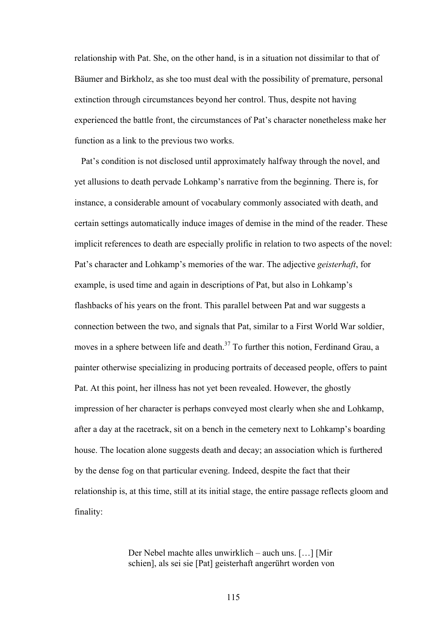relationship with Pat. She, on the other hand, is in a situation not dissimilar to that of Bäumer and Birkholz, as she too must deal with the possibility of premature, personal extinction through circumstances beyond her control. Thus, despite not having experienced the battle front, the circumstances of Pat's character nonetheless make her function as a link to the previous two works.

 Pat's condition is not disclosed until approximately halfway through the novel, and yet allusions to death pervade Lohkamp's narrative from the beginning. There is, for instance, a considerable amount of vocabulary commonly associated with death, and certain settings automatically induce images of demise in the mind of the reader. These implicit references to death are especially prolific in relation to two aspects of the novel: Pat's character and Lohkamp's memories of the war. The adjective *geisterhaft*, for example, is used time and again in descriptions of Pat, but also in Lohkamp's flashbacks of his years on the front. This parallel between Pat and war suggests a connection between the two, and signals that Pat, similar to a First World War soldier, moves in a sphere between life and death.<sup>37</sup> To further this notion, Ferdinand Grau, a painter otherwise specializing in producing portraits of deceased people, offers to paint Pat. At this point, her illness has not yet been revealed. However, the ghostly impression of her character is perhaps conveyed most clearly when she and Lohkamp, after a day at the racetrack, sit on a bench in the cemetery next to Lohkamp's boarding house. The location alone suggests death and decay; an association which is furthered by the dense fog on that particular evening. Indeed, despite the fact that their relationship is, at this time, still at its initial stage, the entire passage reflects gloom and finality:

> Der Nebel machte alles unwirklich – auch uns. […] [Mir schien], als sei sie [Pat] geisterhaft angerührt worden von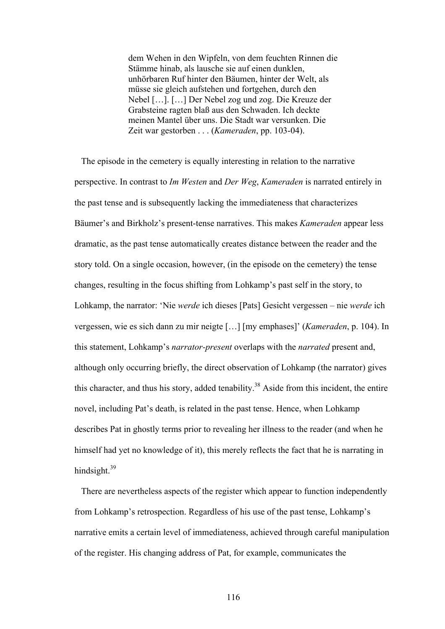dem Wehen in den Wipfeln, von dem feuchten Rinnen die Stämme hinab, als lausche sie auf einen dunklen, unhörbaren Ruf hinter den Bäumen, hinter der Welt, als müsse sie gleich aufstehen und fortgehen, durch den Nebel […]. […] Der Nebel zog und zog. Die Kreuze der Grabsteine ragten blaß aus den Schwaden. Ich deckte meinen Mantel über uns. Die Stadt war versunken. Die Zeit war gestorben . . . (*Kameraden*, pp. 103-04).

The episode in the cemetery is equally interesting in relation to the narrative perspective. In contrast to *Im Westen* and *Der Weg*, *Kameraden* is narrated entirely in the past tense and is subsequently lacking the immediateness that characterizes Bäumer's and Birkholz's present-tense narratives. This makes *Kameraden* appear less dramatic, as the past tense automatically creates distance between the reader and the story told. On a single occasion, however, (in the episode on the cemetery) the tense changes, resulting in the focus shifting from Lohkamp's past self in the story, to Lohkamp, the narrator: 'Nie *werde* ich dieses [Pats] Gesicht vergessen – nie *werde* ich vergessen, wie es sich dann zu mir neigte […] [my emphases]' (*Kameraden*, p. 104). In this statement, Lohkamp's *narrator-present* overlaps with the *narrated* present and, although only occurring briefly, the direct observation of Lohkamp (the narrator) gives this character, and thus his story, added tenability.<sup>38</sup> Aside from this incident, the entire novel, including Pat's death, is related in the past tense. Hence, when Lohkamp describes Pat in ghostly terms prior to revealing her illness to the reader (and when he himself had yet no knowledge of it), this merely reflects the fact that he is narrating in hindsight  $39$ 

 There are nevertheless aspects of the register which appear to function independently from Lohkamp's retrospection. Regardless of his use of the past tense, Lohkamp's narrative emits a certain level of immediateness, achieved through careful manipulation of the register. His changing address of Pat, for example, communicates the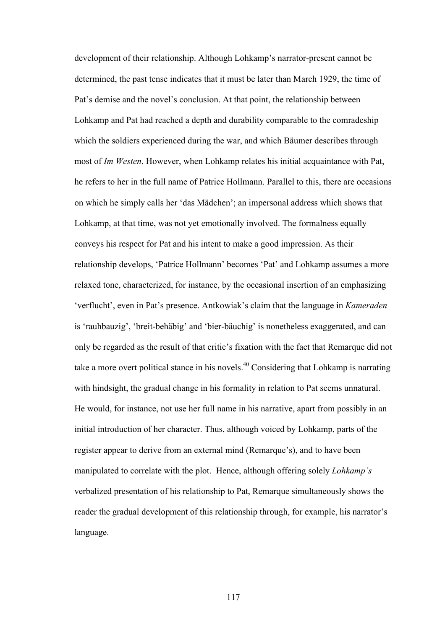development of their relationship. Although Lohkamp's narrator-present cannot be determined, the past tense indicates that it must be later than March 1929, the time of Pat's demise and the novel's conclusion. At that point, the relationship between Lohkamp and Pat had reached a depth and durability comparable to the comradeship which the soldiers experienced during the war, and which Bäumer describes through most of *Im Westen*. However, when Lohkamp relates his initial acquaintance with Pat, he refers to her in the full name of Patrice Hollmann. Parallel to this, there are occasions on which he simply calls her 'das Mädchen'; an impersonal address which shows that Lohkamp, at that time, was not yet emotionally involved. The formalness equally conveys his respect for Pat and his intent to make a good impression. As their relationship develops, 'Patrice Hollmann' becomes 'Pat' and Lohkamp assumes a more relaxed tone, characterized, for instance, by the occasional insertion of an emphasizing 'verflucht', even in Pat's presence. Antkowiak's claim that the language in *Kameraden* is 'rauhbauzig', 'breit-behäbig' and 'bier-bäuchig' is nonetheless exaggerated, and can only be regarded as the result of that critic's fixation with the fact that Remarque did not take a more overt political stance in his novels.<sup>40</sup> Considering that Lohkamp is narrating with hindsight, the gradual change in his formality in relation to Pat seems unnatural. He would, for instance, not use her full name in his narrative, apart from possibly in an initial introduction of her character. Thus, although voiced by Lohkamp, parts of the register appear to derive from an external mind (Remarque's), and to have been manipulated to correlate with the plot. Hence, although offering solely *Lohkamp's* verbalized presentation of his relationship to Pat, Remarque simultaneously shows the reader the gradual development of this relationship through, for example, his narrator's language.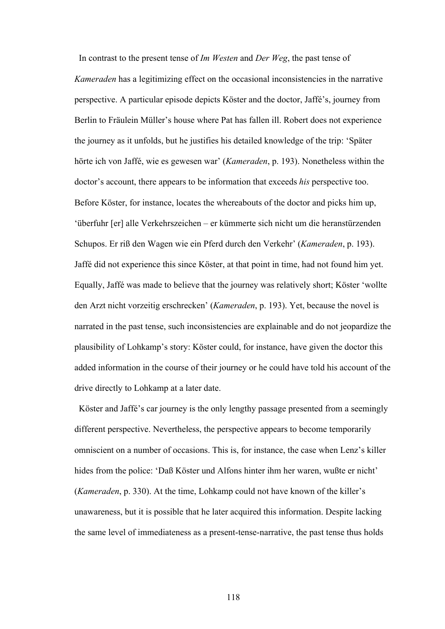In contrast to the present tense of *Im Westen* and *Der Weg*, the past tense of *Kameraden* has a legitimizing effect on the occasional inconsistencies in the narrative perspective. A particular episode depicts Köster and the doctor, Jaffé's, journey from Berlin to Fräulein Müller's house where Pat has fallen ill. Robert does not experience the journey as it unfolds, but he justifies his detailed knowledge of the trip: 'Später hörte ich von Jaffé, wie es gewesen war' (*Kameraden*, p. 193). Nonetheless within the doctor's account, there appears to be information that exceeds *his* perspective too. Before Köster, for instance, locates the whereabouts of the doctor and picks him up, 'überfuhr [er] alle Verkehrszeichen – er kümmerte sich nicht um die heranstürzenden Schupos. Er riß den Wagen wie ein Pferd durch den Verkehr' (*Kameraden*, p. 193). Jaffé did not experience this since Köster, at that point in time, had not found him yet. Equally, Jaffé was made to believe that the journey was relatively short; Köster 'wollte den Arzt nicht vorzeitig erschrecken' (*Kameraden*, p. 193). Yet, because the novel is narrated in the past tense, such inconsistencies are explainable and do not jeopardize the plausibility of Lohkamp's story: Köster could, for instance, have given the doctor this added information in the course of their journey or he could have told his account of the drive directly to Lohkamp at a later date.

Köster and Jaffé's car journey is the only lengthy passage presented from a seemingly different perspective. Nevertheless, the perspective appears to become temporarily omniscient on a number of occasions. This is, for instance, the case when Lenz's killer hides from the police: 'Daß Köster und Alfons hinter ihm her waren, wußte er nicht' (*Kameraden*, p. 330). At the time, Lohkamp could not have known of the killer's unawareness, but it is possible that he later acquired this information. Despite lacking the same level of immediateness as a present-tense-narrative, the past tense thus holds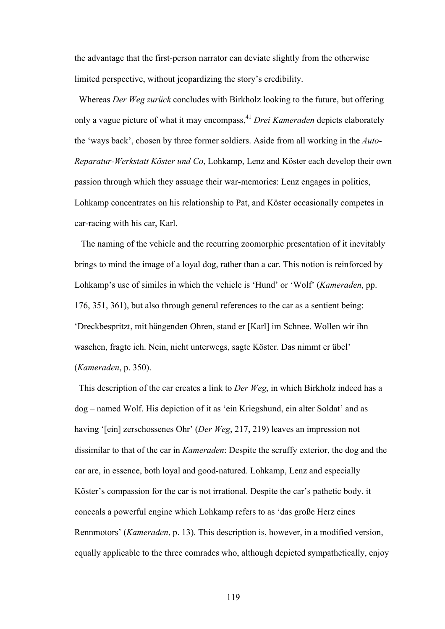the advantage that the first-person narrator can deviate slightly from the otherwise limited perspective, without jeopardizing the story's credibility.

 Whereas *Der Weg zurück* concludes with Birkholz looking to the future, but offering only a vague picture of what it may encompass,<sup>41</sup> *Drei Kameraden* depicts elaborately the 'ways back', chosen by three former soldiers. Aside from all working in the *Auto-Reparatur-Werkstatt Köster und Co*, Lohkamp, Lenz and Köster each develop their own passion through which they assuage their war-memories: Lenz engages in politics, Lohkamp concentrates on his relationship to Pat, and Köster occasionally competes in car-racing with his car, Karl.

 The naming of the vehicle and the recurring zoomorphic presentation of it inevitably brings to mind the image of a loyal dog, rather than a car. This notion is reinforced by Lohkamp's use of similes in which the vehicle is 'Hund' or 'Wolf' (*Kameraden*, pp. 176, 351, 361), but also through general references to the car as a sentient being: 'Dreckbespritzt, mit hängenden Ohren, stand er [Karl] im Schnee. Wollen wir ihn waschen, fragte ich. Nein, nicht unterwegs, sagte Köster. Das nimmt er übel' (*Kameraden*, p. 350).

 This description of the car creates a link to *Der Weg*, in which Birkholz indeed has a dog – named Wolf. His depiction of it as 'ein Kriegshund, ein alter Soldat' and as having '[ein] zerschossenes Ohr' (*Der Weg*, 217, 219) leaves an impression not dissimilar to that of the car in *Kameraden*: Despite the scruffy exterior, the dog and the car are, in essence, both loyal and good-natured. Lohkamp, Lenz and especially Köster's compassion for the car is not irrational. Despite the car's pathetic body, it conceals a powerful engine which Lohkamp refers to as 'das große Herz eines Rennmotors' (*Kameraden*, p. 13). This description is, however, in a modified version, equally applicable to the three comrades who, although depicted sympathetically, enjoy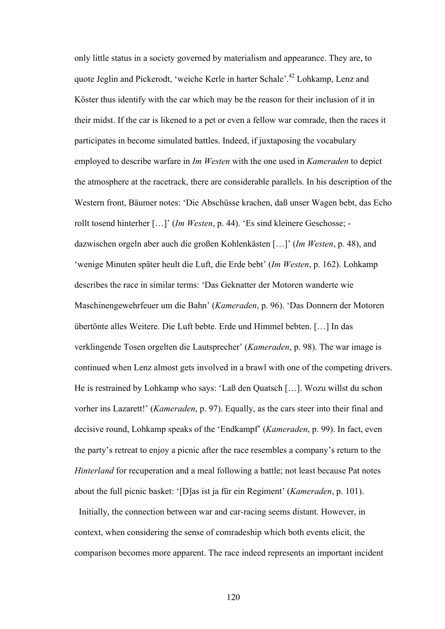only little status in a society governed by materialism and appearance. They are, to quote Jeglin and Pickerodt, 'weiche Kerle in harter Schale'.42 Lohkamp, Lenz and Köster thus identify with the car which may be the reason for their inclusion of it in their midst. If the car is likened to a pet or even a fellow war comrade, then the races it participates in become simulated battles. Indeed, if juxtaposing the vocabulary employed to describe warfare in *Im Westen* with the one used in *Kameraden* to depict the atmosphere at the racetrack, there are considerable parallels. In his description of the Western front, Bäumer notes: 'Die Abschüsse krachen, daß unser Wagen bebt, das Echo rollt tosend hinterher […]' (*Im Westen*, p. 44). 'Es sind kleinere Geschosse; dazwischen orgeln aber auch die großen Kohlenkästen […]' (*Im Westen*, p. 48), and 'wenige Minuten später heult die Luft, die Erde bebt' (*Im Westen*, p. 162). Lohkamp describes the race in similar terms: 'Das Geknatter der Motoren wanderte wie Maschinengewehrfeuer um die Bahn' (*Kameraden*, p. 96). 'Das Donnern der Motoren übertönte alles Weitere. Die Luft bebte. Erde und Himmel bebten. […] In das verklingende Tosen orgelten die Lautsprecher' (*Kameraden*, p. 98). The war image is continued when Lenz almost gets involved in a brawl with one of the competing drivers. He is restrained by Lohkamp who says: 'Laß den Quatsch […]. Wozu willst du schon vorher ins Lazarett!' (*Kameraden*, p. 97). Equally, as the cars steer into their final and decisive round, Lohkamp speaks of the 'Endkampf' (*Kameraden*, p. 99). In fact, even the party's retreat to enjoy a picnic after the race resembles a company's return to the *Hinterland* for recuperation and a meal following a battle; not least because Pat notes about the full picnic basket: '[D]as ist ja für ein Regiment' (*Kameraden*, p. 101). Initially, the connection between war and car-racing seems distant. However, in context, when considering the sense of comradeship which both events elicit, the

comparison becomes more apparent. The race indeed represents an important incident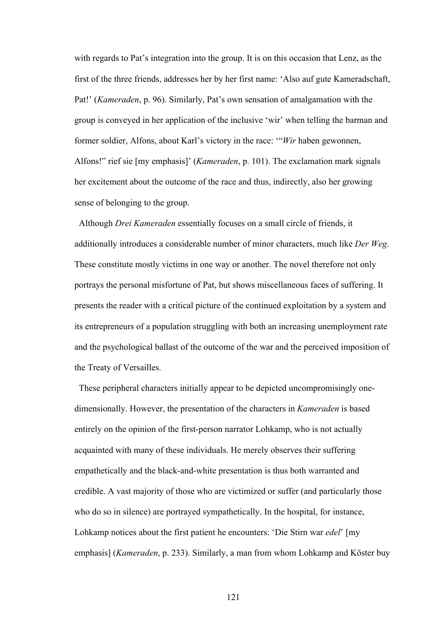with regards to Pat's integration into the group. It is on this occasion that Lenz, as the first of the three friends, addresses her by her first name: 'Also auf gute Kameradschaft, Pat!' (*Kameraden*, p. 96). Similarly, Pat's own sensation of amalgamation with the group is conveyed in her application of the inclusive 'wir' when telling the barman and former soldier, Alfons, about Karl's victory in the race: '"*Wir* haben gewonnen, Alfons!" rief sie [my emphasis]' (*Kameraden*, p. 101). The exclamation mark signals her excitement about the outcome of the race and thus, indirectly, also her growing sense of belonging to the group.

 Although *Drei Kameraden* essentially focuses on a small circle of friends, it additionally introduces a considerable number of minor characters, much like *Der Weg*. These constitute mostly victims in one way or another. The novel therefore not only portrays the personal misfortune of Pat, but shows miscellaneous faces of suffering. It presents the reader with a critical picture of the continued exploitation by a system and its entrepreneurs of a population struggling with both an increasing unemployment rate and the psychological ballast of the outcome of the war and the perceived imposition of the Treaty of Versailles.

These peripheral characters initially appear to be depicted uncompromisingly onedimensionally. However, the presentation of the characters in *Kameraden* is based entirely on the opinion of the first-person narrator Lohkamp, who is not actually acquainted with many of these individuals. He merely observes their suffering empathetically and the black-and-white presentation is thus both warranted and credible. A vast majority of those who are victimized or suffer (and particularly those who do so in silence) are portrayed sympathetically. In the hospital, for instance, Lohkamp notices about the first patient he encounters: 'Die Stirn war *edel*' [my emphasis] (*Kameraden*, p. 233). Similarly, a man from whom Lohkamp and Köster buy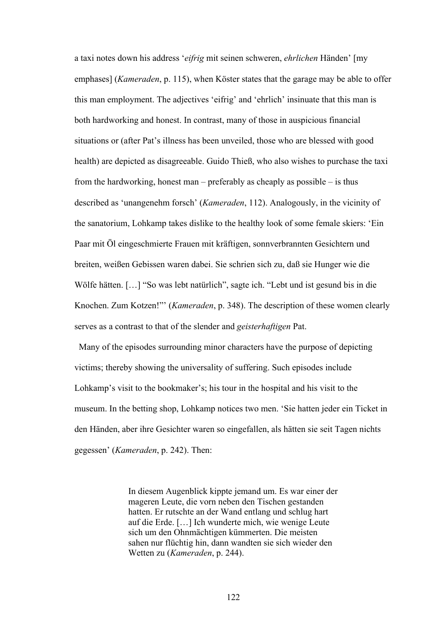a taxi notes down his address '*eifrig* mit seinen schweren, *ehrlichen* Händen' [my emphases] (*Kameraden*, p. 115), when Köster states that the garage may be able to offer this man employment. The adjectives 'eifrig' and 'ehrlich' insinuate that this man is both hardworking and honest. In contrast, many of those in auspicious financial situations or (after Pat's illness has been unveiled, those who are blessed with good health) are depicted as disagreeable. Guido Thieß, who also wishes to purchase the taxi from the hardworking, honest man – preferably as cheaply as possible – is thus described as 'unangenehm forsch' (*Kameraden*, 112). Analogously, in the vicinity of the sanatorium, Lohkamp takes dislike to the healthy look of some female skiers: 'Ein Paar mit Öl eingeschmierte Frauen mit kräftigen, sonnverbrannten Gesichtern und breiten, weißen Gebissen waren dabei. Sie schrien sich zu, daß sie Hunger wie die Wölfe hätten. [...] "So was lebt natürlich", sagte ich. "Lebt und ist gesund bis in die Knochen. Zum Kotzen!"' (*Kameraden*, p. 348). The description of these women clearly serves as a contrast to that of the slender and *geisterhaftigen* Pat.

 Many of the episodes surrounding minor characters have the purpose of depicting victims; thereby showing the universality of suffering. Such episodes include Lohkamp's visit to the bookmaker's; his tour in the hospital and his visit to the museum. In the betting shop, Lohkamp notices two men. 'Sie hatten jeder ein Ticket in den Händen, aber ihre Gesichter waren so eingefallen, als hätten sie seit Tagen nichts gegessen' (*Kameraden*, p. 242). Then:

> In diesem Augenblick kippte jemand um. Es war einer der mageren Leute, die vorn neben den Tischen gestanden hatten. Er rutschte an der Wand entlang und schlug hart auf die Erde. […] Ich wunderte mich, wie wenige Leute sich um den Ohnmächtigen kümmerten. Die meisten sahen nur flüchtig hin, dann wandten sie sich wieder den Wetten zu (*Kameraden*, p. 244).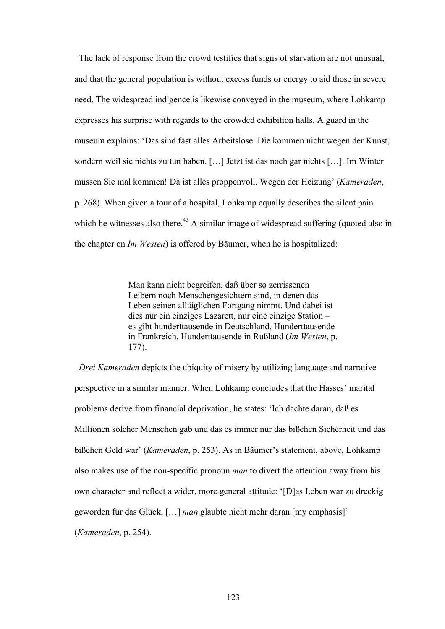The lack of response from the crowd testifies that signs of starvation are not unusual, and that the general population is without excess funds or energy to aid those in severe need. The widespread indigence is likewise conveyed in the museum, where Lohkamp expresses his surprise with regards to the crowded exhibition halls. A guard in the museum explains: 'Das sind fast alles Arbeitslose. Die kommen nicht wegen der Kunst, sondern weil sie nichts zu tun haben. […] Jetzt ist das noch gar nichts […]. Im Winter müssen Sie mal kommen! Da ist alles proppenvoll. Wegen der Heizung' (*Kameraden*, p. 268). When given a tour of a hospital, Lohkamp equally describes the silent pain which he witnesses also there.<sup>43</sup> A similar image of widespread suffering (quoted also in the chapter on *Im Westen*) is offered by Bäumer, when he is hospitalized:

> Man kann nicht begreifen, daß über so zerrissenen Leibern noch Menschengesichtern sind, in denen das Leben seinen alltäglichen Fortgang nimmt. Und dabei ist dies nur ein einziges Lazarett, nur eine einzige Station – es gibt hunderttausende in Deutschland, Hunderttausende in Frankreich, Hunderttausende in Rußland (*Im Westen*, p. 177).

 *Drei Kameraden* depicts the ubiquity of misery by utilizing language and narrative perspective in a similar manner. When Lohkamp concludes that the Hasses' marital problems derive from financial deprivation, he states: 'Ich dachte daran, daß es Millionen solcher Menschen gab und das es immer nur das bißchen Sicherheit und das bißchen Geld war' (*Kameraden*, p. 253). As in Bäumer's statement, above, Lohkamp also makes use of the non-specific pronoun *man* to divert the attention away from his own character and reflect a wider, more general attitude: '[D]as Leben war zu dreckig geworden für das Glück, […] *man* glaubte nicht mehr daran [my emphasis]' (*Kameraden*, p. 254).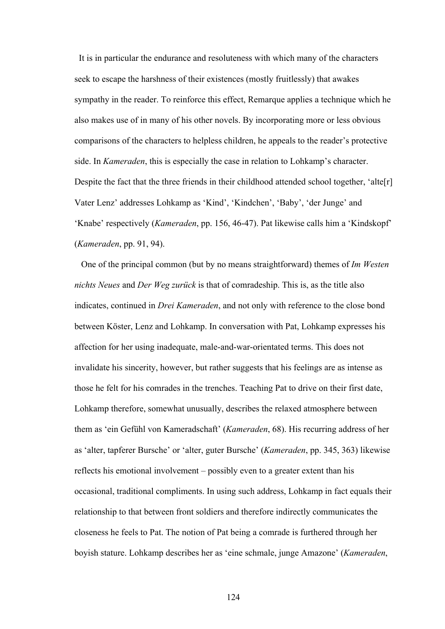It is in particular the endurance and resoluteness with which many of the characters seek to escape the harshness of their existences (mostly fruitlessly) that awakes sympathy in the reader. To reinforce this effect, Remarque applies a technique which he also makes use of in many of his other novels. By incorporating more or less obvious comparisons of the characters to helpless children, he appeals to the reader's protective side. In *Kameraden*, this is especially the case in relation to Lohkamp's character. Despite the fact that the three friends in their childhood attended school together, 'alte<sup>[r]</sup> Vater Lenz' addresses Lohkamp as 'Kind', 'Kindchen', 'Baby', 'der Junge' and 'Knabe' respectively (*Kameraden*, pp. 156, 46-47). Pat likewise calls him a 'Kindskopf' (*Kameraden*, pp. 91, 94).

 One of the principal common (but by no means straightforward) themes of *Im Westen nichts Neues* and *Der Weg zurück* is that of comradeship. This is, as the title also indicates, continued in *Drei Kameraden*, and not only with reference to the close bond between Köster, Lenz and Lohkamp. In conversation with Pat, Lohkamp expresses his affection for her using inadequate, male-and-war-orientated terms. This does not invalidate his sincerity, however, but rather suggests that his feelings are as intense as those he felt for his comrades in the trenches. Teaching Pat to drive on their first date, Lohkamp therefore, somewhat unusually, describes the relaxed atmosphere between them as 'ein Gefühl von Kameradschaft' (*Kameraden*, 68). His recurring address of her as 'alter, tapferer Bursche' or 'alter, guter Bursche' (*Kameraden*, pp. 345, 363) likewise reflects his emotional involvement – possibly even to a greater extent than his occasional, traditional compliments. In using such address, Lohkamp in fact equals their relationship to that between front soldiers and therefore indirectly communicates the closeness he feels to Pat. The notion of Pat being a comrade is furthered through her boyish stature. Lohkamp describes her as 'eine schmale, junge Amazone' (*Kameraden*,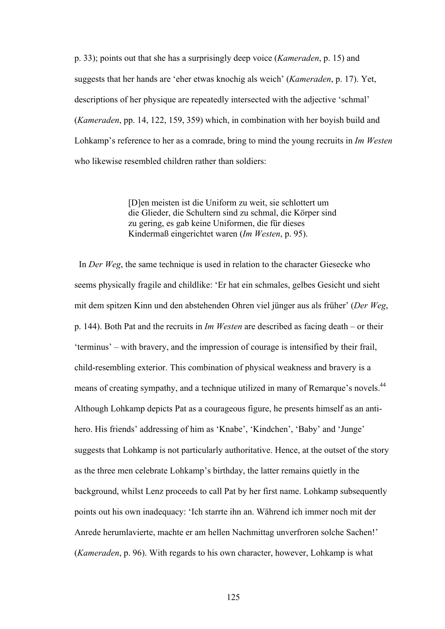p. 33); points out that she has a surprisingly deep voice (*Kameraden*, p. 15) and suggests that her hands are 'eher etwas knochig als weich' (*Kameraden*, p. 17). Yet, descriptions of her physique are repeatedly intersected with the adjective 'schmal' (*Kameraden*, pp. 14, 122, 159, 359) which, in combination with her boyish build and Lohkamp's reference to her as a comrade, bring to mind the young recruits in *Im Westen* who likewise resembled children rather than soldiers:

> [D]en meisten ist die Uniform zu weit, sie schlottert um die Glieder, die Schultern sind zu schmal, die Körper sind zu gering, es gab keine Uniformen, die für dieses Kindermaß eingerichtet waren (*Im Westen*, p. 95).

 In *Der Weg*, the same technique is used in relation to the character Giesecke who seems physically fragile and childlike: 'Er hat ein schmales, gelbes Gesicht und sieht mit dem spitzen Kinn und den abstehenden Ohren viel jünger aus als früher' (*Der Weg*, p. 144). Both Pat and the recruits in *Im Westen* are described as facing death – or their 'terminus' – with bravery, and the impression of courage is intensified by their frail, child-resembling exterior. This combination of physical weakness and bravery is a means of creating sympathy, and a technique utilized in many of Remarque's novels.<sup>44</sup> Although Lohkamp depicts Pat as a courageous figure, he presents himself as an antihero. His friends' addressing of him as 'Knabe', 'Kindchen', 'Baby' and 'Junge' suggests that Lohkamp is not particularly authoritative. Hence, at the outset of the story as the three men celebrate Lohkamp's birthday, the latter remains quietly in the background, whilst Lenz proceeds to call Pat by her first name. Lohkamp subsequently points out his own inadequacy: 'Ich starrte ihn an. Während ich immer noch mit der Anrede herumlavierte, machte er am hellen Nachmittag unverfroren solche Sachen!' (*Kameraden*, p. 96). With regards to his own character, however, Lohkamp is what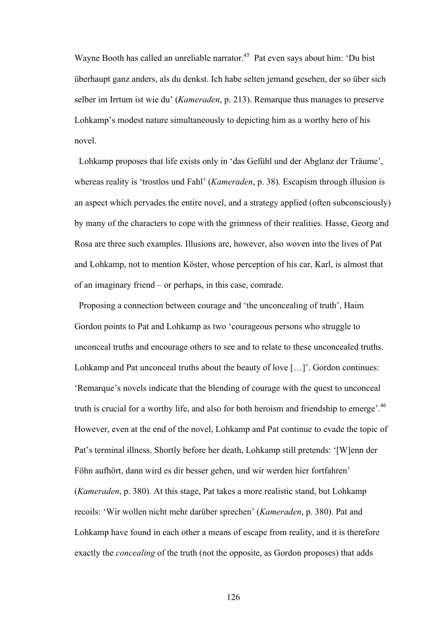Wayne Booth has called an unreliable narrator.<sup>45</sup> Pat even says about him: 'Du bist überhaupt ganz anders, als du denkst. Ich habe selten jemand gesehen, der so über sich selber im Irrtum ist wie du' (*Kameraden*, p. 213). Remarque thus manages to preserve Lohkamp's modest nature simultaneously to depicting him as a worthy hero of his novel.

 Lohkamp proposes that life exists only in 'das Gefühl und der Abglanz der Träume', whereas reality is 'trostlos und Fahl' (*Kameraden*, p. 38). Escapism through illusion is an aspect which pervades the entire novel, and a strategy applied (often subconsciously) by many of the characters to cope with the grimness of their realities. Hasse, Georg and Rosa are three such examples. Illusions are, however, also woven into the lives of Pat and Lohkamp, not to mention Köster, whose perception of his car, Karl, is almost that of an imaginary friend – or perhaps, in this case, comrade.

 Proposing a connection between courage and 'the unconcealing of truth', Haim Gordon points to Pat and Lohkamp as two 'courageous persons who struggle to unconceal truths and encourage others to see and to relate to these unconcealed truths. Lohkamp and Pat unconceal truths about the beauty of love […]'. Gordon continues: 'Remarque's novels indicate that the blending of courage with the quest to unconceal truth is crucial for a worthy life, and also for both heroism and friendship to emerge<sup>'.46</sup> However, even at the end of the novel, Lohkamp and Pat continue to evade the topic of Pat's terminal illness. Shortly before her death, Lohkamp still pretends: '[W]enn der Föhn aufhört, dann wird es dir besser gehen, und wir werden hier fortfahren' (*Kameraden*, p. 380). At this stage, Pat takes a more realistic stand, but Lohkamp recoils: 'Wir wollen nicht mehr darüber sprechen' (*Kameraden*, p. 380). Pat and Lohkamp have found in each other a means of escape from reality, and it is therefore exactly the *concealing* of the truth (not the opposite, as Gordon proposes) that adds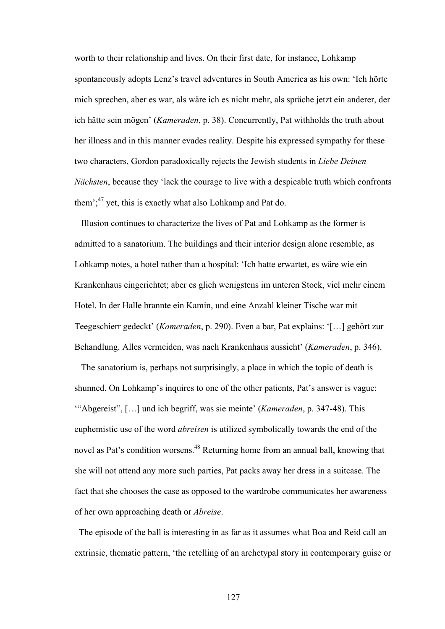worth to their relationship and lives. On their first date, for instance, Lohkamp spontaneously adopts Lenz's travel adventures in South America as his own: 'Ich hörte mich sprechen, aber es war, als wäre ich es nicht mehr, als spräche jetzt ein anderer, der ich hätte sein mögen' (*Kameraden*, p. 38). Concurrently, Pat withholds the truth about her illness and in this manner evades reality. Despite his expressed sympathy for these two characters, Gordon paradoxically rejects the Jewish students in *Liebe Deinen Nächsten*, because they 'lack the courage to live with a despicable truth which confronts them'; $^{47}$  yet, this is exactly what also Lohkamp and Pat do.

 Illusion continues to characterize the lives of Pat and Lohkamp as the former is admitted to a sanatorium. The buildings and their interior design alone resemble, as Lohkamp notes, a hotel rather than a hospital: 'Ich hatte erwartet, es wäre wie ein Krankenhaus eingerichtet; aber es glich wenigstens im unteren Stock, viel mehr einem Hotel. In der Halle brannte ein Kamin, und eine Anzahl kleiner Tische war mit Teegeschierr gedeckt' (*Kameraden*, p. 290). Even a bar, Pat explains: '[…] gehört zur Behandlung. Alles vermeiden, was nach Krankenhaus aussieht' (*Kameraden*, p. 346).

 The sanatorium is, perhaps not surprisingly, a place in which the topic of death is shunned. On Lohkamp's inquires to one of the other patients, Pat's answer is vague: '"Abgereist", […] und ich begriff, was sie meinte' (*Kameraden*, p. 347-48). This euphemistic use of the word *abreisen* is utilized symbolically towards the end of the novel as Pat's condition worsens.48 Returning home from an annual ball, knowing that she will not attend any more such parties, Pat packs away her dress in a suitcase. The fact that she chooses the case as opposed to the wardrobe communicates her awareness of her own approaching death or *Abreise*.

 The episode of the ball is interesting in as far as it assumes what Boa and Reid call an extrinsic, thematic pattern, 'the retelling of an archetypal story in contemporary guise or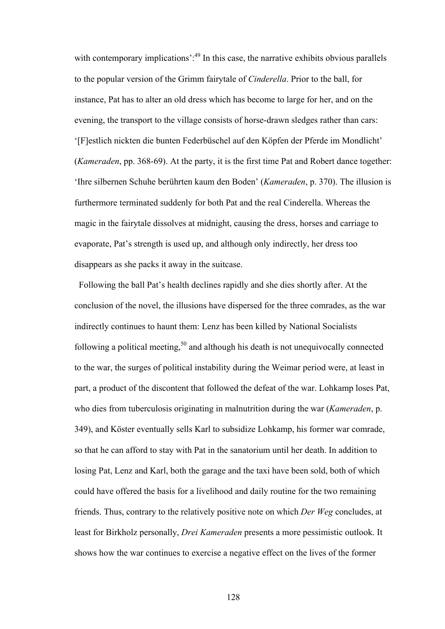with contemporary implications':<sup>49</sup> In this case, the narrative exhibits obvious parallels to the popular version of the Grimm fairytale of *Cinderella*. Prior to the ball, for instance, Pat has to alter an old dress which has become to large for her, and on the evening, the transport to the village consists of horse-drawn sledges rather than cars: '[F]estlich nickten die bunten Federbüschel auf den Köpfen der Pferde im Mondlicht' (*Kameraden*, pp. 368-69). At the party, it is the first time Pat and Robert dance together: 'Ihre silbernen Schuhe berührten kaum den Boden' (*Kameraden*, p. 370). The illusion is furthermore terminated suddenly for both Pat and the real Cinderella. Whereas the magic in the fairytale dissolves at midnight, causing the dress, horses and carriage to evaporate, Pat's strength is used up, and although only indirectly, her dress too disappears as she packs it away in the suitcase.

 Following the ball Pat's health declines rapidly and she dies shortly after. At the conclusion of the novel, the illusions have dispersed for the three comrades, as the war indirectly continues to haunt them: Lenz has been killed by National Socialists following a political meeting,<sup>50</sup> and although his death is not unequivocally connected to the war, the surges of political instability during the Weimar period were, at least in part, a product of the discontent that followed the defeat of the war. Lohkamp loses Pat, who dies from tuberculosis originating in malnutrition during the war (*Kameraden*, p. 349), and Köster eventually sells Karl to subsidize Lohkamp, his former war comrade, so that he can afford to stay with Pat in the sanatorium until her death. In addition to losing Pat, Lenz and Karl, both the garage and the taxi have been sold, both of which could have offered the basis for a livelihood and daily routine for the two remaining friends. Thus, contrary to the relatively positive note on which *Der Weg* concludes, at least for Birkholz personally, *Drei Kameraden* presents a more pessimistic outlook. It shows how the war continues to exercise a negative effect on the lives of the former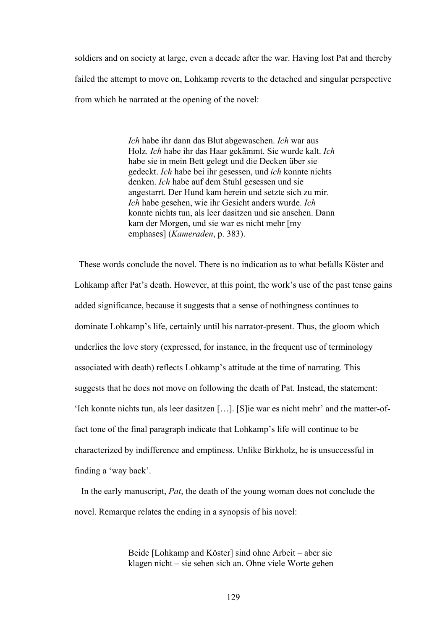soldiers and on society at large, even a decade after the war. Having lost Pat and thereby failed the attempt to move on, Lohkamp reverts to the detached and singular perspective from which he narrated at the opening of the novel:

> *Ich* habe ihr dann das Blut abgewaschen. *Ich* war aus Holz. *Ich* habe ihr das Haar gekämmt. Sie wurde kalt. *Ich* habe sie in mein Bett gelegt und die Decken über sie gedeckt. *Ich* habe bei ihr gesessen, und *ich* konnte nichts denken. *Ich* habe auf dem Stuhl gesessen und sie angestarrt. Der Hund kam herein und setzte sich zu mir. *Ich* habe gesehen, wie ihr Gesicht anders wurde. *Ich* konnte nichts tun, als leer dasitzen und sie ansehen. Dann kam der Morgen, und sie war es nicht mehr [my emphases] (*Kameraden*, p. 383).

 These words conclude the novel. There is no indication as to what befalls Köster and Lohkamp after Pat's death. However, at this point, the work's use of the past tense gains added significance, because it suggests that a sense of nothingness continues to dominate Lohkamp's life, certainly until his narrator-present. Thus, the gloom which underlies the love story (expressed, for instance, in the frequent use of terminology associated with death) reflects Lohkamp's attitude at the time of narrating. This suggests that he does not move on following the death of Pat. Instead, the statement: 'Ich konnte nichts tun, als leer dasitzen […]. [S]ie war es nicht mehr' and the matter-offact tone of the final paragraph indicate that Lohkamp's life will continue to be characterized by indifference and emptiness. Unlike Birkholz, he is unsuccessful in finding a 'way back'.

 In the early manuscript, *Pat*, the death of the young woman does not conclude the novel. Remarque relates the ending in a synopsis of his novel:

> Beide [Lohkamp and Köster] sind ohne Arbeit – aber sie klagen nicht – sie sehen sich an. Ohne viele Worte gehen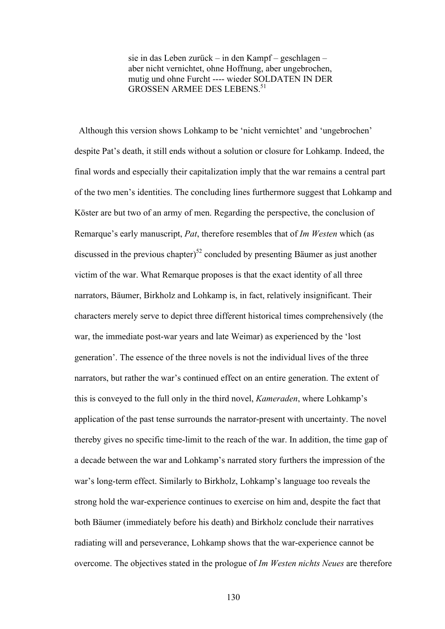sie in das Leben zurück – in den Kampf – geschlagen – aber nicht vernichtet, ohne Hoffnung, aber ungebrochen, mutig und ohne Furcht ---- wieder SOLDATEN IN DER GROSSEN ARMEE DES LEBENS.<sup>51</sup>

Although this version shows Lohkamp to be 'nicht vernichtet' and 'ungebrochen' despite Pat's death, it still ends without a solution or closure for Lohkamp. Indeed, the final words and especially their capitalization imply that the war remains a central part of the two men's identities. The concluding lines furthermore suggest that Lohkamp and Köster are but two of an army of men. Regarding the perspective, the conclusion of Remarque's early manuscript, *Pat*, therefore resembles that of *Im Westen* which (as discussed in the previous chapter)<sup>52</sup> concluded by presenting Bäumer as just another victim of the war. What Remarque proposes is that the exact identity of all three narrators, Bäumer, Birkholz and Lohkamp is, in fact, relatively insignificant. Their characters merely serve to depict three different historical times comprehensively (the war, the immediate post-war years and late Weimar) as experienced by the 'lost generation'. The essence of the three novels is not the individual lives of the three narrators, but rather the war's continued effect on an entire generation. The extent of this is conveyed to the full only in the third novel, *Kameraden*, where Lohkamp's application of the past tense surrounds the narrator-present with uncertainty. The novel thereby gives no specific time-limit to the reach of the war. In addition, the time gap of a decade between the war and Lohkamp's narrated story furthers the impression of the war's long-term effect. Similarly to Birkholz, Lohkamp's language too reveals the strong hold the war-experience continues to exercise on him and, despite the fact that both Bäumer (immediately before his death) and Birkholz conclude their narratives radiating will and perseverance, Lohkamp shows that the war-experience cannot be overcome. The objectives stated in the prologue of *Im Westen nichts Neues* are therefore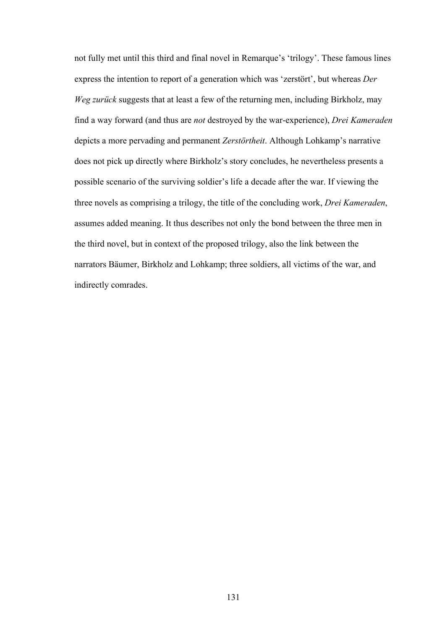not fully met until this third and final novel in Remarque's 'trilogy'. These famous lines express the intention to report of a generation which was 'zerstört', but whereas *Der Weg zurück* suggests that at least a few of the returning men, including Birkholz, may find a way forward (and thus are *not* destroyed by the war-experience), *Drei Kameraden* depicts a more pervading and permanent *Zerstörtheit*. Although Lohkamp's narrative does not pick up directly where Birkholz's story concludes, he nevertheless presents a possible scenario of the surviving soldier's life a decade after the war. If viewing the three novels as comprising a trilogy, the title of the concluding work, *Drei Kameraden*, assumes added meaning. It thus describes not only the bond between the three men in the third novel, but in context of the proposed trilogy, also the link between the narrators Bäumer, Birkholz and Lohkamp; three soldiers, all victims of the war, and indirectly comrades.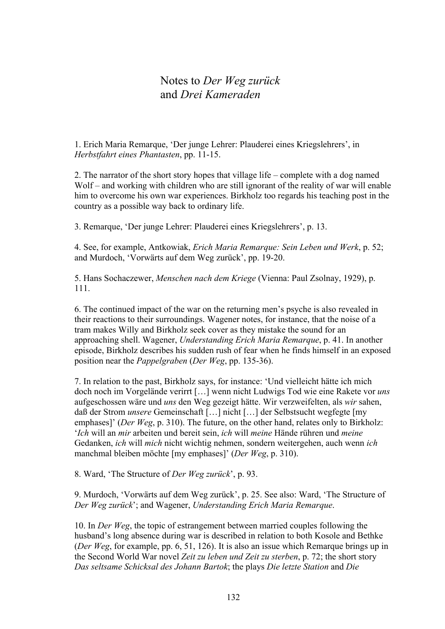## Notes to *Der Weg zurück* and *Drei Kameraden*

1. Erich Maria Remarque, 'Der junge Lehrer: Plauderei eines Kriegslehrers', in *Herbstfahrt eines Phantasten*, pp. 11-15.

2. The narrator of the short story hopes that village life – complete with a dog named Wolf – and working with children who are still ignorant of the reality of war will enable him to overcome his own war experiences. Birkholz too regards his teaching post in the country as a possible way back to ordinary life.

3. Remarque, 'Der junge Lehrer: Plauderei eines Kriegslehrers', p. 13.

4. See, for example, Antkowiak, *Erich Maria Remarque: Sein Leben und Werk*, p. 52; and Murdoch, 'Vorwärts auf dem Weg zurück', pp. 19-20.

5. Hans Sochaczewer, *Menschen nach dem Kriege* (Vienna: Paul Zsolnay, 1929), p. 111.

6. The continued impact of the war on the returning men's psyche is also revealed in their reactions to their surroundings. Wagener notes, for instance, that the noise of a tram makes Willy and Birkholz seek cover as they mistake the sound for an approaching shell. Wagener, *Understanding Erich Maria Remarque*, p. 41. In another episode, Birkholz describes his sudden rush of fear when he finds himself in an exposed position near the *Pappelgraben* (*Der Weg*, pp. 135-36).

7. In relation to the past, Birkholz says, for instance: 'Und vielleicht hätte ich mich doch noch im Vorgelände verirrt […] wenn nicht Ludwigs Tod wie eine Rakete vor *uns* aufgeschossen wäre und *uns* den Weg gezeigt hätte. Wir verzweifelten, als *wir* sahen, daß der Strom *unsere* Gemeinschaft […] nicht […] der Selbstsucht wegfegte [my emphases]' (*Der Weg*, p. 310). The future, on the other hand, relates only to Birkholz: '*Ich* will an *mir* arbeiten und bereit sein, *ich* will *meine* Hände rühren und *meine* Gedanken, *ich* will *mich* nicht wichtig nehmen, sondern weitergehen, auch wenn *ich* manchmal bleiben möchte [my emphases]' (*Der Weg*, p. 310).

8. Ward, 'The Structure of *Der Weg zurück*', p. 93.

9. Murdoch, 'Vorwärts auf dem Weg zurück', p. 25. See also: Ward, 'The Structure of *Der Weg zurück*'; and Wagener, *Understanding Erich Maria Remarque*.

10. In *Der Weg*, the topic of estrangement between married couples following the husband's long absence during war is described in relation to both Kosole and Bethke (*Der Weg*, for example, pp. 6, 51, 126). It is also an issue which Remarque brings up in the Second World War novel *Zeit zu leben und Zeit zu sterben*, p. 72; the short story *Das seltsame Schicksal des Johann Bartok*; the plays *Die letzte Station* and *Die*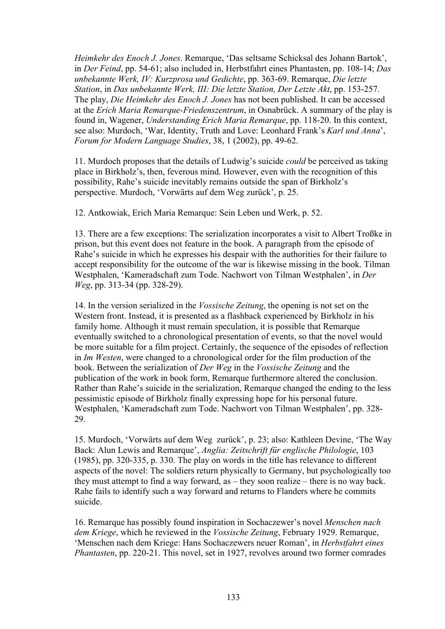*Heimkehr des Enoch J. Jones*. Remarque, 'Das seltsame Schicksal des Johann Bartok', in *Der Feind*, pp. 54-61; also included in, Herbstfahrt eines Phantasten, pp. 108-14; *Das unbekannte Werk, IV: Kurzprosa und Gedichte*, pp. 363-69. Remarque, *Die letzte Station*, in *Das unbekannte Werk, III: Die letzte Station, Der Letzte Akt*, pp. 153-257. The play, *Die Heimkehr des Enoch J. Jones* has not been published. It can be accessed at the *Erich Maria Remarque-Friedenszentrum*, in Osnabrück. A summary of the play is found in, Wagener, *Understanding Erich Maria Remarque*, pp. 118-20. In this context, see also: Murdoch, 'War, Identity, Truth and Love: Leonhard Frank's *Karl und Anna*', *Forum for Modern Language Studies*, 38, 1 (2002), pp. 49-62.

11. Murdoch proposes that the details of Ludwig's suicide *could* be perceived as taking place in Birkholz's, then, feverous mind. However, even with the recognition of this possibility, Rahe's suicide inevitably remains outside the span of Birkholz's perspective. Murdoch, 'Vorwärts auf dem Weg zurück', p. 25.

12. Antkowiak, Erich Maria Remarque: Sein Leben und Werk, p. 52.

13. There are a few exceptions: The serialization incorporates a visit to Albert Troßke in prison, but this event does not feature in the book. A paragraph from the episode of Rahe's suicide in which he expresses his despair with the authorities for their failure to accept responsibility for the outcome of the war is likewise missing in the book. Tilman Westphalen, 'Kameradschaft zum Tode. Nachwort von Tilman Westphalen', in *Der Weg*, pp. 313-34 (pp. 328-29).

14. In the version serialized in the *Vossische Zeitung*, the opening is not set on the Western front. Instead, it is presented as a flashback experienced by Birkholz in his family home. Although it must remain speculation, it is possible that Remarque eventually switched to a chronological presentation of events, so that the novel would be more suitable for a film project. Certainly, the sequence of the episodes of reflection in *Im Westen*, were changed to a chronological order for the film production of the book. Between the serialization of *Der Weg* in the *Vossische Zeitung* and the publication of the work in book form, Remarque furthermore altered the conclusion. Rather than Rahe's suicide in the serialization, Remarque changed the ending to the less pessimistic episode of Birkholz finally expressing hope for his personal future. Westphalen, 'Kameradschaft zum Tode. Nachwort von Tilman Westphalen', pp. 328- 29.

15. Murdoch, 'Vorwärts auf dem Weg zurück', p. 23; also: Kathleen Devine, 'The Way Back: Alun Lewis and Remarque', *Anglia: Zeitschrift für englische Philologie*, 103 (1985), pp. 320-335, p. 330. The play on words in the title has relevance to different aspects of the novel: The soldiers return physically to Germany, but psychologically too they must attempt to find a way forward, as – they soon realize – there is no way back. Rahe fails to identify such a way forward and returns to Flanders where he commits suicide.

16. Remarque has possibly found inspiration in Sochaczewer's novel *Menschen nach dem Kriege*, which he reviewed in the *Vossische Zeitung*, February 1929. Remarque, 'Menschen nach dem Kriege: Hans Sochaczewers neuer Roman', in *Herbstfahrt eines Phantasten*, pp. 220-21. This novel, set in 1927, revolves around two former comrades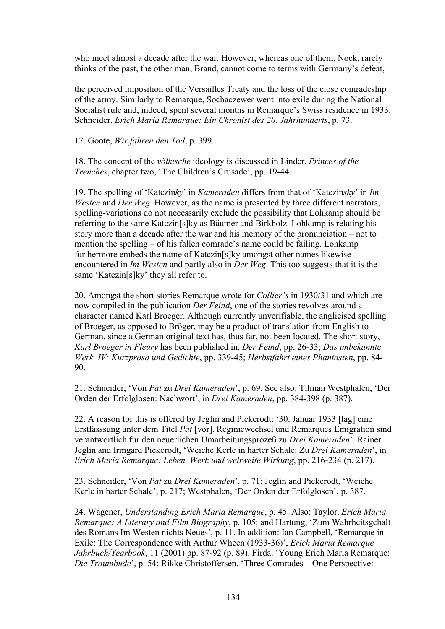who meet almost a decade after the war. However, whereas one of them, Nock, rarely thinks of the past, the other man, Brand, cannot come to terms with Germany's defeat,

the perceived imposition of the Versailles Treaty and the loss of the close comradeship of the army. Similarly to Remarque, Sochaczewer went into exile during the National Socialist rule and, indeed, spent several months in Remarque's Swiss residence in 1933. Schneider, *Erich Maria Remarque: Ein Chronist des 20. Jahrhunderts*, p. 73.

17. Goote, *Wir fahren den Tod*, p. 399.

18. The concept of the *völkische* ideology is discussed in Linder, *Princes of the Trenches*, chapter two, 'The Children's Crusade', pp. 19-44.

19. The spelling of 'Katczin*ky*' in *Kameraden* differs from that of 'Katczin*sky*' in *Im Westen and Der Weg.* However, as the name is presented by three different narrators, spelling-variations do not necessarily exclude the possibility that Lohkamp should be referring to the same Katczin[s]ky as Bäumer and Birkholz. Lohkamp is relating his story more than a decade after the war and his memory of the pronunciation – not to mention the spelling – of his fallen comrade's name could be failing. Lohkamp furthermore embeds the name of Katczin[s]ky amongst other names likewise encountered in *Im Westen* and partly also in *Der Weg*. This too suggests that it is the same 'Katczin[s]ky' they all refer to.

20. Amongst the short stories Remarque wrote for *Collier's* in 1930/31 and which are now compiled in the publication *Der Feind*, one of the stories revolves around a character named Karl Broeger. Although currently unverifiable, the anglicised spelling of Broeger, as opposed to Bröger, may be a product of translation from English to German, since a German original text has, thus far, not been located. The short story, *Karl Broeger in Fleury* has been published in, *Der Feind*, pp. 26-33; *Das unbekannte Werk, IV: Kurzprosa und Gedichte*, pp. 339-45; *Herbstfahrt eines Phantasten*, pp. 84- 90.

21. Schneider, 'Von *Pat* zu *Drei Kameraden*', p. 69. See also: Tilman Westphalen, 'Der Orden der Erfolglosen: Nachwort', in *Drei Kameraden*, pp. 384-398 (p. 387).

22. A reason for this is offered by Jeglin and Pickerodt: '30. Januar 1933 [lag] eine Erstfasssung unter dem Titel *Pat* [vor]. Regimewechsel und Remarques Emigration sind verantwortlich für den neuerlichen Umarbeitungsprozeß zu *Drei Kameraden*'. Rainer Jeglin and Irmgard Pickerodt, 'Weiche Kerle in harter Schale: Zu *Drei Kameraden*', in *Erich Maria Remarque: Leben, Werk und weltweite Wirkung*, pp. 216-234 (p. 217).

23. Schneider, 'Von *Pat* zu *Drei Kameraden*', p. 71; Jeglin and Pickerodt, 'Weiche Kerle in harter Schale', p. 217; Westphalen, 'Der Orden der Erfolglosen', p. 387.

24. Wagener, *Understanding Erich Maria Remarque*, p. 45. Also: Taylor. *Erich Maria Remarque: A Literary and Film Biography*, p. 105; and Hartung, 'Zum Wahrheitsgehalt des Romans Im Westen nichts Neues', p. 11. In addition: Ian Campbell, 'Remarque in Exile: The Correspondence with Arthur Wheen (1933-36)', *Erich Maria Remarque Jahrbuch/Yearbook*, 11 (2001) pp. 87-92 (p. 89). Firda. 'Young Erich Maria Remarque: *Die Traumbude*', p. 54; Rikke Christoffersen, 'Three Comrades – One Perspective: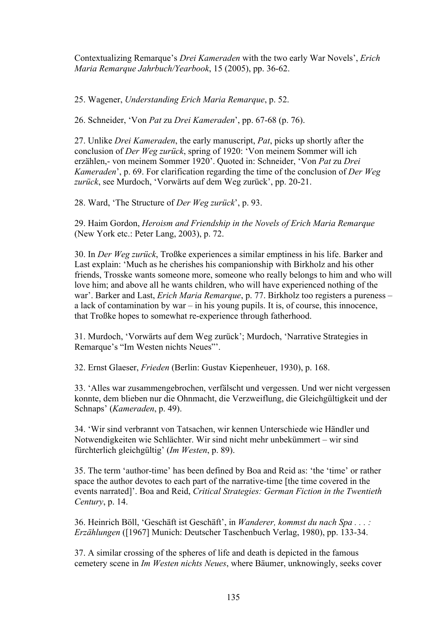Contextualizing Remarque's *Drei Kameraden* with the two early War Novels', *Erich Maria Remarque Jahrbuch/Yearbook*, 15 (2005), pp. 36-62.

25. Wagener, *Understanding Erich Maria Remarque*, p. 52.

26. Schneider, 'Von *Pat* zu *Drei Kameraden*', pp. 67-68 (p. 76).

27. Unlike *Drei Kameraden*, the early manuscript, *Pat*, picks up shortly after the conclusion of *Der Weg zurück*, spring of 1920: 'Von meinem Sommer will ich erzählen,- von meinem Sommer 1920'. Quoted in: Schneider, 'Von *Pat* zu *Drei Kameraden*', p. 69. For clarification regarding the time of the conclusion of *Der Weg zurück*, see Murdoch, 'Vorwärts auf dem Weg zurück', pp. 20-21.

28. Ward, 'The Structure of *Der Weg zurück*', p. 93.

29. Haim Gordon, *Heroism and Friendship in the Novels of Erich Maria Remarque* (New York etc.: Peter Lang, 2003), p. 72.

30. In *Der Weg zurück*, Troßke experiences a similar emptiness in his life. Barker and Last explain: 'Much as he cherishes his companionship with Birkholz and his other friends, Trosske wants someone more, someone who really belongs to him and who will love him; and above all he wants children, who will have experienced nothing of the war'. Barker and Last, *Erich Maria Remarque*, p. 77. Birkholz too registers a pureness – a lack of contamination by war – in his young pupils. It is, of course, this innocence, that Troßke hopes to somewhat re-experience through fatherhood.

31. Murdoch, 'Vorwärts auf dem Weg zurück'; Murdoch, 'Narrative Strategies in Remarque's "Im Westen nichts Neues"'.

32. Ernst Glaeser, *Frieden* (Berlin: Gustav Kiepenheuer, 1930), p. 168.

33. 'Alles war zusammengebrochen, verfälscht und vergessen. Und wer nicht vergessen konnte, dem blieben nur die Ohnmacht, die Verzweiflung, die Gleichgültigkeit und der Schnaps' (*Kameraden*, p. 49).

34. 'Wir sind verbrannt von Tatsachen, wir kennen Unterschiede wie Händler und Notwendigkeiten wie Schlächter. Wir sind nicht mehr unbekümmert – wir sind fürchterlich gleichgültig' (*Im Westen*, p. 89).

35. The term 'author-time' has been defined by Boa and Reid as: 'the 'time' or rather space the author devotes to each part of the narrative-time [the time covered in the events narrated]'. Boa and Reid, *Critical Strategies: German Fiction in the Twentieth Century*, p. 14.

36. Heinrich Böll, 'Geschäft ist Geschäft', in *Wanderer, kommst du nach Spa . . . : Erzählungen* ([1967] Munich: Deutscher Taschenbuch Verlag, 1980), pp. 133-34.

37. A similar crossing of the spheres of life and death is depicted in the famous cemetery scene in *Im Westen nichts Neues*, where Bäumer, unknowingly, seeks cover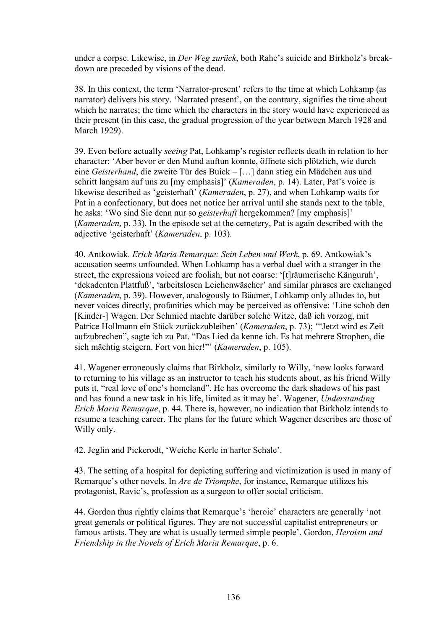under a corpse. Likewise, in *Der Weg zurück*, both Rahe's suicide and Birkholz's breakdown are preceded by visions of the dead.

38. In this context, the term 'Narrator-present' refers to the time at which Lohkamp (as narrator) delivers his story. 'Narrated present', on the contrary, signifies the time about which he narrates; the time which the characters in the story would have experienced as their present (in this case, the gradual progression of the year between March 1928 and March 1929).

39. Even before actually *seeing* Pat, Lohkamp's register reflects death in relation to her character: 'Aber bevor er den Mund auftun konnte, öffnete sich plötzlich, wie durch eine *Geisterhand*, die zweite Tür des Buick – […] dann stieg ein Mädchen aus und schritt langsam auf uns zu [my emphasis]' (*Kameraden*, p. 14). Later, Pat's voice is likewise described as 'geisterhaft' (*Kameraden*, p. 27), and when Lohkamp waits for Pat in a confectionary, but does not notice her arrival until she stands next to the table, he asks: 'Wo sind Sie denn nur so *geisterhaft* hergekommen? [my emphasis]' (*Kameraden*, p. 33). In the episode set at the cemetery, Pat is again described with the adjective 'geisterhaft' (*Kameraden*, p. 103).

40. Antkowiak. *Erich Maria Remarque: Sein Leben und Werk*, p. 69. Antkowiak's accusation seems unfounded. When Lohkamp has a verbal duel with a stranger in the street, the expressions voiced are foolish, but not coarse: '[t]räumerische Känguruh', 'dekadenten Plattfuß', 'arbeitslosen Leichenwäscher' and similar phrases are exchanged (*Kameraden*, p. 39). However, analogously to Bäumer, Lohkamp only alludes to, but never voices directly, profanities which may be perceived as offensive: 'Line schob den [Kinder-] Wagen. Der Schmied machte darüber solche Witze, daß ich vorzog, mit Patrice Hollmann ein Stück zurückzubleiben' (*Kameraden*, p. 73); '"Jetzt wird es Zeit aufzubrechen", sagte ich zu Pat. "Das Lied da kenne ich. Es hat mehrere Strophen, die sich mächtig steigern. Fort von hier!"' (*Kameraden*, p. 105).

41. Wagener erroneously claims that Birkholz, similarly to Willy, 'now looks forward to returning to his village as an instructor to teach his students about, as his friend Willy puts it, "real love of one's homeland". He has overcome the dark shadows of his past and has found a new task in his life, limited as it may be'. Wagener, *Understanding Erich Maria Remarque*, p. 44. There is, however, no indication that Birkholz intends to resume a teaching career. The plans for the future which Wagener describes are those of Willy only.

42. Jeglin and Pickerodt, 'Weiche Kerle in harter Schale'.

43. The setting of a hospital for depicting suffering and victimization is used in many of Remarque's other novels. In *Arc de Triomphe*, for instance, Remarque utilizes his protagonist, Ravic's, profession as a surgeon to offer social criticism.

44. Gordon thus rightly claims that Remarque's 'heroic' characters are generally 'not great generals or political figures. They are not successful capitalist entrepreneurs or famous artists. They are what is usually termed simple people'. Gordon, *Heroism and Friendship in the Novels of Erich Maria Remarque*, p. 6.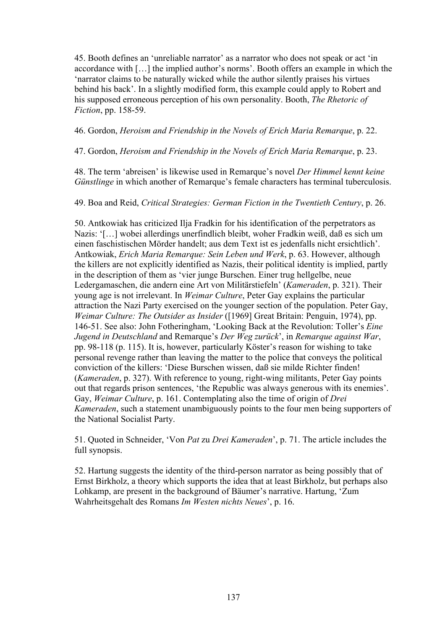45. Booth defines an 'unreliable narrator' as a narrator who does not speak or act 'in accordance with […] the implied author's norms'. Booth offers an example in which the 'narrator claims to be naturally wicked while the author silently praises his virtues behind his back'. In a slightly modified form, this example could apply to Robert and his supposed erroneous perception of his own personality. Booth, *The Rhetoric of Fiction*, pp. 158-59.

46. Gordon, *Heroism and Friendship in the Novels of Erich Maria Remarque*, p. 22.

47. Gordon, *Heroism and Friendship in the Novels of Erich Maria Remarque*, p. 23.

48. The term 'abreisen' is likewise used in Remarque's novel *Der Himmel kennt keine Günstlinge* in which another of Remarque's female characters has terminal tuberculosis.

49. Boa and Reid, *Critical Strategies: German Fiction in the Twentieth Century*, p. 26.

50. Antkowiak has criticized Ilja Fradkin for his identification of the perpetrators as Nazis: '[…] wobei allerdings unerfindlich bleibt, woher Fradkin weiß, daß es sich um einen faschistischen Mörder handelt; aus dem Text ist es jedenfalls nicht ersichtlich'. Antkowiak, *Erich Maria Remarque: Sein Leben und Werk*, p. 63. However, although the killers are not explicitly identified as Nazis, their political identity is implied, partly in the description of them as 'vier junge Burschen. Einer trug hellgelbe, neue Ledergamaschen, die andern eine Art von Militärstiefeln' (*Kameraden*, p. 321). Their young age is not irrelevant. In *Weimar Culture*, Peter Gay explains the particular attraction the Nazi Party exercised on the younger section of the population. Peter Gay, *Weimar Culture: The Outsider as Insider* ([1969] Great Britain: Penguin, 1974), pp. 146-51. See also: John Fotheringham, 'Looking Back at the Revolution: Toller's *Eine Jugend in Deutschland* and Remarque's *Der Weg zurück*', in *Remarque against War*, pp. 98-118 (p. 115). It is, however, particularly Köster's reason for wishing to take personal revenge rather than leaving the matter to the police that conveys the political conviction of the killers: 'Diese Burschen wissen, daß sie milde Richter finden! (*Kameraden*, p. 327). With reference to young, right-wing militants, Peter Gay points out that regards prison sentences, 'the Republic was always generous with its enemies'. Gay, *Weimar Culture*, p. 161. Contemplating also the time of origin of *Drei Kameraden*, such a statement unambiguously points to the four men being supporters of the National Socialist Party.

51. Quoted in Schneider, 'Von *Pat* zu *Drei Kameraden*', p. 71. The article includes the full synopsis.

52. Hartung suggests the identity of the third-person narrator as being possibly that of Ernst Birkholz, a theory which supports the idea that at least Birkholz, but perhaps also Lohkamp, are present in the background of Bäumer's narrative. Hartung, 'Zum Wahrheitsgehalt des Romans *Im Westen nichts Neues*', p. 16.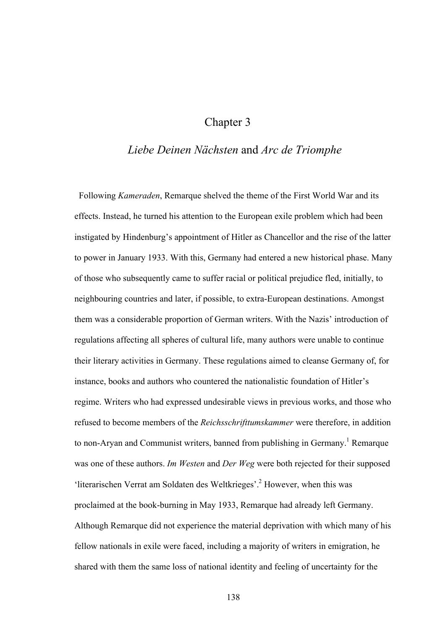## Chapter 3

## *Liebe Deinen Nächsten* and *Arc de Triomphe*

 Following *Kameraden*, Remarque shelved the theme of the First World War and its effects. Instead, he turned his attention to the European exile problem which had been instigated by Hindenburg's appointment of Hitler as Chancellor and the rise of the latter to power in January 1933. With this, Germany had entered a new historical phase. Many of those who subsequently came to suffer racial or political prejudice fled, initially, to neighbouring countries and later, if possible, to extra-European destinations. Amongst them was a considerable proportion of German writers. With the Nazis' introduction of regulations affecting all spheres of cultural life, many authors were unable to continue their literary activities in Germany. These regulations aimed to cleanse Germany of, for instance, books and authors who countered the nationalistic foundation of Hitler's regime. Writers who had expressed undesirable views in previous works, and those who refused to become members of the *Reichsschrifttumskammer* were therefore, in addition to non-Aryan and Communist writers, banned from publishing in Germany.<sup>1</sup> Remarque was one of these authors. *Im Westen* and *Der Weg* were both rejected for their supposed 'literarischen Verrat am Soldaten des Weltkrieges'.<sup>2</sup> However, when this was proclaimed at the book-burning in May 1933, Remarque had already left Germany. Although Remarque did not experience the material deprivation with which many of his fellow nationals in exile were faced, including a majority of writers in emigration, he shared with them the same loss of national identity and feeling of uncertainty for the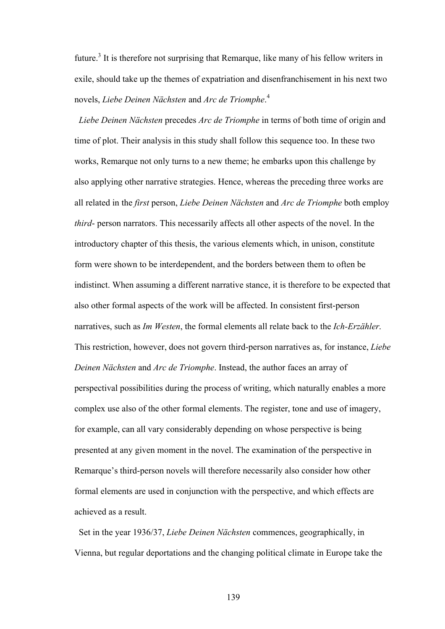future.<sup>3</sup> It is therefore not surprising that Remarque, like many of his fellow writers in exile, should take up the themes of expatriation and disenfranchisement in his next two novels, *Liebe Deinen Nächsten* and *Arc de Triomphe*. 4

 *Liebe Deinen Nächsten* precedes *Arc de Triomphe* in terms of both time of origin and time of plot. Their analysis in this study shall follow this sequence too. In these two works, Remarque not only turns to a new theme; he embarks upon this challenge by also applying other narrative strategies. Hence, whereas the preceding three works are all related in the *first* person, *Liebe Deinen Nächsten* and *Arc de Triomphe* both employ *third*- person narrators. This necessarily affects all other aspects of the novel. In the introductory chapter of this thesis, the various elements which, in unison, constitute form were shown to be interdependent, and the borders between them to often be indistinct. When assuming a different narrative stance, it is therefore to be expected that also other formal aspects of the work will be affected. In consistent first-person narratives, such as *Im Westen*, the formal elements all relate back to the *Ich-Erzähler*. This restriction, however, does not govern third-person narratives as, for instance, *Liebe Deinen Nächsten* and *Arc de Triomphe*. Instead, the author faces an array of perspectival possibilities during the process of writing, which naturally enables a more complex use also of the other formal elements. The register, tone and use of imagery, for example, can all vary considerably depending on whose perspective is being presented at any given moment in the novel. The examination of the perspective in Remarque's third-person novels will therefore necessarily also consider how other formal elements are used in conjunction with the perspective, and which effects are achieved as a result.

Set in the year 1936/37, *Liebe Deinen Nächsten* commences, geographically, in Vienna, but regular deportations and the changing political climate in Europe take the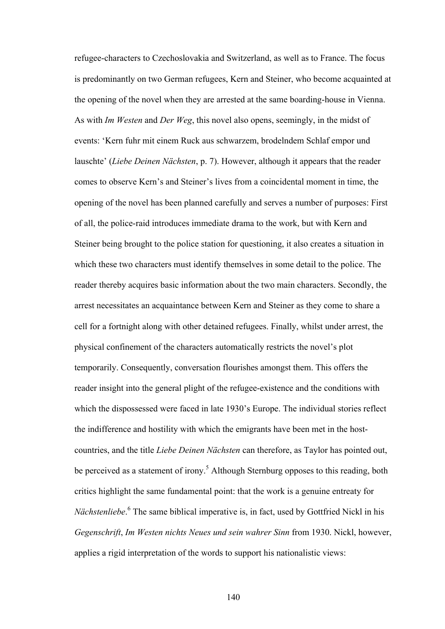refugee-characters to Czechoslovakia and Switzerland, as well as to France. The focus is predominantly on two German refugees, Kern and Steiner, who become acquainted at the opening of the novel when they are arrested at the same boarding-house in Vienna. As with *Im Westen* and *Der Weg*, this novel also opens, seemingly, in the midst of events: 'Kern fuhr mit einem Ruck aus schwarzem, brodelndem Schlaf empor und lauschte' (*Liebe Deinen Nächsten*, p. 7). However, although it appears that the reader comes to observe Kern's and Steiner's lives from a coincidental moment in time, the opening of the novel has been planned carefully and serves a number of purposes: First of all, the police-raid introduces immediate drama to the work, but with Kern and Steiner being brought to the police station for questioning, it also creates a situation in which these two characters must identify themselves in some detail to the police. The reader thereby acquires basic information about the two main characters. Secondly, the arrest necessitates an acquaintance between Kern and Steiner as they come to share a cell for a fortnight along with other detained refugees. Finally, whilst under arrest, the physical confinement of the characters automatically restricts the novel's plot temporarily. Consequently, conversation flourishes amongst them. This offers the reader insight into the general plight of the refugee-existence and the conditions with which the dispossessed were faced in late 1930's Europe. The individual stories reflect the indifference and hostility with which the emigrants have been met in the hostcountries, and the title *Liebe Deinen Nächsten* can therefore, as Taylor has pointed out, be perceived as a statement of irony.<sup>5</sup> Although Sternburg opposes to this reading, both critics highlight the same fundamental point: that the work is a genuine entreaty for Nächstenliebe.<sup>6</sup> The same biblical imperative is, in fact, used by Gottfried Nickl in his *Gegenschrift*, *Im Westen nichts Neues und sein wahrer Sinn* from 1930. Nickl, however, applies a rigid interpretation of the words to support his nationalistic views: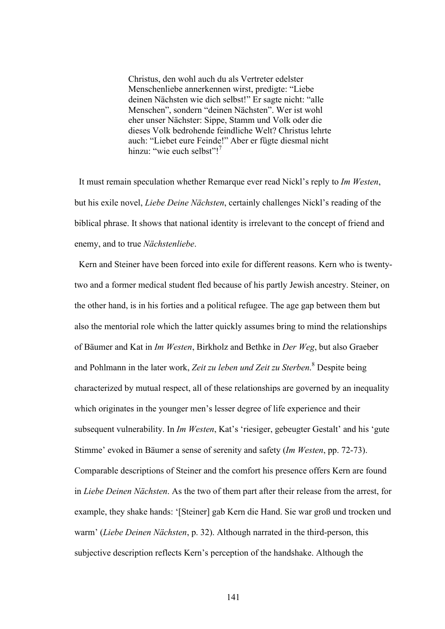Christus, den wohl auch du als Vertreter edelster Menschenliebe annerkennen wirst, predigte: "Liebe deinen Nächsten wie dich selbst!" Er sagte nicht: "alle Menschen", sondern "deinen Nächsten". Wer ist wohl eher unser Nächster: Sippe, Stamm und Volk oder die dieses Volk bedrohende feindliche Welt? Christus lehrte auch: "Liebet eure Feinde!" Aber er fügte diesmal nicht hinzu: "wie euch selbst"!<sup>7</sup>

 It must remain speculation whether Remarque ever read Nickl's reply to *Im Westen*, but his exile novel, *Liebe Deine Nächsten*, certainly challenges Nickl's reading of the biblical phrase. It shows that national identity is irrelevant to the concept of friend and enemy, and to true *Nächstenliebe*.

 Kern and Steiner have been forced into exile for different reasons. Kern who is twentytwo and a former medical student fled because of his partly Jewish ancestry. Steiner, on the other hand, is in his forties and a political refugee. The age gap between them but also the mentorial role which the latter quickly assumes bring to mind the relationships of Bäumer and Kat in *Im Westen*, Birkholz and Bethke in *Der Weg*, but also Graeber and Pohlmann in the later work, *Zeit zu leben und Zeit zu Sterben*. 8 Despite being characterized by mutual respect, all of these relationships are governed by an inequality which originates in the younger men's lesser degree of life experience and their subsequent vulnerability. In *Im Westen*, Kat's 'riesiger, gebeugter Gestalt' and his 'gute Stimme' evoked in Bäumer a sense of serenity and safety (*Im Westen*, pp. 72-73). Comparable descriptions of Steiner and the comfort his presence offers Kern are found in *Liebe Deinen Nächsten*. As the two of them part after their release from the arrest, for example, they shake hands: '[Steiner] gab Kern die Hand. Sie war groß und trocken und warm' (*Liebe Deinen Nächsten*, p. 32). Although narrated in the third-person, this subjective description reflects Kern's perception of the handshake. Although the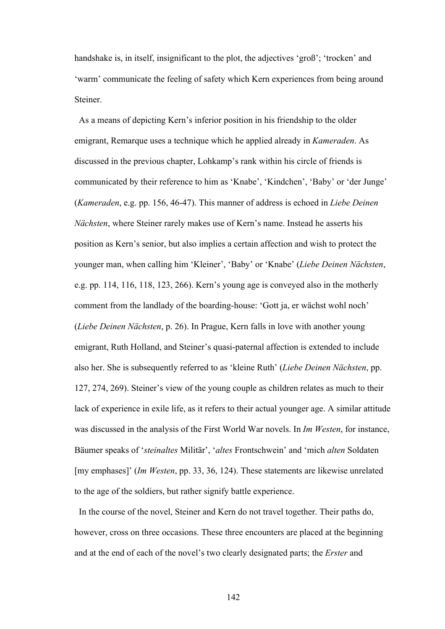handshake is, in itself, insignificant to the plot, the adjectives 'groß'; 'trocken' and 'warm' communicate the feeling of safety which Kern experiences from being around Steiner.

 As a means of depicting Kern's inferior position in his friendship to the older emigrant, Remarque uses a technique which he applied already in *Kameraden*. As discussed in the previous chapter, Lohkamp's rank within his circle of friends is communicated by their reference to him as 'Knabe', 'Kindchen', 'Baby' or 'der Junge' (*Kameraden*, e.g. pp. 156, 46-47). This manner of address is echoed in *Liebe Deinen Nächsten*, where Steiner rarely makes use of Kern's name. Instead he asserts his position as Kern's senior, but also implies a certain affection and wish to protect the younger man, when calling him 'Kleiner', 'Baby' or 'Knabe' (*Liebe Deinen Nächsten*, e.g. pp. 114, 116, 118, 123, 266). Kern's young age is conveyed also in the motherly comment from the landlady of the boarding-house: 'Gott ja, er wächst wohl noch' (*Liebe Deinen Nächsten*, p. 26). In Prague, Kern falls in love with another young emigrant, Ruth Holland, and Steiner's quasi-paternal affection is extended to include also her. She is subsequently referred to as 'kleine Ruth' (*Liebe Deinen Nächsten*, pp. 127, 274, 269). Steiner's view of the young couple as children relates as much to their lack of experience in exile life, as it refers to their actual younger age. A similar attitude was discussed in the analysis of the First World War novels. In *Im Westen*, for instance, Bäumer speaks of '*steinaltes* Militär', '*altes* Frontschwein' and 'mich *alten* Soldaten [my emphases]' (*Im Westen*, pp. 33, 36, 124). These statements are likewise unrelated to the age of the soldiers, but rather signify battle experience.

 In the course of the novel, Steiner and Kern do not travel together. Their paths do, however, cross on three occasions. These three encounters are placed at the beginning and at the end of each of the novel's two clearly designated parts; the *Erster* and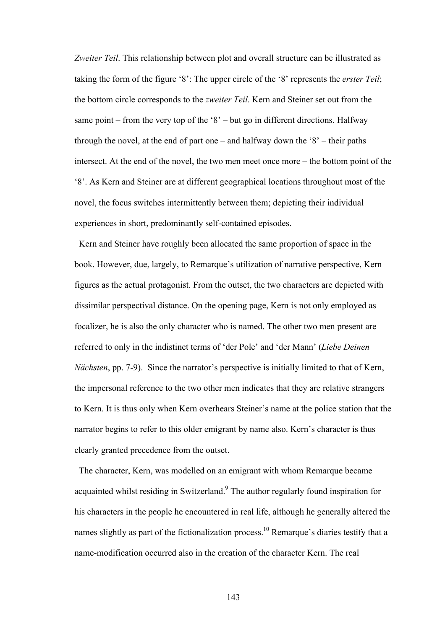*Zweiter Teil*. This relationship between plot and overall structure can be illustrated as taking the form of the figure '8': The upper circle of the '8' represents the *erster Teil*; the bottom circle corresponds to the *zweiter Teil*. Kern and Steiner set out from the same point – from the very top of the '8' – but go in different directions. Halfway through the novel, at the end of part one – and halfway down the '8' – their paths intersect. At the end of the novel, the two men meet once more – the bottom point of the '8'. As Kern and Steiner are at different geographical locations throughout most of the novel, the focus switches intermittently between them; depicting their individual experiences in short, predominantly self-contained episodes.

 Kern and Steiner have roughly been allocated the same proportion of space in the book. However, due, largely, to Remarque's utilization of narrative perspective, Kern figures as the actual protagonist. From the outset, the two characters are depicted with dissimilar perspectival distance. On the opening page, Kern is not only employed as focalizer, he is also the only character who is named. The other two men present are referred to only in the indistinct terms of 'der Pole' and 'der Mann' (*Liebe Deinen Nächsten*, pp. 7-9). Since the narrator's perspective is initially limited to that of Kern, the impersonal reference to the two other men indicates that they are relative strangers to Kern. It is thus only when Kern overhears Steiner's name at the police station that the narrator begins to refer to this older emigrant by name also. Kern's character is thus clearly granted precedence from the outset.

 The character, Kern, was modelled on an emigrant with whom Remarque became acquainted whilst residing in Switzerland.<sup>9</sup> The author regularly found inspiration for his characters in the people he encountered in real life, although he generally altered the names slightly as part of the fictionalization process.<sup>10</sup> Remarque's diaries testify that a name-modification occurred also in the creation of the character Kern. The real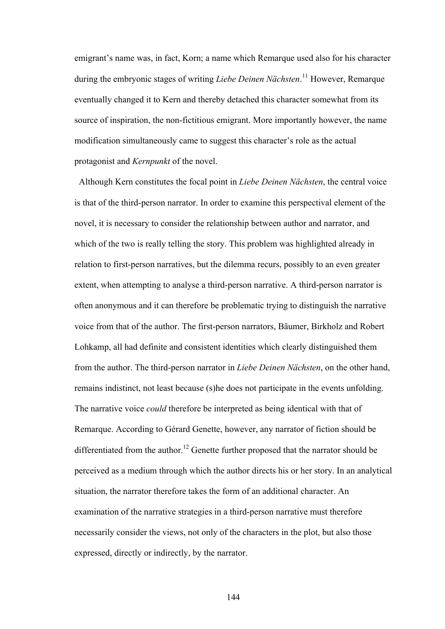emigrant's name was, in fact, Korn; a name which Remarque used also for his character during the embryonic stages of writing *Liebe Deinen Nächsten*. 11 However, Remarque eventually changed it to Kern and thereby detached this character somewhat from its source of inspiration, the non-fictitious emigrant. More importantly however, the name modification simultaneously came to suggest this character's role as the actual protagonist and *Kernpunkt* of the novel.

Although Kern constitutes the focal point in *Liebe Deinen Nächsten*, the central voice is that of the third-person narrator. In order to examine this perspectival element of the novel, it is necessary to consider the relationship between author and narrator, and which of the two is really telling the story. This problem was highlighted already in relation to first-person narratives, but the dilemma recurs, possibly to an even greater extent, when attempting to analyse a third-person narrative. A third-person narrator is often anonymous and it can therefore be problematic trying to distinguish the narrative voice from that of the author. The first-person narrators, Bäumer, Birkholz and Robert Lohkamp, all had definite and consistent identities which clearly distinguished them from the author. The third-person narrator in *Liebe Deinen Nächsten*, on the other hand, remains indistinct, not least because (s)he does not participate in the events unfolding. The narrative voice *could* therefore be interpreted as being identical with that of Remarque. According to Gérard Genette, however, any narrator of fiction should be differentiated from the author.<sup>12</sup> Genette further proposed that the narrator should be perceived as a medium through which the author directs his or her story. In an analytical situation, the narrator therefore takes the form of an additional character. An examination of the narrative strategies in a third-person narrative must therefore necessarily consider the views, not only of the characters in the plot, but also those expressed, directly or indirectly, by the narrator.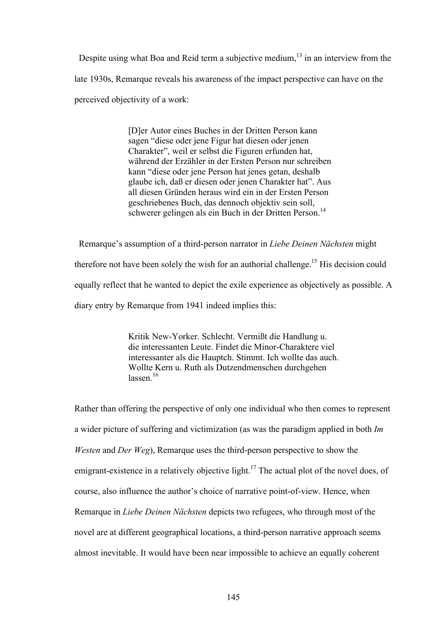Despite using what Boa and Reid term a subjective medium, $^{13}$  in an interview from the late 1930s, Remarque reveals his awareness of the impact perspective can have on the perceived objectivity of a work:

> [D]er Autor eines Buches in der Dritten Person kann sagen "diese oder jene Figur hat diesen oder jenen Charakter", weil er selbst die Figuren erfunden hat, während der Erzähler in der Ersten Person nur schreiben kann "diese oder jene Person hat jenes getan, deshalb glaube ich, daß er diesen oder jenen Charakter hat". Aus all diesen Gründen heraus wird ein in der Ersten Person geschriebenes Buch, das dennoch objektiv sein soll, schwerer gelingen als ein Buch in der Dritten Person.<sup>14</sup>

 Remarque's assumption of a third-person narrator in *Liebe Deinen Nächsten* might therefore not have been solely the wish for an authorial challenge.<sup>15</sup> His decision could equally reflect that he wanted to depict the exile experience as objectively as possible. A diary entry by Remarque from 1941 indeed implies this:

> Kritik New-Yorker. Schlecht. Vermißt die Handlung u. die interessanten Leute. Findet die Minor-Charaktere viel interessanter als die Hauptch. Stimmt. Ich wollte das auch. Wollte Kern u. Ruth als Dutzendmenschen durchgehen  $lassen<sup>16</sup>$

Rather than offering the perspective of only one individual who then comes to represent a wider picture of suffering and victimization (as was the paradigm applied in both *Im Westen* and *Der Weg*), Remarque uses the third-person perspective to show the emigrant-existence in a relatively objective light.<sup>17</sup> The actual plot of the novel does, of course, also influence the author's choice of narrative point-of-view. Hence, when Remarque in *Liebe Deinen Nächsten* depicts two refugees, who through most of the novel are at different geographical locations, a third-person narrative approach seems almost inevitable. It would have been near impossible to achieve an equally coherent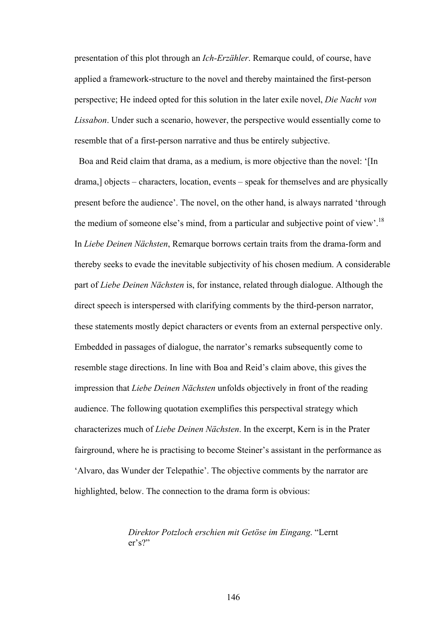presentation of this plot through an *Ich-Erzähler*. Remarque could, of course, have applied a framework-structure to the novel and thereby maintained the first-person perspective; He indeed opted for this solution in the later exile novel, *Die Nacht von Lissabon*. Under such a scenario, however, the perspective would essentially come to resemble that of a first-person narrative and thus be entirely subjective.

 Boa and Reid claim that drama, as a medium, is more objective than the novel: '[In drama,] objects – characters, location, events – speak for themselves and are physically present before the audience'. The novel, on the other hand, is always narrated 'through the medium of someone else's mind, from a particular and subjective point of view'.18 In *Liebe Deinen Nächsten*, Remarque borrows certain traits from the drama-form and thereby seeks to evade the inevitable subjectivity of his chosen medium. A considerable part of *Liebe Deinen Nächsten* is, for instance, related through dialogue. Although the direct speech is interspersed with clarifying comments by the third-person narrator, these statements mostly depict characters or events from an external perspective only. Embedded in passages of dialogue, the narrator's remarks subsequently come to resemble stage directions. In line with Boa and Reid's claim above, this gives the impression that *Liebe Deinen Nächsten* unfolds objectively in front of the reading audience. The following quotation exemplifies this perspectival strategy which characterizes much of *Liebe Deinen Nächsten*. In the excerpt, Kern is in the Prater fairground, where he is practising to become Steiner's assistant in the performance as 'Alvaro, das Wunder der Telepathie'. The objective comments by the narrator are highlighted, below. The connection to the drama form is obvious:

> *Direktor Potzloch erschien mit Getöse im Eingang*. "Lernt er's?"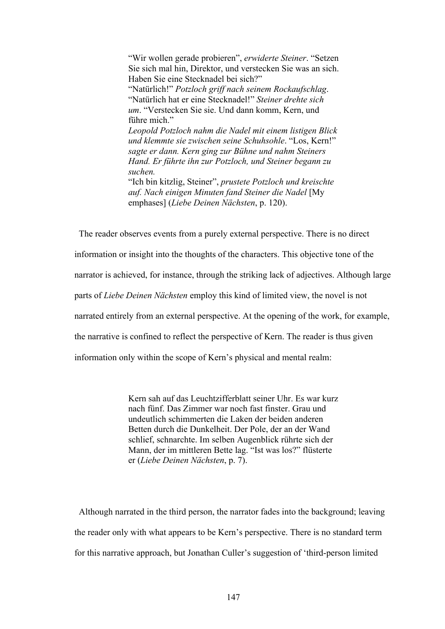"Wir wollen gerade probieren", *erwiderte Steiner*. "Setzen Sie sich mal hin, Direktor, und verstecken Sie was an sich. Haben Sie eine Stecknadel bei sich?" "Natürlich!" *Potzloch griff nach seinem Rockaufschlag*. "Natürlich hat er eine Stecknadel!" *Steiner drehte sich um*. "Verstecken Sie sie. Und dann komm, Kern, und führe mich." *Leopold Potzloch nahm die Nadel mit einem listigen Blick und klemmte sie zwischen seine Schuhsohle*. "Los, Kern!" *sagte er dann. Kern ging zur Bühne und nahm Steiners Hand. Er führte ihn zur Potzloch, und Steiner begann zu suchen.* "Ich bin kitzlig, Steiner", *prustete Potzloch und kreischte auf. Nach einigen Minuten fand Steiner die Nadel* [My emphases] (*Liebe Deinen Nächsten*, p. 120).

 The reader observes events from a purely external perspective. There is no direct information or insight into the thoughts of the characters. This objective tone of the narrator is achieved, for instance, through the striking lack of adjectives. Although large parts of *Liebe Deinen Nächsten* employ this kind of limited view, the novel is not narrated entirely from an external perspective. At the opening of the work, for example, the narrative is confined to reflect the perspective of Kern. The reader is thus given information only within the scope of Kern's physical and mental realm:

> Kern sah auf das Leuchtzifferblatt seiner Uhr. Es war kurz nach fünf. Das Zimmer war noch fast finster. Grau und undeutlich schimmerten die Laken der beiden anderen Betten durch die Dunkelheit. Der Pole, der an der Wand schlief, schnarchte. Im selben Augenblick rührte sich der Mann, der im mittleren Bette lag. "Ist was los?" flüsterte er (*Liebe Deinen Nächsten*, p. 7).

 Although narrated in the third person, the narrator fades into the background; leaving the reader only with what appears to be Kern's perspective. There is no standard term for this narrative approach, but Jonathan Culler's suggestion of 'third-person limited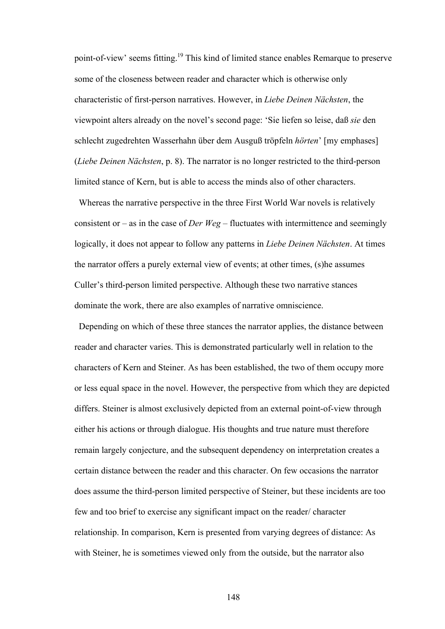point-of-view' seems fitting.<sup>19</sup> This kind of limited stance enables Remarque to preserve some of the closeness between reader and character which is otherwise only characteristic of first-person narratives. However, in *Liebe Deinen Nächsten*, the viewpoint alters already on the novel's second page: 'Sie liefen so leise, daß *sie* den schlecht zugedrehten Wasserhahn über dem Ausguß tröpfeln *hörten*' [my emphases] (*Liebe Deinen Nächsten*, p. 8). The narrator is no longer restricted to the third-person limited stance of Kern, but is able to access the minds also of other characters.

 Whereas the narrative perspective in the three First World War novels is relatively consistent or – as in the case of *Der Weg* – fluctuates with intermittence and seemingly logically, it does not appear to follow any patterns in *Liebe Deinen Nächsten*. At times the narrator offers a purely external view of events; at other times, (s)he assumes Culler's third-person limited perspective. Although these two narrative stances dominate the work, there are also examples of narrative omniscience.

Depending on which of these three stances the narrator applies, the distance between reader and character varies. This is demonstrated particularly well in relation to the characters of Kern and Steiner. As has been established, the two of them occupy more or less equal space in the novel. However, the perspective from which they are depicted differs. Steiner is almost exclusively depicted from an external point-of-view through either his actions or through dialogue. His thoughts and true nature must therefore remain largely conjecture, and the subsequent dependency on interpretation creates a certain distance between the reader and this character. On few occasions the narrator does assume the third-person limited perspective of Steiner, but these incidents are too few and too brief to exercise any significant impact on the reader/ character relationship. In comparison, Kern is presented from varying degrees of distance: As with Steiner, he is sometimes viewed only from the outside, but the narrator also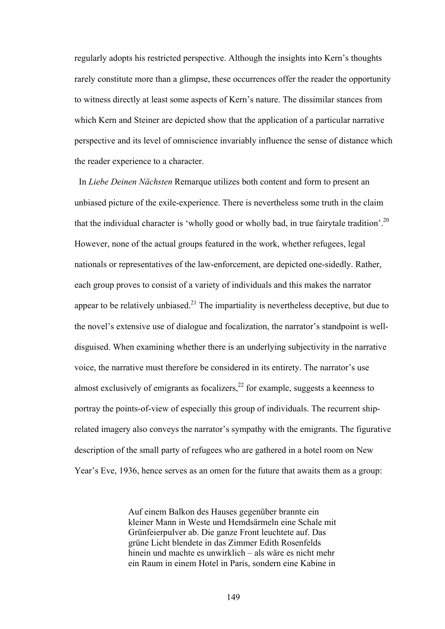regularly adopts his restricted perspective. Although the insights into Kern's thoughts rarely constitute more than a glimpse, these occurrences offer the reader the opportunity to witness directly at least some aspects of Kern's nature. The dissimilar stances from which Kern and Steiner are depicted show that the application of a particular narrative perspective and its level of omniscience invariably influence the sense of distance which the reader experience to a character.

In *Liebe Deinen Nächsten* Remarque utilizes both content and form to present an unbiased picture of the exile-experience. There is nevertheless some truth in the claim that the individual character is 'wholly good or wholly bad, in true fairytale tradition'.<sup>20</sup> However, none of the actual groups featured in the work, whether refugees, legal nationals or representatives of the law-enforcement, are depicted one-sidedly. Rather, each group proves to consist of a variety of individuals and this makes the narrator appear to be relatively unbiased.<sup>21</sup> The impartiality is nevertheless deceptive, but due to the novel's extensive use of dialogue and focalization, the narrator's standpoint is welldisguised. When examining whether there is an underlying subjectivity in the narrative voice, the narrative must therefore be considered in its entirety. The narrator's use almost exclusively of emigrants as focalizers, $^{22}$  for example, suggests a keenness to portray the points-of-view of especially this group of individuals. The recurrent shiprelated imagery also conveys the narrator's sympathy with the emigrants. The figurative description of the small party of refugees who are gathered in a hotel room on New Year's Eve, 1936, hence serves as an omen for the future that awaits them as a group:

> Auf einem Balkon des Hauses gegenüber brannte ein kleiner Mann in Weste und Hemdsärmeln eine Schale mit Grünfeierpulver ab. Die ganze Front leuchtete auf. Das grüne Licht blendete in das Zimmer Edith Rosenfelds hinein und machte es unwirklich – als wäre es nicht mehr ein Raum in einem Hotel in Paris, sondern eine Kabine in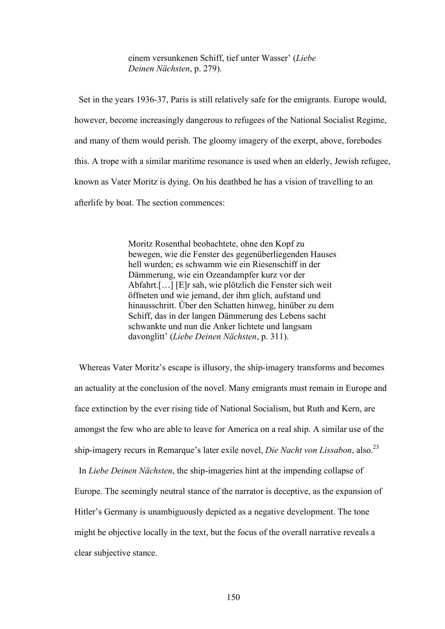einem versunkenen Schiff, tief unter Wasser' (*Liebe Deinen Nächsten*, p. 279).

Set in the years 1936-37, Paris is still relatively safe for the emigrants. Europe would, however, become increasingly dangerous to refugees of the National Socialist Regime, and many of them would perish. The gloomy imagery of the exerpt, above, forebodes this. A trope with a similar maritime resonance is used when an elderly, Jewish refugee, known as Vater Moritz is dying. On his deathbed he has a vision of travelling to an afterlife by boat. The section commences:

> Moritz Rosenthal beobachtete, ohne den Kopf zu bewegen, wie die Fenster des gegenüberliegenden Hauses hell wurden; es schwamm wie ein Riesenschiff in der Dämmerung, wie ein Ozeandampfer kurz vor der Abfahrt.[…] [E]r sah, wie plötzlich die Fenster sich weit öffneten und wie jemand, der ihm glich, aufstand und hinausschritt. Über den Schatten hinweg, hinüber zu dem Schiff, das in der langen Dämmerung des Lebens sacht schwankte und nun die Anker lichtete und langsam davonglitt' (*Liebe Deinen Nächsten*, p. 311).

 Whereas Vater Moritz's escape is illusory, the ship-imagery transforms and becomes an actuality at the conclusion of the novel. Many emigrants must remain in Europe and face extinction by the ever rising tide of National Socialism, but Ruth and Kern, are amongst the few who are able to leave for America on a real ship. A similar use of the ship-imagery recurs in Remarque's later exile novel, *Die Nacht von Lissabon*, also.23

 In *Liebe Deinen Nächsten*, the ship-imageries hint at the impending collapse of Europe. The seemingly neutral stance of the narrator is deceptive, as the expansion of Hitler's Germany is unambiguously depicted as a negative development. The tone might be objective locally in the text, but the focus of the overall narrative reveals a clear subjective stance.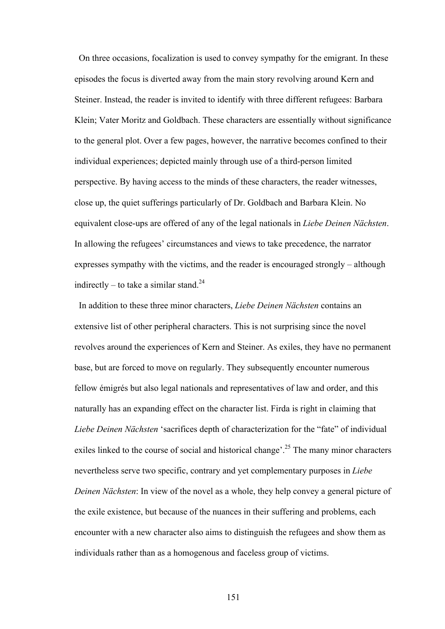On three occasions, focalization is used to convey sympathy for the emigrant. In these episodes the focus is diverted away from the main story revolving around Kern and Steiner. Instead, the reader is invited to identify with three different refugees: Barbara Klein; Vater Moritz and Goldbach. These characters are essentially without significance to the general plot. Over a few pages, however, the narrative becomes confined to their individual experiences; depicted mainly through use of a third-person limited perspective. By having access to the minds of these characters, the reader witnesses, close up, the quiet sufferings particularly of Dr. Goldbach and Barbara Klein. No equivalent close-ups are offered of any of the legal nationals in *Liebe Deinen Nächsten*. In allowing the refugees' circumstances and views to take precedence, the narrator expresses sympathy with the victims, and the reader is encouraged strongly – although indirectly – to take a similar stand.<sup>24</sup>

In addition to these three minor characters, *Liebe Deinen Nächsten* contains an extensive list of other peripheral characters. This is not surprising since the novel revolves around the experiences of Kern and Steiner. As exiles, they have no permanent base, but are forced to move on regularly. They subsequently encounter numerous fellow émigrés but also legal nationals and representatives of law and order, and this naturally has an expanding effect on the character list. Firda is right in claiming that *Liebe Deinen Nächsten* 'sacrifices depth of characterization for the "fate" of individual exiles linked to the course of social and historical change'.<sup>25</sup> The many minor characters nevertheless serve two specific, contrary and yet complementary purposes in *Liebe Deinen Nächsten*: In view of the novel as a whole, they help convey a general picture of the exile existence, but because of the nuances in their suffering and problems, each encounter with a new character also aims to distinguish the refugees and show them as individuals rather than as a homogenous and faceless group of victims.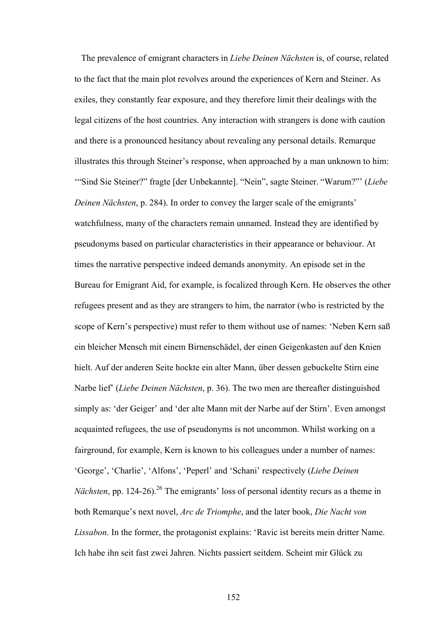The prevalence of emigrant characters in *Liebe Deinen Nächsten* is, of course, related to the fact that the main plot revolves around the experiences of Kern and Steiner. As exiles, they constantly fear exposure, and they therefore limit their dealings with the legal citizens of the host countries. Any interaction with strangers is done with caution and there is a pronounced hesitancy about revealing any personal details. Remarque illustrates this through Steiner's response, when approached by a man unknown to him: '"Sind Sie Steiner?" fragte [der Unbekannte]. "Nein", sagte Steiner. "Warum?"' (*Liebe Deinen Nächsten*, p. 284). In order to convey the larger scale of the emigrants' watchfulness, many of the characters remain unnamed. Instead they are identified by pseudonyms based on particular characteristics in their appearance or behaviour. At times the narrative perspective indeed demands anonymity. An episode set in the Bureau for Emigrant Aid, for example, is focalized through Kern. He observes the other refugees present and as they are strangers to him, the narrator (who is restricted by the scope of Kern's perspective) must refer to them without use of names: 'Neben Kern saß ein bleicher Mensch mit einem Birnenschädel, der einen Geigenkasten auf den Knien hielt. Auf der anderen Seite hockte ein alter Mann, über dessen gebuckelte Stirn eine Narbe lief' (*Liebe Deinen Nächsten*, p. 36). The two men are thereafter distinguished simply as: 'der Geiger' and 'der alte Mann mit der Narbe auf der Stirn'. Even amongst acquainted refugees, the use of pseudonyms is not uncommon. Whilst working on a fairground, for example, Kern is known to his colleagues under a number of names: 'George', 'Charlie', 'Alfons', 'Peperl' and 'Schani' respectively (*Liebe Deinen Nächsten*, pp. 124-26).<sup>26</sup> The emigrants' loss of personal identity recurs as a theme in both Remarque's next novel, *Arc de Triomphe*, and the later book, *Die Nacht von Lissabon*. In the former, the protagonist explains: 'Ravic ist bereits mein dritter Name. Ich habe ihn seit fast zwei Jahren. Nichts passiert seitdem. Scheint mir Glück zu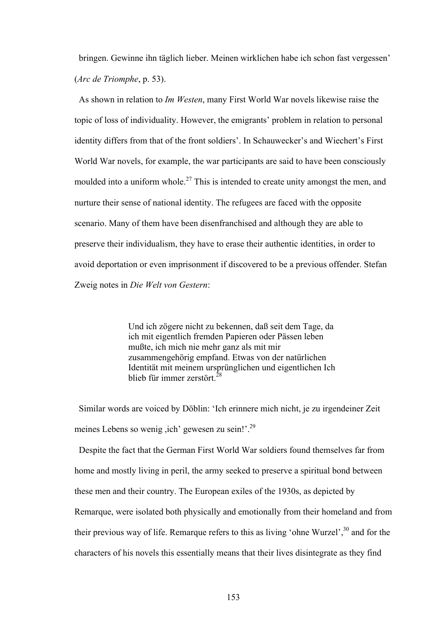bringen. Gewinne ihn täglich lieber. Meinen wirklichen habe ich schon fast vergessen' (*Arc de Triomphe*, p. 53).

As shown in relation to *Im Westen*, many First World War novels likewise raise the topic of loss of individuality. However, the emigrants' problem in relation to personal identity differs from that of the front soldiers'. In Schauwecker's and Wiechert's First World War novels, for example, the war participants are said to have been consciously moulded into a uniform whole.<sup>27</sup> This is intended to create unity amongst the men, and nurture their sense of national identity. The refugees are faced with the opposite scenario. Many of them have been disenfranchised and although they are able to preserve their individualism, they have to erase their authentic identities, in order to avoid deportation or even imprisonment if discovered to be a previous offender. Stefan Zweig notes in *Die Welt von Gestern*:

> Und ich zögere nicht zu bekennen, daß seit dem Tage, da ich mit eigentlich fremden Papieren oder Pässen leben mußte, ich mich nie mehr ganz als mit mir zusammengehörig empfand. Etwas von der natürlichen Identität mit meinem ursprünglichen und eigentlichen Ich blieb für immer zerstört<sup>28</sup>

 Similar words are voiced by Döblin: 'Ich erinnere mich nicht, je zu irgendeiner Zeit meines Lebens so wenig ,ich' gewesen zu sein!'.29

Despite the fact that the German First World War soldiers found themselves far from home and mostly living in peril, the army seeked to preserve a spiritual bond between these men and their country. The European exiles of the 1930s, as depicted by Remarque, were isolated both physically and emotionally from their homeland and from their previous way of life. Remarque refers to this as living 'ohne Wurzel',<sup>30</sup> and for the characters of his novels this essentially means that their lives disintegrate as they find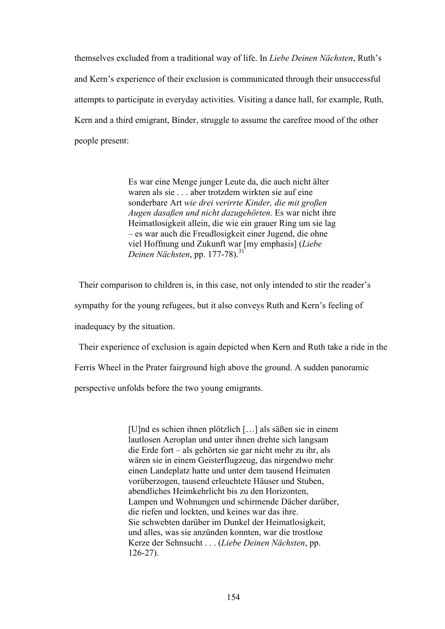themselves excluded from a traditional way of life. In *Liebe Deinen Nächsten*, Ruth's and Kern's experience of their exclusion is communicated through their unsuccessful attempts to participate in everyday activities. Visiting a dance hall, for example, Ruth, Kern and a third emigrant, Binder, struggle to assume the carefree mood of the other people present:

> Es war eine Menge junger Leute da, die auch nicht älter waren als sie . . . aber trotzdem wirkten sie auf eine sonderbare Art *wie drei verirrte Kinder, die mit großen Augen dasaßen und nicht dazugehörten*. Es war nicht ihre Heimatlosigkeit allein, die wie ein grauer Ring um sie lag – es war auch die Freudlosigkeit einer Jugend, die ohne viel Hoffnung und Zukunft war [my emphasis] (*Liebe Deinen Nächsten*, pp. 177-78).<sup>31</sup>

 Their comparison to children is, in this case, not only intended to stir the reader's sympathy for the young refugees, but it also conveys Ruth and Kern's feeling of inadequacy by the situation.

Their experience of exclusion is again depicted when Kern and Ruth take a ride in the Ferris Wheel in the Prater fairground high above the ground. A sudden panoramic

perspective unfolds before the two young emigrants.

[U]nd es schien ihnen plötzlich […] als säßen sie in einem lautlosen Aeroplan und unter ihnen drehte sich langsam die Erde fort – als gehörten sie gar nicht mehr zu ihr, als wären sie in einem Geisterflugzeug, das nirgendwo mehr einen Landeplatz hatte und unter dem tausend Heimaten vorüberzogen, tausend erleuchtete Häuser und Stuben, abendliches Heimkehrlicht bis zu den Horizonten, Lampen und Wohnungen und schirmende Dächer darüber, die riefen und lockten, und keines war das ihre. Sie schwebten darüber im Dunkel der Heimatlosigkeit, und alles, was sie anzünden konnten, war die trostlose Kerze der Sehnsucht . . . (*Liebe Deinen Nächsten*, pp. 126-27).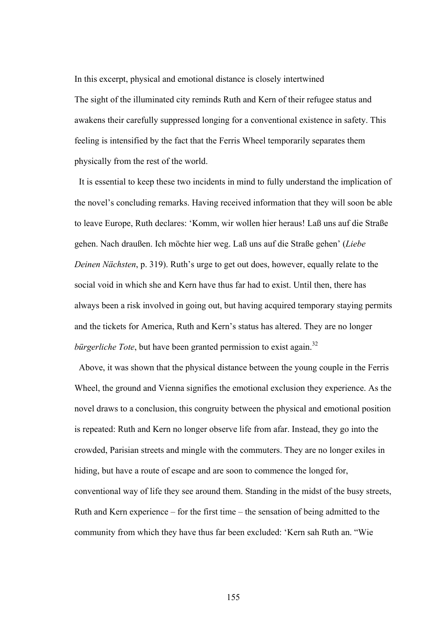In this excerpt, physical and emotional distance is closely intertwined The sight of the illuminated city reminds Ruth and Kern of their refugee status and awakens their carefully suppressed longing for a conventional existence in safety. This feeling is intensified by the fact that the Ferris Wheel temporarily separates them physically from the rest of the world.

 It is essential to keep these two incidents in mind to fully understand the implication of the novel's concluding remarks. Having received information that they will soon be able to leave Europe, Ruth declares: 'Komm, wir wollen hier heraus! Laß uns auf die Straße gehen. Nach draußen. Ich möchte hier weg. Laß uns auf die Straße gehen' (*Liebe Deinen Nächsten*, p. 319). Ruth's urge to get out does, however, equally relate to the social void in which she and Kern have thus far had to exist. Until then, there has always been a risk involved in going out, but having acquired temporary staying permits and the tickets for America, Ruth and Kern's status has altered. They are no longer *bürgerliche Tote*, but have been granted permission to exist again.<sup>32</sup>

 Above, it was shown that the physical distance between the young couple in the Ferris Wheel, the ground and Vienna signifies the emotional exclusion they experience. As the novel draws to a conclusion, this congruity between the physical and emotional position is repeated: Ruth and Kern no longer observe life from afar. Instead, they go into the crowded, Parisian streets and mingle with the commuters. They are no longer exiles in hiding, but have a route of escape and are soon to commence the longed for, conventional way of life they see around them. Standing in the midst of the busy streets, Ruth and Kern experience – for the first time – the sensation of being admitted to the community from which they have thus far been excluded: 'Kern sah Ruth an. "Wie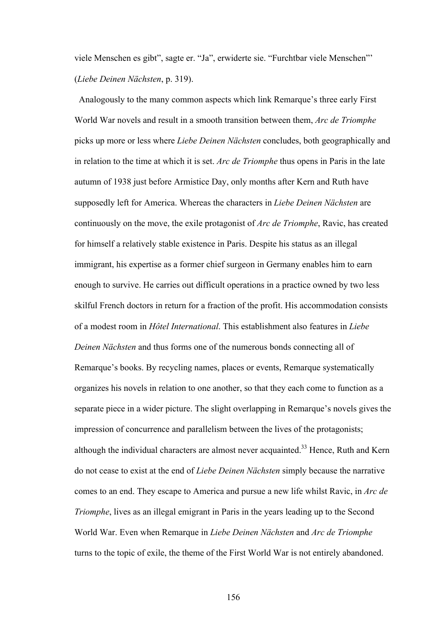viele Menschen es gibt", sagte er. "Ja", erwiderte sie. "Furchtbar viele Menschen"' (*Liebe Deinen Nächsten*, p. 319).

 Analogously to the many common aspects which link Remarque's three early First World War novels and result in a smooth transition between them, *Arc de Triomphe* picks up more or less where *Liebe Deinen Nächsten* concludes, both geographically and in relation to the time at which it is set. *Arc de Triomphe* thus opens in Paris in the late autumn of 1938 just before Armistice Day, only months after Kern and Ruth have supposedly left for America. Whereas the characters in *Liebe Deinen Nächsten* are continuously on the move, the exile protagonist of *Arc de Triomphe*, Ravic, has created for himself a relatively stable existence in Paris. Despite his status as an illegal immigrant, his expertise as a former chief surgeon in Germany enables him to earn enough to survive. He carries out difficult operations in a practice owned by two less skilful French doctors in return for a fraction of the profit. His accommodation consists of a modest room in *Hôtel International*. This establishment also features in *Liebe Deinen Nächsten* and thus forms one of the numerous bonds connecting all of Remarque's books. By recycling names, places or events, Remarque systematically organizes his novels in relation to one another, so that they each come to function as a separate piece in a wider picture. The slight overlapping in Remarque's novels gives the impression of concurrence and parallelism between the lives of the protagonists; although the individual characters are almost never acquainted.<sup>33</sup> Hence, Ruth and Kern do not cease to exist at the end of *Liebe Deinen Nächsten* simply because the narrative comes to an end. They escape to America and pursue a new life whilst Ravic, in *Arc de Triomphe*, lives as an illegal emigrant in Paris in the years leading up to the Second World War. Even when Remarque in *Liebe Deinen Nächsten* and *Arc de Triomphe* turns to the topic of exile, the theme of the First World War is not entirely abandoned.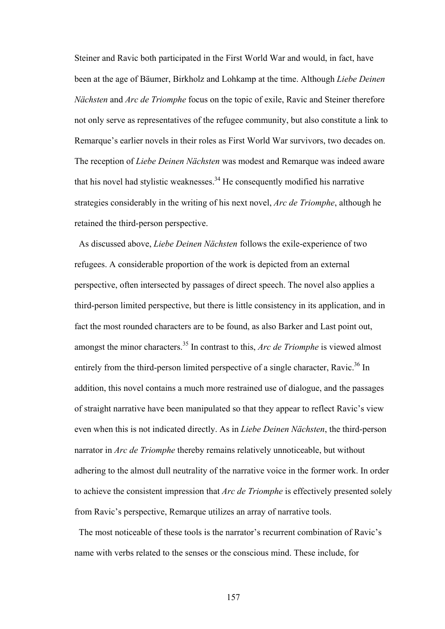Steiner and Ravic both participated in the First World War and would, in fact, have been at the age of Bäumer, Birkholz and Lohkamp at the time. Although *Liebe Deinen Nächsten* and *Arc de Triomphe* focus on the topic of exile, Ravic and Steiner therefore not only serve as representatives of the refugee community, but also constitute a link to Remarque's earlier novels in their roles as First World War survivors, two decades on. The reception of *Liebe Deinen Nächsten* was modest and Remarque was indeed aware that his novel had stylistic weaknesses.<sup>34</sup> He consequently modified his narrative strategies considerably in the writing of his next novel, *Arc de Triomphe*, although he retained the third-person perspective.

 As discussed above, *Liebe Deinen Nächsten* follows the exile-experience of two refugees. A considerable proportion of the work is depicted from an external perspective, often intersected by passages of direct speech. The novel also applies a third-person limited perspective, but there is little consistency in its application, and in fact the most rounded characters are to be found, as also Barker and Last point out, amongst the minor characters.<sup>35</sup> In contrast to this, *Arc de Triomphe* is viewed almost entirely from the third-person limited perspective of a single character. Ravic.<sup>36</sup> In addition, this novel contains a much more restrained use of dialogue, and the passages of straight narrative have been manipulated so that they appear to reflect Ravic's view even when this is not indicated directly. As in *Liebe Deinen Nächsten*, the third-person narrator in *Arc de Triomphe* thereby remains relatively unnoticeable, but without adhering to the almost dull neutrality of the narrative voice in the former work. In order to achieve the consistent impression that *Arc de Triomphe* is effectively presented solely from Ravic's perspective, Remarque utilizes an array of narrative tools.

The most noticeable of these tools is the narrator's recurrent combination of Ravic's name with verbs related to the senses or the conscious mind. These include, for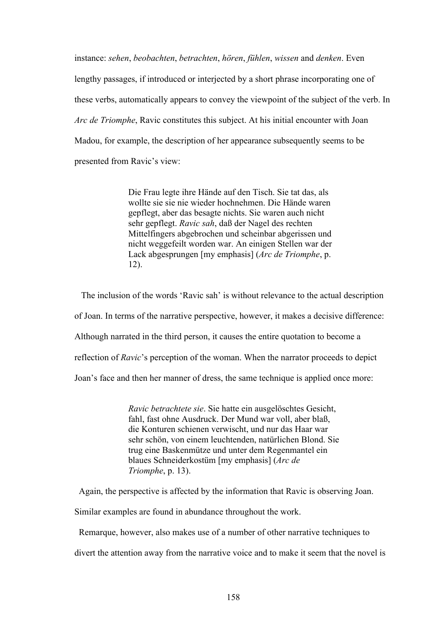instance: *sehen*, *beobachten*, *betrachten*, *hören*, *fühlen*, *wissen* and *denken*. Even lengthy passages, if introduced or interjected by a short phrase incorporating one of these verbs, automatically appears to convey the viewpoint of the subject of the verb. In *Arc de Triomphe*, Ravic constitutes this subject. At his initial encounter with Joan Madou, for example, the description of her appearance subsequently seems to be presented from Ravic's view:

> Die Frau legte ihre Hände auf den Tisch. Sie tat das, als wollte sie sie nie wieder hochnehmen. Die Hände waren gepflegt, aber das besagte nichts. Sie waren auch nicht sehr gepflegt. *Ravic sah*, daß der Nagel des rechten Mittelfingers abgebrochen und scheinbar abgerissen und nicht weggefeilt worden war. An einigen Stellen war der Lack abgesprungen [my emphasis] (*Arc de Triomphe*, p. 12).

 The inclusion of the words 'Ravic sah' is without relevance to the actual description of Joan. In terms of the narrative perspective, however, it makes a decisive difference: Although narrated in the third person, it causes the entire quotation to become a reflection of *Ravic*'s perception of the woman. When the narrator proceeds to depict Joan's face and then her manner of dress, the same technique is applied once more:

> *Ravic betrachtete sie*. Sie hatte ein ausgelöschtes Gesicht, fahl, fast ohne Ausdruck. Der Mund war voll, aber blaß, die Konturen schienen verwischt, und nur das Haar war sehr schön, von einem leuchtenden, natürlichen Blond. Sie trug eine Baskenmütze und unter dem Regenmantel ein blaues Schneiderkostüm [my emphasis] (*Arc de Triomphe*, p. 13).

Again, the perspective is affected by the information that Ravic is observing Joan.

Similar examples are found in abundance throughout the work.

Remarque, however, also makes use of a number of other narrative techniques to

divert the attention away from the narrative voice and to make it seem that the novel is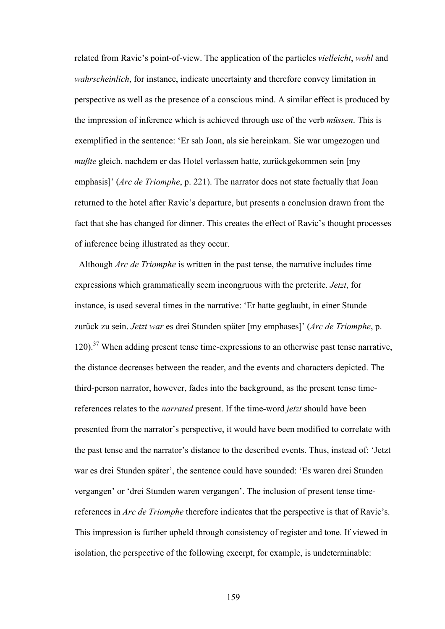related from Ravic's point-of-view. The application of the particles *vielleicht*, *wohl* and *wahrscheinlich*, for instance, indicate uncertainty and therefore convey limitation in perspective as well as the presence of a conscious mind. A similar effect is produced by the impression of inference which is achieved through use of the verb *müssen*. This is exemplified in the sentence: 'Er sah Joan, als sie hereinkam. Sie war umgezogen und *mußte* gleich, nachdem er das Hotel verlassen hatte, zurückgekommen sein [my emphasis]' (*Arc de Triomphe*, p. 221). The narrator does not state factually that Joan returned to the hotel after Ravic's departure, but presents a conclusion drawn from the fact that she has changed for dinner. This creates the effect of Ravic's thought processes of inference being illustrated as they occur.

 Although *Arc de Triomphe* is written in the past tense, the narrative includes time expressions which grammatically seem incongruous with the preterite. *Jetzt*, for instance, is used several times in the narrative: 'Er hatte geglaubt, in einer Stunde zurück zu sein. *Jetzt war* es drei Stunden später [my emphases]' (*Arc de Triomphe*, p.  $120$ ).<sup>37</sup> When adding present tense time-expressions to an otherwise past tense narrative, the distance decreases between the reader, and the events and characters depicted. The third-person narrator, however, fades into the background, as the present tense timereferences relates to the *narrated* present. If the time-word *jetzt* should have been presented from the narrator's perspective, it would have been modified to correlate with the past tense and the narrator's distance to the described events. Thus, instead of: 'Jetzt war es drei Stunden später', the sentence could have sounded: 'Es waren drei Stunden vergangen' or 'drei Stunden waren vergangen'. The inclusion of present tense timereferences in *Arc de Triomphe* therefore indicates that the perspective is that of Ravic's. This impression is further upheld through consistency of register and tone. If viewed in isolation, the perspective of the following excerpt, for example, is undeterminable: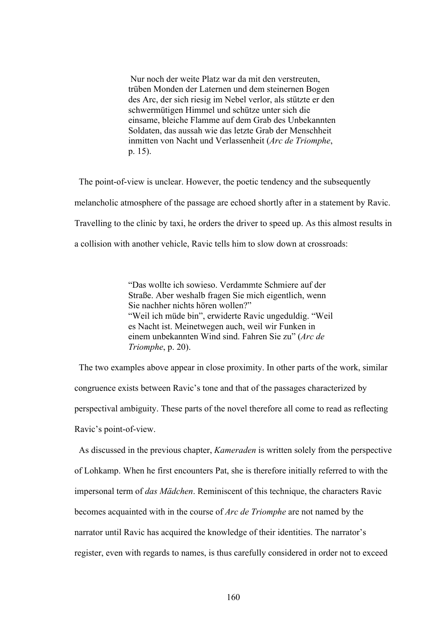Nur noch der weite Platz war da mit den verstreuten, trüben Monden der Laternen und dem steinernen Bogen des Arc, der sich riesig im Nebel verlor, als stützte er den schwermütigen Himmel und schütze unter sich die einsame, bleiche Flamme auf dem Grab des Unbekannten Soldaten, das aussah wie das letzte Grab der Menschheit inmitten von Nacht und Verlassenheit (*Arc de Triomphe*, p. 15).

 The point-of-view is unclear. However, the poetic tendency and the subsequently melancholic atmosphere of the passage are echoed shortly after in a statement by Ravic. Travelling to the clinic by taxi, he orders the driver to speed up. As this almost results in a collision with another vehicle, Ravic tells him to slow down at crossroads:

> "Das wollte ich sowieso. Verdammte Schmiere auf der Straße. Aber weshalb fragen Sie mich eigentlich, wenn Sie nachher nichts hören wollen?" "Weil ich müde bin", erwiderte Ravic ungeduldig. "Weil es Nacht ist. Meinetwegen auch, weil wir Funken in einem unbekannten Wind sind. Fahren Sie zu" (*Arc de Triomphe*, p. 20).

 The two examples above appear in close proximity. In other parts of the work, similar congruence exists between Ravic's tone and that of the passages characterized by perspectival ambiguity. These parts of the novel therefore all come to read as reflecting Ravic's point-of-view.

 As discussed in the previous chapter, *Kameraden* is written solely from the perspective of Lohkamp. When he first encounters Pat, she is therefore initially referred to with the impersonal term of *das Mädchen*. Reminiscent of this technique, the characters Ravic becomes acquainted with in the course of *Arc de Triomphe* are not named by the narrator until Ravic has acquired the knowledge of their identities. The narrator's register, even with regards to names, is thus carefully considered in order not to exceed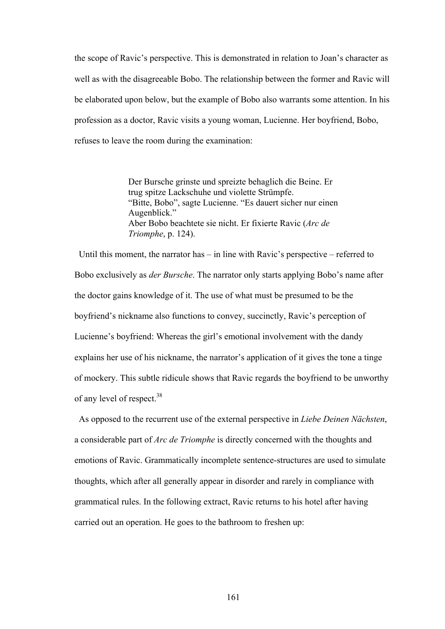the scope of Ravic's perspective. This is demonstrated in relation to Joan's character as well as with the disagreeable Bobo. The relationship between the former and Ravic will be elaborated upon below, but the example of Bobo also warrants some attention. In his profession as a doctor, Ravic visits a young woman, Lucienne. Her boyfriend, Bobo, refuses to leave the room during the examination:

> Der Bursche grinste und spreizte behaglich die Beine. Er trug spitze Lackschuhe und violette Strümpfe. "Bitte, Bobo", sagte Lucienne. "Es dauert sicher nur einen Augenblick." Aber Bobo beachtete sie nicht. Er fixierte Ravic (*Arc de Triomphe*, p. 124).

Until this moment, the narrator has – in line with Ravic's perspective – referred to Bobo exclusively as *der Bursche*. The narrator only starts applying Bobo's name after the doctor gains knowledge of it. The use of what must be presumed to be the boyfriend's nickname also functions to convey, succinctly, Ravic's perception of Lucienne's boyfriend: Whereas the girl's emotional involvement with the dandy explains her use of his nickname, the narrator's application of it gives the tone a tinge of mockery. This subtle ridicule shows that Ravic regards the boyfriend to be unworthy of any level of respect.<sup>38</sup>

As opposed to the recurrent use of the external perspective in *Liebe Deinen Nächsten*, a considerable part of *Arc de Triomphe* is directly concerned with the thoughts and emotions of Ravic. Grammatically incomplete sentence-structures are used to simulate thoughts, which after all generally appear in disorder and rarely in compliance with grammatical rules. In the following extract, Ravic returns to his hotel after having carried out an operation. He goes to the bathroom to freshen up: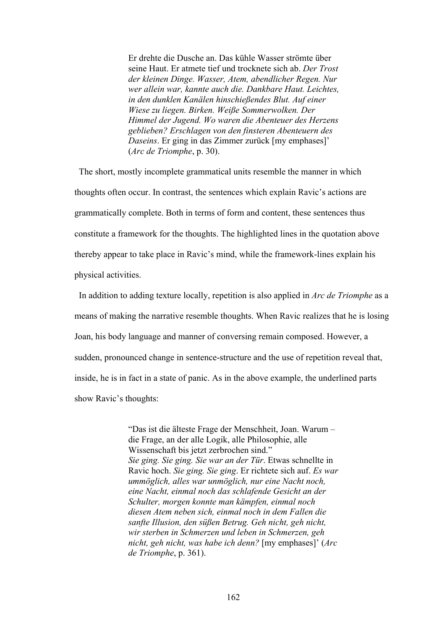Er drehte die Dusche an. Das kühle Wasser strömte über seine Haut. Er atmete tief und trocknete sich ab. *Der Trost der kleinen Dinge. Wasser, Atem, abendlicher Regen. Nur wer allein war, kannte auch die. Dankbare Haut. Leichtes, in den dunklen Kanälen hinschießendes Blut. Auf einer Wiese zu liegen. Birken. Weiße Sommerwolken. Der Himmel der Jugend. Wo waren die Abenteuer des Herzens geblieben? Erschlagen von den finsteren Abenteuern des Daseins*. Er ging in das Zimmer zurück [my emphases]' (*Arc de Triomphe*, p. 30).

 The short, mostly incomplete grammatical units resemble the manner in which thoughts often occur. In contrast, the sentences which explain Ravic's actions are grammatically complete. Both in terms of form and content, these sentences thus constitute a framework for the thoughts. The highlighted lines in the quotation above thereby appear to take place in Ravic's mind, while the framework-lines explain his physical activities.

 In addition to adding texture locally, repetition is also applied in *Arc de Triomphe* as a means of making the narrative resemble thoughts. When Ravic realizes that he is losing Joan, his body language and manner of conversing remain composed. However, a sudden, pronounced change in sentence-structure and the use of repetition reveal that, inside, he is in fact in a state of panic. As in the above example, the underlined parts show Ravic's thoughts:

> "Das ist die älteste Frage der Menschheit, Joan. Warum – die Frage, an der alle Logik, alle Philosophie, alle Wissenschaft bis jetzt zerbrochen sind." *Sie ging. Sie ging. Sie war an der Tür*. Etwas schnellte in Ravic hoch. *Sie ging. Sie ging*. Er richtete sich auf. *Es war ummöglich, alles war unmöglich, nur eine Nacht noch, eine Nacht, einmal noch das schlafende Gesicht an der Schulter, morgen konnte man kämpfen, einmal noch diesen Atem neben sich, einmal noch in dem Fallen die sanfte Illusion, den süßen Betrug. Geh nicht, geh nicht, wir sterben in Schmerzen und leben in Schmerzen, geh nicht, geh nicht, was habe ich denn?* [my emphases]' (*Arc de Triomphe*, p. 361).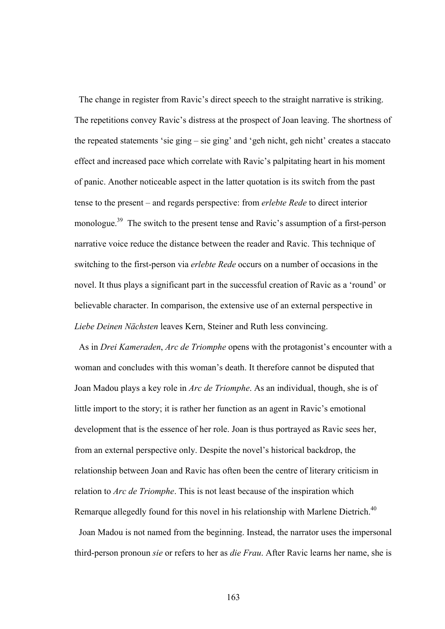The change in register from Ravic's direct speech to the straight narrative is striking. The repetitions convey Ravic's distress at the prospect of Joan leaving. The shortness of the repeated statements 'sie ging – sie ging' and 'geh nicht, geh nicht' creates a staccato effect and increased pace which correlate with Ravic's palpitating heart in his moment of panic. Another noticeable aspect in the latter quotation is its switch from the past tense to the present – and regards perspective: from *erlebte Rede* to direct interior monologue.39 The switch to the present tense and Ravic's assumption of a first-person narrative voice reduce the distance between the reader and Ravic. This technique of switching to the first-person via *erlebte Rede* occurs on a number of occasions in the novel. It thus plays a significant part in the successful creation of Ravic as a 'round' or believable character. In comparison, the extensive use of an external perspective in *Liebe Deinen Nächsten* leaves Kern, Steiner and Ruth less convincing.

 As in *Drei Kameraden*, *Arc de Triomphe* opens with the protagonist's encounter with a woman and concludes with this woman's death. It therefore cannot be disputed that Joan Madou plays a key role in *Arc de Triomphe*. As an individual, though, she is of little import to the story; it is rather her function as an agent in Ravic's emotional development that is the essence of her role. Joan is thus portrayed as Ravic sees her, from an external perspective only. Despite the novel's historical backdrop, the relationship between Joan and Ravic has often been the centre of literary criticism in relation to *Arc de Triomphe*. This is not least because of the inspiration which Remarque allegedly found for this novel in his relationship with Marlene Dietrich.<sup>40</sup>

 Joan Madou is not named from the beginning. Instead, the narrator uses the impersonal third-person pronoun *sie* or refers to her as *die Frau*. After Ravic learns her name, she is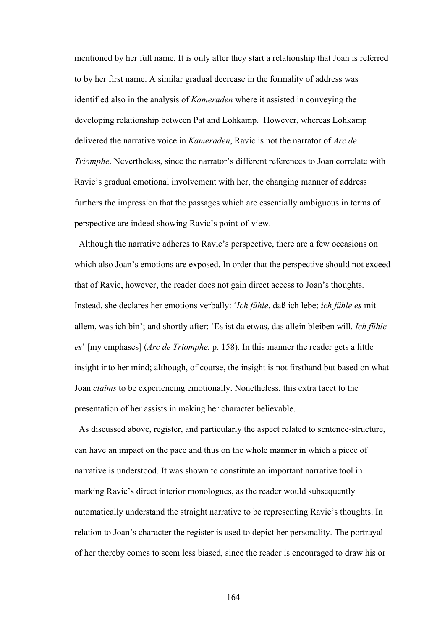mentioned by her full name. It is only after they start a relationship that Joan is referred to by her first name. A similar gradual decrease in the formality of address was identified also in the analysis of *Kameraden* where it assisted in conveying the developing relationship between Pat and Lohkamp. However, whereas Lohkamp delivered the narrative voice in *Kameraden*, Ravic is not the narrator of *Arc de Triomphe*. Nevertheless, since the narrator's different references to Joan correlate with Ravic's gradual emotional involvement with her, the changing manner of address furthers the impression that the passages which are essentially ambiguous in terms of perspective are indeed showing Ravic's point-of-view.

 Although the narrative adheres to Ravic's perspective, there are a few occasions on which also Joan's emotions are exposed. In order that the perspective should not exceed that of Ravic, however, the reader does not gain direct access to Joan's thoughts. Instead, she declares her emotions verbally: '*Ich fühle*, daß ich lebe; *ich fühle es* mit allem, was ich bin'; and shortly after: 'Es ist da etwas, das allein bleiben will. *Ich fühle es*' [my emphases] (*Arc de Triomphe*, p. 158). In this manner the reader gets a little insight into her mind; although, of course, the insight is not firsthand but based on what Joan *claims* to be experiencing emotionally. Nonetheless, this extra facet to the presentation of her assists in making her character believable.

 As discussed above, register, and particularly the aspect related to sentence-structure, can have an impact on the pace and thus on the whole manner in which a piece of narrative is understood. It was shown to constitute an important narrative tool in marking Ravic's direct interior monologues, as the reader would subsequently automatically understand the straight narrative to be representing Ravic's thoughts. In relation to Joan's character the register is used to depict her personality. The portrayal of her thereby comes to seem less biased, since the reader is encouraged to draw his or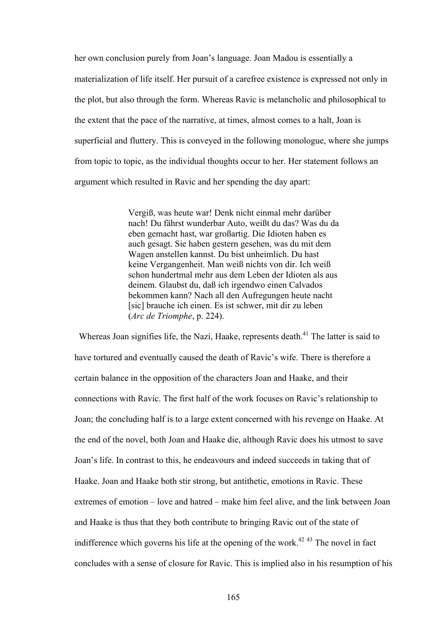her own conclusion purely from Joan's language. Joan Madou is essentially a materialization of life itself. Her pursuit of a carefree existence is expressed not only in the plot, but also through the form. Whereas Ravic is melancholic and philosophical to the extent that the pace of the narrative, at times, almost comes to a halt, Joan is superficial and fluttery. This is conveyed in the following monologue, where she jumps from topic to topic, as the individual thoughts occur to her. Her statement follows an argument which resulted in Ravic and her spending the day apart:

> Vergiß, was heute war! Denk nicht einmal mehr darüber nach! Du fährst wunderbar Auto, weißt du das? Was du da eben gemacht hast, war großartig. Die Idioten haben es auch gesagt. Sie haben gestern gesehen, was du mit dem Wagen anstellen kannst. Du bist unheimlich. Du hast keine Vergangenheit. Man weiß nichts von dir. Ich weiß schon hundertmal mehr aus dem Leben der Idioten als aus deinem. Glaubst du, daß ich irgendwo einen Calvados bekommen kann? Nach all den Aufregungen heute nacht [sic] brauche ich einen. Es ist schwer, mit dir zu leben (*Arc de Triomphe*, p. 224).

Whereas Joan signifies life, the Nazi, Haake, represents death.<sup>41</sup> The latter is said to have tortured and eventually caused the death of Ravic's wife. There is therefore a certain balance in the opposition of the characters Joan and Haake, and their connections with Ravic. The first half of the work focuses on Ravic's relationship to Joan; the concluding half is to a large extent concerned with his revenge on Haake. At the end of the novel, both Joan and Haake die, although Ravic does his utmost to save Joan's life. In contrast to this, he endeavours and indeed succeeds in taking that of Haake. Joan and Haake both stir strong, but antithetic, emotions in Ravic. These extremes of emotion – love and hatred – make him feel alive, and the link between Joan and Haake is thus that they both contribute to bringing Ravic out of the state of indifference which governs his life at the opening of the work.<sup> $42\frac{43}{12}$ </sup> The novel in fact concludes with a sense of closure for Ravic. This is implied also in his resumption of his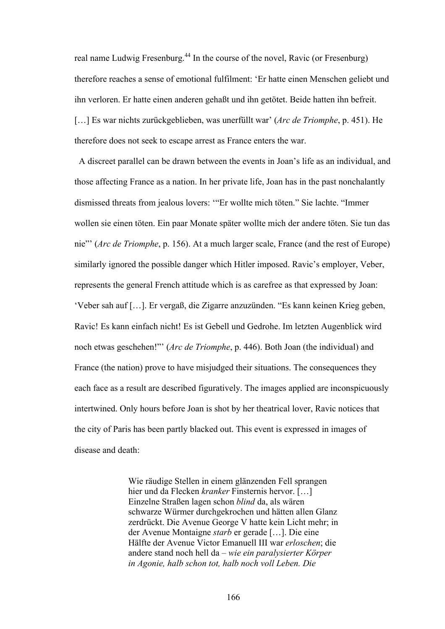real name Ludwig Fresenburg.<sup>44</sup> In the course of the novel, Ravic (or Fresenburg) therefore reaches a sense of emotional fulfilment: 'Er hatte einen Menschen geliebt und ihn verloren. Er hatte einen anderen gehaßt und ihn getötet. Beide hatten ihn befreit. […] Es war nichts zurückgeblieben, was unerfüllt war' (*Arc de Triomphe*, p. 451). He therefore does not seek to escape arrest as France enters the war.

 A discreet parallel can be drawn between the events in Joan's life as an individual, and those affecting France as a nation. In her private life, Joan has in the past nonchalantly dismissed threats from jealous lovers: '"Er wollte mich töten." Sie lachte. "Immer wollen sie einen töten. Ein paar Monate später wollte mich der andere töten. Sie tun das nie"' (*Arc de Triomphe*, p. 156). At a much larger scale, France (and the rest of Europe) similarly ignored the possible danger which Hitler imposed. Ravic's employer, Veber, represents the general French attitude which is as carefree as that expressed by Joan: 'Veber sah auf […]. Er vergaß, die Zigarre anzuzünden. "Es kann keinen Krieg geben, Ravic! Es kann einfach nicht! Es ist Gebell und Gedrohe. Im letzten Augenblick wird noch etwas geschehen!"' (*Arc de Triomphe*, p. 446). Both Joan (the individual) and France (the nation) prove to have misjudged their situations. The consequences they each face as a result are described figuratively. The images applied are inconspicuously intertwined. Only hours before Joan is shot by her theatrical lover, Ravic notices that the city of Paris has been partly blacked out. This event is expressed in images of disease and death:

> Wie räudige Stellen in einem glänzenden Fell sprangen hier und da Flecken *kranker* Finsternis hervor. […] Einzelne Straßen lagen schon *blind* da, als wären schwarze Würmer durchgekrochen und hätten allen Glanz zerdrückt. Die Avenue George V hatte kein Licht mehr; in der Avenue Montaigne *starb* er gerade […]. Die eine Hälfte der Avenue Victor Emanuell III war *erloschen*; die andere stand noch hell da – *wie ein paralysierter Körper in Agonie, halb schon tot, halb noch voll Leben. Die*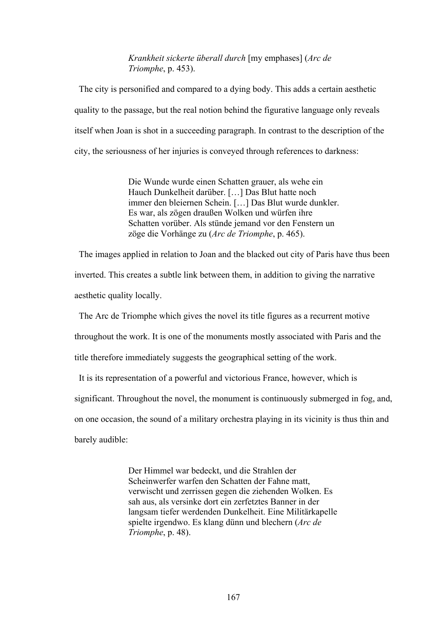*Krankheit sickerte überall durch* [my emphases] (*Arc de Triomphe*, p. 453).

 The city is personified and compared to a dying body. This adds a certain aesthetic quality to the passage, but the real notion behind the figurative language only reveals itself when Joan is shot in a succeeding paragraph. In contrast to the description of the city, the seriousness of her injuries is conveyed through references to darkness:

> Die Wunde wurde einen Schatten grauer, als wehe ein Hauch Dunkelheit darüber. […] Das Blut hatte noch immer den bleiernen Schein. […] Das Blut wurde dunkler. Es war, als zögen draußen Wolken und würfen ihre Schatten vorüber. Als stünde jemand vor den Fenstern un zöge die Vorhänge zu (*Arc de Triomphe*, p. 465).

 The images applied in relation to Joan and the blacked out city of Paris have thus been inverted. This creates a subtle link between them, in addition to giving the narrative aesthetic quality locally.

The Arc de Triomphe which gives the novel its title figures as a recurrent motive

throughout the work. It is one of the monuments mostly associated with Paris and the

title therefore immediately suggests the geographical setting of the work.

It is its representation of a powerful and victorious France, however, which is

significant. Throughout the novel, the monument is continuously submerged in fog, and,

on one occasion, the sound of a military orchestra playing in its vicinity is thus thin and

barely audible:

Der Himmel war bedeckt, und die Strahlen der Scheinwerfer warfen den Schatten der Fahne matt, verwischt und zerrissen gegen die ziehenden Wolken. Es sah aus, als versinke dort ein zerfetztes Banner in der langsam tiefer werdenden Dunkelheit. Eine Militärkapelle spielte irgendwo. Es klang dünn und blechern (*Arc de Triomphe*, p. 48).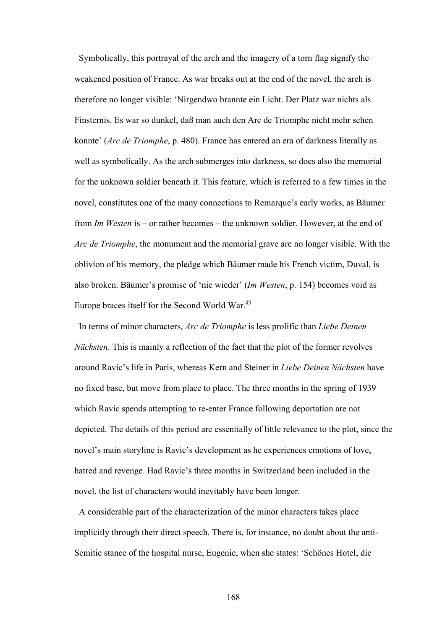Symbolically, this portrayal of the arch and the imagery of a torn flag signify the weakened position of France. As war breaks out at the end of the novel, the arch is therefore no longer visible: 'Nirgendwo brannte ein Licht. Der Platz war nichts als Finsternis. Es war so dunkel, daß man auch den Arc de Triomphe nicht mehr sehen konnte' (*Arc de Triomphe*, p. 480). France has entered an era of darkness literally as well as symbolically. As the arch submerges into darkness, so does also the memorial for the unknown soldier beneath it. This feature, which is referred to a few times in the novel, constitutes one of the many connections to Remarque's early works, as Bäumer from *Im Westen* is – or rather becomes – the unknown soldier. However, at the end of *Arc de Triomphe*, the monument and the memorial grave are no longer visible. With the oblivion of his memory, the pledge which Bäumer made his French victim, Duval, is also broken. Bäumer's promise of 'nie wieder' (*Im Westen*, p. 154) becomes void as Europe braces itself for the Second World War.<sup>45</sup>

 In terms of minor characters, *Arc de Triomphe* is less prolific than *Liebe Deinen Nächsten*. This is mainly a reflection of the fact that the plot of the former revolves around Ravic's life in Paris, whereas Kern and Steiner in *Liebe Deinen Nächsten* have no fixed base, but move from place to place. The three months in the spring of 1939 which Ravic spends attempting to re-enter France following deportation are not depicted. The details of this period are essentially of little relevance to the plot, since the novel's main storyline is Ravic's development as he experiences emotions of love, hatred and revenge. Had Ravic's three months in Switzerland been included in the novel, the list of characters would inevitably have been longer.

 A considerable part of the characterization of the minor characters takes place implicitly through their direct speech. There is, for instance, no doubt about the anti-Semitic stance of the hospital nurse, Eugenie, when she states: 'Schönes Hotel, die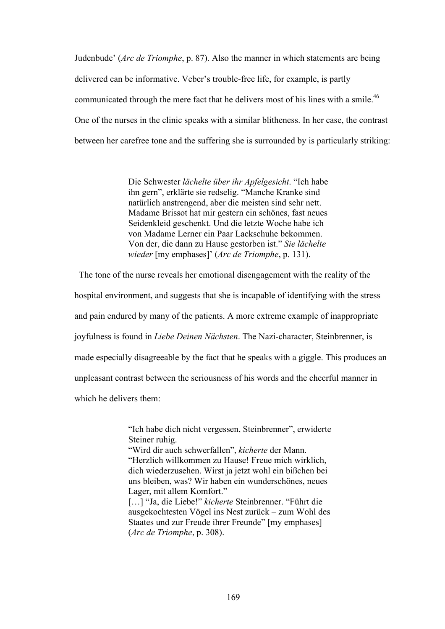Judenbude' (*Arc de Triomphe*, p. 87). Also the manner in which statements are being delivered can be informative. Veber's trouble-free life, for example, is partly communicated through the mere fact that he delivers most of his lines with a smile.<sup>46</sup> One of the nurses in the clinic speaks with a similar blitheness. In her case, the contrast between her carefree tone and the suffering she is surrounded by is particularly striking:

> Die Schwester *lächelte über ihr Apfelgesicht*. "Ich habe ihn gern", erklärte sie redselig. "Manche Kranke sind natürlich anstrengend, aber die meisten sind sehr nett. Madame Brissot hat mir gestern ein schönes, fast neues Seidenkleid geschenkt. Und die letzte Woche habe ich von Madame Lerner ein Paar Lackschuhe bekommen. Von der, die dann zu Hause gestorben ist." *Sie lächelte wieder* [my emphases]' (*Arc de Triomphe*, p. 131).

The tone of the nurse reveals her emotional disengagement with the reality of the

hospital environment, and suggests that she is incapable of identifying with the stress

and pain endured by many of the patients. A more extreme example of inappropriate

joyfulness is found in *Liebe Deinen Nächsten*. The Nazi-character, Steinbrenner, is

made especially disagreeable by the fact that he speaks with a giggle. This produces an

unpleasant contrast between the seriousness of his words and the cheerful manner in

which he delivers them:

"Ich habe dich nicht vergessen, Steinbrenner", erwiderte Steiner ruhig.

"Wird dir auch schwerfallen", *kicherte* der Mann. "Herzlich willkommen zu Hause! Freue mich wirklich, dich wiederzusehen. Wirst ja jetzt wohl ein bißchen bei uns bleiben, was? Wir haben ein wunderschönes, neues Lager, mit allem Komfort."

[…] "Ja, die Liebe!" *kicherte* Steinbrenner. "Führt die ausgekochtesten Vögel ins Nest zurück – zum Wohl des Staates und zur Freude ihrer Freunde" [my emphases] (*Arc de Triomphe*, p. 308).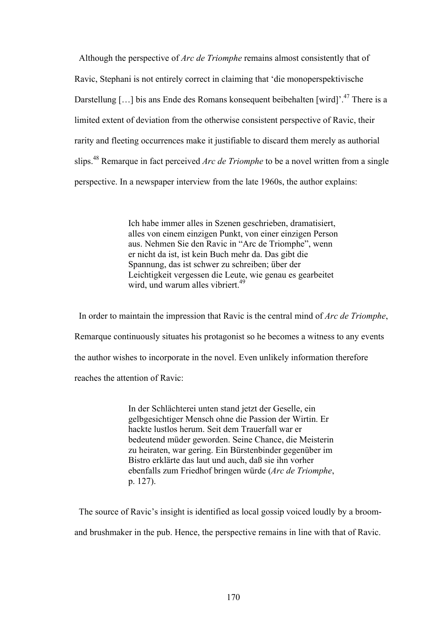Although the perspective of *Arc de Triomphe* remains almost consistently that of Ravic, Stephani is not entirely correct in claiming that 'die monoperspektivische Darstellung [...] bis ans Ende des Romans konsequent beibehalten [wird]<sup>', 47</sup> There is a limited extent of deviation from the otherwise consistent perspective of Ravic, their rarity and fleeting occurrences make it justifiable to discard them merely as authorial slips.48 Remarque in fact perceived *Arc de Triomphe* to be a novel written from a single perspective. In a newspaper interview from the late 1960s, the author explains:

> Ich habe immer alles in Szenen geschrieben, dramatisiert, alles von einem einzigen Punkt, von einer einzigen Person aus. Nehmen Sie den Ravic in "Arc de Triomphe", wenn er nicht da ist, ist kein Buch mehr da. Das gibt die Spannung, das ist schwer zu schreiben; über der Leichtigkeit vergessen die Leute, wie genau es gearbeitet wird, und warum alles vibriert.<sup>49</sup>

 In order to maintain the impression that Ravic is the central mind of *Arc de Triomphe*, Remarque continuously situates his protagonist so he becomes a witness to any events the author wishes to incorporate in the novel. Even unlikely information therefore reaches the attention of Ravic:

> In der Schlächterei unten stand jetzt der Geselle, ein gelbgesichtiger Mensch ohne die Passion der Wirtin. Er hackte lustlos herum. Seit dem Trauerfall war er bedeutend müder geworden. Seine Chance, die Meisterin zu heiraten, war gering. Ein Bürstenbinder gegenüber im Bistro erklärte das laut und auch, daß sie ihn vorher ebenfalls zum Friedhof bringen würde (*Arc de Triomphe*, p. 127).

 The source of Ravic's insight is identified as local gossip voiced loudly by a broomand brushmaker in the pub. Hence, the perspective remains in line with that of Ravic.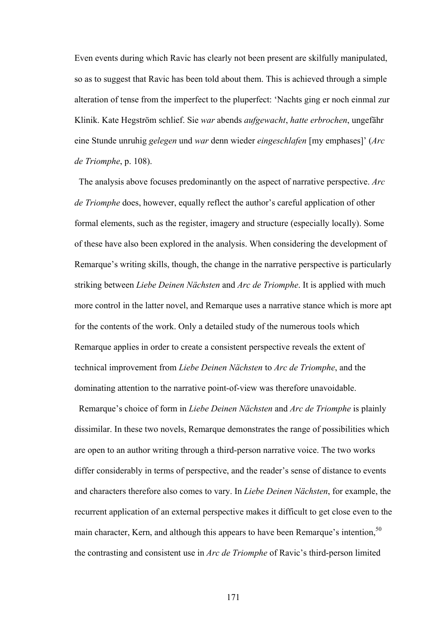Even events during which Ravic has clearly not been present are skilfully manipulated, so as to suggest that Ravic has been told about them. This is achieved through a simple alteration of tense from the imperfect to the pluperfect: 'Nachts ging er noch einmal zur Klinik. Kate Hegström schlief. Sie *war* abends *aufgewacht*, *hatte erbrochen*, ungefähr eine Stunde unruhig *gelegen* und *war* denn wieder *eingeschlafen* [my emphases]' (*Arc de Triomphe*, p. 108).

 The analysis above focuses predominantly on the aspect of narrative perspective. *Arc de Triomphe* does, however, equally reflect the author's careful application of other formal elements, such as the register, imagery and structure (especially locally). Some of these have also been explored in the analysis. When considering the development of Remarque's writing skills, though, the change in the narrative perspective is particularly striking between *Liebe Deinen Nächsten* and *Arc de Triomphe*. It is applied with much more control in the latter novel, and Remarque uses a narrative stance which is more apt for the contents of the work. Only a detailed study of the numerous tools which Remarque applies in order to create a consistent perspective reveals the extent of technical improvement from *Liebe Deinen Nächsten* to *Arc de Triomphe*, and the dominating attention to the narrative point-of-view was therefore unavoidable.

Remarque's choice of form in *Liebe Deinen Nächsten* and *Arc de Triomphe* is plainly dissimilar. In these two novels, Remarque demonstrates the range of possibilities which are open to an author writing through a third-person narrative voice. The two works differ considerably in terms of perspective, and the reader's sense of distance to events and characters therefore also comes to vary. In *Liebe Deinen Nächsten*, for example, the recurrent application of an external perspective makes it difficult to get close even to the main character, Kern, and although this appears to have been Remarque's intention.<sup>50</sup> the contrasting and consistent use in *Arc de Triomphe* of Ravic's third-person limited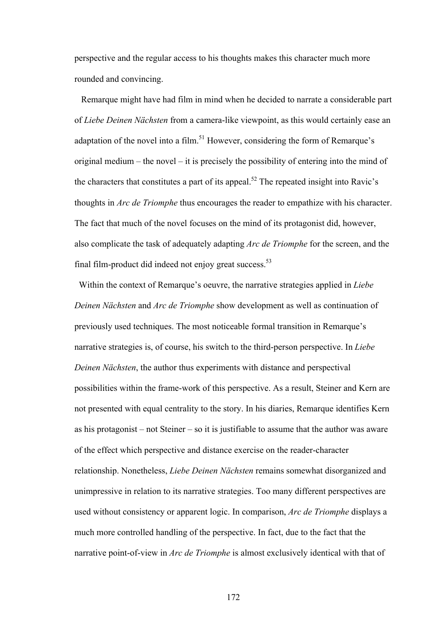perspective and the regular access to his thoughts makes this character much more rounded and convincing.

 Remarque might have had film in mind when he decided to narrate a considerable part of *Liebe Deinen Nächsten* from a camera-like viewpoint, as this would certainly ease an adaptation of the novel into a film.<sup>51</sup> However, considering the form of Remarque's original medium – the novel – it is precisely the possibility of entering into the mind of the characters that constitutes a part of its appeal.<sup>52</sup> The repeated insight into Ravic's thoughts in *Arc de Triomphe* thus encourages the reader to empathize with his character. The fact that much of the novel focuses on the mind of its protagonist did, however, also complicate the task of adequately adapting *Arc de Triomphe* for the screen, and the final film-product did indeed not enjoy great success. $53$ 

 Within the context of Remarque's oeuvre, the narrative strategies applied in *Liebe Deinen Nächsten* and *Arc de Triomphe* show development as well as continuation of previously used techniques. The most noticeable formal transition in Remarque's narrative strategies is, of course, his switch to the third-person perspective. In *Liebe Deinen Nächsten*, the author thus experiments with distance and perspectival possibilities within the frame-work of this perspective. As a result, Steiner and Kern are not presented with equal centrality to the story. In his diaries, Remarque identifies Kern as his protagonist – not Steiner – so it is justifiable to assume that the author was aware of the effect which perspective and distance exercise on the reader-character relationship. Nonetheless, *Liebe Deinen Nächsten* remains somewhat disorganized and unimpressive in relation to its narrative strategies. Too many different perspectives are used without consistency or apparent logic. In comparison, *Arc de Triomphe* displays a much more controlled handling of the perspective. In fact, due to the fact that the narrative point-of-view in *Arc de Triomphe* is almost exclusively identical with that of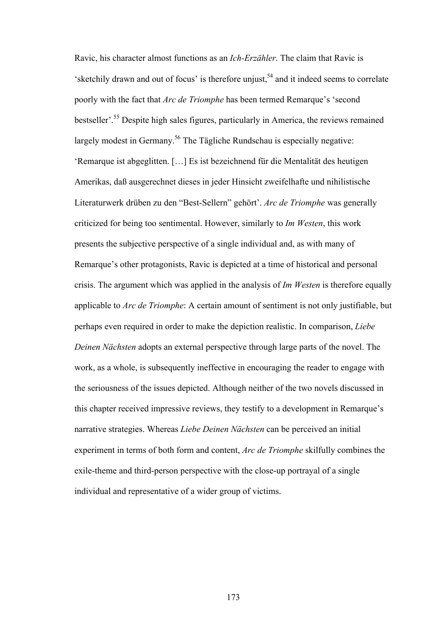Ravic, his character almost functions as an *Ich-Erzähler*. The claim that Ravic is  $s$ ketchily drawn and out of focus' is therefore unjust,<sup>54</sup> and it indeed seems to correlate poorly with the fact that *Arc de Triomphe* has been termed Remarque's 'second bestseller'.55 Despite high sales figures, particularly in America, the reviews remained largely modest in Germany.<sup>56</sup> The Tägliche Rundschau is especially negative: 'Remarque ist abgeglitten. […] Es ist bezeichnend für die Mentalität des heutigen Amerikas, daß ausgerechnet dieses in jeder Hinsicht zweifelhafte und nihilistische Literaturwerk drüben zu den "Best-Sellern" gehört'. *Arc de Triomphe* was generally criticized for being too sentimental. However, similarly to *Im Westen*, this work presents the subjective perspective of a single individual and, as with many of Remarque's other protagonists, Ravic is depicted at a time of historical and personal crisis. The argument which was applied in the analysis of *Im Westen* is therefore equally applicable to *Arc de Triomphe*: A certain amount of sentiment is not only justifiable, but perhaps even required in order to make the depiction realistic. In comparison, *Liebe Deinen Nächsten* adopts an external perspective through large parts of the novel. The work, as a whole, is subsequently ineffective in encouraging the reader to engage with the seriousness of the issues depicted. Although neither of the two novels discussed in this chapter received impressive reviews, they testify to a development in Remarque's narrative strategies. Whereas *Liebe Deinen Nächsten* can be perceived an initial experiment in terms of both form and content, *Arc de Triomphe* skilfully combines the exile-theme and third-person perspective with the close-up portrayal of a single individual and representative of a wider group of victims.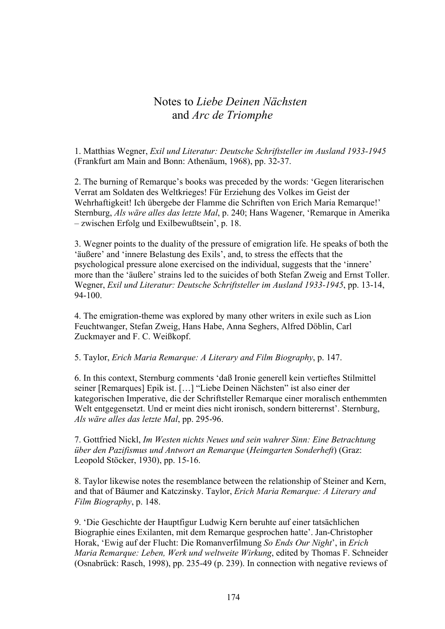## Notes to *Liebe Deinen Nächsten* and *Arc de Triomphe*

1. Matthias Wegner, *Exil und Literatur: Deutsche Schriftsteller im Ausland 1933-1945* (Frankfurt am Main and Bonn: Athenäum, 1968), pp. 32-37.

2. The burning of Remarque's books was preceded by the words: 'Gegen literarischen Verrat am Soldaten des Weltkrieges! Für Erziehung des Volkes im Geist der Wehrhaftigkeit! Ich übergebe der Flamme die Schriften von Erich Maria Remarque!' Sternburg, *Als wäre alles das letzte Mal*, p. 240; Hans Wagener, 'Remarque in Amerika – zwischen Erfolg und Exilbewußtsein', p. 18.

3. Wegner points to the duality of the pressure of emigration life. He speaks of both the 'äußere' and 'innere Belastung des Exils', and, to stress the effects that the psychological pressure alone exercised on the individual, suggests that the 'innere' more than the 'äußere' strains led to the suicides of both Stefan Zweig and Ernst Toller. Wegner, *Exil und Literatur: Deutsche Schriftsteller im Ausland 1933-1945*, pp. 13-14, 94-100.

4. The emigration-theme was explored by many other writers in exile such as Lion Feuchtwanger, Stefan Zweig, Hans Habe, Anna Seghers, Alfred Döblin, Carl Zuckmayer and F. C. Weißkopf.

5. Taylor, *Erich Maria Remarque: A Literary and Film Biography*, p. 147.

6. In this context, Sternburg comments 'daß Ironie generell kein vertieftes Stilmittel seiner [Remarques] Epik ist. […] "Liebe Deinen Nächsten" ist also einer der kategorischen Imperative, die der Schriftsteller Remarque einer moralisch enthemmten Welt entgegensetzt. Und er meint dies nicht ironisch, sondern bitterernst'. Sternburg, *Als wäre alles das letzte Mal*, pp. 295-96.

7. Gottfried Nickl, *Im Westen nichts Neues und sein wahrer Sinn: Eine Betrachtung über den Pazifismus und Antwort an Remarque* (*Heimgarten Sonderheft*) (Graz: Leopold Stöcker, 1930), pp. 15-16.

8. Taylor likewise notes the resemblance between the relationship of Steiner and Kern, and that of Bäumer and Katczinsky. Taylor, *Erich Maria Remarque: A Literary and Film Biography*, p. 148.

9. 'Die Geschichte der Hauptfigur Ludwig Kern beruhte auf einer tatsächlichen Biographie eines Exilanten, mit dem Remarque gesprochen hatte'. Jan-Christopher Horak, 'Ewig auf der Flucht: Die Romanverfilmung *So Ends Our Night*', in *Erich Maria Remarque: Leben, Werk und weltweite Wirkung*, edited by Thomas F. Schneider (Osnabrück: Rasch, 1998), pp. 235-49 (p. 239). In connection with negative reviews of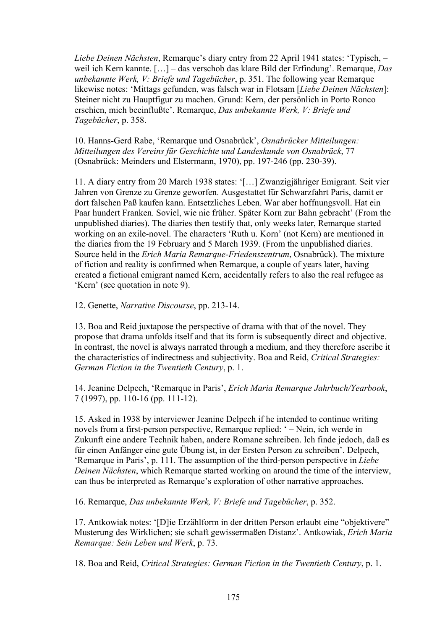*Liebe Deinen Nächsten*, Remarque's diary entry from 22 April 1941 states: 'Typisch, – weil ich Kern kannte. […] – das verschob das klare Bild der Erfindung'. Remarque, *Das unbekannte Werk, V: Briefe und Tagebücher*, p. 351. The following year Remarque likewise notes: 'Mittags gefunden, was falsch war in Flotsam [*Liebe Deinen Nächsten*]: Steiner nicht zu Hauptfigur zu machen. Grund: Kern, der persönlich in Porto Ronco erschien, mich beeinflußte'. Remarque, *Das unbekannte Werk, V: Briefe und Tagebücher*, p. 358.

10. Hanns-Gerd Rabe, 'Remarque und Osnabrück', *Osnabrücker Mitteilungen: Mitteilungen des Vereins für Geschichte und Landeskunde von Osnabrück*, 77 (Osnabrück: Meinders und Elstermann, 1970), pp. 197-246 (pp. 230-39).

11. A diary entry from 20 March 1938 states: '[…] Zwanzigjähriger Emigrant. Seit vier Jahren von Grenze zu Grenze geworfen. Ausgestattet für Schwarzfahrt Paris, damit er dort falschen Paß kaufen kann. Entsetzliches Leben. War aber hoffnungsvoll. Hat ein Paar hundert Franken. Soviel, wie nie früher. Später Korn zur Bahn gebracht' (From the unpublished diaries). The diaries then testify that, only weeks later, Remarque started working on an exile-novel. The characters 'Ruth u. Korn' (not Kern) are mentioned in the diaries from the 19 February and 5 March 1939. (From the unpublished diaries. Source held in the *Erich Maria Remarque-Friedenszentrum*, Osnabrück). The mixture of fiction and reality is confirmed when Remarque, a couple of years later, having created a fictional emigrant named Kern, accidentally refers to also the real refugee as 'Kern' (see quotation in note 9).

12. Genette, *Narrative Discourse*, pp. 213-14.

13. Boa and Reid juxtapose the perspective of drama with that of the novel. They propose that drama unfolds itself and that its form is subsequently direct and objective. In contrast, the novel is always narrated through a medium, and they therefore ascribe it the characteristics of indirectness and subjectivity. Boa and Reid, *Critical Strategies: German Fiction in the Twentieth Century*, p. 1.

14. Jeanine Delpech, 'Remarque in Paris', *Erich Maria Remarque Jahrbuch/Yearbook*, 7 (1997), pp. 110-16 (pp. 111-12).

15. Asked in 1938 by interviewer Jeanine Delpech if he intended to continue writing novels from a first-person perspective, Remarque replied: ' – Nein, ich werde in Zukunft eine andere Technik haben, andere Romane schreiben. Ich finde jedoch, daß es für einen Anfänger eine gute Übung ist, in der Ersten Person zu schreiben'. Delpech, 'Remarque in Paris', p. 111. The assumption of the third-person perspective in *Liebe Deinen Nächsten*, which Remarque started working on around the time of the interview. can thus be interpreted as Remarque's exploration of other narrative approaches.

16. Remarque, *Das unbekannte Werk, V: Briefe und Tagebücher*, p. 352.

17. Antkowiak notes: '[D]ie Erzählform in der dritten Person erlaubt eine "objektivere" Musterung des Wirklichen; sie schaft gewissermaßen Distanz'. Antkowiak, *Erich Maria Remarque: Sein Leben und Werk*, p. 73.

18. Boa and Reid, *Critical Strategies: German Fiction in the Twentieth Century*, p. 1.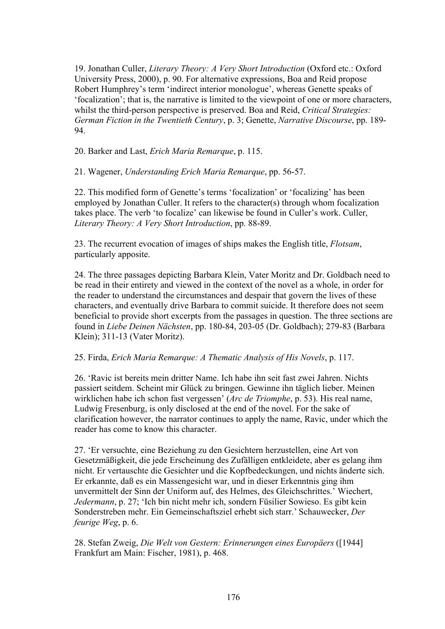19. Jonathan Culler, *Literary Theory: A Very Short Introduction* (Oxford etc.: Oxford University Press, 2000), p. 90. For alternative expressions, Boa and Reid propose Robert Humphrey's term 'indirect interior monologue', whereas Genette speaks of 'focalization'; that is, the narrative is limited to the viewpoint of one or more characters, whilst the third-person perspective is preserved. Boa and Reid, *Critical Strategies: German Fiction in the Twentieth Century*, p. 3; Genette, *Narrative Discourse*, pp. 189- 94.

20. Barker and Last, *Erich Maria Remarque*, p. 115.

21. Wagener, *Understanding Erich Maria Remarque*, pp. 56-57.

22. This modified form of Genette's terms 'focalization' or 'focalizing' has been employed by Jonathan Culler. It refers to the character(s) through whom focalization takes place. The verb 'to focalize' can likewise be found in Culler's work. Culler, *Literary Theory: A Very Short Introduction*, pp. 88-89.

23. The recurrent evocation of images of ships makes the English title, *Flotsam*, particularly apposite.

24. The three passages depicting Barbara Klein, Vater Moritz and Dr. Goldbach need to be read in their entirety and viewed in the context of the novel as a whole, in order for the reader to understand the circumstances and despair that govern the lives of these characters, and eventually drive Barbara to commit suicide. It therefore does not seem beneficial to provide short excerpts from the passages in question. The three sections are found in *Liebe Deinen Nächsten*, pp. 180-84, 203-05 (Dr. Goldbach); 279-83 (Barbara Klein); 311-13 (Vater Moritz).

25. Firda, *Erich Maria Remarque: A Thematic Analysis of His Novels*, p. 117.

26. 'Ravic ist bereits mein dritter Name. Ich habe ihn seit fast zwei Jahren. Nichts passiert seitdem. Scheint mir Glück zu bringen. Gewinne ihn täglich lieber. Meinen wirklichen habe ich schon fast vergessen' (*Arc de Triomphe*, p. 53). His real name, Ludwig Fresenburg, is only disclosed at the end of the novel. For the sake of clarification however, the narrator continues to apply the name, Ravic, under which the reader has come to know this character.

27. 'Er versuchte, eine Beziehung zu den Gesichtern herzustellen, eine Art von Gesetzmäßigkeit, die jede Erscheinung des Zufälligen entkleidete, aber es gelang ihm nicht. Er vertauschte die Gesichter und die Kopfbedeckungen, und nichts änderte sich. Er erkannte, daß es ein Massengesicht war, und in dieser Erkenntnis ging ihm unvermittelt der Sinn der Uniform auf, des Helmes, des Gleichschrittes.' Wiechert, *Jedermann*, p. 27; 'Ich bin nicht mehr ich, sondern Füsilier Sowieso. Es gibt kein Sonderstreben mehr. Ein Gemeinschaftsziel erhebt sich starr.' Schauwecker, *Der feurige Weg*, p. 6.

28. Stefan Zweig, *Die Welt von Gestern: Erinnerungen eines Europäers* ([1944] Frankfurt am Main: Fischer, 1981), p. 468.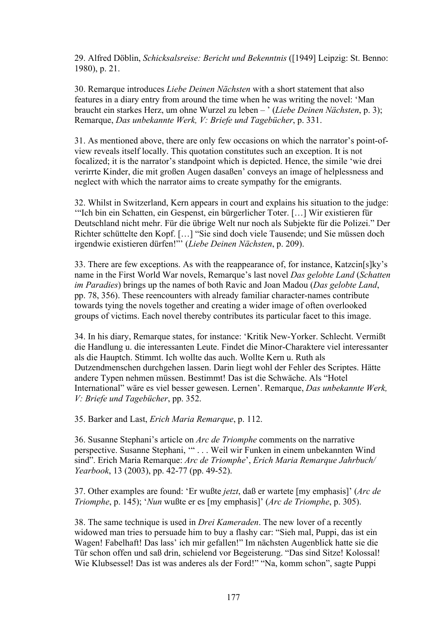29. Alfred Döblin, *Schicksalsreise: Bericht und Bekenntnis* ([1949] Leipzig: St. Benno: 1980), p. 21.

30. Remarque introduces *Liebe Deinen Nächsten* with a short statement that also features in a diary entry from around the time when he was writing the novel: 'Man braucht ein starkes Herz, um ohne Wurzel zu leben – ' (*Liebe Deinen Nächsten*, p. 3); Remarque, *Das unbekannte Werk, V: Briefe und Tagebücher*, p. 331.

31. As mentioned above, there are only few occasions on which the narrator's point-ofview reveals itself locally. This quotation constitutes such an exception. It is not focalized; it is the narrator's standpoint which is depicted. Hence, the simile 'wie drei verirrte Kinder, die mit großen Augen dasaßen' conveys an image of helplessness and neglect with which the narrator aims to create sympathy for the emigrants.

32. Whilst in Switzerland, Kern appears in court and explains his situation to the judge: '"Ich bin ein Schatten, ein Gespenst, ein bürgerlicher Toter. […] Wir existieren für Deutschland nicht mehr. Für die übrige Welt nur noch als Subjekte für die Polizei." Der Richter schüttelte den Kopf. […] "Sie sind doch viele Tausende; und Sie müssen doch irgendwie existieren dürfen!"' (*Liebe Deinen Nächsten*, p. 209).

33. There are few exceptions. As with the reappearance of, for instance, Katzcin[s]ky's name in the First World War novels, Remarque's last novel *Das gelobte Land* (*Schatten im Paradies*) brings up the names of both Ravic and Joan Madou (*Das gelobte Land*, pp. 78, 356). These reencounters with already familiar character-names contribute towards tying the novels together and creating a wider image of often overlooked groups of victims. Each novel thereby contributes its particular facet to this image.

34. In his diary, Remarque states, for instance: 'Kritik New-Yorker. Schlecht. Vermißt die Handlung u. die interessanten Leute. Findet die Minor-Charaktere viel interessanter als die Hauptch. Stimmt. Ich wollte das auch. Wollte Kern u. Ruth als Dutzendmenschen durchgehen lassen. Darin liegt wohl der Fehler des Scriptes. Hätte andere Typen nehmen müssen. Bestimmt! Das ist die Schwäche. Als "Hotel International" wäre es viel besser gewesen. Lernen'. Remarque, *Das unbekannte Werk, V: Briefe und Tagebücher*, pp. 352.

35. Barker and Last, *Erich Maria Remarque*, p. 112.

36. Susanne Stephani's article on *Arc de Triomphe* comments on the narrative perspective. Susanne Stephani, '" . . . Weil wir Funken in einem unbekannten Wind sind". Erich Maria Remarque: *Arc de Triomphe*', *Erich Maria Remarque Jahrbuch/ Yearbook*, 13 (2003), pp. 42-77 (pp. 49-52).

37. Other examples are found: 'Er wußte *jetzt*, daß er wartete [my emphasis]' (*Arc de Triomphe*, p. 145); '*Nun* wußte er es [my emphasis]' (*Arc de Triomphe*, p. 305).

38. The same technique is used in *Drei Kameraden*. The new lover of a recently widowed man tries to persuade him to buy a flashy car: "Sieh mal, Puppi, das ist ein Wagen! Fabelhaft! Das lass' ich mir gefallen!" Im nächsten Augenblick hatte sie die Tür schon offen und saß drin, schielend vor Begeisterung. "Das sind Sitze! Kolossal! Wie Klubsessel! Das ist was anderes als der Ford!" "Na, komm schon", sagte Puppi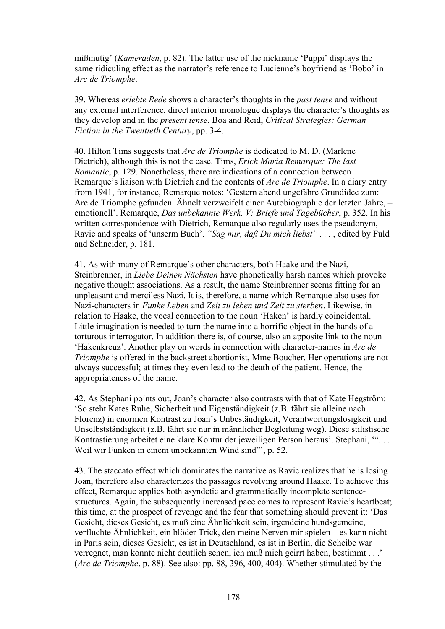mißmutig' (*Kameraden*, p. 82). The latter use of the nickname 'Puppi' displays the same ridiculing effect as the narrator's reference to Lucienne's boyfriend as 'Bobo' in *Arc de Triomphe*.

39. Whereas *erlebte Rede* shows a character's thoughts in the *past tense* and without any external interference, direct interior monologue displays the character's thoughts as they develop and in the *present tense*. Boa and Reid, *Critical Strategies: German Fiction in the Twentieth Century*, pp. 3-4.

40. Hilton Tims suggests that *Arc de Triomphe* is dedicated to M. D. (Marlene Dietrich), although this is not the case. Tims, *Erich Maria Remarque: The last Romantic*, p. 129. Nonetheless, there are indications of a connection between Remarque's liaison with Dietrich and the contents of *Arc de Triomphe*. In a diary entry from 1941, for instance, Remarque notes: 'Gestern abend ungefähre Grundidee zum: Arc de Triomphe gefunden. Ähnelt verzweifelt einer Autobiographie der letzten Jahre, – emotionell'. Remarque, *Das unbekannte Werk, V: Briefe und Tagebücher*, p. 352. In his written correspondence with Dietrich, Remarque also regularly uses the pseudonym, Ravic and speaks of 'unserm Buch'. *"Sag mir, daß Du mich liebst" . . .* , edited by Fuld and Schneider, p. 181.

41. As with many of Remarque's other characters, both Haake and the Nazi, Steinbrenner, in *Liebe Deinen Nächsten* have phonetically harsh names which provoke negative thought associations. As a result, the name Steinbrenner seems fitting for an unpleasant and merciless Nazi. It is, therefore, a name which Remarque also uses for Nazi-characters in *Funke Leben* and *Zeit zu leben und Zeit zu sterben*. Likewise, in relation to Haake, the vocal connection to the noun 'Haken' is hardly coincidental. Little imagination is needed to turn the name into a horrific object in the hands of a torturous interrogator. In addition there is, of course, also an apposite link to the noun 'Hakenkreuz'. Another play on words in connection with character-names in *Arc de Triomphe* is offered in the backstreet abortionist, Mme Boucher. Her operations are not always successful; at times they even lead to the death of the patient. Hence, the appropriateness of the name.

42. As Stephani points out, Joan's character also contrasts with that of Kate Hegström: 'So steht Kates Ruhe, Sicherheit und Eigenständigkeit (z.B. fährt sie alleine nach Florenz) in enormen Kontrast zu Joan's Unbeständigkeit, Verantwortungslosigkeit und Unselbstständigkeit (z.B. fährt sie nur in männlicher Begleitung weg). Diese stilistische Kontrastierung arbeitet eine klare Kontur der jeweiligen Person heraus'. Stephani, '". . . Weil wir Funken in einem unbekannten Wind sind"', p. 52.

43. The staccato effect which dominates the narrative as Ravic realizes that he is losing Joan, therefore also characterizes the passages revolving around Haake. To achieve this effect, Remarque applies both asyndetic and grammatically incomplete sentencestructures. Again, the subsequently increased pace comes to represent Ravic's heartbeat; this time, at the prospect of revenge and the fear that something should prevent it: 'Das Gesicht, dieses Gesicht, es muß eine Ähnlichkeit sein, irgendeine hundsgemeine, verfluchte Ähnlichkeit, ein blöder Trick, den meine Nerven mir spielen – es kann nicht in Paris sein, dieses Gesicht, es ist in Deutschland, es ist in Berlin, die Scheibe war verregnet, man konnte nicht deutlich sehen, ich muß mich geirrt haben, bestimmt . . .' (*Arc de Triomphe*, p. 88). See also: pp. 88, 396, 400, 404). Whether stimulated by the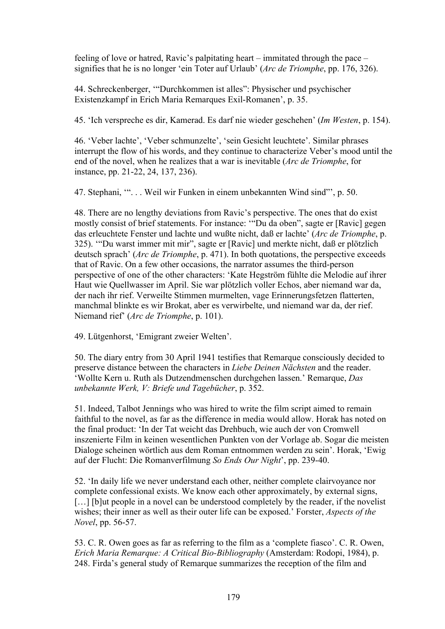feeling of love or hatred, Ravic's palpitating heart – immitated through the pace – signifies that he is no longer 'ein Toter auf Urlaub' (*Arc de Triomphe*, pp. 176, 326).

44. Schreckenberger, '"Durchkommen ist alles": Physischer und psychischer Existenzkampf in Erich Maria Remarques Exil-Romanen', p. 35.

45. 'Ich verspreche es dir, Kamerad. Es darf nie wieder geschehen' (*Im Westen*, p. 154).

46. 'Veber lachte', 'Veber schmunzelte', 'sein Gesicht leuchtete'. Similar phrases interrupt the flow of his words, and they continue to characterize Veber's mood until the end of the novel, when he realizes that a war is inevitable (*Arc de Triomphe*, for instance, pp. 21-22, 24, 137, 236).

47. Stephani, '". . . Weil wir Funken in einem unbekannten Wind sind"', p. 50.

48. There are no lengthy deviations from Ravic's perspective. The ones that do exist mostly consist of brief statements. For instance: '"Du da oben", sagte er [Ravic] gegen das erleuchtete Fenster und lachte und wußte nicht, daß er lachte' (*Arc de Triomphe*, p. 325). '"Du warst immer mit mir", sagte er [Ravic] und merkte nicht, daß er plötzlich deutsch sprach' (*Arc de Triomphe*, p. 471). In both quotations, the perspective exceeds that of Ravic. On a few other occasions, the narrator assumes the third-person perspective of one of the other characters: 'Kate Hegström fühlte die Melodie auf ihrer Haut wie Quellwasser im April. Sie war plötzlich voller Echos, aber niemand war da, der nach ihr rief. Verweilte Stimmen murmelten, vage Erinnerungsfetzen flatterten, manchmal blinkte es wir Brokat, aber es verwirbelte, und niemand war da, der rief. Niemand rief' (*Arc de Triomphe*, p. 101).

49. Lütgenhorst, 'Emigrant zweier Welten'.

50. The diary entry from 30 April 1941 testifies that Remarque consciously decided to preserve distance between the characters in *Liebe Deinen Nächsten* and the reader. 'Wollte Kern u. Ruth als Dutzendmenschen durchgehen lassen.' Remarque, *Das unbekannte Werk, V: Briefe und Tagebücher*, p. 352.

51. Indeed, Talbot Jennings who was hired to write the film script aimed to remain faithful to the novel, as far as the difference in media would allow. Horak has noted on the final product: 'In der Tat weicht das Drehbuch, wie auch der von Cromwell inszenierte Film in keinen wesentlichen Punkten von der Vorlage ab. Sogar die meisten Dialoge scheinen wörtlich aus dem Roman entnommen werden zu sein'. Horak, 'Ewig auf der Flucht: Die Romanverfilmung *So Ends Our Night*', pp. 239-40.

52. 'In daily life we never understand each other, neither complete clairvoyance nor complete confessional exists. We know each other approximately, by external signs, [...] [b]ut people in a novel can be understood completely by the reader, if the novelist wishes; their inner as well as their outer life can be exposed.' Forster, *Aspects of the Novel*, pp. 56-57.

53. C. R. Owen goes as far as referring to the film as a 'complete fiasco'. C. R. Owen, *Erich Maria Remarque: A Critical Bio-Bibliography* (Amsterdam: Rodopi, 1984), p. 248. Firda's general study of Remarque summarizes the reception of the film and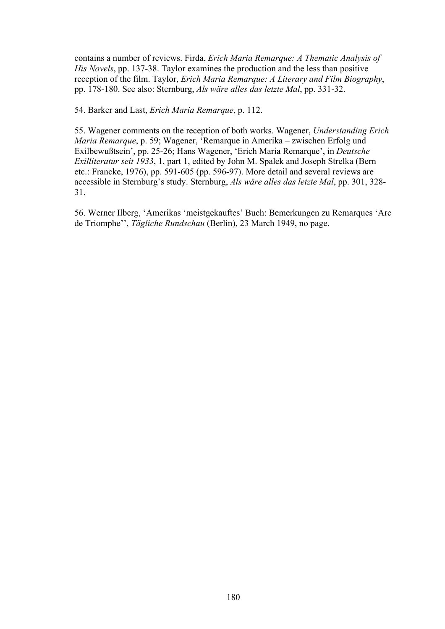contains a number of reviews. Firda, *Erich Maria Remarque: A Thematic Analysis of His Novels*, pp. 137-38. Taylor examines the production and the less than positive reception of the film. Taylor, *Erich Maria Remarque: A Literary and Film Biography*, pp. 178-180. See also: Sternburg, *Als wäre alles das letzte Mal*, pp. 331-32.

54. Barker and Last, *Erich Maria Remarque*, p. 112.

55. Wagener comments on the reception of both works. Wagener, *Understanding Erich Maria Remarque*, p. 59; Wagener, 'Remarque in Amerika – zwischen Erfolg und Exilbewußtsein', pp. 25-26; Hans Wagener, 'Erich Maria Remarque', in *Deutsche Exilliteratur seit 1933*, 1, part 1, edited by John M. Spalek and Joseph Strelka (Bern etc.: Francke, 1976), pp. 591-605 (pp. 596-97). More detail and several reviews are accessible in Sternburg's study. Sternburg, *Als wäre alles das letzte Mal*, pp. 301, 328- 31.

56. Werner Ilberg, 'Amerikas 'meistgekauftes' Buch: Bemerkungen zu Remarques 'Arc de Triomphe'', *Tägliche Rundschau* (Berlin), 23 March 1949, no page.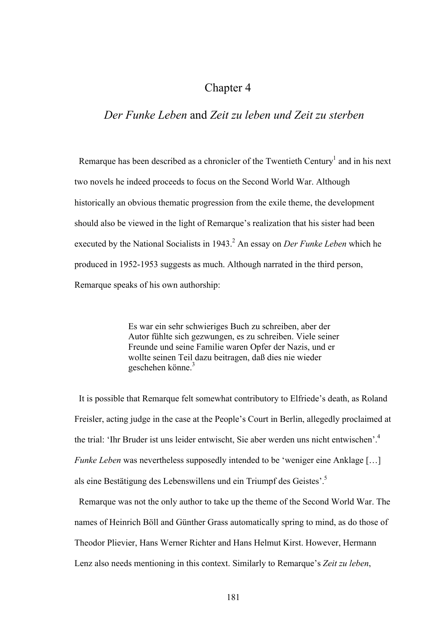## Chapter 4

## *Der Funke Leben* and *Zeit zu leben und Zeit zu sterben*

Remarque has been described as a chronicler of the Twentieth Century<sup>1</sup> and in his next two novels he indeed proceeds to focus on the Second World War. Although historically an obvious thematic progression from the exile theme, the development should also be viewed in the light of Remarque's realization that his sister had been executed by the National Socialists in 1943.<sup>2</sup> An essay on *Der Funke Leben* which he produced in 1952-1953 suggests as much. Although narrated in the third person, Remarque speaks of his own authorship:

> Es war ein sehr schwieriges Buch zu schreiben, aber der Autor fühlte sich gezwungen, es zu schreiben. Viele seiner Freunde und seine Familie waren Opfer der Nazis, und er wollte seinen Teil dazu beitragen, daß dies nie wieder geschehen könne<sup>3</sup>

 It is possible that Remarque felt somewhat contributory to Elfriede's death, as Roland Freisler, acting judge in the case at the People's Court in Berlin, allegedly proclaimed at the trial: 'Ihr Bruder ist uns leider entwischt. Sie aber werden uns nicht entwischen'.<sup>4</sup> *Funke Leben* was nevertheless supposedly intended to be 'weniger eine Anklage [...] als eine Bestätigung des Lebenswillens und ein Triumpf des Geistes'.5

Remarque was not the only author to take up the theme of the Second World War. The names of Heinrich Böll and Günther Grass automatically spring to mind, as do those of Theodor Plievier, Hans Werner Richter and Hans Helmut Kirst. However, Hermann Lenz also needs mentioning in this context. Similarly to Remarque's *Zeit zu leben*,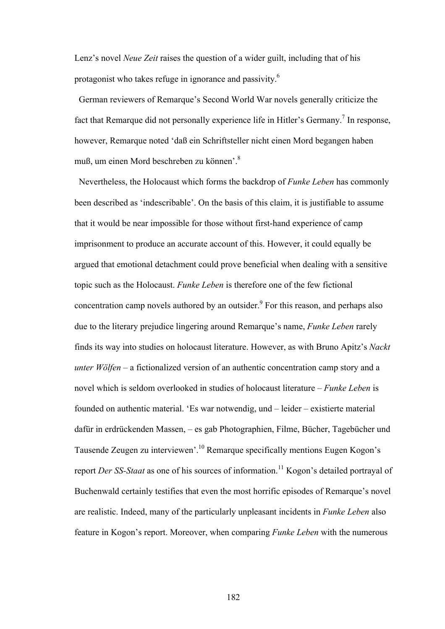Lenz's novel *Neue Zeit* raises the question of a wider guilt, including that of his protagonist who takes refuge in ignorance and passivity.6

German reviewers of Remarque's Second World War novels generally criticize the fact that Remarque did not personally experience life in Hitler's Germany.<sup>7</sup> In response, however, Remarque noted 'daß ein Schriftsteller nicht einen Mord begangen haben muß, um einen Mord beschreben zu können<sup>3</sup>

 Nevertheless, the Holocaust which forms the backdrop of *Funke Leben* has commonly been described as 'indescribable'. On the basis of this claim, it is justifiable to assume that it would be near impossible for those without first-hand experience of camp imprisonment to produce an accurate account of this. However, it could equally be argued that emotional detachment could prove beneficial when dealing with a sensitive topic such as the Holocaust. *Funke Leben* is therefore one of the few fictional concentration camp novels authored by an outsider. $9$  For this reason, and perhaps also due to the literary prejudice lingering around Remarque's name, *Funke Leben* rarely finds its way into studies on holocaust literature. However, as with Bruno Apitz's *Nackt unter Wölfen* – a fictionalized version of an authentic concentration camp story and a novel which is seldom overlooked in studies of holocaust literature – *Funke Leben* is founded on authentic material. 'Es war notwendig, und – leider – existierte material dafür in erdrückenden Massen, – es gab Photographien, Filme, Bücher, Tagebücher und Tausende Zeugen zu interviewen'.10 Remarque specifically mentions Eugen Kogon's report *Der SS-Staat* as one of his sources of information.<sup>11</sup> Kogon's detailed portraval of Buchenwald certainly testifies that even the most horrific episodes of Remarque's novel are realistic. Indeed, many of the particularly unpleasant incidents in *Funke Leben* also feature in Kogon's report. Moreover, when comparing *Funke Leben* with the numerous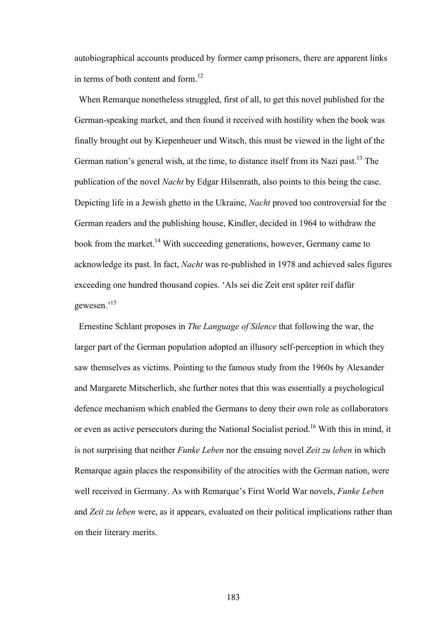autobiographical accounts produced by former camp prisoners, there are apparent links in terms of both content and form.<sup>12</sup>

 When Remarque nonetheless struggled, first of all, to get this novel published for the German-speaking market, and then found it received with hostility when the book was finally brought out by Kiepenheuer und Witsch, this must be viewed in the light of the German nation's general wish, at the time, to distance itself from its Nazi past.<sup>13</sup> The publication of the novel *Nacht* by Edgar Hilsenrath, also points to this being the case. Depicting life in a Jewish ghetto in the Ukraine, *Nacht* proved too controversial for the German readers and the publishing house, Kindler, decided in 1964 to withdraw the book from the market.<sup>14</sup> With succeeding generations, however, Germany came to acknowledge its past. In fact, *Nacht* was re-published in 1978 and achieved sales figures exceeding one hundred thousand copies. 'Als sei die Zeit erst später reif dafür gewesen.'15

Ernestine Schlant proposes in *The Language of Silence* that following the war, the larger part of the German population adopted an illusory self-perception in which they saw themselves as victims. Pointing to the famous study from the 1960s by Alexander and Margarete Mitscherlich, she further notes that this was essentially a psychological defence mechanism which enabled the Germans to deny their own role as collaborators or even as active persecutors during the National Socialist period.<sup>16</sup> With this in mind, it is not surprising that neither *Funke Leben* nor the ensuing novel *Zeit zu leben* in which Remarque again places the responsibility of the atrocities with the German nation, were well received in Germany. As with Remarque's First World War novels, *Funke Leben* and *Zeit zu leben* were, as it appears, evaluated on their political implications rather than on their literary merits.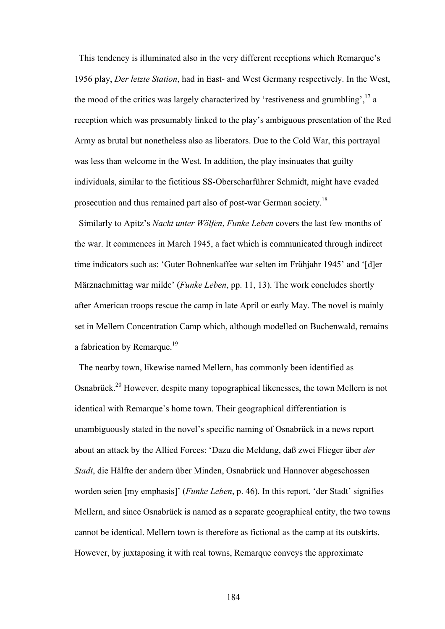This tendency is illuminated also in the very different receptions which Remarque's 1956 play, *Der letzte Station*, had in East- and West Germany respectively. In the West, the mood of the critics was largely characterized by 'restiveness and grumbling',  $^{17}$  a reception which was presumably linked to the play's ambiguous presentation of the Red Army as brutal but nonetheless also as liberators. Due to the Cold War, this portrayal was less than welcome in the West. In addition, the play insinuates that guilty individuals, similar to the fictitious SS-Oberscharführer Schmidt, might have evaded prosecution and thus remained part also of post-war German society.18

 Similarly to Apitz's *Nackt unter Wölfen*, *Funke Leben* covers the last few months of the war. It commences in March 1945, a fact which is communicated through indirect time indicators such as: 'Guter Bohnenkaffee war selten im Frühjahr 1945' and '[d]er Märznachmittag war milde' (*Funke Leben*, pp. 11, 13). The work concludes shortly after American troops rescue the camp in late April or early May. The novel is mainly set in Mellern Concentration Camp which, although modelled on Buchenwald, remains a fabrication by Remarque.<sup>19</sup>

 The nearby town, likewise named Mellern, has commonly been identified as Osnabrück.20 However, despite many topographical likenesses, the town Mellern is not identical with Remarque's home town. Their geographical differentiation is unambiguously stated in the novel's specific naming of Osnabrück in a news report about an attack by the Allied Forces: 'Dazu die Meldung, daß zwei Flieger über *der Stadt*, die Hälfte der andern über Minden, Osnabrück und Hannover abgeschossen worden seien [my emphasis]' (*Funke Leben*, p. 46). In this report, 'der Stadt' signifies Mellern, and since Osnabrück is named as a separate geographical entity, the two towns cannot be identical. Mellern town is therefore as fictional as the camp at its outskirts. However, by juxtaposing it with real towns, Remarque conveys the approximate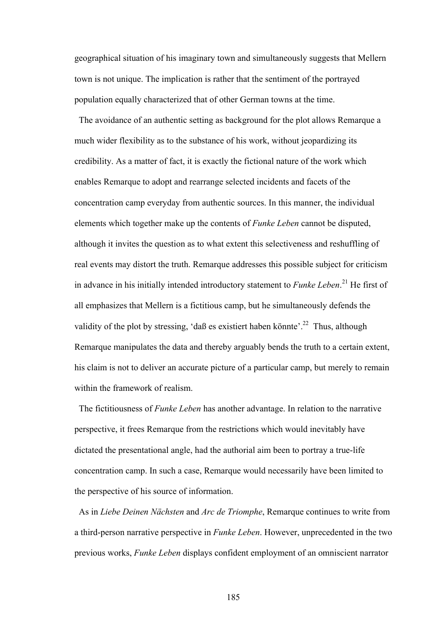geographical situation of his imaginary town and simultaneously suggests that Mellern town is not unique. The implication is rather that the sentiment of the portrayed population equally characterized that of other German towns at the time.

 The avoidance of an authentic setting as background for the plot allows Remarque a much wider flexibility as to the substance of his work, without jeopardizing its credibility. As a matter of fact, it is exactly the fictional nature of the work which enables Remarque to adopt and rearrange selected incidents and facets of the concentration camp everyday from authentic sources. In this manner, the individual elements which together make up the contents of *Funke Leben* cannot be disputed, although it invites the question as to what extent this selectiveness and reshuffling of real events may distort the truth. Remarque addresses this possible subject for criticism in advance in his initially intended introductory statement to *Funke Leben*. 21 He first of all emphasizes that Mellern is a fictitious camp, but he simultaneously defends the validity of the plot by stressing, 'daß es existiert haben könnte'.<sup>22</sup> Thus, although Remarque manipulates the data and thereby arguably bends the truth to a certain extent, his claim is not to deliver an accurate picture of a particular camp, but merely to remain within the framework of realism.

 The fictitiousness of *Funke Leben* has another advantage. In relation to the narrative perspective, it frees Remarque from the restrictions which would inevitably have dictated the presentational angle, had the authorial aim been to portray a true-life concentration camp. In such a case, Remarque would necessarily have been limited to the perspective of his source of information.

 As in *Liebe Deinen Nächsten* and *Arc de Triomphe*, Remarque continues to write from a third-person narrative perspective in *Funke Leben*. However, unprecedented in the two previous works, *Funke Leben* displays confident employment of an omniscient narrator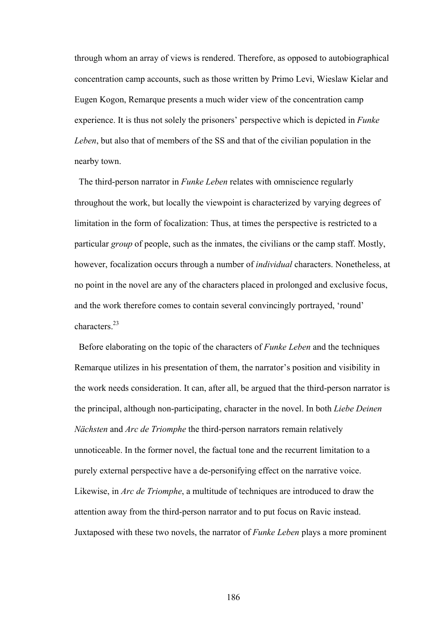through whom an array of views is rendered. Therefore, as opposed to autobiographical concentration camp accounts, such as those written by Primo Levi, Wieslaw Kielar and Eugen Kogon, Remarque presents a much wider view of the concentration camp experience. It is thus not solely the prisoners' perspective which is depicted in *Funke Leben*, but also that of members of the SS and that of the civilian population in the nearby town.

 The third-person narrator in *Funke Leben* relates with omniscience regularly throughout the work, but locally the viewpoint is characterized by varying degrees of limitation in the form of focalization: Thus, at times the perspective is restricted to a particular *group* of people, such as the inmates, the civilians or the camp staff. Mostly, however, focalization occurs through a number of *individual* characters. Nonetheless, at no point in the novel are any of the characters placed in prolonged and exclusive focus, and the work therefore comes to contain several convincingly portrayed, 'round' characters<sup>23</sup>

Before elaborating on the topic of the characters of *Funke Leben* and the techniques Remarque utilizes in his presentation of them, the narrator's position and visibility in the work needs consideration. It can, after all, be argued that the third-person narrator is the principal, although non-participating, character in the novel. In both *Liebe Deinen Nächsten* and *Arc de Triomphe* the third-person narrators remain relatively unnoticeable. In the former novel, the factual tone and the recurrent limitation to a purely external perspective have a de-personifying effect on the narrative voice. Likewise, in *Arc de Triomphe*, a multitude of techniques are introduced to draw the attention away from the third-person narrator and to put focus on Ravic instead. Juxtaposed with these two novels, the narrator of *Funke Leben* plays a more prominent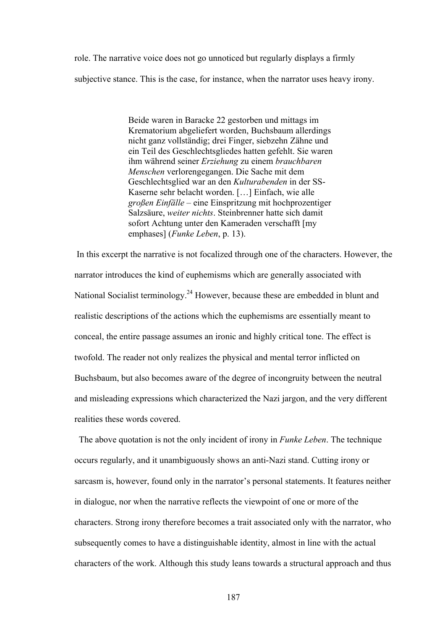role. The narrative voice does not go unnoticed but regularly displays a firmly subjective stance. This is the case, for instance, when the narrator uses heavy irony.

> Beide waren in Baracke 22 gestorben und mittags im Krematorium abgeliefert worden, Buchsbaum allerdings nicht ganz vollständig; drei Finger, siebzehn Zähne und ein Teil des Geschlechtsgliedes hatten gefehlt. Sie waren ihm während seiner *Erziehung* zu einem *brauchbaren Menschen* verlorengegangen. Die Sache mit dem Geschlechtsglied war an den *Kulturabenden* in der SS-Kaserne sehr belacht worden. […] Einfach, wie alle *großen Einfälle* – eine Einspritzung mit hochprozentiger Salzsäure, *weiter nichts*. Steinbrenner hatte sich damit sofort Achtung unter den Kameraden verschafft [my emphases] (*Funke Leben*, p. 13).

 In this excerpt the narrative is not focalized through one of the characters. However, the narrator introduces the kind of euphemisms which are generally associated with National Socialist terminology.<sup>24</sup> However, because these are embedded in blunt and realistic descriptions of the actions which the euphemisms are essentially meant to conceal, the entire passage assumes an ironic and highly critical tone. The effect is twofold. The reader not only realizes the physical and mental terror inflicted on Buchsbaum, but also becomes aware of the degree of incongruity between the neutral and misleading expressions which characterized the Nazi jargon, and the very different realities these words covered.

 The above quotation is not the only incident of irony in *Funke Leben*. The technique occurs regularly, and it unambiguously shows an anti-Nazi stand. Cutting irony or sarcasm is, however, found only in the narrator's personal statements. It features neither in dialogue, nor when the narrative reflects the viewpoint of one or more of the characters. Strong irony therefore becomes a trait associated only with the narrator, who subsequently comes to have a distinguishable identity, almost in line with the actual characters of the work. Although this study leans towards a structural approach and thus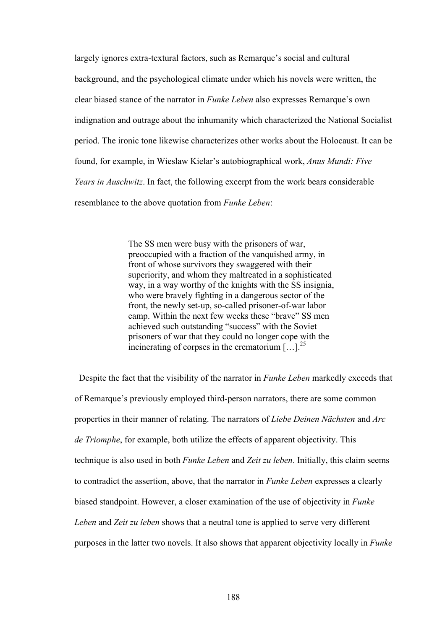largely ignores extra-textural factors, such as Remarque's social and cultural background, and the psychological climate under which his novels were written, the clear biased stance of the narrator in *Funke Leben* also expresses Remarque's own indignation and outrage about the inhumanity which characterized the National Socialist period. The ironic tone likewise characterizes other works about the Holocaust. It can be found, for example, in Wieslaw Kielar's autobiographical work, *Anus Mundi: Five Years in Auschwitz*. In fact, the following excerpt from the work bears considerable resemblance to the above quotation from *Funke Leben*:

> The SS men were busy with the prisoners of war, preoccupied with a fraction of the vanquished army, in front of whose survivors they swaggered with their superiority, and whom they maltreated in a sophisticated way, in a way worthy of the knights with the SS insignia, who were bravely fighting in a dangerous sector of the front, the newly set-up, so-called prisoner-of-war labor camp. Within the next few weeks these "brave" SS men achieved such outstanding "success" with the Soviet prisoners of war that they could no longer cope with the incinerating of corpses in the crematorium  $[...]^{25}$

 Despite the fact that the visibility of the narrator in *Funke Leben* markedly exceeds that of Remarque's previously employed third-person narrators, there are some common properties in their manner of relating. The narrators of *Liebe Deinen Nächsten* and *Arc de Triomphe*, for example, both utilize the effects of apparent objectivity. This technique is also used in both *Funke Leben* and *Zeit zu leben*. Initially, this claim seems to contradict the assertion, above, that the narrator in *Funke Leben* expresses a clearly biased standpoint. However, a closer examination of the use of objectivity in *Funke Leben* and *Zeit zu leben* shows that a neutral tone is applied to serve very different purposes in the latter two novels. It also shows that apparent objectivity locally in *Funke*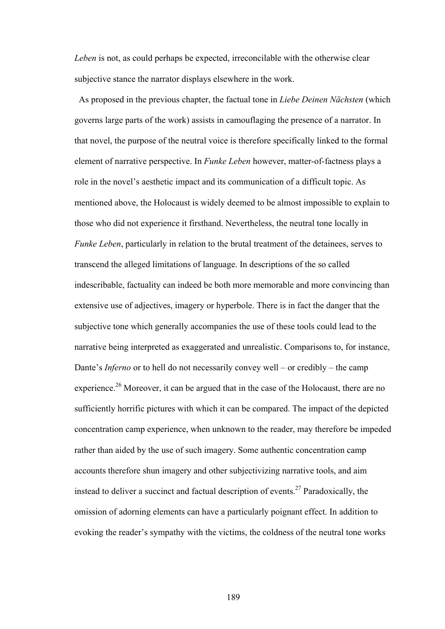*Leben* is not, as could perhaps be expected, irreconcilable with the otherwise clear subjective stance the narrator displays elsewhere in the work.

 As proposed in the previous chapter, the factual tone in *Liebe Deinen Nächsten* (which governs large parts of the work) assists in camouflaging the presence of a narrator. In that novel, the purpose of the neutral voice is therefore specifically linked to the formal element of narrative perspective. In *Funke Leben* however, matter-of-factness plays a role in the novel's aesthetic impact and its communication of a difficult topic. As mentioned above, the Holocaust is widely deemed to be almost impossible to explain to those who did not experience it firsthand. Nevertheless, the neutral tone locally in *Funke Leben*, particularly in relation to the brutal treatment of the detainees, serves to transcend the alleged limitations of language. In descriptions of the so called indescribable, factuality can indeed be both more memorable and more convincing than extensive use of adjectives, imagery or hyperbole. There is in fact the danger that the subjective tone which generally accompanies the use of these tools could lead to the narrative being interpreted as exaggerated and unrealistic. Comparisons to, for instance, Dante's *Inferno* or to hell do not necessarily convey well – or credibly – the camp experience.<sup>26</sup> Moreover, it can be argued that in the case of the Holocaust, there are no sufficiently horrific pictures with which it can be compared. The impact of the depicted concentration camp experience, when unknown to the reader, may therefore be impeded rather than aided by the use of such imagery. Some authentic concentration camp accounts therefore shun imagery and other subjectivizing narrative tools, and aim instead to deliver a succinct and factual description of events.<sup>27</sup> Paradoxically, the omission of adorning elements can have a particularly poignant effect. In addition to evoking the reader's sympathy with the victims, the coldness of the neutral tone works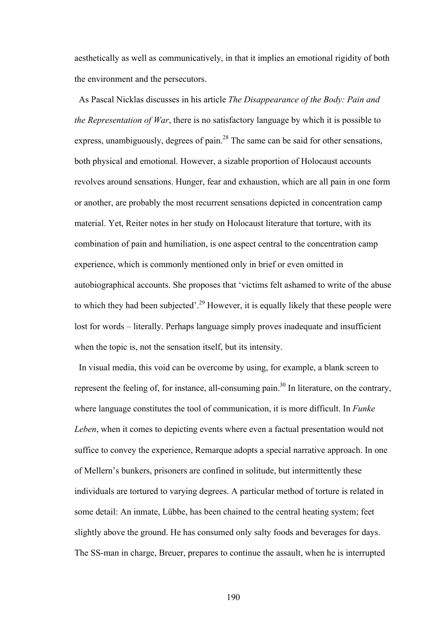aesthetically as well as communicatively, in that it implies an emotional rigidity of both the environment and the persecutors.

 As Pascal Nicklas discusses in his article *The Disappearance of the Body: Pain and the Representation of War*, there is no satisfactory language by which it is possible to express, unambiguously, degrees of pain.<sup>28</sup> The same can be said for other sensations, both physical and emotional. However, a sizable proportion of Holocaust accounts revolves around sensations. Hunger, fear and exhaustion, which are all pain in one form or another, are probably the most recurrent sensations depicted in concentration camp material. Yet, Reiter notes in her study on Holocaust literature that torture, with its combination of pain and humiliation, is one aspect central to the concentration camp experience, which is commonly mentioned only in brief or even omitted in autobiographical accounts. She proposes that 'victims felt ashamed to write of the abuse to which they had been subjected'.<sup>29</sup> However, it is equally likely that these people were lost for words – literally. Perhaps language simply proves inadequate and insufficient when the topic is, not the sensation itself, but its intensity.

 In visual media, this void can be overcome by using, for example, a blank screen to represent the feeling of, for instance, all-consuming pain.<sup>30</sup> In literature, on the contrary, where language constitutes the tool of communication, it is more difficult. In *Funke Leben*, when it comes to depicting events where even a factual presentation would not suffice to convey the experience, Remarque adopts a special narrative approach. In one of Mellern's bunkers, prisoners are confined in solitude, but intermittently these individuals are tortured to varying degrees. A particular method of torture is related in some detail: An inmate, Lübbe, has been chained to the central heating system; feet slightly above the ground. He has consumed only salty foods and beverages for days. The SS-man in charge, Breuer, prepares to continue the assault, when he is interrupted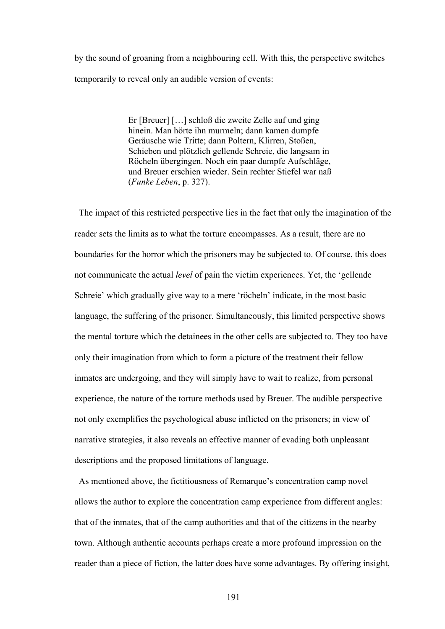by the sound of groaning from a neighbouring cell. With this, the perspective switches temporarily to reveal only an audible version of events:

> Er [Breuer] […] schloß die zweite Zelle auf und ging hinein. Man hörte ihn murmeln; dann kamen dumpfe Geräusche wie Tritte; dann Poltern, Klirren, Stoßen, Schieben und plötzlich gellende Schreie, die langsam in Röcheln übergingen. Noch ein paar dumpfe Aufschläge, und Breuer erschien wieder. Sein rechter Stiefel war naß (*Funke Leben*, p. 327).

 The impact of this restricted perspective lies in the fact that only the imagination of the reader sets the limits as to what the torture encompasses. As a result, there are no boundaries for the horror which the prisoners may be subjected to. Of course, this does not communicate the actual *level* of pain the victim experiences. Yet, the 'gellende Schreie' which gradually give way to a mere 'röcheln' indicate, in the most basic language, the suffering of the prisoner. Simultaneously, this limited perspective shows the mental torture which the detainees in the other cells are subjected to. They too have only their imagination from which to form a picture of the treatment their fellow inmates are undergoing, and they will simply have to wait to realize, from personal experience, the nature of the torture methods used by Breuer. The audible perspective not only exemplifies the psychological abuse inflicted on the prisoners; in view of narrative strategies, it also reveals an effective manner of evading both unpleasant descriptions and the proposed limitations of language.

 As mentioned above, the fictitiousness of Remarque's concentration camp novel allows the author to explore the concentration camp experience from different angles: that of the inmates, that of the camp authorities and that of the citizens in the nearby town. Although authentic accounts perhaps create a more profound impression on the reader than a piece of fiction, the latter does have some advantages. By offering insight,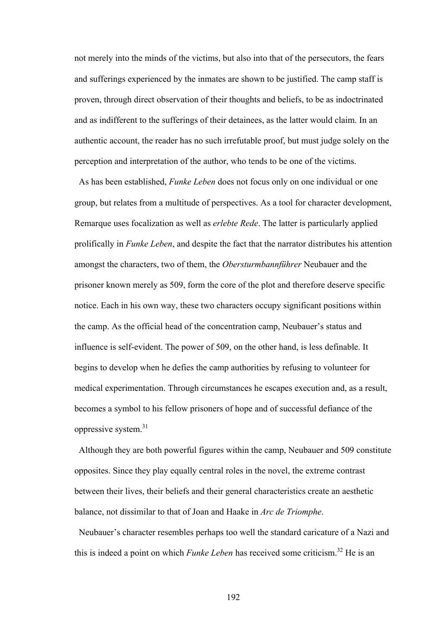not merely into the minds of the victims, but also into that of the persecutors, the fears and sufferings experienced by the inmates are shown to be justified. The camp staff is proven, through direct observation of their thoughts and beliefs, to be as indoctrinated and as indifferent to the sufferings of their detainees, as the latter would claim. In an authentic account, the reader has no such irrefutable proof, but must judge solely on the perception and interpretation of the author, who tends to be one of the victims.

 As has been established, *Funke Leben* does not focus only on one individual or one group, but relates from a multitude of perspectives. As a tool for character development, Remarque uses focalization as well as *erlebte Rede*. The latter is particularly applied prolifically in *Funke Leben*, and despite the fact that the narrator distributes his attention amongst the characters, two of them, the *Obersturmbannführer* Neubauer and the prisoner known merely as 509, form the core of the plot and therefore deserve specific notice. Each in his own way, these two characters occupy significant positions within the camp. As the official head of the concentration camp, Neubauer's status and influence is self-evident. The power of 509, on the other hand, is less definable. It begins to develop when he defies the camp authorities by refusing to volunteer for medical experimentation. Through circumstances he escapes execution and, as a result, becomes a symbol to his fellow prisoners of hope and of successful defiance of the oppressive system.<sup>31</sup>

 Although they are both powerful figures within the camp, Neubauer and 509 constitute opposites. Since they play equally central roles in the novel, the extreme contrast between their lives, their beliefs and their general characteristics create an aesthetic balance, not dissimilar to that of Joan and Haake in *Arc de Triomphe*.

 Neubauer's character resembles perhaps too well the standard caricature of a Nazi and this is indeed a point on which *Funke Leben* has received some criticism.<sup>32</sup> He is an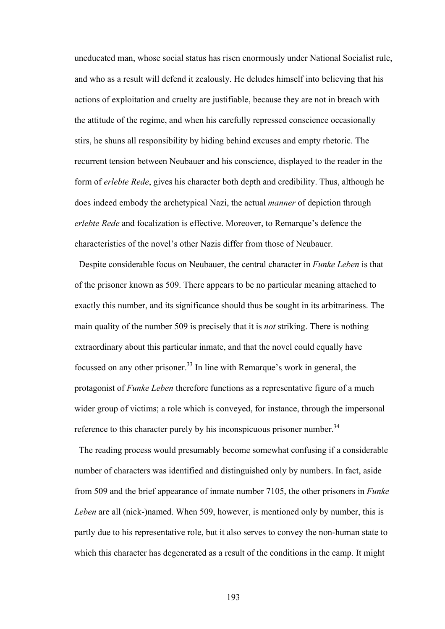uneducated man, whose social status has risen enormously under National Socialist rule, and who as a result will defend it zealously. He deludes himself into believing that his actions of exploitation and cruelty are justifiable, because they are not in breach with the attitude of the regime, and when his carefully repressed conscience occasionally stirs, he shuns all responsibility by hiding behind excuses and empty rhetoric. The recurrent tension between Neubauer and his conscience, displayed to the reader in the form of *erlebte Rede*, gives his character both depth and credibility. Thus, although he does indeed embody the archetypical Nazi, the actual *manner* of depiction through *erlebte Rede* and focalization is effective. Moreover, to Remarque's defence the characteristics of the novel's other Nazis differ from those of Neubauer.

 Despite considerable focus on Neubauer, the central character in *Funke Leben* is that of the prisoner known as 509. There appears to be no particular meaning attached to exactly this number, and its significance should thus be sought in its arbitrariness. The main quality of the number 509 is precisely that it is *not* striking. There is nothing extraordinary about this particular inmate, and that the novel could equally have focussed on any other prisoner.33 In line with Remarque's work in general, the protagonist of *Funke Leben* therefore functions as a representative figure of a much wider group of victims; a role which is conveyed, for instance, through the impersonal reference to this character purely by his inconspicuous prisoner number.<sup>34</sup>

 The reading process would presumably become somewhat confusing if a considerable number of characters was identified and distinguished only by numbers. In fact, aside from 509 and the brief appearance of inmate number 7105, the other prisoners in *Funke Leben* are all (nick-)named. When 509, however, is mentioned only by number, this is partly due to his representative role, but it also serves to convey the non-human state to which this character has degenerated as a result of the conditions in the camp. It might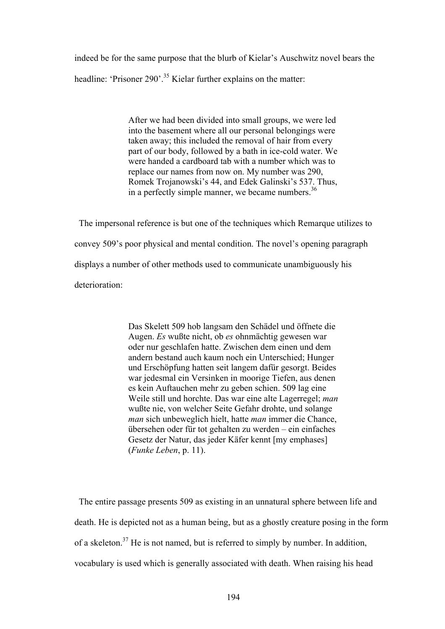indeed be for the same purpose that the blurb of Kielar's Auschwitz novel bears the headline: 'Prisoner 290'.<sup>35</sup> Kielar further explains on the matter:

> After we had been divided into small groups, we were led into the basement where all our personal belongings were taken away; this included the removal of hair from every part of our body, followed by a bath in ice-cold water. We were handed a cardboard tab with a number which was to replace our names from now on. My number was 290, Romek Trojanowski's 44, and Edek Galinski's 537. Thus, in a perfectly simple manner, we became numbers.  $36$

 The impersonal reference is but one of the techniques which Remarque utilizes to convey 509's poor physical and mental condition. The novel's opening paragraph displays a number of other methods used to communicate unambiguously his deterioration:

> Das Skelett 509 hob langsam den Schädel und öffnete die Augen. *Es* wußte nicht, ob *es* ohnmächtig gewesen war oder nur geschlafen hatte. Zwischen dem einen und dem andern bestand auch kaum noch ein Unterschied; Hunger und Erschöpfung hatten seit langem dafür gesorgt. Beides war jedesmal ein Versinken in moorige Tiefen, aus denen es kein Auftauchen mehr zu geben schien. 509 lag eine Weile still und horchte. Das war eine alte Lagerregel; *man* wußte nie, von welcher Seite Gefahr drohte, und solange *man* sich unbeweglich hielt, hatte *man* immer die Chance, übersehen oder für tot gehalten zu werden – ein einfaches Gesetz der Natur, das jeder Käfer kennt [my emphases] (*Funke Leben*, p. 11).

 The entire passage presents 509 as existing in an unnatural sphere between life and death. He is depicted not as a human being, but as a ghostly creature posing in the form of a skeleton.<sup>37</sup> He is not named, but is referred to simply by number. In addition, vocabulary is used which is generally associated with death. When raising his head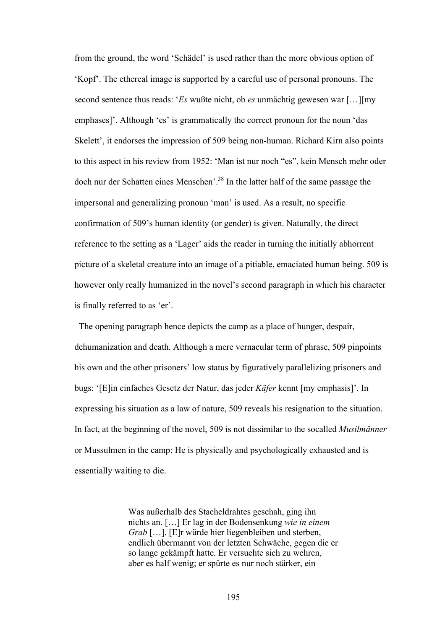from the ground, the word 'Schädel' is used rather than the more obvious option of 'Kopf'. The ethereal image is supported by a careful use of personal pronouns. The second sentence thus reads: '*Es* wußte nicht, ob *es* unmächtig gewesen war […][my emphases]'. Although 'es' is grammatically the correct pronoun for the noun 'das Skelett', it endorses the impression of 509 being non-human. Richard Kirn also points to this aspect in his review from 1952: 'Man ist nur noch "es", kein Mensch mehr oder doch nur der Schatten eines Menschen'.38 In the latter half of the same passage the impersonal and generalizing pronoun 'man' is used. As a result, no specific confirmation of 509's human identity (or gender) is given. Naturally, the direct reference to the setting as a 'Lager' aids the reader in turning the initially abhorrent picture of a skeletal creature into an image of a pitiable, emaciated human being. 509 is however only really humanized in the novel's second paragraph in which his character is finally referred to as 'er'.

 The opening paragraph hence depicts the camp as a place of hunger, despair, dehumanization and death. Although a mere vernacular term of phrase, 509 pinpoints his own and the other prisoners' low status by figuratively parallelizing prisoners and bugs: '[E]in einfaches Gesetz der Natur, das jeder *Käfer* kennt [my emphasis]'. In expressing his situation as a law of nature, 509 reveals his resignation to the situation. In fact, at the beginning of the novel, 509 is not dissimilar to the socalled *Musilmänner* or Mussulmen in the camp: He is physically and psychologically exhausted and is essentially waiting to die.

> Was außerhalb des Stacheldrahtes geschah, ging ihn nichts an. […] Er lag in der Bodensenkung *wie in einem Grab* […]. [E]r würde hier liegenbleiben und sterben, endlich übermannt von der letzten Schwäche, gegen die er so lange gekämpft hatte. Er versuchte sich zu wehren, aber es half wenig; er spürte es nur noch stärker, ein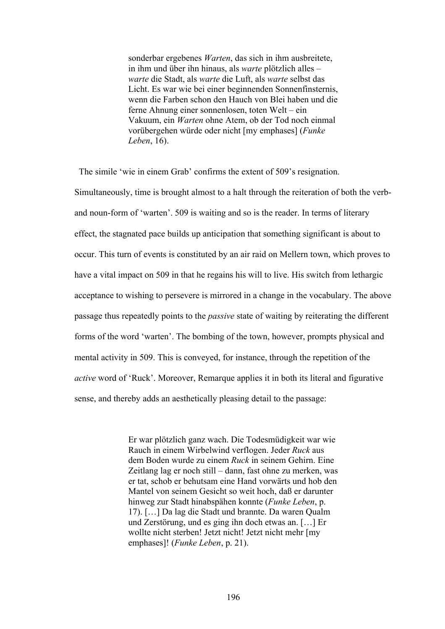sonderbar ergebenes *Warten*, das sich in ihm ausbreitete, in ihm und über ihn hinaus, als *warte* plötzlich alles – *warte* die Stadt, als *warte* die Luft, als *warte* selbst das Licht. Es war wie bei einer beginnenden Sonnenfinsternis, wenn die Farben schon den Hauch von Blei haben und die ferne Ahnung einer sonnenlosen, toten Welt – ein Vakuum, ein *Warten* ohne Atem, ob der Tod noch einmal vorübergehen würde oder nicht [my emphases] (*Funke Leben*, 16).

The simile 'wie in einem Grab' confirms the extent of 509's resignation.

Simultaneously, time is brought almost to a halt through the reiteration of both the verband noun-form of 'warten'. 509 is waiting and so is the reader. In terms of literary effect, the stagnated pace builds up anticipation that something significant is about to occur. This turn of events is constituted by an air raid on Mellern town, which proves to have a vital impact on 509 in that he regains his will to live. His switch from lethargic acceptance to wishing to persevere is mirrored in a change in the vocabulary. The above passage thus repeatedly points to the *passive* state of waiting by reiterating the different forms of the word 'warten'. The bombing of the town, however, prompts physical and mental activity in 509. This is conveyed, for instance, through the repetition of the *active* word of 'Ruck'. Moreover, Remarque applies it in both its literal and figurative sense, and thereby adds an aesthetically pleasing detail to the passage:

> Er war plötzlich ganz wach. Die Todesmüdigkeit war wie Rauch in einem Wirbelwind verflogen. Jeder *Ruck* aus dem Boden wurde zu einem *Ruck* in seinem Gehirn. Eine Zeitlang lag er noch still – dann, fast ohne zu merken, was er tat, schob er behutsam eine Hand vorwärts und hob den Mantel von seinem Gesicht so weit hoch, daß er darunter hinweg zur Stadt hinabspähen konnte (*Funke Leben*, p. 17). […] Da lag die Stadt und brannte. Da waren Qualm und Zerstörung, und es ging ihn doch etwas an. […] Er wollte nicht sterben! Jetzt nicht! Jetzt nicht mehr [my] emphases]! (*Funke Leben*, p. 21).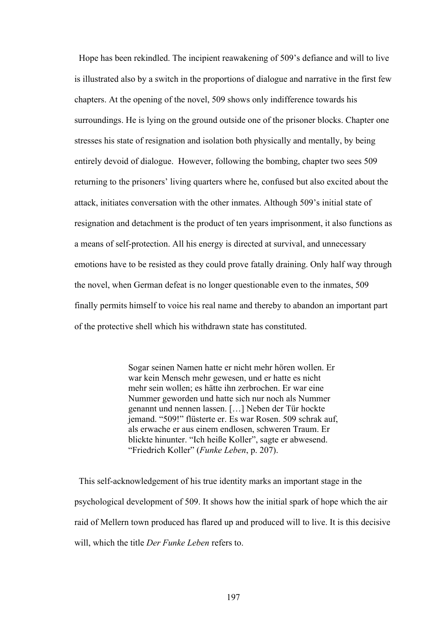Hope has been rekindled. The incipient reawakening of 509's defiance and will to live is illustrated also by a switch in the proportions of dialogue and narrative in the first few chapters. At the opening of the novel, 509 shows only indifference towards his surroundings. He is lying on the ground outside one of the prisoner blocks. Chapter one stresses his state of resignation and isolation both physically and mentally, by being entirely devoid of dialogue. However, following the bombing, chapter two sees 509 returning to the prisoners' living quarters where he, confused but also excited about the attack, initiates conversation with the other inmates. Although 509's initial state of resignation and detachment is the product of ten years imprisonment, it also functions as a means of self-protection. All his energy is directed at survival, and unnecessary emotions have to be resisted as they could prove fatally draining. Only half way through the novel, when German defeat is no longer questionable even to the inmates, 509 finally permits himself to voice his real name and thereby to abandon an important part of the protective shell which his withdrawn state has constituted.

> Sogar seinen Namen hatte er nicht mehr hören wollen. Er war kein Mensch mehr gewesen, und er hatte es nicht mehr sein wollen; es hätte ihn zerbrochen. Er war eine Nummer geworden und hatte sich nur noch als Nummer genannt und nennen lassen. […] Neben der Tür hockte jemand. "509!" flüsterte er. Es war Rosen. 509 schrak auf, als erwache er aus einem endlosen, schweren Traum. Er blickte hinunter. "Ich heiße Koller", sagte er abwesend. "Friedrich Koller" (*Funke Leben*, p. 207).

 This self-acknowledgement of his true identity marks an important stage in the psychological development of 509. It shows how the initial spark of hope which the air raid of Mellern town produced has flared up and produced will to live. It is this decisive will, which the title *Der Funke Leben* refers to.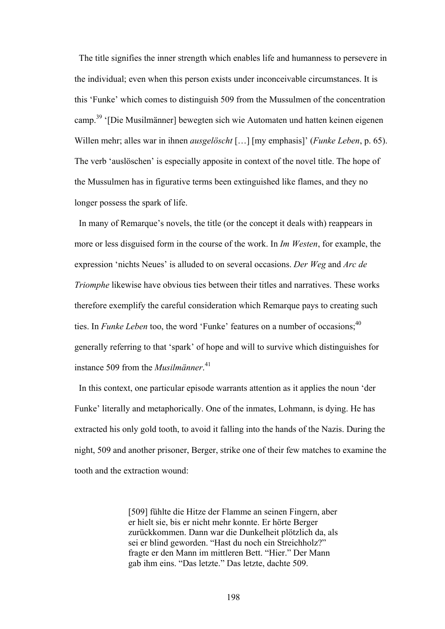The title signifies the inner strength which enables life and humanness to persevere in the individual; even when this person exists under inconceivable circumstances. It is this 'Funke' which comes to distinguish 509 from the Mussulmen of the concentration camp.39 '[Die Musilmänner] bewegten sich wie Automaten und hatten keinen eigenen Willen mehr; alles war in ihnen *ausgelöscht* […] [my emphasis]' (*Funke Leben*, p. 65). The verb 'auslöschen' is especially apposite in context of the novel title. The hope of the Mussulmen has in figurative terms been extinguished like flames, and they no longer possess the spark of life.

 In many of Remarque's novels, the title (or the concept it deals with) reappears in more or less disguised form in the course of the work. In *Im Westen*, for example, the expression 'nichts Neues' is alluded to on several occasions. *Der Weg* and *Arc de Triomphe* likewise have obvious ties between their titles and narratives. These works therefore exemplify the careful consideration which Remarque pays to creating such ties. In *Funke Leben* too, the word 'Funke' features on a number of occasions;<sup>40</sup> generally referring to that 'spark' of hope and will to survive which distinguishes for instance 509 from the *Musilmänner*. 41

 In this context, one particular episode warrants attention as it applies the noun 'der Funke' literally and metaphorically. One of the inmates, Lohmann, is dying. He has extracted his only gold tooth, to avoid it falling into the hands of the Nazis. During the night, 509 and another prisoner, Berger, strike one of their few matches to examine the tooth and the extraction wound:

> [509] fühlte die Hitze der Flamme an seinen Fingern, aber er hielt sie, bis er nicht mehr konnte. Er hörte Berger zurückkommen. Dann war die Dunkelheit plötzlich da, als sei er blind geworden. "Hast du noch ein Streichholz?" fragte er den Mann im mittleren Bett. "Hier." Der Mann gab ihm eins. "Das letzte." Das letzte, dachte 509.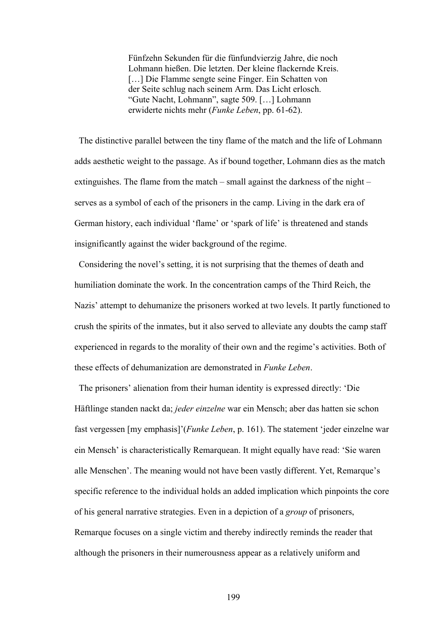Fünfzehn Sekunden für die fünfundvierzig Jahre, die noch Lohmann hießen. Die letzten. Der kleine flackernde Kreis. […] Die Flamme sengte seine Finger. Ein Schatten von der Seite schlug nach seinem Arm. Das Licht erlosch. "Gute Nacht, Lohmann", sagte 509. […] Lohmann erwiderte nichts mehr (*Funke Leben*, pp. 61-62).

 The distinctive parallel between the tiny flame of the match and the life of Lohmann adds aesthetic weight to the passage. As if bound together, Lohmann dies as the match extinguishes. The flame from the match – small against the darkness of the night – serves as a symbol of each of the prisoners in the camp. Living in the dark era of German history, each individual 'flame' or 'spark of life' is threatened and stands insignificantly against the wider background of the regime.

 Considering the novel's setting, it is not surprising that the themes of death and humiliation dominate the work. In the concentration camps of the Third Reich, the Nazis' attempt to dehumanize the prisoners worked at two levels. It partly functioned to crush the spirits of the inmates, but it also served to alleviate any doubts the camp staff experienced in regards to the morality of their own and the regime's activities. Both of these effects of dehumanization are demonstrated in *Funke Leben*.

 The prisoners' alienation from their human identity is expressed directly: 'Die Häftlinge standen nackt da; *jeder einzelne* war ein Mensch; aber das hatten sie schon fast vergessen [my emphasis]'(*Funke Leben*, p. 161). The statement 'jeder einzelne war ein Mensch' is characteristically Remarquean. It might equally have read: 'Sie waren alle Menschen'. The meaning would not have been vastly different. Yet, Remarque's specific reference to the individual holds an added implication which pinpoints the core of his general narrative strategies. Even in a depiction of a *group* of prisoners, Remarque focuses on a single victim and thereby indirectly reminds the reader that although the prisoners in their numerousness appear as a relatively uniform and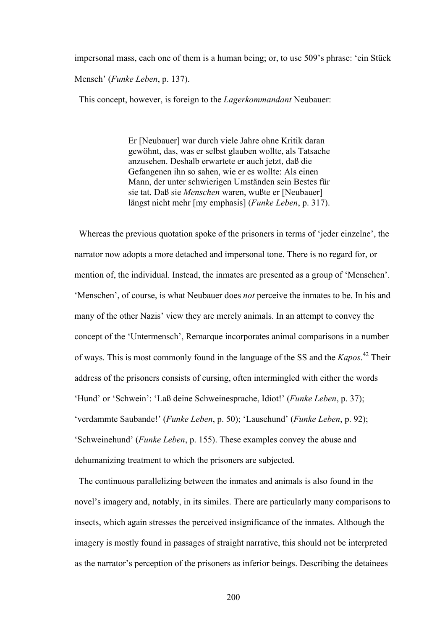impersonal mass, each one of them is a human being; or, to use 509's phrase: 'ein Stück Mensch' (*Funke Leben*, p. 137).

This concept, however, is foreign to the *Lagerkommandant* Neubauer:

Er [Neubauer] war durch viele Jahre ohne Kritik daran gewöhnt, das, was er selbst glauben wollte, als Tatsache anzusehen. Deshalb erwartete er auch jetzt, daß die Gefangenen ihn so sahen, wie er es wollte: Als einen Mann, der unter schwierigen Umständen sein Bestes für sie tat. Daß sie *Menschen* waren, wußte er [Neubauer] längst nicht mehr [my emphasis] (*Funke Leben*, p. 317).

Whereas the previous quotation spoke of the prisoners in terms of 'jeder einzelne', the narrator now adopts a more detached and impersonal tone. There is no regard for, or mention of, the individual. Instead, the inmates are presented as a group of 'Menschen'. 'Menschen', of course, is what Neubauer does *not* perceive the inmates to be. In his and many of the other Nazis' view they are merely animals. In an attempt to convey the concept of the 'Untermensch', Remarque incorporates animal comparisons in a number of ways. This is most commonly found in the language of the SS and the *Kapos*. 42 Their address of the prisoners consists of cursing, often intermingled with either the words 'Hund' or 'Schwein': 'Laß deine Schweinesprache, Idiot!' (*Funke Leben*, p. 37); 'verdammte Saubande!' (*Funke Leben*, p. 50); 'Lausehund' (*Funke Leben*, p. 92); 'Schweinehund' (*Funke Leben*, p. 155). These examples convey the abuse and dehumanizing treatment to which the prisoners are subjected.

 The continuous parallelizing between the inmates and animals is also found in the novel's imagery and, notably, in its similes. There are particularly many comparisons to insects, which again stresses the perceived insignificance of the inmates. Although the imagery is mostly found in passages of straight narrative, this should not be interpreted as the narrator's perception of the prisoners as inferior beings. Describing the detainees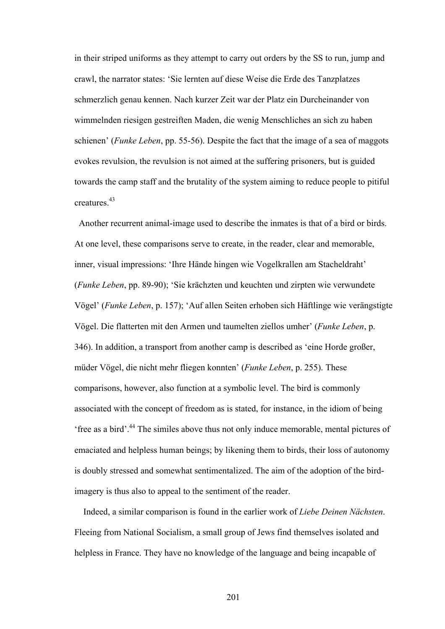in their striped uniforms as they attempt to carry out orders by the SS to run, jump and crawl, the narrator states: 'Sie lernten auf diese Weise die Erde des Tanzplatzes schmerzlich genau kennen. Nach kurzer Zeit war der Platz ein Durcheinander von wimmelnden riesigen gestreiften Maden, die wenig Menschliches an sich zu haben schienen' (*Funke Leben*, pp. 55-56). Despite the fact that the image of a sea of maggots evokes revulsion, the revulsion is not aimed at the suffering prisoners, but is guided towards the camp staff and the brutality of the system aiming to reduce people to pitiful creatures<sup>43</sup>

Another recurrent animal-image used to describe the inmates is that of a bird or birds. At one level, these comparisons serve to create, in the reader, clear and memorable, inner, visual impressions: 'Ihre Hände hingen wie Vogelkrallen am Stacheldraht' (*Funke Leben*, pp. 89-90); 'Sie krächzten und keuchten und zirpten wie verwundete Vögel' (*Funke Leben*, p. 157); 'Auf allen Seiten erhoben sich Häftlinge wie verängstigte Vögel. Die flatterten mit den Armen und taumelten ziellos umher' (*Funke Leben*, p. 346). In addition, a transport from another camp is described as 'eine Horde großer, müder Vögel, die nicht mehr fliegen konnten' (*Funke Leben*, p. 255). These comparisons, however, also function at a symbolic level. The bird is commonly associated with the concept of freedom as is stated, for instance, in the idiom of being 'free as a bird'.44 The similes above thus not only induce memorable, mental pictures of emaciated and helpless human beings; by likening them to birds, their loss of autonomy is doubly stressed and somewhat sentimentalized. The aim of the adoption of the birdimagery is thus also to appeal to the sentiment of the reader.

 Indeed, a similar comparison is found in the earlier work of *Liebe Deinen Nächsten*. Fleeing from National Socialism, a small group of Jews find themselves isolated and helpless in France. They have no knowledge of the language and being incapable of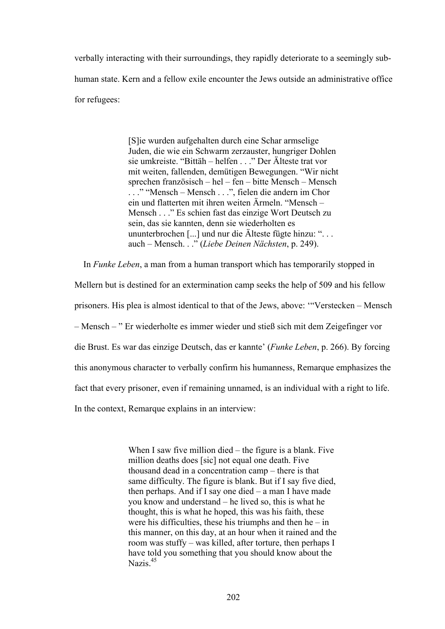verbally interacting with their surroundings, they rapidly deteriorate to a seemingly subhuman state. Kern and a fellow exile encounter the Jews outside an administrative office for refugees:

> [S]ie wurden aufgehalten durch eine Schar armselige Juden, die wie ein Schwarm zerzauster, hungriger Dohlen sie umkreiste. "Bittäh – helfen . . ." Der Älteste trat vor mit weiten, fallenden, demütigen Bewegungen. "Wir nicht sprechen französisch – hel – fen – bitte Mensch – Mensch . . ." "Mensch – Mensch . . .", fielen die andern im Chor ein und flatterten mit ihren weiten Ärmeln. "Mensch – Mensch . . ." Es schien fast das einzige Wort Deutsch zu sein, das sie kannten, denn sie wiederholten es ununterbrochen [...] und nur die Älteste fügte hinzu: ". . . auch – Mensch. . ." (*Liebe Deinen Nächsten*, p. 249).

In *Funke Leben*, a man from a human transport which has temporarily stopped in

Mellern but is destined for an extermination camp seeks the help of 509 and his fellow

prisoners. His plea is almost identical to that of the Jews, above: '"Verstecken – Mensch

– Mensch – " Er wiederholte es immer wieder und stieß sich mit dem Zeigefinger vor

die Brust. Es war das einzige Deutsch, das er kannte' (*Funke Leben*, p. 266). By forcing

this anonymous character to verbally confirm his humanness, Remarque emphasizes the

fact that every prisoner, even if remaining unnamed, is an individual with a right to life.

In the context, Remarque explains in an interview:

When I saw five million died – the figure is a blank. Five million deaths does [sic] not equal one death. Five thousand dead in a concentration camp – there is that same difficulty. The figure is blank. But if I say five died, then perhaps. And if I say one died – a man I have made you know and understand – he lived so, this is what he thought, this is what he hoped, this was his faith, these were his difficulties, these his triumphs and then  $he$  – in this manner, on this day, at an hour when it rained and the room was stuffy – was killed, after torture, then perhaps I have told you something that you should know about the Nazis.<sup>45</sup>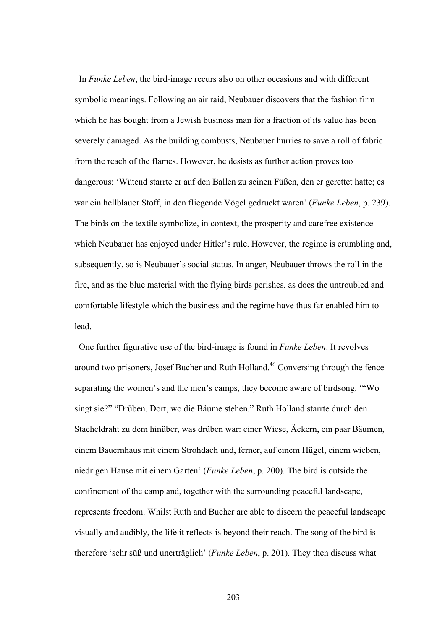In *Funke Leben*, the bird-image recurs also on other occasions and with different symbolic meanings. Following an air raid, Neubauer discovers that the fashion firm which he has bought from a Jewish business man for a fraction of its value has been severely damaged. As the building combusts, Neubauer hurries to save a roll of fabric from the reach of the flames. However, he desists as further action proves too dangerous: 'Wütend starrte er auf den Ballen zu seinen Füßen, den er gerettet hatte; es war ein hellblauer Stoff, in den fliegende Vögel gedruckt waren' (*Funke Leben*, p. 239). The birds on the textile symbolize, in context, the prosperity and carefree existence which Neubauer has enjoyed under Hitler's rule. However, the regime is crumbling and, subsequently, so is Neubauer's social status. In anger, Neubauer throws the roll in the fire, and as the blue material with the flying birds perishes, as does the untroubled and comfortable lifestyle which the business and the regime have thus far enabled him to lead.

 One further figurative use of the bird-image is found in *Funke Leben*. It revolves around two prisoners, Josef Bucher and Ruth Holland.46 Conversing through the fence separating the women's and the men's camps, they become aware of birdsong. '"Wo singt sie?" "Drüben. Dort, wo die Bäume stehen." Ruth Holland starrte durch den Stacheldraht zu dem hinüber, was drüben war: einer Wiese, Äckern, ein paar Bäumen, einem Bauernhaus mit einem Strohdach und, ferner, auf einem Hügel, einem wießen, niedrigen Hause mit einem Garten' (*Funke Leben*, p. 200). The bird is outside the confinement of the camp and, together with the surrounding peaceful landscape, represents freedom. Whilst Ruth and Bucher are able to discern the peaceful landscape visually and audibly, the life it reflects is beyond their reach. The song of the bird is therefore 'sehr süß und unerträglich' (*Funke Leben*, p. 201). They then discuss what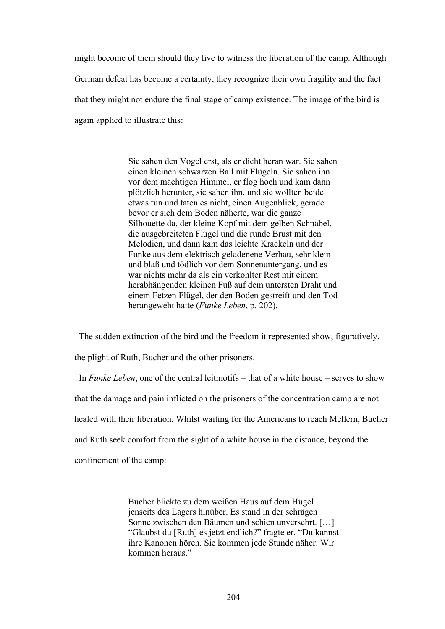might become of them should they live to witness the liberation of the camp. Although German defeat has become a certainty, they recognize their own fragility and the fact that they might not endure the final stage of camp existence. The image of the bird is again applied to illustrate this:

> Sie sahen den Vogel erst, als er dicht heran war. Sie sahen einen kleinen schwarzen Ball mit Flügeln. Sie sahen ihn vor dem mächtigen Himmel, er flog hoch und kam dann plötzlich herunter, sie sahen ihn, und sie wollten beide etwas tun und taten es nicht, einen Augenblick, gerade bevor er sich dem Boden näherte, war die ganze Silhouette da, der kleine Kopf mit dem gelben Schnabel, die ausgebreiteten Flügel und die runde Brust mit den Melodien, und dann kam das leichte Krackeln und der Funke aus dem elektrisch geladenene Verhau, sehr klein und blaß und tödlich vor dem Sonnenuntergang, und es war nichts mehr da als ein verkohlter Rest mit einem herabhängenden kleinen Fuß auf dem untersten Draht und einem Fetzen Flügel, der den Boden gestreift und den Tod herangeweht hatte (*Funke Leben*, p. 202).

The sudden extinction of the bird and the freedom it represented show, figuratively,

the plight of Ruth, Bucher and the other prisoners.

 In *Funke Leben*, one of the central leitmotifs – that of a white house – serves to show that the damage and pain inflicted on the prisoners of the concentration camp are not healed with their liberation. Whilst waiting for the Americans to reach Mellern, Bucher and Ruth seek comfort from the sight of a white house in the distance, beyond the confinement of the camp:

> Bucher blickte zu dem weißen Haus auf dem Hügel jenseits des Lagers hinüber. Es stand in der schrägen Sonne zwischen den Bäumen und schien unversehrt. […] "Glaubst du [Ruth] es jetzt endlich?" fragte er. "Du kannst ihre Kanonen hören. Sie kommen jede Stunde näher. Wir kommen heraus."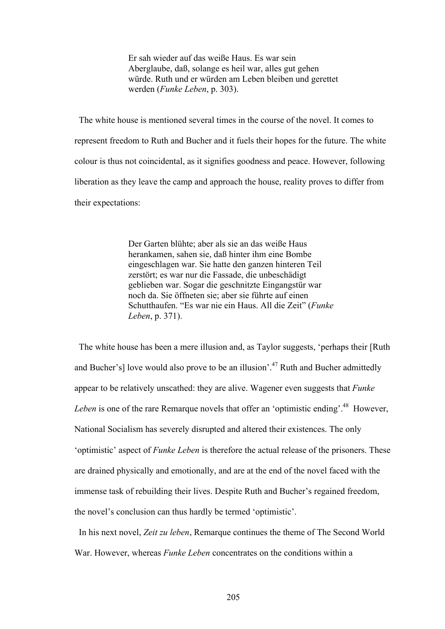Er sah wieder auf das weiße Haus. Es war sein Aberglaube, daß, solange es heil war, alles gut gehen würde. Ruth und er würden am Leben bleiben und gerettet werden (*Funke Leben*, p. 303).

 The white house is mentioned several times in the course of the novel. It comes to represent freedom to Ruth and Bucher and it fuels their hopes for the future. The white colour is thus not coincidental, as it signifies goodness and peace. However, following liberation as they leave the camp and approach the house, reality proves to differ from their expectations:

> Der Garten blühte; aber als sie an das weiße Haus herankamen, sahen sie, daß hinter ihm eine Bombe eingeschlagen war. Sie hatte den ganzen hinteren Teil zerstört; es war nur die Fassade, die unbeschädigt geblieben war. Sogar die geschnitzte Eingangstür war noch da. Sie öffneten sie; aber sie führte auf einen Schutthaufen. "Es war nie ein Haus. All die Zeit" (*Funke Leben*, p. 371).

 The white house has been a mere illusion and, as Taylor suggests, 'perhaps their [Ruth and Bucher's] love would also prove to be an illusion'.<sup>47</sup> Ruth and Bucher admittedly appear to be relatively unscathed: they are alive. Wagener even suggests that *Funke Leben* is one of the rare Remarque novels that offer an 'optimistic ending'.<sup>48</sup> However, National Socialism has severely disrupted and altered their existences. The only 'optimistic' aspect of *Funke Leben* is therefore the actual release of the prisoners. These are drained physically and emotionally, and are at the end of the novel faced with the immense task of rebuilding their lives. Despite Ruth and Bucher's regained freedom, the novel's conclusion can thus hardly be termed 'optimistic'.

 In his next novel, *Zeit zu leben*, Remarque continues the theme of The Second World War. However, whereas *Funke Leben* concentrates on the conditions within a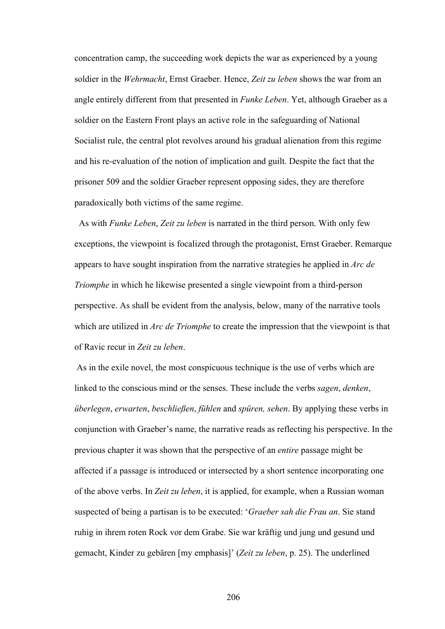concentration camp, the succeeding work depicts the war as experienced by a young soldier in the *Wehrmacht*, Ernst Graeber. Hence, *Zeit zu leben* shows the war from an angle entirely different from that presented in *Funke Leben*. Yet, although Graeber as a soldier on the Eastern Front plays an active role in the safeguarding of National Socialist rule, the central plot revolves around his gradual alienation from this regime and his re-evaluation of the notion of implication and guilt. Despite the fact that the prisoner 509 and the soldier Graeber represent opposing sides, they are therefore paradoxically both victims of the same regime.

 As with *Funke Leben*, *Zeit zu leben* is narrated in the third person. With only few exceptions, the viewpoint is focalized through the protagonist, Ernst Graeber. Remarque appears to have sought inspiration from the narrative strategies he applied in *Arc de Triomphe* in which he likewise presented a single viewpoint from a third-person perspective. As shall be evident from the analysis, below, many of the narrative tools which are utilized in *Arc de Triomphe* to create the impression that the viewpoint is that of Ravic recur in *Zeit zu leben*.

 As in the exile novel, the most conspicuous technique is the use of verbs which are linked to the conscious mind or the senses. These include the verbs *sagen*, *denken*, *überlegen*, *erwarten*, *beschließen*, *fühlen* and *spüren, sehen*. By applying these verbs in conjunction with Graeber's name, the narrative reads as reflecting his perspective. In the previous chapter it was shown that the perspective of an *entire* passage might be affected if a passage is introduced or intersected by a short sentence incorporating one of the above verbs. In *Zeit zu leben*, it is applied, for example, when a Russian woman suspected of being a partisan is to be executed: '*Graeber sah die Frau an*. Sie stand ruhig in ihrem roten Rock vor dem Grabe. Sie war kräftig und jung und gesund und gemacht, Kinder zu gebären [my emphasis]' (*Zeit zu leben*, p. 25). The underlined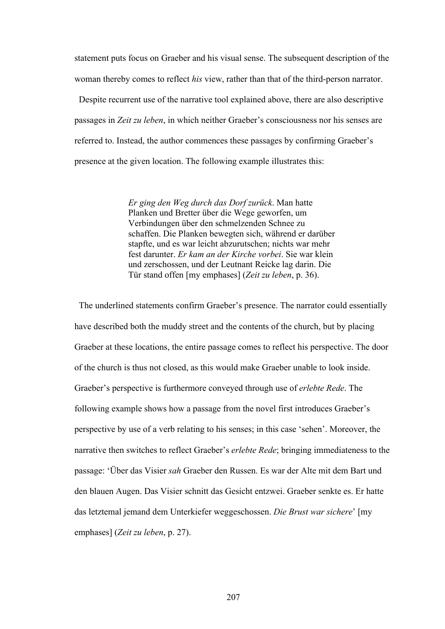statement puts focus on Graeber and his visual sense. The subsequent description of the woman thereby comes to reflect *his* view, rather than that of the third-person narrator.

 Despite recurrent use of the narrative tool explained above, there are also descriptive passages in *Zeit zu leben*, in which neither Graeber's consciousness nor his senses are referred to. Instead, the author commences these passages by confirming Graeber's presence at the given location. The following example illustrates this:

> *Er ging den Weg durch das Dorf zurück*. Man hatte Planken und Bretter über die Wege geworfen, um Verbindungen über den schmelzenden Schnee zu schaffen. Die Planken bewegten sich, während er darüber stapfte, und es war leicht abzurutschen; nichts war mehr fest darunter. *Er kam an der Kirche vorbei*. Sie war klein und zerschossen, und der Leutnant Reicke lag darin. Die Tür stand offen [my emphases] (*Zeit zu leben*, p. 36).

 The underlined statements confirm Graeber's presence. The narrator could essentially have described both the muddy street and the contents of the church, but by placing Graeber at these locations, the entire passage comes to reflect his perspective. The door of the church is thus not closed, as this would make Graeber unable to look inside. Graeber's perspective is furthermore conveyed through use of *erlebte Rede*. The following example shows how a passage from the novel first introduces Graeber's perspective by use of a verb relating to his senses; in this case 'sehen'. Moreover, the narrative then switches to reflect Graeber's *erlebte Rede*; bringing immediateness to the passage: 'Über das Visier *sah* Graeber den Russen. Es war der Alte mit dem Bart und den blauen Augen. Das Visier schnitt das Gesicht entzwei. Graeber senkte es. Er hatte das letztemal jemand dem Unterkiefer weggeschossen. *Die Brust war sichere*' [my emphases] (*Zeit zu leben*, p. 27).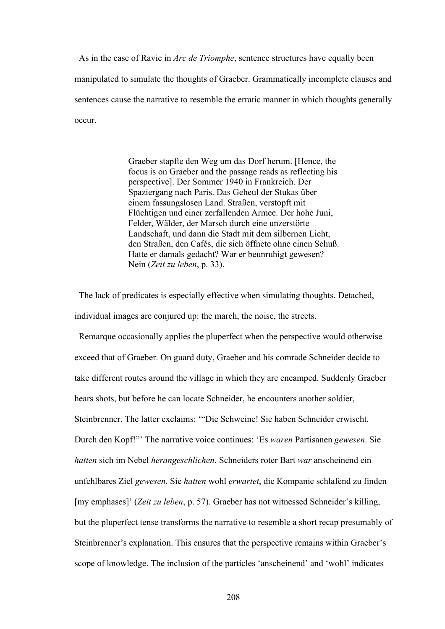As in the case of Ravic in *Arc de Triomphe*, sentence structures have equally been manipulated to simulate the thoughts of Graeber. Grammatically incomplete clauses and sentences cause the narrative to resemble the erratic manner in which thoughts generally occur.

> Graeber stapfte den Weg um das Dorf herum. [Hence, the focus is on Graeber and the passage reads as reflecting his perspective]. Der Sommer 1940 in Frankreich. Der Spaziergang nach Paris. Das Geheul der Stukas über einem fassungslosen Land. Straßen, verstopft mit Flüchtigen und einer zerfallenden Armee. Der hohe Juni, Felder, Wälder, der Marsch durch eine unzerstörte Landschaft, und dann die Stadt mit dem silbernen Licht, den Straßen, den Cafés, die sich öffnete ohne einen Schuß. Hatte er damals gedacht? War er beunruhigt gewesen? Nein (*Zeit zu leben*, p. 33).

 The lack of predicates is especially effective when simulating thoughts. Detached, individual images are conjured up: the march, the noise, the streets.

 Remarque occasionally applies the pluperfect when the perspective would otherwise exceed that of Graeber. On guard duty, Graeber and his comrade Schneider decide to take different routes around the village in which they are encamped. Suddenly Graeber hears shots, but before he can locate Schneider, he encounters another soldier, Steinbrenner. The latter exclaims: '"Die Schweine! Sie haben Schneider erwischt. Durch den Kopf!"' The narrative voice continues: 'Es *waren* Partisanen *gewesen*. Sie *hatten* sich im Nebel *herangeschlichen*. Schneiders roter Bart *war* anscheinend ein unfehlbares Ziel *gewesen*. Sie *hatten* wohl *erwartet*, die Kompanie schlafend zu finden [my emphases]' (*Zeit zu leben*, p. 57). Graeber has not witnessed Schneider's killing, but the pluperfect tense transforms the narrative to resemble a short recap presumably of Steinbrenner's explanation. This ensures that the perspective remains within Graeber's scope of knowledge. The inclusion of the particles 'anscheinend' and 'wohl' indicates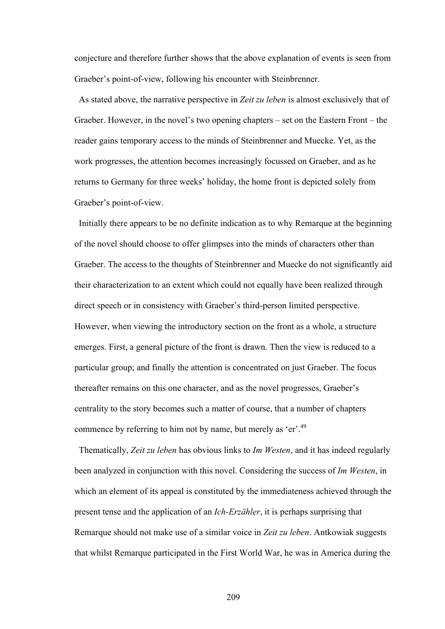conjecture and therefore further shows that the above explanation of events is seen from Graeber's point-of-view, following his encounter with Steinbrenner.

 As stated above, the narrative perspective in *Zeit zu leben* is almost exclusively that of Graeber. However, in the novel's two opening chapters – set on the Eastern Front – the reader gains temporary access to the minds of Steinbrenner and Muecke. Yet, as the work progresses, the attention becomes increasingly focussed on Graeber, and as he returns to Germany for three weeks' holiday, the home front is depicted solely from Graeber's point-of-view.

 Initially there appears to be no definite indication as to why Remarque at the beginning of the novel should choose to offer glimpses into the minds of characters other than Graeber. The access to the thoughts of Steinbrenner and Muecke do not significantly aid their characterization to an extent which could not equally have been realized through direct speech or in consistency with Graeber's third-person limited perspective. However, when viewing the introductory section on the front as a whole, a structure emerges. First, a general picture of the front is drawn. Then the view is reduced to a particular group; and finally the attention is concentrated on just Graeber. The focus thereafter remains on this one character, and as the novel progresses, Graeber's centrality to the story becomes such a matter of course, that a number of chapters commence by referring to him not by name, but merely as 'er'.<sup>49</sup>

 Thematically, *Zeit zu leben* has obvious links to *Im Westen*, and it has indeed regularly been analyzed in conjunction with this novel. Considering the success of *Im Westen*, in which an element of its appeal is constituted by the immediateness achieved through the present tense and the application of an *Ich-Erzähler*, it is perhaps surprising that Remarque should not make use of a similar voice in *Zeit zu leben*. Antkowiak suggests that whilst Remarque participated in the First World War, he was in America during the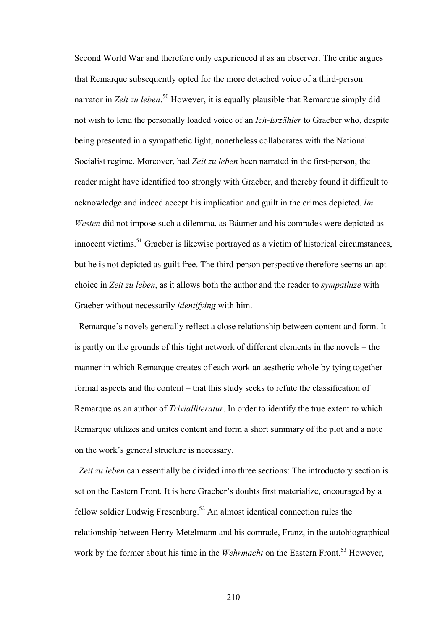Second World War and therefore only experienced it as an observer. The critic argues that Remarque subsequently opted for the more detached voice of a third-person narrator in *Zeit zu leben*.<sup>50</sup> However, it is equally plausible that Remarque simply did not wish to lend the personally loaded voice of an *Ich*-*Erzähler* to Graeber who, despite being presented in a sympathetic light, nonetheless collaborates with the National Socialist regime. Moreover, had *Zeit zu leben* been narrated in the first-person, the reader might have identified too strongly with Graeber, and thereby found it difficult to acknowledge and indeed accept his implication and guilt in the crimes depicted. *Im Westen* did not impose such a dilemma, as Bäumer and his comrades were depicted as innocent victims.<sup>51</sup> Graeber is likewise portrayed as a victim of historical circumstances, but he is not depicted as guilt free. The third-person perspective therefore seems an apt choice in *Zeit zu leben*, as it allows both the author and the reader to *sympathize* with Graeber without necessarily *identifying* with him.

 Remarque's novels generally reflect a close relationship between content and form. It is partly on the grounds of this tight network of different elements in the novels – the manner in which Remarque creates of each work an aesthetic whole by tying together formal aspects and the content – that this study seeks to refute the classification of Remarque as an author of *Trivialliteratur*. In order to identify the true extent to which Remarque utilizes and unites content and form a short summary of the plot and a note on the work's general structure is necessary.

 *Zeit zu leben* can essentially be divided into three sections: The introductory section is set on the Eastern Front. It is here Graeber's doubts first materialize, encouraged by a fellow soldier Ludwig Fresenburg.<sup>52</sup> An almost identical connection rules the relationship between Henry Metelmann and his comrade, Franz, in the autobiographical work by the former about his time in the *Wehrmacht* on the Eastern Front.<sup>53</sup> However,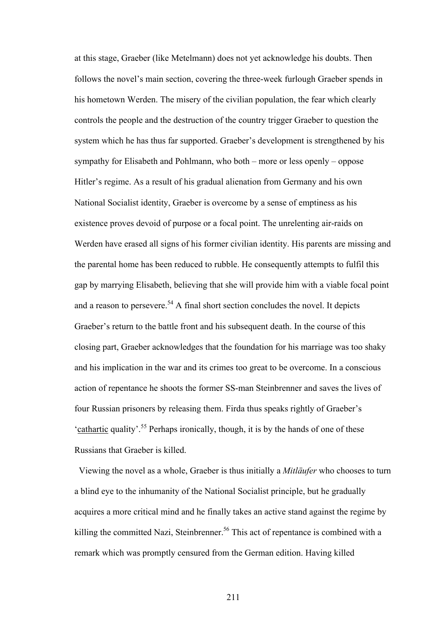at this stage, Graeber (like Metelmann) does not yet acknowledge his doubts. Then follows the novel's main section, covering the three-week furlough Graeber spends in his hometown Werden. The misery of the civilian population, the fear which clearly controls the people and the destruction of the country trigger Graeber to question the system which he has thus far supported. Graeber's development is strengthened by his sympathy for Elisabeth and Pohlmann, who both – more or less openly – oppose Hitler's regime. As a result of his gradual alienation from Germany and his own National Socialist identity, Graeber is overcome by a sense of emptiness as his existence proves devoid of purpose or a focal point. The unrelenting air-raids on Werden have erased all signs of his former civilian identity. His parents are missing and the parental home has been reduced to rubble. He consequently attempts to fulfil this gap by marrying Elisabeth, believing that she will provide him with a viable focal point and a reason to persevere.<sup>54</sup> A final short section concludes the novel. It depicts Graeber's return to the battle front and his subsequent death. In the course of this closing part, Graeber acknowledges that the foundation for his marriage was too shaky and his implication in the war and its crimes too great to be overcome. In a conscious action of repentance he shoots the former SS-man Steinbrenner and saves the lives of four Russian prisoners by releasing them. Firda thus speaks rightly of Graeber's 'cathartic quality'.<sup>55</sup> Perhaps ironically, though, it is by the hands of one of these Russians that Graeber is killed.

 Viewing the novel as a whole, Graeber is thus initially a *Mitläufer* who chooses to turn a blind eye to the inhumanity of the National Socialist principle, but he gradually acquires a more critical mind and he finally takes an active stand against the regime by killing the committed Nazi, Steinbrenner.<sup>56</sup> This act of repentance is combined with a remark which was promptly censured from the German edition. Having killed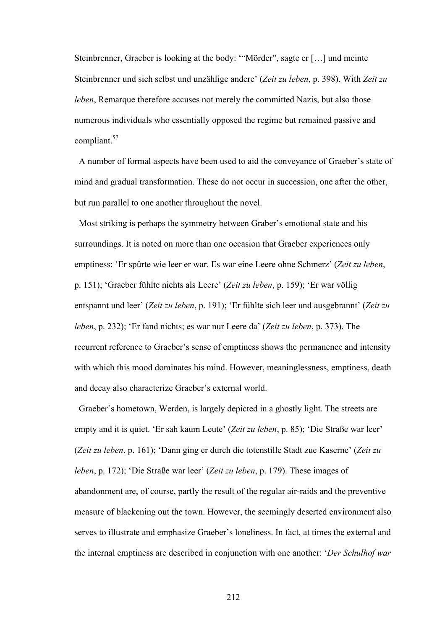Steinbrenner, Graeber is looking at the body: '"Mörder", sagte er […] und meinte Steinbrenner und sich selbst und unzählige andere' (*Zeit zu leben*, p. 398). With *Zeit zu leben*, Remarque therefore accuses not merely the committed Nazis, but also those numerous individuals who essentially opposed the regime but remained passive and compliant.<sup>57</sup>

 A number of formal aspects have been used to aid the conveyance of Graeber's state of mind and gradual transformation. These do not occur in succession, one after the other, but run parallel to one another throughout the novel.

 Most striking is perhaps the symmetry between Graber's emotional state and his surroundings. It is noted on more than one occasion that Graeber experiences only emptiness: 'Er spürte wie leer er war. Es war eine Leere ohne Schmerz' (*Zeit zu leben*, p. 151); 'Graeber fühlte nichts als Leere' (*Zeit zu leben*, p. 159); 'Er war völlig entspannt und leer' (*Zeit zu leben*, p. 191); 'Er fühlte sich leer und ausgebrannt' (*Zeit zu leben*, p. 232); 'Er fand nichts; es war nur Leere da' (*Zeit zu leben*, p. 373). The recurrent reference to Graeber's sense of emptiness shows the permanence and intensity with which this mood dominates his mind. However, meaninglessness, emptiness, death and decay also characterize Graeber's external world.

 Graeber's hometown, Werden, is largely depicted in a ghostly light. The streets are empty and it is quiet. 'Er sah kaum Leute' (*Zeit zu leben*, p. 85); 'Die Straße war leer' (*Zeit zu leben*, p. 161); 'Dann ging er durch die totenstille Stadt zue Kaserne' (*Zeit zu leben*, p. 172); 'Die Straße war leer' (*Zeit zu leben*, p. 179). These images of abandonment are, of course, partly the result of the regular air-raids and the preventive measure of blackening out the town. However, the seemingly deserted environment also serves to illustrate and emphasize Graeber's loneliness. In fact, at times the external and the internal emptiness are described in conjunction with one another: '*Der Schulhof war*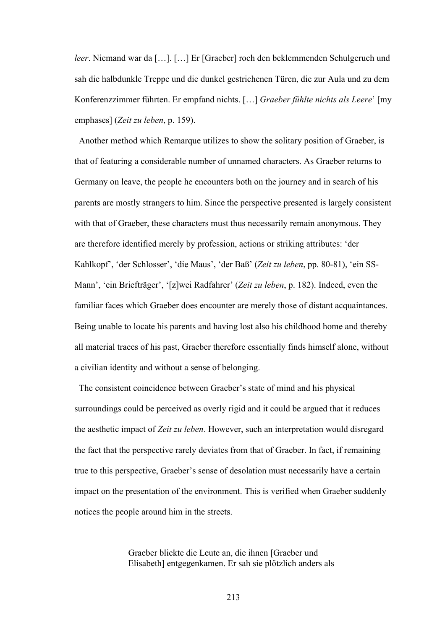*leer*. Niemand war da […]. […] Er [Graeber] roch den beklemmenden Schulgeruch und sah die halbdunkle Treppe und die dunkel gestrichenen Türen, die zur Aula und zu dem Konferenzzimmer führten. Er empfand nichts. […] *Graeber fühlte nichts als Leere*' [my emphases] (*Zeit zu leben*, p. 159).

 Another method which Remarque utilizes to show the solitary position of Graeber, is that of featuring a considerable number of unnamed characters. As Graeber returns to Germany on leave, the people he encounters both on the journey and in search of his parents are mostly strangers to him. Since the perspective presented is largely consistent with that of Graeber, these characters must thus necessarily remain anonymous. They are therefore identified merely by profession, actions or striking attributes: 'der Kahlkopf', 'der Schlosser', 'die Maus', 'der Baß' (*Zeit zu leben*, pp. 80-81), 'ein SS-Mann', 'ein Briefträger', '[z]wei Radfahrer' (*Zeit zu leben*, p. 182). Indeed, even the familiar faces which Graeber does encounter are merely those of distant acquaintances. Being unable to locate his parents and having lost also his childhood home and thereby all material traces of his past, Graeber therefore essentially finds himself alone, without a civilian identity and without a sense of belonging.

The consistent coincidence between Graeber's state of mind and his physical surroundings could be perceived as overly rigid and it could be argued that it reduces the aesthetic impact of *Zeit zu leben*. However, such an interpretation would disregard the fact that the perspective rarely deviates from that of Graeber. In fact, if remaining true to this perspective, Graeber's sense of desolation must necessarily have a certain impact on the presentation of the environment. This is verified when Graeber suddenly notices the people around him in the streets.

> Graeber blickte die Leute an, die ihnen [Graeber und Elisabeth] entgegenkamen. Er sah sie plötzlich anders als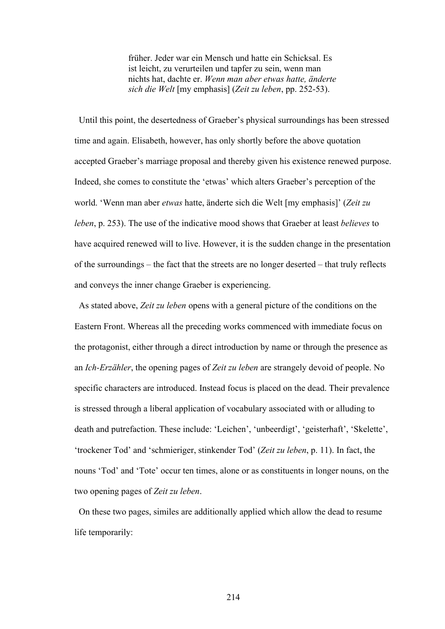früher. Jeder war ein Mensch und hatte ein Schicksal. Es ist leicht, zu verurteilen und tapfer zu sein, wenn man nichts hat, dachte er. *Wenn man aber etwas hatte, änderte sich die Welt* [my emphasis] (*Zeit zu leben*, pp. 252-53).

 Until this point, the desertedness of Graeber's physical surroundings has been stressed time and again. Elisabeth, however, has only shortly before the above quotation accepted Graeber's marriage proposal and thereby given his existence renewed purpose. Indeed, she comes to constitute the 'etwas' which alters Graeber's perception of the world. 'Wenn man aber *etwas* hatte, änderte sich die Welt [my emphasis]' (*Zeit zu leben*, p. 253). The use of the indicative mood shows that Graeber at least *believes* to have acquired renewed will to live. However, it is the sudden change in the presentation of the surroundings – the fact that the streets are no longer deserted – that truly reflects and conveys the inner change Graeber is experiencing.

 As stated above, *Zeit zu leben* opens with a general picture of the conditions on the Eastern Front. Whereas all the preceding works commenced with immediate focus on the protagonist, either through a direct introduction by name or through the presence as an *Ich-Erzähler*, the opening pages of *Zeit zu leben* are strangely devoid of people. No specific characters are introduced. Instead focus is placed on the dead. Their prevalence is stressed through a liberal application of vocabulary associated with or alluding to death and putrefaction. These include: 'Leichen', 'unbeerdigt', 'geisterhaft', 'Skelette', 'trockener Tod' and 'schmieriger, stinkender Tod' (*Zeit zu leben*, p. 11). In fact, the nouns 'Tod' and 'Tote' occur ten times, alone or as constituents in longer nouns, on the two opening pages of *Zeit zu leben*.

 On these two pages, similes are additionally applied which allow the dead to resume life temporarily: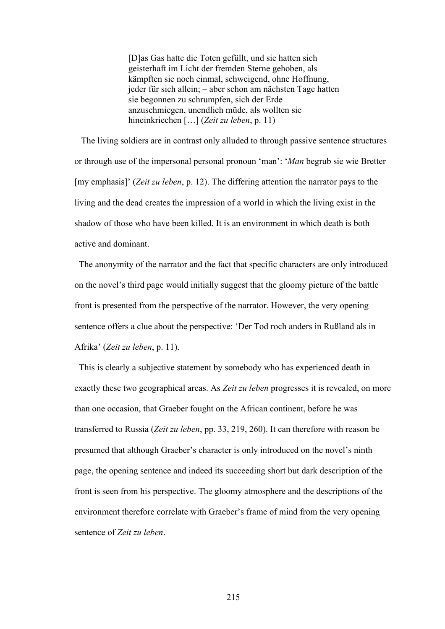[D]as Gas hatte die Toten gefüllt, und sie hatten sich geisterhaft im Licht der fremden Sterne gehoben, als kämpften sie noch einmal, schweigend, ohne Hoffnung, jeder für sich allein; – aber schon am nächsten Tage hatten sie begonnen zu schrumpfen, sich der Erde anzuschmiegen, unendlich müde, als wollten sie hineinkriechen […] (*Zeit zu leben*, p. 11)

 The living soldiers are in contrast only alluded to through passive sentence structures or through use of the impersonal personal pronoun 'man': '*Man* begrub sie wie Bretter [my emphasis]' (*Zeit zu leben*, p. 12). The differing attention the narrator pays to the living and the dead creates the impression of a world in which the living exist in the shadow of those who have been killed. It is an environment in which death is both active and dominant.

 The anonymity of the narrator and the fact that specific characters are only introduced on the novel's third page would initially suggest that the gloomy picture of the battle front is presented from the perspective of the narrator. However, the very opening sentence offers a clue about the perspective: 'Der Tod roch anders in Rußland als in Afrika' (*Zeit zu leben*, p. 11).

 This is clearly a subjective statement by somebody who has experienced death in exactly these two geographical areas. As *Zeit zu leben* progresses it is revealed, on more than one occasion, that Graeber fought on the African continent, before he was transferred to Russia (*Zeit zu leben*, pp. 33, 219, 260). It can therefore with reason be presumed that although Graeber's character is only introduced on the novel's ninth page, the opening sentence and indeed its succeeding short but dark description of the front is seen from his perspective. The gloomy atmosphere and the descriptions of the environment therefore correlate with Graeber's frame of mind from the very opening sentence of *Zeit zu leben*.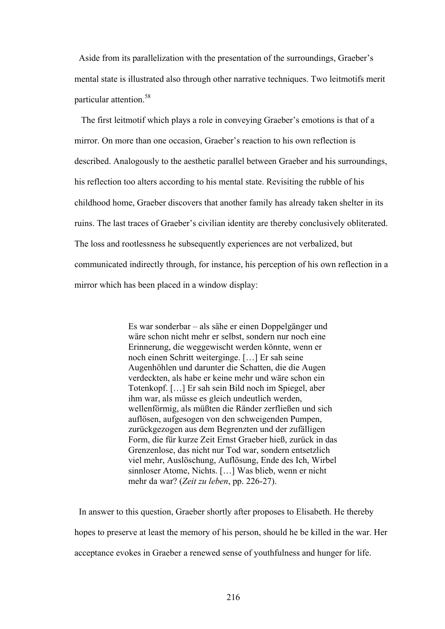Aside from its parallelization with the presentation of the surroundings, Graeber's mental state is illustrated also through other narrative techniques. Two leitmotifs merit particular attention.<sup>58</sup>

 The first leitmotif which plays a role in conveying Graeber's emotions is that of a mirror. On more than one occasion, Graeber's reaction to his own reflection is described. Analogously to the aesthetic parallel between Graeber and his surroundings, his reflection too alters according to his mental state. Revisiting the rubble of his childhood home, Graeber discovers that another family has already taken shelter in its ruins. The last traces of Graeber's civilian identity are thereby conclusively obliterated. The loss and rootlessness he subsequently experiences are not verbalized, but communicated indirectly through, for instance, his perception of his own reflection in a mirror which has been placed in a window display:

> Es war sonderbar – als sähe er einen Doppelgänger und wäre schon nicht mehr er selbst, sondern nur noch eine Erinnerung, die weggewischt werden könnte, wenn er noch einen Schritt weiterginge. […] Er sah seine Augenhöhlen und darunter die Schatten, die die Augen verdeckten, als habe er keine mehr und wäre schon ein Totenkopf. […] Er sah sein Bild noch im Spiegel, aber ihm war, als müsse es gleich undeutlich werden, wellenförmig, als müßten die Ränder zerfließen und sich auflösen, aufgesogen von den schweigenden Pumpen, zurückgezogen aus dem Begrenzten und der zufälligen Form, die für kurze Zeit Ernst Graeber hieß, zurück in das Grenzenlose, das nicht nur Tod war, sondern entsetzlich viel mehr, Auslöschung, Auflösung, Ende des Ich, Wirbel sinnloser Atome, Nichts. […] Was blieb, wenn er nicht mehr da war? (*Zeit zu leben*, pp. 226-27).

 In answer to this question, Graeber shortly after proposes to Elisabeth. He thereby hopes to preserve at least the memory of his person, should he be killed in the war. Her acceptance evokes in Graeber a renewed sense of youthfulness and hunger for life.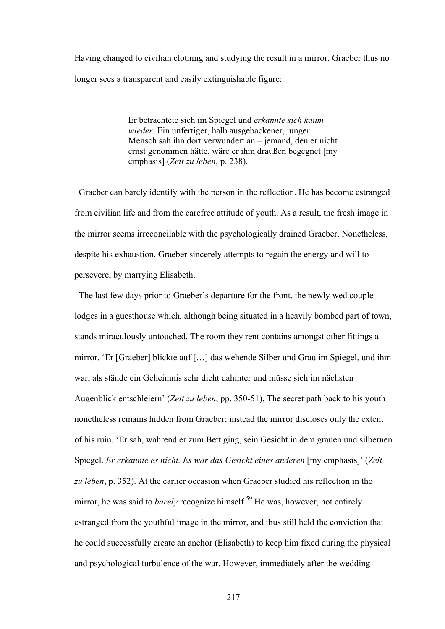Having changed to civilian clothing and studying the result in a mirror, Graeber thus no longer sees a transparent and easily extinguishable figure:

> Er betrachtete sich im Spiegel und *erkannte sich kaum wieder*. Ein unfertiger, halb ausgebackener, junger Mensch sah ihn dort verwundert an – jemand, den er nicht ernst genommen hätte, wäre er ihm draußen begegnet [my emphasis] (*Zeit zu leben*, p. 238).

 Graeber can barely identify with the person in the reflection. He has become estranged from civilian life and from the carefree attitude of youth. As a result, the fresh image in the mirror seems irreconcilable with the psychologically drained Graeber. Nonetheless, despite his exhaustion, Graeber sincerely attempts to regain the energy and will to persevere, by marrying Elisabeth.

 The last few days prior to Graeber's departure for the front, the newly wed couple lodges in a guesthouse which, although being situated in a heavily bombed part of town, stands miraculously untouched. The room they rent contains amongst other fittings a mirror. 'Er [Graeber] blickte auf […] das wehende Silber und Grau im Spiegel, und ihm war, als stände ein Geheimnis sehr dicht dahinter und müsse sich im nächsten Augenblick entschleiern' (*Zeit zu leben*, pp. 350-51). The secret path back to his youth nonetheless remains hidden from Graeber; instead the mirror discloses only the extent of his ruin. 'Er sah, während er zum Bett ging, sein Gesicht in dem grauen und silbernen Spiegel. *Er erkannte es nicht. Es war das Gesicht eines anderen* [my emphasis]' (*Zeit zu leben*, p. 352). At the earlier occasion when Graeber studied his reflection in the mirror, he was said to *barely* recognize himself.<sup>59</sup> He was, however, not entirely estranged from the youthful image in the mirror, and thus still held the conviction that he could successfully create an anchor (Elisabeth) to keep him fixed during the physical and psychological turbulence of the war. However, immediately after the wedding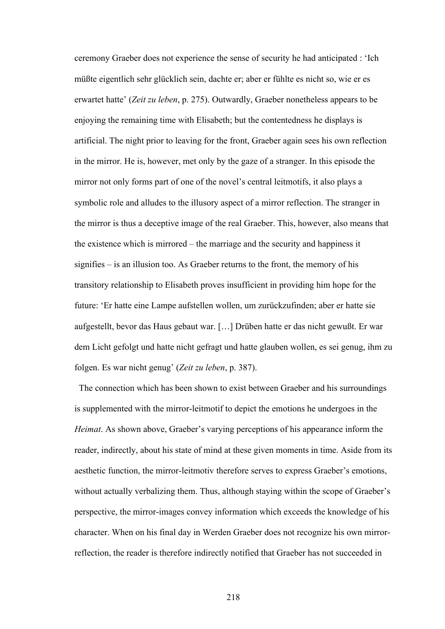ceremony Graeber does not experience the sense of security he had anticipated : 'Ich müßte eigentlich sehr glücklich sein, dachte er; aber er fühlte es nicht so, wie er es erwartet hatte' (*Zeit zu leben*, p. 275). Outwardly, Graeber nonetheless appears to be enjoying the remaining time with Elisabeth; but the contentedness he displays is artificial. The night prior to leaving for the front, Graeber again sees his own reflection in the mirror. He is, however, met only by the gaze of a stranger. In this episode the mirror not only forms part of one of the novel's central leitmotifs, it also plays a symbolic role and alludes to the illusory aspect of a mirror reflection. The stranger in the mirror is thus a deceptive image of the real Graeber. This, however, also means that the existence which is mirrored – the marriage and the security and happiness it signifies – is an illusion too. As Graeber returns to the front, the memory of his transitory relationship to Elisabeth proves insufficient in providing him hope for the future: 'Er hatte eine Lampe aufstellen wollen, um zurückzufinden; aber er hatte sie aufgestellt, bevor das Haus gebaut war. […] Drüben hatte er das nicht gewußt. Er war dem Licht gefolgt und hatte nicht gefragt und hatte glauben wollen, es sei genug, ihm zu folgen. Es war nicht genug' (*Zeit zu leben*, p. 387).

 The connection which has been shown to exist between Graeber and his surroundings is supplemented with the mirror-leitmotif to depict the emotions he undergoes in the *Heimat*. As shown above, Graeber's varying perceptions of his appearance inform the reader, indirectly, about his state of mind at these given moments in time. Aside from its aesthetic function, the mirror-leitmotiv therefore serves to express Graeber's emotions, without actually verbalizing them. Thus, although staying within the scope of Graeber's perspective, the mirror-images convey information which exceeds the knowledge of his character. When on his final day in Werden Graeber does not recognize his own mirrorreflection, the reader is therefore indirectly notified that Graeber has not succeeded in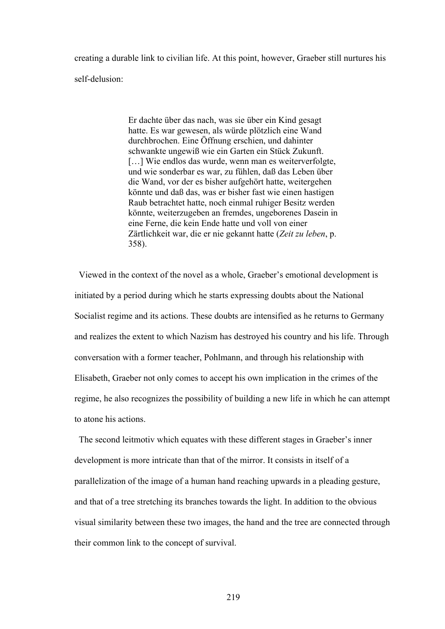creating a durable link to civilian life. At this point, however, Graeber still nurtures his self-delusion:

> Er dachte über das nach, was sie über ein Kind gesagt hatte. Es war gewesen, als würde plötzlich eine Wand durchbrochen. Eine Öffnung erschien, und dahinter schwankte ungewiß wie ein Garten ein Stück Zukunft. [...] Wie endlos das wurde, wenn man es weiterverfolgte, und wie sonderbar es war, zu fühlen, daß das Leben über die Wand, vor der es bisher aufgehört hatte, weitergehen könnte und daß das, was er bisher fast wie einen hastigen Raub betrachtet hatte, noch einmal ruhiger Besitz werden könnte, weiterzugeben an fremdes, ungeborenes Dasein in eine Ferne, die kein Ende hatte und voll von einer Zärtlichkeit war, die er nie gekannt hatte (*Zeit zu leben*, p. 358).

 Viewed in the context of the novel as a whole, Graeber's emotional development is initiated by a period during which he starts expressing doubts about the National Socialist regime and its actions. These doubts are intensified as he returns to Germany and realizes the extent to which Nazism has destroyed his country and his life. Through conversation with a former teacher, Pohlmann, and through his relationship with Elisabeth, Graeber not only comes to accept his own implication in the crimes of the regime, he also recognizes the possibility of building a new life in which he can attempt to atone his actions.

 The second leitmotiv which equates with these different stages in Graeber's inner development is more intricate than that of the mirror. It consists in itself of a parallelization of the image of a human hand reaching upwards in a pleading gesture, and that of a tree stretching its branches towards the light. In addition to the obvious visual similarity between these two images, the hand and the tree are connected through their common link to the concept of survival.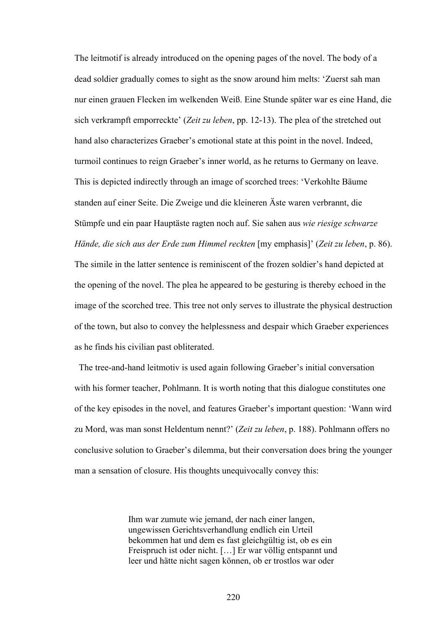The leitmotif is already introduced on the opening pages of the novel. The body of a dead soldier gradually comes to sight as the snow around him melts: 'Zuerst sah man nur einen grauen Flecken im welkenden Weiß. Eine Stunde später war es eine Hand, die sich verkrampft emporreckte' (*Zeit zu leben*, pp. 12-13). The plea of the stretched out hand also characterizes Graeber's emotional state at this point in the novel. Indeed, turmoil continues to reign Graeber's inner world, as he returns to Germany on leave. This is depicted indirectly through an image of scorched trees: 'Verkohlte Bäume standen auf einer Seite. Die Zweige und die kleineren Äste waren verbrannt, die Stümpfe und ein paar Hauptäste ragten noch auf. Sie sahen aus *wie riesige schwarze Hände, die sich aus der Erde zum Himmel reckten* [my emphasis]' (*Zeit zu leben*, p. 86). The simile in the latter sentence is reminiscent of the frozen soldier's hand depicted at the opening of the novel. The plea he appeared to be gesturing is thereby echoed in the image of the scorched tree. This tree not only serves to illustrate the physical destruction of the town, but also to convey the helplessness and despair which Graeber experiences as he finds his civilian past obliterated.

 The tree-and-hand leitmotiv is used again following Graeber's initial conversation with his former teacher, Pohlmann. It is worth noting that this dialogue constitutes one of the key episodes in the novel, and features Graeber's important question: 'Wann wird zu Mord, was man sonst Heldentum nennt?' (*Zeit zu leben*, p. 188). Pohlmann offers no conclusive solution to Graeber's dilemma, but their conversation does bring the younger man a sensation of closure. His thoughts unequivocally convey this:

> Ihm war zumute wie jemand, der nach einer langen, ungewissen Gerichtsverhandlung endlich ein Urteil bekommen hat und dem es fast gleichgültig ist, ob es ein Freispruch ist oder nicht. […] Er war völlig entspannt und leer und hätte nicht sagen können, ob er trostlos war oder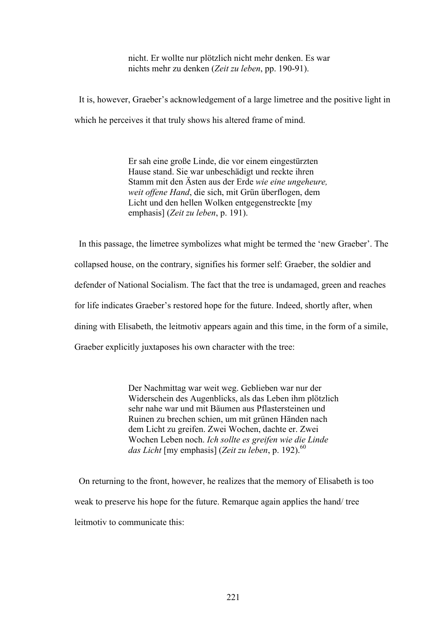nicht. Er wollte nur plötzlich nicht mehr denken. Es war nichts mehr zu denken (*Zeit zu leben*, pp. 190-91).

 It is, however, Graeber's acknowledgement of a large limetree and the positive light in which he perceives it that truly shows his altered frame of mind.

> Er sah eine große Linde, die vor einem eingestürzten Hause stand. Sie war unbeschädigt und reckte ihren Stamm mit den Ästen aus der Erde *wie eine ungeheure, weit offene Hand*, die sich, mit Grün überflogen, dem Licht und den hellen Wolken entgegenstreckte [my emphasis] (*Zeit zu leben*, p. 191).

 In this passage, the limetree symbolizes what might be termed the 'new Graeber'. The collapsed house, on the contrary, signifies his former self: Graeber, the soldier and defender of National Socialism. The fact that the tree is undamaged, green and reaches for life indicates Graeber's restored hope for the future. Indeed, shortly after, when dining with Elisabeth, the leitmotiv appears again and this time, in the form of a simile, Graeber explicitly juxtaposes his own character with the tree:

> Der Nachmittag war weit weg. Geblieben war nur der Widerschein des Augenblicks, als das Leben ihm plötzlich sehr nahe war und mit Bäumen aus Pflastersteinen und Ruinen zu brechen schien, um mit grünen Händen nach dem Licht zu greifen. Zwei Wochen, dachte er. Zwei Wochen Leben noch. *Ich sollte es greifen wie die Linde das Licht* [my emphasis] (*Zeit zu leben*, p. 192).<sup>60</sup>

 On returning to the front, however, he realizes that the memory of Elisabeth is too weak to preserve his hope for the future. Remarque again applies the hand/ tree leitmotiv to communicate this: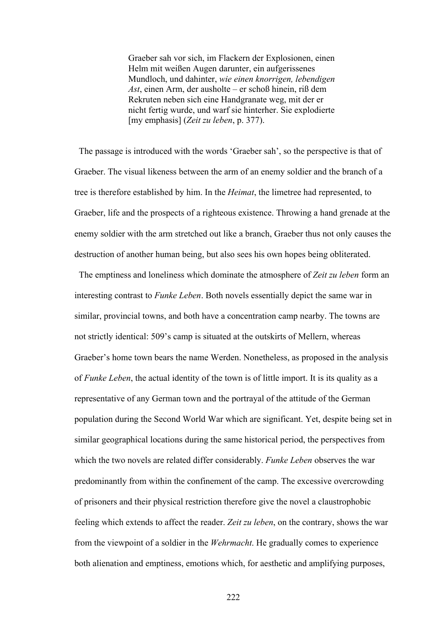Graeber sah vor sich, im Flackern der Explosionen, einen Helm mit weißen Augen darunter, ein aufgerissenes Mundloch, und dahinter, *wie einen knorrigen, lebendigen Ast*, einen Arm, der ausholte – er schoß hinein, riß dem Rekruten neben sich eine Handgranate weg, mit der er nicht fertig wurde, und warf sie hinterher. Sie explodierte [my emphasis] (*Zeit zu leben*, p. 377).

 The passage is introduced with the words 'Graeber sah', so the perspective is that of Graeber. The visual likeness between the arm of an enemy soldier and the branch of a tree is therefore established by him. In the *Heimat*, the limetree had represented, to Graeber, life and the prospects of a righteous existence. Throwing a hand grenade at the enemy soldier with the arm stretched out like a branch, Graeber thus not only causes the destruction of another human being, but also sees his own hopes being obliterated.

 The emptiness and loneliness which dominate the atmosphere of *Zeit zu leben* form an interesting contrast to *Funke Leben*. Both novels essentially depict the same war in similar, provincial towns, and both have a concentration camp nearby. The towns are not strictly identical: 509's camp is situated at the outskirts of Mellern, whereas Graeber's home town bears the name Werden. Nonetheless, as proposed in the analysis of *Funke Leben*, the actual identity of the town is of little import. It is its quality as a representative of any German town and the portrayal of the attitude of the German population during the Second World War which are significant. Yet, despite being set in similar geographical locations during the same historical period, the perspectives from which the two novels are related differ considerably. *Funke Leben* observes the war predominantly from within the confinement of the camp. The excessive overcrowding of prisoners and their physical restriction therefore give the novel a claustrophobic feeling which extends to affect the reader. *Zeit zu leben*, on the contrary, shows the war from the viewpoint of a soldier in the *Wehrmacht*. He gradually comes to experience both alienation and emptiness, emotions which, for aesthetic and amplifying purposes,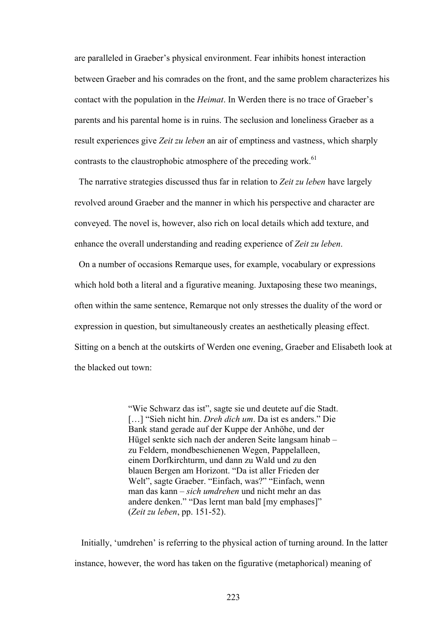are paralleled in Graeber's physical environment. Fear inhibits honest interaction between Graeber and his comrades on the front, and the same problem characterizes his contact with the population in the *Heimat*. In Werden there is no trace of Graeber's parents and his parental home is in ruins. The seclusion and loneliness Graeber as a result experiences give *Zeit zu leben* an air of emptiness and vastness, which sharply contrasts to the claustrophobic atmosphere of the preceding work.<sup>61</sup>

 The narrative strategies discussed thus far in relation to *Zeit zu leben* have largely revolved around Graeber and the manner in which his perspective and character are conveyed. The novel is, however, also rich on local details which add texture, and enhance the overall understanding and reading experience of *Zeit zu leben*.

 On a number of occasions Remarque uses, for example, vocabulary or expressions which hold both a literal and a figurative meaning. Juxtaposing these two meanings, often within the same sentence, Remarque not only stresses the duality of the word or expression in question, but simultaneously creates an aesthetically pleasing effect. Sitting on a bench at the outskirts of Werden one evening, Graeber and Elisabeth look at the blacked out town:

> "Wie Schwarz das ist", sagte sie und deutete auf die Stadt. […] "Sieh nicht hin. *Dreh dich um*. Da ist es anders." Die Bank stand gerade auf der Kuppe der Anhöhe, und der Hügel senkte sich nach der anderen Seite langsam hinab – zu Feldern, mondbeschienenen Wegen, Pappelalleen, einem Dorfkirchturm, und dann zu Wald und zu den blauen Bergen am Horizont. "Da ist aller Frieden der Welt", sagte Graeber. "Einfach, was?" "Einfach, wenn man das kann – *sich umdrehen* und nicht mehr an das andere denken." "Das lernt man bald [my emphases]" (*Zeit zu leben*, pp. 151-52).

 Initially, 'umdrehen' is referring to the physical action of turning around. In the latter instance, however, the word has taken on the figurative (metaphorical) meaning of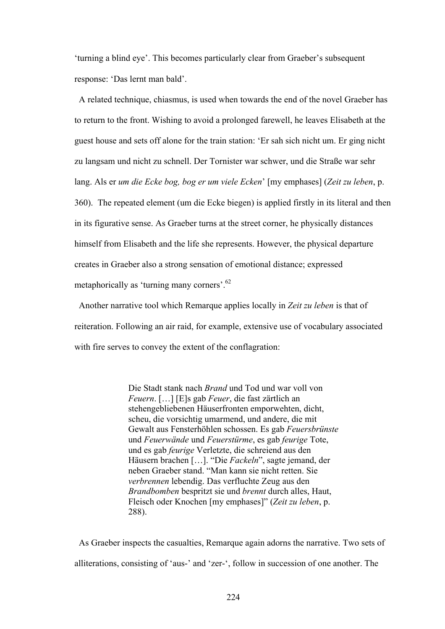'turning a blind eye'. This becomes particularly clear from Graeber's subsequent response: 'Das lernt man bald'.

 A related technique, chiasmus, is used when towards the end of the novel Graeber has to return to the front. Wishing to avoid a prolonged farewell, he leaves Elisabeth at the guest house and sets off alone for the train station: 'Er sah sich nicht um. Er ging nicht zu langsam und nicht zu schnell. Der Tornister war schwer, und die Straße war sehr lang. Als er *um die Ecke bog, bog er um viele Ecken*' [my emphases] (*Zeit zu leben*, p. 360). The repeated element (um die Ecke biegen) is applied firstly in its literal and then in its figurative sense. As Graeber turns at the street corner, he physically distances himself from Elisabeth and the life she represents. However, the physical departure creates in Graeber also a strong sensation of emotional distance; expressed metaphorically as 'turning many corners'.<sup>62</sup>

 Another narrative tool which Remarque applies locally in *Zeit zu leben* is that of reiteration. Following an air raid, for example, extensive use of vocabulary associated with fire serves to convey the extent of the conflagration:

> Die Stadt stank nach *Brand* und Tod und war voll von *Feuern*. […] [E]s gab *Feuer*, die fast zärtlich an stehengebliebenen Häuserfronten emporwehten, dicht, scheu, die vorsichtig umarmend, und andere, die mit Gewalt aus Fensterhöhlen schossen. Es gab *Feuersbrünste* und *Feuerwände* und *Feuerstürme*, es gab *feurige* Tote, und es gab *feurige* Verletzte, die schreiend aus den Häusern brachen […]. "Die *Fackeln*", sagte jemand, der neben Graeber stand. "Man kann sie nicht retten. Sie *verbrennen* lebendig. Das verfluchte Zeug aus den *Brandbomben* bespritzt sie und *brennt* durch alles, Haut, Fleisch oder Knochen [my emphases]" (*Zeit zu leben*, p. 288).

 As Graeber inspects the casualties, Remarque again adorns the narrative. Two sets of alliterations, consisting of 'aus-' and 'zer-', follow in succession of one another. The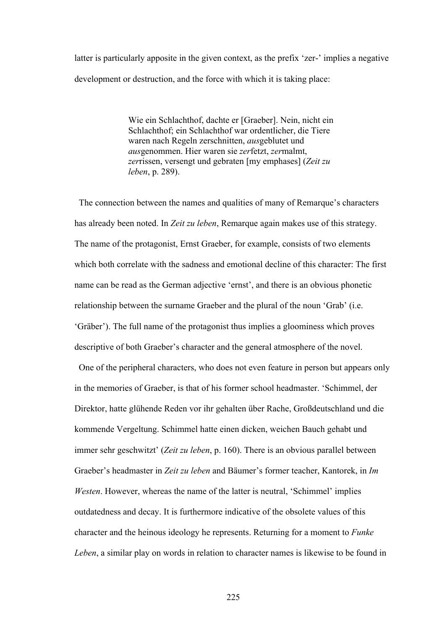latter is particularly apposite in the given context, as the prefix 'zer-' implies a negative development or destruction, and the force with which it is taking place:

> Wie ein Schlachthof, dachte er [Graeber]. Nein, nicht ein Schlachthof; ein Schlachthof war ordentlicher, die Tiere waren nach Regeln zerschnitten, *aus*geblutet und *aus*genommen. Hier waren sie *zer*fetzt, *zer*malmt, *zer*rissen, versengt und gebraten [my emphases] (*Zeit zu leben*, p. 289).

 The connection between the names and qualities of many of Remarque's characters has already been noted. In *Zeit zu leben*, Remarque again makes use of this strategy. The name of the protagonist, Ernst Graeber, for example, consists of two elements which both correlate with the sadness and emotional decline of this character: The first name can be read as the German adjective 'ernst', and there is an obvious phonetic relationship between the surname Graeber and the plural of the noun 'Grab' (i.e. 'Gräber'). The full name of the protagonist thus implies a gloominess which proves descriptive of both Graeber's character and the general atmosphere of the novel.

 One of the peripheral characters, who does not even feature in person but appears only in the memories of Graeber, is that of his former school headmaster. 'Schimmel, der Direktor, hatte glühende Reden vor ihr gehalten über Rache, Großdeutschland und die kommende Vergeltung. Schimmel hatte einen dicken, weichen Bauch gehabt und immer sehr geschwitzt' (*Zeit zu leben*, p. 160). There is an obvious parallel between Graeber's headmaster in *Zeit zu leben* and Bäumer's former teacher, Kantorek, in *Im Westen*. However, whereas the name of the latter is neutral, 'Schimmel' implies outdatedness and decay. It is furthermore indicative of the obsolete values of this character and the heinous ideology he represents. Returning for a moment to *Funke Leben*, a similar play on words in relation to character names is likewise to be found in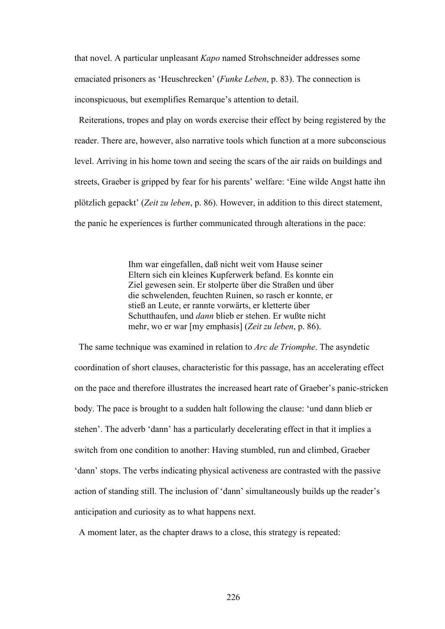that novel. A particular unpleasant *Kapo* named Strohschneider addresses some emaciated prisoners as 'Heuschrecken' (*Funke Leben*, p. 83). The connection is inconspicuous, but exemplifies Remarque's attention to detail.

 Reiterations, tropes and play on words exercise their effect by being registered by the reader. There are, however, also narrative tools which function at a more subconscious level. Arriving in his home town and seeing the scars of the air raids on buildings and streets, Graeber is gripped by fear for his parents' welfare: 'Eine wilde Angst hatte ihn plötzlich gepackt' (*Zeit zu leben*, p. 86). However, in addition to this direct statement, the panic he experiences is further communicated through alterations in the pace:

> Ihm war eingefallen, daß nicht weit vom Hause seiner Eltern sich ein kleines Kupferwerk befand. Es konnte ein Ziel gewesen sein. Er stolperte über die Straßen und über die schwelenden, feuchten Ruinen, so rasch er konnte, er stieß an Leute, er rannte vorwärts, er kletterte über Schutthaufen, und *dann* blieb er stehen. Er wußte nicht mehr, wo er war [my emphasis] (*Zeit zu leben*, p. 86).

 The same technique was examined in relation to *Arc de Triomphe*. The asyndetic coordination of short clauses, characteristic for this passage, has an accelerating effect on the pace and therefore illustrates the increased heart rate of Graeber's panic-stricken body. The pace is brought to a sudden halt following the clause: 'und dann blieb er stehen'. The adverb 'dann' has a particularly decelerating effect in that it implies a switch from one condition to another: Having stumbled, run and climbed, Graeber 'dann' stops. The verbs indicating physical activeness are contrasted with the passive action of standing still. The inclusion of 'dann' simultaneously builds up the reader's anticipation and curiosity as to what happens next.

A moment later, as the chapter draws to a close, this strategy is repeated: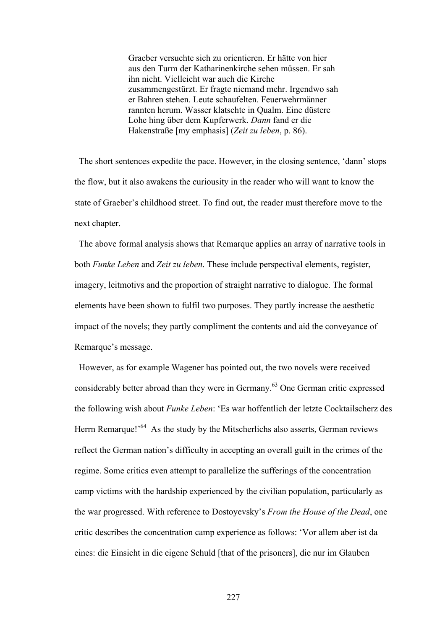Graeber versuchte sich zu orientieren. Er hätte von hier aus den Turm der Katharinenkirche sehen müssen. Er sah ihn nicht. Vielleicht war auch die Kirche zusammengestürzt. Er fragte niemand mehr. Irgendwo sah er Bahren stehen. Leute schaufelten. Feuerwehrmänner rannten herum. Wasser klatschte in Qualm. Eine düstere Lohe hing über dem Kupferwerk. *Dann* fand er die Hakenstraße [my emphasis] (*Zeit zu leben*, p. 86).

 The short sentences expedite the pace. However, in the closing sentence, 'dann' stops the flow, but it also awakens the curiousity in the reader who will want to know the state of Graeber's childhood street. To find out, the reader must therefore move to the next chapter.

 The above formal analysis shows that Remarque applies an array of narrative tools in both *Funke Leben* and *Zeit zu leben*. These include perspectival elements, register, imagery, leitmotivs and the proportion of straight narrative to dialogue. The formal elements have been shown to fulfil two purposes. They partly increase the aesthetic impact of the novels; they partly compliment the contents and aid the conveyance of Remarque's message.

 However, as for example Wagener has pointed out, the two novels were received considerably better abroad than they were in Germany.63 One German critic expressed the following wish about *Funke Leben*: 'Es war hoffentlich der letzte Cocktailscherz des Herrn Remarque!<sup>64</sup> As the study by the Mitscherlichs also asserts, German reviews reflect the German nation's difficulty in accepting an overall guilt in the crimes of the regime. Some critics even attempt to parallelize the sufferings of the concentration camp victims with the hardship experienced by the civilian population, particularly as the war progressed. With reference to Dostoyevsky's *From the House of the Dead*, one critic describes the concentration camp experience as follows: 'Vor allem aber ist da eines: die Einsicht in die eigene Schuld [that of the prisoners], die nur im Glauben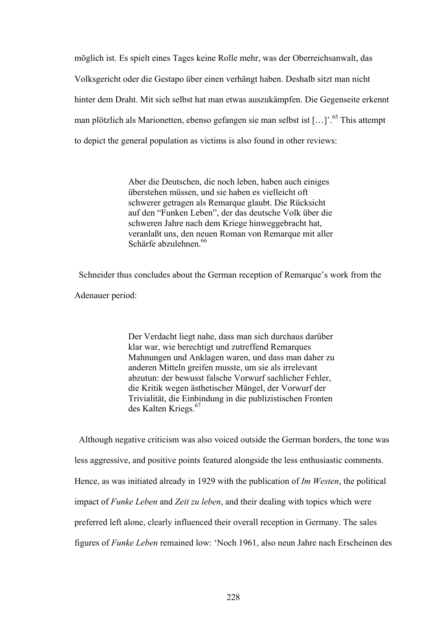möglich ist. Es spielt eines Tages keine Rolle mehr, was der Oberreichsanwalt, das Volksgericht oder die Gestapo über einen verhängt haben. Deshalb sitzt man nicht hinter dem Draht. Mit sich selbst hat man etwas auszukämpfen. Die Gegenseite erkennt man plötzlich als Marionetten, ebenso gefangen sie man selbst ist […]'.65 This attempt to depict the general population as victims is also found in other reviews:

> Aber die Deutschen, die noch leben, haben auch einiges überstehen müssen, und sie haben es vielleicht oft schwerer getragen als Remarque glaubt. Die Rücksicht auf den "Funken Leben", der das deutsche Volk über die schweren Jahre nach dem Kriege hinweggebracht hat, veranlaßt uns, den neuen Roman von Remarque mit aller Schärfe abzulehnen<sup>66</sup>

 Schneider thus concludes about the German reception of Remarque's work from the Adenauer period:

> Der Verdacht liegt nahe, dass man sich durchaus darüber klar war, wie berechtigt und zutreffend Remarques Mahnungen und Anklagen waren, und dass man daher zu anderen Mitteln greifen musste, um sie als irrelevant abzutun: der bewusst falsche Vorwurf sachlicher Fehler, die Kritik wegen ästhetischer Mängel, der Vorwurf der Trivialität, die Einbindung in die publizistischen Fronten des Kalten Kriegs.<sup>67</sup>

 Although negative criticism was also voiced outside the German borders, the tone was less aggressive, and positive points featured alongside the less enthusiastic comments. Hence, as was initiated already in 1929 with the publication of *Im Westen*, the political impact of *Funke Leben* and *Zeit zu leben*, and their dealing with topics which were preferred left alone, clearly influenced their overall reception in Germany. The sales figures of *Funke Leben* remained low: 'Noch 1961, also neun Jahre nach Erscheinen des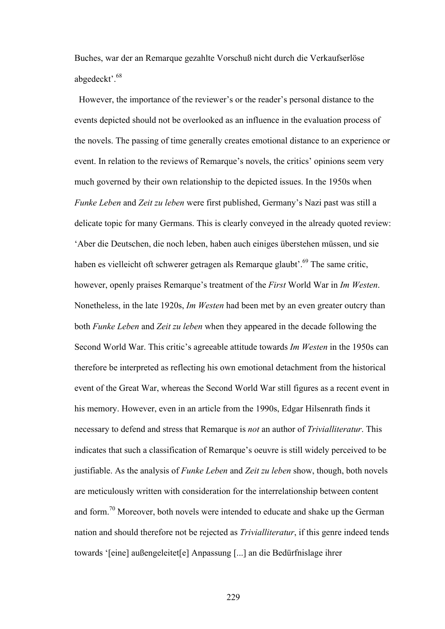Buches, war der an Remarque gezahlte Vorschuß nicht durch die Verkaufserlöse abgedeckt'.<sup>68</sup>

 However, the importance of the reviewer's or the reader's personal distance to the events depicted should not be overlooked as an influence in the evaluation process of the novels. The passing of time generally creates emotional distance to an experience or event. In relation to the reviews of Remarque's novels, the critics' opinions seem very much governed by their own relationship to the depicted issues. In the 1950s when *Funke Leben* and *Zeit zu leben* were first published, Germany's Nazi past was still a delicate topic for many Germans. This is clearly conveyed in the already quoted review: 'Aber die Deutschen, die noch leben, haben auch einiges überstehen müssen, und sie haben es vielleicht oft schwerer getragen als Remarque glaubt'.<sup>69</sup> The same critic, however, openly praises Remarque's treatment of the *First* World War in *Im Westen*. Nonetheless, in the late 1920s, *Im Westen* had been met by an even greater outcry than both *Funke Leben* and *Zeit zu leben* when they appeared in the decade following the Second World War. This critic's agreeable attitude towards *Im Westen* in the 1950s can therefore be interpreted as reflecting his own emotional detachment from the historical event of the Great War, whereas the Second World War still figures as a recent event in his memory. However, even in an article from the 1990s, Edgar Hilsenrath finds it necessary to defend and stress that Remarque is *not* an author of *Trivialliteratur*. This indicates that such a classification of Remarque's oeuvre is still widely perceived to be justifiable. As the analysis of *Funke Leben* and *Zeit zu leben* show, though, both novels are meticulously written with consideration for the interrelationship between content and form.70 Moreover, both novels were intended to educate and shake up the German nation and should therefore not be rejected as *Trivialliteratur*, if this genre indeed tends towards '[eine] außengeleitet[e] Anpassung [...] an die Bedürfnislage ihrer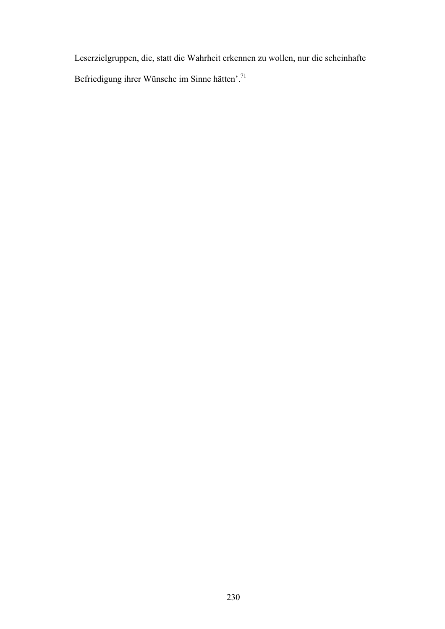Leserzielgruppen, die, statt die Wahrheit erkennen zu wollen, nur die scheinhafte Befriedigung ihrer Wünsche im Sinne hätten'.71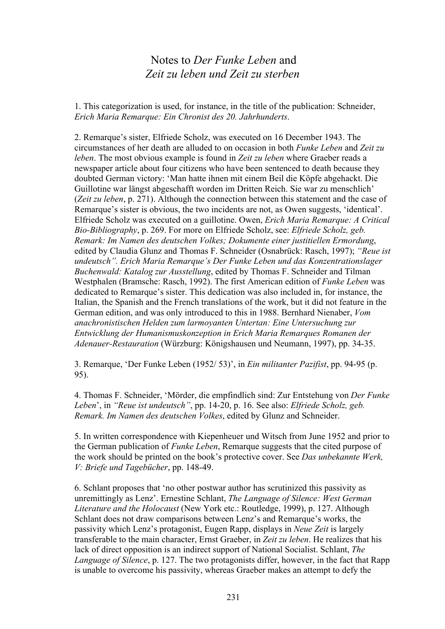## Notes to *Der Funke Leben* and  *Zeit zu leben und Zeit zu sterben*

1. This categorization is used, for instance, in the title of the publication: Schneider, *Erich Maria Remarque: Ein Chronist des 20. Jahrhunderts*.

2. Remarque's sister, Elfriede Scholz, was executed on 16 December 1943. The circumstances of her death are alluded to on occasion in both *Funke Leben* and *Zeit zu leben*. The most obvious example is found in *Zeit zu leben* where Graeber reads a newspaper article about four citizens who have been sentenced to death because they doubted German victory: 'Man hatte ihnen mit einem Beil die Köpfe abgehackt. Die Guillotine war längst abgeschafft worden im Dritten Reich. Sie war zu menschlich' (*Zeit zu leben*, p. 271). Although the connection between this statement and the case of Remarque's sister is obvious, the two incidents are not, as Owen suggests, 'identical'. Elfriede Scholz was executed on a guillotine. Owen, *Erich Maria Remarque: A Critical Bio-Bibliography*, p. 269. For more on Elfriede Scholz, see: *Elfriede Scholz, geb. Remark: Im Namen des deutschen Volkes; Dokumente einer justitiellen Ermordung*, edited by Claudia Glunz and Thomas F. Schneider (Osnabrück: Rasch, 1997); *"Reue ist undeutsch". Erich Maria Remarque's Der Funke Leben und das Konzentrationslager Buchenwald: Katalog zur Ausstellung*, edited by Thomas F. Schneider and Tilman Westphalen (Bramsche: Rasch, 1992). The first American edition of *Funke Leben* was dedicated to Remarque's sister. This dedication was also included in, for instance, the Italian, the Spanish and the French translations of the work, but it did not feature in the German edition, and was only introduced to this in 1988. Bernhard Nienaber, *Vom anachronistischen Helden zum larmoyanten Untertan: Eine Untersuchung zur Entwicklung der Humanismuskonzeption in Erich Maria Remarques Romanen der Adenauer-Restauration* (Würzburg: Königshausen und Neumann, 1997), pp. 34-35.

3. Remarque, 'Der Funke Leben (1952/ 53)', in *Ein militanter Pazifist*, pp. 94-95 (p. 95).

4. Thomas F. Schneider, 'Mörder, die empfindlich sind: Zur Entstehung von *Der Funke Leben*', in *"Reue ist undeutsch"*, pp. 14-20, p. 16. See also: *Elfriede Scholz, geb. Remark. Im Namen des deutschen Volkes*, edited by Glunz and Schneider.

5. In written correspondence with Kiepenheuer und Witsch from June 1952 and prior to the German publication of *Funke Leben*, Remarque suggests that the cited purpose of the work should be printed on the book's protective cover. See *Das unbekannte Werk, V: Briefe und Tagebücher*, pp. 148-49.

6. Schlant proposes that 'no other postwar author has scrutinized this passivity as unremittingly as Lenz'. Ernestine Schlant, *The Language of Silence: West German Literature and the Holocaust* (New York etc.: Routledge, 1999), p. 127. Although Schlant does not draw comparisons between Lenz's and Remarque's works, the passivity which Lenz's protagonist, Eugen Rapp, displays in *Neue Zeit* is largely transferable to the main character, Ernst Graeber, in *Zeit zu leben*. He realizes that his lack of direct opposition is an indirect support of National Socialist. Schlant, *The Language of Silence*, p. 127. The two protagonists differ, however, in the fact that Rapp is unable to overcome his passivity, whereas Graeber makes an attempt to defy the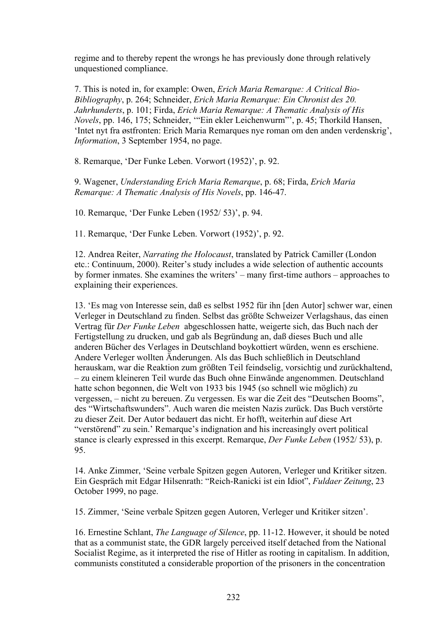regime and to thereby repent the wrongs he has previously done through relatively unquestioned compliance.

7. This is noted in, for example: Owen, *Erich Maria Remarque: A Critical Bio-Bibliography*, p. 264; Schneider, *Erich Maria Remarque: Ein Chronist des 20. Jahrhunderts*, p. 101; Firda, *Erich Maria Remarque: A Thematic Analysis of His Novels*, pp. 146, 175; Schneider, '"Ein ekler Leichenwurm"', p. 45; Thorkild Hansen, 'Intet nyt fra østfronten: Erich Maria Remarques nye roman om den anden verdenskrig', *Information*, 3 September 1954, no page.

8. Remarque, 'Der Funke Leben. Vorwort (1952)', p. 92.

9. Wagener, *Understanding Erich Maria Remarque*, p. 68; Firda, *Erich Maria Remarque: A Thematic Analysis of His Novels*, pp. 146-47.

10. Remarque, 'Der Funke Leben (1952/ 53)', p. 94.

11. Remarque, 'Der Funke Leben. Vorwort (1952)', p. 92.

12. Andrea Reiter, *Narrating the Holocaust*, translated by Patrick Camiller (London etc.: Continuum, 2000). Reiter's study includes a wide selection of authentic accounts by former inmates. She examines the writers' – many first-time authors – approaches to explaining their experiences.

13. 'Es mag von Interesse sein, daß es selbst 1952 für ihn [den Autor] schwer war, einen Verleger in Deutschland zu finden. Selbst das größte Schweizer Verlagshaus, das einen Vertrag für *Der Funke Leben* abgeschlossen hatte, weigerte sich, das Buch nach der Fertigstellung zu drucken, und gab als Begründung an, daß dieses Buch und alle anderen Bücher des Verlages in Deutschland boykottiert würden, wenn es erschiene. Andere Verleger wollten Änderungen. Als das Buch schließlich in Deutschland herauskam, war die Reaktion zum größten Teil feindselig, vorsichtig und zurückhaltend, – zu einem kleineren Teil wurde das Buch ohne Einwände angenommen. Deutschland hatte schon begonnen, die Welt von 1933 bis 1945 (so schnell wie möglich) zu vergessen, – nicht zu bereuen. Zu vergessen. Es war die Zeit des "Deutschen Booms", des "Wirtschaftswunders". Auch waren die meisten Nazis zurück. Das Buch verstörte zu dieser Zeit. Der Autor bedauert das nicht. Er hofft, weiterhin auf diese Art "verstörend" zu sein.' Remarque's indignation and his increasingly overt political stance is clearly expressed in this excerpt. Remarque, *Der Funke Leben* (1952/ 53), p. 95.

14. Anke Zimmer, 'Seine verbale Spitzen gegen Autoren, Verleger und Kritiker sitzen. Ein Gespräch mit Edgar Hilsenrath: "Reich-Ranicki ist ein Idiot", *Fuldaer Zeitung*, 23 October 1999, no page.

15. Zimmer, 'Seine verbale Spitzen gegen Autoren, Verleger und Kritiker sitzen'.

16. Ernestine Schlant, *The Language of Silence*, pp. 11-12. However, it should be noted that as a communist state, the GDR largely perceived itself detached from the National Socialist Regime, as it interpreted the rise of Hitler as rooting in capitalism. In addition, communists constituted a considerable proportion of the prisoners in the concentration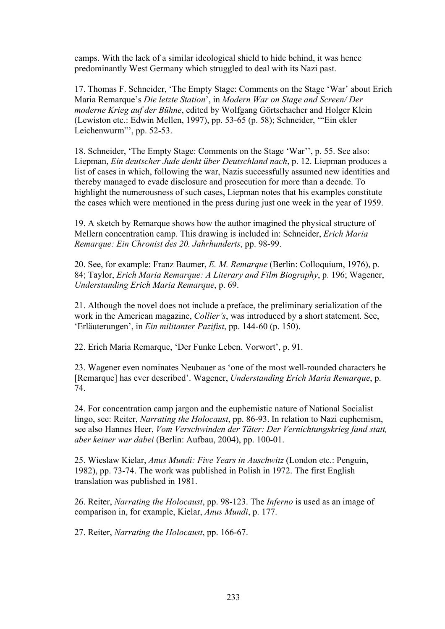camps. With the lack of a similar ideological shield to hide behind, it was hence predominantly West Germany which struggled to deal with its Nazi past.

17. Thomas F. Schneider, 'The Empty Stage: Comments on the Stage 'War' about Erich Maria Remarque's *Die letzte Station*', in *Modern War on Stage and Screen/ Der moderne Krieg auf der Bühne*, edited by Wolfgang Görtschacher and Holger Klein (Lewiston etc.: Edwin Mellen, 1997), pp. 53-65 (p. 58); Schneider, '"Ein ekler Leichenwurm"', pp. 52-53.

18. Schneider, 'The Empty Stage: Comments on the Stage 'War'', p. 55. See also: Liepman, *Ein deutscher Jude denkt über Deutschland nach*, p. 12. Liepman produces a list of cases in which, following the war, Nazis successfully assumed new identities and thereby managed to evade disclosure and prosecution for more than a decade. To highlight the numerousness of such cases, Liepman notes that his examples constitute the cases which were mentioned in the press during just one week in the year of 1959.

19. A sketch by Remarque shows how the author imagined the physical structure of Mellern concentration camp. This drawing is included in: Schneider, *Erich Maria Remarque: Ein Chronist des 20. Jahrhunderts*, pp. 98-99.

20. See, for example: Franz Baumer, *E. M. Remarque* (Berlin: Colloquium, 1976), p. 84; Taylor, *Erich Maria Remarque: A Literary and Film Biography*, p. 196; Wagener, *Understanding Erich Maria Remarque*, p. 69.

21. Although the novel does not include a preface, the preliminary serialization of the work in the American magazine, *Collier's*, was introduced by a short statement. See, 'Erläuterungen', in *Ein militanter Pazifist*, pp. 144-60 (p. 150).

22. Erich Maria Remarque, 'Der Funke Leben. Vorwort', p. 91.

23. Wagener even nominates Neubauer as 'one of the most well-rounded characters he [Remarque] has ever described'. Wagener, *Understanding Erich Maria Remarque*, p. 74.

24. For concentration camp jargon and the euphemistic nature of National Socialist lingo, see: Reiter, *Narrating the Holocaust*, pp. 86-93. In relation to Nazi euphemism, see also Hannes Heer, *Vom Verschwinden der Täter: Der Vernichtungskrieg fand statt, aber keiner war dabei* (Berlin: Aufbau, 2004), pp. 100-01.

25. Wieslaw Kielar, *Anus Mundi: Five Years in Auschwitz* (London etc.: Penguin, 1982), pp. 73-74. The work was published in Polish in 1972. The first English translation was published in 1981.

26. Reiter, *Narrating the Holocaust*, pp. 98-123. The *Inferno* is used as an image of comparison in, for example, Kielar, *Anus Mundi*, p. 177.

27. Reiter, *Narrating the Holocaust*, pp. 166-67.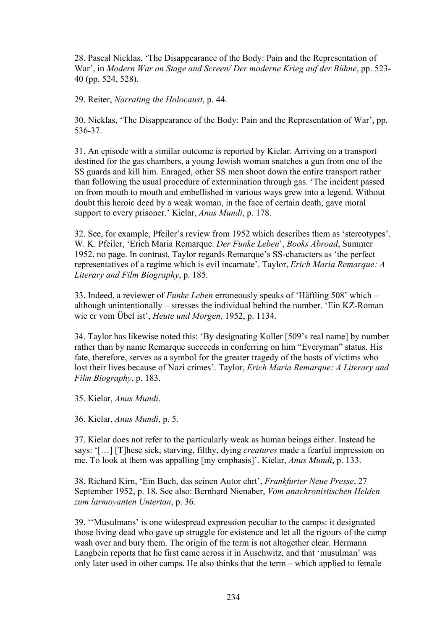28. Pascal Nicklas, 'The Disappearance of the Body: Pain and the Representation of War', in *Modern War on Stage and Screen/ Der moderne Krieg auf der Bühne*, pp. 523- 40 (pp. 524, 528).

29. Reiter, *Narrating the Holocaust*, p. 44.

30. Nicklas, 'The Disappearance of the Body: Pain and the Representation of War', pp. 536-37.

31. An episode with a similar outcome is reported by Kielar. Arriving on a transport destined for the gas chambers, a young Jewish woman snatches a gun from one of the SS guards and kill him. Enraged, other SS men shoot down the entire transport rather than following the usual procedure of extermination through gas. 'The incident passed on from mouth to mouth and embellished in various ways grew into a legend. Without doubt this heroic deed by a weak woman, in the face of certain death, gave moral support to every prisoner.' Kielar, *Anus Mundi*, p. 178.

32. See, for example, Pfeiler's review from 1952 which describes them as 'stereotypes'. W. K. Pfeiler, 'Erich Maria Remarque. *Der Funke Leben*', *Books Abroad*, Summer 1952, no page. In contrast, Taylor regards Remarque's SS-characters as 'the perfect representatives of a regime which is evil incarnate'. Taylor, *Erich Maria Remarque: A Literary and Film Biography*, p. 185.

33. Indeed, a reviewer of *Funke Leben* erroneously speaks of 'Häftling 508' which – although unintentionally – stresses the individual behind the number. 'Ein KZ-Roman wie er vom Übel ist', *Heute und Morgen*, 1952, p. 1134.

34. Taylor has likewise noted this: 'By designating Koller [509's real name] by number rather than by name Remarque succeeds in conferring on him "Everyman" status. His fate, therefore, serves as a symbol for the greater tragedy of the hosts of victims who lost their lives because of Nazi crimes'. Taylor, *Erich Maria Remarque: A Literary and Film Biography*, p. 183.

35. Kielar, *Anus Mundi*.

36. Kielar, *Anus Mundi*, p. 5.

37. Kielar does not refer to the particularly weak as human beings either. Instead he says: '[…] [T]hese sick, starving, filthy, dying *creatures* made a fearful impression on me. To look at them was appalling [my emphasis]'. Kielar, *Anus Mundi*, p. 133.

38. Richard Kirn, 'Ein Buch, das seinen Autor ehrt', *Frankfurter Neue Presse*, 27 September 1952, p. 18. See also: Bernhard Nienaber, *Vom anachronistischen Helden zum larmoyanten Untertan*, p. 36.

39. ''Musulmans' is one widespread expression peculiar to the camps: it designated those living dead who gave up struggle for existence and let all the rigours of the camp wash over and bury them. The origin of the term is not altogether clear. Hermann Langbein reports that he first came across it in Auschwitz, and that 'musulman' was only later used in other camps. He also thinks that the term – which applied to female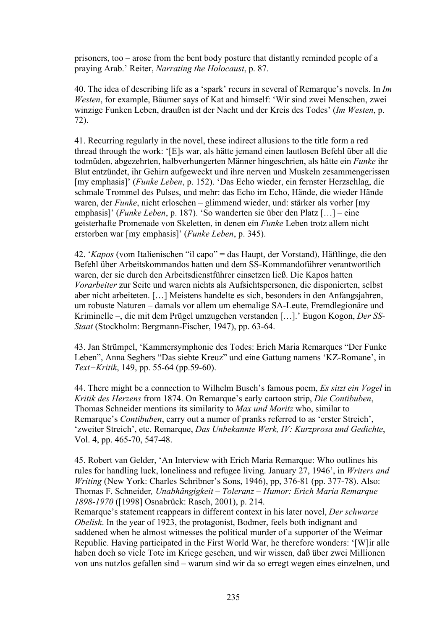prisoners, too – arose from the bent body posture that distantly reminded people of a praying Arab.' Reiter, *Narrating the Holocaust*, p. 87.

40. The idea of describing life as a 'spark' recurs in several of Remarque's novels. In *Im Westen*, for example, Bäumer says of Kat and himself: 'Wir sind zwei Menschen, zwei winzige Funken Leben, draußen ist der Nacht und der Kreis des Todes' (*Im Westen*, p. 72).

41. Recurring regularly in the novel, these indirect allusions to the title form a red thread through the work: '[E]s war, als hätte jemand einen lautlosen Befehl über all die todmüden, abgezehrten, halbverhungerten Männer hingeschrien, als hätte ein *Funke* ihr Blut entzündet, ihr Gehirn aufgeweckt und ihre nerven und Muskeln zesammengerissen [my emphasis]' (*Funke Leben*, p. 152). 'Das Echo wieder, ein fernster Herzschlag, die schmale Trommel des Pulses, und mehr: das Echo im Echo, Hände, die wieder Hände waren, der *Funke*, nicht erloschen – glimmend wieder, und: stärker als vorher [my emphasis]' (*Funke Leben*, p. 187). 'So wanderten sie über den Platz […] – eine geisterhafte Promenade von Skeletten, in denen ein *Funke* Leben trotz allem nicht erstorben war [my emphasis]' (*Funke Leben*, p. 345).

42. '*Kapos* (vom Italienischen "il capo" = das Haupt, der Vorstand), Häftlinge, die den Befehl über Arbeitskommandos hatten und dem SS-Kommandoführer verantwortlich waren, der sie durch den Arbeitsdienstführer einsetzen ließ. Die Kapos hatten *Vorarbeiter* zur Seite und waren nichts als Aufsichtspersonen, die disponierten, selbst aber nicht arbeiteten. […] Meistens handelte es sich, besonders in den Anfangsjahren, um robuste Naturen – damals vor allem um ehemalige SA-Leute, Fremdlegionäre und Kriminelle –, die mit dem Prügel umzugehen verstanden […].' Eugon Kogon, *Der SS-Staat* (Stockholm: Bergmann-Fischer, 1947), pp. 63-64.

43. Jan Strümpel, 'Kammersymphonie des Todes: Erich Maria Remarques "Der Funke Leben", Anna Seghers "Das siebte Kreuz" und eine Gattung namens 'KZ-Romane', in *Text+Kritik*, 149, pp. 55-64 (pp.59-60).

44. There might be a connection to Wilhelm Busch's famous poem, *Es sitzt ein Vogel* in *Kritik des Herzens* from 1874. On Remarque's early cartoon strip, *Die Contibuben*, Thomas Schneider mentions its similarity to *Max und Moritz* who, similar to Remarque's *Contibuben*, carry out a numer of pranks referred to as 'erster Streich', 'zweiter Streich', etc. Remarque, *Das Unbekannte Werk, IV: Kurzprosa und Gedichte*, Vol. 4, pp. 465-70, 547-48.

45. Robert van Gelder, 'An Interview with Erich Maria Remarque: Who outlines his rules for handling luck, loneliness and refugee living. January 27, 1946', in *Writers and Writing* (New York: Charles Schribner's Sons, 1946), pp, 376-81 (pp. 377-78). Also: Thomas F. Schneider*, Unabhängigkeit – Toleranz – Humor: Erich Maria Remarque 1898-1970* ([1998] Osnabrück: Rasch, 2001), p. 214.

Remarque's statement reappears in different context in his later novel, *Der schwarze Obelisk*. In the year of 1923, the protagonist, Bodmer, feels both indignant and saddened when he almost witnesses the political murder of a supporter of the Weimar Republic. Having participated in the First World War, he therefore wonders: '[W]ir alle haben doch so viele Tote im Kriege gesehen, und wir wissen, daß über zwei Millionen von uns nutzlos gefallen sind – warum sind wir da so erregt wegen eines einzelnen, und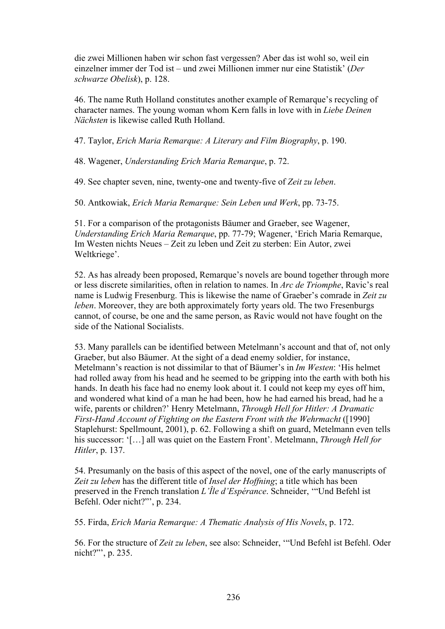die zwei Millionen haben wir schon fast vergessen? Aber das ist wohl so, weil ein einzelner immer der Tod ist – und zwei Millionen immer nur eine Statistik' (*Der schwarze Obelisk*), p. 128.

46. The name Ruth Holland constitutes another example of Remarque's recycling of character names. The young woman whom Kern falls in love with in *Liebe Deinen Nächsten* is likewise called Ruth Holland.

47. Taylor, *Erich Maria Remarque: A Literary and Film Biography*, p. 190.

48. Wagener, *Understanding Erich Maria Remarque*, p. 72.

49. See chapter seven, nine, twenty-one and twenty-five of *Zeit zu leben*.

50. Antkowiak, *Erich Maria Remarque: Sein Leben und Werk*, pp. 73-75.

51. For a comparison of the protagonists Bäumer and Graeber, see Wagener, *Understanding Erich Maria Remarque*, pp. 77-79; Wagener, 'Erich Maria Remarque, Im Westen nichts Neues – Zeit zu leben und Zeit zu sterben: Ein Autor, zwei Weltkriege'.

52. As has already been proposed, Remarque's novels are bound together through more or less discrete similarities, often in relation to names. In *Arc de Triomphe*, Ravic's real name is Ludwig Fresenburg. This is likewise the name of Graeber's comrade in *Zeit zu leben*. Moreover, they are both approximately forty years old. The two Fresenburgs cannot, of course, be one and the same person, as Ravic would not have fought on the side of the National Socialists.

53. Many parallels can be identified between Metelmann's account and that of, not only Graeber, but also Bäumer. At the sight of a dead enemy soldier, for instance, Metelmann's reaction is not dissimilar to that of Bäumer's in *Im Westen*: 'His helmet had rolled away from his head and he seemed to be gripping into the earth with both his hands. In death his face had no enemy look about it. I could not keep my eyes off him, and wondered what kind of a man he had been, how he had earned his bread, had he a wife, parents or children?' Henry Metelmann, *Through Hell for Hitler: A Dramatic First-Hand Account of Fighting on the Eastern Front with the Wehrmacht* ([1990] Staplehurst: Spellmount, 2001), p. 62. Following a shift on guard, Metelmann even tells his successor: '[…] all was quiet on the Eastern Front'. Metelmann, *Through Hell for Hitler*, p. 137.

54. Presumanly on the basis of this aspect of the novel, one of the early manuscripts of *Zeit zu leben* has the different title of *Insel der Hoffning*; a title which has been preserved in the French translation *L'Île d'Espérance*. Schneider, '"Und Befehl ist Befehl. Oder nicht?"', p. 234.

55. Firda, *Erich Maria Remarque: A Thematic Analysis of His Novels*, p. 172.

56. For the structure of *Zeit zu leben*, see also: Schneider, '"Und Befehl ist Befehl. Oder nicht?"', p. 235.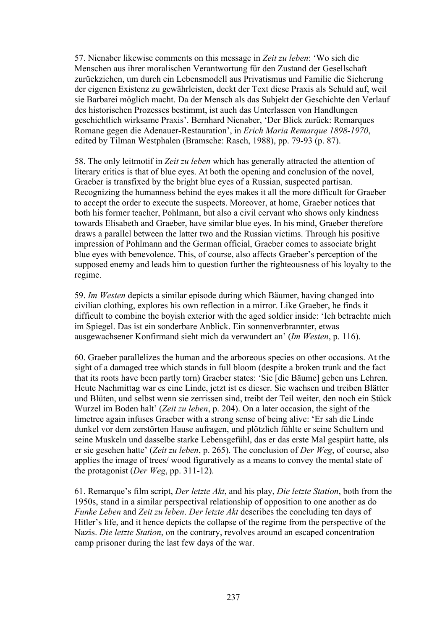57. Nienaber likewise comments on this message in *Zeit zu leben*: 'Wo sich die Menschen aus ihrer moralischen Verantwortung für den Zustand der Gesellschaft zurückziehen, um durch ein Lebensmodell aus Privatismus und Familie die Sicherung der eigenen Existenz zu gewährleisten, deckt der Text diese Praxis als Schuld auf, weil sie Barbarei möglich macht. Da der Mensch als das Subjekt der Geschichte den Verlauf des historischen Prozesses bestimmt, ist auch das Unterlassen von Handlungen geschichtlich wirksame Praxis'. Bernhard Nienaber, 'Der Blick zurück: Remarques Romane gegen die Adenauer-Restauration', in *Erich Maria Remarque 1898-1970*, edited by Tilman Westphalen (Bramsche: Rasch, 1988), pp. 79-93 (p. 87).

58. The only leitmotif in *Zeit zu leben* which has generally attracted the attention of literary critics is that of blue eyes. At both the opening and conclusion of the novel, Graeber is transfixed by the bright blue eyes of a Russian, suspected partisan. Recognizing the humanness behind the eyes makes it all the more difficult for Graeber to accept the order to execute the suspects. Moreover, at home, Graeber notices that both his former teacher, Pohlmann, but also a civil cervant who shows only kindness towards Elisabeth and Graeber, have similar blue eyes. In his mind, Graeber therefore draws a parallel between the latter two and the Russian victims. Through his positive impression of Pohlmann and the German official, Graeber comes to associate bright blue eyes with benevolence. This, of course, also affects Graeber's perception of the supposed enemy and leads him to question further the righteousness of his loyalty to the regime.

59. *Im Westen* depicts a similar episode during which Bäumer, having changed into civilian clothing, explores his own reflection in a mirror. Like Graeber, he finds it difficult to combine the boyish exterior with the aged soldier inside: 'Ich betrachte mich im Spiegel. Das ist ein sonderbare Anblick. Ein sonnenverbrannter, etwas ausgewachsener Konfirmand sieht mich da verwundert an' (*Im Westen*, p. 116).

60. Graeber parallelizes the human and the arboreous species on other occasions. At the sight of a damaged tree which stands in full bloom (despite a broken trunk and the fact that its roots have been partly torn) Graeber states: 'Sie [die Bäume] geben uns Lehren. Heute Nachmittag war es eine Linde, jetzt ist es dieser. Sie wachsen und treiben Blätter und Blüten, und selbst wenn sie zerrissen sind, treibt der Teil weiter, den noch ein Stück Wurzel im Boden halt' (*Zeit zu leben*, p. 204). On a later occasion, the sight of the limetree again infuses Graeber with a strong sense of being alive: 'Er sah die Linde dunkel vor dem zerstörten Hause aufragen, und plötzlich fühlte er seine Schultern und seine Muskeln und dasselbe starke Lebensgefühl, das er das erste Mal gespürt hatte, als er sie gesehen hatte' (*Zeit zu leben*, p. 265). The conclusion of *Der Weg*, of course, also applies the image of trees/ wood figuratively as a means to convey the mental state of the protagonist (*Der Weg*, pp. 311-12).

61. Remarque's film script, *Der letzte Akt*, and his play, *Die letzte Station*, both from the 1950s, stand in a similar perspectival relationship of opposition to one another as do *Funke Leben* and *Zeit zu leben*. *Der letzte Akt* describes the concluding ten days of Hitler's life, and it hence depicts the collapse of the regime from the perspective of the Nazis. *Die letzte Station*, on the contrary, revolves around an escaped concentration camp prisoner during the last few days of the war.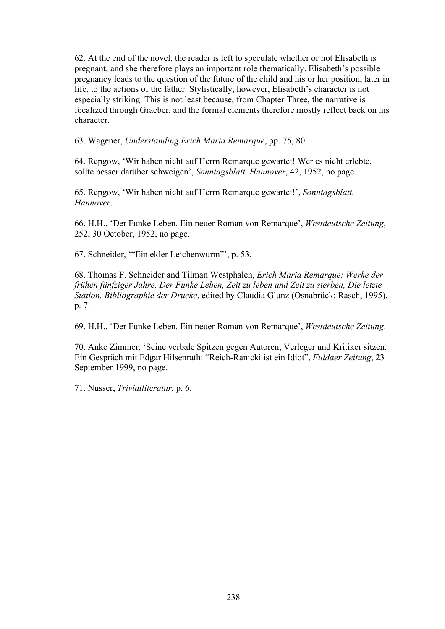62. At the end of the novel, the reader is left to speculate whether or not Elisabeth is pregnant, and she therefore plays an important role thematically. Elisabeth's possible pregnancy leads to the question of the future of the child and his or her position, later in life, to the actions of the father. Stylistically, however, Elisabeth's character is not especially striking. This is not least because, from Chapter Three, the narrative is focalized through Graeber, and the formal elements therefore mostly reflect back on his character.

63. Wagener, *Understanding Erich Maria Remarque*, pp. 75, 80.

64. Repgow, 'Wir haben nicht auf Herrn Remarque gewartet! Wer es nicht erlebte, sollte besser darüber schweigen', *Sonntagsblatt*. *Hannover*, 42, 1952, no page.

65. Repgow, 'Wir haben nicht auf Herrn Remarque gewartet!', *Sonntagsblatt. Hannover*.

66. H.H., 'Der Funke Leben. Ein neuer Roman von Remarque', *Westdeutsche Zeitung*, 252, 30 October, 1952, no page.

67. Schneider, '"Ein ekler Leichenwurm"', p. 53.

68. Thomas F. Schneider and Tilman Westphalen, *Erich Maria Remarque: Werke der frühen fünfziger Jahre. Der Funke Leben, Zeit zu leben und Zeit zu sterben, Die letzte Station. Bibliographie der Drucke*, edited by Claudia Glunz (Osnabrück: Rasch, 1995), p. 7.

69. H.H., 'Der Funke Leben. Ein neuer Roman von Remarque', *Westdeutsche Zeitung*.

70. Anke Zimmer, 'Seine verbale Spitzen gegen Autoren, Verleger und Kritiker sitzen. Ein Gespräch mit Edgar Hilsenrath: "Reich-Ranicki ist ein Idiot", *Fuldaer Zeitung*, 23 September 1999, no page.

71. Nusser, *Trivialliteratur*, p. 6.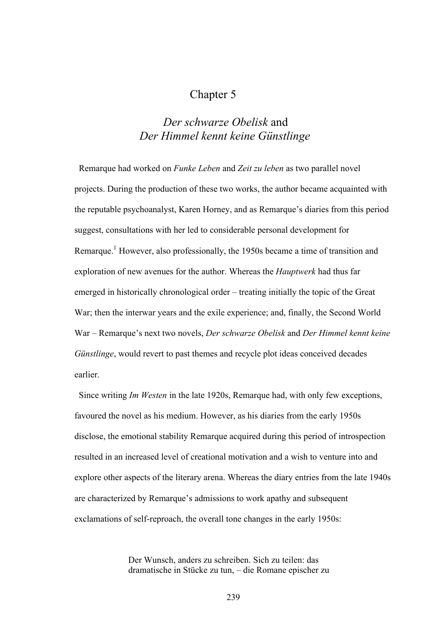## Chapter 5

## *Der schwarze Obelisk* and *Der Himmel kennt keine Günstlinge*

 Remarque had worked on *Funke Leben* and *Zeit zu leben* as two parallel novel projects. During the production of these two works, the author became acquainted with the reputable psychoanalyst, Karen Horney, and as Remarque's diaries from this period suggest, consultations with her led to considerable personal development for Remarque.<sup>1</sup> However, also professionally, the 1950s became a time of transition and exploration of new avenues for the author. Whereas the *Hauptwerk* had thus far emerged in historically chronological order – treating initially the topic of the Great War; then the interwar years and the exile experience; and, finally, the Second World War – Remarque's next two novels, *Der schwarze Obelisk* and *Der Himmel kennt keine Günstlinge*, would revert to past themes and recycle plot ideas conceived decades earlier.

 Since writing *Im Westen* in the late 1920s, Remarque had, with only few exceptions, favoured the novel as his medium. However, as his diaries from the early 1950s disclose, the emotional stability Remarque acquired during this period of introspection resulted in an increased level of creational motivation and a wish to venture into and explore other aspects of the literary arena. Whereas the diary entries from the late 1940s are characterized by Remarque's admissions to work apathy and subsequent exclamations of self-reproach, the overall tone changes in the early 1950s:

> Der Wunsch, anders zu schreiben. Sich zu teilen: das dramatische in Stücke zu tun, – die Romane epischer zu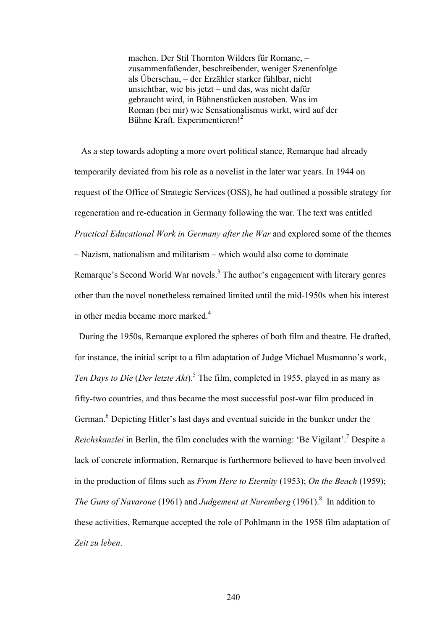machen. Der Stil Thornton Wilders für Romane, – zusammenfaßender, beschreibender, weniger Szenenfolge als Überschau, – der Erzähler starker fühlbar, nicht unsichtbar, wie bis jetzt – und das, was nicht dafür gebraucht wird, in Bühnenstücken austoben. Was im Roman (bei mir) wie Sensationalismus wirkt, wird auf der Bühne Kraft. Experimentieren!<sup>2</sup>

 As a step towards adopting a more overt political stance, Remarque had already temporarily deviated from his role as a novelist in the later war years. In 1944 on request of the Office of Strategic Services (OSS), he had outlined a possible strategy for regeneration and re-education in Germany following the war. The text was entitled *Practical Educational Work in Germany after the War* and explored some of the themes – Nazism, nationalism and militarism – which would also come to dominate Remarque's Second World War novels.<sup>3</sup> The author's engagement with literary genres other than the novel nonetheless remained limited until the mid-1950s when his interest in other media became more marked.<sup>4</sup>

 During the 1950s, Remarque explored the spheres of both film and theatre. He drafted, for instance, the initial script to a film adaptation of Judge Michael Musmanno's work, Ten Days to Die (Der letzte Akt).<sup>5</sup> The film, completed in 1955, played in as many as fifty-two countries, and thus became the most successful post-war film produced in German.<sup>6</sup> Depicting Hitler's last days and eventual suicide in the bunker under the *Reichskanzlei* in Berlin, the film concludes with the warning: 'Be Vigilant'.<sup>7</sup> Despite a lack of concrete information, Remarque is furthermore believed to have been involved in the production of films such as *From Here to Eternity* (1953); *On the Beach* (1959); *The Guns of Navarone* (1961) and *Judgement at Nuremberg* (1961).<sup>8</sup> In addition to these activities, Remarque accepted the role of Pohlmann in the 1958 film adaptation of *Zeit zu leben*.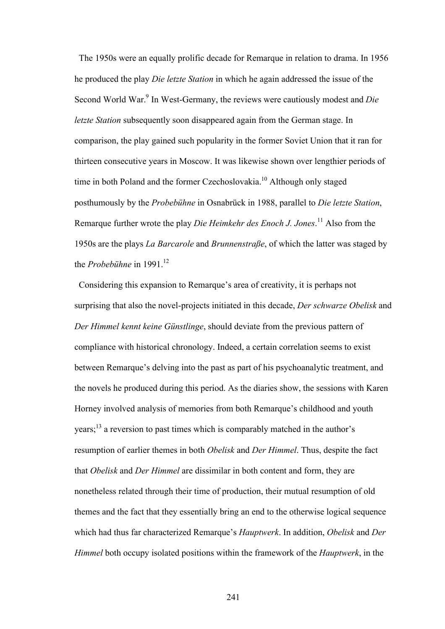The 1950s were an equally prolific decade for Remarque in relation to drama. In 1956 he produced the play *Die letzte Station* in which he again addressed the issue of the Second World War.<sup>9</sup> In West-Germany, the reviews were cautiously modest and *Die letzte Station* subsequently soon disappeared again from the German stage. In comparison, the play gained such popularity in the former Soviet Union that it ran for thirteen consecutive years in Moscow. It was likewise shown over lengthier periods of time in both Poland and the former Czechoslovakia.<sup>10</sup> Although only staged posthumously by the *Probebühne* in Osnabrück in 1988, parallel to *Die letzte Station*, Remarque further wrote the play *Die Heimkehr des Enoch J. Jones*. 11 Also from the 1950s are the plays *La Barcarole* and *Brunnenstraße*, of which the latter was staged by the *Probebühne* in 1991.<sup>12</sup>

 Considering this expansion to Remarque's area of creativity, it is perhaps not surprising that also the novel-projects initiated in this decade, *Der schwarze Obelisk* and *Der Himmel kennt keine Günstlinge*, should deviate from the previous pattern of compliance with historical chronology. Indeed, a certain correlation seems to exist between Remarque's delving into the past as part of his psychoanalytic treatment, and the novels he produced during this period. As the diaries show, the sessions with Karen Horney involved analysis of memories from both Remarque's childhood and youth years;13 a reversion to past times which is comparably matched in the author's resumption of earlier themes in both *Obelisk* and *Der Himmel*. Thus, despite the fact that *Obelisk* and *Der Himmel* are dissimilar in both content and form, they are nonetheless related through their time of production, their mutual resumption of old themes and the fact that they essentially bring an end to the otherwise logical sequence which had thus far characterized Remarque's *Hauptwerk*. In addition, *Obelisk* and *Der Himmel* both occupy isolated positions within the framework of the *Hauptwerk*, in the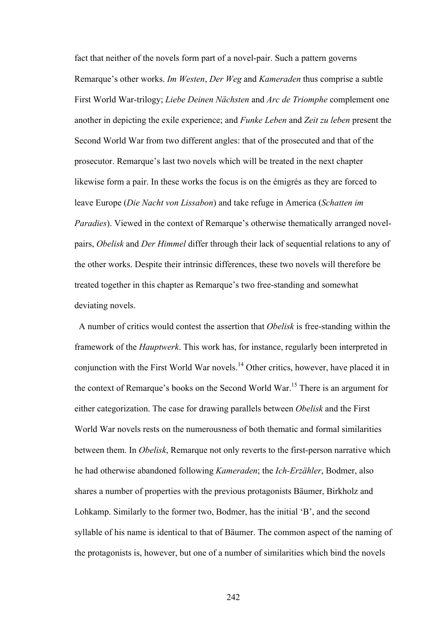fact that neither of the novels form part of a novel-pair. Such a pattern governs Remarque's other works. *Im Westen*, *Der Weg* and *Kameraden* thus comprise a subtle First World War-trilogy; *Liebe Deinen Nächsten* and *Arc de Triomphe* complement one another in depicting the exile experience; and *Funke Leben* and *Zeit zu leben* present the Second World War from two different angles: that of the prosecuted and that of the prosecutor. Remarque's last two novels which will be treated in the next chapter likewise form a pair. In these works the focus is on the émigrés as they are forced to leave Europe (*Die Nacht von Lissabon*) and take refuge in America (*Schatten im Paradies*). Viewed in the context of Remarque's otherwise thematically arranged novelpairs, *Obelisk* and *Der Himmel* differ through their lack of sequential relations to any of the other works. Despite their intrinsic differences, these two novels will therefore be treated together in this chapter as Remarque's two free-standing and somewhat deviating novels.

 A number of critics would contest the assertion that *Obelisk* is free-standing within the framework of the *Hauptwerk*. This work has, for instance, regularly been interpreted in conjunction with the First World War novels.14 Other critics, however, have placed it in the context of Remarque's books on the Second World War.15 There is an argument for either categorization. The case for drawing parallels between *Obelisk* and the First World War novels rests on the numerousness of both thematic and formal similarities between them. In *Obelisk*, Remarque not only reverts to the first-person narrative which he had otherwise abandoned following *Kameraden*; the *Ich-Erzähler*, Bodmer, also shares a number of properties with the previous protagonists Bäumer, Birkholz and Lohkamp. Similarly to the former two, Bodmer, has the initial 'B', and the second syllable of his name is identical to that of Bäumer. The common aspect of the naming of the protagonists is, however, but one of a number of similarities which bind the novels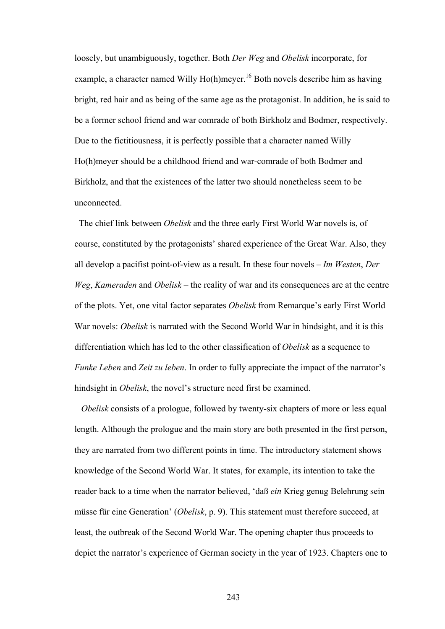loosely, but unambiguously, together. Both *Der Weg* and *Obelisk* incorporate, for example, a character named Willy Ho(h)meyer.<sup>16</sup> Both novels describe him as having bright, red hair and as being of the same age as the protagonist. In addition, he is said to be a former school friend and war comrade of both Birkholz and Bodmer, respectively. Due to the fictitiousness, it is perfectly possible that a character named Willy Ho(h)meyer should be a childhood friend and war-comrade of both Bodmer and Birkholz, and that the existences of the latter two should nonetheless seem to be unconnected.

The chief link between *Obelisk* and the three early First World War novels is, of course, constituted by the protagonists' shared experience of the Great War. Also, they all develop a pacifist point-of-view as a result. In these four novels – *Im Westen*, *Der Weg*, *Kameraden* and *Obelisk* – the reality of war and its consequences are at the centre of the plots. Yet, one vital factor separates *Obelisk* from Remarque's early First World War novels: *Obelisk* is narrated with the Second World War in hindsight, and it is this differentiation which has led to the other classification of *Obelisk* as a sequence to *Funke Leben* and *Zeit zu leben*. In order to fully appreciate the impact of the narrator's hindsight in *Obelisk*, the novel's structure need first be examined.

*Obelisk* consists of a prologue, followed by twenty-six chapters of more or less equal length. Although the prologue and the main story are both presented in the first person, they are narrated from two different points in time. The introductory statement shows knowledge of the Second World War. It states, for example, its intention to take the reader back to a time when the narrator believed, 'daß *ein* Krieg genug Belehrung sein müsse für eine Generation' (*Obelisk*, p. 9). This statement must therefore succeed, at least, the outbreak of the Second World War. The opening chapter thus proceeds to depict the narrator's experience of German society in the year of 1923. Chapters one to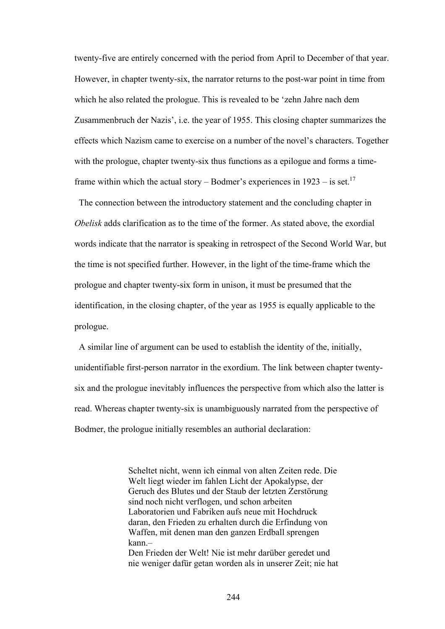twenty-five are entirely concerned with the period from April to December of that year. However, in chapter twenty-six, the narrator returns to the post-war point in time from which he also related the prologue. This is revealed to be 'zehn Jahre nach dem Zusammenbruch der Nazis', i.e. the year of 1955. This closing chapter summarizes the effects which Nazism came to exercise on a number of the novel's characters. Together with the prologue, chapter twenty-six thus functions as a epilogue and forms a timeframe within which the actual story – Bodmer's experiences in  $1923 -$  is set.<sup>17</sup>

 The connection between the introductory statement and the concluding chapter in *Obelisk* adds clarification as to the time of the former. As stated above, the exordial words indicate that the narrator is speaking in retrospect of the Second World War, but the time is not specified further. However, in the light of the time-frame which the prologue and chapter twenty-six form in unison, it must be presumed that the identification, in the closing chapter, of the year as 1955 is equally applicable to the prologue.

 A similar line of argument can be used to establish the identity of the, initially, unidentifiable first-person narrator in the exordium. The link between chapter twentysix and the prologue inevitably influences the perspective from which also the latter is read. Whereas chapter twenty-six is unambiguously narrated from the perspective of Bodmer, the prologue initially resembles an authorial declaration:

> Scheltet nicht, wenn ich einmal von alten Zeiten rede. Die Welt liegt wieder im fahlen Licht der Apokalypse, der Geruch des Blutes und der Staub der letzten Zerstörung sind noch nicht verflogen, und schon arbeiten Laboratorien und Fabriken aufs neue mit Hochdruck daran, den Frieden zu erhalten durch die Erfindung von Waffen, mit denen man den ganzen Erdball sprengen kann.– Den Frieden der Welt! Nie ist mehr darüber geredet und nie weniger dafür getan worden als in unserer Zeit; nie hat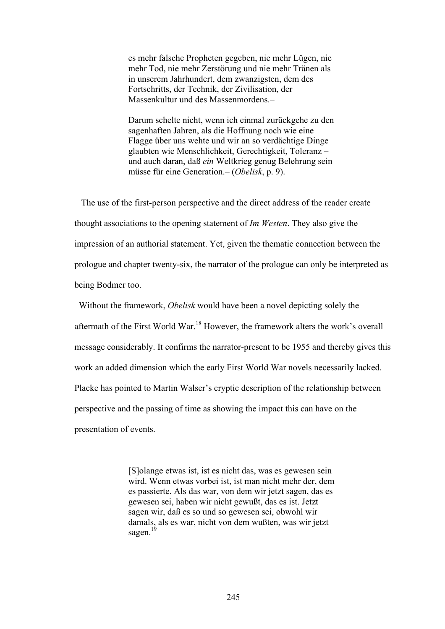es mehr falsche Propheten gegeben, nie mehr Lügen, nie mehr Tod, nie mehr Zerstörung und nie mehr Tränen als in unserem Jahrhundert, dem zwanzigsten, dem des Fortschritts, der Technik, der Zivilisation, der Massenkultur und des Massenmordens.–

Darum schelte nicht, wenn ich einmal zurückgehe zu den sagenhaften Jahren, als die Hoffnung noch wie eine Flagge über uns wehte und wir an so verdächtige Dinge glaubten wie Menschlichkeit, Gerechtigkeit, Toleranz – und auch daran, daß *ein* Weltkrieg genug Belehrung sein müsse für eine Generation.– (*Obelisk*, p. 9).

 The use of the first-person perspective and the direct address of the reader create thought associations to the opening statement of *Im Westen*. They also give the impression of an authorial statement. Yet, given the thematic connection between the prologue and chapter twenty-six, the narrator of the prologue can only be interpreted as being Bodmer too.

 Without the framework, *Obelisk* would have been a novel depicting solely the aftermath of the First World War.18 However, the framework alters the work's overall message considerably. It confirms the narrator-present to be 1955 and thereby gives this work an added dimension which the early First World War novels necessarily lacked. Placke has pointed to Martin Walser's cryptic description of the relationship between perspective and the passing of time as showing the impact this can have on the presentation of events.

> [S]olange etwas ist, ist es nicht das, was es gewesen sein wird. Wenn etwas vorbei ist, ist man nicht mehr der, dem es passierte. Als das war, von dem wir jetzt sagen, das es gewesen sei, haben wir nicht gewußt, das es ist. Jetzt sagen wir, daß es so und so gewesen sei, obwohl wir damals, als es war, nicht von dem wußten, was wir jetzt sagen $<sup>1</sup>$ </sup>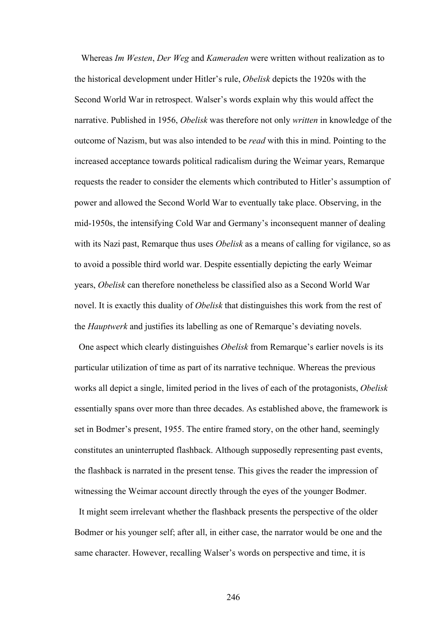Whereas *Im Westen*, *Der Weg* and *Kameraden* were written without realization as to the historical development under Hitler's rule, *Obelisk* depicts the 1920s with the Second World War in retrospect. Walser's words explain why this would affect the narrative. Published in 1956, *Obelisk* was therefore not only *written* in knowledge of the outcome of Nazism, but was also intended to be *read* with this in mind. Pointing to the increased acceptance towards political radicalism during the Weimar years, Remarque requests the reader to consider the elements which contributed to Hitler's assumption of power and allowed the Second World War to eventually take place. Observing, in the mid-1950s, the intensifying Cold War and Germany's inconsequent manner of dealing with its Nazi past, Remarque thus uses *Obelisk* as a means of calling for vigilance, so as to avoid a possible third world war. Despite essentially depicting the early Weimar years, *Obelisk* can therefore nonetheless be classified also as a Second World War novel. It is exactly this duality of *Obelisk* that distinguishes this work from the rest of the *Hauptwerk* and justifies its labelling as one of Remarque's deviating novels.

 One aspect which clearly distinguishes *Obelisk* from Remarque's earlier novels is its particular utilization of time as part of its narrative technique. Whereas the previous works all depict a single, limited period in the lives of each of the protagonists, *Obelisk* essentially spans over more than three decades. As established above, the framework is set in Bodmer's present, 1955. The entire framed story, on the other hand, seemingly constitutes an uninterrupted flashback. Although supposedly representing past events, the flashback is narrated in the present tense. This gives the reader the impression of witnessing the Weimar account directly through the eyes of the younger Bodmer.

 It might seem irrelevant whether the flashback presents the perspective of the older Bodmer or his younger self; after all, in either case, the narrator would be one and the same character. However, recalling Walser's words on perspective and time, it is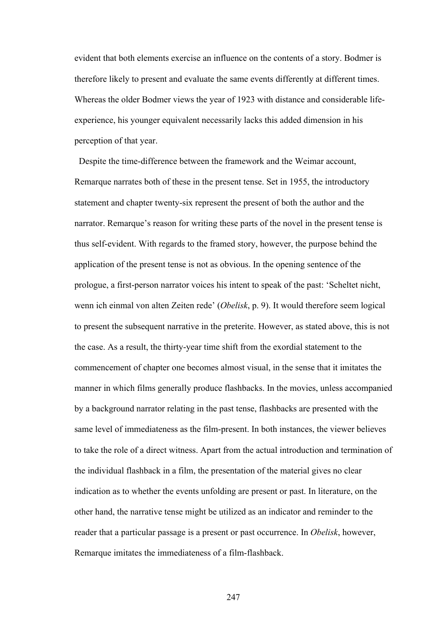evident that both elements exercise an influence on the contents of a story. Bodmer is therefore likely to present and evaluate the same events differently at different times. Whereas the older Bodmer views the year of 1923 with distance and considerable lifeexperience, his younger equivalent necessarily lacks this added dimension in his perception of that year.

 Despite the time-difference between the framework and the Weimar account, Remarque narrates both of these in the present tense. Set in 1955, the introductory statement and chapter twenty-six represent the present of both the author and the narrator. Remarque's reason for writing these parts of the novel in the present tense is thus self-evident. With regards to the framed story, however, the purpose behind the application of the present tense is not as obvious. In the opening sentence of the prologue, a first-person narrator voices his intent to speak of the past: 'Scheltet nicht, wenn ich einmal von alten Zeiten rede' (*Obelisk*, p. 9). It would therefore seem logical to present the subsequent narrative in the preterite. However, as stated above, this is not the case. As a result, the thirty-year time shift from the exordial statement to the commencement of chapter one becomes almost visual, in the sense that it imitates the manner in which films generally produce flashbacks. In the movies, unless accompanied by a background narrator relating in the past tense, flashbacks are presented with the same level of immediateness as the film-present. In both instances, the viewer believes to take the role of a direct witness. Apart from the actual introduction and termination of the individual flashback in a film, the presentation of the material gives no clear indication as to whether the events unfolding are present or past. In literature, on the other hand, the narrative tense might be utilized as an indicator and reminder to the reader that a particular passage is a present or past occurrence. In *Obelisk*, however, Remarque imitates the immediateness of a film-flashback.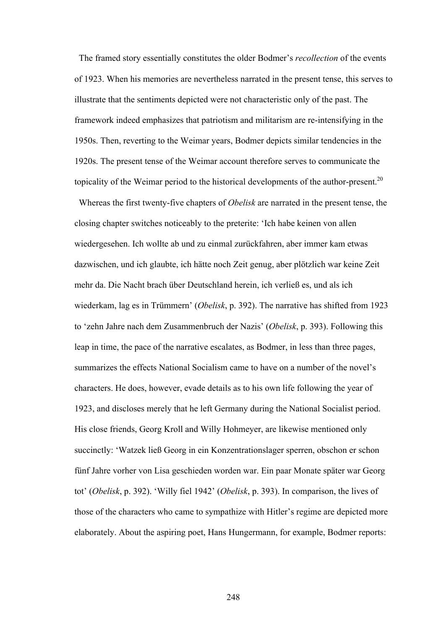The framed story essentially constitutes the older Bodmer's *recollection* of the events of 1923. When his memories are nevertheless narrated in the present tense, this serves to illustrate that the sentiments depicted were not characteristic only of the past. The framework indeed emphasizes that patriotism and militarism are re-intensifying in the 1950s. Then, reverting to the Weimar years, Bodmer depicts similar tendencies in the 1920s. The present tense of the Weimar account therefore serves to communicate the topicality of the Weimar period to the historical developments of the author-present.<sup>20</sup>

 Whereas the first twenty-five chapters of *Obelisk* are narrated in the present tense, the closing chapter switches noticeably to the preterite: 'Ich habe keinen von allen wiedergesehen. Ich wollte ab und zu einmal zurückfahren, aber immer kam etwas dazwischen, und ich glaubte, ich hätte noch Zeit genug, aber plötzlich war keine Zeit mehr da. Die Nacht brach über Deutschland herein, ich verließ es, und als ich wiederkam, lag es in Trümmern' (*Obelisk*, p. 392). The narrative has shifted from 1923 to 'zehn Jahre nach dem Zusammenbruch der Nazis' (*Obelisk*, p. 393). Following this leap in time, the pace of the narrative escalates, as Bodmer, in less than three pages, summarizes the effects National Socialism came to have on a number of the novel's characters. He does, however, evade details as to his own life following the year of 1923, and discloses merely that he left Germany during the National Socialist period. His close friends, Georg Kroll and Willy Hohmeyer, are likewise mentioned only succinctly: 'Watzek ließ Georg in ein Konzentrationslager sperren, obschon er schon fünf Jahre vorher von Lisa geschieden worden war. Ein paar Monate später war Georg tot' (*Obelisk*, p. 392). 'Willy fiel 1942' (*Obelisk*, p. 393). In comparison, the lives of those of the characters who came to sympathize with Hitler's regime are depicted more elaborately. About the aspiring poet, Hans Hungermann, for example, Bodmer reports: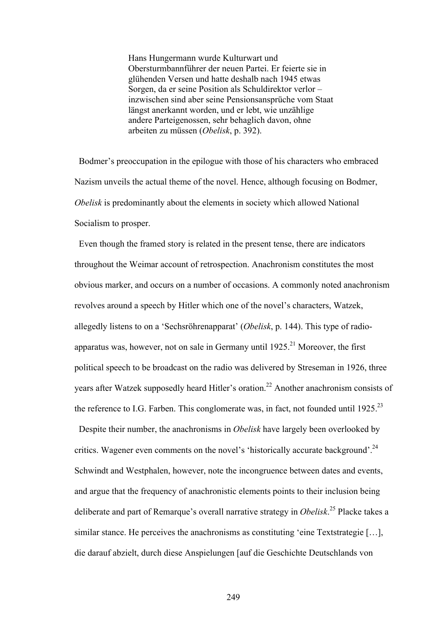Hans Hungermann wurde Kulturwart und Obersturmbannführer der neuen Partei. Er feierte sie in glühenden Versen und hatte deshalb nach 1945 etwas Sorgen, da er seine Position als Schuldirektor verlor – inzwischen sind aber seine Pensionsansprüche vom Staat längst anerkannt worden, und er lebt, wie unzählige andere Parteigenossen, sehr behaglich davon, ohne arbeiten zu müssen (*Obelisk*, p. 392).

 Bodmer's preoccupation in the epilogue with those of his characters who embraced Nazism unveils the actual theme of the novel. Hence, although focusing on Bodmer, *Obelisk* is predominantly about the elements in society which allowed National Socialism to prosper.

 Even though the framed story is related in the present tense, there are indicators throughout the Weimar account of retrospection. Anachronism constitutes the most obvious marker, and occurs on a number of occasions. A commonly noted anachronism revolves around a speech by Hitler which one of the novel's characters, Watzek, allegedly listens to on a 'Sechsröhrenapparat' (*Obelisk*, p. 144). This type of radioapparatus was, however, not on sale in Germany until  $1925$ .<sup>21</sup> Moreover, the first political speech to be broadcast on the radio was delivered by Streseman in 1926, three years after Watzek supposedly heard Hitler's oration.<sup>22</sup> Another anachronism consists of the reference to I.G. Farben. This conglomerate was, in fact, not founded until  $1925$ <sup>23</sup>

 Despite their number, the anachronisms in *Obelisk* have largely been overlooked by critics. Wagener even comments on the novel's 'historically accurate background'.<sup>24</sup> Schwindt and Westphalen, however, note the incongruence between dates and events, and argue that the frequency of anachronistic elements points to their inclusion being deliberate and part of Remarque's overall narrative strategy in *Obelisk*. 25 Placke takes a similar stance. He perceives the anachronisms as constituting 'eine Textstrategie […], die darauf abzielt, durch diese Anspielungen [auf die Geschichte Deutschlands von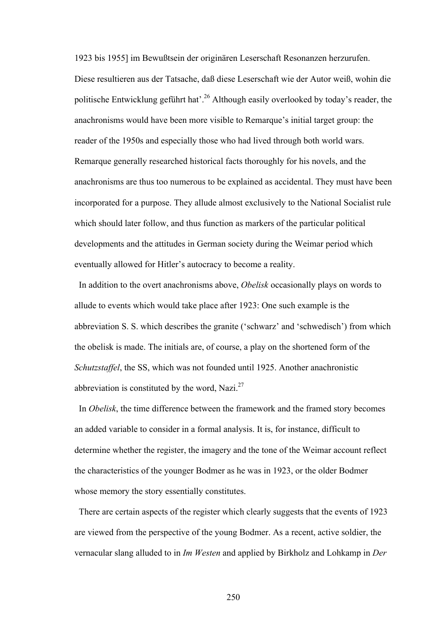1923 bis 1955] im Bewußtsein der originären Leserschaft Resonanzen herzurufen. Diese resultieren aus der Tatsache, daß diese Leserschaft wie der Autor weiß, wohin die politische Entwicklung geführt hat'.<sup>26</sup> Although easily overlooked by today's reader, the anachronisms would have been more visible to Remarque's initial target group: the reader of the 1950s and especially those who had lived through both world wars. Remarque generally researched historical facts thoroughly for his novels, and the anachronisms are thus too numerous to be explained as accidental. They must have been incorporated for a purpose. They allude almost exclusively to the National Socialist rule which should later follow, and thus function as markers of the particular political developments and the attitudes in German society during the Weimar period which eventually allowed for Hitler's autocracy to become a reality.

In addition to the overt anachronisms above, *Obelisk* occasionally plays on words to allude to events which would take place after 1923: One such example is the abbreviation S. S. which describes the granite ('schwarz' and 'schwedisch') from which the obelisk is made. The initials are, of course, a play on the shortened form of the *Schutzstaffel*, the SS, which was not founded until 1925. Another anachronistic abbreviation is constituted by the word, Nazi. $27$ 

In *Obelisk*, the time difference between the framework and the framed story becomes an added variable to consider in a formal analysis. It is, for instance, difficult to determine whether the register, the imagery and the tone of the Weimar account reflect the characteristics of the younger Bodmer as he was in 1923, or the older Bodmer whose memory the story essentially constitutes.

 There are certain aspects of the register which clearly suggests that the events of 1923 are viewed from the perspective of the young Bodmer. As a recent, active soldier, the vernacular slang alluded to in *Im Westen* and applied by Birkholz and Lohkamp in *Der*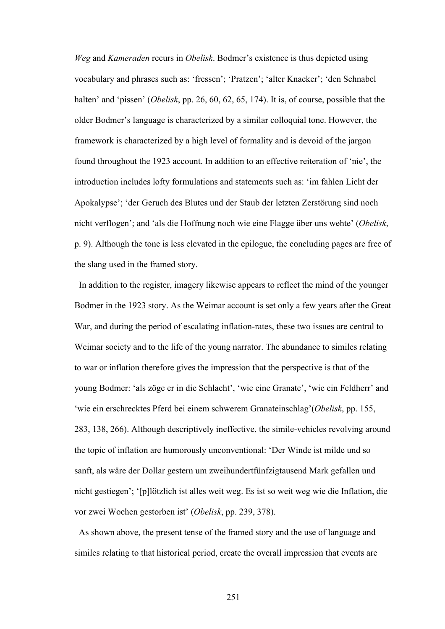*Weg* and *Kameraden* recurs in *Obelisk*. Bodmer's existence is thus depicted using vocabulary and phrases such as: 'fressen'; 'Pratzen'; 'alter Knacker'; 'den Schnabel halten' and 'pissen' (*Obelisk*, pp. 26, 60, 62, 65, 174). It is, of course, possible that the older Bodmer's language is characterized by a similar colloquial tone. However, the framework is characterized by a high level of formality and is devoid of the jargon found throughout the 1923 account. In addition to an effective reiteration of 'nie', the introduction includes lofty formulations and statements such as: 'im fahlen Licht der Apokalypse'; 'der Geruch des Blutes und der Staub der letzten Zerstörung sind noch nicht verflogen'; and 'als die Hoffnung noch wie eine Flagge über uns wehte' (*Obelisk*, p. 9). Although the tone is less elevated in the epilogue, the concluding pages are free of the slang used in the framed story.

 In addition to the register, imagery likewise appears to reflect the mind of the younger Bodmer in the 1923 story. As the Weimar account is set only a few years after the Great War, and during the period of escalating inflation-rates, these two issues are central to Weimar society and to the life of the young narrator. The abundance to similes relating to war or inflation therefore gives the impression that the perspective is that of the young Bodmer: 'als zöge er in die Schlacht', 'wie eine Granate', 'wie ein Feldherr' and 'wie ein erschrecktes Pferd bei einem schwerem Granateinschlag'(*Obelisk*, pp. 155, 283, 138, 266). Although descriptively ineffective, the simile-vehicles revolving around the topic of inflation are humorously unconventional: 'Der Winde ist milde und so sanft, als wäre der Dollar gestern um zweihundertfünfzigtausend Mark gefallen und nicht gestiegen'; '[p]lötzlich ist alles weit weg. Es ist so weit weg wie die Inflation, die vor zwei Wochen gestorben ist' (*Obelisk*, pp. 239, 378).

 As shown above, the present tense of the framed story and the use of language and similes relating to that historical period, create the overall impression that events are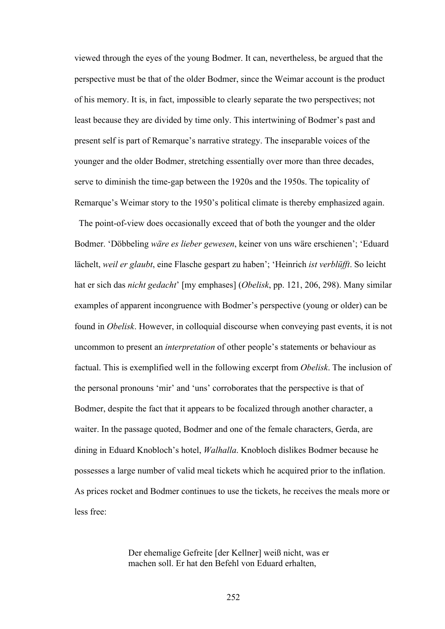viewed through the eyes of the young Bodmer. It can, nevertheless, be argued that the perspective must be that of the older Bodmer, since the Weimar account is the product of his memory. It is, in fact, impossible to clearly separate the two perspectives; not least because they are divided by time only. This intertwining of Bodmer's past and present self is part of Remarque's narrative strategy. The inseparable voices of the younger and the older Bodmer, stretching essentially over more than three decades, serve to diminish the time-gap between the 1920s and the 1950s. The topicality of Remarque's Weimar story to the 1950's political climate is thereby emphasized again.

 The point-of-view does occasionally exceed that of both the younger and the older Bodmer. 'Döbbeling *wäre es lieber gewesen*, keiner von uns wäre erschienen'; 'Eduard lächelt, *weil er glaubt*, eine Flasche gespart zu haben'; 'Heinrich *ist verblüfft*. So leicht hat er sich das *nicht gedacht*' [my emphases] (*Obelisk*, pp. 121, 206, 298). Many similar examples of apparent incongruence with Bodmer's perspective (young or older) can be found in *Obelisk*. However, in colloquial discourse when conveying past events, it is not uncommon to present an *interpretation* of other people's statements or behaviour as factual. This is exemplified well in the following excerpt from *Obelisk*. The inclusion of the personal pronouns 'mir' and 'uns' corroborates that the perspective is that of Bodmer, despite the fact that it appears to be focalized through another character, a waiter. In the passage quoted, Bodmer and one of the female characters, Gerda, are dining in Eduard Knobloch's hotel, *Walhalla*. Knobloch dislikes Bodmer because he possesses a large number of valid meal tickets which he acquired prior to the inflation. As prices rocket and Bodmer continues to use the tickets, he receives the meals more or less free:

> Der ehemalige Gefreite [der Kellner] weiß nicht, was er machen soll. Er hat den Befehl von Eduard erhalten,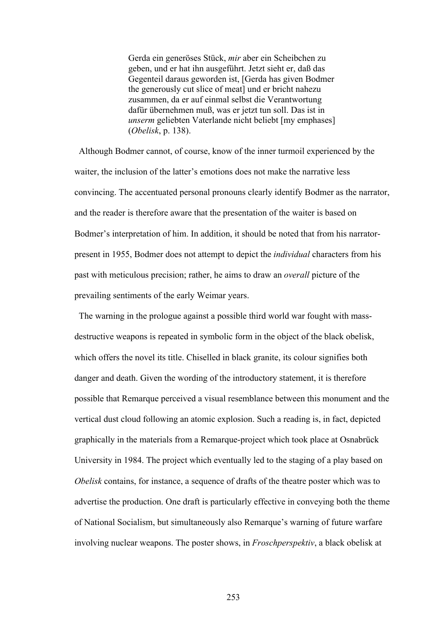Gerda ein generöses Stück, *mir* aber ein Scheibchen zu geben, und er hat ihn ausgeführt. Jetzt sieht er, daß das Gegenteil daraus geworden ist, [Gerda has given Bodmer the generously cut slice of meat] und er bricht nahezu zusammen, da er auf einmal selbst die Verantwortung dafür übernehmen muß, was er jetzt tun soll. Das ist in *unserm* geliebten Vaterlande nicht beliebt [my emphases] (*Obelisk*, p. 138).

 Although Bodmer cannot, of course, know of the inner turmoil experienced by the waiter, the inclusion of the latter's emotions does not make the narrative less convincing. The accentuated personal pronouns clearly identify Bodmer as the narrator, and the reader is therefore aware that the presentation of the waiter is based on Bodmer's interpretation of him. In addition, it should be noted that from his narratorpresent in 1955, Bodmer does not attempt to depict the *individual* characters from his past with meticulous precision; rather, he aims to draw an *overall* picture of the prevailing sentiments of the early Weimar years.

 The warning in the prologue against a possible third world war fought with massdestructive weapons is repeated in symbolic form in the object of the black obelisk, which offers the novel its title. Chiselled in black granite, its colour signifies both danger and death. Given the wording of the introductory statement, it is therefore possible that Remarque perceived a visual resemblance between this monument and the vertical dust cloud following an atomic explosion. Such a reading is, in fact, depicted graphically in the materials from a Remarque-project which took place at Osnabrück University in 1984. The project which eventually led to the staging of a play based on *Obelisk* contains, for instance, a sequence of drafts of the theatre poster which was to advertise the production. One draft is particularly effective in conveying both the theme of National Socialism, but simultaneously also Remarque's warning of future warfare involving nuclear weapons. The poster shows, in *Froschperspektiv*, a black obelisk at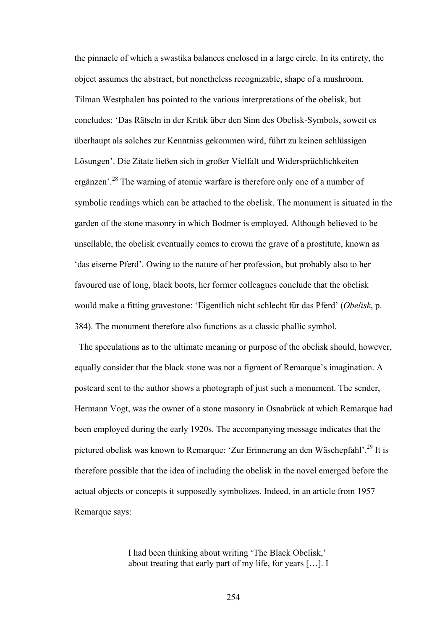the pinnacle of which a swastika balances enclosed in a large circle. In its entirety, the object assumes the abstract, but nonetheless recognizable, shape of a mushroom. Tilman Westphalen has pointed to the various interpretations of the obelisk, but concludes: 'Das Rätseln in der Kritik über den Sinn des Obelisk-Symbols, soweit es überhaupt als solches zur Kenntniss gekommen wird, führt zu keinen schlüssigen Lösungen'. Die Zitate ließen sich in großer Vielfalt und Widersprüchlichkeiten ergänzen'.<sup>28</sup> The warning of atomic warfare is therefore only one of a number of symbolic readings which can be attached to the obelisk. The monument is situated in the garden of the stone masonry in which Bodmer is employed. Although believed to be unsellable, the obelisk eventually comes to crown the grave of a prostitute, known as 'das eiserne Pferd'. Owing to the nature of her profession, but probably also to her favoured use of long, black boots, her former colleagues conclude that the obelisk would make a fitting gravestone: 'Eigentlich nicht schlecht für das Pferd' (*Obelisk*, p. 384). The monument therefore also functions as a classic phallic symbol.

 The speculations as to the ultimate meaning or purpose of the obelisk should, however, equally consider that the black stone was not a figment of Remarque's imagination. A postcard sent to the author shows a photograph of just such a monument. The sender, Hermann Vogt, was the owner of a stone masonry in Osnabrück at which Remarque had been employed during the early 1920s. The accompanying message indicates that the pictured obelisk was known to Remarque: 'Zur Erinnerung an den Wäschepfahl'.29 It is therefore possible that the idea of including the obelisk in the novel emerged before the actual objects or concepts it supposedly symbolizes. Indeed, in an article from 1957 Remarque says:

> I had been thinking about writing 'The Black Obelisk,' about treating that early part of my life, for years […]. I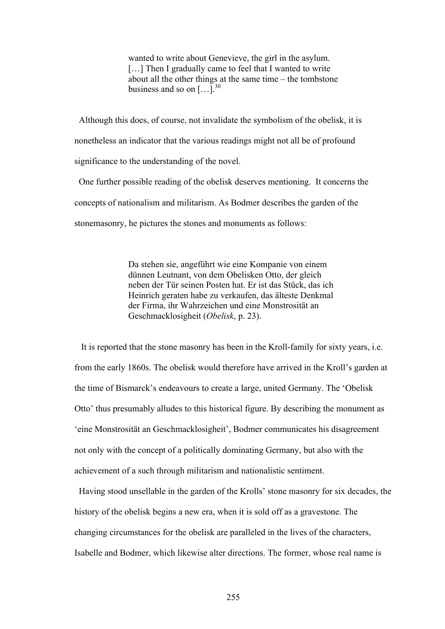wanted to write about Genevieve, the girl in the asylum. [...] Then I gradually came to feel that I wanted to write about all the other things at the same time – the tombstone business and so on  $\left[ \ldots \right]$ <sup>30</sup>

 Although this does, of course, not invalidate the symbolism of the obelisk, it is nonetheless an indicator that the various readings might not all be of profound significance to the understanding of the novel.

 One further possible reading of the obelisk deserves mentioning. It concerns the concepts of nationalism and militarism. As Bodmer describes the garden of the stonemasonry, he pictures the stones and monuments as follows:

> Da stehen sie, angeführt wie eine Kompanie von einem dünnen Leutnant, von dem Obelisken Otto, der gleich neben der Tür seinen Posten hat. Er ist das Stück, das ich Heinrich geraten habe zu verkaufen, das älteste Denkmal der Firma, ihr Wahrzeichen und eine Monstrosität an Geschmacklosigheit (*Obelisk*, p. 23).

 It is reported that the stone masonry has been in the Kroll-family for sixty years, i.e. from the early 1860s. The obelisk would therefore have arrived in the Kroll's garden at the time of Bismarck's endeavours to create a large, united Germany. The 'Obelisk Otto' thus presumably alludes to this historical figure. By describing the monument as 'eine Monstrosität an Geschmacklosigheit', Bodmer communicates his disagreement not only with the concept of a politically dominating Germany, but also with the achievement of a such through militarism and nationalistic sentiment.

 Having stood unsellable in the garden of the Krolls' stone masonry for six decades, the history of the obelisk begins a new era, when it is sold off as a gravestone. The changing circumstances for the obelisk are paralleled in the lives of the characters, Isabelle and Bodmer, which likewise alter directions. The former, whose real name is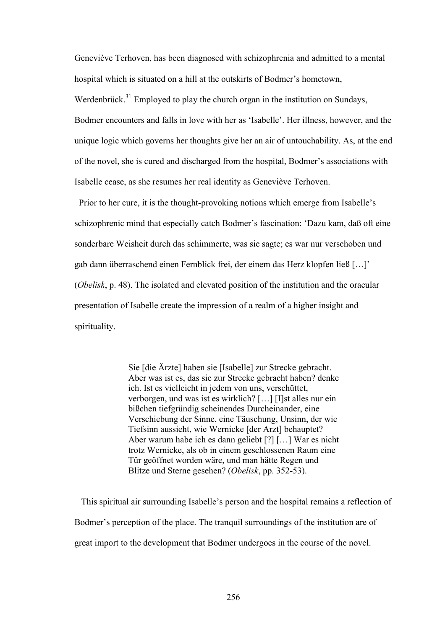Geneviève Terhoven, has been diagnosed with schizophrenia and admitted to a mental hospital which is situated on a hill at the outskirts of Bodmer's hometown, Werdenbrück.<sup>31</sup> Employed to play the church organ in the institution on Sundays, Bodmer encounters and falls in love with her as 'Isabelle'. Her illness, however, and the unique logic which governs her thoughts give her an air of untouchability. As, at the end of the novel, she is cured and discharged from the hospital, Bodmer's associations with Isabelle cease, as she resumes her real identity as Geneviève Terhoven.

 Prior to her cure, it is the thought-provoking notions which emerge from Isabelle's schizophrenic mind that especially catch Bodmer's fascination: 'Dazu kam, daß oft eine sonderbare Weisheit durch das schimmerte, was sie sagte; es war nur verschoben und gab dann überraschend einen Fernblick frei, der einem das Herz klopfen ließ […]' (*Obelisk*, p. 48). The isolated and elevated position of the institution and the oracular presentation of Isabelle create the impression of a realm of a higher insight and spirituality.

> Sie [die Ärzte] haben sie [Isabelle] zur Strecke gebracht. Aber was ist es, das sie zur Strecke gebracht haben? denke ich. Ist es vielleicht in jedem von uns, verschüttet, verborgen, und was ist es wirklich? […] [I]st alles nur ein bißchen tiefgründig scheinendes Durcheinander, eine Verschiebung der Sinne, eine Täuschung, Unsinn, der wie Tiefsinn aussieht, wie Wernicke [der Arzt] behauptet? Aber warum habe ich es dann geliebt [?] […] War es nicht trotz Wernicke, als ob in einem geschlossenen Raum eine Tür geöffnet worden wäre, und man hätte Regen und Blitze und Sterne gesehen? (*Obelisk*, pp. 352-53).

 This spiritual air surrounding Isabelle's person and the hospital remains a reflection of Bodmer's perception of the place. The tranquil surroundings of the institution are of great import to the development that Bodmer undergoes in the course of the novel.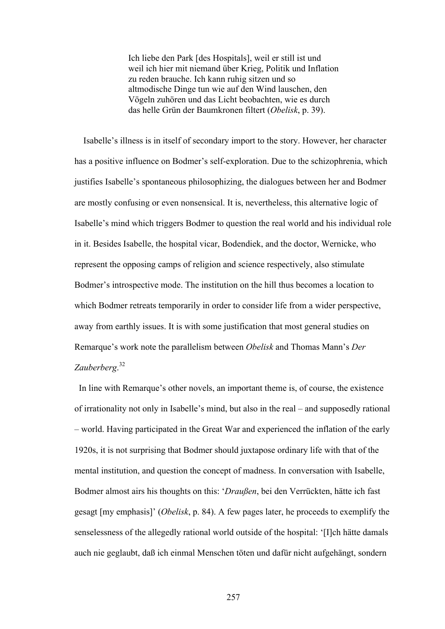Ich liebe den Park [des Hospitals], weil er still ist und weil ich hier mit niemand über Krieg, Politik und Inflation zu reden brauche. Ich kann ruhig sitzen und so altmodische Dinge tun wie auf den Wind lauschen, den Vögeln zuhören und das Licht beobachten, wie es durch das helle Grün der Baumkronen filtert (*Obelisk*, p. 39).

 Isabelle's illness is in itself of secondary import to the story. However, her character has a positive influence on Bodmer's self-exploration. Due to the schizophrenia, which justifies Isabelle's spontaneous philosophizing, the dialogues between her and Bodmer are mostly confusing or even nonsensical. It is, nevertheless, this alternative logic of Isabelle's mind which triggers Bodmer to question the real world and his individual role in it. Besides Isabelle, the hospital vicar, Bodendiek, and the doctor, Wernicke, who represent the opposing camps of religion and science respectively, also stimulate Bodmer's introspective mode. The institution on the hill thus becomes a location to which Bodmer retreats temporarily in order to consider life from a wider perspective, away from earthly issues. It is with some justification that most general studies on Remarque's work note the parallelism between *Obelisk* and Thomas Mann's *Der Zauberberg*. 32

 In line with Remarque's other novels, an important theme is, of course, the existence of irrationality not only in Isabelle's mind, but also in the real – and supposedly rational – world. Having participated in the Great War and experienced the inflation of the early 1920s, it is not surprising that Bodmer should juxtapose ordinary life with that of the mental institution, and question the concept of madness. In conversation with Isabelle, Bodmer almost airs his thoughts on this: '*Draußen*, bei den Verrückten, hätte ich fast gesagt [my emphasis]' (*Obelisk*, p. 84). A few pages later, he proceeds to exemplify the senselessness of the allegedly rational world outside of the hospital: '[I]ch hätte damals auch nie geglaubt, daß ich einmal Menschen töten und dafür nicht aufgehängt, sondern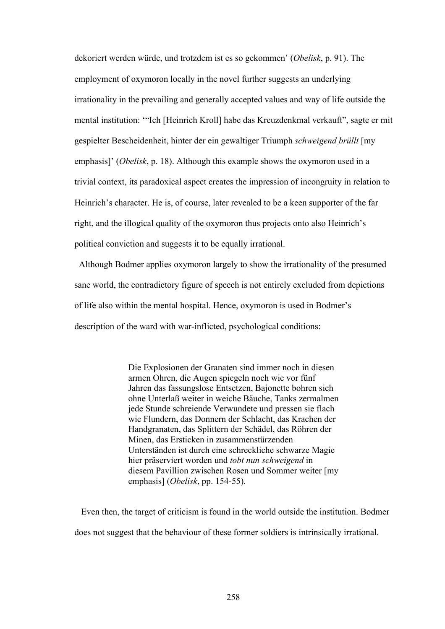dekoriert werden würde, und trotzdem ist es so gekommen' (*Obelisk*, p. 91). The employment of oxymoron locally in the novel further suggests an underlying irrationality in the prevailing and generally accepted values and way of life outside the mental institution: '"Ich [Heinrich Kroll] habe das Kreuzdenkmal verkauft", sagte er mit gespielter Bescheidenheit, hinter der ein gewaltiger Triumph *schweigend brüllt* [my emphasis]' (*Obelisk*, p. 18). Although this example shows the oxymoron used in a trivial context, its paradoxical aspect creates the impression of incongruity in relation to Heinrich's character. He is, of course, later revealed to be a keen supporter of the far right, and the illogical quality of the oxymoron thus projects onto also Heinrich's political conviction and suggests it to be equally irrational.

 Although Bodmer applies oxymoron largely to show the irrationality of the presumed sane world, the contradictory figure of speech is not entirely excluded from depictions of life also within the mental hospital. Hence, oxymoron is used in Bodmer's description of the ward with war-inflicted, psychological conditions:

> Die Explosionen der Granaten sind immer noch in diesen armen Ohren, die Augen spiegeln noch wie vor fünf Jahren das fassungslose Entsetzen, Bajonette bohren sich ohne Unterlaß weiter in weiche Bäuche, Tanks zermalmen jede Stunde schreiende Verwundete und pressen sie flach wie Flundern, das Donnern der Schlacht, das Krachen der Handgranaten, das Splittern der Schädel, das Röhren der Minen, das Ersticken in zusammenstürzenden Unterständen ist durch eine schreckliche schwarze Magie hier präserviert worden und *tobt nun schweigend* in diesem Pavillion zwischen Rosen und Sommer weiter [my emphasis] (*Obelisk*, pp. 154-55).

 Even then, the target of criticism is found in the world outside the institution. Bodmer does not suggest that the behaviour of these former soldiers is intrinsically irrational.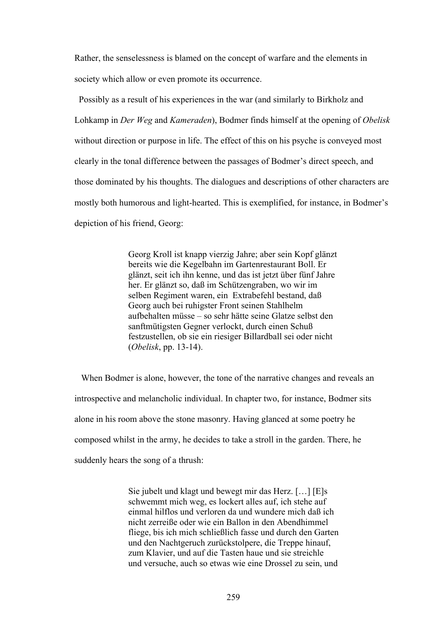Rather, the senselessness is blamed on the concept of warfare and the elements in society which allow or even promote its occurrence.

 Possibly as a result of his experiences in the war (and similarly to Birkholz and Lohkamp in *Der Weg* and *Kameraden*), Bodmer finds himself at the opening of *Obelisk* without direction or purpose in life. The effect of this on his psyche is conveyed most clearly in the tonal difference between the passages of Bodmer's direct speech, and those dominated by his thoughts. The dialogues and descriptions of other characters are mostly both humorous and light-hearted. This is exemplified, for instance, in Bodmer's depiction of his friend, Georg:

> Georg Kroll ist knapp vierzig Jahre; aber sein Kopf glänzt bereits wie die Kegelbahn im Gartenrestaurant Boll. Er glänzt, seit ich ihn kenne, und das ist jetzt über fünf Jahre her. Er glänzt so, daß im Schützengraben, wo wir im selben Regiment waren, ein Extrabefehl bestand, daß Georg auch bei ruhigster Front seinen Stahlhelm aufbehalten müsse – so sehr hätte seine Glatze selbst den sanftmütigsten Gegner verlockt, durch einen Schuß festzustellen, ob sie ein riesiger Billardball sei oder nicht (*Obelisk*, pp. 13-14).

 When Bodmer is alone, however, the tone of the narrative changes and reveals an introspective and melancholic individual. In chapter two, for instance, Bodmer sits alone in his room above the stone masonry. Having glanced at some poetry he composed whilst in the army, he decides to take a stroll in the garden. There, he suddenly hears the song of a thrush:

> Sie jubelt und klagt und bewegt mir das Herz. […] [E]s schwemmt mich weg, es lockert alles auf, ich stehe auf einmal hilflos und verloren da und wundere mich daß ich nicht zerreiße oder wie ein Ballon in den Abendhimmel fliege, bis ich mich schließlich fasse und durch den Garten und den Nachtgeruch zurückstolpere, die Treppe hinauf, zum Klavier, und auf die Tasten haue und sie streichle und versuche, auch so etwas wie eine Drossel zu sein, und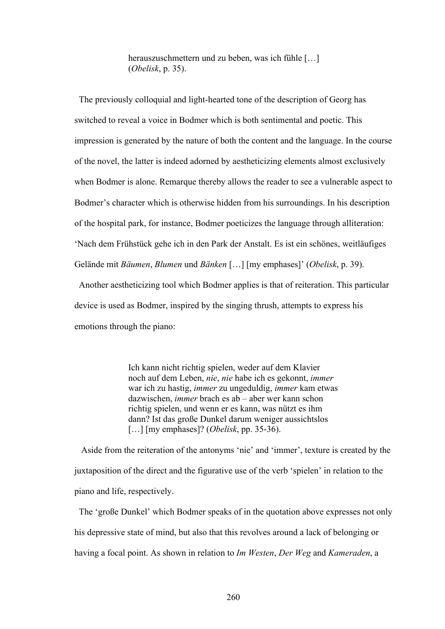herauszuschmettern und zu beben, was ich fühle […] (*Obelisk*, p. 35).

 The previously colloquial and light-hearted tone of the description of Georg has switched to reveal a voice in Bodmer which is both sentimental and poetic. This impression is generated by the nature of both the content and the language. In the course of the novel, the latter is indeed adorned by aestheticizing elements almost exclusively when Bodmer is alone. Remarque thereby allows the reader to see a vulnerable aspect to Bodmer's character which is otherwise hidden from his surroundings. In his description of the hospital park, for instance, Bodmer poeticizes the language through alliteration: 'Nach dem Frühstück gehe ich in den Park der Anstalt. Es ist ein schönes, weitläufiges Gelände mit *Bäumen*, *Blumen* und *Bänken* […] [my emphases]' (*Obelisk*, p. 39).

 Another aestheticizing tool which Bodmer applies is that of reiteration. This particular device is used as Bodmer, inspired by the singing thrush, attempts to express his emotions through the piano:

> Ich kann nicht richtig spielen, weder auf dem Klavier noch auf dem Leben, *nie*, *nie* habe ich es gekonnt, *immer* war ich zu hastig, *immer* zu ungeduldig, *immer* kam etwas dazwischen, *immer* brach es ab – aber wer kann schon richtig spielen, und wenn er es kann, was nützt es ihm dann? Ist das große Dunkel darum weniger aussichtslos […] [my emphases]? (*Obelisk*, pp. 35-36).

 Aside from the reiteration of the antonyms 'nie' and 'immer', texture is created by the juxtaposition of the direct and the figurative use of the verb 'spielen' in relation to the piano and life, respectively.

 The 'große Dunkel' which Bodmer speaks of in the quotation above expresses not only his depressive state of mind, but also that this revolves around a lack of belonging or having a focal point. As shown in relation to *Im Westen*, *Der Weg* and *Kameraden*, a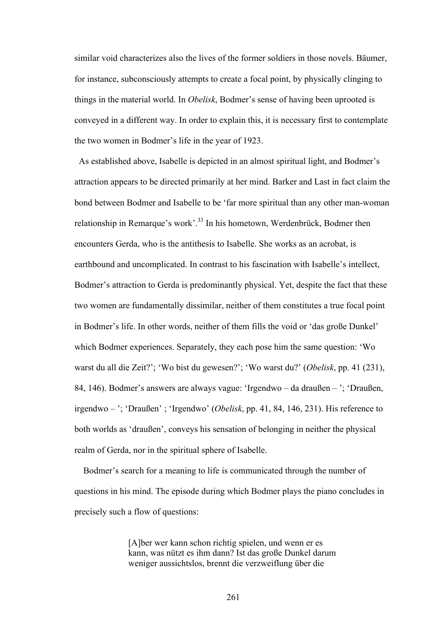similar void characterizes also the lives of the former soldiers in those novels. Bäumer, for instance, subconsciously attempts to create a focal point, by physically clinging to things in the material world. In *Obelisk*, Bodmer's sense of having been uprooted is conveyed in a different way. In order to explain this, it is necessary first to contemplate the two women in Bodmer's life in the year of 1923.

As established above, Isabelle is depicted in an almost spiritual light, and Bodmer's attraction appears to be directed primarily at her mind. Barker and Last in fact claim the bond between Bodmer and Isabelle to be 'far more spiritual than any other man-woman relationship in Remarque's work'.<sup>33</sup> In his hometown, Werdenbrück, Bodmer then encounters Gerda, who is the antithesis to Isabelle. She works as an acrobat, is earthbound and uncomplicated. In contrast to his fascination with Isabelle's intellect, Bodmer's attraction to Gerda is predominantly physical. Yet, despite the fact that these two women are fundamentally dissimilar, neither of them constitutes a true focal point in Bodmer's life. In other words, neither of them fills the void or 'das große Dunkel' which Bodmer experiences. Separately, they each pose him the same question: 'Wo warst du all die Zeit?'; 'Wo bist du gewesen?'; 'Wo warst du?' (*Obelisk*, pp. 41 (231), 84, 146). Bodmer's answers are always vague: 'Irgendwo – da draußen – '; 'Draußen, irgendwo – '; 'Draußen' ; 'Irgendwo' (*Obelisk*, pp. 41, 84, 146, 231). His reference to both worlds as 'draußen', conveys his sensation of belonging in neither the physical realm of Gerda, nor in the spiritual sphere of Isabelle.

 Bodmer's search for a meaning to life is communicated through the number of questions in his mind. The episode during which Bodmer plays the piano concludes in precisely such a flow of questions:

> [A]ber wer kann schon richtig spielen, und wenn er es kann, was nützt es ihm dann? Ist das große Dunkel darum weniger aussichtslos, brennt die verzweiflung über die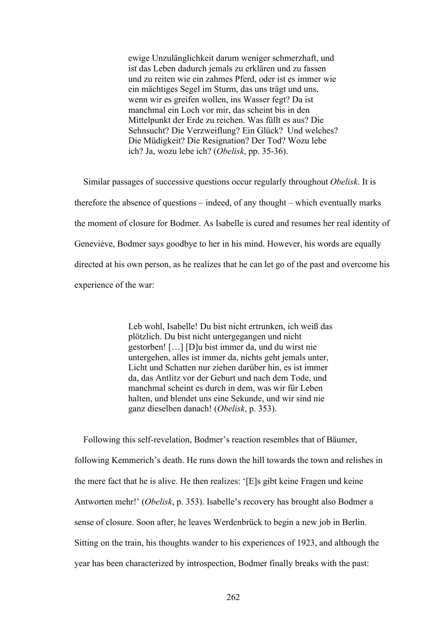ewige Unzulänglichkeit darum weniger schmerzhaft, und ist das Leben dadurch jemals zu erklären und zu fassen und zu reiten wie ein zahmes Pferd, oder ist es immer wie ein mächtiges Segel im Sturm, das uns trägt und uns, wenn wir es greifen wollen, ins Wasser fegt? Da ist manchmal ein Loch vor mir, das scheint bis in den Mittelpunkt der Erde zu reichen. Was füllt es aus? Die Sehnsucht? Die Verzweiflung? Ein Glück? Und welches? Die Müdigkeit? Die Resignation? Der Tod? Wozu lebe ich? Ja, wozu lebe ich? (*Obelisk*, pp. 35-36).

 Similar passages of successive questions occur regularly throughout *Obelisk*. It is therefore the absence of questions – indeed, of any thought – which eventually marks the moment of closure for Bodmer. As Isabelle is cured and resumes her real identity of Geneviève, Bodmer says goodbye to her in his mind. However, his words are equally directed at his own person, as he realizes that he can let go of the past and overcome his experience of the war:

> Leb wohl, Isabelle! Du bist nicht ertrunken, ich weiß das plötzlich. Du bist nicht untergegangen und nicht gestorben! […] [D]u bist immer da, und du wirst nie untergehen, alles ist immer da, nichts geht jemals unter, Licht und Schatten nur ziehen darüber hin, es ist immer da, das Antlitz vor der Geburt und nach dem Tode, und manchmal scheint es durch in dem, was wir für Leben halten, und blendet uns eine Sekunde, und wir sind nie ganz dieselben danach! (*Obelisk*, p. 353).

 Following this self-revelation, Bodmer's reaction resembles that of Bäumer, following Kemmerich's death. He runs down the hill towards the town and relishes in the mere fact that he is alive. He then realizes: '[E]s gibt keine Fragen und keine Antworten mehr!' (*Obelisk*, p. 353). Isabelle's recovery has brought also Bodmer a sense of closure. Soon after, he leaves Werdenbrück to begin a new job in Berlin. Sitting on the train, his thoughts wander to his experiences of 1923, and although the year has been characterized by introspection, Bodmer finally breaks with the past: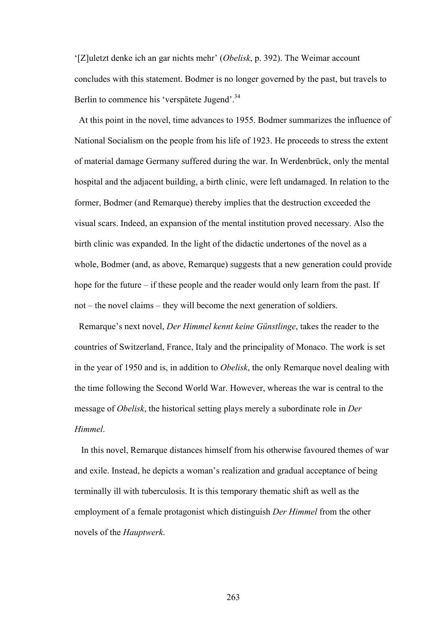'[Z]uletzt denke ich an gar nichts mehr' (*Obelisk*, p. 392). The Weimar account concludes with this statement. Bodmer is no longer governed by the past, but travels to Berlin to commence his 'verspätete Jugend'.<sup>34</sup>

 At this point in the novel, time advances to 1955. Bodmer summarizes the influence of National Socialism on the people from his life of 1923. He proceeds to stress the extent of material damage Germany suffered during the war. In Werdenbrück, only the mental hospital and the adjacent building, a birth clinic, were left undamaged. In relation to the former, Bodmer (and Remarque) thereby implies that the destruction exceeded the visual scars. Indeed, an expansion of the mental institution proved necessary. Also the birth clinic was expanded. In the light of the didactic undertones of the novel as a whole, Bodmer (and, as above, Remarque) suggests that a new generation could provide hope for the future – if these people and the reader would only learn from the past. If not – the novel claims – they will become the next generation of soldiers.

Remarque's next novel, *Der Himmel kennt keine Günstlinge*, takes the reader to the countries of Switzerland, France, Italy and the principality of Monaco. The work is set in the year of 1950 and is, in addition to *Obelisk*, the only Remarque novel dealing with the time following the Second World War. However, whereas the war is central to the message of *Obelisk*, the historical setting plays merely a subordinate role in *Der Himmel*.

 In this novel, Remarque distances himself from his otherwise favoured themes of war and exile. Instead, he depicts a woman's realization and gradual acceptance of being terminally ill with tuberculosis. It is this temporary thematic shift as well as the employment of a female protagonist which distinguish *Der Himmel* from the other novels of the *Hauptwerk*.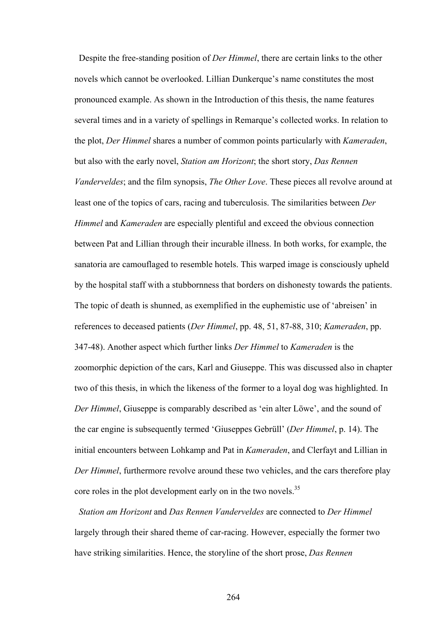Despite the free-standing position of *Der Himmel*, there are certain links to the other novels which cannot be overlooked. Lillian Dunkerque's name constitutes the most pronounced example. As shown in the Introduction of this thesis, the name features several times and in a variety of spellings in Remarque's collected works. In relation to the plot, *Der Himmel* shares a number of common points particularly with *Kameraden*, but also with the early novel, *Station am Horizont*; the short story, *Das Rennen Vanderveldes*; and the film synopsis, *The Other Love*. These pieces all revolve around at least one of the topics of cars, racing and tuberculosis. The similarities between *Der Himmel* and *Kameraden* are especially plentiful and exceed the obvious connection between Pat and Lillian through their incurable illness. In both works, for example, the sanatoria are camouflaged to resemble hotels. This warped image is consciously upheld by the hospital staff with a stubbornness that borders on dishonesty towards the patients. The topic of death is shunned, as exemplified in the euphemistic use of 'abreisen' in references to deceased patients (*Der Himmel*, pp. 48, 51, 87-88, 310; *Kameraden*, pp. 347-48). Another aspect which further links *Der Himmel* to *Kameraden* is the zoomorphic depiction of the cars, Karl and Giuseppe. This was discussed also in chapter two of this thesis, in which the likeness of the former to a loyal dog was highlighted. In *Der Himmel*, Giuseppe is comparably described as 'ein alter Löwe', and the sound of the car engine is subsequently termed 'Giuseppes Gebrüll' (*Der Himmel*, p. 14). The initial encounters between Lohkamp and Pat in *Kameraden*, and Clerfayt and Lillian in *Der Himmel*, furthermore revolve around these two vehicles, and the cars therefore play core roles in the plot development early on in the two novels.<sup>35</sup>

 *Station am Horizont* and *Das Rennen Vanderveldes* are connected to *Der Himmel* largely through their shared theme of car-racing. However, especially the former two have striking similarities. Hence, the storyline of the short prose, *Das Rennen*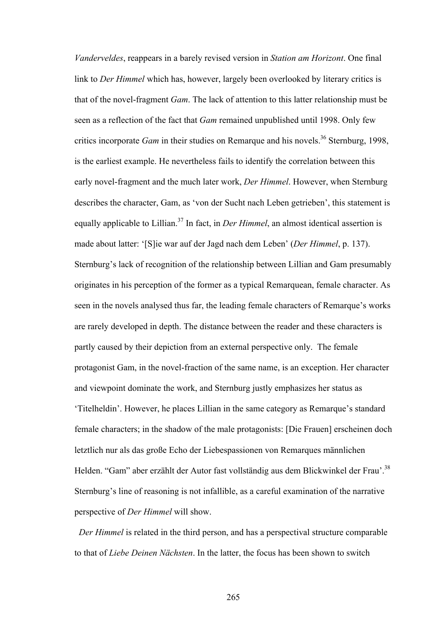*Vanderveldes*, reappears in a barely revised version in *Station am Horizont*. One final link to *Der Himmel* which has, however, largely been overlooked by literary critics is that of the novel-fragment *Gam*. The lack of attention to this latter relationship must be seen as a reflection of the fact that *Gam* remained unpublished until 1998. Only few critics incorporate *Gam* in their studies on Remarque and his novels.<sup>36</sup> Sternburg, 1998, is the earliest example. He nevertheless fails to identify the correlation between this early novel-fragment and the much later work, *Der Himmel*. However, when Sternburg describes the character, Gam, as 'von der Sucht nach Leben getrieben', this statement is equally applicable to Lillian.<sup>37</sup> In fact, in *Der Himmel*, an almost identical assertion is made about latter: '[S]ie war auf der Jagd nach dem Leben' (*Der Himmel*, p. 137). Sternburg's lack of recognition of the relationship between Lillian and Gam presumably originates in his perception of the former as a typical Remarquean, female character. As seen in the novels analysed thus far, the leading female characters of Remarque's works are rarely developed in depth. The distance between the reader and these characters is partly caused by their depiction from an external perspective only. The female protagonist Gam, in the novel-fraction of the same name, is an exception. Her character and viewpoint dominate the work, and Sternburg justly emphasizes her status as 'Titelheldin'. However, he places Lillian in the same category as Remarque's standard female characters; in the shadow of the male protagonists: [Die Frauen] erscheinen doch letztlich nur als das große Echo der Liebespassionen von Remarques männlichen Helden. "Gam" aber erzählt der Autor fast vollständig aus dem Blickwinkel der Frau'.<sup>38</sup> Sternburg's line of reasoning is not infallible, as a careful examination of the narrative perspective of *Der Himmel* will show.

*Der Himmel* is related in the third person, and has a perspectival structure comparable to that of *Liebe Deinen Nächsten*. In the latter, the focus has been shown to switch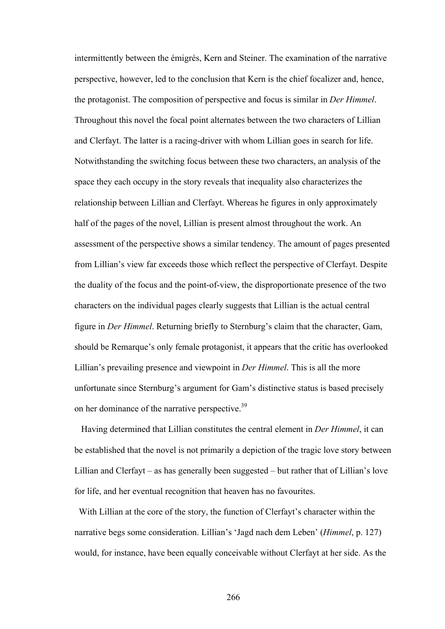intermittently between the émigrés, Kern and Steiner. The examination of the narrative perspective, however, led to the conclusion that Kern is the chief focalizer and, hence, the protagonist. The composition of perspective and focus is similar in *Der Himmel*. Throughout this novel the focal point alternates between the two characters of Lillian and Clerfayt. The latter is a racing-driver with whom Lillian goes in search for life. Notwithstanding the switching focus between these two characters, an analysis of the space they each occupy in the story reveals that inequality also characterizes the relationship between Lillian and Clerfayt. Whereas he figures in only approximately half of the pages of the novel, Lillian is present almost throughout the work. An assessment of the perspective shows a similar tendency. The amount of pages presented from Lillian's view far exceeds those which reflect the perspective of Clerfayt. Despite the duality of the focus and the point-of-view, the disproportionate presence of the two characters on the individual pages clearly suggests that Lillian is the actual central figure in *Der Himmel*. Returning briefly to Sternburg's claim that the character, Gam, should be Remarque's only female protagonist, it appears that the critic has overlooked Lillian's prevailing presence and viewpoint in *Der Himmel*. This is all the more unfortunate since Sternburg's argument for Gam's distinctive status is based precisely on her dominance of the narrative perspective.<sup>39</sup>

 Having determined that Lillian constitutes the central element in *Der Himmel*, it can be established that the novel is not primarily a depiction of the tragic love story between Lillian and Clerfayt – as has generally been suggested – but rather that of Lillian's love for life, and her eventual recognition that heaven has no favourites.

 With Lillian at the core of the story, the function of Clerfayt's character within the narrative begs some consideration. Lillian's 'Jagd nach dem Leben' (*Himmel*, p. 127) would, for instance, have been equally conceivable without Clerfayt at her side. As the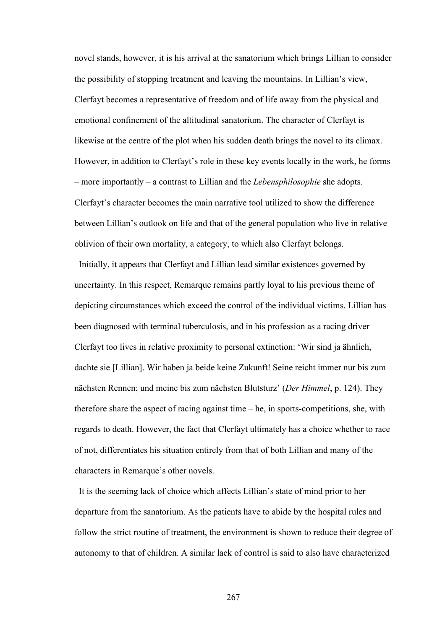novel stands, however, it is his arrival at the sanatorium which brings Lillian to consider the possibility of stopping treatment and leaving the mountains. In Lillian's view, Clerfayt becomes a representative of freedom and of life away from the physical and emotional confinement of the altitudinal sanatorium. The character of Clerfayt is likewise at the centre of the plot when his sudden death brings the novel to its climax. However, in addition to Clerfayt's role in these key events locally in the work, he forms – more importantly – a contrast to Lillian and the *Lebensphilosophie* she adopts. Clerfayt's character becomes the main narrative tool utilized to show the difference between Lillian's outlook on life and that of the general population who live in relative oblivion of their own mortality, a category, to which also Clerfayt belongs.

 Initially, it appears that Clerfayt and Lillian lead similar existences governed by uncertainty. In this respect, Remarque remains partly loyal to his previous theme of depicting circumstances which exceed the control of the individual victims. Lillian has been diagnosed with terminal tuberculosis, and in his profession as a racing driver Clerfayt too lives in relative proximity to personal extinction: 'Wir sind ja ähnlich, dachte sie [Lillian]. Wir haben ja beide keine Zukunft! Seine reicht immer nur bis zum nächsten Rennen; und meine bis zum nächsten Blutsturz' (*Der Himmel*, p. 124). They therefore share the aspect of racing against time – he, in sports-competitions, she, with regards to death. However, the fact that Clerfayt ultimately has a choice whether to race of not, differentiates his situation entirely from that of both Lillian and many of the characters in Remarque's other novels.

It is the seeming lack of choice which affects Lillian's state of mind prior to her departure from the sanatorium. As the patients have to abide by the hospital rules and follow the strict routine of treatment, the environment is shown to reduce their degree of autonomy to that of children. A similar lack of control is said to also have characterized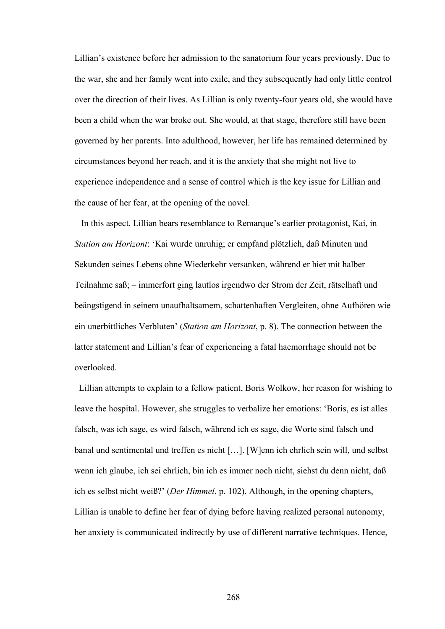Lillian's existence before her admission to the sanatorium four years previously. Due to the war, she and her family went into exile, and they subsequently had only little control over the direction of their lives. As Lillian is only twenty-four years old, she would have been a child when the war broke out. She would, at that stage, therefore still have been governed by her parents. Into adulthood, however, her life has remained determined by circumstances beyond her reach, and it is the anxiety that she might not live to experience independence and a sense of control which is the key issue for Lillian and the cause of her fear, at the opening of the novel.

 In this aspect, Lillian bears resemblance to Remarque's earlier protagonist, Kai, in *Station am Horizont*: 'Kai wurde unruhig; er empfand plötzlich, daß Minuten und Sekunden seines Lebens ohne Wiederkehr versanken, während er hier mit halber Teilnahme saß; – immerfort ging lautlos irgendwo der Strom der Zeit, rätselhaft und beängstigend in seinem unaufhaltsamem, schattenhaften Vergleiten, ohne Aufhören wie ein unerbittliches Verbluten' (*Station am Horizont*, p. 8). The connection between the latter statement and Lillian's fear of experiencing a fatal haemorrhage should not be overlooked.

 Lillian attempts to explain to a fellow patient, Boris Wolkow, her reason for wishing to leave the hospital. However, she struggles to verbalize her emotions: 'Boris, es ist alles falsch, was ich sage, es wird falsch, während ich es sage, die Worte sind falsch und banal und sentimental und treffen es nicht […]. [W]enn ich ehrlich sein will, und selbst wenn ich glaube, ich sei ehrlich, bin ich es immer noch nicht, siehst du denn nicht, daß ich es selbst nicht weiß?' (*Der Himmel*, p. 102). Although, in the opening chapters, Lillian is unable to define her fear of dying before having realized personal autonomy, her anxiety is communicated indirectly by use of different narrative techniques. Hence,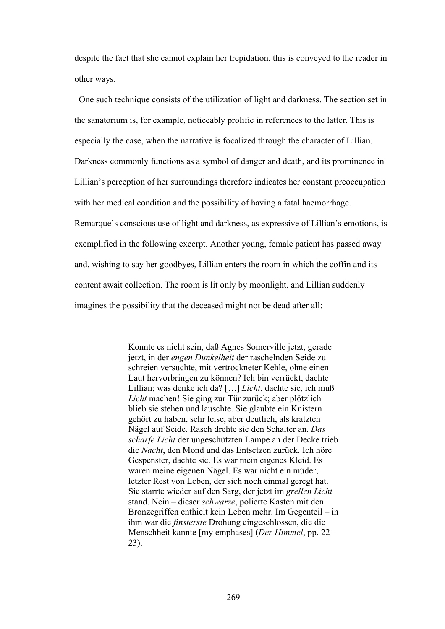despite the fact that she cannot explain her trepidation, this is conveyed to the reader in other ways.

 One such technique consists of the utilization of light and darkness. The section set in the sanatorium is, for example, noticeably prolific in references to the latter. This is especially the case, when the narrative is focalized through the character of Lillian. Darkness commonly functions as a symbol of danger and death, and its prominence in Lillian's perception of her surroundings therefore indicates her constant preoccupation with her medical condition and the possibility of having a fatal haemorrhage. Remarque's conscious use of light and darkness, as expressive of Lillian's emotions, is exemplified in the following excerpt. Another young, female patient has passed away and, wishing to say her goodbyes, Lillian enters the room in which the coffin and its content await collection. The room is lit only by moonlight, and Lillian suddenly imagines the possibility that the deceased might not be dead after all:

> Konnte es nicht sein, daß Agnes Somerville jetzt, gerade jetzt, in der *engen Dunkelheit* der raschelnden Seide zu schreien versuchte, mit vertrockneter Kehle, ohne einen Laut hervorbringen zu können? Ich bin verrückt, dachte Lillian; was denke ich da? […] *Licht*, dachte sie, ich muß *Licht* machen! Sie ging zur Tür zurück; aber plötzlich blieb sie stehen und lauschte. Sie glaubte ein Knistern gehört zu haben, sehr leise, aber deutlich, als kratzten Nägel auf Seide. Rasch drehte sie den Schalter an. *Das scharfe Licht* der ungeschützten Lampe an der Decke trieb die *Nacht*, den Mond und das Entsetzen zurück. Ich höre Gespenster, dachte sie. Es war mein eigenes Kleid. Es waren meine eigenen Nägel. Es war nicht ein müder, letzter Rest von Leben, der sich noch einmal geregt hat. Sie starrte wieder auf den Sarg, der jetzt im *grellen Licht* stand. Nein – dieser *schwarze*, polierte Kasten mit den Bronzegriffen enthielt kein Leben mehr. Im Gegenteil – in ihm war die *finsterste* Drohung eingeschlossen, die die Menschheit kannte [my emphases] (*Der Himmel*, pp. 22- 23).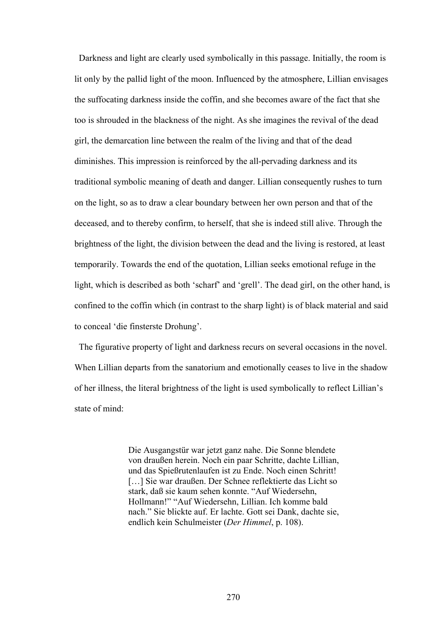Darkness and light are clearly used symbolically in this passage. Initially, the room is lit only by the pallid light of the moon. Influenced by the atmosphere, Lillian envisages the suffocating darkness inside the coffin, and she becomes aware of the fact that she too is shrouded in the blackness of the night. As she imagines the revival of the dead girl, the demarcation line between the realm of the living and that of the dead diminishes. This impression is reinforced by the all-pervading darkness and its traditional symbolic meaning of death and danger. Lillian consequently rushes to turn on the light, so as to draw a clear boundary between her own person and that of the deceased, and to thereby confirm, to herself, that she is indeed still alive. Through the brightness of the light, the division between the dead and the living is restored, at least temporarily. Towards the end of the quotation, Lillian seeks emotional refuge in the light, which is described as both 'scharf' and 'grell'. The dead girl, on the other hand, is confined to the coffin which (in contrast to the sharp light) is of black material and said to conceal 'die finsterste Drohung'.

 The figurative property of light and darkness recurs on several occasions in the novel. When Lillian departs from the sanatorium and emotionally ceases to live in the shadow of her illness, the literal brightness of the light is used symbolically to reflect Lillian's state of mind:

> Die Ausgangstür war jetzt ganz nahe. Die Sonne blendete von draußen herein. Noch ein paar Schritte, dachte Lillian, und das Spießrutenlaufen ist zu Ende. Noch einen Schritt! [...] Sie war draußen. Der Schnee reflektierte das Licht so stark, daß sie kaum sehen konnte. "Auf Wiedersehn, Hollmann!" "Auf Wiedersehn, Lillian. Ich komme bald nach." Sie blickte auf. Er lachte. Gott sei Dank, dachte sie, endlich kein Schulmeister (*Der Himmel*, p. 108).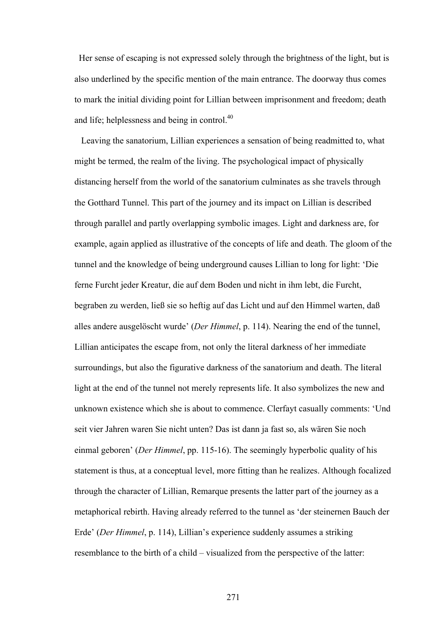Her sense of escaping is not expressed solely through the brightness of the light, but is also underlined by the specific mention of the main entrance. The doorway thus comes to mark the initial dividing point for Lillian between imprisonment and freedom; death and life; helplessness and being in control.<sup>40</sup>

 Leaving the sanatorium, Lillian experiences a sensation of being readmitted to, what might be termed, the realm of the living. The psychological impact of physically distancing herself from the world of the sanatorium culminates as she travels through the Gotthard Tunnel. This part of the journey and its impact on Lillian is described through parallel and partly overlapping symbolic images. Light and darkness are, for example, again applied as illustrative of the concepts of life and death. The gloom of the tunnel and the knowledge of being underground causes Lillian to long for light: 'Die ferne Furcht jeder Kreatur, die auf dem Boden und nicht in ihm lebt, die Furcht, begraben zu werden, ließ sie so heftig auf das Licht und auf den Himmel warten, daß alles andere ausgelöscht wurde' (*Der Himmel*, p. 114). Nearing the end of the tunnel, Lillian anticipates the escape from, not only the literal darkness of her immediate surroundings, but also the figurative darkness of the sanatorium and death. The literal light at the end of the tunnel not merely represents life. It also symbolizes the new and unknown existence which she is about to commence. Clerfayt casually comments: 'Und seit vier Jahren waren Sie nicht unten? Das ist dann ja fast so, als wären Sie noch einmal geboren' (*Der Himmel*, pp. 115-16). The seemingly hyperbolic quality of his statement is thus, at a conceptual level, more fitting than he realizes. Although focalized through the character of Lillian, Remarque presents the latter part of the journey as a metaphorical rebirth. Having already referred to the tunnel as 'der steinernen Bauch der Erde' (*Der Himmel*, p. 114), Lillian's experience suddenly assumes a striking resemblance to the birth of a child – visualized from the perspective of the latter: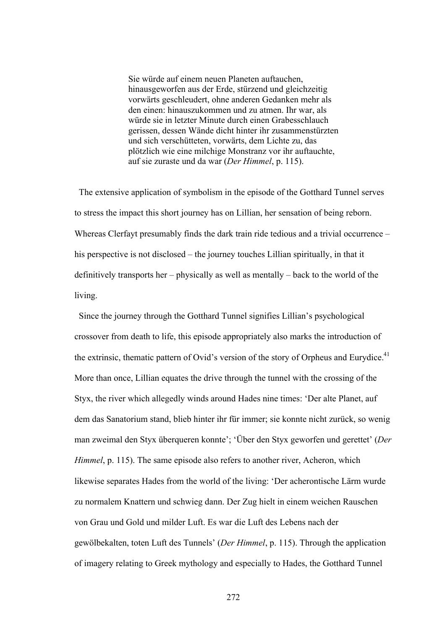Sie würde auf einem neuen Planeten auftauchen, hinausgeworfen aus der Erde, stürzend und gleichzeitig vorwärts geschleudert, ohne anderen Gedanken mehr als den einen: hinauszukommen und zu atmen. Ihr war, als würde sie in letzter Minute durch einen Grabesschlauch gerissen, dessen Wände dicht hinter ihr zusammenstürzten und sich verschütteten, vorwärts, dem Lichte zu, das plötzlich wie eine milchige Monstranz vor ihr auftauchte, auf sie zuraste und da war (*Der Himmel*, p. 115).

 The extensive application of symbolism in the episode of the Gotthard Tunnel serves to stress the impact this short journey has on Lillian, her sensation of being reborn. Whereas Clerfayt presumably finds the dark train ride tedious and a trivial occurrence – his perspective is not disclosed – the journey touches Lillian spiritually, in that it definitively transports her – physically as well as mentally – back to the world of the living.

Since the journey through the Gotthard Tunnel signifies Lillian's psychological crossover from death to life, this episode appropriately also marks the introduction of the extrinsic, thematic pattern of Ovid's version of the story of Orpheus and Eurydice.<sup>41</sup> More than once, Lillian equates the drive through the tunnel with the crossing of the Styx, the river which allegedly winds around Hades nine times: 'Der alte Planet, auf dem das Sanatorium stand, blieb hinter ihr für immer; sie konnte nicht zurück, so wenig man zweimal den Styx überqueren konnte'; 'Über den Styx geworfen und gerettet' (*Der Himmel*, p. 115). The same episode also refers to another river, Acheron, which likewise separates Hades from the world of the living: 'Der acherontische Lärm wurde zu normalem Knattern und schwieg dann. Der Zug hielt in einem weichen Rauschen von Grau und Gold und milder Luft. Es war die Luft des Lebens nach der gewölbekalten, toten Luft des Tunnels' (*Der Himmel*, p. 115). Through the application of imagery relating to Greek mythology and especially to Hades, the Gotthard Tunnel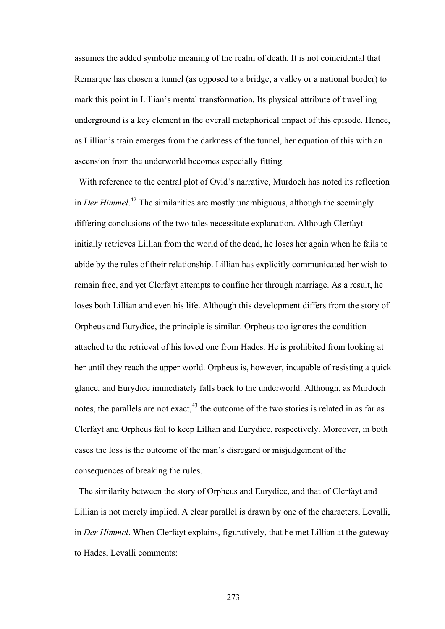assumes the added symbolic meaning of the realm of death. It is not coincidental that Remarque has chosen a tunnel (as opposed to a bridge, a valley or a national border) to mark this point in Lillian's mental transformation. Its physical attribute of travelling underground is a key element in the overall metaphorical impact of this episode. Hence, as Lillian's train emerges from the darkness of the tunnel, her equation of this with an ascension from the underworld becomes especially fitting.

 With reference to the central plot of Ovid's narrative, Murdoch has noted its reflection in *Der Himmel*. 42 The similarities are mostly unambiguous, although the seemingly differing conclusions of the two tales necessitate explanation. Although Clerfayt initially retrieves Lillian from the world of the dead, he loses her again when he fails to abide by the rules of their relationship. Lillian has explicitly communicated her wish to remain free, and yet Clerfayt attempts to confine her through marriage. As a result, he loses both Lillian and even his life. Although this development differs from the story of Orpheus and Eurydice, the principle is similar. Orpheus too ignores the condition attached to the retrieval of his loved one from Hades. He is prohibited from looking at her until they reach the upper world. Orpheus is, however, incapable of resisting a quick glance, and Eurydice immediately falls back to the underworld. Although, as Murdoch notes, the parallels are not exact,  $43$  the outcome of the two stories is related in as far as Clerfayt and Orpheus fail to keep Lillian and Eurydice, respectively. Moreover, in both cases the loss is the outcome of the man's disregard or misjudgement of the consequences of breaking the rules.

 The similarity between the story of Orpheus and Eurydice, and that of Clerfayt and Lillian is not merely implied. A clear parallel is drawn by one of the characters, Levalli, in *Der Himmel*. When Clerfayt explains, figuratively, that he met Lillian at the gateway to Hades, Levalli comments: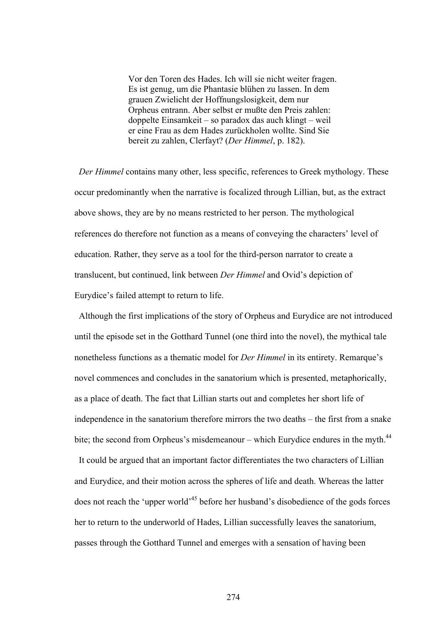Vor den Toren des Hades. Ich will sie nicht weiter fragen. Es ist genug, um die Phantasie blühen zu lassen. In dem grauen Zwielicht der Hoffnungslosigkeit, dem nur Orpheus entrann. Aber selbst er mußte den Preis zahlen: doppelte Einsamkeit – so paradox das auch klingt – weil er eine Frau as dem Hades zurückholen wollte. Sind Sie bereit zu zahlen, Clerfayt? (*Der Himmel*, p. 182).

 *Der Himmel* contains many other, less specific, references to Greek mythology. These occur predominantly when the narrative is focalized through Lillian, but, as the extract above shows, they are by no means restricted to her person. The mythological references do therefore not function as a means of conveying the characters' level of education. Rather, they serve as a tool for the third-person narrator to create a translucent, but continued, link between *Der Himmel* and Ovid's depiction of Eurydice's failed attempt to return to life.

 Although the first implications of the story of Orpheus and Eurydice are not introduced until the episode set in the Gotthard Tunnel (one third into the novel), the mythical tale nonetheless functions as a thematic model for *Der Himmel* in its entirety. Remarque's novel commences and concludes in the sanatorium which is presented, metaphorically, as a place of death. The fact that Lillian starts out and completes her short life of independence in the sanatorium therefore mirrors the two deaths – the first from a snake bite; the second from Orpheus's misdemeanour – which Eurydice endures in the myth.<sup>44</sup> It could be argued that an important factor differentiates the two characters of Lillian and Eurydice, and their motion across the spheres of life and death. Whereas the latter does not reach the 'upper world'45 before her husband's disobedience of the gods forces

her to return to the underworld of Hades, Lillian successfully leaves the sanatorium, passes through the Gotthard Tunnel and emerges with a sensation of having been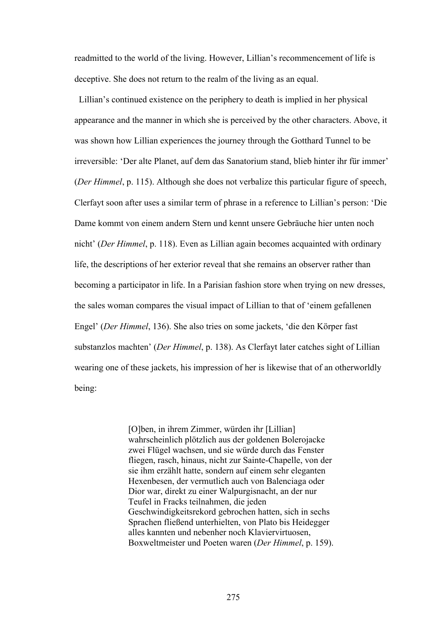readmitted to the world of the living. However, Lillian's recommencement of life is deceptive. She does not return to the realm of the living as an equal.

Lillian's continued existence on the periphery to death is implied in her physical appearance and the manner in which she is perceived by the other characters. Above, it was shown how Lillian experiences the journey through the Gotthard Tunnel to be irreversible: 'Der alte Planet, auf dem das Sanatorium stand, blieb hinter ihr für immer' (*Der Himmel*, p. 115). Although she does not verbalize this particular figure of speech, Clerfayt soon after uses a similar term of phrase in a reference to Lillian's person: 'Die Dame kommt von einem andern Stern und kennt unsere Gebräuche hier unten noch nicht' (*Der Himmel*, p. 118). Even as Lillian again becomes acquainted with ordinary life, the descriptions of her exterior reveal that she remains an observer rather than becoming a participator in life. In a Parisian fashion store when trying on new dresses, the sales woman compares the visual impact of Lillian to that of 'einem gefallenen Engel' (*Der Himmel*, 136). She also tries on some jackets, 'die den Körper fast substanzlos machten' (*Der Himmel*, p. 138). As Clerfayt later catches sight of Lillian wearing one of these jackets, his impression of her is likewise that of an otherworldly being:

> [O]ben, in ihrem Zimmer, würden ihr [Lillian] wahrscheinlich plötzlich aus der goldenen Bolerojacke zwei Flügel wachsen, und sie würde durch das Fenster fliegen, rasch, hinaus, nicht zur Sainte-Chapelle, von der sie ihm erzählt hatte, sondern auf einem sehr eleganten Hexenbesen, der vermutlich auch von Balenciaga oder Dior war, direkt zu einer Walpurgisnacht, an der nur Teufel in Fracks teilnahmen, die jeden Geschwindigkeitsrekord gebrochen hatten, sich in sechs Sprachen fließend unterhielten, von Plato bis Heidegger alles kannten und nebenher noch Klaviervirtuosen, Boxweltmeister und Poeten waren (*Der Himmel*, p. 159).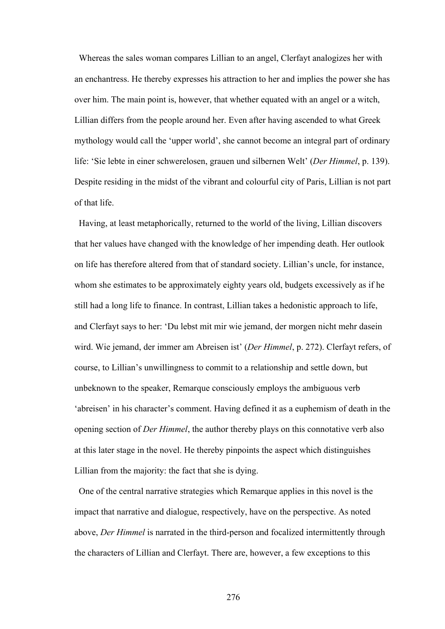Whereas the sales woman compares Lillian to an angel, Clerfayt analogizes her with an enchantress. He thereby expresses his attraction to her and implies the power she has over him. The main point is, however, that whether equated with an angel or a witch, Lillian differs from the people around her. Even after having ascended to what Greek mythology would call the 'upper world', she cannot become an integral part of ordinary life: 'Sie lebte in einer schwerelosen, grauen und silbernen Welt' (*Der Himmel*, p. 139). Despite residing in the midst of the vibrant and colourful city of Paris, Lillian is not part of that life.

Having, at least metaphorically, returned to the world of the living, Lillian discovers that her values have changed with the knowledge of her impending death. Her outlook on life has therefore altered from that of standard society. Lillian's uncle, for instance, whom she estimates to be approximately eighty years old, budgets excessively as if he still had a long life to finance. In contrast, Lillian takes a hedonistic approach to life, and Clerfayt says to her: 'Du lebst mit mir wie jemand, der morgen nicht mehr dasein wird. Wie jemand, der immer am Abreisen ist' (*Der Himmel*, p. 272). Clerfayt refers, of course, to Lillian's unwillingness to commit to a relationship and settle down, but unbeknown to the speaker, Remarque consciously employs the ambiguous verb 'abreisen' in his character's comment. Having defined it as a euphemism of death in the opening section of *Der Himmel*, the author thereby plays on this connotative verb also at this later stage in the novel. He thereby pinpoints the aspect which distinguishes Lillian from the majority: the fact that she is dying.

One of the central narrative strategies which Remarque applies in this novel is the impact that narrative and dialogue, respectively, have on the perspective. As noted above, *Der Himmel* is narrated in the third-person and focalized intermittently through the characters of Lillian and Clerfayt. There are, however, a few exceptions to this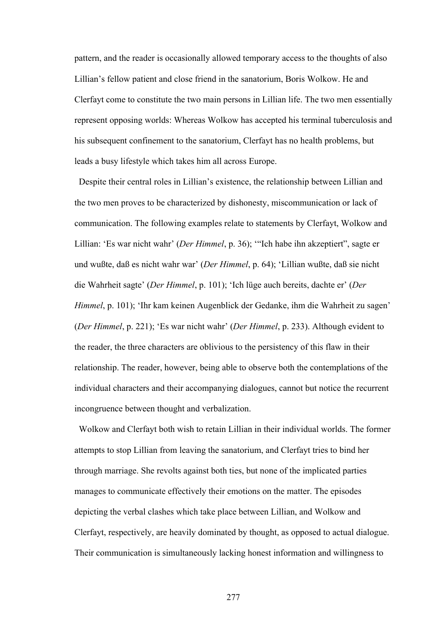pattern, and the reader is occasionally allowed temporary access to the thoughts of also Lillian's fellow patient and close friend in the sanatorium, Boris Wolkow. He and Clerfayt come to constitute the two main persons in Lillian life. The two men essentially represent opposing worlds: Whereas Wolkow has accepted his terminal tuberculosis and his subsequent confinement to the sanatorium, Clerfayt has no health problems, but leads a busy lifestyle which takes him all across Europe.

Despite their central roles in Lillian's existence, the relationship between Lillian and the two men proves to be characterized by dishonesty, miscommunication or lack of communication. The following examples relate to statements by Clerfayt, Wolkow and Lillian: 'Es war nicht wahr' (*Der Himmel*, p. 36); '"Ich habe ihn akzeptiert", sagte er und wußte, daß es nicht wahr war' (*Der Himmel*, p. 64); 'Lillian wußte, daß sie nicht die Wahrheit sagte' (*Der Himmel*, p. 101); 'Ich lüge auch bereits, dachte er' (*Der Himmel*, p. 101); 'Ihr kam keinen Augenblick der Gedanke, ihm die Wahrheit zu sagen' (*Der Himmel*, p. 221); 'Es war nicht wahr' (*Der Himmel*, p. 233). Although evident to the reader, the three characters are oblivious to the persistency of this flaw in their relationship. The reader, however, being able to observe both the contemplations of the individual characters and their accompanying dialogues, cannot but notice the recurrent incongruence between thought and verbalization.

Wolkow and Clerfayt both wish to retain Lillian in their individual worlds. The former attempts to stop Lillian from leaving the sanatorium, and Clerfayt tries to bind her through marriage. She revolts against both ties, but none of the implicated parties manages to communicate effectively their emotions on the matter. The episodes depicting the verbal clashes which take place between Lillian, and Wolkow and Clerfayt, respectively, are heavily dominated by thought, as opposed to actual dialogue. Their communication is simultaneously lacking honest information and willingness to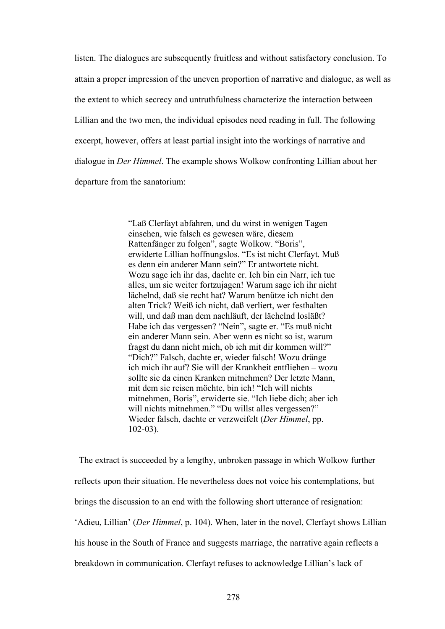listen. The dialogues are subsequently fruitless and without satisfactory conclusion. To attain a proper impression of the uneven proportion of narrative and dialogue, as well as the extent to which secrecy and untruthfulness characterize the interaction between Lillian and the two men, the individual episodes need reading in full. The following excerpt, however, offers at least partial insight into the workings of narrative and dialogue in *Der Himmel*. The example shows Wolkow confronting Lillian about her departure from the sanatorium:

> "Laß Clerfayt abfahren, und du wirst in wenigen Tagen einsehen, wie falsch es gewesen wäre, diesem Rattenfänger zu folgen", sagte Wolkow. "Boris", erwiderte Lillian hoffnungslos. "Es ist nicht Clerfayt. Muß es denn ein anderer Mann sein?" Er antwortete nicht. Wozu sage ich ihr das, dachte er. Ich bin ein Narr, ich tue alles, um sie weiter fortzujagen! Warum sage ich ihr nicht lächelnd, daß sie recht hat? Warum benütze ich nicht den alten Trick? Weiß ich nicht, daß verliert, wer festhalten will, und daß man dem nachläuft, der lächelnd losläßt? Habe ich das vergessen? "Nein", sagte er. "Es muß nicht ein anderer Mann sein. Aber wenn es nicht so ist, warum fragst du dann nicht mich, ob ich mit dir kommen will?" "Dich?" Falsch, dachte er, wieder falsch! Wozu dränge ich mich ihr auf? Sie will der Krankheit entfliehen – wozu sollte sie da einen Kranken mitnehmen? Der letzte Mann, mit dem sie reisen möchte, bin ich! "Ich will nichts mitnehmen, Boris", erwiderte sie. "Ich liebe dich; aber ich will nichts mitnehmen." "Du willst alles vergessen?" Wieder falsch, dachte er verzweifelt (*Der Himmel*, pp. 102-03).

 The extract is succeeded by a lengthy, unbroken passage in which Wolkow further reflects upon their situation. He nevertheless does not voice his contemplations, but brings the discussion to an end with the following short utterance of resignation: 'Adieu, Lillian' (*Der Himmel*, p. 104). When, later in the novel, Clerfayt shows Lillian his house in the South of France and suggests marriage, the narrative again reflects a breakdown in communication. Clerfayt refuses to acknowledge Lillian's lack of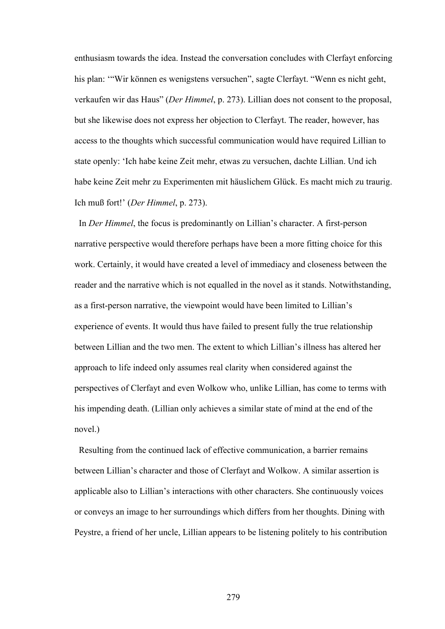enthusiasm towards the idea. Instead the conversation concludes with Clerfayt enforcing his plan: '"Wir können es wenigstens versuchen", sagte Clerfayt. "Wenn es nicht geht, verkaufen wir das Haus" (*Der Himmel*, p. 273). Lillian does not consent to the proposal, but she likewise does not express her objection to Clerfayt. The reader, however, has access to the thoughts which successful communication would have required Lillian to state openly: 'Ich habe keine Zeit mehr, etwas zu versuchen, dachte Lillian. Und ich habe keine Zeit mehr zu Experimenten mit häuslichem Glück. Es macht mich zu traurig. Ich muß fort!' (*Der Himmel*, p. 273).

 In *Der Himmel*, the focus is predominantly on Lillian's character. A first-person narrative perspective would therefore perhaps have been a more fitting choice for this work. Certainly, it would have created a level of immediacy and closeness between the reader and the narrative which is not equalled in the novel as it stands. Notwithstanding, as a first-person narrative, the viewpoint would have been limited to Lillian's experience of events. It would thus have failed to present fully the true relationship between Lillian and the two men. The extent to which Lillian's illness has altered her approach to life indeed only assumes real clarity when considered against the perspectives of Clerfayt and even Wolkow who, unlike Lillian, has come to terms with his impending death. (Lillian only achieves a similar state of mind at the end of the novel.)

 Resulting from the continued lack of effective communication, a barrier remains between Lillian's character and those of Clerfayt and Wolkow. A similar assertion is applicable also to Lillian's interactions with other characters. She continuously voices or conveys an image to her surroundings which differs from her thoughts. Dining with Peystre, a friend of her uncle, Lillian appears to be listening politely to his contribution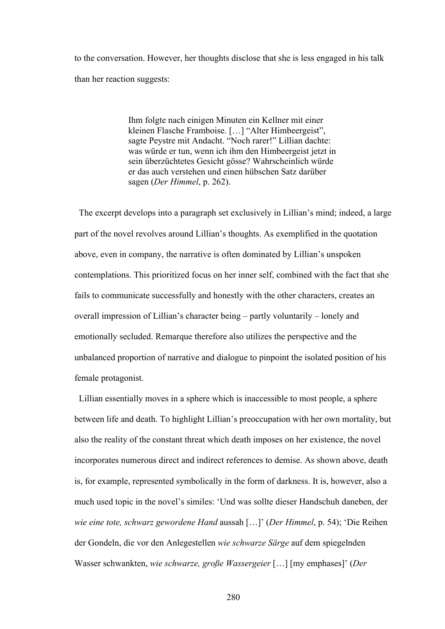to the conversation. However, her thoughts disclose that she is less engaged in his talk than her reaction suggests:

> Ihm folgte nach einigen Minuten ein Kellner mit einer kleinen Flasche Framboise. […] "Alter Himbeergeist", sagte Peystre mit Andacht. "Noch rarer!" Lillian dachte: was würde er tun, wenn ich ihm den Himbeergeist jetzt in sein überzüchtetes Gesicht gösse? Wahrscheinlich würde er das auch verstehen und einen hübschen Satz darüber sagen (*Der Himmel*, p. 262).

 The excerpt develops into a paragraph set exclusively in Lillian's mind; indeed, a large part of the novel revolves around Lillian's thoughts. As exemplified in the quotation above, even in company, the narrative is often dominated by Lillian's unspoken contemplations. This prioritized focus on her inner self, combined with the fact that she fails to communicate successfully and honestly with the other characters, creates an overall impression of Lillian's character being – partly voluntarily – lonely and emotionally secluded. Remarque therefore also utilizes the perspective and the unbalanced proportion of narrative and dialogue to pinpoint the isolated position of his female protagonist.

 Lillian essentially moves in a sphere which is inaccessible to most people, a sphere between life and death. To highlight Lillian's preoccupation with her own mortality, but also the reality of the constant threat which death imposes on her existence, the novel incorporates numerous direct and indirect references to demise. As shown above, death is, for example, represented symbolically in the form of darkness. It is, however, also a much used topic in the novel's similes: 'Und was sollte dieser Handschuh daneben, der *wie eine tote, schwarz gewordene Hand* aussah […]' (*Der Himmel*, p. 54); 'Die Reihen der Gondeln, die vor den Anlegestellen *wie schwarze Särge* auf dem spiegelnden Wasser schwankten, *wie schwarze, große Wassergeier* […] [my emphases]' (*Der*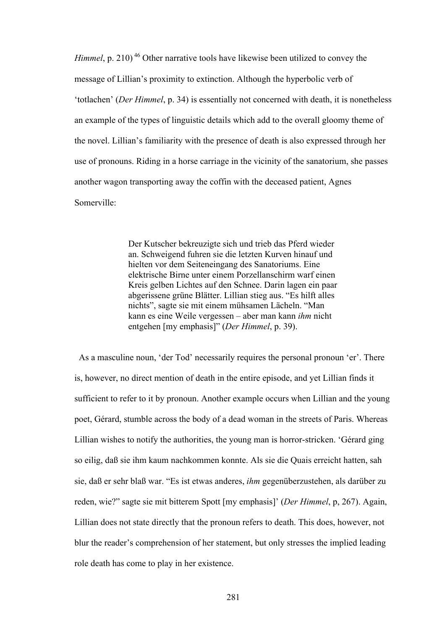*Himmel*, p. 210)<sup>46</sup> Other narrative tools have likewise been utilized to convey the message of Lillian's proximity to extinction. Although the hyperbolic verb of 'totlachen' (*Der Himmel*, p. 34) is essentially not concerned with death, it is nonetheless an example of the types of linguistic details which add to the overall gloomy theme of the novel. Lillian's familiarity with the presence of death is also expressed through her use of pronouns. Riding in a horse carriage in the vicinity of the sanatorium, she passes another wagon transporting away the coffin with the deceased patient, Agnes Somerville:

> Der Kutscher bekreuzigte sich und trieb das Pferd wieder an. Schweigend fuhren sie die letzten Kurven hinauf und hielten vor dem Seiteneingang des Sanatoriums. Eine elektrische Birne unter einem Porzellanschirm warf einen Kreis gelben Lichtes auf den Schnee. Darin lagen ein paar abgerissene grüne Blätter. Lillian stieg aus. "Es hilft alles nichts", sagte sie mit einem mühsamen Lächeln. "Man kann es eine Weile vergessen – aber man kann *ihm* nicht entgehen [my emphasis]" (*Der Himmel*, p. 39).

As a masculine noun, 'der Tod' necessarily requires the personal pronoun 'er'. There is, however, no direct mention of death in the entire episode, and yet Lillian finds it sufficient to refer to it by pronoun. Another example occurs when Lillian and the young poet, Gérard, stumble across the body of a dead woman in the streets of Paris. Whereas Lillian wishes to notify the authorities, the young man is horror-stricken. 'Gérard ging so eilig, daß sie ihm kaum nachkommen konnte. Als sie die Quais erreicht hatten, sah sie, daß er sehr blaß war. "Es ist etwas anderes, *ihm* gegenüberzustehen, als darüber zu reden, wie?" sagte sie mit bitterem Spott [my emphasis]' (*Der Himmel*, p, 267). Again, Lillian does not state directly that the pronoun refers to death. This does, however, not blur the reader's comprehension of her statement, but only stresses the implied leading role death has come to play in her existence.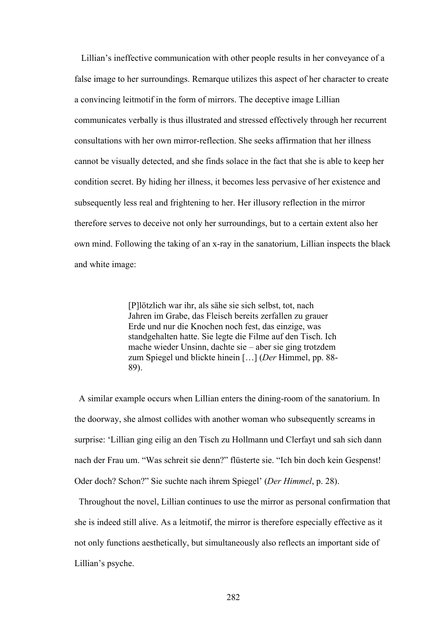Lillian's ineffective communication with other people results in her conveyance of a false image to her surroundings. Remarque utilizes this aspect of her character to create a convincing leitmotif in the form of mirrors. The deceptive image Lillian communicates verbally is thus illustrated and stressed effectively through her recurrent consultations with her own mirror-reflection. She seeks affirmation that her illness cannot be visually detected, and she finds solace in the fact that she is able to keep her condition secret. By hiding her illness, it becomes less pervasive of her existence and subsequently less real and frightening to her. Her illusory reflection in the mirror therefore serves to deceive not only her surroundings, but to a certain extent also her own mind. Following the taking of an x-ray in the sanatorium, Lillian inspects the black and white image:

> [P]lötzlich war ihr, als sähe sie sich selbst, tot, nach Jahren im Grabe, das Fleisch bereits zerfallen zu grauer Erde und nur die Knochen noch fest, das einzige, was standgehalten hatte. Sie legte die Filme auf den Tisch. Ich mache wieder Unsinn, dachte sie – aber sie ging trotzdem zum Spiegel und blickte hinein […] (*Der* Himmel, pp. 88- 89).

 A similar example occurs when Lillian enters the dining-room of the sanatorium. In the doorway, she almost collides with another woman who subsequently screams in surprise: 'Lillian ging eilig an den Tisch zu Hollmann und Clerfayt und sah sich dann nach der Frau um. "Was schreit sie denn?" flüsterte sie. "Ich bin doch kein Gespenst! Oder doch? Schon?" Sie suchte nach ihrem Spiegel' (*Der Himmel*, p. 28).

 Throughout the novel, Lillian continues to use the mirror as personal confirmation that she is indeed still alive. As a leitmotif, the mirror is therefore especially effective as it not only functions aesthetically, but simultaneously also reflects an important side of Lillian's psyche.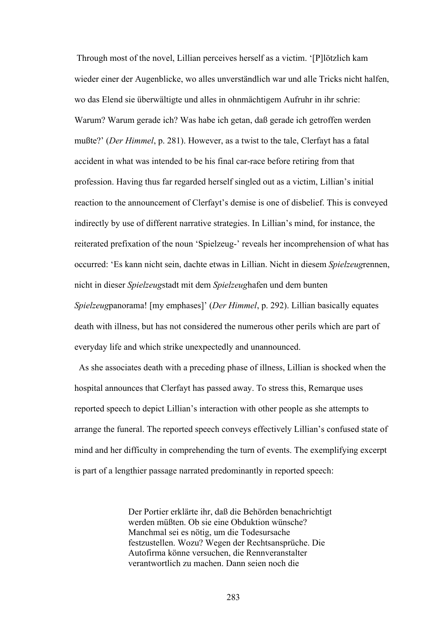Through most of the novel, Lillian perceives herself as a victim. '[P]lötzlich kam wieder einer der Augenblicke, wo alles unverständlich war und alle Tricks nicht halfen, wo das Elend sie überwältigte und alles in ohnmächtigem Aufruhr in ihr schrie: Warum? Warum gerade ich? Was habe ich getan, daß gerade ich getroffen werden mußte?' (*Der Himmel*, p. 281). However, as a twist to the tale, Clerfayt has a fatal accident in what was intended to be his final car-race before retiring from that profession. Having thus far regarded herself singled out as a victim, Lillian's initial reaction to the announcement of Clerfayt's demise is one of disbelief. This is conveyed indirectly by use of different narrative strategies. In Lillian's mind, for instance, the reiterated prefixation of the noun 'Spielzeug-' reveals her incomprehension of what has occurred: 'Es kann nicht sein, dachte etwas in Lillian. Nicht in diesem *Spielzeug*rennen, nicht in dieser *Spielzeug*stadt mit dem *Spielzeug*hafen und dem bunten *Spielzeug*panorama! [my emphases]' (*Der Himmel*, p. 292). Lillian basically equates death with illness, but has not considered the numerous other perils which are part of everyday life and which strike unexpectedly and unannounced.

 As she associates death with a preceding phase of illness, Lillian is shocked when the hospital announces that Clerfayt has passed away. To stress this, Remarque uses reported speech to depict Lillian's interaction with other people as she attempts to arrange the funeral. The reported speech conveys effectively Lillian's confused state of mind and her difficulty in comprehending the turn of events. The exemplifying excerpt is part of a lengthier passage narrated predominantly in reported speech:

> Der Portier erklärte ihr, daß die Behörden benachrichtigt werden müßten. Ob sie eine Obduktion wünsche? Manchmal sei es nötig, um die Todesursache festzustellen. Wozu? Wegen der Rechtsansprüche. Die Autofirma könne versuchen, die Rennveranstalter verantwortlich zu machen. Dann seien noch die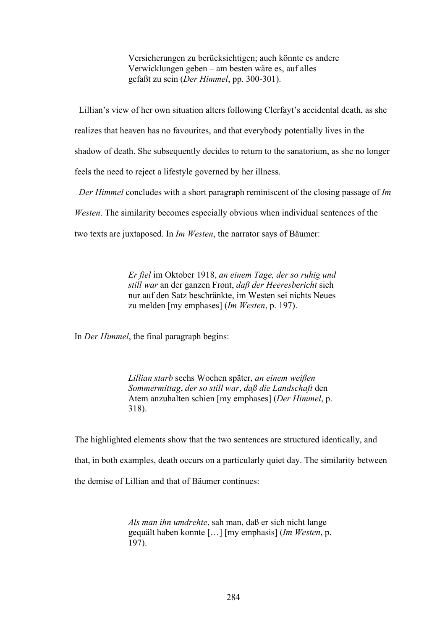Versicherungen zu berücksichtigen; auch könnte es andere Verwicklungen geben – am besten wäre es, auf alles gefaßt zu sein (*Der Himmel*, pp. 300-301).

 Lillian's view of her own situation alters following Clerfayt's accidental death, as she realizes that heaven has no favourites, and that everybody potentially lives in the shadow of death. She subsequently decides to return to the sanatorium, as she no longer feels the need to reject a lifestyle governed by her illness.

 *Der Himmel* concludes with a short paragraph reminiscent of the closing passage of *Im Westen*. The similarity becomes especially obvious when individual sentences of the two texts are juxtaposed. In *Im Westen*, the narrator says of Bäumer:

> *Er fiel* im Oktober 1918, *an einem Tage, der so ruhig und still war* an der ganzen Front, *daß der Heeresbericht* sich nur auf den Satz beschränkte, im Westen sei nichts Neues zu melden [my emphases] (*Im Westen*, p. 197).

In *Der Himmel*, the final paragraph begins:

*Lillian starb* sechs Wochen später, *an einem weißen Sommermittag*, *der so still war*, *daß die Landschaft* den Atem anzuhalten schien [my emphases] (*Der Himmel*, p. 318).

The highlighted elements show that the two sentences are structured identically, and that, in both examples, death occurs on a particularly quiet day. The similarity between the demise of Lillian and that of Bäumer continues:

> *Als man ihn umdrehte*, sah man, daß er sich nicht lange gequält haben konnte […] [my emphasis] (*Im Westen*, p. 197).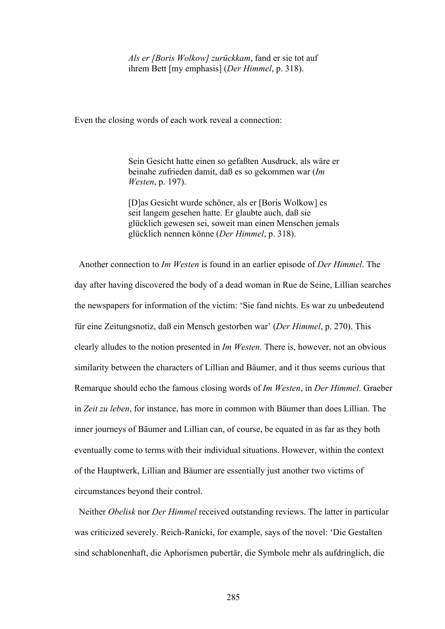*Als er [Boris Wolkow] zurückkam*, fand er sie tot auf ihrem Bett [my emphasis] (*Der Himmel*, p. 318).

Even the closing words of each work reveal a connection:

Sein Gesicht hatte einen so gefaßten Ausdruck, als wäre er beinahe zufrieden damit, daß es so gekommen war (*Im Westen*, p. 197).

[D]as Gesicht wurde schöner, als er [Boris Wolkow] es seit langem gesehen hatte. Er glaubte auch, daß sie glücklich gewesen sei, soweit man einen Menschen jemals glücklich nennen könne (*Der Himmel*, p. 318).

 Another connection to *Im Westen* is found in an earlier episode of *Der Himmel*. The day after having discovered the body of a dead woman in Rue de Seine, Lillian searches the newspapers for information of the victim: 'Sie fand nichts. Es war zu unbedeutend für eine Zeitungsnotiz, daß ein Mensch gestorben war' (*Der Himmel*, p. 270). This clearly alludes to the notion presented in *Im Westen*. There is, however, not an obvious similarity between the characters of Lillian and Bäumer, and it thus seems curious that Remarque should echo the famous closing words of *Im Westen*, in *Der Himmel*. Graeber in *Zeit zu leben*, for instance, has more in common with Bäumer than does Lillian. The inner journeys of Bäumer and Lillian can, of course, be equated in as far as they both eventually come to terms with their individual situations. However, within the context of the Hauptwerk, Lillian and Bäumer are essentially just another two victims of circumstances beyond their control.

 Neither *Obelisk* nor *Der Himmel* received outstanding reviews. The latter in particular was criticized severely. Reich-Ranicki, for example, says of the novel: 'Die Gestalten sind schablonenhaft, die Aphorismen pubertär, die Symbole mehr als aufdringlich, die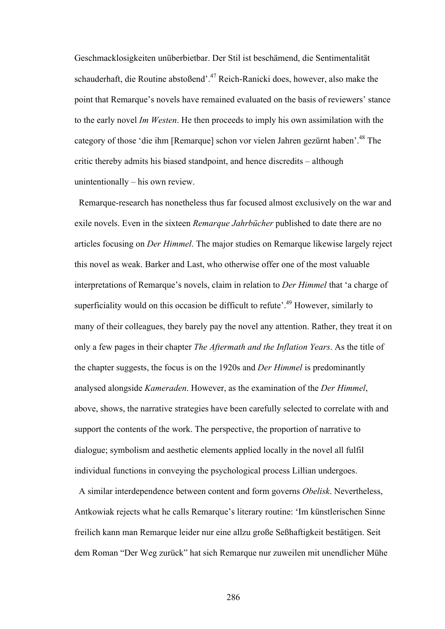Geschmacklosigkeiten unüberbietbar. Der Stil ist beschämend, die Sentimentalität schauderhaft, die Routine abstoßend'.47 Reich-Ranicki does, however, also make the point that Remarque's novels have remained evaluated on the basis of reviewers' stance to the early novel *Im Westen*. He then proceeds to imply his own assimilation with the category of those 'die ihm [Remarque] schon vor vielen Jahren gezürnt haben'.<sup>48</sup> The critic thereby admits his biased standpoint, and hence discredits – although unintentionally – his own review.

 Remarque-research has nonetheless thus far focused almost exclusively on the war and exile novels. Even in the sixteen *Remarque Jahrbücher* published to date there are no articles focusing on *Der Himmel*. The major studies on Remarque likewise largely reject this novel as weak. Barker and Last, who otherwise offer one of the most valuable interpretations of Remarque's novels, claim in relation to *Der Himmel* that 'a charge of superficiality would on this occasion be difficult to refute<sup> $19$ </sup>. However, similarly to many of their colleagues, they barely pay the novel any attention. Rather, they treat it on only a few pages in their chapter *The Aftermath and the Inflation Years*. As the title of the chapter suggests, the focus is on the 1920s and *Der Himmel* is predominantly analysed alongside *Kameraden*. However, as the examination of the *Der Himmel*, above, shows, the narrative strategies have been carefully selected to correlate with and support the contents of the work. The perspective, the proportion of narrative to dialogue; symbolism and aesthetic elements applied locally in the novel all fulfil individual functions in conveying the psychological process Lillian undergoes.

 A similar interdependence between content and form governs *Obelisk*. Nevertheless, Antkowiak rejects what he calls Remarque's literary routine: 'Im künstlerischen Sinne freilich kann man Remarque leider nur eine allzu große Seßhaftigkeit bestätigen. Seit dem Roman "Der Weg zurück" hat sich Remarque nur zuweilen mit unendlicher Mühe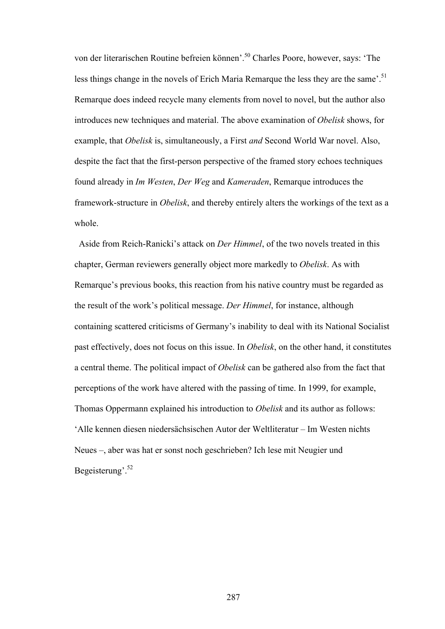von der literarischen Routine befreien können'.50 Charles Poore, however, says: 'The less things change in the novels of Erich Maria Remarque the less they are the same'.<sup>51</sup> Remarque does indeed recycle many elements from novel to novel, but the author also introduces new techniques and material. The above examination of *Obelisk* shows, for example, that *Obelisk* is, simultaneously, a First *and* Second World War novel. Also, despite the fact that the first-person perspective of the framed story echoes techniques found already in *Im Westen*, *Der Weg* and *Kameraden*, Remarque introduces the framework-structure in *Obelisk*, and thereby entirely alters the workings of the text as a whole.

Aside from Reich-Ranicki's attack on *Der Himmel*, of the two novels treated in this chapter, German reviewers generally object more markedly to *Obelisk*. As with Remarque's previous books, this reaction from his native country must be regarded as the result of the work's political message. *Der Himmel*, for instance, although containing scattered criticisms of Germany's inability to deal with its National Socialist past effectively, does not focus on this issue. In *Obelisk*, on the other hand, it constitutes a central theme. The political impact of *Obelisk* can be gathered also from the fact that perceptions of the work have altered with the passing of time. In 1999, for example, Thomas Oppermann explained his introduction to *Obelisk* and its author as follows: 'Alle kennen diesen niedersächsischen Autor der Weltliteratur – Im Westen nichts Neues –, aber was hat er sonst noch geschrieben? Ich lese mit Neugier und Begeisterung'.52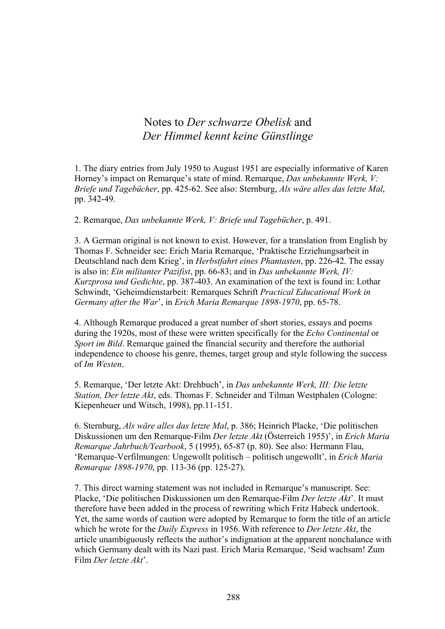## Notes to *Der schwarze Obelisk* and *Der Himmel kennt keine Günstlinge*

1. The diary entries from July 1950 to August 1951 are especially informative of Karen Horney's impact on Remarque's state of mind. Remarque, *Das unbekannte Werk, V: Briefe und Tagebücher*, pp. 425-62. See also: Sternburg, *Als wäre alles das letzte Mal*, pp. 342-49.

2. Remarque, *Das unbekannte Werk, V: Briefe und Tagebücher*, p. 491.

3. A German original is not known to exist. However, for a translation from English by Thomas F. Schneider see: Erich Maria Remarque, 'Praktische Erziehungsarbeit in Deutschland nach dem Krieg', in *Herbstfahrt eines Phantasten*, pp. 226-42. The essay is also in: *Ein militanter Pazifist*, pp. 66-83; and in *Das unbekannte Werk, IV: Kurzprosa und Gedichte*, pp. 387-403. An examination of the text is found in: Lothar Schwindt, 'Geheimdienstarbeit: Remarques Schrift *Practical Educational Work in Germany after the War*', in *Erich Maria Remarque 1898-1970*, pp. 65-78.

4. Although Remarque produced a great number of short stories, essays and poems during the 1920s, most of these were written specifically for the *Echo Continental* or *Sport im Bild*. Remarque gained the financial security and therefore the authorial independence to choose his genre, themes, target group and style following the success of *Im Westen*.

5. Remarque, 'Der letzte Akt: Drehbuch', in *Das unbekannte Werk, III: Die letzte Station, Der letzte Akt*, eds. Thomas F. Schneider and Tilman Westphalen (Cologne: Kiepenheuer und Witsch, 1998), pp.11-151.

6. Sternburg, *Als wäre alles das letzte Mal*, p. 386; Heinrich Placke, 'Die politischen Diskussionen um den Remarque-Film *Der letzte Akt* (Österreich 1955)', in *Erich Maria Remarque Jahrbuch/Yearbook*, 5 (1995), 65-87 (p. 80). See also: Hermann Flau, 'Remarque-Verfilmungen: Ungewollt politisch – politisch ungewollt', in *Erich Maria Remarque 1898-1970*, pp. 113-36 (pp. 125-27).

7. This direct warning statement was not included in Remarque's manuscript. See: Placke, 'Die politischen Diskussionen um den Remarque-Film *Der letzte Akt*'. It must therefore have been added in the process of rewriting which Fritz Habeck undertook. Yet, the same words of caution were adopted by Remarque to form the title of an article which he wrote for the *Daily Express* in 1956.With reference to *Der letzte Akt*, the article unambiguously reflects the author's indignation at the apparent nonchalance with which Germany dealt with its Nazi past. Erich Maria Remarque, 'Seid wachsam! Zum Film *Der letzte Akt*'.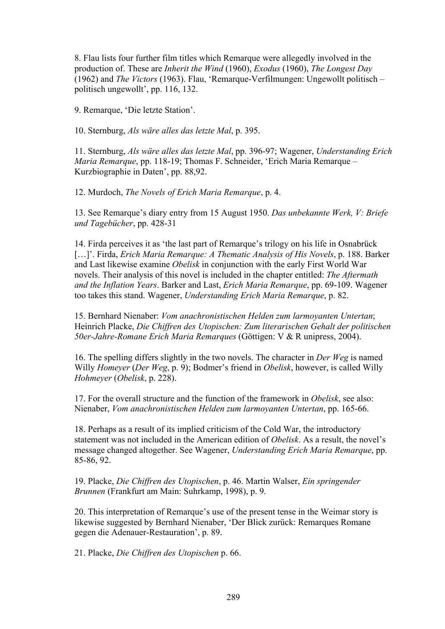8. Flau lists four further film titles which Remarque were allegedly involved in the production of. These are *Inherit the Wind* (1960), *Exodus* (1960), *The Longest Day* (1962) and *The Victors* (1963). Flau, 'Remarque-Verfilmungen: Ungewollt politisch – politisch ungewollt', pp. 116, 132.

9. Remarque, 'Die letzte Station'.

10. Sternburg, *Als wäre alles das letzte Mal*, p. 395.

11. Sternburg, *Als wäre alles das letzte Mal*, pp. 396-97; Wagener, *Understanding Erich Maria Remarque*, pp. 118-19; Thomas F. Schneider, 'Erich Maria Remarque – Kurzbiographie in Daten', pp. 88,92.

12. Murdoch, *The Novels of Erich Maria Remarque*, p. 4.

13. See Remarque's diary entry from 15 August 1950. *Das unbekannte Werk, V: Briefe und Tagebücher*, pp. 428-31

14. Firda perceives it as 'the last part of Remarque's trilogy on his life in Osnabrück […]'. Firda, *Erich Maria Remarque: A Thematic Analysis of His Novels*, p. 188. Barker and Last likewise examine *Obelisk* in conjunction with the early First World War novels. Their analysis of this novel is included in the chapter entitled: *The Aftermath and the Inflation Years*. Barker and Last, *Erich Maria Remarque*, pp. 69-109. Wagener too takes this stand. Wagener, *Understanding Erich Maria Remarque*, p. 82.

15. Bernhard Nienaber: *Vom anachronistischen Helden zum larmoyanten Untertan*; Heinrich Placke, *Die Chiffren des Utopischen: Zum literarischen Gehalt der politischen 50er-Jahre-Romane Erich Maria Remarques* (Göttigen: V & R unipress, 2004).

16. The spelling differs slightly in the two novels. The character in *Der Weg* is named Willy *Homeyer* (*Der Weg*, p. 9); Bodmer's friend in *Obelisk*, however, is called Willy *Hohmeyer* (*Obelisk*, p. 228).

17. For the overall structure and the function of the framework in *Obelisk*, see also: Nienaber, *Vom anachronistischen Helden zum larmoyanten Untertan*, pp. 165-66.

18. Perhaps as a result of its implied criticism of the Cold War, the introductory statement was not included in the American edition of *Obelisk*. As a result, the novel's message changed altogether. See Wagener, *Understanding Erich Maria Remarque*, pp. 85-86, 92.

19. Placke, *Die Chiffren des Utopischen*, p. 46. Martin Walser, *Ein springender Brunnen* (Frankfurt am Main: Suhrkamp, 1998), p. 9.

20. This interpretation of Remarque's use of the present tense in the Weimar story is likewise suggested by Bernhard Nienaber, 'Der Blick zurück: Remarques Romane gegen die Adenauer-Restauration', p. 89.

21. Placke, *Die Chiffren des Utopischen* p. 66.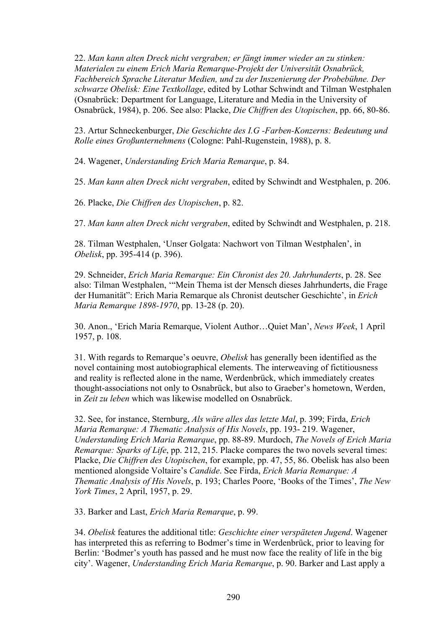22. *Man kann alten Dreck nicht vergraben; er fängt immer wieder an zu stinken: Materialen zu einem Erich Maria Remarque-Projekt der Universität Osnabrück, Fachbereich Sprache Literatur Medien, und zu der Inszenierung der Probebühne. Der schwarze Obelisk: Eine Textkollage*, edited by Lothar Schwindt and Tilman Westphalen (Osnabrück: Department for Language, Literature and Media in the University of Osnabrück, 1984), p. 206. See also: Placke, *Die Chiffren des Utopischen*, pp. 66, 80-86.

23. Artur Schneckenburger, *Die Geschichte des I.G -Farben-Konzerns: Bedeutung und Rolle eines Großunternehmens* (Cologne: Pahl-Rugenstein, 1988), p. 8.

24. Wagener, *Understanding Erich Maria Remarque*, p. 84.

25. *Man kann alten Dreck nicht vergraben*, edited by Schwindt and Westphalen, p. 206.

26. Placke, *Die Chiffren des Utopischen*, p. 82.

27. *Man kann alten Dreck nicht vergraben*, edited by Schwindt and Westphalen, p. 218.

28. Tilman Westphalen, 'Unser Golgata: Nachwort von Tilman Westphalen', in *Obelisk*, pp. 395-414 (p. 396).

29. Schneider, *Erich Maria Remarque: Ein Chronist des 20. Jahrhunderts*, p. 28. See also: Tilman Westphalen, '"Mein Thema ist der Mensch dieses Jahrhunderts, die Frage der Humanität": Erich Maria Remarque als Chronist deutscher Geschichte', in *Erich Maria Remarque 1898-1970*, pp. 13-28 (p. 20).

30. Anon., 'Erich Maria Remarque, Violent Author…Quiet Man', *News Week*, 1 April 1957, p. 108.

31. With regards to Remarque's oeuvre, *Obelisk* has generally been identified as the novel containing most autobiographical elements. The interweaving of fictitiousness and reality is reflected alone in the name, Werdenbrück, which immediately creates thought-associations not only to Osnabrück, but also to Graeber's hometown, Werden, in *Zeit zu leben* which was likewise modelled on Osnabrück.

32. See, for instance, Sternburg, *Als wäre alles das letzte Mal*, p. 399; Firda, *Erich Maria Remarque: A Thematic Analysis of His Novels*, pp. 193- 219. Wagener, *Understanding Erich Maria Remarque*, pp. 88-89. Murdoch, *The Novels of Erich Maria Remarque: Sparks of Life*, pp. 212, 215. Placke compares the two novels several times: Placke, *Die Chiffren des Utopischen*, for example, pp. 47, 55, 86. Obelisk has also been mentioned alongside Voltaire's *Candide*. See Firda, *Erich Maria Remarque: A Thematic Analysis of His Novels*, p. 193; Charles Poore, 'Books of the Times', *The New York Times*, 2 April, 1957, p. 29.

33. Barker and Last, *Erich Maria Remarque*, p. 99.

34. *Obelisk* features the additional title: *Geschichte einer verspäteten Jugend*. Wagener has interpreted this as referring to Bodmer's time in Werdenbrück, prior to leaving for Berlin: 'Bodmer's youth has passed and he must now face the reality of life in the big city'. Wagener, *Understanding Erich Maria Remarque*, p. 90. Barker and Last apply a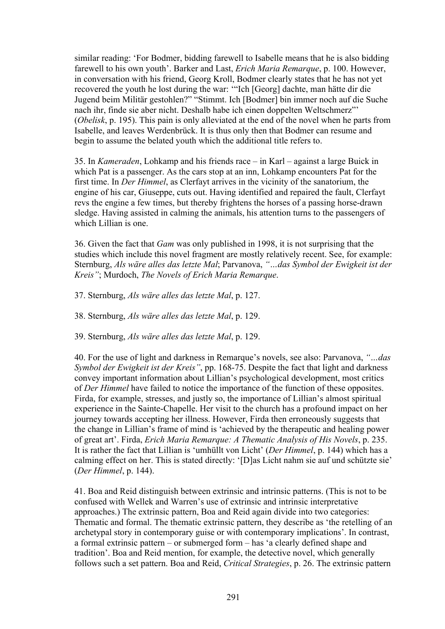similar reading: 'For Bodmer, bidding farewell to Isabelle means that he is also bidding farewell to his own youth'. Barker and Last, *Erich Maria Remarque*, p. 100. However, in conversation with his friend, Georg Kroll, Bodmer clearly states that he has not yet recovered the youth he lost during the war: '"Ich [Georg] dachte, man hätte dir die Jugend beim Militär gestohlen?" "Stimmt. Ich [Bodmer] bin immer noch auf die Suche nach ihr, finde sie aber nicht. Deshalb habe ich einen doppelten Weltschmerz"' (*Obelisk*, p. 195). This pain is only alleviated at the end of the novel when he parts from Isabelle, and leaves Werdenbrück. It is thus only then that Bodmer can resume and begin to assume the belated youth which the additional title refers to.

35. In *Kameraden*, Lohkamp and his friends race – in Karl – against a large Buick in which Pat is a passenger. As the cars stop at an inn, Lohkamp encounters Pat for the first time. In *Der Himmel*, as Clerfayt arrives in the vicinity of the sanatorium, the engine of his car, Giuseppe, cuts out. Having identified and repaired the fault, Clerfayt revs the engine a few times, but thereby frightens the horses of a passing horse-drawn sledge. Having assisted in calming the animals, his attention turns to the passengers of which Lillian is one.

36. Given the fact that *Gam* was only published in 1998, it is not surprising that the studies which include this novel fragment are mostly relatively recent. See, for example: Sternburg, *Als wäre alles das letzte Mal*; Parvanova, *"…das Symbol der Ewigkeit ist der Kreis"*; Murdoch, *The Novels of Erich Maria Remarque*.

37. Sternburg, *Als wäre alles das letzte Mal*, p. 127.

38. Sternburg, *Als wäre alles das letzte Mal*, p. 129.

39. Sternburg, *Als wäre alles das letzte Mal*, p. 129.

40. For the use of light and darkness in Remarque's novels, see also: Parvanova, *"…das Symbol der Ewigkeit ist der Kreis"*, pp. 168-75. Despite the fact that light and darkness convey important information about Lillian's psychological development, most critics of *Der Himmel* have failed to notice the importance of the function of these opposites. Firda, for example, stresses, and justly so, the importance of Lillian's almost spiritual experience in the Sainte-Chapelle. Her visit to the church has a profound impact on her journey towards accepting her illness. However, Firda then erroneously suggests that the change in Lillian's frame of mind is 'achieved by the therapeutic and healing power of great art'. Firda, *Erich Maria Remarque: A Thematic Analysis of His Novels*, p. 235. It is rather the fact that Lillian is 'umhüllt von Licht' (*Der Himmel*, p. 144) which has a calming effect on her. This is stated directly: '[D]as Licht nahm sie auf und schützte sie' (*Der Himmel*, p. 144).

41. Boa and Reid distinguish between extrinsic and intrinsic patterns. (This is not to be confused with Wellek and Warren's use of extrinsic and intrinsic interpretative approaches.) The extrinsic pattern, Boa and Reid again divide into two categories: Thematic and formal. The thematic extrinsic pattern, they describe as 'the retelling of an archetypal story in contemporary guise or with contemporary implications'. In contrast, a formal extrinsic pattern – or submerged form – has 'a clearly defined shape and tradition'. Boa and Reid mention, for example, the detective novel, which generally follows such a set pattern. Boa and Reid, *Critical Strategies*, p. 26. The extrinsic pattern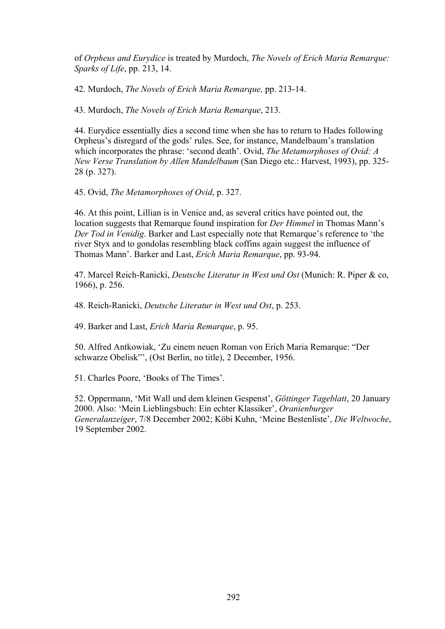of *Orpheus and Eurydice* is treated by Murdoch, *The Novels of Erich Maria Remarque: Sparks of Life*, pp. 213, 14.

42. Murdoch, *The Novels of Erich Maria Remarque,* pp. 213-14.

43. Murdoch, *The Novels of Erich Maria Remarque*, 213.

44. Eurydice essentially dies a second time when she has to return to Hades following Orpheus's disregard of the gods' rules. See, for instance, Mandelbaum's translation which incorporates the phrase: 'second death'. Ovid, *The Metamorphoses of Ovid: A New Verse Translation by Allen Mandelbaum* (San Diego etc.: Harvest, 1993), pp. 325- 28 (p. 327).

45. Ovid, *The Metamorphoses of Ovid*, p. 327.

46. At this point, Lillian is in Venice and, as several critics have pointed out, the location suggests that Remarque found inspiration for *Der Himmel* in Thomas Mann's *Der Tod in Venidig*. Barker and Last especially note that Remarque's reference to 'the river Styx and to gondolas resembling black coffins again suggest the influence of Thomas Mann'. Barker and Last, *Erich Maria Remarque*, pp. 93-94.

47. Marcel Reich-Ranicki, *Deutsche Literatur in West und Ost* (Munich: R. Piper & co, 1966), p. 256.

48. Reich-Ranicki, *Deutsche Literatur in West und Ost*, p. 253.

49. Barker and Last, *Erich Maria Remarque*, p. 95.

50. Alfred Antkowiak, 'Zu einem neuen Roman von Erich Maria Remarque: "Der schwarze Obelisk"', (Ost Berlin, no title), 2 December, 1956.

51. Charles Poore, 'Books of The Times'.

52. Oppermann, 'Mit Wall und dem kleinen Gespenst', *Göttinger Tageblatt*, 20 January 2000. Also: 'Mein Lieblingsbuch: Ein echter Klassiker', *Oranienburger Generalanzeiger*, 7/8 December 2002; Köbi Kuhn, 'Meine Bestenliste', *Die Weltwoche*, 19 September 2002.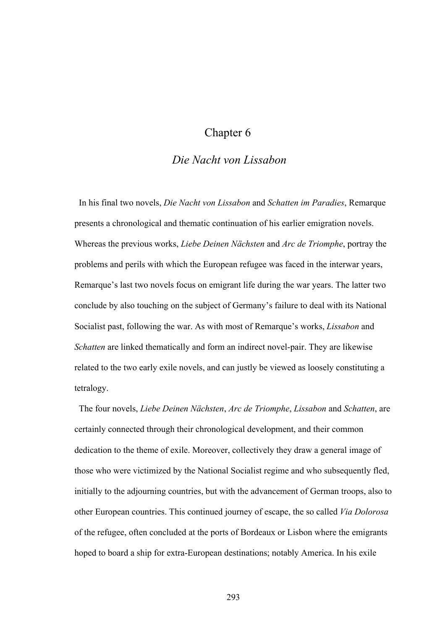# Chapter 6

### *Die Nacht von Lissabon*

 In his final two novels, *Die Nacht von Lissabon* and *Schatten im Paradies*, Remarque presents a chronological and thematic continuation of his earlier emigration novels. Whereas the previous works, *Liebe Deinen Nächsten* and *Arc de Triomphe*, portray the problems and perils with which the European refugee was faced in the interwar years, Remarque's last two novels focus on emigrant life during the war years. The latter two conclude by also touching on the subject of Germany's failure to deal with its National Socialist past, following the war. As with most of Remarque's works, *Lissabon* and *Schatten* are linked thematically and form an indirect novel-pair. They are likewise related to the two early exile novels, and can justly be viewed as loosely constituting a tetralogy.

 The four novels, *Liebe Deinen Nächsten*, *Arc de Triomphe*, *Lissabon* and *Schatten*, are certainly connected through their chronological development, and their common dedication to the theme of exile. Moreover, collectively they draw a general image of those who were victimized by the National Socialist regime and who subsequently fled, initially to the adjourning countries, but with the advancement of German troops, also to other European countries. This continued journey of escape, the so called *Via Dolorosa* of the refugee, often concluded at the ports of Bordeaux or Lisbon where the emigrants hoped to board a ship for extra-European destinations; notably America. In his exile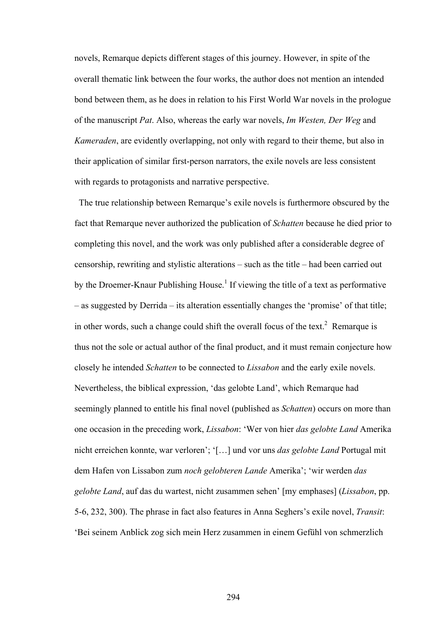novels, Remarque depicts different stages of this journey. However, in spite of the overall thematic link between the four works, the author does not mention an intended bond between them, as he does in relation to his First World War novels in the prologue of the manuscript *Pat*. Also, whereas the early war novels, *Im Westen, Der Weg* and *Kameraden*, are evidently overlapping, not only with regard to their theme, but also in their application of similar first-person narrators, the exile novels are less consistent with regards to protagonists and narrative perspective.

The true relationship between Remarque's exile novels is furthermore obscured by the fact that Remarque never authorized the publication of *Schatten* because he died prior to completing this novel, and the work was only published after a considerable degree of censorship, rewriting and stylistic alterations – such as the title – had been carried out by the Droemer-Knaur Publishing House.<sup>1</sup> If viewing the title of a text as performative – as suggested by Derrida – its alteration essentially changes the 'promise' of that title; in other words, such a change could shift the overall focus of the text.<sup>2</sup> Remarque is thus not the sole or actual author of the final product, and it must remain conjecture how closely he intended *Schatten* to be connected to *Lissabon* and the early exile novels. Nevertheless, the biblical expression, 'das gelobte Land', which Remarque had seemingly planned to entitle his final novel (published as *Schatten*) occurs on more than one occasion in the preceding work, *Lissabon*: 'Wer von hier *das gelobte Land* Amerika nicht erreichen konnte, war verloren'; '[…] und vor uns *das gelobte Land* Portugal mit dem Hafen von Lissabon zum *noch gelobteren Lande* Amerika'; 'wir werden *das gelobte Land*, auf das du wartest, nicht zusammen sehen' [my emphases] (*Lissabon*, pp. 5-6, 232, 300). The phrase in fact also features in Anna Seghers's exile novel, *Transit*: 'Bei seinem Anblick zog sich mein Herz zusammen in einem Gefühl von schmerzlich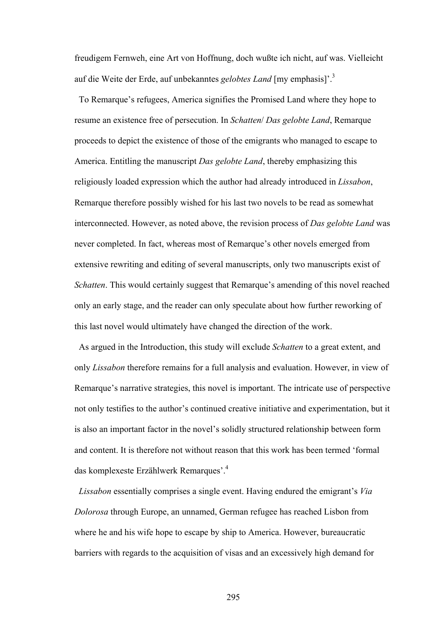freudigem Fernweh, eine Art von Hoffnung, doch wußte ich nicht, auf was. Vielleicht auf die Weite der Erde, auf unbekanntes *gelobtes Land* [my emphasis]'.3

To Remarque's refugees, America signifies the Promised Land where they hope to resume an existence free of persecution. In *Schatten*/ *Das gelobte Land*, Remarque proceeds to depict the existence of those of the emigrants who managed to escape to America. Entitling the manuscript *Das gelobte Land*, thereby emphasizing this religiously loaded expression which the author had already introduced in *Lissabon*, Remarque therefore possibly wished for his last two novels to be read as somewhat interconnected. However, as noted above, the revision process of *Das gelobte Land* was never completed. In fact, whereas most of Remarque's other novels emerged from extensive rewriting and editing of several manuscripts, only two manuscripts exist of *Schatten*. This would certainly suggest that Remarque's amending of this novel reached only an early stage, and the reader can only speculate about how further reworking of this last novel would ultimately have changed the direction of the work.

 As argued in the Introduction, this study will exclude *Schatten* to a great extent, and only *Lissabon* therefore remains for a full analysis and evaluation. However, in view of Remarque's narrative strategies, this novel is important. The intricate use of perspective not only testifies to the author's continued creative initiative and experimentation, but it is also an important factor in the novel's solidly structured relationship between form and content. It is therefore not without reason that this work has been termed 'formal das komplexeste Erzählwerk Remarques'.4

 *Lissabon* essentially comprises a single event. Having endured the emigrant's *Via Dolorosa* through Europe, an unnamed, German refugee has reached Lisbon from where he and his wife hope to escape by ship to America. However, bureaucratic barriers with regards to the acquisition of visas and an excessively high demand for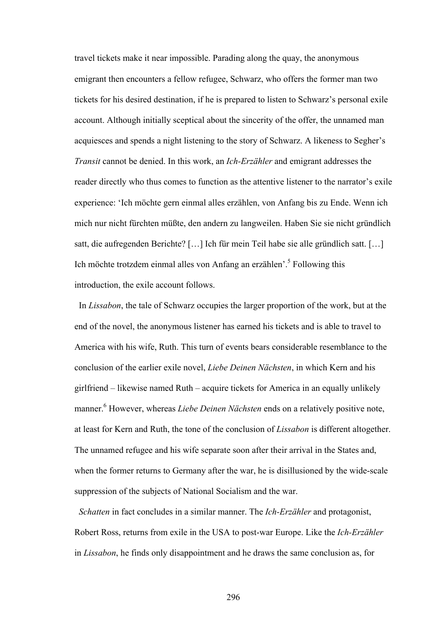travel tickets make it near impossible. Parading along the quay, the anonymous emigrant then encounters a fellow refugee, Schwarz, who offers the former man two tickets for his desired destination, if he is prepared to listen to Schwarz's personal exile account. Although initially sceptical about the sincerity of the offer, the unnamed man acquiesces and spends a night listening to the story of Schwarz. A likeness to Segher's *Transit* cannot be denied. In this work, an *Ich-Erzähler* and emigrant addresses the reader directly who thus comes to function as the attentive listener to the narrator's exile experience: 'Ich möchte gern einmal alles erzählen, von Anfang bis zu Ende. Wenn ich mich nur nicht fürchten müßte, den andern zu langweilen. Haben Sie sie nicht gründlich satt, die aufregenden Berichte? […] Ich für mein Teil habe sie alle gründlich satt. […] Ich möchte trotzdem einmal alles von Anfang an erzählen<sup>5</sup>. Following this introduction, the exile account follows.

 In *Lissabon*, the tale of Schwarz occupies the larger proportion of the work, but at the end of the novel, the anonymous listener has earned his tickets and is able to travel to America with his wife, Ruth. This turn of events bears considerable resemblance to the conclusion of the earlier exile novel, *Liebe Deinen Nächsten*, in which Kern and his girlfriend – likewise named Ruth – acquire tickets for America in an equally unlikely manner.<sup>6</sup> However, whereas *Liebe Deinen Nächsten* ends on a relatively positive note, at least for Kern and Ruth, the tone of the conclusion of *Lissabon* is different altogether. The unnamed refugee and his wife separate soon after their arrival in the States and, when the former returns to Germany after the war, he is disillusioned by the wide-scale suppression of the subjects of National Socialism and the war.

*Schatten* in fact concludes in a similar manner. The *Ich-Erzähler* and protagonist, Robert Ross, returns from exile in the USA to post-war Europe. Like the *Ich-Erzähler* in *Lissabon*, he finds only disappointment and he draws the same conclusion as, for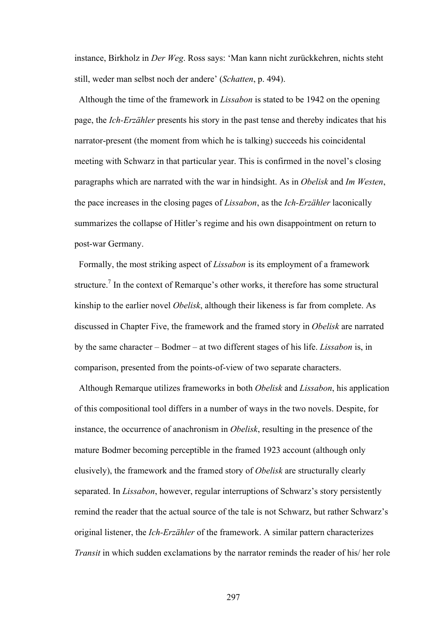instance, Birkholz in *Der Weg*. Ross says: 'Man kann nicht zurückkehren, nichts steht still, weder man selbst noch der andere' (*Schatten*, p. 494).

Although the time of the framework in *Lissabon* is stated to be 1942 on the opening page, the *Ich-Erzähler* presents his story in the past tense and thereby indicates that his narrator-present (the moment from which he is talking) succeeds his coincidental meeting with Schwarz in that particular year. This is confirmed in the novel's closing paragraphs which are narrated with the war in hindsight. As in *Obelisk* and *Im Westen*, the pace increases in the closing pages of *Lissabon*, as the *Ich-Erzähler* laconically summarizes the collapse of Hitler's regime and his own disappointment on return to post-war Germany.

Formally, the most striking aspect of *Lissabon* is its employment of a framework structure.<sup>7</sup> In the context of Remarque's other works, it therefore has some structural kinship to the earlier novel *Obelisk*, although their likeness is far from complete. As discussed in Chapter Five, the framework and the framed story in *Obelisk* are narrated by the same character – Bodmer – at two different stages of his life. *Lissabon* is, in comparison, presented from the points-of-view of two separate characters.

 Although Remarque utilizes frameworks in both *Obelisk* and *Lissabon*, his application of this compositional tool differs in a number of ways in the two novels. Despite, for instance, the occurrence of anachronism in *Obelisk*, resulting in the presence of the mature Bodmer becoming perceptible in the framed 1923 account (although only elusively), the framework and the framed story of *Obelisk* are structurally clearly separated. In *Lissabon*, however, regular interruptions of Schwarz's story persistently remind the reader that the actual source of the tale is not Schwarz, but rather Schwarz's original listener, the *Ich-Erzähler* of the framework. A similar pattern characterizes *Transit* in which sudden exclamations by the narrator reminds the reader of his/ her role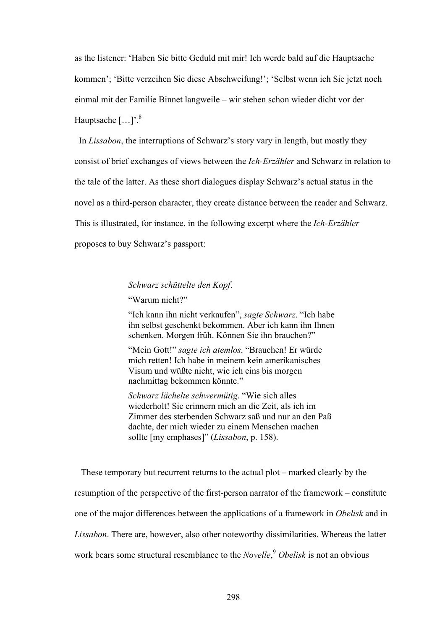as the listener: 'Haben Sie bitte Geduld mit mir! Ich werde bald auf die Hauptsache kommen'; 'Bitte verzeihen Sie diese Abschweifung!'; 'Selbst wenn ich Sie jetzt noch einmal mit der Familie Binnet langweile – wir stehen schon wieder dicht vor der Hauptsache  $[...]$ .<sup>8</sup>

 In *Lissabon*, the interruptions of Schwarz's story vary in length, but mostly they consist of brief exchanges of views between the *Ich-Erzähler* and Schwarz in relation to the tale of the latter. As these short dialogues display Schwarz's actual status in the novel as a third-person character, they create distance between the reader and Schwarz. This is illustrated, for instance, in the following excerpt where the *Ich-Erzähler* proposes to buy Schwarz's passport:

### *Schwarz schüttelte den Kopf*.

"Warum nicht?"

"Ich kann ihn nicht verkaufen", *sagte Schwarz*. "Ich habe ihn selbst geschenkt bekommen. Aber ich kann ihn Ihnen schenken. Morgen früh. Können Sie ihn brauchen?"

"Mein Gott!" *sagte ich atemlos*. "Brauchen! Er würde mich retten! Ich habe in meinem kein amerikanisches Visum und wüßte nicht, wie ich eins bis morgen nachmittag bekommen könnte."

*Schwarz lächelte schwermütig*. "Wie sich alles wiederholt! Sie erinnern mich an die Zeit, als ich im Zimmer des sterbenden Schwarz saß und nur an den Paß dachte, der mich wieder zu einem Menschen machen sollte [my emphases]" (*Lissabon*, p. 158).

 These temporary but recurrent returns to the actual plot – marked clearly by the resumption of the perspective of the first-person narrator of the framework – constitute one of the major differences between the applications of a framework in *Obelisk* and in *Lissabon*. There are, however, also other noteworthy dissimilarities. Whereas the latter work bears some structural resemblance to the *Novelle*, <sup>9</sup> *Obelisk* is not an obvious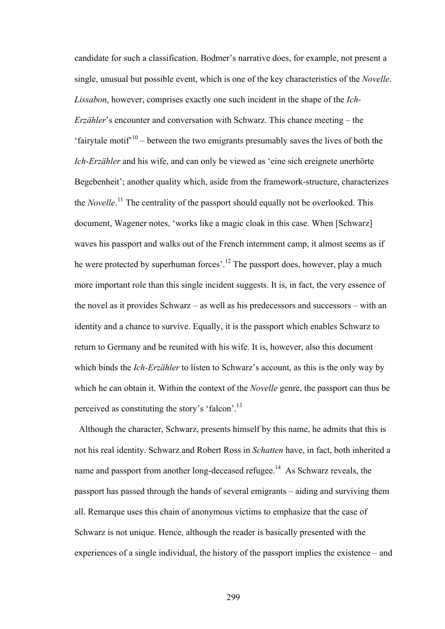candidate for such a classification. Bodmer's narrative does, for example, not present a single, unusual but possible event, which is one of the key characteristics of the *Novelle*. *Lissabon*, however, comprises exactly one such incident in the shape of the *Ich-Erzähler*'s encounter and conversation with Schwarz. This chance meeting – the 'fairytale motif'<sup>10</sup> – between the two emigrants presumably saves the lives of both the *Ich-Erzähler* and his wife, and can only be viewed as 'eine sich ereignete unerhörte Begebenheit'; another quality which, aside from the framework-structure, characterizes the *Novelle*. 11 The centrality of the passport should equally not be overlooked. This document, Wagener notes, 'works like a magic cloak in this case. When [Schwarz] waves his passport and walks out of the French internment camp, it almost seems as if he were protected by superhuman forces'.<sup>12</sup> The passport does, however, play a much more important role than this single incident suggests. It is, in fact, the very essence of the novel as it provides Schwarz – as well as his predecessors and successors – with an identity and a chance to survive. Equally, it is the passport which enables Schwarz to return to Germany and be reunited with his wife. It is, however, also this document which binds the *Ich-Erzähler* to listen to Schwarz's account, as this is the only way by which he can obtain it. Within the context of the *Novelle* genre, the passport can thus be perceived as constituting the story's 'falcon'.13

 Although the character, Schwarz, presents himself by this name, he admits that this is not his real identity. Schwarz and Robert Ross in *Schatten* have, in fact, both inherited a name and passport from another long-deceased refugee.<sup>14</sup> As Schwarz reveals, the passport has passed through the hands of several emigrants – aiding and surviving them all. Remarque uses this chain of anonymous victims to emphasize that the case of Schwarz is not unique. Hence, although the reader is basically presented with the experiences of a single individual, the history of the passport implies the existence – and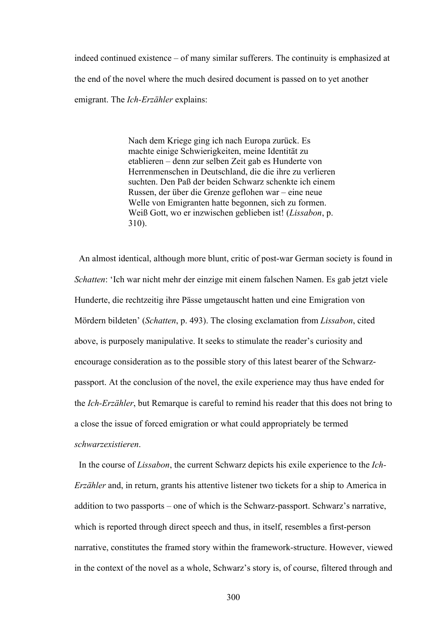indeed continued existence – of many similar sufferers. The continuity is emphasized at the end of the novel where the much desired document is passed on to yet another emigrant. The *Ich-Erzähler* explains:

> Nach dem Kriege ging ich nach Europa zurück. Es machte einige Schwierigkeiten, meine Identität zu etablieren – denn zur selben Zeit gab es Hunderte von Herrenmenschen in Deutschland, die die ihre zu verlieren suchten. Den Paß der beiden Schwarz schenkte ich einem Russen, der über die Grenze geflohen war – eine neue Welle von Emigranten hatte begonnen, sich zu formen. Weiß Gott, wo er inzwischen geblieben ist! (*Lissabon*, p. 310).

 An almost identical, although more blunt, critic of post-war German society is found in *Schatten*: 'Ich war nicht mehr der einzige mit einem falschen Namen. Es gab jetzt viele Hunderte, die rechtzeitig ihre Pässe umgetauscht hatten und eine Emigration von Mördern bildeten' (*Schatten*, p. 493). The closing exclamation from *Lissabon*, cited above, is purposely manipulative. It seeks to stimulate the reader's curiosity and encourage consideration as to the possible story of this latest bearer of the Schwarzpassport. At the conclusion of the novel, the exile experience may thus have ended for the *Ich-Erzähler*, but Remarque is careful to remind his reader that this does not bring to a close the issue of forced emigration or what could appropriately be termed *schwarzexistieren*.

 In the course of *Lissabon*, the current Schwarz depicts his exile experience to the *Ich-Erzähler* and, in return, grants his attentive listener two tickets for a ship to America in addition to two passports – one of which is the Schwarz-passport. Schwarz's narrative, which is reported through direct speech and thus, in itself, resembles a first-person narrative, constitutes the framed story within the framework-structure. However, viewed in the context of the novel as a whole, Schwarz's story is, of course, filtered through and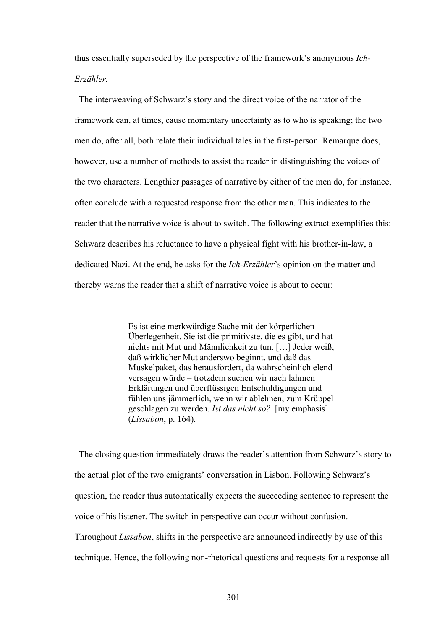thus essentially superseded by the perspective of the framework's anonymous *Ich-Erzähler.*

The interweaving of Schwarz's story and the direct voice of the narrator of the framework can, at times, cause momentary uncertainty as to who is speaking; the two men do, after all, both relate their individual tales in the first-person. Remarque does, however, use a number of methods to assist the reader in distinguishing the voices of the two characters. Lengthier passages of narrative by either of the men do, for instance, often conclude with a requested response from the other man. This indicates to the reader that the narrative voice is about to switch. The following extract exemplifies this: Schwarz describes his reluctance to have a physical fight with his brother-in-law, a dedicated Nazi. At the end, he asks for the *Ich-Erzähler*'s opinion on the matter and thereby warns the reader that a shift of narrative voice is about to occur:

> Es ist eine merkwürdige Sache mit der körperlichen Überlegenheit. Sie ist die primitivste, die es gibt, und hat nichts mit Mut und Männlichkeit zu tun. […] Jeder weiß, daß wirklicher Mut anderswo beginnt, und daß das Muskelpaket, das herausfordert, da wahrscheinlich elend versagen würde – trotzdem suchen wir nach lahmen Erklärungen und überflüssigen Entschuldigungen und fühlen uns jämmerlich, wenn wir ablehnen, zum Krüppel geschlagen zu werden. *Ist das nicht so?* [my emphasis] (*Lissabon*, p. 164).

 The closing question immediately draws the reader's attention from Schwarz's story to the actual plot of the two emigrants' conversation in Lisbon. Following Schwarz's question, the reader thus automatically expects the succeeding sentence to represent the voice of his listener. The switch in perspective can occur without confusion. Throughout *Lissabon*, shifts in the perspective are announced indirectly by use of this technique. Hence, the following non-rhetorical questions and requests for a response all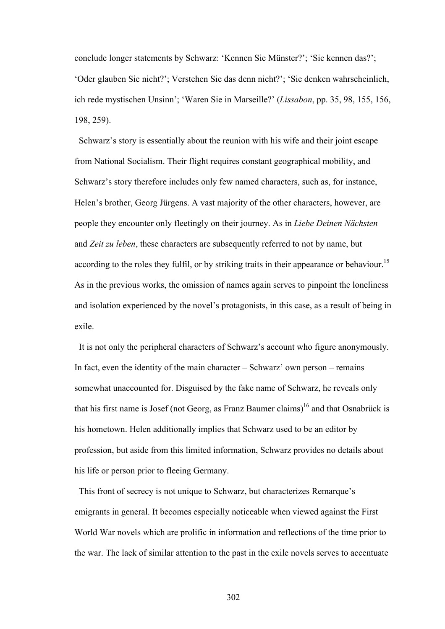conclude longer statements by Schwarz: 'Kennen Sie Münster?'; 'Sie kennen das?'; 'Oder glauben Sie nicht?'; Verstehen Sie das denn nicht?'; 'Sie denken wahrscheinlich, ich rede mystischen Unsinn'; 'Waren Sie in Marseille?' (*Lissabon*, pp. 35, 98, 155, 156, 198, 259).

 Schwarz's story is essentially about the reunion with his wife and their joint escape from National Socialism. Their flight requires constant geographical mobility, and Schwarz's story therefore includes only few named characters, such as, for instance, Helen's brother, Georg Jürgens. A vast majority of the other characters, however, are people they encounter only fleetingly on their journey. As in *Liebe Deinen Nächsten* and *Zeit zu leben*, these characters are subsequently referred to not by name, but according to the roles they fulfil, or by striking traits in their appearance or behaviour.<sup>15</sup> As in the previous works, the omission of names again serves to pinpoint the loneliness and isolation experienced by the novel's protagonists, in this case, as a result of being in exile.

 It is not only the peripheral characters of Schwarz's account who figure anonymously. In fact, even the identity of the main character – Schwarz' own person – remains somewhat unaccounted for. Disguised by the fake name of Schwarz, he reveals only that his first name is Josef (not Georg, as Franz Baumer claims)<sup>16</sup> and that Osnabrück is his hometown. Helen additionally implies that Schwarz used to be an editor by profession, but aside from this limited information, Schwarz provides no details about his life or person prior to fleeing Germany.

 This front of secrecy is not unique to Schwarz, but characterizes Remarque's emigrants in general. It becomes especially noticeable when viewed against the First World War novels which are prolific in information and reflections of the time prior to the war. The lack of similar attention to the past in the exile novels serves to accentuate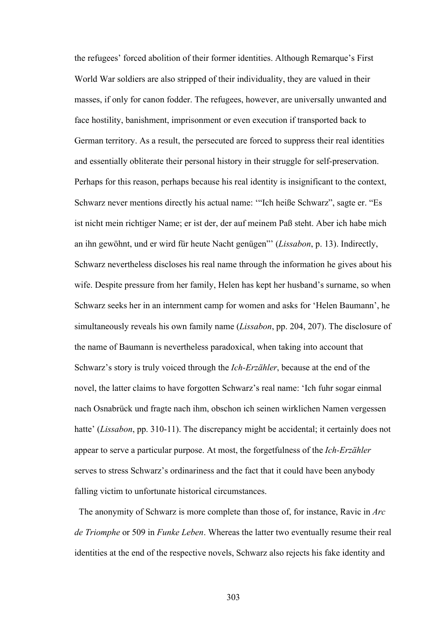the refugees' forced abolition of their former identities. Although Remarque's First World War soldiers are also stripped of their individuality, they are valued in their masses, if only for canon fodder. The refugees, however, are universally unwanted and face hostility, banishment, imprisonment or even execution if transported back to German territory. As a result, the persecuted are forced to suppress their real identities and essentially obliterate their personal history in their struggle for self-preservation. Perhaps for this reason, perhaps because his real identity is insignificant to the context, Schwarz never mentions directly his actual name: '"Ich heiße Schwarz", sagte er. "Es ist nicht mein richtiger Name; er ist der, der auf meinem Paß steht. Aber ich habe mich an ihn gewöhnt, und er wird für heute Nacht genügen"' (*Lissabon*, p. 13). Indirectly, Schwarz nevertheless discloses his real name through the information he gives about his wife. Despite pressure from her family, Helen has kept her husband's surname, so when Schwarz seeks her in an internment camp for women and asks for 'Helen Baumann', he simultaneously reveals his own family name (*Lissabon*, pp. 204, 207). The disclosure of the name of Baumann is nevertheless paradoxical, when taking into account that Schwarz's story is truly voiced through the *Ich-Erzähler*, because at the end of the novel, the latter claims to have forgotten Schwarz's real name: 'Ich fuhr sogar einmal nach Osnabrück und fragte nach ihm, obschon ich seinen wirklichen Namen vergessen hatte' *(Lissabon, pp.* 310-11). The discrepancy might be accidental; it certainly does not appear to serve a particular purpose. At most, the forgetfulness of the *Ich-Erzähler* serves to stress Schwarz's ordinariness and the fact that it could have been anybody falling victim to unfortunate historical circumstances.

 The anonymity of Schwarz is more complete than those of, for instance, Ravic in *Arc de Triomphe* or 509 in *Funke Leben*. Whereas the latter two eventually resume their real identities at the end of the respective novels, Schwarz also rejects his fake identity and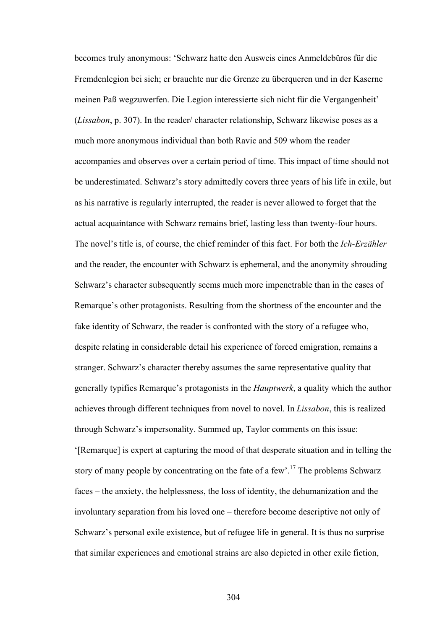becomes truly anonymous: 'Schwarz hatte den Ausweis eines Anmeldebüros für die Fremdenlegion bei sich; er brauchte nur die Grenze zu überqueren und in der Kaserne meinen Paß wegzuwerfen. Die Legion interessierte sich nicht für die Vergangenheit' (*Lissabon*, p. 307). In the reader/ character relationship, Schwarz likewise poses as a much more anonymous individual than both Ravic and 509 whom the reader accompanies and observes over a certain period of time. This impact of time should not be underestimated. Schwarz's story admittedly covers three years of his life in exile, but as his narrative is regularly interrupted, the reader is never allowed to forget that the actual acquaintance with Schwarz remains brief, lasting less than twenty-four hours. The novel's title is, of course, the chief reminder of this fact. For both the *Ich-Erzähler* and the reader, the encounter with Schwarz is ephemeral, and the anonymity shrouding Schwarz's character subsequently seems much more impenetrable than in the cases of Remarque's other protagonists. Resulting from the shortness of the encounter and the fake identity of Schwarz, the reader is confronted with the story of a refugee who, despite relating in considerable detail his experience of forced emigration, remains a stranger. Schwarz's character thereby assumes the same representative quality that generally typifies Remarque's protagonists in the *Hauptwerk*, a quality which the author achieves through different techniques from novel to novel. In *Lissabon*, this is realized through Schwarz's impersonality. Summed up, Taylor comments on this issue: '[Remarque] is expert at capturing the mood of that desperate situation and in telling the story of many people by concentrating on the fate of a few<sup> $17$ </sup>. The problems Schwarz faces – the anxiety, the helplessness, the loss of identity, the dehumanization and the involuntary separation from his loved one – therefore become descriptive not only of Schwarz's personal exile existence, but of refugee life in general. It is thus no surprise that similar experiences and emotional strains are also depicted in other exile fiction,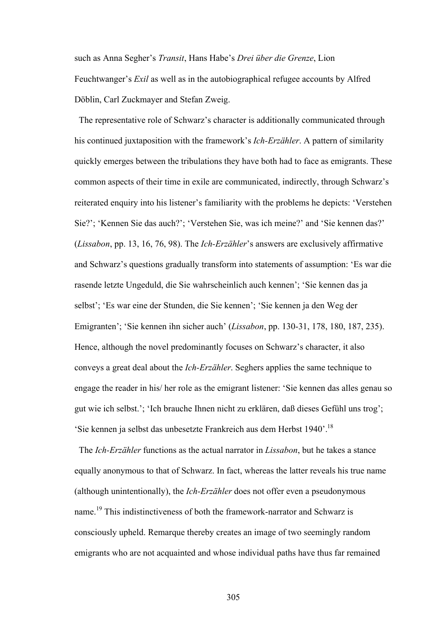such as Anna Segher's *Transit*, Hans Habe's *Drei über die Grenze*, Lion Feuchtwanger's *Exil* as well as in the autobiographical refugee accounts by Alfred Döblin, Carl Zuckmayer and Stefan Zweig.

 The representative role of Schwarz's character is additionally communicated through his continued juxtaposition with the framework's *Ich-Erzähler*. A pattern of similarity quickly emerges between the tribulations they have both had to face as emigrants. These common aspects of their time in exile are communicated, indirectly, through Schwarz's reiterated enquiry into his listener's familiarity with the problems he depicts: 'Verstehen Sie?'; 'Kennen Sie das auch?'; 'Verstehen Sie, was ich meine?' and 'Sie kennen das?' (*Lissabon*, pp. 13, 16, 76, 98). The *Ich-Erzähler*'s answers are exclusively affirmative and Schwarz's questions gradually transform into statements of assumption: 'Es war die rasende letzte Ungeduld, die Sie wahrscheinlich auch kennen'; 'Sie kennen das ja selbst'; 'Es war eine der Stunden, die Sie kennen'; 'Sie kennen ja den Weg der Emigranten'; 'Sie kennen ihn sicher auch' (*Lissabon*, pp. 130-31, 178, 180, 187, 235). Hence, although the novel predominantly focuses on Schwarz's character, it also conveys a great deal about the *Ich-Erzähler*. Seghers applies the same technique to engage the reader in his/ her role as the emigrant listener: 'Sie kennen das alles genau so gut wie ich selbst.'; 'Ich brauche Ihnen nicht zu erklären, daß dieses Gefühl uns trog'; 'Sie kennen ja selbst das unbesetzte Frankreich aus dem Herbst 1940'.18

 The *Ich-Erzähler* functions as the actual narrator in *Lissabon*, but he takes a stance equally anonymous to that of Schwarz. In fact, whereas the latter reveals his true name (although unintentionally), the *Ich-Erzähler* does not offer even a pseudonymous name.<sup>19</sup> This indistinctiveness of both the framework-narrator and Schwarz is consciously upheld. Remarque thereby creates an image of two seemingly random emigrants who are not acquainted and whose individual paths have thus far remained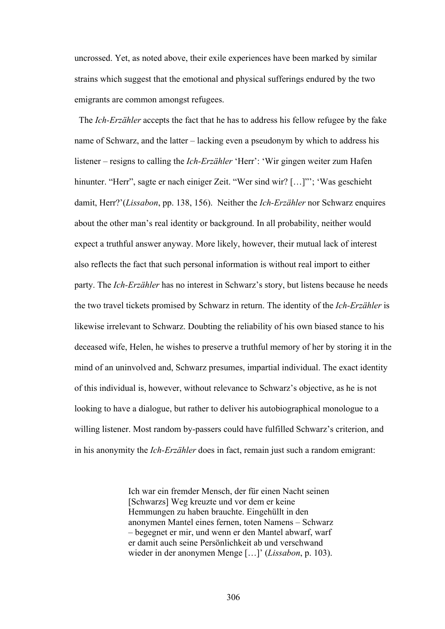uncrossed. Yet, as noted above, their exile experiences have been marked by similar strains which suggest that the emotional and physical sufferings endured by the two emigrants are common amongst refugees.

 The *Ich-Erzähler* accepts the fact that he has to address his fellow refugee by the fake name of Schwarz, and the latter – lacking even a pseudonym by which to address his listener – resigns to calling the *Ich-Erzähler* 'Herr': 'Wir gingen weiter zum Hafen hinunter. "Herr", sagte er nach einiger Zeit. "Wer sind wir? [...]"'; 'Was geschieht damit, Herr?'(*Lissabon*, pp. 138, 156). Neither the *Ich-Erzähler* nor Schwarz enquires about the other man's real identity or background. In all probability, neither would expect a truthful answer anyway. More likely, however, their mutual lack of interest also reflects the fact that such personal information is without real import to either party. The *Ich-Erzähler* has no interest in Schwarz's story, but listens because he needs the two travel tickets promised by Schwarz in return. The identity of the *Ich-Erzähler* is likewise irrelevant to Schwarz. Doubting the reliability of his own biased stance to his deceased wife, Helen, he wishes to preserve a truthful memory of her by storing it in the mind of an uninvolved and, Schwarz presumes, impartial individual. The exact identity of this individual is, however, without relevance to Schwarz's objective, as he is not looking to have a dialogue, but rather to deliver his autobiographical monologue to a willing listener. Most random by-passers could have fulfilled Schwarz's criterion, and in his anonymity the *Ich-Erzähler* does in fact, remain just such a random emigrant:

> Ich war ein fremder Mensch, der für einen Nacht seinen [Schwarzs] Weg kreuzte und vor dem er keine Hemmungen zu haben brauchte. Eingehüllt in den anonymen Mantel eines fernen, toten Namens – Schwarz – begegnet er mir, und wenn er den Mantel abwarf, warf er damit auch seine Persönlichkeit ab und verschwand wieder in der anonymen Menge […]' (*Lissabon*, p. 103).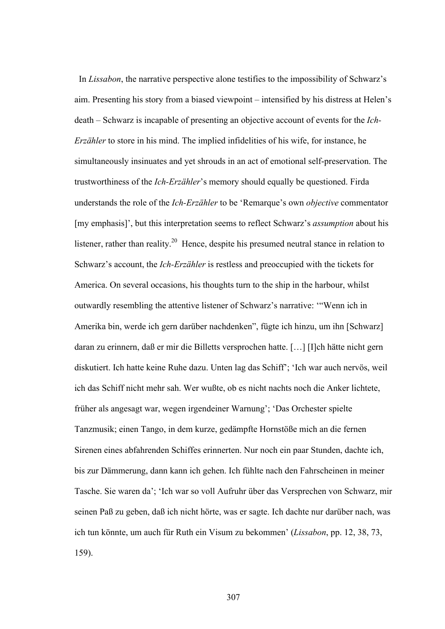In *Lissabon*, the narrative perspective alone testifies to the impossibility of Schwarz's aim. Presenting his story from a biased viewpoint – intensified by his distress at Helen's death – Schwarz is incapable of presenting an objective account of events for the *Ich-Erzähler* to store in his mind. The implied infidelities of his wife, for instance, he simultaneously insinuates and yet shrouds in an act of emotional self-preservation. The trustworthiness of the *Ich-Erzähler*'s memory should equally be questioned. Firda understands the role of the *Ich-Erzähler* to be 'Remarque's own *objective* commentator [my emphasis]', but this interpretation seems to reflect Schwarz's *assumption* about his listener, rather than reality.<sup>20</sup> Hence, despite his presumed neutral stance in relation to Schwarz's account, the *Ich-Erzähler* is restless and preoccupied with the tickets for America. On several occasions, his thoughts turn to the ship in the harbour, whilst outwardly resembling the attentive listener of Schwarz's narrative: '"Wenn ich in Amerika bin, werde ich gern darüber nachdenken", fügte ich hinzu, um ihn [Schwarz] daran zu erinnern, daß er mir die Billetts versprochen hatte. […] [I]ch hätte nicht gern diskutiert. Ich hatte keine Ruhe dazu. Unten lag das Schiff'; 'Ich war auch nervös, weil ich das Schiff nicht mehr sah. Wer wußte, ob es nicht nachts noch die Anker lichtete, früher als angesagt war, wegen irgendeiner Warnung'; 'Das Orchester spielte Tanzmusik; einen Tango, in dem kurze, gedämpfte Hornstöße mich an die fernen Sirenen eines abfahrenden Schiffes erinnerten. Nur noch ein paar Stunden, dachte ich, bis zur Dämmerung, dann kann ich gehen. Ich fühlte nach den Fahrscheinen in meiner Tasche. Sie waren da'; 'Ich war so voll Aufruhr über das Versprechen von Schwarz, mir seinen Paß zu geben, daß ich nicht hörte, was er sagte. Ich dachte nur darüber nach, was ich tun könnte, um auch für Ruth ein Visum zu bekommen' (*Lissabon*, pp. 12, 38, 73, 159).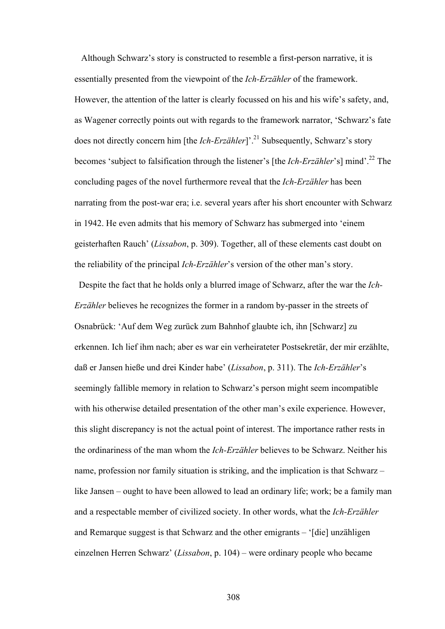Although Schwarz's story is constructed to resemble a first-person narrative, it is essentially presented from the viewpoint of the *Ich-Erzähler* of the framework. However, the attention of the latter is clearly focussed on his and his wife's safety, and, as Wagener correctly points out with regards to the framework narrator, 'Schwarz's fate does not directly concern him [the *Ich-Erzähler*]'.<sup>21</sup> Subsequently, Schwarz's story becomes 'subject to falsification through the listener's [the *Ich-Erzähler*'s] mind'.22 The concluding pages of the novel furthermore reveal that the *Ich-Erzähler* has been narrating from the post-war era; i.e. several years after his short encounter with Schwarz in 1942. He even admits that his memory of Schwarz has submerged into 'einem geisterhaften Rauch' (*Lissabon*, p. 309). Together, all of these elements cast doubt on the reliability of the principal *Ich-Erzähler*'s version of the other man's story.

 Despite the fact that he holds only a blurred image of Schwarz, after the war the *Ich-Erzähler* believes he recognizes the former in a random by-passer in the streets of Osnabrück: 'Auf dem Weg zurück zum Bahnhof glaubte ich, ihn [Schwarz] zu erkennen. Ich lief ihm nach; aber es war ein verheirateter Postsekretär, der mir erzählte, daß er Jansen hieße und drei Kinder habe' (*Lissabon*, p. 311). The *Ich-Erzähler*'s seemingly fallible memory in relation to Schwarz's person might seem incompatible with his otherwise detailed presentation of the other man's exile experience. However, this slight discrepancy is not the actual point of interest. The importance rather rests in the ordinariness of the man whom the *Ich-Erzähler* believes to be Schwarz. Neither his name, profession nor family situation is striking, and the implication is that Schwarz – like Jansen – ought to have been allowed to lead an ordinary life; work; be a family man and a respectable member of civilized society. In other words, what the *Ich-Erzähler* and Remarque suggest is that Schwarz and the other emigrants – '[die] unzähligen einzelnen Herren Schwarz' (*Lissabon*, p. 104) – were ordinary people who became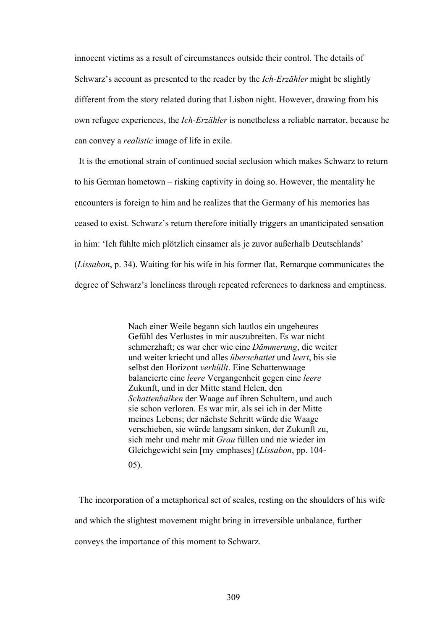innocent victims as a result of circumstances outside their control. The details of Schwarz's account as presented to the reader by the *Ich-Erzähler* might be slightly different from the story related during that Lisbon night. However, drawing from his own refugee experiences, the *Ich-Erzähler* is nonetheless a reliable narrator, because he can convey a *realistic* image of life in exile.

It is the emotional strain of continued social seclusion which makes Schwarz to return to his German hometown – risking captivity in doing so. However, the mentality he encounters is foreign to him and he realizes that the Germany of his memories has ceased to exist. Schwarz's return therefore initially triggers an unanticipated sensation in him: 'Ich fühlte mich plötzlich einsamer als je zuvor außerhalb Deutschlands' (*Lissabon*, p. 34). Waiting for his wife in his former flat, Remarque communicates the degree of Schwarz's loneliness through repeated references to darkness and emptiness.

> Nach einer Weile begann sich lautlos ein ungeheures Gefühl des Verlustes in mir auszubreiten. Es war nicht schmerzhaft; es war eher wie eine *Dämmerung*, die weiter und weiter kriecht und alles *überschattet* und *leert*, bis sie selbst den Horizont *verhüllt*. Eine Schattenwaage balancierte eine *leere* Vergangenheit gegen eine *leere* Zukunft, und in der Mitte stand Helen, den *Schattenbalken* der Waage auf ihren Schultern, und auch sie schon verloren. Es war mir, als sei ich in der Mitte meines Lebens; der nächste Schritt würde die Waage verschieben, sie würde langsam sinken, der Zukunft zu, sich mehr und mehr mit *Grau* füllen und nie wieder im Gleichgewicht sein [my emphases] (*Lissabon*, pp. 104- 05).

The incorporation of a metaphorical set of scales, resting on the shoulders of his wife and which the slightest movement might bring in irreversible unbalance, further conveys the importance of this moment to Schwarz.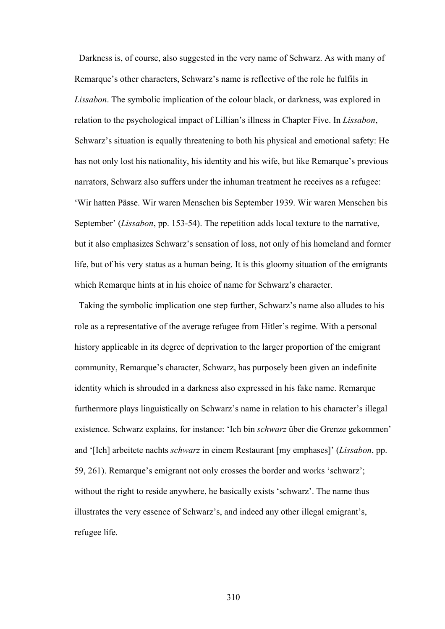Darkness is, of course, also suggested in the very name of Schwarz. As with many of Remarque's other characters, Schwarz's name is reflective of the role he fulfils in *Lissabon*. The symbolic implication of the colour black, or darkness, was explored in relation to the psychological impact of Lillian's illness in Chapter Five. In *Lissabon*, Schwarz's situation is equally threatening to both his physical and emotional safety: He has not only lost his nationality, his identity and his wife, but like Remarque's previous narrators, Schwarz also suffers under the inhuman treatment he receives as a refugee: 'Wir hatten Pässe. Wir waren Menschen bis September 1939. Wir waren Menschen bis September' (*Lissabon*, pp. 153-54). The repetition adds local texture to the narrative, but it also emphasizes Schwarz's sensation of loss, not only of his homeland and former life, but of his very status as a human being. It is this gloomy situation of the emigrants which Remarque hints at in his choice of name for Schwarz's character.

Taking the symbolic implication one step further, Schwarz's name also alludes to his role as a representative of the average refugee from Hitler's regime. With a personal history applicable in its degree of deprivation to the larger proportion of the emigrant community, Remarque's character, Schwarz, has purposely been given an indefinite identity which is shrouded in a darkness also expressed in his fake name. Remarque furthermore plays linguistically on Schwarz's name in relation to his character's illegal existence. Schwarz explains, for instance: 'Ich bin *schwarz* über die Grenze gekommen' and '[Ich] arbeitete nachts *schwarz* in einem Restaurant [my emphases]' (*Lissabon*, pp. 59, 261). Remarque's emigrant not only crosses the border and works 'schwarz'; without the right to reside anywhere, he basically exists 'schwarz'. The name thus illustrates the very essence of Schwarz's, and indeed any other illegal emigrant's, refugee life.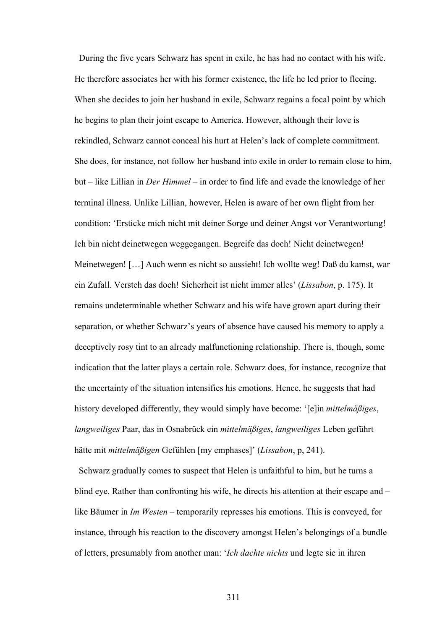During the five years Schwarz has spent in exile, he has had no contact with his wife. He therefore associates her with his former existence, the life he led prior to fleeing. When she decides to join her husband in exile, Schwarz regains a focal point by which he begins to plan their joint escape to America. However, although their love is rekindled, Schwarz cannot conceal his hurt at Helen's lack of complete commitment. She does, for instance, not follow her husband into exile in order to remain close to him, but – like Lillian in *Der Himmel* – in order to find life and evade the knowledge of her terminal illness. Unlike Lillian, however, Helen is aware of her own flight from her condition: 'Ersticke mich nicht mit deiner Sorge und deiner Angst vor Verantwortung! Ich bin nicht deinetwegen weggegangen. Begreife das doch! Nicht deinetwegen! Meinetwegen! […] Auch wenn es nicht so aussieht! Ich wollte weg! Daß du kamst, war ein Zufall. Versteh das doch! Sicherheit ist nicht immer alles' (*Lissabon*, p. 175). It remains undeterminable whether Schwarz and his wife have grown apart during their separation, or whether Schwarz's years of absence have caused his memory to apply a deceptively rosy tint to an already malfunctioning relationship. There is, though, some indication that the latter plays a certain role. Schwarz does, for instance, recognize that the uncertainty of the situation intensifies his emotions. Hence, he suggests that had history developed differently, they would simply have become: '[e]in *mittelmäßiges*, *langweiliges* Paar, das in Osnabrück ein *mittelmäßiges*, *langweiliges* Leben geführt hätte mit *mittelmäßigen* Gefühlen [my emphases]' (*Lissabon*, p, 241).

Schwarz gradually comes to suspect that Helen is unfaithful to him, but he turns a blind eye. Rather than confronting his wife, he directs his attention at their escape and – like Bäumer in *Im Westen* – temporarily represses his emotions. This is conveyed, for instance, through his reaction to the discovery amongst Helen's belongings of a bundle of letters, presumably from another man: '*Ich dachte nichts* und legte sie in ihren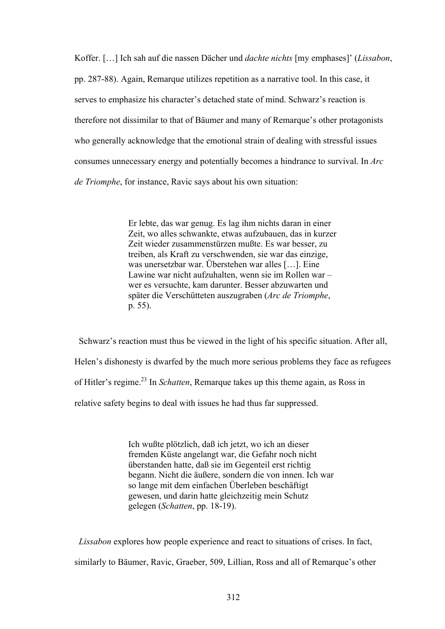Koffer. […] Ich sah auf die nassen Dächer und *dachte nichts* [my emphases]' (*Lissabon*, pp. 287-88). Again, Remarque utilizes repetition as a narrative tool. In this case, it serves to emphasize his character's detached state of mind. Schwarz's reaction is therefore not dissimilar to that of Bäumer and many of Remarque's other protagonists who generally acknowledge that the emotional strain of dealing with stressful issues consumes unnecessary energy and potentially becomes a hindrance to survival. In *Arc de Triomphe*, for instance, Ravic says about his own situation:

> Er lebte, das war genug. Es lag ihm nichts daran in einer Zeit, wo alles schwankte, etwas aufzubauen, das in kurzer Zeit wieder zusammenstürzen mußte. Es war besser, zu treiben, als Kraft zu verschwenden, sie war das einzige, was unersetzbar war. Überstehen war alles […]. Eine Lawine war nicht aufzuhalten, wenn sie im Rollen war – wer es versuchte, kam darunter. Besser abzuwarten und später die Verschütteten auszugraben (*Arc de Triomphe*, p. 55).

Schwarz's reaction must thus be viewed in the light of his specific situation. After all, Helen's dishonesty is dwarfed by the much more serious problems they face as refugees of Hitler's regime.23 In *Schatten*, Remarque takes up this theme again, as Ross in relative safety begins to deal with issues he had thus far suppressed.

> Ich wußte plötzlich, daß ich jetzt, wo ich an dieser fremden Küste angelangt war, die Gefahr noch nicht überstanden hatte, daß sie im Gegenteil erst richtig begann. Nicht die äußere, sondern die von innen. Ich war so lange mit dem einfachen Überleben beschäftigt gewesen, und darin hatte gleichzeitig mein Schutz gelegen (*Schatten*, pp. 18-19).

 *Lissabon* explores how people experience and react to situations of crises. In fact, similarly to Bäumer, Ravic, Graeber, 509, Lillian, Ross and all of Remarque's other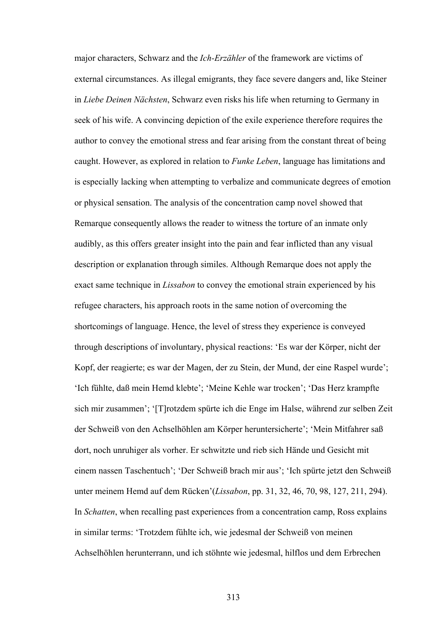major characters, Schwarz and the *Ich-Erzähler* of the framework are victims of external circumstances. As illegal emigrants, they face severe dangers and, like Steiner in *Liebe Deinen Nächsten*, Schwarz even risks his life when returning to Germany in seek of his wife. A convincing depiction of the exile experience therefore requires the author to convey the emotional stress and fear arising from the constant threat of being caught. However, as explored in relation to *Funke Leben*, language has limitations and is especially lacking when attempting to verbalize and communicate degrees of emotion or physical sensation. The analysis of the concentration camp novel showed that Remarque consequently allows the reader to witness the torture of an inmate only audibly, as this offers greater insight into the pain and fear inflicted than any visual description or explanation through similes. Although Remarque does not apply the exact same technique in *Lissabon* to convey the emotional strain experienced by his refugee characters, his approach roots in the same notion of overcoming the shortcomings of language. Hence, the level of stress they experience is conveyed through descriptions of involuntary, physical reactions: 'Es war der Körper, nicht der Kopf, der reagierte; es war der Magen, der zu Stein, der Mund, der eine Raspel wurde'; 'Ich fühlte, daß mein Hemd klebte'; 'Meine Kehle war trocken'; 'Das Herz krampfte sich mir zusammen'; '[T]rotzdem spürte ich die Enge im Halse, während zur selben Zeit der Schweiß von den Achselhöhlen am Körper heruntersicherte'; 'Mein Mitfahrer saß dort, noch unruhiger als vorher. Er schwitzte und rieb sich Hände und Gesicht mit einem nassen Taschentuch'; 'Der Schweiß brach mir aus'; 'Ich spürte jetzt den Schweiß unter meinem Hemd auf dem Rücken'(*Lissabon*, pp. 31, 32, 46, 70, 98, 127, 211, 294). In *Schatten*, when recalling past experiences from a concentration camp, Ross explains in similar terms: 'Trotzdem fühlte ich, wie jedesmal der Schweiß von meinen Achselhöhlen herunterrann, und ich stöhnte wie jedesmal, hilflos und dem Erbrechen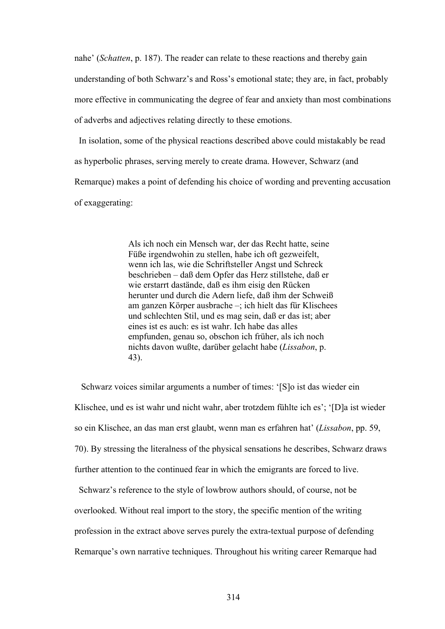nahe' (*Schatten*, p. 187). The reader can relate to these reactions and thereby gain understanding of both Schwarz's and Ross's emotional state; they are, in fact, probably more effective in communicating the degree of fear and anxiety than most combinations of adverbs and adjectives relating directly to these emotions.

 In isolation, some of the physical reactions described above could mistakably be read as hyperbolic phrases, serving merely to create drama. However, Schwarz (and Remarque) makes a point of defending his choice of wording and preventing accusation of exaggerating:

> Als ich noch ein Mensch war, der das Recht hatte, seine Füße irgendwohin zu stellen, habe ich oft gezweifelt, wenn ich las, wie die Schriftsteller Angst und Schreck beschrieben – daß dem Opfer das Herz stillstehe, daß er wie erstarrt dastände, daß es ihm eisig den Rücken herunter und durch die Adern liefe, daß ihm der Schweiß am ganzen Körper ausbrache –; ich hielt das für Klischees und schlechten Stil, und es mag sein, daß er das ist; aber eines ist es auch: es ist wahr. Ich habe das alles empfunden, genau so, obschon ich früher, als ich noch nichts davon wußte, darüber gelacht habe (*Lissabon*, p. 43).

 Schwarz voices similar arguments a number of times: '[S]o ist das wieder ein Klischee, und es ist wahr und nicht wahr, aber trotzdem fühlte ich es'; '[D]a ist wieder so ein Klischee, an das man erst glaubt, wenn man es erfahren hat' (*Lissabon*, pp. 59, 70). By stressing the literalness of the physical sensations he describes, Schwarz draws further attention to the continued fear in which the emigrants are forced to live.

 Schwarz's reference to the style of lowbrow authors should, of course, not be overlooked. Without real import to the story, the specific mention of the writing profession in the extract above serves purely the extra-textual purpose of defending Remarque's own narrative techniques. Throughout his writing career Remarque had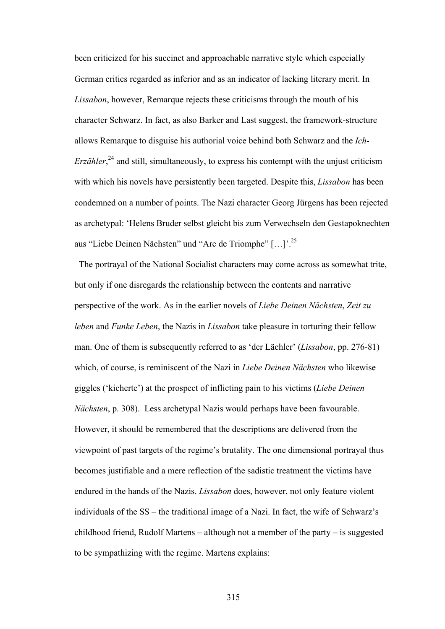been criticized for his succinct and approachable narrative style which especially German critics regarded as inferior and as an indicator of lacking literary merit. In *Lissabon*, however, Remarque rejects these criticisms through the mouth of his character Schwarz. In fact, as also Barker and Last suggest, the framework-structure allows Remarque to disguise his authorial voice behind both Schwarz and the *Ich-Erzähler*<sup>24</sup> and still, simultaneously, to express his contempt with the unjust criticism with which his novels have persistently been targeted. Despite this, *Lissabon* has been condemned on a number of points. The Nazi character Georg Jürgens has been rejected as archetypal: 'Helens Bruder selbst gleicht bis zum Verwechseln den Gestapoknechten aus "Liebe Deinen Nächsten" und "Arc de Triomphe" […]'.25

 The portrayal of the National Socialist characters may come across as somewhat trite, but only if one disregards the relationship between the contents and narrative perspective of the work. As in the earlier novels of *Liebe Deinen Nächsten*, *Zeit zu leben* and *Funke Leben*, the Nazis in *Lissabon* take pleasure in torturing their fellow man. One of them is subsequently referred to as 'der Lächler' (*Lissabon*, pp. 276-81) which, of course, is reminiscent of the Nazi in *Liebe Deinen Nächsten* who likewise giggles ('kicherte') at the prospect of inflicting pain to his victims (*Liebe Deinen Nächsten*, p. 308). Less archetypal Nazis would perhaps have been favourable. However, it should be remembered that the descriptions are delivered from the viewpoint of past targets of the regime's brutality. The one dimensional portrayal thus becomes justifiable and a mere reflection of the sadistic treatment the victims have endured in the hands of the Nazis. *Lissabon* does, however, not only feature violent individuals of the SS – the traditional image of a Nazi. In fact, the wife of Schwarz's childhood friend, Rudolf Martens – although not a member of the party – is suggested to be sympathizing with the regime. Martens explains: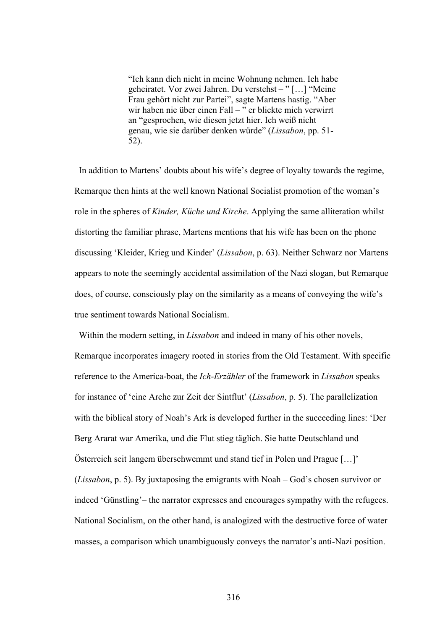"Ich kann dich nicht in meine Wohnung nehmen. Ich habe geheiratet. Vor zwei Jahren. Du verstehst – " […] "Meine Frau gehört nicht zur Partei", sagte Martens hastig. "Aber wir haben nie über einen Fall – " er blickte mich verwirrt an "gesprochen, wie diesen jetzt hier. Ich weiß nicht genau, wie sie darüber denken würde" (*Lissabon*, pp. 51- 52).

 In addition to Martens' doubts about his wife's degree of loyalty towards the regime, Remarque then hints at the well known National Socialist promotion of the woman's role in the spheres of *Kinder, Küche und Kirche*. Applying the same alliteration whilst distorting the familiar phrase, Martens mentions that his wife has been on the phone discussing 'Kleider, Krieg und Kinder' (*Lissabon*, p. 63). Neither Schwarz nor Martens appears to note the seemingly accidental assimilation of the Nazi slogan, but Remarque does, of course, consciously play on the similarity as a means of conveying the wife's true sentiment towards National Socialism.

 Within the modern setting, in *Lissabon* and indeed in many of his other novels, Remarque incorporates imagery rooted in stories from the Old Testament. With specific reference to the America-boat, the *Ich-Erzähler* of the framework in *Lissabon* speaks for instance of 'eine Arche zur Zeit der Sintflut' (*Lissabon*, p. 5). The parallelization with the biblical story of Noah's Ark is developed further in the succeeding lines: 'Der Berg Ararat war Amerika, und die Flut stieg täglich. Sie hatte Deutschland und Österreich seit langem überschwemmt und stand tief in Polen und Prague […]' (*Lissabon*, p. 5). By juxtaposing the emigrants with Noah – God's chosen survivor or indeed 'Günstling'– the narrator expresses and encourages sympathy with the refugees. National Socialism, on the other hand, is analogized with the destructive force of water masses, a comparison which unambiguously conveys the narrator's anti-Nazi position.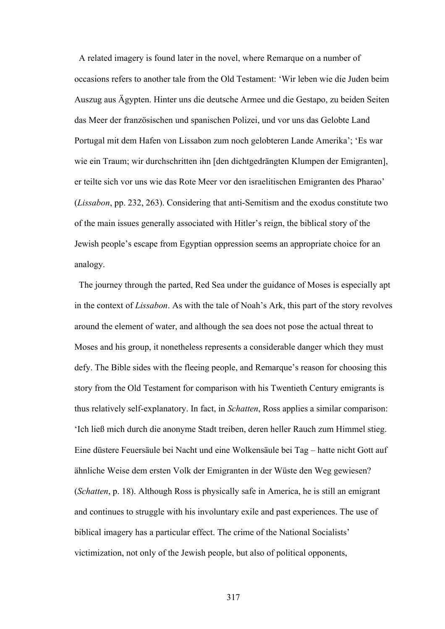A related imagery is found later in the novel, where Remarque on a number of occasions refers to another tale from the Old Testament: 'Wir leben wie die Juden beim Auszug aus Ägypten. Hinter uns die deutsche Armee und die Gestapo, zu beiden Seiten das Meer der französischen und spanischen Polizei, und vor uns das Gelobte Land Portugal mit dem Hafen von Lissabon zum noch gelobteren Lande Amerika'; 'Es war wie ein Traum; wir durchschritten ihn [den dichtgedrängten Klumpen der Emigranten], er teilte sich vor uns wie das Rote Meer vor den israelitischen Emigranten des Pharao' (*Lissabon*, pp. 232, 263). Considering that anti-Semitism and the exodus constitute two of the main issues generally associated with Hitler's reign, the biblical story of the Jewish people's escape from Egyptian oppression seems an appropriate choice for an analogy.

 The journey through the parted, Red Sea under the guidance of Moses is especially apt in the context of *Lissabon*. As with the tale of Noah's Ark, this part of the story revolves around the element of water, and although the sea does not pose the actual threat to Moses and his group, it nonetheless represents a considerable danger which they must defy. The Bible sides with the fleeing people, and Remarque's reason for choosing this story from the Old Testament for comparison with his Twentieth Century emigrants is thus relatively self-explanatory. In fact, in *Schatten*, Ross applies a similar comparison: 'Ich ließ mich durch die anonyme Stadt treiben, deren heller Rauch zum Himmel stieg. Eine düstere Feuersäule bei Nacht und eine Wolkensäule bei Tag – hatte nicht Gott auf ähnliche Weise dem ersten Volk der Emigranten in der Wüste den Weg gewiesen? (*Schatten*, p. 18). Although Ross is physically safe in America, he is still an emigrant and continues to struggle with his involuntary exile and past experiences. The use of biblical imagery has a particular effect. The crime of the National Socialists' victimization, not only of the Jewish people, but also of political opponents,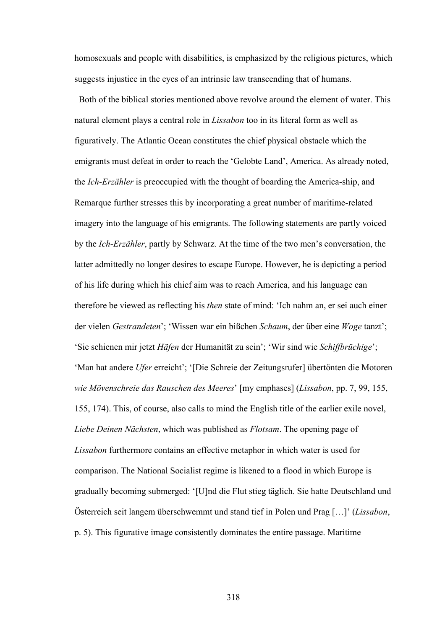homosexuals and people with disabilities, is emphasized by the religious pictures, which suggests injustice in the eyes of an intrinsic law transcending that of humans.

 Both of the biblical stories mentioned above revolve around the element of water. This natural element plays a central role in *Lissabon* too in its literal form as well as figuratively. The Atlantic Ocean constitutes the chief physical obstacle which the emigrants must defeat in order to reach the 'Gelobte Land', America. As already noted, the *Ich-Erzähler* is preoccupied with the thought of boarding the America-ship, and Remarque further stresses this by incorporating a great number of maritime-related imagery into the language of his emigrants. The following statements are partly voiced by the *Ich-Erzähler*, partly by Schwarz. At the time of the two men's conversation, the latter admittedly no longer desires to escape Europe. However, he is depicting a period of his life during which his chief aim was to reach America, and his language can therefore be viewed as reflecting his *then* state of mind: 'Ich nahm an, er sei auch einer der vielen *Gestrandeten*'; 'Wissen war ein bißchen *Schaum*, der über eine *Woge* tanzt'; 'Sie schienen mir jetzt *Häfen* der Humanität zu sein'; 'Wir sind wie *Schiffbrüchige*'; 'Man hat andere *Ufer* erreicht'; '[Die Schreie der Zeitungsrufer] übertönten die Motoren *wie Mövenschreie das Rauschen des Meeres*' [my emphases] (*Lissabon*, pp. 7, 99, 155, 155, 174). This, of course, also calls to mind the English title of the earlier exile novel, *Liebe Deinen Nächsten*, which was published as *Flotsam*. The opening page of *Lissabon* furthermore contains an effective metaphor in which water is used for comparison. The National Socialist regime is likened to a flood in which Europe is gradually becoming submerged: '[U]nd die Flut stieg täglich. Sie hatte Deutschland und Österreich seit langem überschwemmt und stand tief in Polen und Prag […]' (*Lissabon*, p. 5). This figurative image consistently dominates the entire passage. Maritime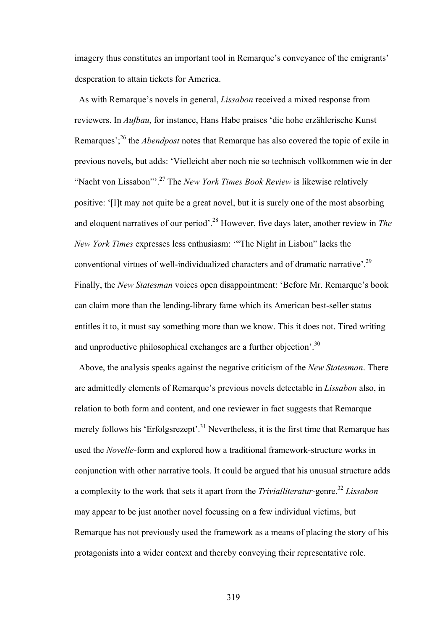imagery thus constitutes an important tool in Remarque's conveyance of the emigrants' desperation to attain tickets for America.

 As with Remarque's novels in general, *Lissabon* received a mixed response from reviewers. In *Aufbau*, for instance, Hans Habe praises 'die hohe erzählerische Kunst Remarques':<sup>26</sup> the *Abendpost* notes that Remarque has also covered the topic of exile in previous novels, but adds: 'Vielleicht aber noch nie so technisch vollkommen wie in der "Nacht von Lissabon"'.27 The *New York Times Book Review* is likewise relatively positive: '[I]t may not quite be a great novel, but it is surely one of the most absorbing and eloquent narratives of our period'.28 However, five days later, another review in *The New York Times* expresses less enthusiasm: '"The Night in Lisbon" lacks the conventional virtues of well-individualized characters and of dramatic narrative'.<sup>29</sup> Finally, the *New Statesman* voices open disappointment: 'Before Mr. Remarque's book can claim more than the lending-library fame which its American best-seller status entitles it to, it must say something more than we know. This it does not. Tired writing and unproductive philosophical exchanges are a further objection<sup>'.30</sup>

 Above, the analysis speaks against the negative criticism of the *New Statesman*. There are admittedly elements of Remarque's previous novels detectable in *Lissabon* also, in relation to both form and content, and one reviewer in fact suggests that Remarque merely follows his 'Erfolgsrezept'.<sup>31</sup> Nevertheless, it is the first time that Remarque has used the *Novelle*-form and explored how a traditional framework-structure works in conjunction with other narrative tools. It could be argued that his unusual structure adds a complexity to the work that sets it apart from the *Trivialliteratur*-genre.32 *Lissabon* may appear to be just another novel focussing on a few individual victims, but Remarque has not previously used the framework as a means of placing the story of his protagonists into a wider context and thereby conveying their representative role.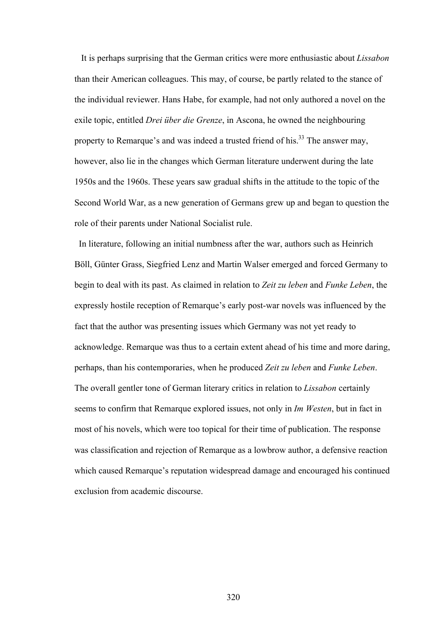It is perhaps surprising that the German critics were more enthusiastic about *Lissabon* than their American colleagues. This may, of course, be partly related to the stance of the individual reviewer. Hans Habe, for example, had not only authored a novel on the exile topic, entitled *Drei über die Grenze*, in Ascona, he owned the neighbouring property to Remarque's and was indeed a trusted friend of his.<sup>33</sup> The answer may, however, also lie in the changes which German literature underwent during the late 1950s and the 1960s. These years saw gradual shifts in the attitude to the topic of the Second World War, as a new generation of Germans grew up and began to question the role of their parents under National Socialist rule.

 In literature, following an initial numbness after the war, authors such as Heinrich Böll, Günter Grass, Siegfried Lenz and Martin Walser emerged and forced Germany to begin to deal with its past. As claimed in relation to *Zeit zu leben* and *Funke Leben*, the expressly hostile reception of Remarque's early post-war novels was influenced by the fact that the author was presenting issues which Germany was not yet ready to acknowledge. Remarque was thus to a certain extent ahead of his time and more daring, perhaps, than his contemporaries, when he produced *Zeit zu leben* and *Funke Leben*. The overall gentler tone of German literary critics in relation to *Lissabon* certainly seems to confirm that Remarque explored issues, not only in *Im Westen*, but in fact in most of his novels, which were too topical for their time of publication. The response was classification and rejection of Remarque as a lowbrow author, a defensive reaction which caused Remarque's reputation widespread damage and encouraged his continued exclusion from academic discourse.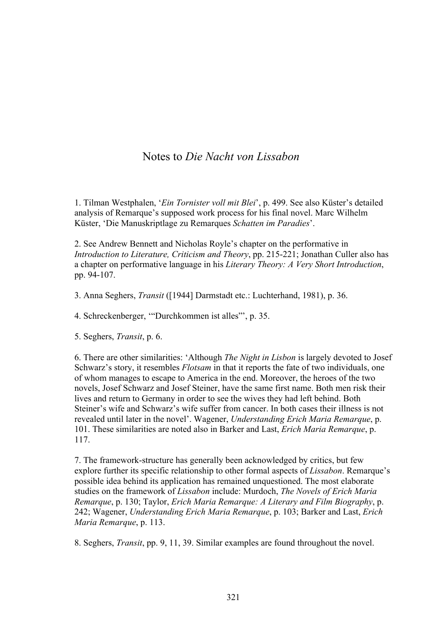# Notes to *Die Nacht von Lissabon*

1. Tilman Westphalen, '*Ein Tornister voll mit Blei*', p. 499. See also Küster's detailed analysis of Remarque's supposed work process for his final novel. Marc Wilhelm Küster, 'Die Manuskriptlage zu Remarques *Schatten im Paradies*'.

2. See Andrew Bennett and Nicholas Royle's chapter on the performative in *Introduction to Literature, Criticism and Theory*, pp. 215-221; Jonathan Culler also has a chapter on performative language in his *Literary Theory: A Very Short Introduction*, pp. 94-107.

3. Anna Seghers, *Transit* ([1944] Darmstadt etc.: Luchterhand, 1981), p. 36.

4. Schreckenberger, '"Durchkommen ist alles"', p. 35.

5. Seghers, *Transit*, p. 6.

6. There are other similarities: 'Although *The Night in Lisbon* is largely devoted to Josef Schwarz's story, it resembles *Flotsam* in that it reports the fate of two individuals, one of whom manages to escape to America in the end. Moreover, the heroes of the two novels, Josef Schwarz and Josef Steiner, have the same first name. Both men risk their lives and return to Germany in order to see the wives they had left behind. Both Steiner's wife and Schwarz's wife suffer from cancer. In both cases their illness is not revealed until later in the novel'. Wagener, *Understanding Erich Maria Remarque*, p. 101. These similarities are noted also in Barker and Last, *Erich Maria Remarque*, p. 117.

7. The framework-structure has generally been acknowledged by critics, but few explore further its specific relationship to other formal aspects of *Lissabon*. Remarque's possible idea behind its application has remained unquestioned. The most elaborate studies on the framework of *Lissabon* include: Murdoch, *The Novels of Erich Maria Remarque*, p. 130; Taylor, *Erich Maria Remarque: A Literary and Film Biography*, p. 242; Wagener, *Understanding Erich Maria Remarque*, p. 103; Barker and Last, *Erich Maria Remarque*, p. 113.

8. Seghers, *Transit*, pp. 9, 11, 39. Similar examples are found throughout the novel.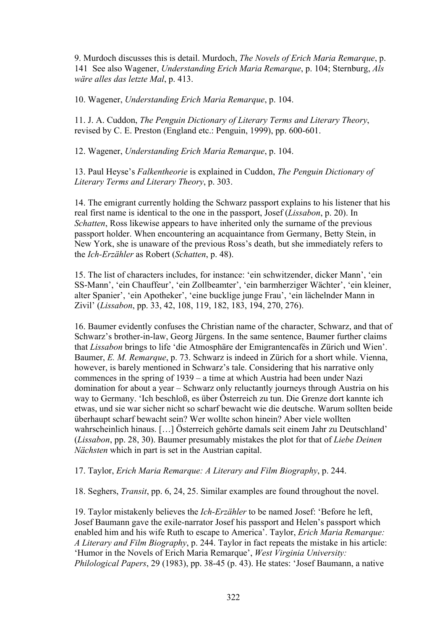9. Murdoch discusses this is detail. Murdoch, *The Novels of Erich Maria Remarque*, p. 141 See also Wagener, *Understanding Erich Maria Remarque*, p. 104; Sternburg, *Als wäre alles das letzte Mal*, p. 413.

10. Wagener, *Understanding Erich Maria Remarque*, p. 104.

11. J. A. Cuddon, *The Penguin Dictionary of Literary Terms and Literary Theory*, revised by C. E. Preston (England etc.: Penguin, 1999), pp. 600-601.

12. Wagener, *Understanding Erich Maria Remarque*, p. 104.

13. Paul Heyse's *Falkentheorie* is explained in Cuddon, *The Penguin Dictionary of Literary Terms and Literary Theory*, p. 303.

14. The emigrant currently holding the Schwarz passport explains to his listener that his real first name is identical to the one in the passport, Josef (*Lissabon*, p. 20). In *Schatten*, Ross likewise appears to have inherited only the surname of the previous passport holder. When encountering an acquaintance from Germany, Betty Stein, in New York, she is unaware of the previous Ross's death, but she immediately refers to the *Ich-Erzähler* as Robert (*Schatten*, p. 48).

15. The list of characters includes, for instance: 'ein schwitzender, dicker Mann', 'ein SS-Mann', 'ein Chauffeur', 'ein Zollbeamter', 'ein barmherziger Wächter', 'ein kleiner, alter Spanier', 'ein Apotheker', 'eine bucklige junge Frau', 'ein lächelnder Mann in Zivil' (*Lissabon*, pp. 33, 42, 108, 119, 182, 183, 194, 270, 276).

16. Baumer evidently confuses the Christian name of the character, Schwarz, and that of Schwarz's brother-in-law, Georg Jürgens. In the same sentence, Baumer further claims that *Lissabon* brings to life 'die Atmosphäre der Emigrantencafés in Zürich und Wien'. Baumer, *E. M. Remarque*, p. 73. Schwarz is indeed in Zürich for a short while. Vienna, however, is barely mentioned in Schwarz's tale. Considering that his narrative only commences in the spring of 1939 – a time at which Austria had been under Nazi domination for about a year – Schwarz only reluctantly journeys through Austria on his way to Germany. 'Ich beschloß, es über Österreich zu tun. Die Grenze dort kannte ich etwas, und sie war sicher nicht so scharf bewacht wie die deutsche. Warum sollten beide überhaupt scharf bewacht sein? Wer wollte schon hinein? Aber viele wollten wahrscheinlich hinaus. […] Österreich gehörte damals seit einem Jahr zu Deutschland' (*Lissabon*, pp. 28, 30). Baumer presumably mistakes the plot for that of *Liebe Deinen Nächsten* which in part is set in the Austrian capital.

### 17. Taylor, *Erich Maria Remarque: A Literary and Film Biography*, p. 244.

18. Seghers, *Transit*, pp. 6, 24, 25. Similar examples are found throughout the novel.

19. Taylor mistakenly believes the *Ich-Erzähler* to be named Josef: 'Before he left, Josef Baumann gave the exile-narrator Josef his passport and Helen's passport which enabled him and his wife Ruth to escape to America'. Taylor, *Erich Maria Remarque: A Literary and Film Biography*, p. 244. Taylor in fact repeats the mistake in his article: 'Humor in the Novels of Erich Maria Remarque', *West Virginia University: Philological Papers*, 29 (1983), pp. 38-45 (p. 43). He states: 'Josef Baumann, a native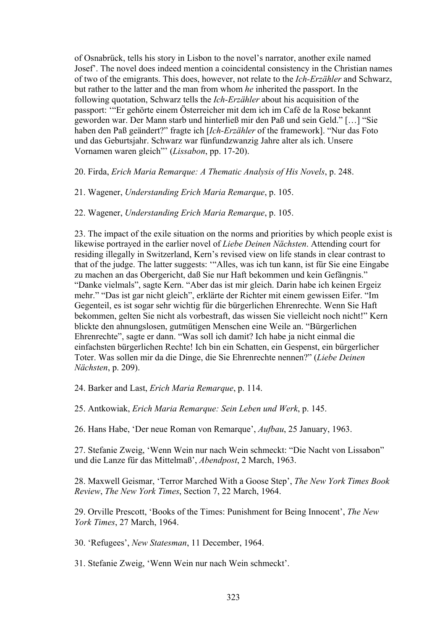of Osnabrück, tells his story in Lisbon to the novel's narrator, another exile named Josef'. The novel does indeed mention a coincidental consistency in the Christian names of two of the emigrants. This does, however, not relate to the *Ich-Erzähler* and Schwarz, but rather to the latter and the man from whom *he* inherited the passport. In the following quotation, Schwarz tells the *Ich-Erzähler* about his acquisition of the passport: '"Er gehörte einem Österreicher mit dem ich im Café de la Rose bekannt geworden war. Der Mann starb und hinterließ mir den Paß und sein Geld." […] "Sie haben den Paß geändert?" fragte ich [*Ich-Erzähler* of the framework]. "Nur das Foto und das Geburtsjahr. Schwarz war fünfundzwanzig Jahre alter als ich. Unsere Vornamen waren gleich"' (*Lissabon*, pp. 17-20).

20. Firda, *Erich Maria Remarque: A Thematic Analysis of His Novels*, p. 248.

21. Wagener, *Understanding Erich Maria Remarque*, p. 105.

22. Wagener, *Understanding Erich Maria Remarque*, p. 105.

23. The impact of the exile situation on the norms and priorities by which people exist is likewise portrayed in the earlier novel of *Liebe Deinen Nächsten*. Attending court for residing illegally in Switzerland, Kern's revised view on life stands in clear contrast to that of the judge. The latter suggests: '"Alles, was ich tun kann, ist für Sie eine Eingabe zu machen an das Obergericht, daß Sie nur Haft bekommen und kein Gefängnis." "Danke vielmals", sagte Kern. "Aber das ist mir gleich. Darin habe ich keinen Ergeiz mehr." "Das ist gar nicht gleich", erklärte der Richter mit einem gewissen Eifer. "Im Gegenteil, es ist sogar sehr wichtig für die bürgerlichen Ehrenrechte. Wenn Sie Haft bekommen, gelten Sie nicht als vorbestraft, das wissen Sie vielleicht noch nicht!" Kern blickte den ahnungslosen, gutmütigen Menschen eine Weile an. "Bürgerlichen Ehrenrechte", sagte er dann. "Was soll ich damit? Ich habe ja nicht einmal die einfachsten bürgerlichen Rechte! Ich bin ein Schatten, ein Gespenst, ein bürgerlicher Toter. Was sollen mir da die Dinge, die Sie Ehrenrechte nennen?" (*Liebe Deinen Nächsten*, p. 209).

24. Barker and Last, *Erich Maria Remarque*, p. 114.

25. Antkowiak, *Erich Maria Remarque: Sein Leben und Werk*, p. 145.

26. Hans Habe, 'Der neue Roman von Remarque', *Aufbau*, 25 January, 1963.

27. Stefanie Zweig, 'Wenn Wein nur nach Wein schmeckt: "Die Nacht von Lissabon" und die Lanze für das Mittelmaß', *Abendpost*, 2 March, 1963.

28. Maxwell Geismar, 'Terror Marched With a Goose Step', *The New York Times Book Review*, *The New York Times*, Section 7, 22 March, 1964.

29. Orville Prescott, 'Books of the Times: Punishment for Being Innocent', *The New York Times*, 27 March, 1964.

30. 'Refugees', *New Statesman*, 11 December, 1964.

31. Stefanie Zweig, 'Wenn Wein nur nach Wein schmeckt'.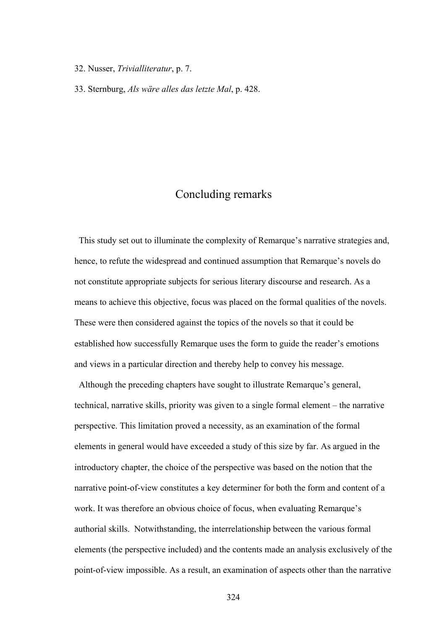#### 32. Nusser, *Trivialliteratur*, p. 7.

33. Sternburg, *Als wäre alles das letzte Mal*, p. 428.

## Concluding remarks

 This study set out to illuminate the complexity of Remarque's narrative strategies and, hence, to refute the widespread and continued assumption that Remarque's novels do not constitute appropriate subjects for serious literary discourse and research. As a means to achieve this objective, focus was placed on the formal qualities of the novels. These were then considered against the topics of the novels so that it could be established how successfully Remarque uses the form to guide the reader's emotions and views in a particular direction and thereby help to convey his message.

Although the preceding chapters have sought to illustrate Remarque's general, technical, narrative skills, priority was given to a single formal element – the narrative perspective. This limitation proved a necessity, as an examination of the formal elements in general would have exceeded a study of this size by far. As argued in the introductory chapter, the choice of the perspective was based on the notion that the narrative point-of-view constitutes a key determiner for both the form and content of a work. It was therefore an obvious choice of focus, when evaluating Remarque's authorial skills. Notwithstanding, the interrelationship between the various formal elements (the perspective included) and the contents made an analysis exclusively of the point-of-view impossible. As a result, an examination of aspects other than the narrative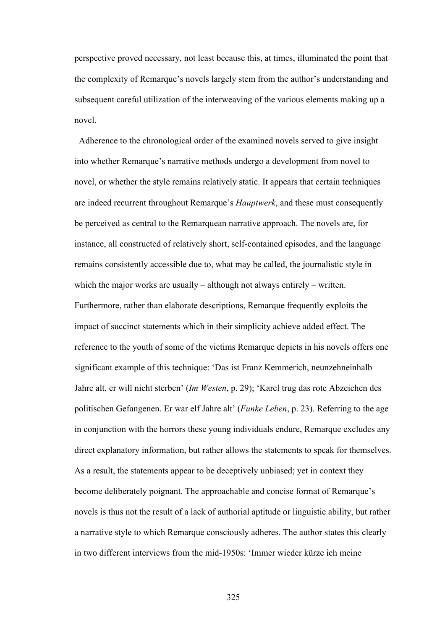perspective proved necessary, not least because this, at times, illuminated the point that the complexity of Remarque's novels largely stem from the author's understanding and subsequent careful utilization of the interweaving of the various elements making up a novel.

Adherence to the chronological order of the examined novels served to give insight into whether Remarque's narrative methods undergo a development from novel to novel, or whether the style remains relatively static. It appears that certain techniques are indeed recurrent throughout Remarque's *Hauptwerk*, and these must consequently be perceived as central to the Remarquean narrative approach. The novels are, for instance, all constructed of relatively short, self-contained episodes, and the language remains consistently accessible due to, what may be called, the journalistic style in which the major works are usually – although not always entirely – written. Furthermore, rather than elaborate descriptions, Remarque frequently exploits the impact of succinct statements which in their simplicity achieve added effect. The reference to the youth of some of the victims Remarque depicts in his novels offers one significant example of this technique: 'Das ist Franz Kemmerich, neunzehneinhalb Jahre alt, er will nicht sterben' (*Im Westen*, p. 29); 'Karel trug das rote Abzeichen des politischen Gefangenen. Er war elf Jahre alt' (*Funke Leben*, p. 23). Referring to the age in conjunction with the horrors these young individuals endure, Remarque excludes any direct explanatory information, but rather allows the statements to speak for themselves. As a result, the statements appear to be deceptively unbiased; yet in context they become deliberately poignant. The approachable and concise format of Remarque's novels is thus not the result of a lack of authorial aptitude or linguistic ability, but rather a narrative style to which Remarque consciously adheres. The author states this clearly in two different interviews from the mid-1950s: 'Immer wieder kürze ich meine

325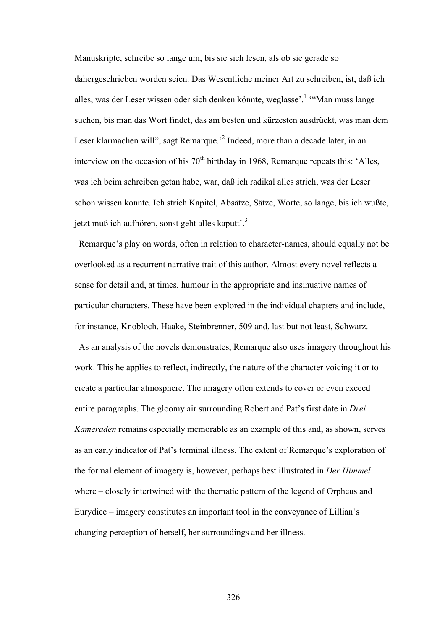Manuskripte, schreibe so lange um, bis sie sich lesen, als ob sie gerade so dahergeschrieben worden seien. Das Wesentliche meiner Art zu schreiben, ist, daß ich alles, was der Leser wissen oder sich denken könnte, weglasse'.<sup>1</sup> "Man muss lange suchen, bis man das Wort findet, das am besten und kürzesten ausdrückt, was man dem Leser klarmachen will", sagt Remarque.<sup>2</sup> Indeed, more than a decade later, in an interview on the occasion of his  $70<sup>th</sup>$  birthday in 1968. Remarque repeats this: 'Alles, was ich beim schreiben getan habe, war, daß ich radikal alles strich, was der Leser schon wissen konnte. Ich strich Kapitel, Absätze, Sätze, Worte, so lange, bis ich wußte, jetzt muß ich aufhören, sonst geht alles kaputt'.3

 Remarque's play on words, often in relation to character-names, should equally not be overlooked as a recurrent narrative trait of this author. Almost every novel reflects a sense for detail and, at times, humour in the appropriate and insinuative names of particular characters. These have been explored in the individual chapters and include, for instance, Knobloch, Haake, Steinbrenner, 509 and, last but not least, Schwarz.

 As an analysis of the novels demonstrates, Remarque also uses imagery throughout his work. This he applies to reflect, indirectly, the nature of the character voicing it or to create a particular atmosphere. The imagery often extends to cover or even exceed entire paragraphs. The gloomy air surrounding Robert and Pat's first date in *Drei Kameraden* remains especially memorable as an example of this and, as shown, serves as an early indicator of Pat's terminal illness. The extent of Remarque's exploration of the formal element of imagery is, however, perhaps best illustrated in *Der Himmel* where – closely intertwined with the thematic pattern of the legend of Orpheus and Eurydice – imagery constitutes an important tool in the conveyance of Lillian's changing perception of herself, her surroundings and her illness.

326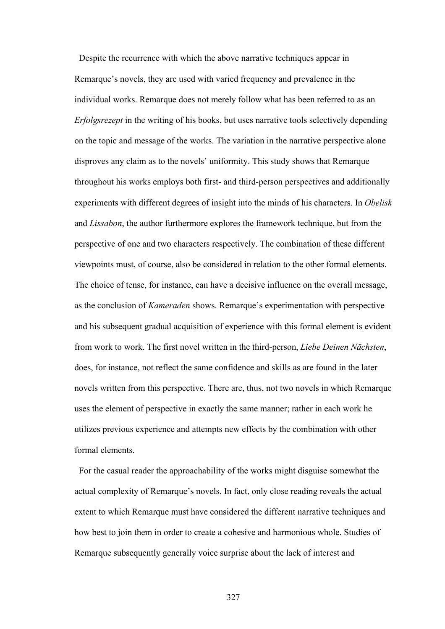Despite the recurrence with which the above narrative techniques appear in Remarque's novels, they are used with varied frequency and prevalence in the individual works. Remarque does not merely follow what has been referred to as an *Erfolgsrezept* in the writing of his books, but uses narrative tools selectively depending on the topic and message of the works. The variation in the narrative perspective alone disproves any claim as to the novels' uniformity. This study shows that Remarque throughout his works employs both first- and third-person perspectives and additionally experiments with different degrees of insight into the minds of his characters. In *Obelisk* and *Lissabon*, the author furthermore explores the framework technique, but from the perspective of one and two characters respectively. The combination of these different viewpoints must, of course, also be considered in relation to the other formal elements. The choice of tense, for instance, can have a decisive influence on the overall message, as the conclusion of *Kameraden* shows. Remarque's experimentation with perspective and his subsequent gradual acquisition of experience with this formal element is evident from work to work. The first novel written in the third-person, *Liebe Deinen Nächsten*, does, for instance, not reflect the same confidence and skills as are found in the later novels written from this perspective. There are, thus, not two novels in which Remarque uses the element of perspective in exactly the same manner; rather in each work he utilizes previous experience and attempts new effects by the combination with other formal elements.

 For the casual reader the approachability of the works might disguise somewhat the actual complexity of Remarque's novels. In fact, only close reading reveals the actual extent to which Remarque must have considered the different narrative techniques and how best to join them in order to create a cohesive and harmonious whole. Studies of Remarque subsequently generally voice surprise about the lack of interest and

327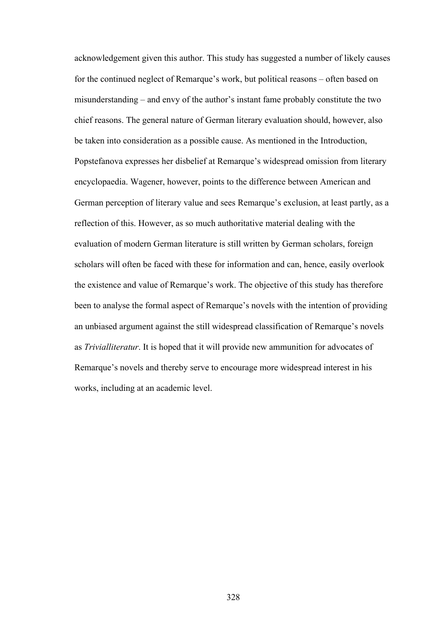acknowledgement given this author. This study has suggested a number of likely causes for the continued neglect of Remarque's work, but political reasons – often based on misunderstanding – and envy of the author's instant fame probably constitute the two chief reasons. The general nature of German literary evaluation should, however, also be taken into consideration as a possible cause. As mentioned in the Introduction, Popstefanova expresses her disbelief at Remarque's widespread omission from literary encyclopaedia. Wagener, however, points to the difference between American and German perception of literary value and sees Remarque's exclusion, at least partly, as a reflection of this. However, as so much authoritative material dealing with the evaluation of modern German literature is still written by German scholars, foreign scholars will often be faced with these for information and can, hence, easily overlook the existence and value of Remarque's work. The objective of this study has therefore been to analyse the formal aspect of Remarque's novels with the intention of providing an unbiased argument against the still widespread classification of Remarque's novels as *Trivialliteratur*. It is hoped that it will provide new ammunition for advocates of Remarque's novels and thereby serve to encourage more widespread interest in his works, including at an academic level.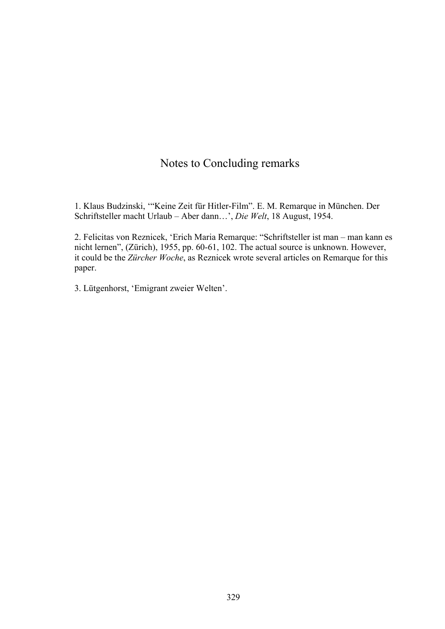## Notes to Concluding remarks

1. Klaus Budzinski, '"Keine Zeit für Hitler-Film". E. M. Remarque in München. Der Schriftsteller macht Urlaub – Aber dann…', *Die Welt*, 18 August, 1954.

2. Felicitas von Reznicek, 'Erich Maria Remarque: "Schriftsteller ist man – man kann es nicht lernen", (Zürich), 1955, pp. 60-61, 102. The actual source is unknown. However, it could be the *Zürcher Woche*, as Reznicek wrote several articles on Remarque for this paper.

3. Lütgenhorst, 'Emigrant zweier Welten'.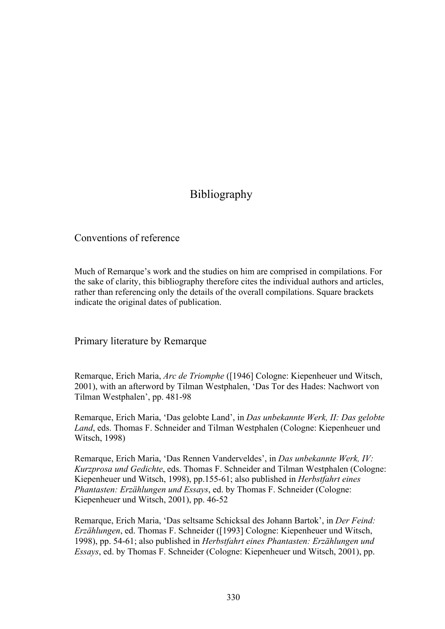## Bibliography

Conventions of reference

Much of Remarque's work and the studies on him are comprised in compilations. For the sake of clarity, this bibliography therefore cites the individual authors and articles, rather than referencing only the details of the overall compilations. Square brackets indicate the original dates of publication.

Primary literature by Remarque

Remarque, Erich Maria, *Arc de Triomphe* ([1946] Cologne: Kiepenheuer und Witsch, 2001), with an afterword by Tilman Westphalen, 'Das Tor des Hades: Nachwort von Tilman Westphalen', pp. 481-98

Remarque, Erich Maria, 'Das gelobte Land', in *Das unbekannte Werk, II: Das gelobte Land*, eds. Thomas F. Schneider and Tilman Westphalen (Cologne: Kiepenheuer und Witsch, 1998)

Remarque, Erich Maria, 'Das Rennen Vanderveldes', in *Das unbekannte Werk, IV: Kurzprosa und Gedichte*, eds. Thomas F. Schneider and Tilman Westphalen (Cologne: Kiepenheuer und Witsch, 1998), pp.155-61; also published in *Herbstfahrt eines Phantasten: Erzählungen und Essays*, ed. by Thomas F. Schneider (Cologne: Kiepenheuer und Witsch, 2001), pp. 46-52

Remarque, Erich Maria, 'Das seltsame Schicksal des Johann Bartok', in *Der Feind: Erzählungen*, ed. Thomas F. Schneider ([1993] Cologne: Kiepenheuer und Witsch, 1998), pp. 54-61; also published in *Herbstfahrt eines Phantasten: Erzählungen und Essays*, ed. by Thomas F. Schneider (Cologne: Kiepenheuer und Witsch, 2001), pp.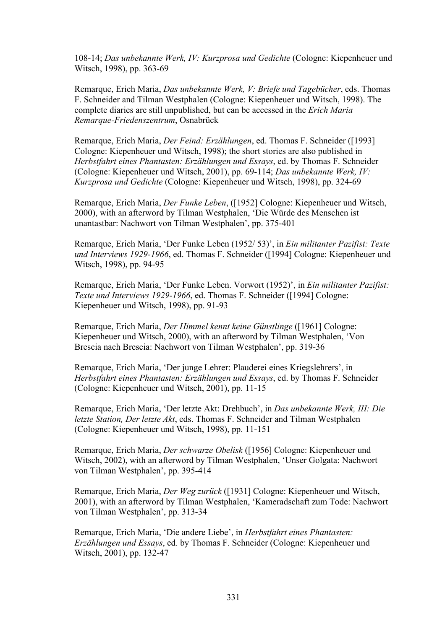108-14; *Das unbekannte Werk, IV: Kurzprosa und Gedichte* (Cologne: Kiepenheuer und Witsch, 1998), pp. 363-69

Remarque, Erich Maria, *Das unbekannte Werk, V: Briefe und Tagebücher*, eds. Thomas F. Schneider and Tilman Westphalen (Cologne: Kiepenheuer und Witsch, 1998). The complete diaries are still unpublished, but can be accessed in the *Erich Maria Remarque-Friedenszentrum*, Osnabrück

Remarque, Erich Maria, *Der Feind: Erzählungen*, ed. Thomas F. Schneider ([1993] Cologne: Kiepenheuer und Witsch, 1998); the short stories are also published in *Herbstfahrt eines Phantasten: Erzählungen und Essays*, ed. by Thomas F. Schneider (Cologne: Kiepenheuer und Witsch, 2001), pp. 69-114; *Das unbekannte Werk, IV: Kurzprosa und Gedichte* (Cologne: Kiepenheuer und Witsch, 1998), pp. 324-69

Remarque, Erich Maria, *Der Funke Leben*, ([1952] Cologne: Kiepenheuer und Witsch, 2000), with an afterword by Tilman Westphalen, 'Die Würde des Menschen ist unantastbar: Nachwort von Tilman Westphalen', pp. 375-401

Remarque, Erich Maria, 'Der Funke Leben (1952/ 53)', in *Ein militanter Pazifist: Texte und Interviews 1929-1966*, ed. Thomas F. Schneider ([1994] Cologne: Kiepenheuer und Witsch, 1998), pp. 94-95

Remarque, Erich Maria, 'Der Funke Leben. Vorwort (1952)', in *Ein militanter Pazifist: Texte und Interviews 1929-1966*, ed. Thomas F. Schneider ([1994] Cologne: Kiepenheuer und Witsch, 1998), pp. 91-93

Remarque, Erich Maria, *Der Himmel kennt keine Günstlinge* ([1961] Cologne: Kiepenheuer und Witsch, 2000), with an afterword by Tilman Westphalen, 'Von Brescia nach Brescia: Nachwort von Tilman Westphalen', pp. 319-36

Remarque, Erich Maria, 'Der junge Lehrer: Plauderei eines Kriegslehrers', in *Herbstfahrt eines Phantasten: Erzählungen und Essays*, ed. by Thomas F. Schneider (Cologne: Kiepenheuer und Witsch, 2001), pp. 11-15

Remarque, Erich Maria, 'Der letzte Akt: Drehbuch', in *Das unbekannte Werk, III: Die letzte Station, Der letzte Akt*, eds. Thomas F. Schneider and Tilman Westphalen (Cologne: Kiepenheuer und Witsch, 1998), pp. 11-151

Remarque, Erich Maria, *Der schwarze Obelisk* ([1956] Cologne: Kiepenheuer und Witsch, 2002), with an afterword by Tilman Westphalen, 'Unser Golgata: Nachwort von Tilman Westphalen', pp. 395-414

Remarque, Erich Maria, *Der Weg zurück* ([1931] Cologne: Kiepenheuer und Witsch, 2001), with an afterword by Tilman Westphalen, 'Kameradschaft zum Tode: Nachwort von Tilman Westphalen', pp. 313-34

Remarque, Erich Maria, 'Die andere Liebe', in *Herbstfahrt eines Phantasten: Erzählungen und Essays*, ed. by Thomas F. Schneider (Cologne: Kiepenheuer und Witsch, 2001), pp. 132-47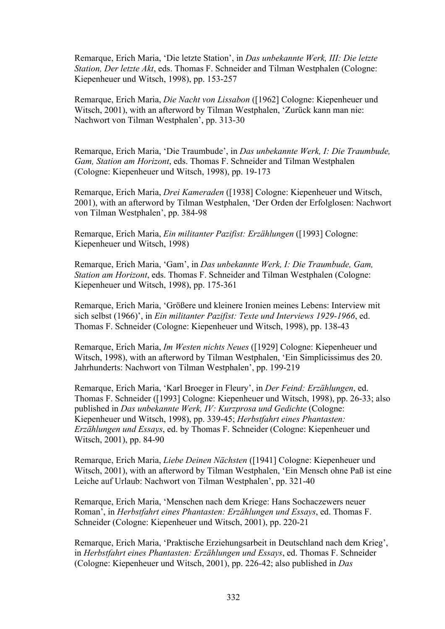Remarque, Erich Maria, 'Die letzte Station', in *Das unbekannte Werk, III: Die letzte Station, Der letzte Akt*, eds. Thomas F. Schneider and Tilman Westphalen (Cologne: Kiepenheuer und Witsch, 1998), pp. 153-257

Remarque, Erich Maria, *Die Nacht von Lissabon* ([1962] Cologne: Kiepenheuer und Witsch, 2001), with an afterword by Tilman Westphalen, 'Zurück kann man nie: Nachwort von Tilman Westphalen', pp. 313-30

Remarque, Erich Maria, 'Die Traumbude', in *Das unbekannte Werk, I: Die Traumbude, Gam, Station am Horizont*, eds. Thomas F. Schneider and Tilman Westphalen (Cologne: Kiepenheuer und Witsch, 1998), pp. 19-173

Remarque, Erich Maria, *Drei Kameraden* ([1938] Cologne: Kiepenheuer und Witsch, 2001), with an afterword by Tilman Westphalen, 'Der Orden der Erfolglosen: Nachwort von Tilman Westphalen', pp. 384-98

Remarque, Erich Maria, *Ein militanter Pazifist: Erzählungen* ([1993] Cologne: Kiepenheuer und Witsch, 1998)

Remarque, Erich Maria, 'Gam', in *Das unbekannte Werk, I: Die Traumbude, Gam, Station am Horizont*, eds. Thomas F. Schneider and Tilman Westphalen (Cologne: Kiepenheuer und Witsch, 1998), pp. 175-361

Remarque, Erich Maria, 'Größere und kleinere Ironien meines Lebens: Interview mit sich selbst (1966)', in *Ein militanter Pazifist: Texte und Interviews 1929-1966*, ed. Thomas F. Schneider (Cologne: Kiepenheuer und Witsch, 1998), pp. 138-43

Remarque, Erich Maria, *Im Westen nichts Neues* ([1929] Cologne: Kiepenheuer und Witsch, 1998), with an afterword by Tilman Westphalen, 'Ein Simplicissimus des 20. Jahrhunderts: Nachwort von Tilman Westphalen', pp. 199-219

Remarque, Erich Maria, 'Karl Broeger in Fleury', in *Der Feind: Erzählungen*, ed. Thomas F. Schneider ([1993] Cologne: Kiepenheuer und Witsch, 1998), pp. 26-33; also published in *Das unbekannte Werk, IV: Kurzprosa und Gedichte* (Cologne: Kiepenheuer und Witsch, 1998), pp. 339-45; *Herbstfahrt eines Phantasten: Erzählungen und Essays*, ed. by Thomas F. Schneider (Cologne: Kiepenheuer und Witsch, 2001), pp. 84-90

Remarque, Erich Maria, *Liebe Deinen Nächsten* ([1941] Cologne: Kiepenheuer und Witsch, 2001), with an afterword by Tilman Westphalen, 'Ein Mensch ohne Paß ist eine Leiche auf Urlaub: Nachwort von Tilman Westphalen', pp. 321-40

Remarque, Erich Maria, 'Menschen nach dem Kriege: Hans Sochaczewers neuer Roman', in *Herbstfahrt eines Phantasten: Erzählungen und Essays*, ed. Thomas F. Schneider (Cologne: Kiepenheuer und Witsch, 2001), pp. 220-21

Remarque, Erich Maria, 'Praktische Erziehungsarbeit in Deutschland nach dem Krieg', in *Herbstfahrt eines Phantasten: Erzählungen und Essays*, ed. Thomas F. Schneider (Cologne: Kiepenheuer und Witsch, 2001), pp. 226-42; also published in *Das*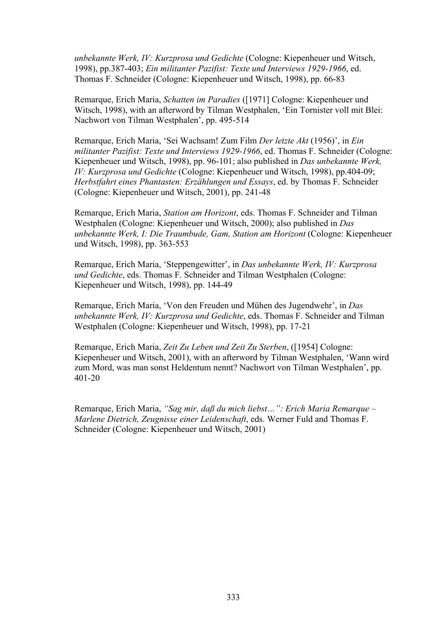*unbekannte Werk, IV: Kurzprosa und Gedichte* (Cologne: Kiepenheuer und Witsch, 1998), pp.387-403; *Ein militanter Pazifist: Texte und Interviews 1929-1966*, ed. Thomas F. Schneider (Cologne: Kiepenheuer und Witsch, 1998), pp. 66-83

Remarque, Erich Maria, *Schatten im Paradies* ([1971] Cologne: Kiepenheuer und Witsch, 1998), with an afterword by Tilman Westphalen, 'Ein Tornister voll mit Blei: Nachwort von Tilman Westphalen', pp. 495-514

Remarque, Erich Maria, 'Sei Wachsam! Zum Film *Der letzte Akt* (1956)', in *Ein militanter Pazifist: Texte und Interviews 1929-1966*, ed. Thomas F. Schneider (Cologne: Kiepenheuer und Witsch, 1998), pp. 96-101; also published in *Das unbekannte Werk, IV: Kurzprosa und Gedichte* (Cologne: Kiepenheuer und Witsch, 1998), pp.404-09; *Herbstfahrt eines Phantasten: Erzählungen und Essays*, ed. by Thomas F. Schneider (Cologne: Kiepenheuer und Witsch, 2001), pp. 241-48

Remarque, Erich Maria, *Station am Horizont*, eds. Thomas F. Schneider and Tilman Westphalen (Cologne: Kiepenheuer und Witsch, 2000); also published in *Das unbekannte Werk, I: Die Traumbude, Gam, Station am Horizont* (Cologne: Kiepenheuer und Witsch, 1998), pp. 363-553

Remarque, Erich Maria, 'Steppengewitter', in *Das unbekannte Werk, IV: Kurzprosa und Gedichte*, eds. Thomas F. Schneider and Tilman Westphalen (Cologne: Kiepenheuer und Witsch, 1998), pp. 144-49

Remarque, Erich Maria, 'Von den Freuden und Mühen des Jugendwehr', in *Das unbekannte Werk, IV: Kurzprosa und Gedichte*, eds. Thomas F. Schneider and Tilman Westphalen (Cologne: Kiepenheuer und Witsch, 1998), pp. 17-21

Remarque, Erich Maria, *Zeit Zu Leben und Zeit Zu Sterben*, ([1954] Cologne: Kiepenheuer und Witsch, 2001), with an afterword by Tilman Westphalen, 'Wann wird zum Mord, was man sonst Heldentum nennt? Nachwort von Tilman Westphalen', pp. 401-20

Remarque, Erich Maria, *"Sag mir, daß du mich liebst…": Erich Maria Remarque – Marlene Dietrich, Zeugnisse einer Leidenschaft*, eds. Werner Fuld and Thomas F. Schneider (Cologne: Kiepenheuer und Witsch, 2001)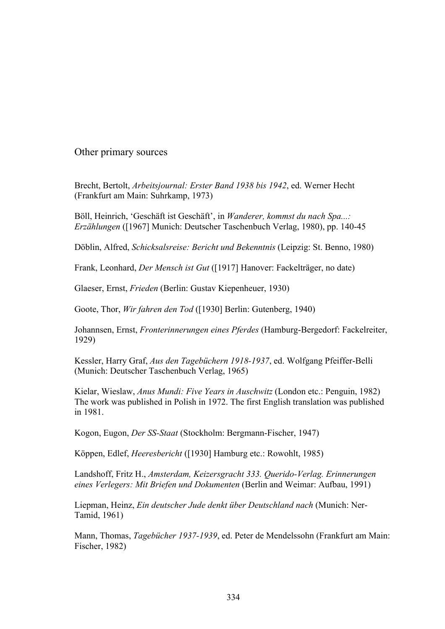Other primary sources

Brecht, Bertolt, *Arbeitsjournal: Erster Band 1938 bis 1942*, ed. Werner Hecht (Frankfurt am Main: Suhrkamp, 1973)

Böll, Heinrich, 'Geschäft ist Geschäft', in *Wanderer, kommst du nach Spa...: Erzählungen* ([1967] Munich: Deutscher Taschenbuch Verlag, 1980), pp. 140-45

Döblin, Alfred, *Schicksalsreise: Bericht und Bekenntnis* (Leipzig: St. Benno, 1980)

Frank, Leonhard, *Der Mensch ist Gut* ([1917] Hanover: Fackelträger, no date)

Glaeser, Ernst, *Frieden* (Berlin: Gustav Kiepenheuer, 1930)

Goote, Thor, *Wir fahren den Tod* ([1930] Berlin: Gutenberg, 1940)

Johannsen, Ernst, *Fronterinnerungen eines Pferdes* (Hamburg-Bergedorf: Fackelreiter, 1929)

Kessler, Harry Graf, *Aus den Tagebüchern 1918-1937*, ed. Wolfgang Pfeiffer-Belli (Munich: Deutscher Taschenbuch Verlag, 1965)

Kielar, Wieslaw, *Anus Mundi: Five Years in Auschwitz* (London etc.: Penguin, 1982) The work was published in Polish in 1972. The first English translation was published in 1981.

Kogon, Eugon, *Der SS-Staat* (Stockholm: Bergmann-Fischer, 1947)

Köppen, Edlef, *Heeresbericht* ([1930] Hamburg etc.: Rowohlt, 1985)

Landshoff, Fritz H., *Amsterdam, Keizersgracht 333. Querido-Verlag. Erinnerungen eines Verlegers: Mit Briefen und Dokumenten* (Berlin and Weimar: Aufbau, 1991)

Liepman, Heinz, *Ein deutscher Jude denkt über Deutschland nach* (Munich: Ner-Tamid, 1961)

Mann, Thomas, *Tagebücher 1937-1939*, ed. Peter de Mendelssohn (Frankfurt am Main: Fischer, 1982)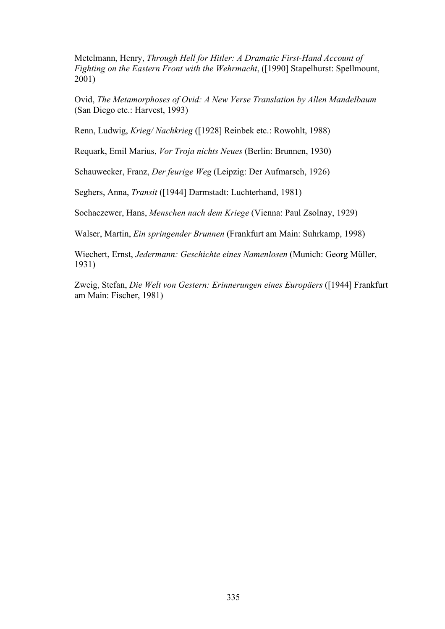Metelmann, Henry, *Through Hell for Hitler: A Dramatic First-Hand Account of Fighting on the Eastern Front with the Wehrmacht*, ([1990] Stapelhurst: Spellmount, 2001)

Ovid, *The Metamorphoses of Ovid: A New Verse Translation by Allen Mandelbaum* (San Diego etc.: Harvest, 1993)

Renn, Ludwig, *Krieg/ Nachkrieg* ([1928] Reinbek etc.: Rowohlt, 1988)

Requark, Emil Marius, *Vor Troja nichts Neues* (Berlin: Brunnen, 1930)

Schauwecker, Franz, *Der feurige Weg* (Leipzig: Der Aufmarsch, 1926)

Seghers, Anna, *Transit* ([1944] Darmstadt: Luchterhand, 1981)

Sochaczewer, Hans, *Menschen nach dem Kriege* (Vienna: Paul Zsolnay, 1929)

Walser, Martin, *Ein springender Brunnen* (Frankfurt am Main: Suhrkamp, 1998)

Wiechert, Ernst, *Jedermann: Geschichte eines Namenlosen* (Munich: Georg Müller, 1931)

Zweig, Stefan, *Die Welt von Gestern: Erinnerungen eines Europäers* ([1944] Frankfurt am Main: Fischer, 1981)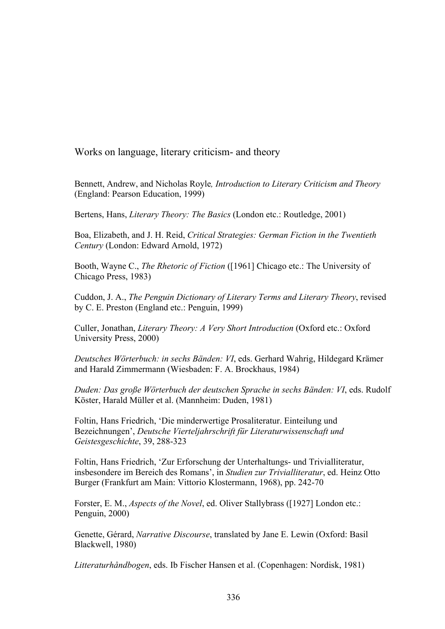Works on language, literary criticism- and theory

Bennett, Andrew, and Nicholas Royle*, Introduction to Literary Criticism and Theory* (England: Pearson Education, 1999)

Bertens, Hans, *Literary Theory: The Basics* (London etc.: Routledge, 2001)

Boa, Elizabeth, and J. H. Reid, *Critical Strategies: German Fiction in the Twentieth Century* (London: Edward Arnold, 1972)

Booth, Wayne C., *The Rhetoric of Fiction* ([1961] Chicago etc.: The University of Chicago Press, 1983)

Cuddon, J. A., *The Penguin Dictionary of Literary Terms and Literary Theory*, revised by C. E. Preston (England etc.: Penguin, 1999)

Culler, Jonathan, *Literary Theory: A Very Short Introduction* (Oxford etc.: Oxford University Press, 2000)

*Deutsches Wörterbuch: in sechs Bänden: VI*, eds. Gerhard Wahrig, Hildegard Krämer and Harald Zimmermann (Wiesbaden: F. A. Brockhaus, 1984)

*Duden: Das große Wörterbuch der deutschen Sprache in sechs Bänden: VI*, eds. Rudolf Köster, Harald Müller et al. (Mannheim: Duden, 1981)

Foltin, Hans Friedrich, 'Die minderwertige Prosaliteratur. Einteilung und Bezeichnungen', *Deutsche Vierteljahrschrift für Literaturwissenschaft und Geistesgeschichte*, 39, 288-323

Foltin, Hans Friedrich, 'Zur Erforschung der Unterhaltungs- und Trivialliteratur, insbesondere im Bereich des Romans', in *Studien zur Trivialliteratur*, ed. Heinz Otto Burger (Frankfurt am Main: Vittorio Klostermann, 1968), pp. 242-70

Forster, E. M., *Aspects of the Novel*, ed. Oliver Stallybrass ([1927] London etc.: Penguin, 2000)

Genette, Gérard, *Narrative Discourse*, translated by Jane E. Lewin (Oxford: Basil Blackwell, 1980)

*Litteraturhåndbogen*, eds. Ib Fischer Hansen et al. (Copenhagen: Nordisk, 1981)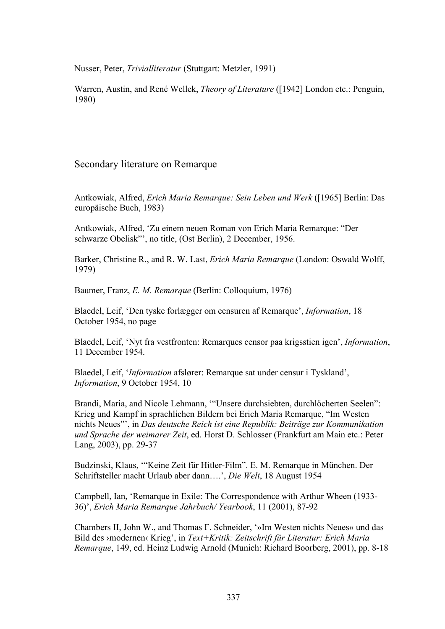Nusser, Peter, *Trivialliteratur* (Stuttgart: Metzler, 1991)

Warren, Austin, and René Wellek, *Theory of Literature* ([1942] London etc.: Penguin, 1980)

## Secondary literature on Remarque

Antkowiak, Alfred, *Erich Maria Remarque: Sein Leben und Werk* ([1965] Berlin: Das europäische Buch, 1983)

Antkowiak, Alfred, 'Zu einem neuen Roman von Erich Maria Remarque: "Der schwarze Obelisk"', no title, (Ost Berlin), 2 December, 1956.

Barker, Christine R., and R. W. Last, *Erich Maria Remarque* (London: Oswald Wolff, 1979)

Baumer, Franz, *E. M. Remarque* (Berlin: Colloquium, 1976)

Blaedel, Leif, 'Den tyske forlægger om censuren af Remarque', *Information*, 18 October 1954, no page

Blaedel, Leif, 'Nyt fra vestfronten: Remarques censor paa krigsstien igen', *Information*, 11 December 1954.

Blaedel, Leif, '*Information* afslører: Remarque sat under censur i Tyskland', *Information*, 9 October 1954, 10

Brandi, Maria, and Nicole Lehmann, '"Unsere durchsiebten, durchlöcherten Seelen": Krieg und Kampf in sprachlichen Bildern bei Erich Maria Remarque, "Im Westen nichts Neues"', in *Das deutsche Reich ist eine Republik: Beiträge zur Kommunikation und Sprache der weimarer Zeit*, ed. Horst D. Schlosser (Frankfurt am Main etc.: Peter Lang, 2003), pp. 29-37

Budzinski, Klaus, '"Keine Zeit für Hitler-Film". E. M. Remarque in München. Der Schriftsteller macht Urlaub aber dann….', *Die Welt*, 18 August 1954

Campbell, Ian, 'Remarque in Exile: The Correspondence with Arthur Wheen (1933- 36)', *Erich Maria Remarque Jahrbuch/ Yearbook*, 11 (2001), 87-92

Chambers II, John W., and Thomas F. Schneider, '»Im Westen nichts Neues« und das Bild des ›modernen‹ Krieg', in *Text+Kritik: Zeitschrift für Literatur: Erich Maria Remarque*, 149, ed. Heinz Ludwig Arnold (Munich: Richard Boorberg, 2001), pp. 8-18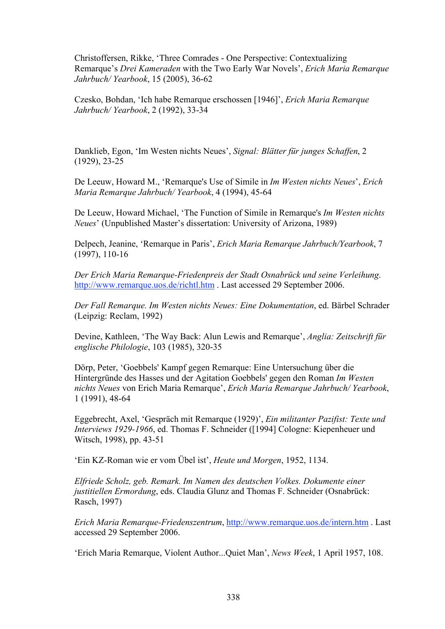Christoffersen, Rikke, 'Three Comrades - One Perspective: Contextualizing Remarque's *Drei Kameraden* with the Two Early War Novels', *Erich Maria Remarque Jahrbuch/ Yearbook*, 15 (2005), 36-62

Czesko, Bohdan, 'Ich habe Remarque erschossen [1946]', *Erich Maria Remarque Jahrbuch/ Yearbook*, 2 (1992), 33-34

Danklieb, Egon, 'Im Westen nichts Neues', *Signal: Blätter für junges Schaffen*, 2 (1929), 23-25

De Leeuw, Howard M., 'Remarque's Use of Simile in *Im Westen nichts Neues*', *Erich Maria Remarque Jahrbuch/ Yearbook*, 4 (1994), 45-64

De Leeuw, Howard Michael, 'The Function of Simile in Remarque's *Im Westen nichts Neues*' (Unpublished Master's dissertation: University of Arizona, 1989)

Delpech, Jeanine, 'Remarque in Paris', *Erich Maria Remarque Jahrbuch/Yearbook*, 7 (1997), 110-16

*Der Erich Maria Remarque-Friedenpreis der Stadt Osnabrück und seine Verleihung*. http://www.remarque.uos.de/richtl.htm . Last accessed 29 September 2006.

*Der Fall Remarque. Im Westen nichts Neues: Eine Dokumentation*, ed. Bärbel Schrader (Leipzig: Reclam, 1992)

Devine, Kathleen, 'The Way Back: Alun Lewis and Remarque', *Anglia: Zeitschrift für englische Philologie*, 103 (1985), 320-35

Dörp, Peter, 'Goebbels' Kampf gegen Remarque: Eine Untersuchung über die Hintergründe des Hasses und der Agitation Goebbels' gegen den Roman *Im Westen nichts Neues* von Erich Maria Remarque', *Erich Maria Remarque Jahrbuch/ Yearbook*, 1 (1991), 48-64

Eggebrecht, Axel, 'Gespräch mit Remarque (1929)', *Ein militanter Pazifist: Texte und Interviews 1929-1966*, ed. Thomas F. Schneider ([1994] Cologne: Kiepenheuer und Witsch, 1998), pp. 43-51

'Ein KZ-Roman wie er vom Übel ist', *Heute und Morgen*, 1952, 1134.

*Elfriede Scholz, geb. Remark. Im Namen des deutschen Volkes. Dokumente einer justitiellen Ermordung*, eds. Claudia Glunz and Thomas F. Schneider (Osnabrück: Rasch, 1997)

*Erich Maria Remarque-Friedenszentrum*, http://www.remarque.uos.de/intern.htm . Last accessed 29 September 2006.

'Erich Maria Remarque, Violent Author...Quiet Man', *News Week*, 1 April 1957, 108.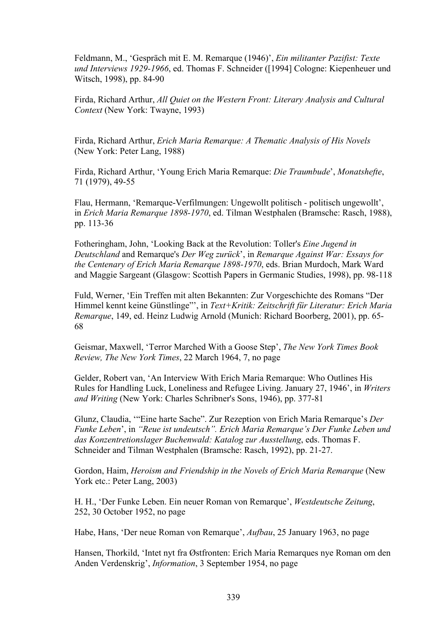Feldmann, M., 'Gespräch mit E. M. Remarque (1946)', *Ein militanter Pazifist: Texte und Interviews 1929-1966*, ed. Thomas F. Schneider ([1994] Cologne: Kiepenheuer und Witsch, 1998), pp. 84-90

Firda, Richard Arthur, *All Quiet on the Western Front: Literary Analysis and Cultural Context* (New York: Twayne, 1993)

Firda, Richard Arthur, *Erich Maria Remarque: A Thematic Analysis of His Novels* (New York: Peter Lang, 1988)

Firda, Richard Arthur, 'Young Erich Maria Remarque: *Die Traumbude*', *Monatshefte*, 71 (1979), 49-55

Flau, Hermann, 'Remarque-Verfilmungen: Ungewollt politisch - politisch ungewollt', in *Erich Maria Remarque 1898-1970*, ed. Tilman Westphalen (Bramsche: Rasch, 1988), pp. 113-36

Fotheringham, John, 'Looking Back at the Revolution: Toller's *Eine Jugend in Deutschland* and Remarque's *Der Weg zurück*', in *Remarque Against War: Essays for the Centenary of Erich Maria Remarque 1898-1970*, eds. Brian Murdoch, Mark Ward and Maggie Sargeant (Glasgow: Scottish Papers in Germanic Studies, 1998), pp. 98-118

Fuld, Werner, 'Ein Treffen mit alten Bekannten: Zur Vorgeschichte des Romans "Der Himmel kennt keine Günstlinge"', in *Text+Kritik: Zeitschrift für Literatur: Erich Maria Remarque*, 149, ed. Heinz Ludwig Arnold (Munich: Richard Boorberg, 2001), pp. 65- 68

Geismar, Maxwell, 'Terror Marched With a Goose Step', *The New York Times Book Review, The New York Times*, 22 March 1964, 7, no page

Gelder, Robert van, 'An Interview With Erich Maria Remarque: Who Outlines His Rules for Handling Luck, Loneliness and Refugee Living. January 27, 1946', in *Writers and Writing* (New York: Charles Schribner's Sons, 1946), pp. 377-81

Glunz, Claudia, '"Eine harte Sache". Zur Rezeption von Erich Maria Remarque's *Der Funke Leben*', in *"Reue ist undeutsch". Erich Maria Remarque's Der Funke Leben und das Konzentretionslager Buchenwald: Katalog zur Ausstellung*, eds. Thomas F. Schneider and Tilman Westphalen (Bramsche: Rasch, 1992), pp. 21-27.

Gordon, Haim, *Heroism and Friendship in the Novels of Erich Maria Remarque* (New York etc.: Peter Lang, 2003)

H. H., 'Der Funke Leben. Ein neuer Roman von Remarque', *Westdeutsche Zeitung*, 252, 30 October 1952, no page

Habe, Hans, 'Der neue Roman von Remarque', *Aufbau*, 25 January 1963, no page

Hansen, Thorkild, 'Intet nyt fra Østfronten: Erich Maria Remarques nye Roman om den Anden Verdenskrig', *Information*, 3 September 1954, no page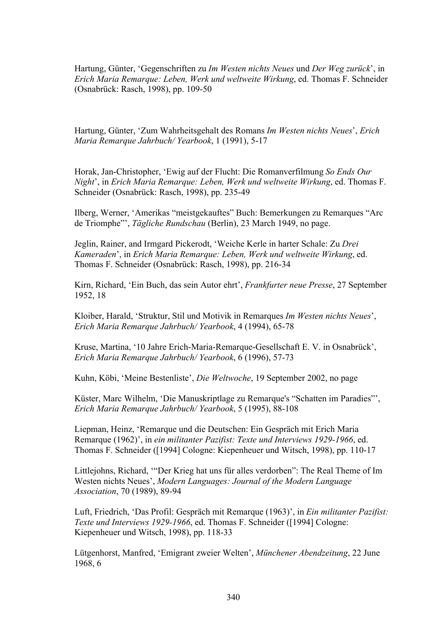Hartung, Günter, 'Gegenschriften zu *Im Westen nichts Neues* und *Der Weg zurück*', in *Erich Maria Remarque: Leben, Werk und weltweite Wirkung*, ed. Thomas F. Schneider (Osnabrück: Rasch, 1998), pp. 109-50

Hartung, Günter, 'Zum Wahrheitsgehalt des Romans *Im Westen nichts Neues*', *Erich Maria Remarque Jahrbuch/ Yearbook*, 1 (1991), 5-17

Horak, Jan-Christopher, 'Ewig auf der Flucht: Die Romanverfilmung *So Ends Our Night*', in *Erich Maria Remarque: Leben, Werk und weltweite Wirkung*, ed. Thomas F. Schneider (Osnabrück: Rasch, 1998), pp. 235-49

Ilberg, Werner, 'Amerikas "meistgekauftes" Buch: Bemerkungen zu Remarques "Arc de Triomphe"', *Tägliche Rundschau* (Berlin), 23 March 1949, no page.

Jeglin, Rainer, and Irmgard Pickerodt, 'Weiche Kerle in harter Schale: Zu *Drei Kameraden*', in *Erich Maria Remarque: Leben, Werk und weltweite Wirkung*, ed. Thomas F. Schneider (Osnabrück: Rasch, 1998), pp. 216-34

Kirn, Richard, 'Ein Buch, das sein Autor ehrt', *Frankfurter neue Presse*, 27 September 1952, 18

Kloiber, Harald, 'Struktur, Stil und Motivik in Remarques *Im Westen nichts Neues*', *Erich Maria Remarque Jahrbuch/ Yearbook*, 4 (1994), 65-78

Kruse, Martina, '10 Jahre Erich-Maria-Remarque-Gesellschaft E. V. in Osnabrück', *Erich Maria Remarque Jahrbuch/ Yearbook*, 6 (1996), 57-73

Kuhn, Köbi, 'Meine Bestenliste', *Die Weltwoche*, 19 September 2002, no page

Küster, Marc Wilhelm, 'Die Manuskriptlage zu Remarque's "Schatten im Paradies"', *Erich Maria Remarque Jahrbuch/ Yearbook*, 5 (1995), 88-108

Liepman, Heinz, 'Remarque und die Deutschen: Ein Gespräch mit Erich Maria Remarque (1962)', in *ein militanter Pazifist: Texte und Interviews 1929-1966*, ed. Thomas F. Schneider ([1994] Cologne: Kiepenheuer und Witsch, 1998), pp. 110-17

Littlejohns, Richard, '"Der Krieg hat uns für alles verdorben": The Real Theme of Im Westen nichts Neues', *Modern Languages: Journal of the Modern Language Association*, 70 (1989), 89-94

Luft, Friedrich, 'Das Profil: Gespräch mit Remarque (1963)', in *Ein militanter Pazifist: Texte und Interviews 1929-1966*, ed. Thomas F. Schneider ([1994] Cologne: Kiepenheuer und Witsch, 1998), pp. 118-33

Lütgenhorst, Manfred, 'Emigrant zweier Welten', *Münchener Abendzeitung*, 22 June 1968, 6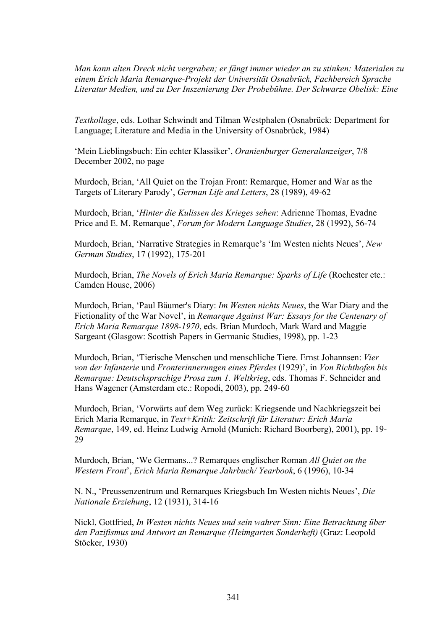*Man kann alten Dreck nicht vergraben; er fängt immer wieder an zu stinken: Materialen zu einem Erich Maria Remarque-Projekt der Universität Osnabrück, Fachbereich Sprache Literatur Medien, und zu Der Inszenierung Der Probebühne. Der Schwarze Obelisk: Eine*

*Textkollage*, eds. Lothar Schwindt and Tilman Westphalen (Osnabrück: Department for Language; Literature and Media in the University of Osnabrück, 1984)

'Mein Lieblingsbuch: Ein echter Klassiker', *Oranienburger Generalanzeiger*, 7/8 December 2002, no page

Murdoch, Brian, 'All Quiet on the Trojan Front: Remarque, Homer and War as the Targets of Literary Parody', *German Life and Letters*, 28 (1989), 49-62

Murdoch, Brian, '*Hinter die Kulissen des Krieges sehen*: Adrienne Thomas, Evadne Price and E. M. Remarque', *Forum for Modern Language Studies*, 28 (1992), 56-74

Murdoch, Brian, 'Narrative Strategies in Remarque's 'Im Westen nichts Neues', *New German Studies*, 17 (1992), 175-201

Murdoch, Brian, *The Novels of Erich Maria Remarque: Sparks of Life* (Rochester etc.: Camden House, 2006)

Murdoch, Brian, 'Paul Bäumer's Diary: *Im Westen nichts Neues*, the War Diary and the Fictionality of the War Novel', in *Remarque Against War: Essays for the Centenary of Erich Maria Remarque 1898-1970*, eds. Brian Murdoch, Mark Ward and Maggie Sargeant (Glasgow: Scottish Papers in Germanic Studies, 1998), pp. 1-23

Murdoch, Brian, 'Tierische Menschen und menschliche Tiere. Ernst Johannsen: *Vier von der Infanterie* und *Fronterinnerungen eines Pferdes* (1929)', in *Von Richthofen bis Remarque: Deutschsprachige Prosa zum 1. Weltkrieg*, eds. Thomas F. Schneider and Hans Wagener (Amsterdam etc.: Ropodi, 2003), pp. 249-60

Murdoch, Brian, 'Vorwärts auf dem Weg zurück: Kriegsende und Nachkriegszeit bei Erich Maria Remarque, in *Text+Kritik: Zeitschrift für Literatur: Erich Maria Remarque*, 149, ed. Heinz Ludwig Arnold (Munich: Richard Boorberg), 2001), pp. 19- 29

Murdoch, Brian, 'We Germans...? Remarques englischer Roman *All Quiet on the Western Front*', *Erich Maria Remarque Jahrbuch/ Yearbook*, 6 (1996), 10-34

N. N., 'Preussenzentrum und Remarques Kriegsbuch Im Westen nichts Neues', *Die Nationale Erziehung*, 12 (1931), 314-16

Nickl, Gottfried, *In Westen nichts Neues und sein wahrer Sinn: Eine Betrachtung über den Pazifismus und Antwort an Remarque (Heimgarten Sonderheft)* (Graz: Leopold Stöcker, 1930)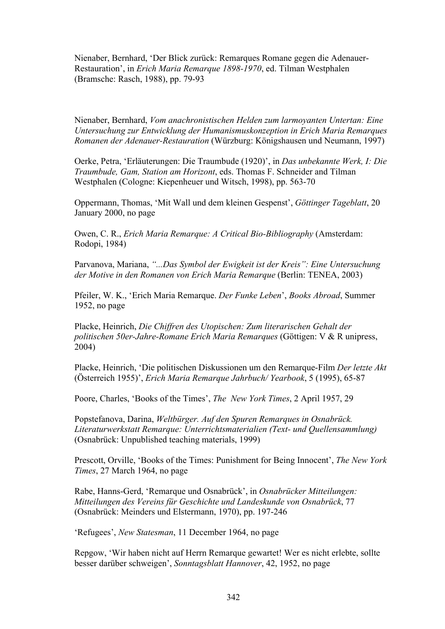Nienaber, Bernhard, 'Der Blick zurück: Remarques Romane gegen die Adenauer-Restauration', in *Erich Maria Remarque 1898-1970*, ed. Tilman Westphalen (Bramsche: Rasch, 1988), pp. 79-93

Nienaber, Bernhard, *Vom anachronistischen Helden zum larmoyanten Untertan: Eine Untersuchung zur Entwicklung der Humanismuskonzeption in Erich Maria Remarques Romanen der Adenauer-Restauration* (Würzburg: Königshausen und Neumann, 1997)

Oerke, Petra, 'Erläuterungen: Die Traumbude (1920)', in *Das unbekannte Werk, I: Die Traumbude, Gam, Station am Horizont*, eds. Thomas F. Schneider and Tilman Westphalen (Cologne: Kiepenheuer und Witsch, 1998), pp. 563-70

Oppermann, Thomas, 'Mit Wall und dem kleinen Gespenst', *Göttinger Tageblatt*, 20 January 2000, no page

Owen, C. R., *Erich Maria Remarque: A Critical Bio-Bibliography* (Amsterdam: Rodopi, 1984)

Parvanova, Mariana, *"...Das Symbol der Ewigkeit ist der Kreis": Eine Untersuchung der Motive in den Romanen von Erich Maria Remarque* (Berlin: TENEA, 2003)

Pfeiler, W. K., 'Erich Maria Remarque. *Der Funke Leben*', *Books Abroad*, Summer 1952, no page

Placke, Heinrich, *Die Chiffren des Utopischen: Zum literarischen Gehalt der politischen 50er-Jahre-Romane Erich Maria Remarques* (Göttigen: V & R unipress, 2004)

Placke, Heinrich, 'Die politischen Diskussionen um den Remarque-Film *Der letzte Akt* (Österreich 1955)', *Erich Maria Remarque Jahrbuch/ Yearbook*, 5 (1995), 65-87

Poore, Charles, 'Books of the Times', *The New York Times*, 2 April 1957, 29

Popstefanova, Darina, *Weltbürger. Auf den Spuren Remarques in Osnabrück. Literaturwerkstatt Remarque: Unterrichtsmaterialien (Text- und Quellensammlung)* (Osnabrück: Unpublished teaching materials, 1999)

Prescott, Orville, 'Books of the Times: Punishment for Being Innocent', *The New York Times*, 27 March 1964, no page

Rabe, Hanns-Gerd, 'Remarque und Osnabrück', in *Osnabrücker Mitteilungen: Mitteilungen des Vereins für Geschichte und Landeskunde von Osnabrück*, 77 (Osnabrück: Meinders und Elstermann, 1970), pp. 197-246

'Refugees', *New Statesman*, 11 December 1964, no page

Repgow, 'Wir haben nicht auf Herrn Remarque gewartet! Wer es nicht erlebte, sollte besser darüber schweigen', *Sonntagsblatt Hannover*, 42, 1952, no page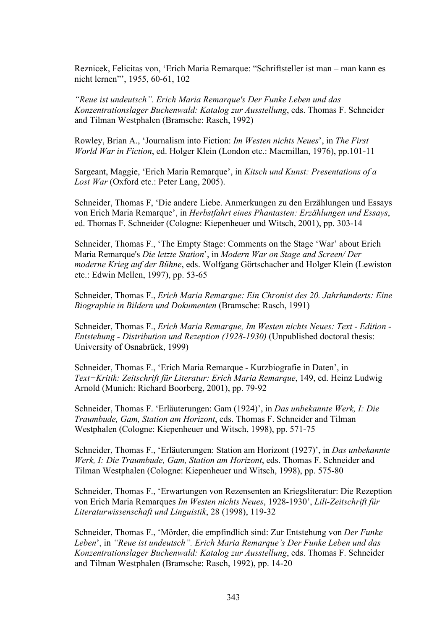Reznicek, Felicitas von, 'Erich Maria Remarque: "Schriftsteller ist man – man kann es nicht lernen"', 1955, 60-61, 102

*"Reue ist undeutsch". Erich Maria Remarque's Der Funke Leben und das Konzentrationslager Buchenwald: Katalog zur Ausstellung*, eds. Thomas F. Schneider and Tilman Westphalen (Bramsche: Rasch, 1992)

Rowley, Brian A., 'Journalism into Fiction: *Im Westen nichts Neues*', in *The First World War in Fiction*, ed. Holger Klein (London etc.: Macmillan, 1976), pp.101-11

Sargeant, Maggie, 'Erich Maria Remarque', in *Kitsch und Kunst: Presentations of a* Lost War (Oxford etc.: Peter Lang, 2005).

Schneider, Thomas F, 'Die andere Liebe. Anmerkungen zu den Erzählungen und Essays von Erich Maria Remarque', in *Herbstfahrt eines Phantasten: Erzählungen und Essays*, ed. Thomas F. Schneider (Cologne: Kiepenheuer und Witsch, 2001), pp. 303-14

Schneider, Thomas F., 'The Empty Stage: Comments on the Stage 'War' about Erich Maria Remarque's *Die letzte Station*', in *Modern War on Stage and Screen/ Der moderne Krieg auf der Bühne*, eds. Wolfgang Görtschacher and Holger Klein (Lewiston etc.: Edwin Mellen, 1997), pp. 53-65

Schneider, Thomas F., *Erich Maria Remarque: Ein Chronist des 20. Jahrhunderts: Eine Biographie in Bildern und Dokumenten* (Bramsche: Rasch, 1991)

Schneider, Thomas F., *Erich Maria Remarque, Im Westen nichts Neues: Text - Edition - Entstehung - Distribution und Rezeption (1928-1930)* (Unpublished doctoral thesis: University of Osnabrück, 1999)

Schneider, Thomas F., 'Erich Maria Remarque - Kurzbiografie in Daten', in *Text+Kritik: Zeitschrift für Literatur: Erich Maria Remarque*, 149, ed. Heinz Ludwig Arnold (Munich: Richard Boorberg, 2001), pp. 79-92

Schneider, Thomas F. 'Erläuterungen: Gam (1924)', in *Das unbekannte Werk, I: Die Traumbude, Gam, Station am Horizont*, eds. Thomas F. Schneider and Tilman Westphalen (Cologne: Kiepenheuer und Witsch, 1998), pp. 571-75

Schneider, Thomas F., 'Erläuterungen: Station am Horizont (1927)', in *Das unbekannte Werk, I: Die Traumbude, Gam, Station am Horizont*, eds. Thomas F. Schneider and Tilman Westphalen (Cologne: Kiepenheuer und Witsch, 1998), pp. 575-80

Schneider, Thomas F., 'Erwartungen von Rezensenten an Kriegsliteratur: Die Rezeption von Erich Maria Remarques *Im Westen nichts Neues*, 1928-1930', *Lili-Zeitschrift für Literaturwissenschaft und Linguistik*, 28 (1998), 119-32

Schneider, Thomas F., 'Mörder, die empfindlich sind: Zur Entstehung von *Der Funke Leben*', in *"Reue ist undeutsch". Erich Maria Remarque's Der Funke Leben und das Konzentrationslager Buchenwald: Katalog zur Ausstellung*, eds. Thomas F. Schneider and Tilman Westphalen (Bramsche: Rasch, 1992), pp. 14-20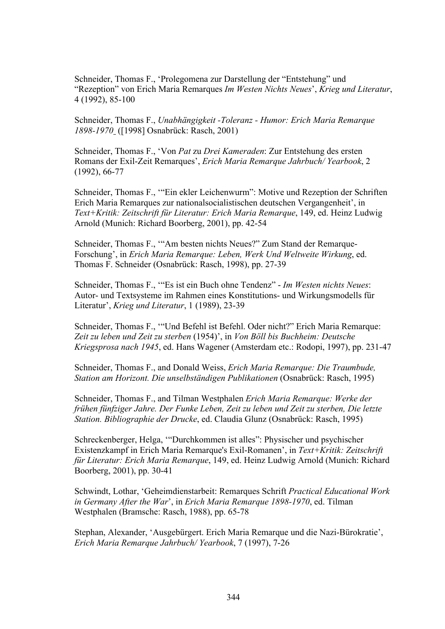Schneider, Thomas F., 'Prolegomena zur Darstellung der "Entstehung" und "Rezeption" von Erich Maria Remarques *Im Westen Nichts Neues*', *Krieg und Literatur*, 4 (1992), 85-100

Schneider, Thomas F., *Unabhängigkeit -Toleranz - Humor: Erich Maria Remarque 1898-1970* ([1998] Osnabrück: Rasch, 2001)

Schneider, Thomas F., 'Von *Pat* zu *Drei Kameraden*: Zur Entstehung des ersten Romans der Exil-Zeit Remarques', *Erich Maria Remarque Jahrbuch/ Yearbook*, 2 (1992), 66-77

Schneider, Thomas F., '"Ein ekler Leichenwurm": Motive und Rezeption der Schriften Erich Maria Remarques zur nationalsocialistischen deutschen Vergangenheit', in *Text+Kritik: Zeitschrift für Literatur: Erich Maria Remarque*, 149, ed. Heinz Ludwig Arnold (Munich: Richard Boorberg, 2001), pp. 42-54

Schneider, Thomas F., '"Am besten nichts Neues?" Zum Stand der Remarque-Forschung', in *Erich Maria Remarque: Leben, Werk Und Weltweite Wirkung*, ed. Thomas F. Schneider (Osnabrück: Rasch, 1998), pp. 27-39

Schneider, Thomas F., '"Es ist ein Buch ohne Tendenz" - *Im Westen nichts Neues*: Autor- und Textsysteme im Rahmen eines Konstitutions- und Wirkungsmodells für Literatur', *Krieg und Literatur*, 1 (1989), 23-39

Schneider, Thomas F., '"Und Befehl ist Befehl. Oder nicht?" Erich Maria Remarque: *Zeit zu leben und Zeit zu sterben* (1954)', in *Von Böll bis Buchheim: Deutsche Kriegsprosa nach 1945*, ed. Hans Wagener (Amsterdam etc.: Rodopi, 1997), pp. 231-47

Schneider, Thomas F., and Donald Weiss, *Erich Maria Remarque: Die Traumbude, Station am Horizont. Die unselbständigen Publikationen* (Osnabrück: Rasch, 1995)

Schneider, Thomas F., and Tilman Westphalen *Erich Maria Remarque: Werke der frühen fünfziger Jahre. Der Funke Leben, Zeit zu leben und Zeit zu sterben, Die letzte Station. Bibliographie der Drucke*, ed. Claudia Glunz (Osnabrück: Rasch, 1995)

Schreckenberger, Helga, '"Durchkommen ist alles": Physischer und psychischer Existenzkampf in Erich Maria Remarque's Exil-Romanen', in *Text+Kritik: Zeitschrift für Literatur: Erich Maria Remarque*, 149, ed. Heinz Ludwig Arnold (Munich: Richard Boorberg, 2001), pp. 30-41

Schwindt, Lothar, 'Geheimdienstarbeit: Remarques Schrift *Practical Educational Work in Germany After the War*', in *Erich Maria Remarque 1898-1970*, ed. Tilman Westphalen (Bramsche: Rasch, 1988), pp. 65-78

Stephan, Alexander, 'Ausgebürgert. Erich Maria Remarque und die Nazi-Bürokratie', *Erich Maria Remarque Jahrbuch/ Yearbook*, 7 (1997), 7-26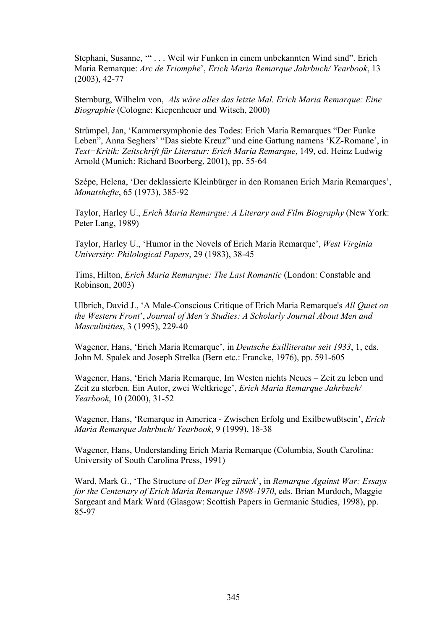Stephani, Susanne, '" . . . Weil wir Funken in einem unbekannten Wind sind". Erich Maria Remarque: *Arc de Triomphe*', *Erich Maria Remarque Jahrbuch/ Yearbook*, 13 (2003), 42-77

Sternburg, Wilhelm von, *Als wäre alles das letzte Mal. Erich Maria Remarque: Eine Biographie* (Cologne: Kiepenheuer und Witsch, 2000)

Strümpel, Jan, 'Kammersymphonie des Todes: Erich Maria Remarques "Der Funke Leben", Anna Seghers' "Das siebte Kreuz" und eine Gattung namens 'KZ-Romane', in *Text+Kritik: Zeitschrift für Literatur: Erich Maria Remarque*, 149, ed. Heinz Ludwig Arnold (Munich: Richard Boorberg, 2001), pp. 55-64

Szépe, Helena, 'Der deklassierte Kleinbürger in den Romanen Erich Maria Remarques', *Monatshefte*, 65 (1973), 385-92

Taylor, Harley U., *Erich Maria Remarque: A Literary and Film Biography* (New York: Peter Lang, 1989)

Taylor, Harley U., 'Humor in the Novels of Erich Maria Remarque', *West Virginia University: Philological Papers*, 29 (1983), 38-45

Tims, Hilton, *Erich Maria Remarque: The Last Romantic* (London: Constable and Robinson, 2003)

Ulbrich, David J., 'A Male-Conscious Critique of Erich Maria Remarque's *All Quiet on the Western Front*', *Journal of Men's Studies: A Scholarly Journal About Men and Masculinities*, 3 (1995), 229-40

Wagener, Hans, 'Erich Maria Remarque', in *Deutsche Exilliteratur seit 1933*, 1, eds. John M. Spalek and Joseph Strelka (Bern etc.: Francke, 1976), pp. 591-605

Wagener, Hans, 'Erich Maria Remarque, Im Westen nichts Neues – Zeit zu leben und Zeit zu sterben. Ein Autor, zwei Weltkriege', *Erich Maria Remarque Jahrbuch/ Yearbook*, 10 (2000), 31-52

Wagener, Hans, 'Remarque in America - Zwischen Erfolg und Exilbewußtsein', *Erich Maria Remarque Jahrbuch/ Yearbook*, 9 (1999), 18-38

Wagener, Hans, Understanding Erich Maria Remarque (Columbia, South Carolina: University of South Carolina Press, 1991)

Ward, Mark G., 'The Structure of *Der Weg züruck*', in *Remarque Against War: Essays for the Centenary of Erich Maria Remarque 1898-1970*, eds. Brian Murdoch, Maggie Sargeant and Mark Ward (Glasgow: Scottish Papers in Germanic Studies, 1998), pp. 85-97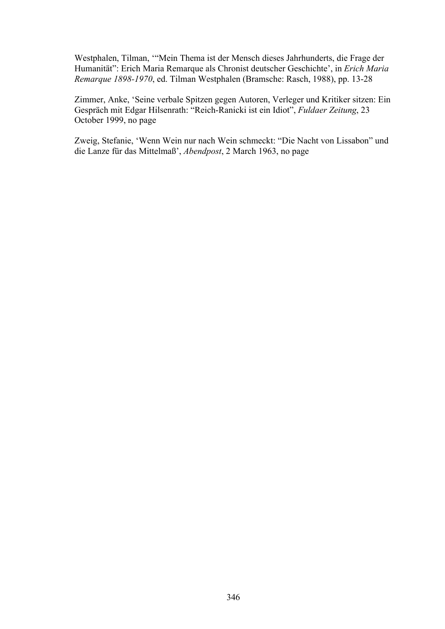Westphalen, Tilman, '"Mein Thema ist der Mensch dieses Jahrhunderts, die Frage der Humanität": Erich Maria Remarque als Chronist deutscher Geschichte', in *Erich Maria Remarque 1898-1970*, ed. Tilman Westphalen (Bramsche: Rasch, 1988), pp. 13-28

Zimmer, Anke, 'Seine verbale Spitzen gegen Autoren, Verleger und Kritiker sitzen: Ein Gespräch mit Edgar Hilsenrath: "Reich-Ranicki ist ein Idiot", *Fuldaer Zeitung*, 23 October 1999, no page

Zweig, Stefanie, 'Wenn Wein nur nach Wein schmeckt: "Die Nacht von Lissabon" und die Lanze für das Mittelmaß', *Abendpost*, 2 March 1963, no page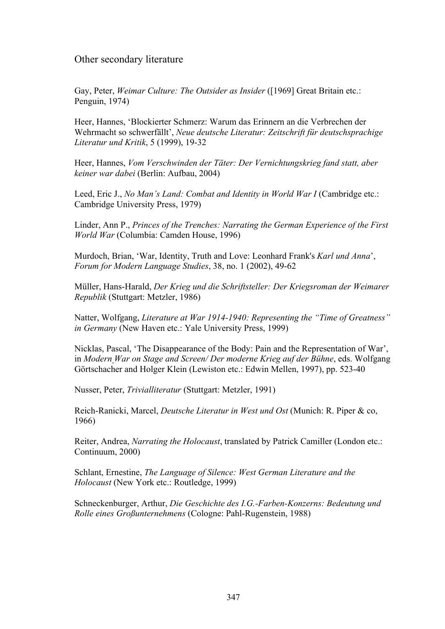## Other secondary literature

Gay, Peter, *Weimar Culture: The Outsider as Insider* ([1969] Great Britain etc.: Penguin, 1974)

Heer, Hannes, 'Blockierter Schmerz: Warum das Erinnern an die Verbrechen der Wehrmacht so schwerfällt', *Neue deutsche Literatur: Zeitschrift für deutschsprachige Literatur und Kritik*, 5 (1999), 19-32

Heer, Hannes, *Vom Verschwinden der Täter: Der Vernichtungskrieg fand statt, aber keiner war dabei* (Berlin: Aufbau, 2004)

Leed, Eric J., *No Man's Land: Combat and Identity in World War I* (Cambridge etc.: Cambridge University Press, 1979)

Linder, Ann P., *Princes of the Trenches: Narrating the German Experience of the First World War* (Columbia: Camden House, 1996)

Murdoch, Brian, 'War, Identity, Truth and Love: Leonhard Frank's *Karl und Anna*', *Forum for Modern Language Studies*, 38, no. 1 (2002), 49-62

Müller, Hans-Harald, *Der Krieg und die Schriftsteller: Der Kriegsroman der Weimarer Republik* (Stuttgart: Metzler, 1986)

Natter, Wolfgang, *Literature at War 1914-1940: Representing the "Time of Greatness" in Germany* (New Haven etc.: Yale University Press, 1999)

Nicklas, Pascal, 'The Disappearance of the Body: Pain and the Representation of War', in *Modern War on Stage and Screen/ Der moderne Krieg auf der Bühne*, eds. Wolfgang Görtschacher and Holger Klein (Lewiston etc.: Edwin Mellen, 1997), pp. 523-40

Nusser, Peter, *Trivialliteratur* (Stuttgart: Metzler, 1991)

Reich-Ranicki, Marcel, *Deutsche Literatur in West und Ost* (Munich: R. Piper & co, 1966)

Reiter, Andrea, *Narrating the Holocaust*, translated by Patrick Camiller (London etc.: Continuum, 2000)

Schlant, Ernestine, *The Language of Silence: West German Literature and the Holocaust* (New York etc.: Routledge, 1999)

Schneckenburger, Arthur, *Die Geschichte des I.G.-Farben-Konzerns: Bedeutung und Rolle eines Großunternehmens* (Cologne: Pahl-Rugenstein, 1988)